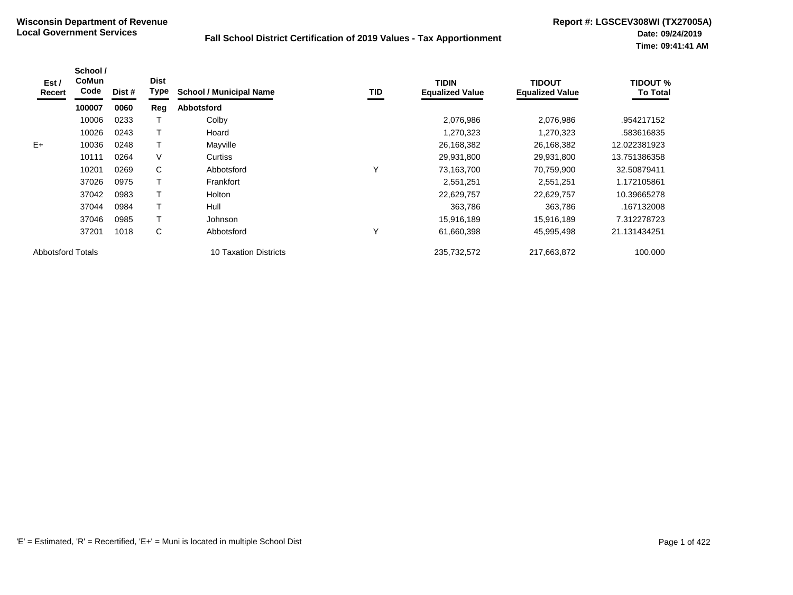| Est /<br>Recert          | School /<br><b>CoMun</b><br>Code | Dist # | <b>Dist</b><br><b>Type</b> | <b>School / Municipal Name</b> | TID | <b>TIDIN</b><br><b>Equalized Value</b> | TIDOUT<br><b>Equalized Value</b> | <b>TIDOUT %</b><br><b>To Total</b> |
|--------------------------|----------------------------------|--------|----------------------------|--------------------------------|-----|----------------------------------------|----------------------------------|------------------------------------|
|                          | 100007                           | 0060   | Reg                        | <b>Abbotsford</b>              |     |                                        |                                  |                                    |
|                          | 10006                            | 0233   |                            | Colby                          |     | 2,076,986                              | 2,076,986                        | .954217152                         |
|                          | 10026                            | 0243   |                            | Hoard                          |     | 1,270,323                              | 1,270,323                        | .583616835                         |
| $E+$                     | 10036                            | 0248   |                            | Mayville                       |     | 26,168,382                             | 26,168,382                       | 12.022381923                       |
|                          | 10111                            | 0264   | V                          | <b>Curtiss</b>                 |     | 29,931,800                             | 29,931,800                       | 13.751386358                       |
|                          | 10201                            | 0269   | C                          | Abbotsford                     | Υ   | 73,163,700                             | 70,759,900                       | 32.50879411                        |
|                          | 37026                            | 0975   |                            | Frankfort                      |     | 2,551,251                              | 2,551,251                        | 1.172105861                        |
|                          | 37042                            | 0983   |                            | Holton                         |     | 22,629,757                             | 22,629,757                       | 10.39665278                        |
|                          | 37044                            | 0984   |                            | Hull                           |     | 363,786                                | 363,786                          | .167132008                         |
|                          | 37046                            | 0985   |                            | Johnson                        |     | 15,916,189                             | 15,916,189                       | 7.312278723                        |
|                          | 37201                            | 1018   | C                          | Abbotsford                     | Υ   | 61,660,398                             | 45,995,498                       | 21.131434251                       |
| <b>Abbotsford Totals</b> |                                  |        |                            | 10 Taxation Districts          |     | 235,732,572                            | 217,663,872                      | 100.000                            |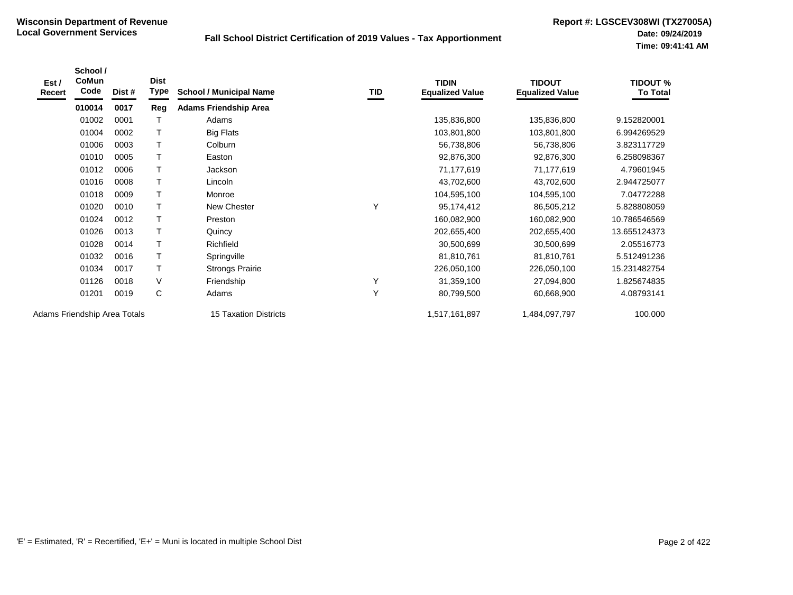| Est /<br>Recert              | School /<br>CoMun<br>Code | Dist # | <b>Dist</b><br>Type | <b>School / Municipal Name</b> | TID | <b>TIDIN</b><br><b>Equalized Value</b> | <b>TIDOUT</b><br><b>Equalized Value</b> | <b>TIDOUT %</b><br><b>To Total</b> |
|------------------------------|---------------------------|--------|---------------------|--------------------------------|-----|----------------------------------------|-----------------------------------------|------------------------------------|
|                              | 010014                    | 0017   | Reg                 | <b>Adams Friendship Area</b>   |     |                                        |                                         |                                    |
|                              | 01002                     | 0001   | Т                   | Adams                          |     | 135,836,800                            | 135,836,800                             | 9.152820001                        |
|                              | 01004                     | 0002   | T                   | <b>Big Flats</b>               |     | 103,801,800                            | 103,801,800                             | 6.994269529                        |
|                              | 01006                     | 0003   | т                   | Colburn                        |     | 56,738,806                             | 56,738,806                              | 3.823117729                        |
|                              | 01010                     | 0005   | Т                   | Easton                         |     | 92,876,300                             | 92,876,300                              | 6.258098367                        |
|                              | 01012                     | 0006   | $\mathsf T$         | Jackson                        |     | 71,177,619                             | 71,177,619                              | 4.79601945                         |
|                              | 01016                     | 0008   | $\mathsf T$         | Lincoln                        |     | 43,702,600                             | 43,702,600                              | 2.944725077                        |
|                              | 01018                     | 0009   | T                   | Monroe                         |     | 104,595,100                            | 104,595,100                             | 7.04772288                         |
|                              | 01020                     | 0010   | T                   | New Chester                    | Y   | 95,174,412                             | 86,505,212                              | 5.828808059                        |
|                              | 01024                     | 0012   | T                   | Preston                        |     | 160,082,900                            | 160,082,900                             | 10.786546569                       |
|                              | 01026                     | 0013   | T                   | Quincy                         |     | 202,655,400                            | 202,655,400                             | 13.655124373                       |
|                              | 01028                     | 0014   | $\mathsf T$         | Richfield                      |     | 30,500,699                             | 30,500,699                              | 2.05516773                         |
|                              | 01032                     | 0016   | T                   | Springville                    |     | 81,810,761                             | 81,810,761                              | 5.512491236                        |
|                              | 01034                     | 0017   | т                   | <b>Strongs Prairie</b>         |     | 226,050,100                            | 226,050,100                             | 15.231482754                       |
|                              | 01126                     | 0018   | $\vee$              | Friendship                     | Y   | 31,359,100                             | 27,094,800                              | 1.825674835                        |
|                              | 01201                     | 0019   | C                   | Adams                          | Y   | 80,799,500                             | 60,668,900                              | 4.08793141                         |
| Adams Friendship Area Totals |                           |        |                     | <b>15 Taxation Districts</b>   |     | 1,517,161,897                          | 1,484,097,797                           | 100.000                            |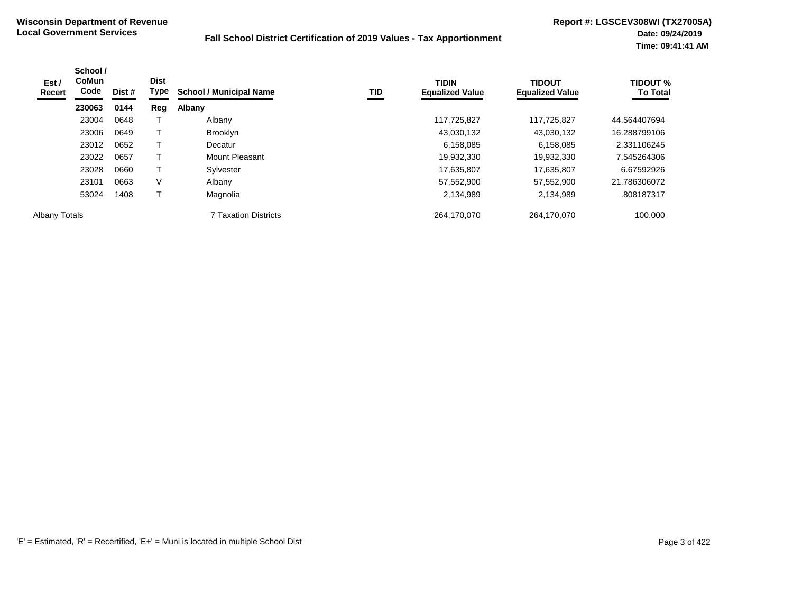| Est /<br>Recert | School /<br>CoMun<br>Code<br>Dist #<br>230063<br>0144 | <b>Dist</b><br>Type | <b>TID</b><br><b>School / Municipal Name</b> | <b>TIDIN</b><br><b>Equalized Value</b> | <b>TIDOUT</b><br><b>Equalized Value</b> | <b>TIDOUT %</b><br><b>To Total</b> |              |
|-----------------|-------------------------------------------------------|---------------------|----------------------------------------------|----------------------------------------|-----------------------------------------|------------------------------------|--------------|
|                 |                                                       |                     | Reg                                          | Albany                                 |                                         |                                    |              |
|                 | 23004                                                 | 0648                |                                              | Albany                                 | 117,725,827                             | 117,725,827                        | 44.564407694 |
|                 | 23006                                                 | 0649                |                                              | Brooklyn                               | 43,030,132                              | 43,030,132                         | 16.288799106 |
|                 | 23012                                                 | 0652                |                                              | Decatur                                | 6,158,085                               | 6,158,085                          | 2.331106245  |
|                 | 23022                                                 | 0657                |                                              | Mount Pleasant                         | 19,932,330                              | 19,932,330                         | 7.545264306  |
|                 | 23028                                                 | 0660                |                                              | Sylvester                              | 17,635,807                              | 17,635,807                         | 6.67592926   |
|                 | 23101                                                 | 0663                | V                                            | Albany                                 | 57,552,900                              | 57,552,900                         | 21.786306072 |
|                 | 53024                                                 | 1408                |                                              | Magnolia                               | 2,134,989                               | 2,134,989                          | .808187317   |
| Albany Totals   |                                                       |                     |                                              | <b>7 Taxation Districts</b>            | 264,170,070                             | 264,170,070                        | 100.000      |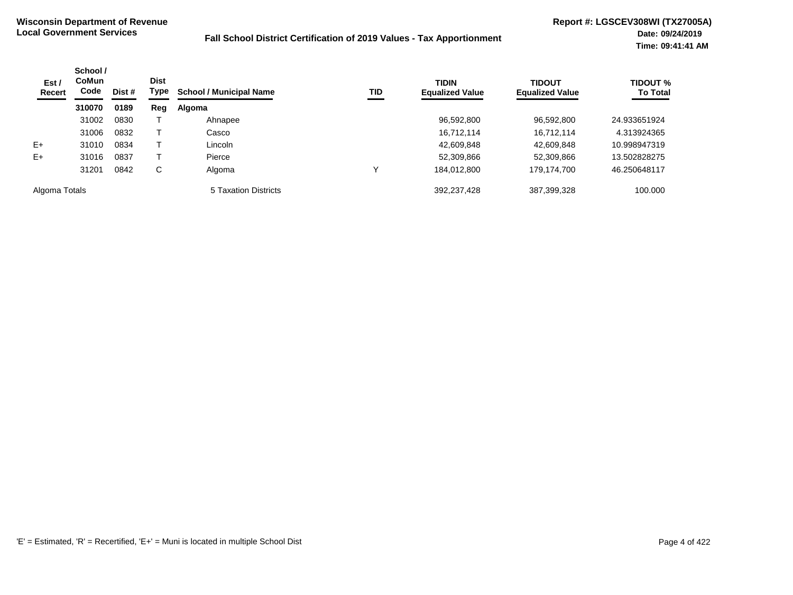| Est/<br>Recert | School /<br><b>Dist</b><br><b>CoMun</b><br>Code<br>Dist #<br>310070<br>0189 | Type | TID<br><b>School / Municipal Name</b> |                      | <b>TIDIN</b><br><b>Equalized Value</b> | <b>TIDOUT</b><br><b>Equalized Value</b> | <b>TIDOUT %</b><br><b>To Total</b> |              |
|----------------|-----------------------------------------------------------------------------|------|---------------------------------------|----------------------|----------------------------------------|-----------------------------------------|------------------------------------|--------------|
|                |                                                                             |      | Reg                                   | Algoma               |                                        |                                         |                                    |              |
|                | 31002                                                                       | 0830 |                                       | Ahnapee              |                                        | 96,592,800                              | 96,592,800                         | 24.933651924 |
|                | 31006                                                                       | 0832 |                                       | Casco                |                                        | 16,712,114                              | 16,712,114                         | 4.313924365  |
| $E+$           | 31010                                                                       | 0834 |                                       | Lincoln              |                                        | 42,609,848                              | 42,609,848                         | 10.998947319 |
| $E+$           | 31016                                                                       | 0837 |                                       | Pierce               |                                        | 52,309,866                              | 52,309,866                         | 13.502828275 |
|                | 31201                                                                       | 0842 | C                                     | Algoma               | ν                                      | 184,012,800                             | 179,174,700                        | 46.250648117 |
| Algoma Totals  |                                                                             |      |                                       | 5 Taxation Districts |                                        | 392,237,428                             | 387,399,328                        | 100.000      |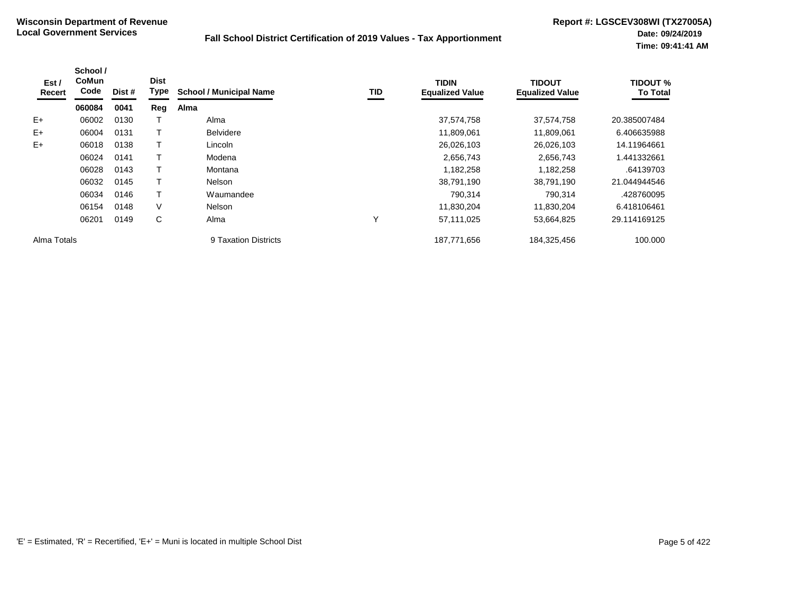| Est /<br>Recert | School /<br><b>CoMun</b><br>Code | Dist # | <b>Dist</b><br><b>Type</b> | <b>School / Municipal Name</b> | TID | <b>TIDIN</b><br><b>Equalized Value</b> | <b>TIDOUT</b><br><b>Equalized Value</b> | <b>TIDOUT %</b><br><b>To Total</b> |
|-----------------|----------------------------------|--------|----------------------------|--------------------------------|-----|----------------------------------------|-----------------------------------------|------------------------------------|
|                 | 060084                           | 0041   | Reg                        | Alma                           |     |                                        |                                         |                                    |
| $E+$            | 06002                            | 0130   |                            | Alma                           |     | 37,574,758                             | 37,574,758                              | 20.385007484                       |
| $E+$            | 06004                            | 0131   |                            | <b>Belvidere</b>               |     | 11,809,061                             | 11,809,061                              | 6.406635988                        |
| $E+$            | 06018                            | 0138   |                            | Lincoln                        |     | 26,026,103                             | 26,026,103                              | 14.11964661                        |
|                 | 06024                            | 0141   |                            | Modena                         |     | 2,656,743                              | 2,656,743                               | 1.441332661                        |
|                 | 06028                            | 0143   |                            | Montana                        |     | 1,182,258                              | 1,182,258                               | .64139703                          |
|                 | 06032                            | 0145   |                            | <b>Nelson</b>                  |     | 38,791,190                             | 38,791,190                              | 21.044944546                       |
|                 | 06034                            | 0146   |                            | Waumandee                      |     | 790,314                                | 790,314                                 | .428760095                         |
|                 | 06154                            | 0148   | V                          | <b>Nelson</b>                  |     | 11,830,204                             | 11,830,204                              | 6.418106461                        |
|                 | 06201                            | 0149   | C                          | Alma                           | ν   | 57,111,025                             | 53,664,825                              | 29.114169125                       |
| Alma Totals     |                                  |        |                            | 9 Taxation Districts           |     | 187,771,656                            | 184,325,456                             | 100.000                            |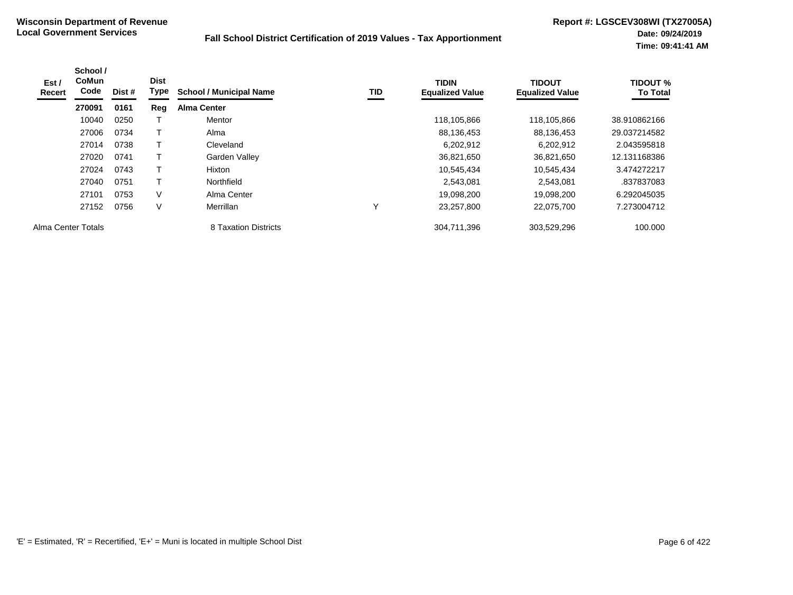| Est /<br>Recert    | School /<br><b>CoMun</b><br>Code | Dist # | <b>Dist</b><br>Type | <b>School / Municipal Name</b> | TID | <b>TIDIN</b><br><b>Equalized Value</b> | <b>TIDOUT</b><br><b>Equalized Value</b> | TIDOUT %<br><b>To Total</b> |
|--------------------|----------------------------------|--------|---------------------|--------------------------------|-----|----------------------------------------|-----------------------------------------|-----------------------------|
|                    | 270091                           | 0161   | Reg                 | <b>Alma Center</b>             |     |                                        |                                         |                             |
|                    | 10040                            | 0250   |                     | Mentor                         |     | 118,105,866                            | 118,105,866                             | 38.910862166                |
|                    | 27006                            | 0734   |                     | Alma                           |     | 88,136,453                             | 88,136,453                              | 29.037214582                |
|                    | 27014                            | 0738   |                     | Cleveland                      |     | 6,202,912                              | 6,202,912                               | 2.043595818                 |
|                    | 27020                            | 0741   |                     | Garden Valley                  |     | 36,821,650                             | 36,821,650                              | 12.131168386                |
|                    | 27024                            | 0743   |                     | Hixton                         |     | 10,545,434                             | 10,545,434                              | 3.474272217                 |
|                    | 27040                            | 0751   |                     | Northfield                     |     | 2,543,081                              | 2,543,081                               | .837837083                  |
|                    | 27101                            | 0753   | $\vee$              | Alma Center                    |     | 19,098,200                             | 19,098,200                              | 6.292045035                 |
|                    | 27152                            | 0756   | $\vee$              | Merrillan                      |     | 23,257,800                             | 22,075,700                              | 7.273004712                 |
| Alma Center Totals |                                  |        |                     | 8 Taxation Districts           |     | 304,711,396                            | 303,529,296                             | 100.000                     |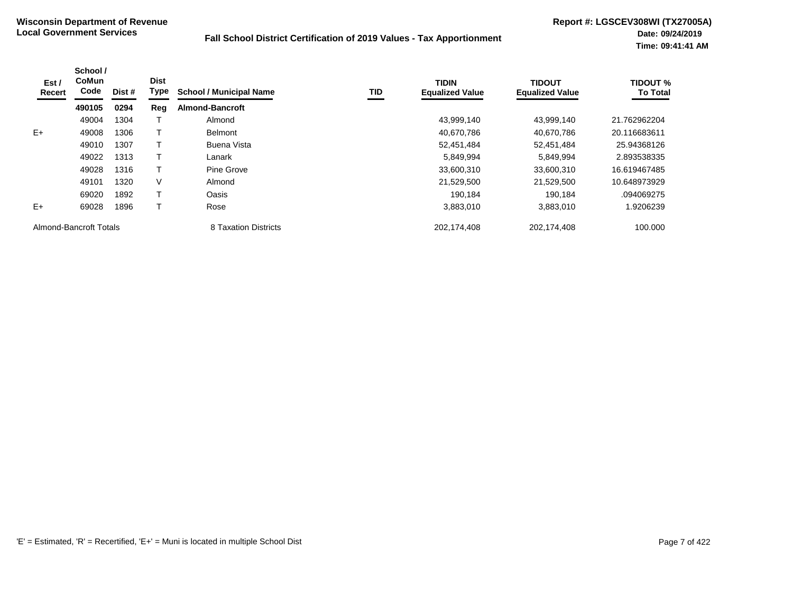| Est /<br>Recert        | School /<br><b>CoMun</b><br>Code | Dist # | <b>Dist</b><br><b>Type</b> | <b>School / Municipal Name</b> | TID | <b>TIDIN</b><br><b>Equalized Value</b> | <b>TIDOUT</b><br><b>Equalized Value</b> | <b>TIDOUT %</b><br><b>To Total</b> |
|------------------------|----------------------------------|--------|----------------------------|--------------------------------|-----|----------------------------------------|-----------------------------------------|------------------------------------|
|                        | 490105                           | 0294   | Reg                        | <b>Almond-Bancroft</b>         |     |                                        |                                         |                                    |
|                        | 49004                            | 1304   |                            | Almond                         |     | 43,999,140                             | 43,999,140                              | 21.762962204                       |
| $E+$                   | 49008                            | 1306   |                            | <b>Belmont</b>                 |     | 40,670,786                             | 40,670,786                              | 20.116683611                       |
|                        | 49010                            | 1307   |                            | Buena Vista                    |     | 52,451,484                             | 52,451,484                              | 25.94368126                        |
|                        | 49022                            | 1313   |                            | Lanark                         |     | 5,849,994                              | 5.849.994                               | 2.893538335                        |
|                        | 49028                            | 1316   |                            | Pine Grove                     |     | 33,600,310                             | 33,600,310                              | 16.619467485                       |
|                        | 49101                            | 1320   | V                          | Almond                         |     | 21,529,500                             | 21,529,500                              | 10.648973929                       |
|                        | 69020                            | 1892   |                            | Oasis                          |     | 190.184                                | 190.184                                 | .094069275                         |
| $E+$                   | 69028                            | 1896   |                            | Rose                           |     | 3,883,010                              | 3,883,010                               | 1.9206239                          |
| Almond-Bancroft Totals |                                  |        |                            | 8 Taxation Districts           |     | 202,174,408                            | 202,174,408                             | 100.000                            |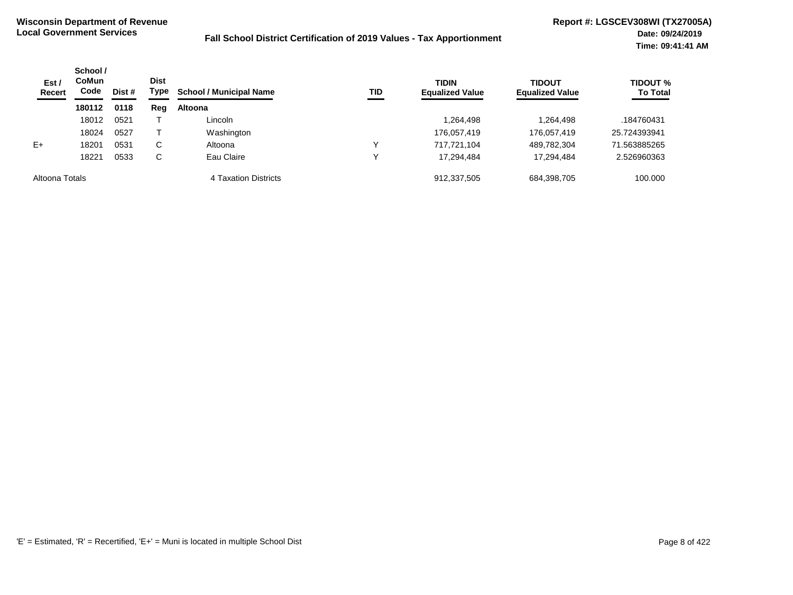| Est /<br><b>Recert</b> | School /<br><b>CoMun</b><br>Code | Dist # | <b>Dist</b><br>Type | <b>School / Municipal Name</b> | TID | <b>TIDIN</b><br><b>Equalized Value</b> | <b>TIDOUT</b><br><b>Equalized Value</b> | <b>TIDOUT %</b><br><b>To Total</b> |
|------------------------|----------------------------------|--------|---------------------|--------------------------------|-----|----------------------------------------|-----------------------------------------|------------------------------------|
|                        | 180112                           | 0118   | Reg                 | <b>Altoona</b>                 |     |                                        |                                         |                                    |
|                        | 18012                            | 0521   |                     | Lincoln                        |     | 1,264,498                              | 1,264,498                               | .184760431                         |
|                        | 18024                            | 0527   |                     | Washington                     |     | 176,057,419                            | 176,057,419                             | 25.724393941                       |
| $E+$                   | 18201                            | 0531   | С                   | Altoona                        |     | 717.721.104                            | 489,782,304                             | 71.563885265                       |
|                        | 18221                            | 0533   | С                   | Eau Claire                     |     | 17.294.484                             | 17.294.484                              | 2.526960363                        |
| Altoona Totals         |                                  |        |                     | 4 Taxation Districts           |     | 912,337,505                            | 684,398,705                             | 100.000                            |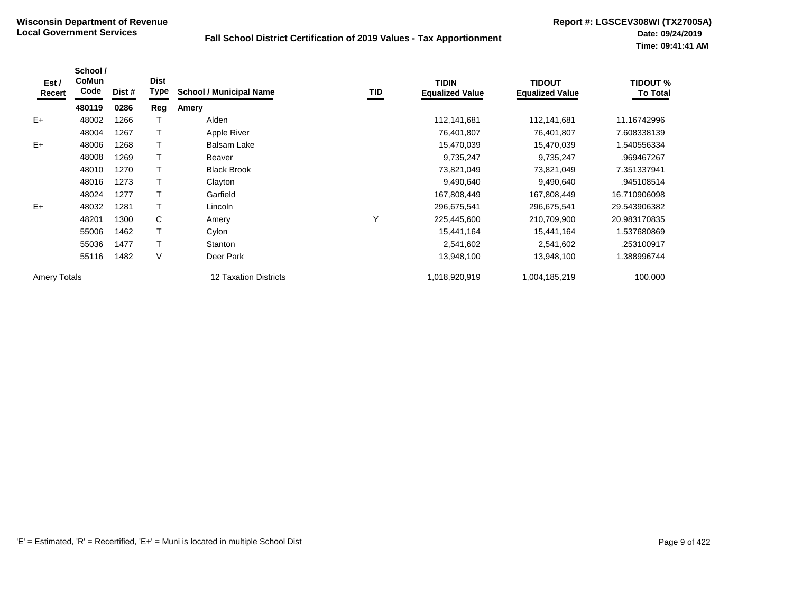| Est /<br>Recert     | School /<br>CoMun<br>Code | Dist # | <b>Dist</b><br><b>Type</b> | <b>School / Municipal Name</b> | TID | <b>TIDIN</b><br><b>Equalized Value</b> | <b>TIDOUT</b><br><b>Equalized Value</b> | <b>TIDOUT %</b><br><b>To Total</b> |
|---------------------|---------------------------|--------|----------------------------|--------------------------------|-----|----------------------------------------|-----------------------------------------|------------------------------------|
|                     | 480119                    | 0286   | Reg                        | Amery                          |     |                                        |                                         |                                    |
| $E+$                | 48002                     | 1266   |                            | Alden                          |     | 112,141,681                            | 112,141,681                             | 11.16742996                        |
|                     | 48004                     | 1267   |                            | Apple River                    |     | 76,401,807                             | 76,401,807                              | 7.608338139                        |
| $E+$                | 48006                     | 1268   |                            | <b>Balsam Lake</b>             |     | 15,470,039                             | 15,470,039                              | .540556334                         |
|                     | 48008                     | 1269   |                            | Beaver                         |     | 9,735,247                              | 9,735,247                               | .969467267                         |
|                     | 48010                     | 1270   |                            | <b>Black Brook</b>             |     | 73,821,049                             | 73,821,049                              | 7.351337941                        |
|                     | 48016                     | 1273   |                            | Clayton                        |     | 9,490,640                              | 9,490,640                               | .945108514                         |
|                     | 48024                     | 1277   |                            | Garfield                       |     | 167,808,449                            | 167,808,449                             | 16.710906098                       |
| $E+$                | 48032                     | 1281   |                            | Lincoln                        |     | 296,675,541                            | 296,675,541                             | 29.543906382                       |
|                     | 48201                     | 1300   | C                          | Amery                          | Υ   | 225,445,600                            | 210,709,900                             | 20.983170835                       |
|                     | 55006                     | 1462   |                            | Cylon                          |     | 15,441,164                             | 15,441,164                              | 1.537680869                        |
|                     | 55036                     | 1477   |                            | Stanton                        |     | 2,541,602                              | 2,541,602                               | .253100917                         |
|                     | 55116                     | 1482   | V                          | Deer Park                      |     | 13,948,100                             | 13,948,100                              | .388996744                         |
| <b>Amery Totals</b> |                           |        |                            | <b>12 Taxation Districts</b>   |     | 1,018,920,919                          | 1,004,185,219                           | 100.000                            |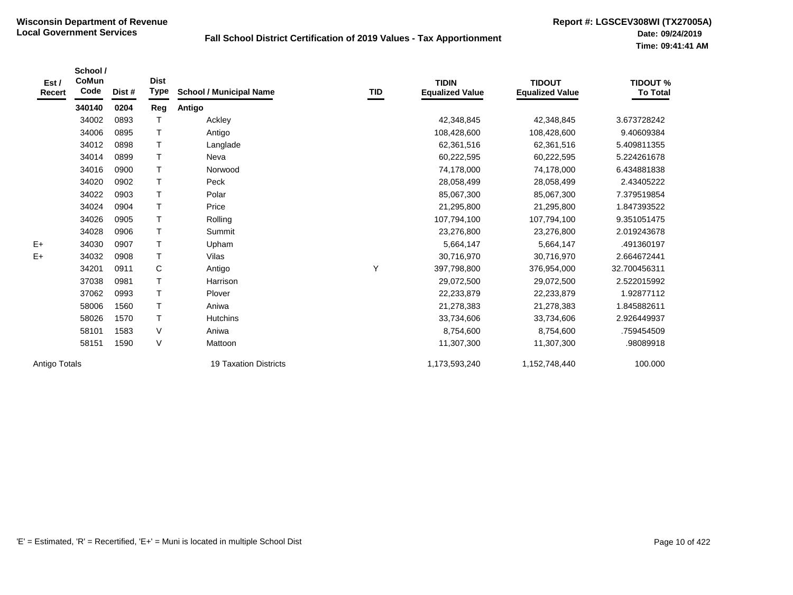| Est /<br>Recert | School /<br><b>CoMun</b><br>Code | Dist # | <b>Dist</b><br>Type | <b>School / Municipal Name</b> | TID | <b>TIDIN</b><br><b>Equalized Value</b> | <b>TIDOUT</b><br><b>Equalized Value</b> | <b>TIDOUT %</b><br><b>To Total</b> |
|-----------------|----------------------------------|--------|---------------------|--------------------------------|-----|----------------------------------------|-----------------------------------------|------------------------------------|
|                 | 340140                           | 0204   | Reg                 | Antigo                         |     |                                        |                                         |                                    |
|                 | 34002                            | 0893   | $\mathsf{T}$        | Ackley                         |     | 42,348,845                             | 42,348,845                              | 3.673728242                        |
|                 | 34006                            | 0895   | T                   | Antigo                         |     | 108,428,600                            | 108,428,600                             | 9.40609384                         |
|                 | 34012                            | 0898   | T                   | Langlade                       |     | 62,361,516                             | 62,361,516                              | 5.409811355                        |
|                 | 34014                            | 0899   | T                   | Neva                           |     | 60,222,595                             | 60,222,595                              | 5.224261678                        |
|                 | 34016                            | 0900   | T                   | Norwood                        |     | 74,178,000                             | 74,178,000                              | 6.434881838                        |
|                 | 34020                            | 0902   | $\mathsf{T}$        | Peck                           |     | 28,058,499                             | 28,058,499                              | 2.43405222                         |
|                 | 34022                            | 0903   | $\mathsf{T}$        | Polar                          |     | 85,067,300                             | 85,067,300                              | 7.379519854                        |
|                 | 34024                            | 0904   | $\mathsf{T}$        | Price                          |     | 21,295,800                             | 21,295,800                              | 1.847393522                        |
|                 | 34026                            | 0905   | $\mathsf{T}$        | Rolling                        |     | 107,794,100                            | 107,794,100                             | 9.351051475                        |
|                 | 34028                            | 0906   | $\mathsf{T}$        | Summit                         |     | 23,276,800                             | 23,276,800                              | 2.019243678                        |
| $E+$            | 34030                            | 0907   | $\mathsf{T}$        | Upham                          |     | 5,664,147                              | 5,664,147                               | .491360197                         |
| E+              | 34032                            | 0908   | $\mathsf{T}$        | Vilas                          |     | 30,716,970                             | 30,716,970                              | 2.664672441                        |
|                 | 34201                            | 0911   | C                   | Antigo                         | Y   | 397,798,800                            | 376,954,000                             | 32.700456311                       |
|                 | 37038                            | 0981   | $\mathsf{T}$        | Harrison                       |     | 29,072,500                             | 29,072,500                              | 2.522015992                        |
|                 | 37062                            | 0993   | $\mathsf{T}$        | Plover                         |     | 22,233,879                             | 22,233,879                              | 1.92877112                         |
|                 | 58006                            | 1560   | $\mathsf{T}$        | Aniwa                          |     | 21,278,383                             | 21,278,383                              | 1.845882611                        |
|                 | 58026                            | 1570   | $\mathsf{T}$        | <b>Hutchins</b>                |     | 33,734,606                             | 33,734,606                              | 2.926449937                        |
|                 | 58101                            | 1583   | V                   | Aniwa                          |     | 8,754,600                              | 8,754,600                               | .759454509                         |
|                 | 58151                            | 1590   | $\vee$              | Mattoon                        |     | 11,307,300                             | 11,307,300                              | .98089918                          |
| Antigo Totals   |                                  |        |                     | <b>19 Taxation Districts</b>   |     | 1,173,593,240                          | 1,152,748,440                           | 100.000                            |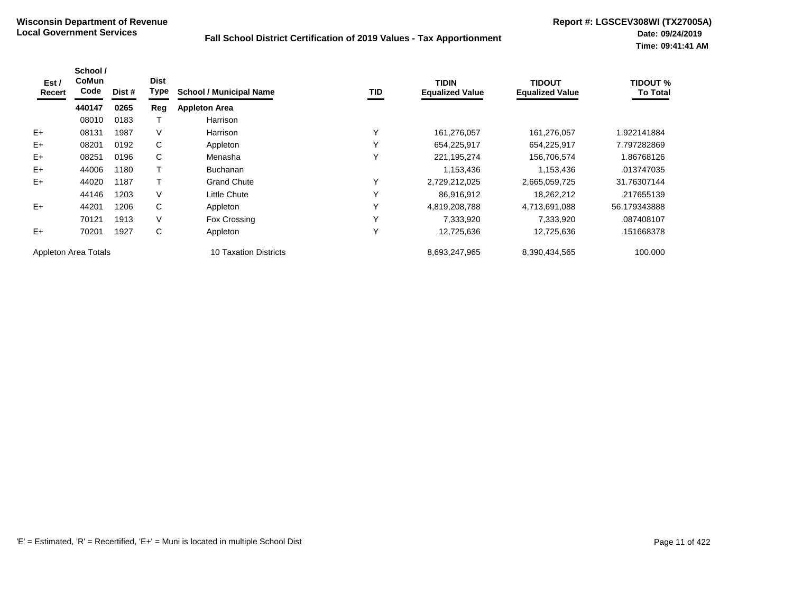| Est /<br>Recert      | School /<br>CoMun<br>Code | Dist # | <b>Dist</b><br>Type | <b>School / Municipal Name</b> | <b>TID</b>   | <b>TIDIN</b><br><b>Equalized Value</b> | <b>TIDOUT</b><br><b>Equalized Value</b> | <b>TIDOUT %</b><br><b>To Total</b> |
|----------------------|---------------------------|--------|---------------------|--------------------------------|--------------|----------------------------------------|-----------------------------------------|------------------------------------|
|                      | 440147                    | 0265   | Reg                 | <b>Appleton Area</b>           |              |                                        |                                         |                                    |
|                      | 08010                     | 0183   |                     | Harrison                       |              |                                        |                                         |                                    |
| $E+$                 | 08131                     | 1987   | V                   | Harrison                       | ٧            | 161,276,057                            | 161,276,057                             | 922141884                          |
| $E+$                 | 08201                     | 0192   | C                   | Appleton                       | $\checkmark$ | 654,225,917                            | 654,225,917                             | 7.797282869                        |
| $E+$                 | 08251                     | 0196   | C                   | Menasha                        | $\checkmark$ | 221,195,274                            | 156,706,574                             | 1.86768126                         |
| $E+$                 | 44006                     | 1180   |                     | <b>Buchanan</b>                |              | 1,153,436                              | 1,153,436                               | .013747035                         |
| $E+$                 | 44020                     | 1187   |                     | <b>Grand Chute</b>             |              | 2,729,212,025                          | 2,665,059,725                           | 31.76307144                        |
|                      | 44146                     | 1203   | V                   | Little Chute                   | $\checkmark$ | 86,916,912                             | 18,262,212                              | .217655139                         |
| $E+$                 | 44201                     | 1206   | C                   | Appleton                       | v            | 4,819,208,788                          | 4,713,691,088                           | 56.179343888                       |
|                      | 70121                     | 1913   | V                   | Fox Crossing                   | $\checkmark$ | 7,333,920                              | 7,333,920                               | .087408107                         |
| $E+$                 | 70201                     | 1927   | C                   | Appleton                       | $\checkmark$ | 12,725,636                             | 12,725,636                              | .151668378                         |
| Appleton Area Totals |                           |        |                     | 10 Taxation Districts          |              | 8,693,247,965                          | 8,390,434,565                           | 100.000                            |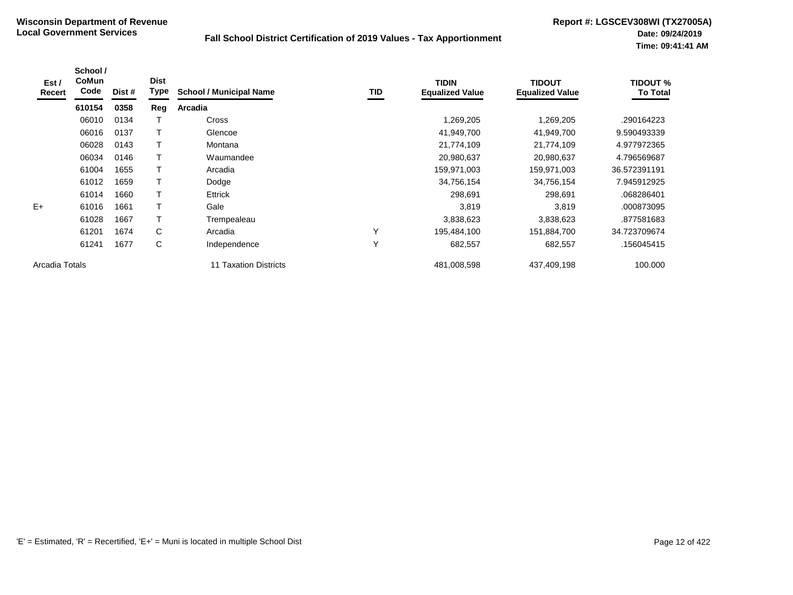| Est /<br>Recert | School /<br>CoMun<br>Code | Dist # | <b>Dist</b><br>Type | <b>School / Municipal Name</b> | TID | <b>TIDIN</b><br><b>Equalized Value</b> | <b>TIDOUT</b><br><b>Equalized Value</b> | <b>TIDOUT %</b><br><b>To Total</b> |
|-----------------|---------------------------|--------|---------------------|--------------------------------|-----|----------------------------------------|-----------------------------------------|------------------------------------|
|                 | 610154                    | 0358   | Reg                 | Arcadia                        |     |                                        |                                         |                                    |
|                 | 06010                     | 0134   |                     | Cross                          |     | 1,269,205                              | 1,269,205                               | .290164223                         |
|                 | 06016                     | 0137   | Τ                   | Glencoe                        |     | 41,949,700                             | 41,949,700                              | 9.590493339                        |
|                 | 06028                     | 0143   |                     | Montana                        |     | 21,774,109                             | 21,774,109                              | 4.977972365                        |
|                 | 06034                     | 0146   |                     | Waumandee                      |     | 20,980,637                             | 20,980,637                              | 4.796569687                        |
|                 | 61004                     | 1655   | т                   | Arcadia                        |     | 159,971,003                            | 159,971,003                             | 36.572391191                       |
|                 | 61012                     | 1659   | Τ                   | Dodge                          |     | 34,756,154                             | 34,756,154                              | 7.945912925                        |
|                 | 61014                     | 1660   |                     | Ettrick                        |     | 298,691                                | 298,691                                 | .068286401                         |
| $E+$            | 61016                     | 1661   | T                   | Gale                           |     | 3,819                                  | 3,819                                   | .000873095                         |
|                 | 61028                     | 1667   | т                   | Trempealeau                    |     | 3,838,623                              | 3,838,623                               | .877581683                         |
|                 | 61201                     | 1674   | C                   | Arcadia                        | Υ   | 195,484,100                            | 151,884,700                             | 34.723709674                       |
|                 | 61241                     | 1677   | C                   | Independence                   | Υ   | 682,557                                | 682,557                                 | .156045415                         |
| Arcadia Totals  |                           |        |                     | <b>11 Taxation Districts</b>   |     | 481,008,598                            | 437,409,198                             | 100.000                            |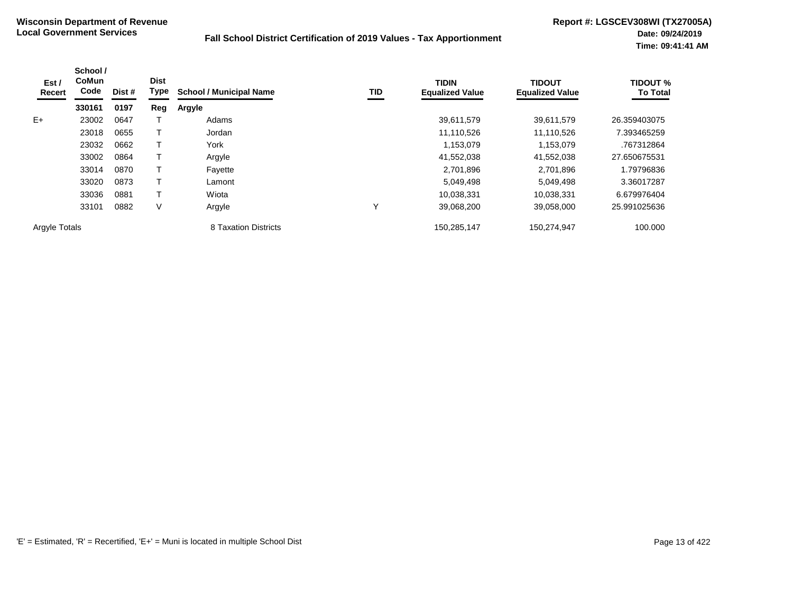| Est /<br>Recert      | School /<br><b>CoMun</b><br>Code | Dist # | <b>Dist</b><br>Type | <b>School / Municipal Name</b> | TID         | <b>TIDIN</b><br><b>Equalized Value</b> | <b>TIDOUT</b><br><b>Equalized Value</b> | <b>TIDOUT %</b><br><b>To Total</b> |
|----------------------|----------------------------------|--------|---------------------|--------------------------------|-------------|----------------------------------------|-----------------------------------------|------------------------------------|
|                      | 330161                           | 0197   | Reg                 | <b>Argyle</b>                  |             |                                        |                                         |                                    |
| $E+$                 | 23002                            | 0647   |                     | Adams                          |             | 39,611,579                             | 39,611,579                              | 26.359403075                       |
|                      | 23018                            | 0655   |                     | Jordan                         |             | 11,110,526                             | 11,110,526                              | 7.393465259                        |
|                      | 23032                            | 0662   |                     | York                           |             | 1,153,079                              | 1,153,079                               | .767312864                         |
|                      | 33002                            | 0864   |                     | Argyle                         |             | 41,552,038                             | 41,552,038                              | 27.650675531                       |
|                      | 33014                            | 0870   |                     | Fayette                        |             | 2,701,896                              | 2,701,896                               | 1.79796836                         |
|                      | 33020                            | 0873   |                     | Lamont                         |             | 5,049,498                              | 5,049,498                               | 3.36017287                         |
|                      | 33036                            | 0881   |                     | Wiota                          |             | 10,038,331                             | 10.038.331                              | 6.679976404                        |
|                      | 33101                            | 0882   | V                   | Argyle                         | $\check{ }$ | 39,068,200                             | 39,058,000                              | 25.991025636                       |
| <b>Argyle Totals</b> |                                  |        |                     | 8 Taxation Districts           |             | 150,285,147                            | 150,274,947                             | 100.000                            |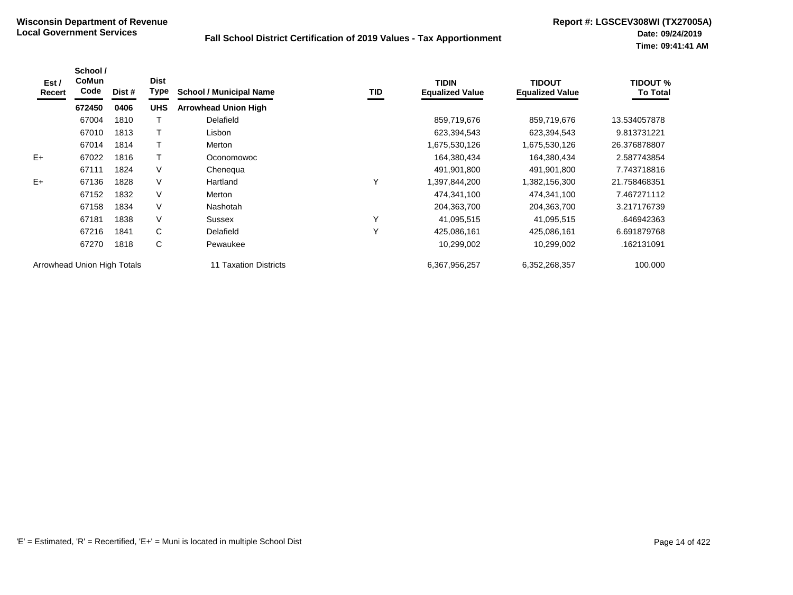| Est /<br>Recert | School /<br><b>CoMun</b><br>Code | Dist # | <b>Dist</b><br>Type | <b>School / Municipal Name</b> | TID | <b>TIDIN</b><br><b>Equalized Value</b> | <b>TIDOUT</b><br><b>Equalized Value</b> | <b>TIDOUT %</b><br><b>To Total</b> |
|-----------------|----------------------------------|--------|---------------------|--------------------------------|-----|----------------------------------------|-----------------------------------------|------------------------------------|
|                 | 672450                           | 0406   | <b>UHS</b>          | <b>Arrowhead Union High</b>    |     |                                        |                                         |                                    |
|                 | 67004                            | 1810   |                     | Delafield                      |     | 859,719,676                            | 859,719,676                             | 13.534057878                       |
|                 | 67010                            | 1813   |                     | Lisbon                         |     | 623,394,543                            | 623,394,543                             | 9.813731221                        |
|                 | 67014                            | 1814   |                     | Merton                         |     | 1,675,530,126                          | 1,675,530,126                           | 26.376878807                       |
| $E+$            | 67022                            | 1816   |                     | Oconomowoc                     |     | 164,380,434                            | 164,380,434                             | 2.587743854                        |
|                 | 67111                            | 1824   | V                   | Chenequa                       |     | 491,901,800                            | 491,901,800                             | 7.743718816                        |
| $E+$            | 67136                            | 1828   | V                   | Hartland                       | Υ   | 1,397,844,200                          | 1,382,156,300                           | 21.758468351                       |
|                 | 67152                            | 1832   | V                   | Merton                         |     | 474,341,100                            | 474,341,100                             | 7.467271112                        |
|                 | 67158                            | 1834   | V                   | <b>Nashotah</b>                |     | 204,363,700                            | 204,363,700                             | 3.217176739                        |
|                 | 67181                            | 1838   | V                   | Sussex                         | Υ   | 41,095,515                             | 41,095,515                              | .646942363                         |
|                 | 67216                            | 1841   | C                   | Delafield                      | Υ   | 425,086,161                            | 425,086,161                             | 6.691879768                        |
|                 | 67270                            | 1818   | C                   | Pewaukee                       |     | 10,299,002                             | 10,299,002                              | .162131091                         |
|                 | Arrowhead Union High Totals      |        |                     | 11 Taxation Districts          |     | 6,367,956,257                          | 6,352,268,357                           | 100.000                            |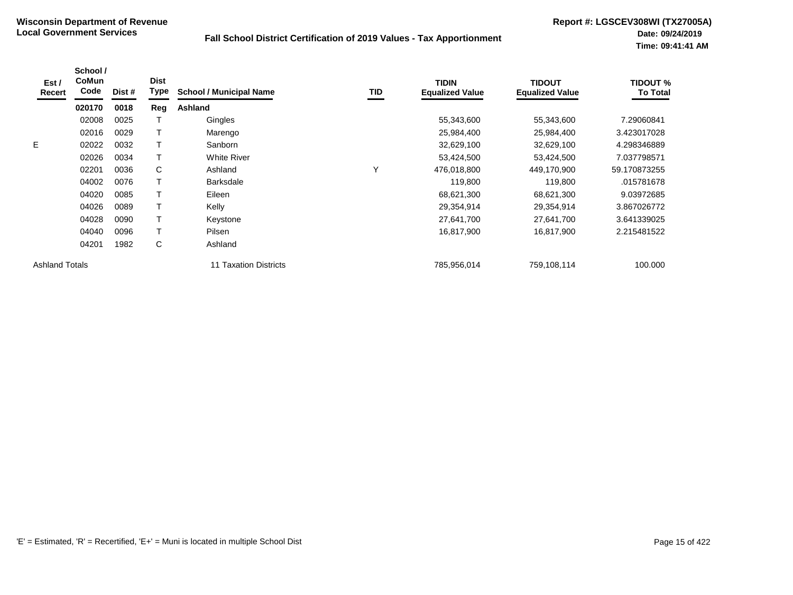| Est /<br>Recert       | School /<br><b>CoMun</b><br>Code | Dist # | <b>Dist</b><br><b>Type</b> | <b>School / Municipal Name</b>  | TID | <b>TIDIN</b><br><b>Equalized Value</b> | <b>TIDOUT</b><br><b>Equalized Value</b> | <b>TIDOUT %</b><br><b>To Total</b> |
|-----------------------|----------------------------------|--------|----------------------------|---------------------------------|-----|----------------------------------------|-----------------------------------------|------------------------------------|
|                       | 020170                           | 0018   | Reg                        | Ashland                         |     |                                        |                                         |                                    |
|                       | 02008                            | 0025   |                            | Gingles                         |     | 55,343,600                             | 55,343,600                              | 7.29060841                         |
|                       | 02016                            | 0029   |                            | Marengo                         |     | 25,984,400                             | 25,984,400                              | 3.423017028                        |
| E                     | 02022                            | 0032   |                            | Sanborn                         |     | 32,629,100                             | 32,629,100                              | 4.298346889                        |
|                       | 02026                            | 0034   |                            | <b>White River</b>              |     | 53,424,500                             | 53,424,500                              | 7.037798571                        |
|                       | 02201                            | 0036   | C                          | Ashland                         | Υ   | 476,018,800                            | 449,170,900                             | 59.170873255                       |
|                       | 04002                            | 0076   |                            | <b>Barksdale</b>                |     | 119,800                                | 119,800                                 | .015781678                         |
|                       | 04020                            | 0085   |                            | Eileen                          |     | 68,621,300                             | 68,621,300                              | 9.03972685                         |
|                       | 04026                            | 0089   |                            | Kelly                           |     | 29,354,914                             | 29,354,914                              | 3.867026772                        |
|                       | 04028                            | 0090   |                            | Keystone                        |     | 27,641,700                             | 27,641,700                              | 3.641339025                        |
|                       | 04040                            | 0096   |                            | Pilsen                          |     | 16,817,900                             | 16,817,900                              | 2.215481522                        |
|                       | 04201                            | 1982   | C                          | Ashland                         |     |                                        |                                         |                                    |
| <b>Ashland Totals</b> |                                  |        |                            | <b>Taxation Districts</b><br>11 |     | 785,956,014                            | 759,108,114                             | 100.000                            |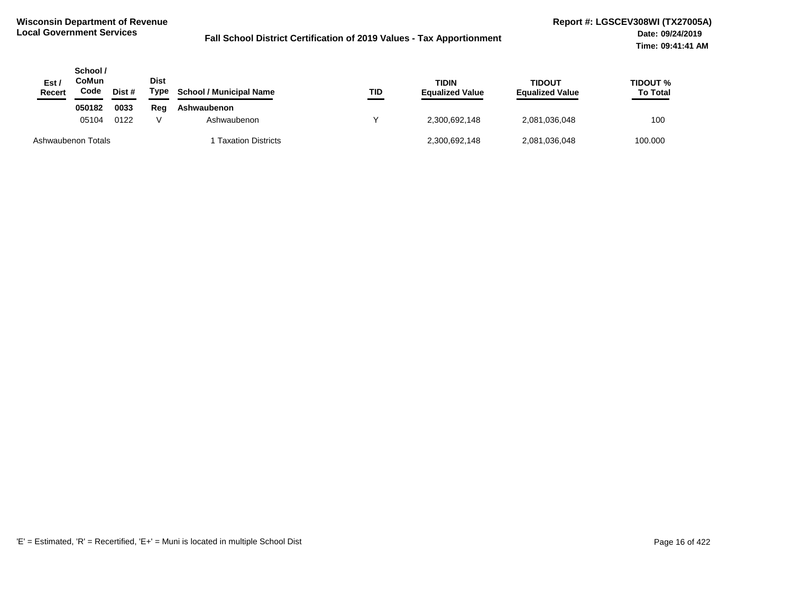| Est /<br>Recert    | School /<br>CoMun<br>Code | Dist # | <b>Dist</b><br>Type | <b>School / Municipal Name</b> | TID | <b>TIDIN</b><br><b>Equalized Value</b> | TIDOUT<br><b>Equalized Value</b> | <b>TIDOUT %</b><br><b>To Total</b> |
|--------------------|---------------------------|--------|---------------------|--------------------------------|-----|----------------------------------------|----------------------------------|------------------------------------|
|                    | 050182                    | 0033   | Reg                 | Ashwaubenon                    |     |                                        |                                  |                                    |
|                    | 05104                     | 0122   |                     | Ashwaubenon                    |     | 2,300,692,148                          | 2,081,036,048                    | 100                                |
| Ashwaubenon Totals |                           |        |                     | <b>Taxation Districts</b>      |     | 2,300,692,148                          | 2,081,036,048                    | 100.000                            |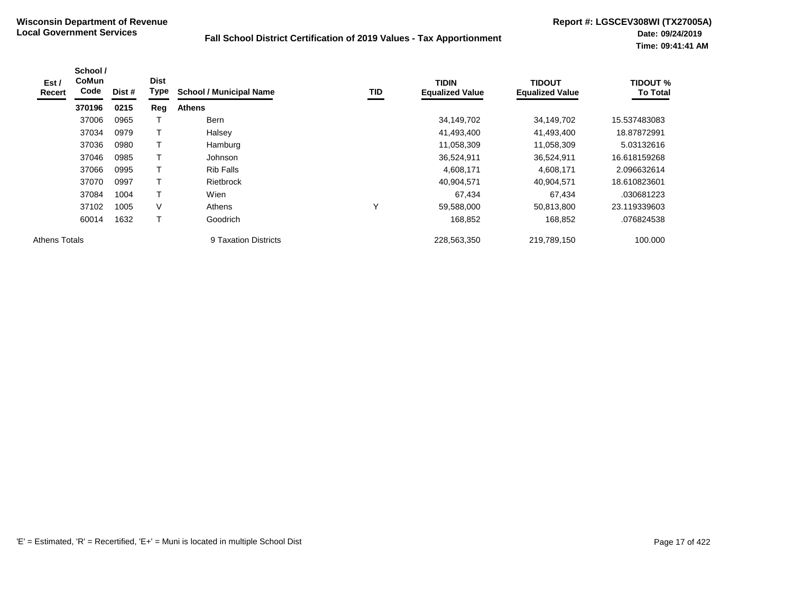| Est /<br>Recert      | School /<br><b>CoMun</b><br>Code | Dist # | <b>Dist</b><br>Type | <b>School / Municipal Name</b> | TID          | <b>TIDIN</b><br><b>Equalized Value</b> | <b>TIDOUT</b><br><b>Equalized Value</b> | <b>TIDOUT %</b><br><b>To Total</b> |
|----------------------|----------------------------------|--------|---------------------|--------------------------------|--------------|----------------------------------------|-----------------------------------------|------------------------------------|
|                      | 370196                           | 0215   | Reg                 | <b>Athens</b>                  |              |                                        |                                         |                                    |
|                      | 37006                            | 0965   |                     | <b>Bern</b>                    |              | 34,149,702                             | 34,149,702                              | 15.537483083                       |
|                      | 37034                            | 0979   |                     | Halsey                         |              | 41,493,400                             | 41,493,400                              | 18.87872991                        |
|                      | 37036                            | 0980   |                     | Hamburg                        |              | 11,058,309                             | 11,058,309                              | 5.03132616                         |
|                      | 37046                            | 0985   |                     | Johnson                        |              | 36,524,911                             | 36,524,911                              | 16.618159268                       |
|                      | 37066                            | 0995   |                     | <b>Rib Falls</b>               |              | 4,608,171                              | 4,608,171                               | 2.096632614                        |
|                      | 37070                            | 0997   |                     | <b>Rietbrock</b>               |              | 40,904,571                             | 40,904,571                              | 18.610823601                       |
|                      | 37084                            | 1004   | T                   | Wien                           |              | 67,434                                 | 67,434                                  | .030681223                         |
|                      | 37102                            | 1005   | V                   | Athens                         | $\checkmark$ | 59,588,000                             | 50,813,800                              | 23.119339603                       |
|                      | 60014                            | 1632   | T                   | Goodrich                       |              | 168,852                                | 168,852                                 | .076824538                         |
| <b>Athens Totals</b> |                                  |        |                     | 9 Taxation Districts           |              | 228,563,350                            | 219,789,150                             | 100.000                            |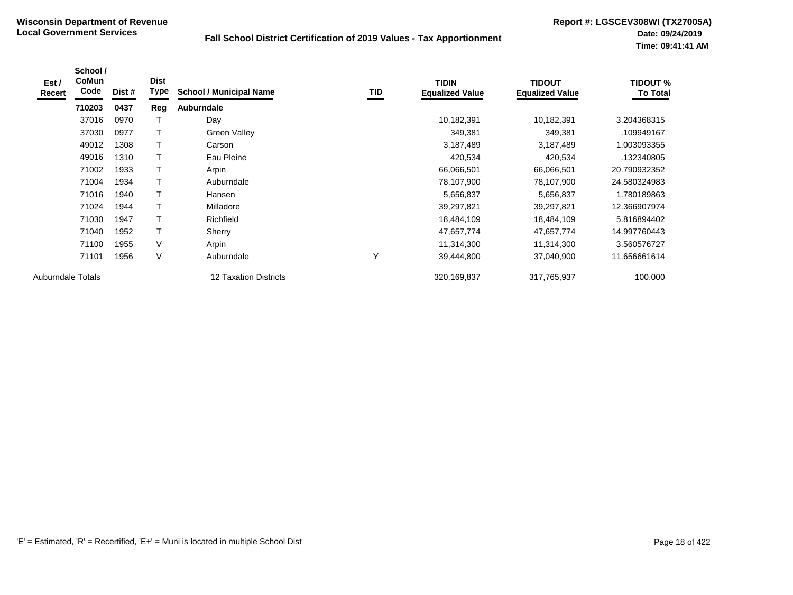| Est /<br>Recert          | School /<br><b>CoMun</b><br>Code | Dist # | <b>Dist</b><br>Type | <b>School / Municipal Name</b> | TID          | <b>TIDIN</b><br><b>Equalized Value</b> | <b>TIDOUT</b><br><b>Equalized Value</b> | <b>TIDOUT %</b><br><b>To Total</b> |
|--------------------------|----------------------------------|--------|---------------------|--------------------------------|--------------|----------------------------------------|-----------------------------------------|------------------------------------|
|                          | 710203                           | 0437   | Reg                 | <b>Auburndale</b>              |              |                                        |                                         |                                    |
|                          | 37016                            | 0970   |                     | Day                            |              | 10,182,391                             | 10,182,391                              | 3.204368315                        |
|                          | 37030                            | 0977   | т                   | Green Valley                   |              | 349,381                                | 349,381                                 | .109949167                         |
|                          | 49012                            | 1308   |                     | Carson                         |              | 3,187,489                              | 3,187,489                               | 1.003093355                        |
|                          | 49016                            | 1310   |                     | Eau Pleine                     |              | 420,534                                | 420,534                                 | .132340805                         |
|                          | 71002                            | 1933   |                     | Arpin                          |              | 66,066,501                             | 66,066,501                              | 20.790932352                       |
|                          | 71004                            | 1934   | T                   | Auburndale                     |              | 78,107,900                             | 78,107,900                              | 24.580324983                       |
|                          | 71016                            | 1940   | Τ                   | Hansen                         |              | 5,656,837                              | 5,656,837                               | 1.780189863                        |
|                          | 71024                            | 1944   | $\mathsf T$         | Milladore                      |              | 39,297,821                             | 39,297,821                              | 12.366907974                       |
|                          | 71030                            | 1947   | $\mathsf T$         | Richfield                      |              | 18,484,109                             | 18,484,109                              | 5.816894402                        |
|                          | 71040                            | 1952   | $\mathsf T$         | Sherry                         |              | 47,657,774                             | 47,657,774                              | 14.997760443                       |
|                          | 71100                            | 1955   | V                   | Arpin                          |              | 11,314,300                             | 11,314,300                              | 3.560576727                        |
|                          | 71101                            | 1956   | V                   | Auburndale                     | $\checkmark$ | 39,444,800                             | 37,040,900                              | 11.656661614                       |
| <b>Auburndale Totals</b> |                                  |        |                     | <b>12 Taxation Districts</b>   |              | 320,169,837                            | 317,765,937                             | 100.000                            |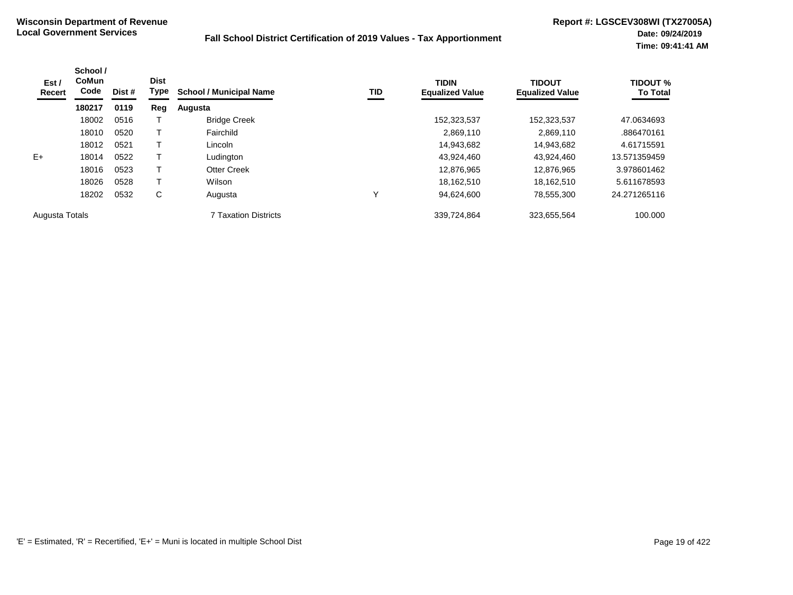| Est /<br>Recert | School /<br><b>CoMun</b><br>Code | Dist # | <b>Dist</b><br>Type | <b>School / Municipal Name</b> | <b>TID</b> | <b>TIDIN</b><br><b>Equalized Value</b> | <b>TIDOUT</b><br><b>Equalized Value</b> | <b>TIDOUT %</b><br><b>To Total</b> |
|-----------------|----------------------------------|--------|---------------------|--------------------------------|------------|----------------------------------------|-----------------------------------------|------------------------------------|
|                 | 180217                           | 0119   | Reg                 | Augusta                        |            |                                        |                                         |                                    |
|                 | 18002                            | 0516   |                     | <b>Bridge Creek</b>            |            | 152,323,537                            | 152,323,537                             | 47.0634693                         |
|                 | 18010                            | 0520   |                     | Fairchild                      |            | 2,869,110                              | 2,869,110                               | .886470161                         |
|                 | 18012                            | 0521   |                     | Lincoln                        |            | 14,943,682                             | 14,943,682                              | 4.61715591                         |
| $E+$            | 18014                            | 0522   |                     | Ludington                      |            | 43,924,460                             | 43,924,460                              | 13.571359459                       |
|                 | 18016                            | 0523   |                     | <b>Otter Creek</b>             |            | 12.876.965                             | 12.876.965                              | 3.978601462                        |
|                 | 18026                            | 0528   | т                   | Wilson                         |            | 18.162.510                             | 18.162.510                              | 5.611678593                        |
|                 | 18202                            | 0532   | C                   | Augusta                        | Υ          | 94,624,600                             | 78,555,300                              | 24.271265116                       |
| Augusta Totals  |                                  |        |                     | <b>7 Taxation Districts</b>    |            | 339,724,864                            | 323,655,564                             | 100.000                            |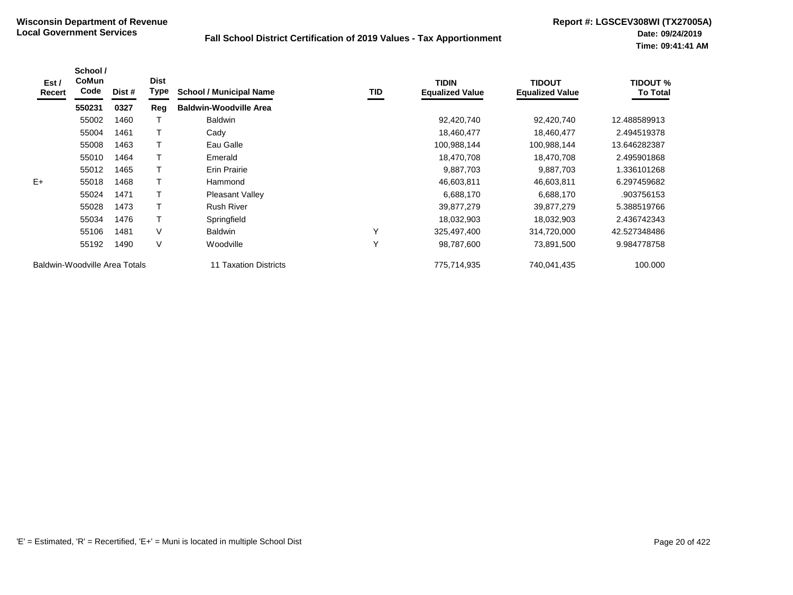| Est /<br>Recert | School /<br>CoMun<br>Code     | Dist # | <b>Dist</b><br>Type | <b>School / Municipal Name</b> | <b>TID</b> | <b>TIDIN</b><br><b>Equalized Value</b> | <b>TIDOUT</b><br><b>Equalized Value</b> | <b>TIDOUT %</b><br><b>To Total</b> |
|-----------------|-------------------------------|--------|---------------------|--------------------------------|------------|----------------------------------------|-----------------------------------------|------------------------------------|
|                 | 550231                        | 0327   | Reg                 | <b>Baldwin-Woodville Area</b>  |            |                                        |                                         |                                    |
|                 | 55002                         | 1460   |                     | <b>Baldwin</b>                 |            | 92,420,740                             | 92,420,740                              | 12.488589913                       |
|                 | 55004                         | 1461   |                     | Cady                           |            | 18,460,477                             | 18,460,477                              | 2.494519378                        |
|                 | 55008                         | 1463   |                     | Eau Galle                      |            | 100,988,144                            | 100,988,144                             | 13.646282387                       |
|                 | 55010                         | 1464   |                     | Emerald                        |            | 18,470,708                             | 18,470,708                              | 2.495901868                        |
|                 | 55012                         | 1465   |                     | <b>Erin Prairie</b>            |            | 9,887,703                              | 9,887,703                               | 1.336101268                        |
| $E+$            | 55018                         | 1468   | Т                   | Hammond                        |            | 46,603,811                             | 46,603,811                              | 6.297459682                        |
|                 | 55024                         | 1471   |                     | Pleasant Valley                |            | 6,688,170                              | 6,688,170                               | .903756153                         |
|                 | 55028                         | 1473   |                     | <b>Rush River</b>              |            | 39,877,279                             | 39,877,279                              | 5.388519766                        |
|                 | 55034                         | 1476   |                     | Springfield                    |            | 18,032,903                             | 18,032,903                              | 2.436742343                        |
|                 | 55106                         | 1481   | $\vee$              | <b>Baldwin</b>                 | Υ          | 325,497,400                            | 314,720,000                             | 42.527348486                       |
|                 | 55192                         | 1490   | V                   | Woodville                      | Υ          | 98,787,600                             | 73,891,500                              | 9.984778758                        |
|                 | Baldwin-Woodville Area Totals |        |                     | 11 Taxation Districts          |            | 775,714,935                            | 740,041,435                             | 100.000                            |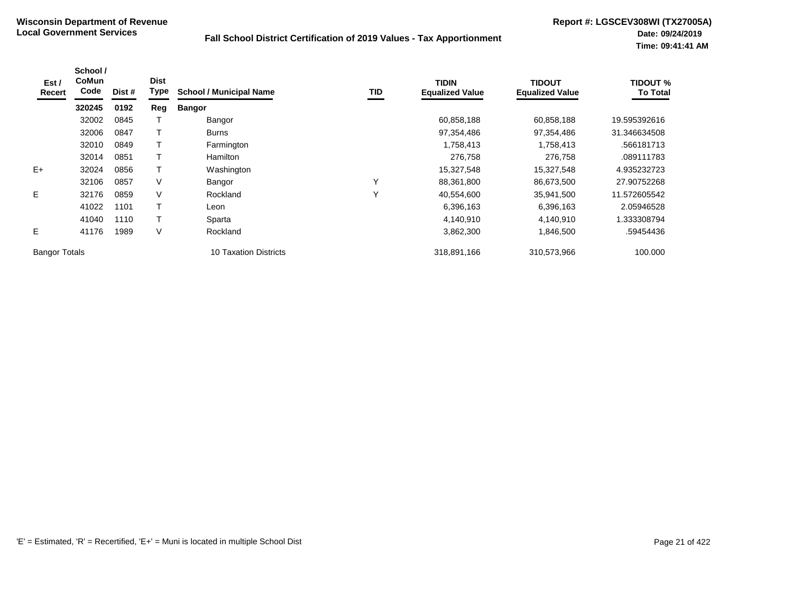| Est /<br>Recert      | School /<br>CoMun<br>Code | Dist # | <b>Dist</b><br>Type | <b>School / Municipal Name</b> | TID | <b>TIDIN</b><br><b>Equalized Value</b> | <b>TIDOUT</b><br><b>Equalized Value</b> | <b>TIDOUT %</b><br><b>To Total</b> |
|----------------------|---------------------------|--------|---------------------|--------------------------------|-----|----------------------------------------|-----------------------------------------|------------------------------------|
|                      | 320245                    | 0192   | Reg                 | <b>Bangor</b>                  |     |                                        |                                         |                                    |
|                      | 32002                     | 0845   |                     | Bangor                         |     | 60,858,188                             | 60,858,188                              | 19.595392616                       |
|                      | 32006                     | 0847   |                     | <b>Burns</b>                   |     | 97,354,486                             | 97,354,486                              | 31.346634508                       |
|                      | 32010                     | 0849   |                     | Farmington                     |     | 1,758,413                              | 1,758,413                               | .566181713                         |
|                      | 32014                     | 0851   |                     | <b>Hamilton</b>                |     | 276,758                                | 276,758                                 | .089111783                         |
| $E+$                 | 32024                     | 0856   |                     | Washington                     |     | 15,327,548                             | 15,327,548                              | 4.935232723                        |
|                      | 32106                     | 0857   | V                   | Bangor                         | Υ   | 88,361,800                             | 86,673,500                              | 27.90752268                        |
| E                    | 32176                     | 0859   | V                   | Rockland                       | Υ   | 40,554,600                             | 35,941,500                              | 11.572605542                       |
|                      | 41022                     | 1101   |                     | Leon                           |     | 6,396,163                              | 6,396,163                               | 2.05946528                         |
|                      | 41040                     | 1110   |                     | Sparta                         |     | 4,140,910                              | 4,140,910                               | 333308794                          |
| Е                    | 41176                     | 1989   | V                   | Rockland                       |     | 3,862,300                              | 1,846,500                               | .59454436                          |
| <b>Bangor Totals</b> |                           |        |                     | <b>10 Taxation Districts</b>   |     | 318,891,166                            | 310,573,966                             | 100.000                            |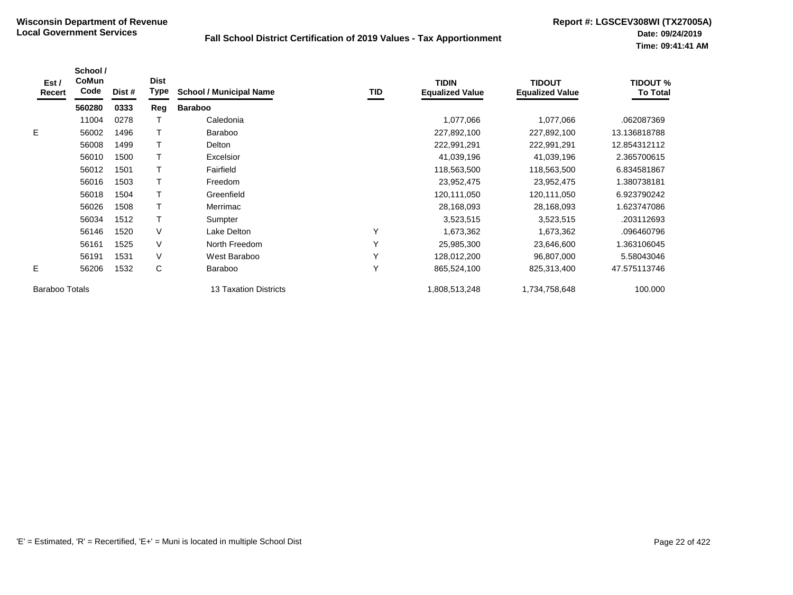| Est /<br>Recert       | School /<br>CoMun<br>Code | Dist # | <b>Dist</b><br><b>Type</b> | <b>School / Municipal Name</b> | TID          | <b>TIDIN</b><br><b>Equalized Value</b> | <b>TIDOUT</b><br><b>Equalized Value</b> | <b>TIDOUT %</b><br><b>To Total</b> |
|-----------------------|---------------------------|--------|----------------------------|--------------------------------|--------------|----------------------------------------|-----------------------------------------|------------------------------------|
|                       | 560280                    | 0333   | Reg                        | <b>Baraboo</b>                 |              |                                        |                                         |                                    |
|                       | 11004                     | 0278   |                            | Caledonia                      |              | 1,077,066                              | 1,077,066                               | .062087369                         |
| E.                    | 56002                     | 1496   |                            | <b>Baraboo</b>                 |              | 227,892,100                            | 227,892,100                             | 13.136818788                       |
|                       | 56008                     | 1499   |                            | Delton                         |              | 222,991,291                            | 222,991,291                             | 12.854312112                       |
|                       | 56010                     | 1500   |                            | Excelsior                      |              | 41,039,196                             | 41,039,196                              | 2.365700615                        |
|                       | 56012                     | 1501   |                            | Fairfield                      |              | 118,563,500                            | 118,563,500                             | 6.834581867                        |
|                       | 56016                     | 1503   |                            | Freedom                        |              | 23,952,475                             | 23,952,475                              | 1.380738181                        |
|                       | 56018                     | 1504   |                            | Greenfield                     |              | 120,111,050                            | 120,111,050                             | 6.923790242                        |
|                       | 56026                     | 1508   |                            | Merrimac                       |              | 28,168,093                             | 28,168,093                              | 1.623747086                        |
|                       | 56034                     | 1512   |                            | Sumpter                        |              | 3,523,515                              | 3,523,515                               | .203112693                         |
|                       | 56146                     | 1520   | V                          | Lake Delton                    | $\checkmark$ | 1,673,362                              | 1,673,362                               | .096460796                         |
|                       | 56161                     | 1525   | V                          | North Freedom                  | $\checkmark$ | 25,985,300                             | 23,646,600                              | .363106045                         |
|                       | 56191                     | 1531   | V                          | West Baraboo                   | $\checkmark$ | 128,012,200                            | 96,807,000                              | 5.58043046                         |
| E.                    | 56206                     | 1532   | C                          | <b>Baraboo</b>                 | $\checkmark$ | 865,524,100                            | 825,313,400                             | 47.575113746                       |
| <b>Baraboo Totals</b> |                           |        |                            | <b>13 Taxation Districts</b>   |              | 1,808,513,248                          | 1,734,758,648                           | 100.000                            |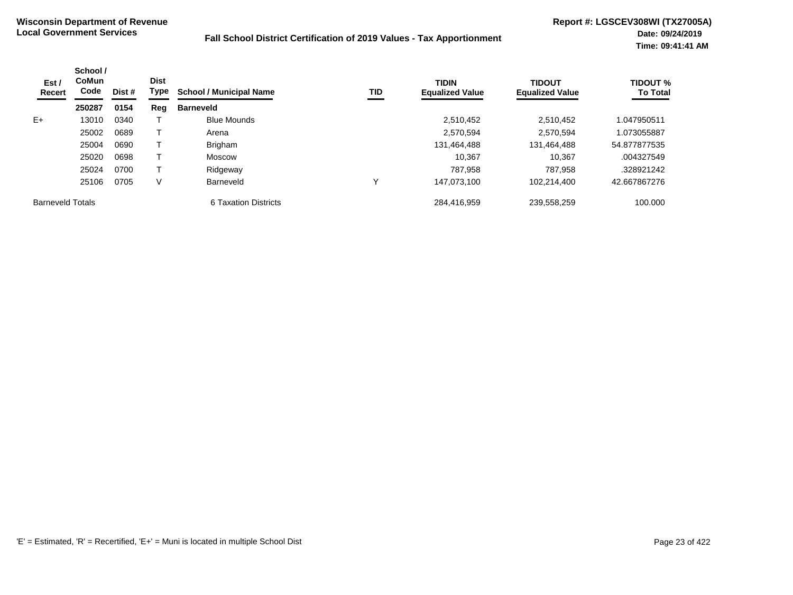| Est /<br>Recert         | School /<br><b>CoMun</b><br>Code | Dist # | <b>Dist</b><br><b>Type</b> | <b>School / Municipal Name</b> | <b>TID</b> | <b>TIDIN</b><br><b>Equalized Value</b> | <b>TIDOUT</b><br><b>Equalized Value</b> | <b>TIDOUT %</b><br><b>To Total</b> |
|-------------------------|----------------------------------|--------|----------------------------|--------------------------------|------------|----------------------------------------|-----------------------------------------|------------------------------------|
|                         | 250287                           | 0154   | Reg                        | <b>Barneveld</b>               |            |                                        |                                         |                                    |
| $E+$                    | 13010                            | 0340   |                            | <b>Blue Mounds</b>             |            | 2,510,452                              | 2,510,452                               | 1.047950511                        |
|                         | 25002                            | 0689   |                            | Arena                          |            | 2,570,594                              | 2.570.594                               | 1.073055887                        |
|                         | 25004                            | 0690   |                            | Brigham                        |            | 131,464,488                            | 131,464,488                             | 54.877877535                       |
|                         | 25020                            | 0698   |                            | Moscow                         |            | 10,367                                 | 10.367                                  | .004327549                         |
|                         | 25024                            | 0700   |                            | Ridgeway                       |            | 787.958                                | 787.958                                 | .328921242                         |
|                         | 25106                            | 0705   | V                          | Barneveld                      |            | 147.073.100                            | 102.214.400                             | 42.667867276                       |
| <b>Barneveld Totals</b> |                                  |        |                            | 6 Taxation Districts           |            | 284.416.959                            | 239.558.259                             | 100.000                            |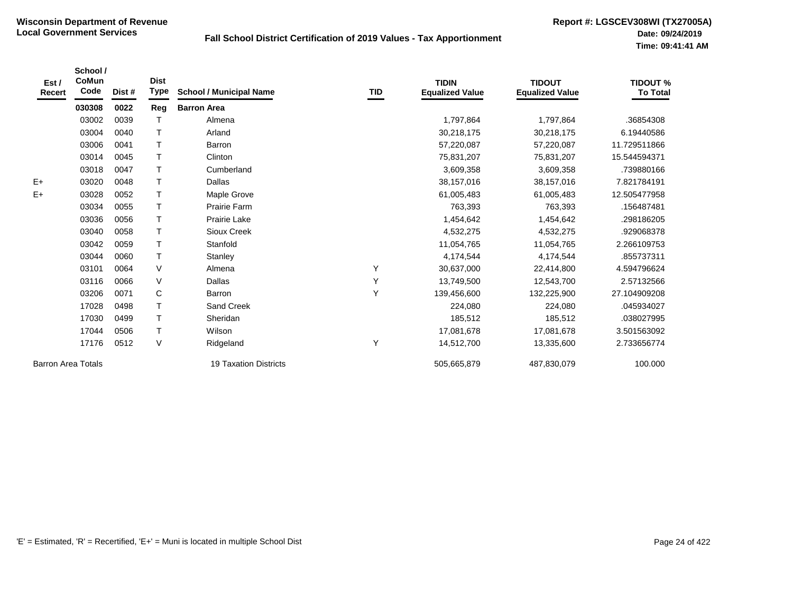| Est /<br><b>Recert</b>    | School /<br><b>CoMun</b><br>Code | Dist # | <b>Dist</b><br><b>Type</b> | <b>School / Municipal Name</b> | TID | <b>TIDIN</b><br><b>Equalized Value</b> | <b>TIDOUT</b><br><b>Equalized Value</b> | <b>TIDOUT %</b><br><b>To Total</b> |
|---------------------------|----------------------------------|--------|----------------------------|--------------------------------|-----|----------------------------------------|-----------------------------------------|------------------------------------|
|                           | 030308                           | 0022   | Reg                        | <b>Barron Area</b>             |     |                                        |                                         |                                    |
|                           | 03002                            | 0039   |                            | Almena                         |     | 1,797,864                              | 1,797,864                               | .36854308                          |
|                           | 03004                            | 0040   | $\mathsf{T}$               | Arland                         |     | 30,218,175                             | 30,218,175                              | 6.19440586                         |
|                           | 03006                            | 0041   | $\top$                     | Barron                         |     | 57,220,087                             | 57,220,087                              | 11.729511866                       |
|                           | 03014                            | 0045   | $\mathsf{T}$               | Clinton                        |     | 75,831,207                             | 75,831,207                              | 15.544594371                       |
|                           | 03018                            | 0047   | $\mathsf T$                | Cumberland                     |     | 3,609,358                              | 3,609,358                               | .739880166                         |
| $E+$                      | 03020                            | 0048   | $\mathsf{T}$               | Dallas                         |     | 38,157,016                             | 38,157,016                              | 7.821784191                        |
| $E+$                      | 03028                            | 0052   | $\top$                     | Maple Grove                    |     | 61,005,483                             | 61,005,483                              | 12.505477958                       |
|                           | 03034                            | 0055   | $\mathsf{T}$               | <b>Prairie Farm</b>            |     | 763,393                                | 763,393                                 | .156487481                         |
|                           | 03036                            | 0056   | $\mathsf T$                | Prairie Lake                   |     | 1,454,642                              | 1,454,642                               | .298186205                         |
|                           | 03040                            | 0058   | $\mathsf{T}$               | Sioux Creek                    |     | 4,532,275                              | 4,532,275                               | .929068378                         |
|                           | 03042                            | 0059   | $\top$                     | Stanfold                       |     | 11,054,765                             | 11,054,765                              | 2.266109753                        |
|                           | 03044                            | 0060   | $\mathsf{T}$               | Stanley                        |     | 4,174,544                              | 4,174,544                               | .855737311                         |
|                           | 03101                            | 0064   | $\vee$                     | Almena                         | Y   | 30,637,000                             | 22,414,800                              | 4.594796624                        |
|                           | 03116                            | 0066   | $\vee$                     | Dallas                         | Y   | 13,749,500                             | 12,543,700                              | 2.57132566                         |
|                           | 03206                            | 0071   | C                          | Barron                         | Y   | 139,456,600                            | 132,225,900                             | 27.104909208                       |
|                           | 17028                            | 0498   | $\mathsf{T}$               | Sand Creek                     |     | 224,080                                | 224,080                                 | .045934027                         |
|                           | 17030                            | 0499   | $\mathsf{T}$               | Sheridan                       |     | 185,512                                | 185,512                                 | .038027995                         |
|                           | 17044                            | 0506   | $\mathsf T$                | Wilson                         |     | 17,081,678                             | 17,081,678                              | 3.501563092                        |
|                           | 17176                            | 0512   | $\vee$                     | Ridgeland                      | Υ   | 14,512,700                             | 13,335,600                              | 2.733656774                        |
| <b>Barron Area Totals</b> |                                  |        |                            | <b>19 Taxation Districts</b>   |     | 505,665,879                            | 487,830,079                             | 100.000                            |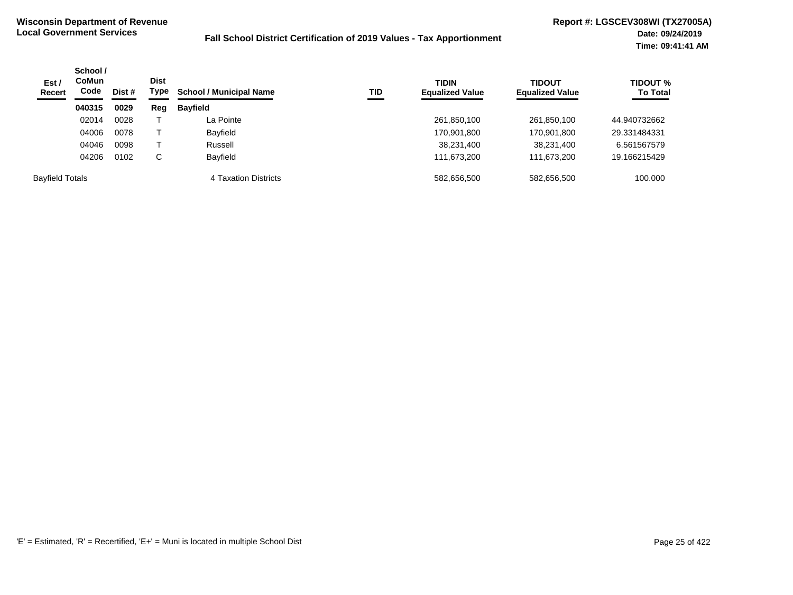| Est /<br><b>Recert</b> | School /<br><b>CoMun</b><br>Code | Dist # | Dist<br>Type | TID<br><b>School / Municipal Name</b> | <b>TIDIN</b><br><b>Equalized Value</b> | <b>TIDOUT</b><br><b>Equalized Value</b> | TIDOUT %<br><b>To Total</b> |              |
|------------------------|----------------------------------|--------|--------------|---------------------------------------|----------------------------------------|-----------------------------------------|-----------------------------|--------------|
|                        | 040315                           | 0029   | Reg          | <b>Bayfield</b>                       |                                        |                                         |                             |              |
|                        | 02014                            | 0028   |              | La Pointe                             |                                        | 261,850,100                             | 261,850,100                 | 44.940732662 |
|                        | 04006                            | 0078   |              | Bayfield                              |                                        | 170,901,800                             | 170,901,800                 | 29.331484331 |
|                        | 04046                            | 0098   |              | Russell                               |                                        | 38,231,400                              | 38,231,400                  | 6.561567579  |
|                        | 04206                            | 0102   | C            | <b>Bavfield</b>                       |                                        | 111.673.200                             | 111,673,200                 | 19.166215429 |
| <b>Bayfield Totals</b> |                                  |        |              | 4 Taxation Districts                  |                                        | 582,656,500                             | 582,656,500                 | 100.000      |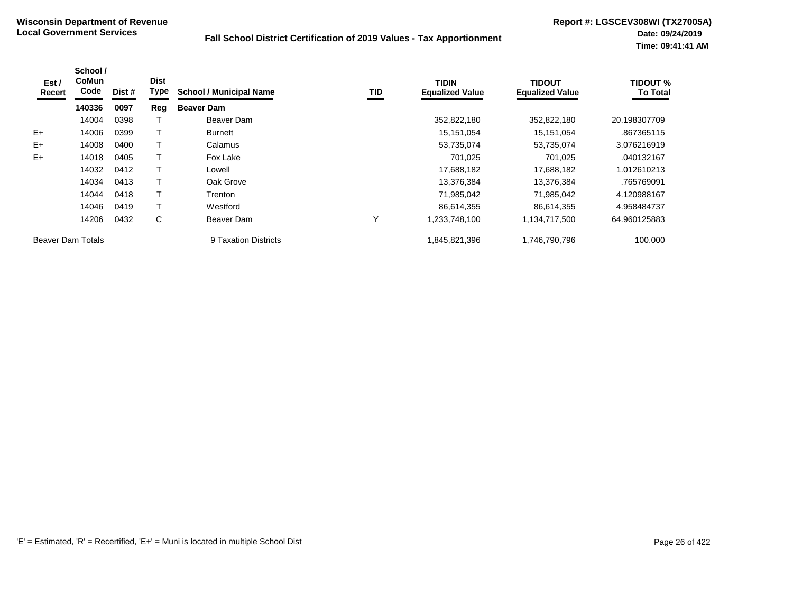| Est /<br>Recert   | School /<br><b>CoMun</b><br>Code | Dist # | <b>Dist</b><br>Type | <b>School / Municipal Name</b> | TID | <b>TIDIN</b><br><b>Equalized Value</b> | <b>TIDOUT</b><br><b>Equalized Value</b> | <b>TIDOUT %</b><br><b>To Total</b> |
|-------------------|----------------------------------|--------|---------------------|--------------------------------|-----|----------------------------------------|-----------------------------------------|------------------------------------|
|                   | 140336                           | 0097   | Reg                 | <b>Beaver Dam</b>              |     |                                        |                                         |                                    |
|                   | 14004                            | 0398   |                     | Beaver Dam                     |     | 352,822,180                            | 352,822,180                             | 20.198307709                       |
| $E+$              | 14006                            | 0399   |                     | Burnett                        |     | 15,151,054                             | 15,151,054                              | .867365115                         |
| $E+$              | 14008                            | 0400   |                     | Calamus                        |     | 53,735,074                             | 53,735,074                              | 3.076216919                        |
| $E+$              | 14018                            | 0405   |                     | Fox Lake                       |     | 701,025                                | 701,025                                 | .040132167                         |
|                   | 14032                            | 0412   |                     | Lowell                         |     | 17,688,182                             | 17,688,182                              | 1.012610213                        |
|                   | 14034                            | 0413   |                     | Oak Grove                      |     | 13,376,384                             | 13,376,384                              | .765769091                         |
|                   | 14044                            | 0418   |                     | Trenton                        |     | 71,985,042                             | 71,985,042                              | 4.120988167                        |
|                   | 14046                            | 0419   |                     | Westford                       |     | 86,614,355                             | 86.614.355                              | 4.958484737                        |
|                   | 14206                            | 0432   | C                   | Beaver Dam                     | Υ   | 1,233,748,100                          | 1,134,717,500                           | 64.960125883                       |
| Beaver Dam Totals |                                  |        |                     | 9 Taxation Districts           |     | 845,821,396,                           | 1,746,790,796                           | 100.000                            |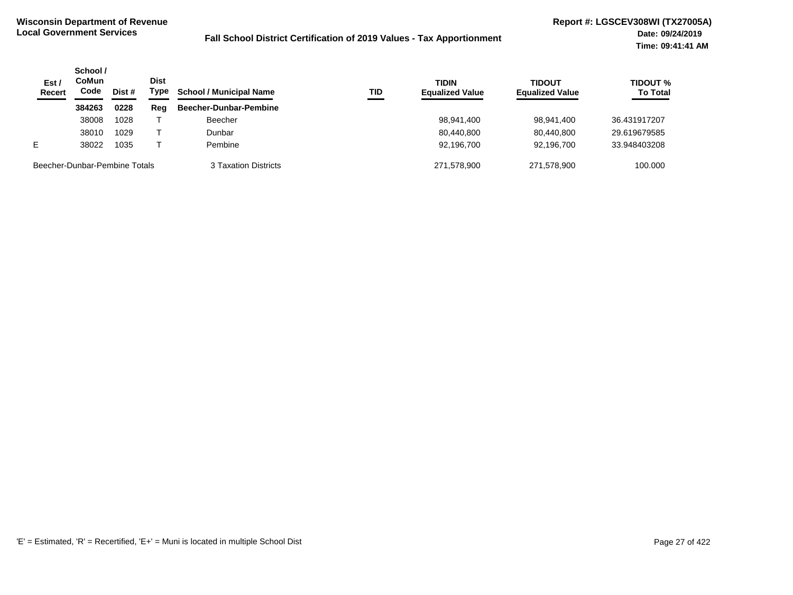| Est /<br><b>Recert</b> | School /<br>CoMun<br>Code     | Dist # | <b>Dist</b><br>Type | <b>School / Municipal Name</b> | <b>TID</b> | <b>TIDIN</b><br><b>Equalized Value</b> | <b>TIDOUT</b><br><b>Equalized Value</b> | <b>TIDOUT %</b><br><b>To Total</b> |
|------------------------|-------------------------------|--------|---------------------|--------------------------------|------------|----------------------------------------|-----------------------------------------|------------------------------------|
|                        | 384263                        | 0228   | Reg                 | Beecher-Dunbar-Pembine         |            |                                        |                                         |                                    |
|                        | 38008                         | 1028   |                     | <b>Beecher</b>                 |            | 98,941,400                             | 98,941,400                              | 36.431917207                       |
|                        | 38010                         | 1029   |                     | Dunbar                         |            | 80,440,800                             | 80.440.800                              | 29.619679585                       |
| E                      | 38022                         | 1035   |                     | Pembine                        |            | 92,196,700                             | 92.196.700                              | 33.948403208                       |
|                        | Beecher-Dunbar-Pembine Totals |        |                     | 3 Taxation Districts           |            | 271.578.900                            | 271,578,900                             | 100,000                            |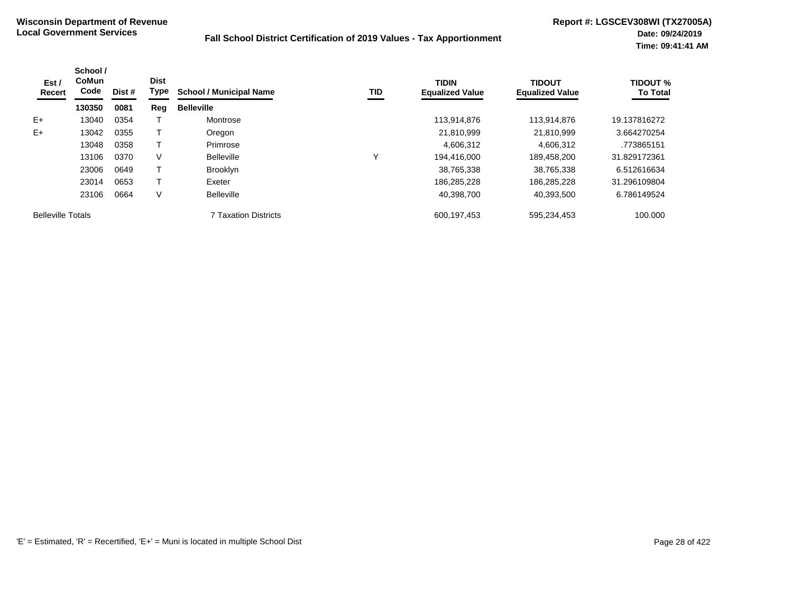| Est /<br>Recert          | School /<br><b>CoMun</b><br>Code<br>Dist #<br>130350<br>0081 | <b>Dist</b><br><b>Type</b> | <b>School / Municipal Name</b> | <b>TID</b>           | <b>TIDIN</b><br><b>Equalized Value</b> | <b>TIDOUT</b><br><b>Equalized Value</b> | TIDOUT %<br><b>To Total</b> |              |
|--------------------------|--------------------------------------------------------------|----------------------------|--------------------------------|----------------------|----------------------------------------|-----------------------------------------|-----------------------------|--------------|
|                          |                                                              |                            | Reg                            | <b>Belleville</b>    |                                        |                                         |                             |              |
| $E+$                     | 13040                                                        | 0354                       |                                | Montrose             |                                        | 113,914,876                             | 113.914.876                 | 19.137816272 |
| $E+$                     | 13042                                                        | 0355                       |                                | Oregon               |                                        | 21,810,999                              | 21.810.999                  | 3.664270254  |
|                          | 13048                                                        | 0358                       |                                | Primrose             |                                        | 4,606,312                               | 4,606,312                   | .773865151   |
|                          | 13106                                                        | 0370                       | V                              | <b>Belleville</b>    | ν                                      | 194.416.000                             | 189.458.200                 | 31.829172361 |
|                          | 23006                                                        | 0649                       |                                | <b>Brooklyn</b>      |                                        | 38,765,338                              | 38,765,338                  | 6.512616634  |
|                          | 23014                                                        | 0653                       |                                | Exeter               |                                        | 186.285.228                             | 186.285.228                 | 31.296109804 |
|                          | 23106                                                        | 0664                       | V                              | <b>Belleville</b>    |                                        | 40,398,700                              | 40,393,500                  | 6.786149524  |
| <b>Belleville Totals</b> |                                                              |                            |                                | 7 Taxation Districts |                                        | 600,197,453                             | 595,234,453                 | 100.000      |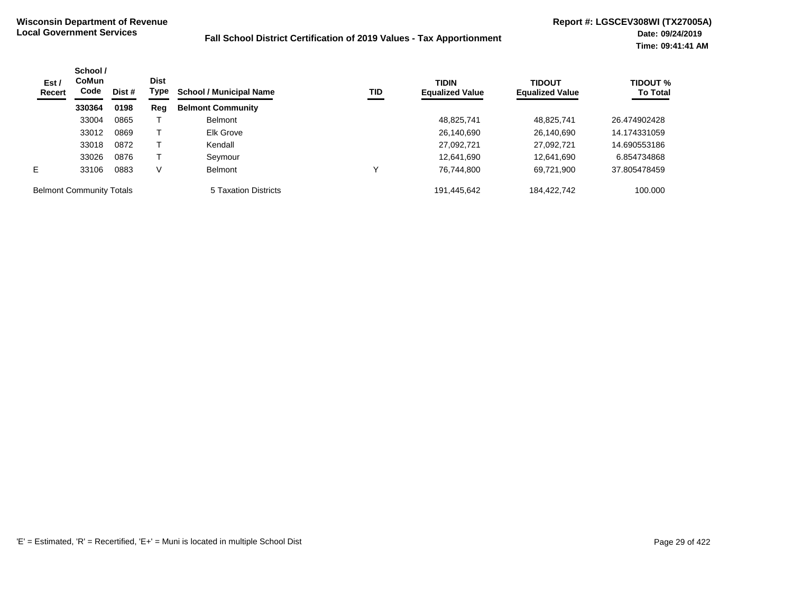| Est /<br>Recert                 | School /<br>CoMun<br>Code | Dist # | <b>Dist</b><br>Type | <b>School / Municipal Name</b> | TID | <b>TIDIN</b><br><b>Equalized Value</b> | <b>TIDOUT</b><br><b>Equalized Value</b> | <b>TIDOUT %</b><br><b>To Total</b> |
|---------------------------------|---------------------------|--------|---------------------|--------------------------------|-----|----------------------------------------|-----------------------------------------|------------------------------------|
|                                 | 330364                    | 0198   | Reg                 | <b>Belmont Community</b>       |     |                                        |                                         |                                    |
|                                 | 33004                     | 0865   |                     | <b>Belmont</b>                 |     | 48,825,741                             | 48,825,741                              | 26.474902428                       |
|                                 | 33012                     | 0869   |                     | <b>Elk Grove</b>               |     | 26,140,690                             | 26,140,690                              | 14.174331059                       |
|                                 | 33018                     | 0872   |                     | Kendall                        |     | 27,092,721                             | 27,092,721                              | 14.690553186                       |
|                                 | 33026                     | 0876   |                     | Seymour                        |     | 12.641.690                             | 12,641,690                              | 6.854734868                        |
| E.                              | 33106                     | 0883   | V                   | <b>Belmont</b>                 |     | 76,744,800                             | 69,721,900                              | 37.805478459                       |
| <b>Belmont Community Totals</b> |                           |        |                     | 5 Taxation Districts           |     | 191,445,642                            | 184,422,742                             | 100.000                            |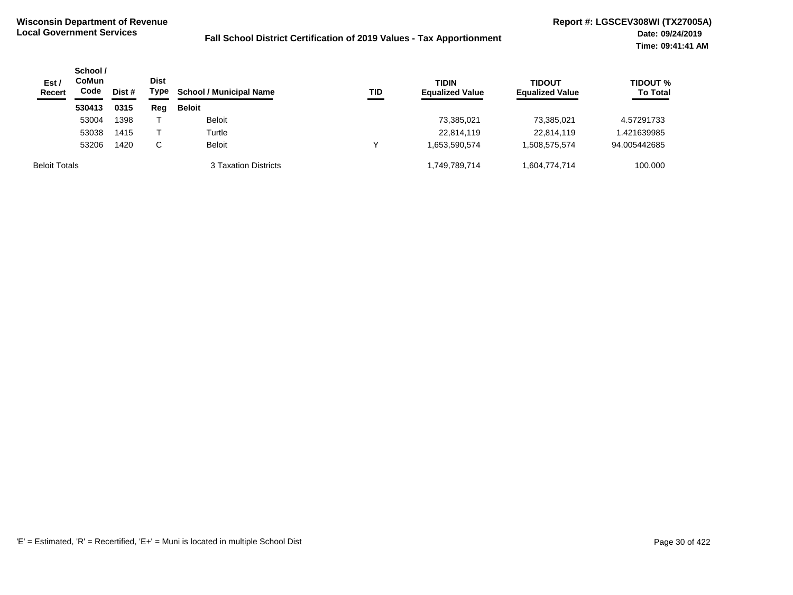| Est /<br><b>Recert</b> | School /<br>CoMun<br>Code | Dist # | <b>Dist</b><br>Type | <b>School / Municipal Name</b> | TID | <b>TIDIN</b><br><b>Equalized Value</b> | <b>TIDOUT</b><br><b>Equalized Value</b> | <b>TIDOUT %</b><br><b>To Total</b> |
|------------------------|---------------------------|--------|---------------------|--------------------------------|-----|----------------------------------------|-----------------------------------------|------------------------------------|
|                        | 530413                    | 0315   | Reg                 | <b>Beloit</b>                  |     |                                        |                                         |                                    |
|                        | 53004                     | 1398   |                     | <b>Beloit</b>                  |     | 73,385,021                             | 73,385,021                              | 4.57291733                         |
|                        | 53038                     | 1415   |                     | Turtle                         |     | 22,814,119                             | 22,814,119                              | .421639985                         |
|                        | 53206                     | 1420   | C                   | <b>Beloit</b>                  |     | 1.653.590.574                          | 1,508,575,574                           | 94.005442685                       |
| <b>Beloit Totals</b>   |                           |        |                     | 3 Taxation Districts           |     | 1,749,789,714                          | 1,604,774,714                           | 100.000                            |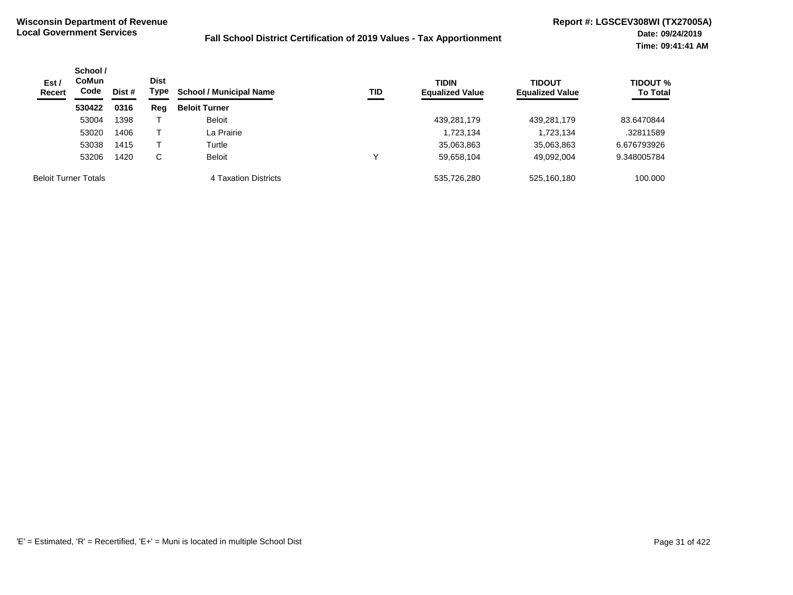| Est /<br><b>Recert</b> | School /<br><b>CoMun</b><br>Code | Dist<br>Type<br>Dist # |     | <b>School / Municipal Name</b> | TID | <b>TIDIN</b><br><b>Equalized Value</b> | <b>TIDOUT</b><br><b>Equalized Value</b> | <b>TIDOUT %</b><br><b>To Total</b> |
|------------------------|----------------------------------|------------------------|-----|--------------------------------|-----|----------------------------------------|-----------------------------------------|------------------------------------|
|                        | 530422                           | 0316                   | Reg | <b>Beloit Turner</b>           |     |                                        |                                         |                                    |
|                        | 53004                            | 1398                   |     | <b>Beloit</b>                  |     | 439,281,179                            | 439,281,179                             | 83.6470844                         |
|                        | 53020                            | 1406                   |     | La Prairie                     |     | 1,723,134                              | 1,723,134                               | .32811589                          |
|                        | 53038                            | 1415                   |     | Turtle                         |     | 35,063,863                             | 35,063,863                              | 6.676793926                        |
|                        | 53206                            | 1420                   | С   | <b>Beloit</b>                  | ν   | 59,658,104                             | 49,092,004                              | 9.348005784                        |
|                        | <b>Beloit Turner Totals</b>      |                        |     | 4 Taxation Districts           |     | 535,726,280                            | 525,160,180                             | 100.000                            |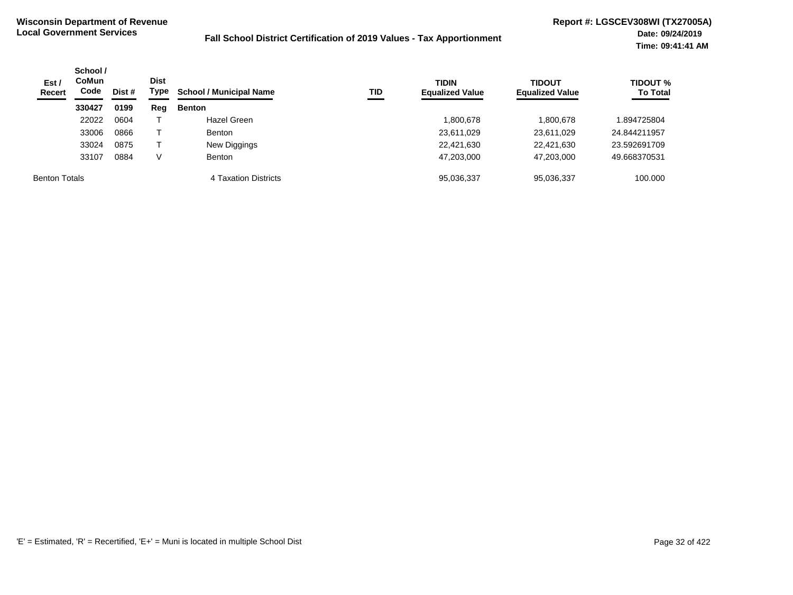| Est/<br><b>Recert</b> | School /<br><b>CoMun</b><br>Code<br>Dist # |      | Dist<br>Type | <b>School / Municipal Name</b> | TID | <b>TIDIN</b><br><b>Equalized Value</b> | <b>TIDOUT</b><br><b>Equalized Value</b> | <b>TIDOUT %</b><br><b>To Total</b> |
|-----------------------|--------------------------------------------|------|--------------|--------------------------------|-----|----------------------------------------|-----------------------------------------|------------------------------------|
|                       | 330427                                     | 0199 | Reg          | <b>Benton</b>                  |     |                                        |                                         |                                    |
|                       | 22022                                      | 0604 |              | Hazel Green                    |     | 800,678                                | 1,800,678                               | 894725804                          |
|                       | 33006                                      | 0866 |              | <b>Benton</b>                  |     | 23,611,029                             | 23,611,029                              | 24.844211957                       |
|                       | 33024                                      | 0875 |              | New Diggings                   |     | 22,421,630                             | 22,421,630                              | 23.592691709                       |
|                       | 33107                                      | 0884 | V            | <b>Benton</b>                  |     | 47,203,000                             | 47,203,000                              | 49.668370531                       |
| <b>Benton Totals</b>  |                                            |      |              | 4 Taxation Districts           |     | 95,036,337                             | 95,036,337                              | 100.000                            |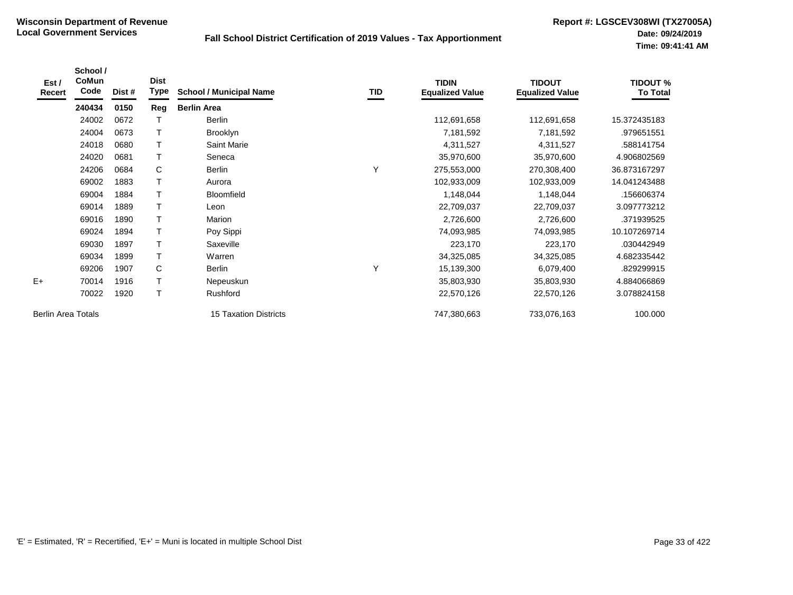| Est /<br>Recert           | School /<br><b>CoMun</b><br>Code | Dist # | <b>Dist</b><br>Type | <b>School / Municipal Name</b> | TID | <b>TIDIN</b><br><b>Equalized Value</b> | <b>TIDOUT</b><br><b>Equalized Value</b> | <b>TIDOUT %</b><br><b>To Total</b> |
|---------------------------|----------------------------------|--------|---------------------|--------------------------------|-----|----------------------------------------|-----------------------------------------|------------------------------------|
|                           | 240434                           | 0150   | Reg                 | <b>Berlin Area</b>             |     |                                        |                                         |                                    |
|                           | 24002                            | 0672   |                     | <b>Berlin</b>                  |     | 112,691,658                            | 112,691,658                             | 15.372435183                       |
|                           | 24004                            | 0673   |                     | <b>Brooklyn</b>                |     | 7,181,592                              | 7,181,592                               | .979651551                         |
|                           | 24018                            | 0680   | $\mathsf T$         | <b>Saint Marie</b>             |     | 4,311,527                              | 4,311,527                               | .588141754                         |
|                           | 24020                            | 0681   | T                   | Seneca                         |     | 35,970,600                             | 35,970,600                              | 4.906802569                        |
|                           | 24206                            | 0684   | C                   | Berlin                         |     | 275,553,000                            | 270,308,400                             | 36.873167297                       |
|                           | 69002                            | 1883   |                     | Aurora                         |     | 102,933,009                            | 102,933,009                             | 14.041243488                       |
|                           | 69004                            | 1884   |                     | <b>Bloomfield</b>              |     | 1,148,044                              | 1,148,044                               | .156606374                         |
|                           | 69014                            | 1889   |                     | Leon                           |     | 22,709,037                             | 22,709,037                              | 3.097773212                        |
|                           | 69016                            | 1890   | T                   | Marion                         |     | 2,726,600                              | 2,726,600                               | .371939525                         |
|                           | 69024                            | 1894   |                     | Poy Sippi                      |     | 74,093,985                             | 74,093,985                              | 10.107269714                       |
|                           | 69030                            | 1897   |                     | Saxeville                      |     | 223,170                                | 223,170                                 | .030442949                         |
|                           | 69034                            | 1899   | Τ                   | Warren                         |     | 34,325,085                             | 34,325,085                              | 4.682335442                        |
|                           | 69206                            | 1907   | C                   | Berlin                         | Υ   | 15,139,300                             | 6,079,400                               | .829299915                         |
| $E+$                      | 70014                            | 1916   | T                   | Nepeuskun                      |     | 35,803,930                             | 35,803,930                              | 4.884066869                        |
|                           | 70022                            | 1920   | T                   | Rushford                       |     | 22,570,126                             | 22,570,126                              | 3.078824158                        |
| <b>Berlin Area Totals</b> |                                  |        |                     | <b>15 Taxation Districts</b>   |     | 747,380,663                            | 733,076,163                             | 100.000                            |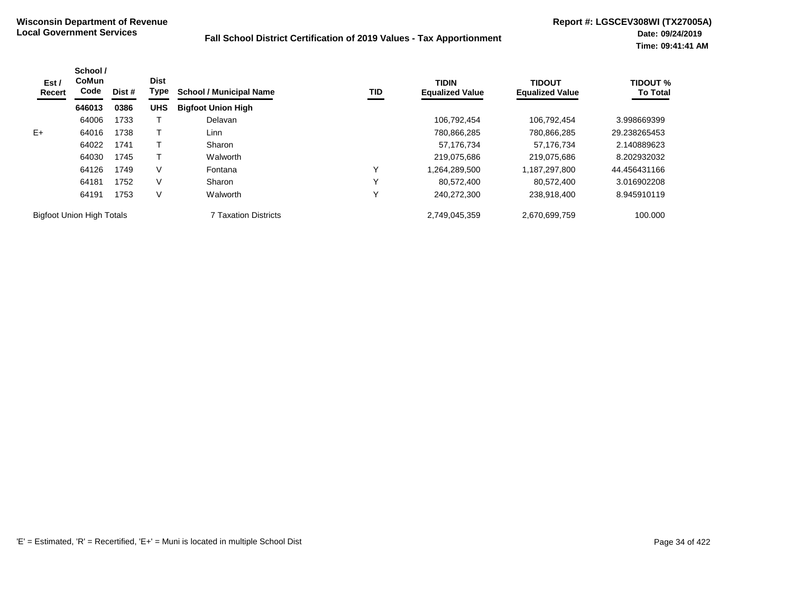| Est /<br>Recert                  | School /<br>CoMun<br>Code | Dist # | <b>Dist</b><br>Type | <b>School / Municipal Name</b> | TID          | <b>TIDIN</b><br><b>Equalized Value</b> | <b>TIDOUT</b><br><b>Equalized Value</b> | <b>TIDOUT %</b><br><b>To Total</b> |
|----------------------------------|---------------------------|--------|---------------------|--------------------------------|--------------|----------------------------------------|-----------------------------------------|------------------------------------|
|                                  | 646013                    | 0386   | <b>UHS</b>          | <b>Bigfoot Union High</b>      |              |                                        |                                         |                                    |
|                                  | 64006                     | 1733   |                     | Delavan                        |              | 106,792,454                            | 106.792.454                             | 3.998669399                        |
| $E+$                             | 64016                     | 1738   |                     | Linn                           |              | 780,866,285                            | 780,866,285                             | 29.238265453                       |
|                                  | 64022                     | 1741   |                     | Sharon                         |              | 57.176.734                             | 57.176.734                              | 2.140889623                        |
|                                  | 64030                     | 1745   |                     | Walworth                       |              | 219.075.686                            | 219.075.686                             | 8.202932032                        |
|                                  | 64126                     | 1749   | V                   | Fontana                        | ν            | 1,264,289,500                          | 1,187,297,800                           | 44.456431166                       |
|                                  | 64181                     | 1752   | V                   | Sharon                         | $\checkmark$ | 80.572.400                             | 80.572.400                              | 3.016902208                        |
|                                  | 64191                     | 1753   | V                   | Walworth                       | ν            | 240.272.300                            | 238.918.400                             | 8.945910119                        |
| <b>Bigfoot Union High Totals</b> |                           |        |                     | <b>7 Taxation Districts</b>    |              | 2,749,045,359                          | 2,670,699,759                           | 100.000                            |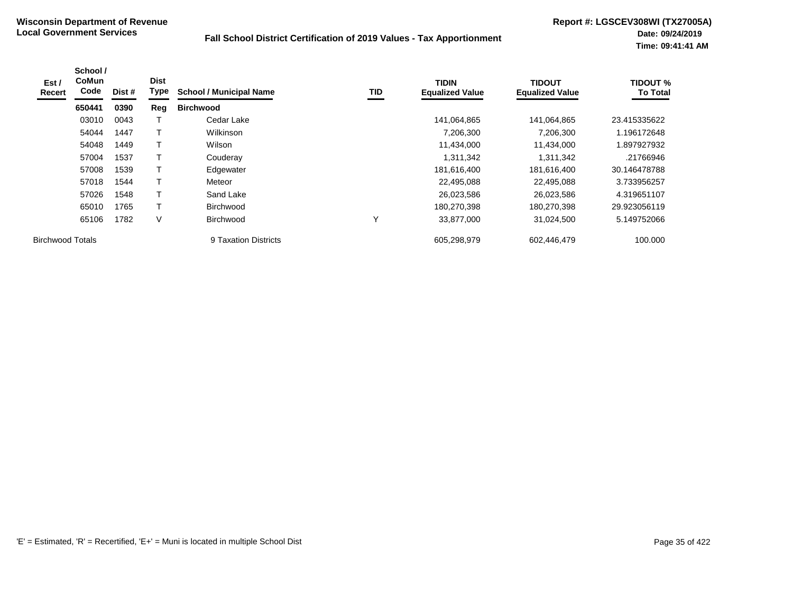| Est/<br>Recert          | School /<br><b>CoMun</b><br>Code | Dist # | <b>Dist</b><br>Type | <b>School / Municipal Name</b> | <b>TID</b> | <b>TIDIN</b><br><b>Equalized Value</b> | <b>TIDOUT</b><br><b>Equalized Value</b> | <b>TIDOUT %</b><br><b>To Total</b> |
|-------------------------|----------------------------------|--------|---------------------|--------------------------------|------------|----------------------------------------|-----------------------------------------|------------------------------------|
|                         | 650441                           | 0390   | Reg                 | <b>Birchwood</b>               |            |                                        |                                         |                                    |
|                         | 03010                            | 0043   |                     | Cedar Lake                     |            | 141,064,865                            | 141,064,865                             | 23.415335622                       |
|                         | 54044                            | 1447   |                     | Wilkinson                      |            | 7,206,300                              | 7,206,300                               | 1.196172648                        |
|                         | 54048                            | 1449   | т                   | Wilson                         |            | 11,434,000                             | 11,434,000                              | 1.897927932                        |
|                         | 57004                            | 1537   |                     | Couderay                       |            | 1,311,342                              | 1,311,342                               | .21766946                          |
|                         | 57008                            | 1539   |                     | Edgewater                      |            | 181,616,400                            | 181,616,400                             | 30.146478788                       |
|                         | 57018                            | 1544   |                     | Meteor                         |            | 22,495,088                             | 22,495,088                              | 3.733956257                        |
|                         | 57026                            | 1548   | т                   | Sand Lake                      |            | 26,023,586                             | 26,023,586                              | 4.319651107                        |
|                         | 65010                            | 1765   | т                   | <b>Birchwood</b>               |            | 180,270,398                            | 180,270,398                             | 29.923056119                       |
|                         | 65106                            | 1782   | V                   | <b>Birchwood</b>               | v          | 33,877,000                             | 31,024,500                              | 5.149752066                        |
| <b>Birchwood Totals</b> |                                  |        |                     | 9 Taxation Districts           |            | 605,298,979                            | 602,446,479                             | 100.000                            |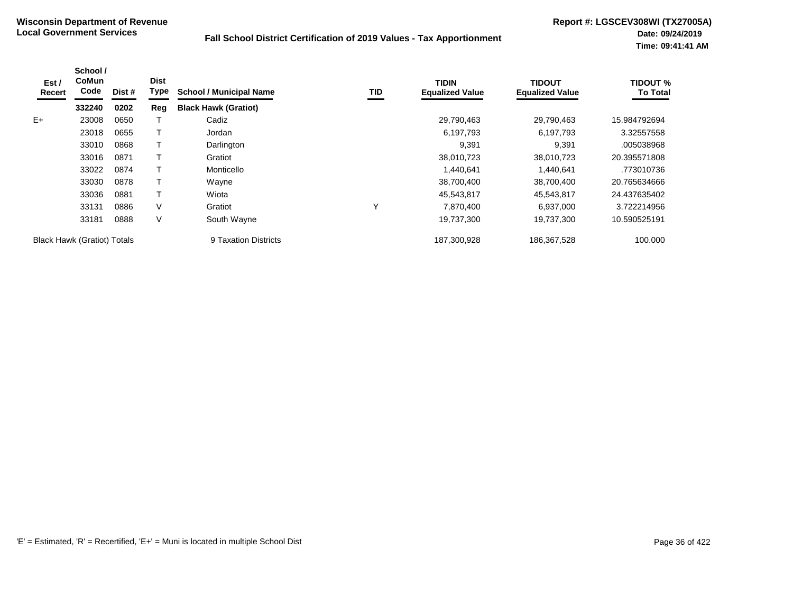| Est /<br>Recert | School /<br><b>CoMun</b><br>Code   | Dist # | <b>Dist</b><br>Type | <b>School / Municipal Name</b> | TID | <b>TIDIN</b><br><b>Equalized Value</b> | <b>TIDOUT</b><br><b>Equalized Value</b> | <b>TIDOUT %</b><br><b>To Total</b> |
|-----------------|------------------------------------|--------|---------------------|--------------------------------|-----|----------------------------------------|-----------------------------------------|------------------------------------|
|                 | 332240                             | 0202   | Reg                 | <b>Black Hawk (Gratiot)</b>    |     |                                        |                                         |                                    |
| $E+$            | 23008                              | 0650   |                     | Cadiz                          |     | 29,790,463                             | 29,790,463                              | 15.984792694                       |
|                 | 23018                              | 0655   |                     | Jordan                         |     | 6,197,793                              | 6,197,793                               | 3.32557558                         |
|                 | 33010                              | 0868   |                     | Darlington                     |     | 9,391                                  | 9,391                                   | .005038968                         |
|                 | 33016                              | 0871   |                     | Gratiot                        |     | 38,010,723                             | 38,010,723                              | 20.395571808                       |
|                 | 33022                              | 0874   |                     | Monticello                     |     | 1,440,641                              | 1,440,641                               | .773010736                         |
|                 | 33030                              | 0878   |                     | Wayne                          |     | 38,700,400                             | 38,700,400                              | 20.765634666                       |
|                 | 33036                              | 0881   |                     | Wiota                          |     | 45,543,817                             | 45,543,817                              | 24.437635402                       |
|                 | 33131                              | 0886   | V                   | Gratiot                        | Υ   | 7,870,400                              | 6,937,000                               | 3.722214956                        |
|                 | 33181                              | 0888   | V                   | South Wayne                    |     | 19,737,300                             | 19,737,300                              | 10.590525191                       |
|                 | <b>Black Hawk (Gratiot) Totals</b> |        |                     | 9 Taxation Districts           |     | 187,300,928                            | 186,367,528                             | 100.000                            |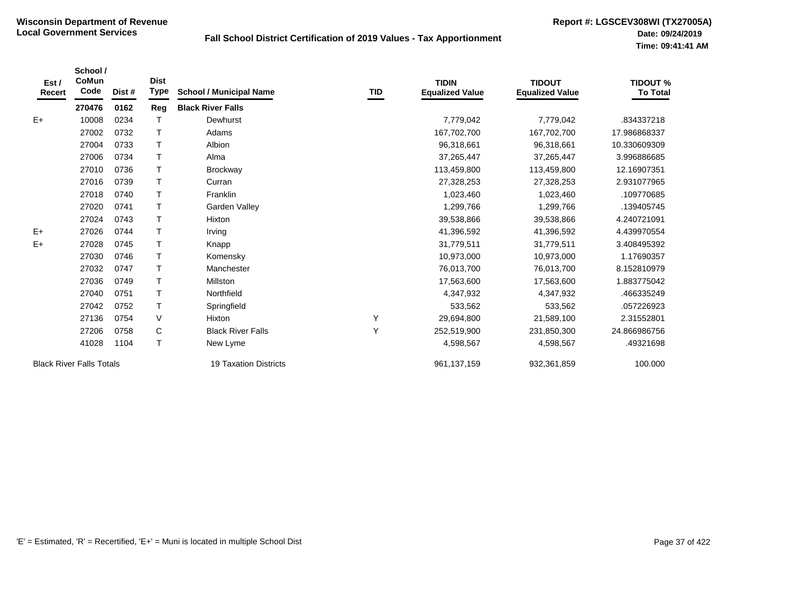| Est /<br>Recert                 | School /<br>CoMun<br>Code | Dist #                | <b>Dist</b><br><b>Type</b> | <b>School / Municipal Name</b> | TID         | <b>TIDIN</b><br><b>Equalized Value</b> | <b>TIDOUT</b><br><b>Equalized Value</b> | <b>TIDOUT %</b><br><b>To Total</b> |
|---------------------------------|---------------------------|-----------------------|----------------------------|--------------------------------|-------------|----------------------------------------|-----------------------------------------|------------------------------------|
|                                 | 270476                    | 0162                  | Reg                        | <b>Black River Falls</b>       |             |                                        |                                         |                                    |
| $E+$                            | 10008                     | 0234                  |                            | Dewhurst                       |             | 7,779,042                              | 7,779,042                               | .834337218                         |
|                                 | 27002                     | 0732                  | т                          | Adams                          |             | 167,702,700                            | 167,702,700                             | 17.986868337                       |
|                                 | 27004                     | 0733                  | т                          | Albion                         |             | 96,318,661                             | 96,318,661                              | 10.330609309                       |
|                                 | 27006                     | 0734                  | T                          | Alma                           |             | 37,265,447                             | 37,265,447                              | 3.996886685                        |
|                                 | 27010                     | 0736                  | т                          | <b>Brockway</b>                |             | 113,459,800                            | 113,459,800                             | 12.16907351                        |
|                                 | 27016                     | 0739                  | T                          | Curran                         |             | 27,328,253                             | 27,328,253                              | 2.931077965                        |
|                                 | 27018                     | 0740                  | T                          | Franklin                       |             | 1,023,460                              | 1,023,460                               | .109770685                         |
|                                 | 27020                     | 0741                  | T                          | Garden Valley                  |             | 1,299,766                              | 1,299,766                               | .139405745                         |
|                                 | 27024                     | 0743                  | T                          | Hixton                         |             | 39,538,866                             | 39,538,866                              | 4.240721091                        |
| $E+$                            | 27026                     | 0744                  | T                          | Irving                         |             | 41,396,592                             | 41,396,592                              | 4.439970554                        |
| E+                              | 27028                     | 0745                  | T                          | Knapp                          |             | 31,779,511                             | 31,779,511                              | 3.408495392                        |
|                                 | 27030                     | 0746                  | T                          | Komensky                       |             | 10,973,000                             | 10,973,000                              | 1.17690357                         |
|                                 | 27032                     | 0747                  | T                          | Manchester                     |             | 76,013,700                             | 76,013,700                              | 8.152810979                        |
|                                 | 27036                     | 0749                  |                            | Millston                       |             | 17,563,600                             | 17,563,600                              | 1.883775042                        |
|                                 | 27040                     | 0751                  | T                          | Northfield                     |             | 4,347,932                              | 4,347,932                               | .466335249                         |
|                                 | 27042                     | 0752                  |                            | Springfield                    |             | 533,562                                | 533,562                                 | .057226923                         |
|                                 | 27136                     | 0754                  | V                          | Hixton                         | Υ           | 29,694,800                             | 21,589,100                              | 2.31552801                         |
|                                 | 27206                     | 0758                  | C                          | <b>Black River Falls</b>       | Y           | 252,519,900                            | 231,850,300                             | 24.866986756                       |
|                                 | 41028                     | 1104                  | T                          | New Lyme                       |             | 4,598,567                              | 4,598,567                               | .49321698                          |
| <b>Black River Falls Totals</b> |                           | 19 Taxation Districts |                            | 961, 137, 159                  | 932,361,859 | 100.000                                |                                         |                                    |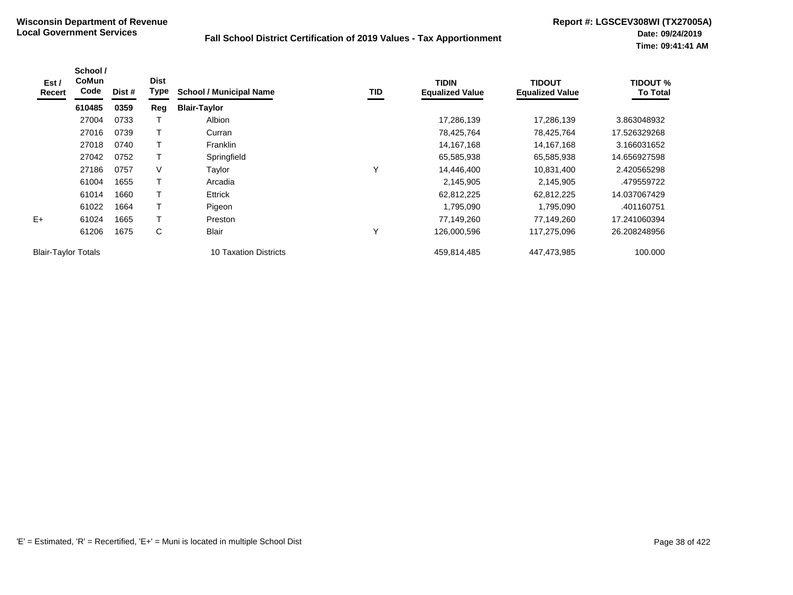| Est /<br>Recert            | School /<br>CoMun<br>Code | Dist # | <b>Dist</b><br>Type | <b>School / Municipal Name</b> | TID | <b>TIDIN</b><br><b>Equalized Value</b> | <b>TIDOUT</b><br><b>Equalized Value</b> | <b>TIDOUT %</b><br><b>To Total</b> |
|----------------------------|---------------------------|--------|---------------------|--------------------------------|-----|----------------------------------------|-----------------------------------------|------------------------------------|
|                            | 610485                    | 0359   | Reg                 | <b>Blair-Taylor</b>            |     |                                        |                                         |                                    |
|                            | 27004                     | 0733   |                     | Albion                         |     | 17,286,139                             | 17,286,139                              | 3.863048932                        |
|                            | 27016                     | 0739   |                     | Curran                         |     | 78,425,764                             | 78,425,764                              | 17.526329268                       |
|                            | 27018                     | 0740   | Т                   | Franklin                       |     | 14, 167, 168                           | 14,167,168                              | 3.166031652                        |
|                            | 27042                     | 0752   |                     | Springfield                    |     | 65,585,938                             | 65,585,938                              | 14.656927598                       |
|                            | 27186                     | 0757   | $\vee$              | Taylor                         | Υ   | 14,446,400                             | 10,831,400                              | 2.420565298                        |
|                            | 61004                     | 1655   |                     | Arcadia                        |     | 2,145,905                              | 2,145,905                               | .479559722                         |
|                            | 61014                     | 1660   |                     | Ettrick                        |     | 62,812,225                             | 62,812,225                              | 14.037067429                       |
|                            | 61022                     | 1664   |                     | Pigeon                         |     | 1,795,090                              | 1,795,090                               | .401160751                         |
| $E+$                       | 61024                     | 1665   |                     | Preston                        |     | 77,149,260                             | 77,149,260                              | 17.241060394                       |
|                            | 61206                     | 1675   | $\mathsf{C}$        | Blair                          | Υ   | 126,000,596                            | 117,275,096                             | 26.208248956                       |
| <b>Blair-Taylor Totals</b> |                           |        |                     | 10 Taxation Districts          |     | 459,814,485                            | 447,473,985                             | 100.000                            |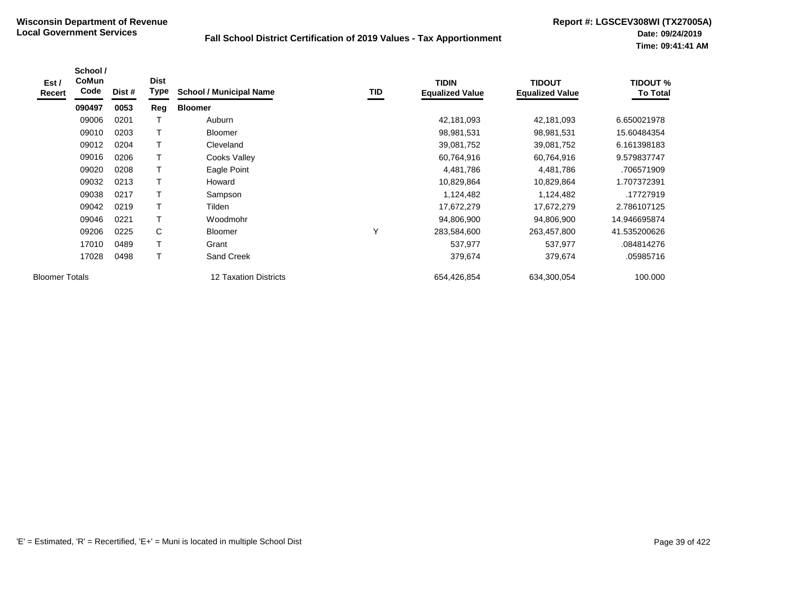| Est /<br>Recert       | School /<br><b>CoMun</b><br>Code | Dist # | <b>Dist</b><br>Type | <b>School / Municipal Name</b> | TID | <b>TIDIN</b><br><b>Equalized Value</b> | <b>TIDOUT</b><br><b>Equalized Value</b> | <b>TIDOUT %</b><br><b>To Total</b> |
|-----------------------|----------------------------------|--------|---------------------|--------------------------------|-----|----------------------------------------|-----------------------------------------|------------------------------------|
|                       | 090497                           | 0053   | Reg                 | <b>Bloomer</b>                 |     |                                        |                                         |                                    |
|                       | 09006                            | 0201   |                     | Auburn                         |     | 42,181,093                             | 42,181,093                              | 6.650021978                        |
|                       | 09010                            | 0203   | T                   | <b>Bloomer</b>                 |     | 98,981,531                             | 98,981,531                              | 15.60484354                        |
|                       | 09012                            | 0204   | Т                   | Cleveland                      |     | 39,081,752                             | 39,081,752                              | 6.161398183                        |
|                       | 09016                            | 0206   |                     | Cooks Valley                   |     | 60,764,916                             | 60,764,916                              | 9.579837747                        |
|                       | 09020                            | 0208   |                     | Eagle Point                    |     | 4,481,786                              | 4,481,786                               | .706571909                         |
|                       | 09032                            | 0213   | $\mathsf T$         | Howard                         |     | 10,829,864                             | 10,829,864                              | 1.707372391                        |
|                       | 09038                            | 0217   |                     | Sampson                        |     | 1,124,482                              | 1,124,482                               | .17727919                          |
|                       | 09042                            | 0219   |                     | Tilden                         |     | 17,672,279                             | 17,672,279                              | 2.786107125                        |
|                       | 09046                            | 0221   | T                   | Woodmohr                       |     | 94,806,900                             | 94,806,900                              | 14.946695874                       |
|                       | 09206                            | 0225   | C                   | <b>Bloomer</b>                 | Υ   | 283,584,600                            | 263,457,800                             | 41.535200626                       |
|                       | 17010                            | 0489   | T                   | Grant                          |     | 537,977                                | 537,977                                 | .084814276                         |
|                       | 17028                            | 0498   | T                   | <b>Sand Creek</b>              |     | 379,674                                | 379,674                                 | .05985716                          |
| <b>Bloomer Totals</b> |                                  |        |                     | 12 Taxation Districts          |     | 654,426,854                            | 634,300,054                             | 100.000                            |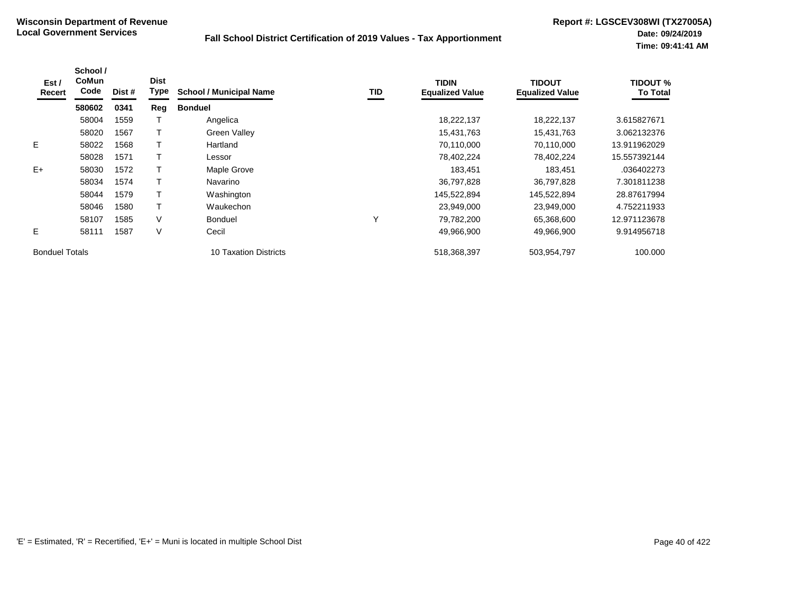| Est /<br>Recert       | School /<br><b>CoMun</b><br>Code | Dist # | <b>Dist</b><br><b>Type</b> | <b>School / Municipal Name</b> | TID | <b>TIDIN</b><br><b>Equalized Value</b> | <b>TIDOUT</b><br><b>Equalized Value</b> | TIDOUT %<br><b>To Total</b> |
|-----------------------|----------------------------------|--------|----------------------------|--------------------------------|-----|----------------------------------------|-----------------------------------------|-----------------------------|
|                       | 580602                           | 0341   | Reg                        | <b>Bonduel</b>                 |     |                                        |                                         |                             |
|                       | 58004                            | 1559   |                            | Angelica                       |     | 18,222,137                             | 18,222,137                              | 3.615827671                 |
|                       | 58020                            | 1567   |                            | Green Valley                   |     | 15,431,763                             | 15,431,763                              | 3.062132376                 |
| E.                    | 58022                            | 1568   |                            | Hartland                       |     | 70,110,000                             | 70,110,000                              | 13.911962029                |
|                       | 58028                            | 1571   |                            | Lessor                         |     | 78,402,224                             | 78,402,224                              | 15.557392144                |
| $E+$                  | 58030                            | 1572   |                            | Maple Grove                    |     | 183.451                                | 183,451                                 | .036402273                  |
|                       | 58034                            | 1574   |                            | Navarino                       |     | 36,797,828                             | 36,797,828                              | 7.301811238                 |
|                       | 58044                            | 1579   |                            | Washington                     |     | 145,522,894                            | 145,522,894                             | 28.87617994                 |
|                       | 58046                            | 1580   |                            | Waukechon                      |     | 23,949,000                             | 23,949,000                              | 4.752211933                 |
|                       | 58107                            | 1585   | V                          | <b>Bonduel</b>                 | Υ   | 79,782,200                             | 65,368,600                              | 12.971123678                |
| Е                     | 58111                            | 1587   | V                          | Cecil                          |     | 49,966,900                             | 49,966,900                              | 9.914956718                 |
| <b>Bonduel Totals</b> |                                  |        |                            | <b>10 Taxation Districts</b>   |     | 518,368,397                            | 503,954,797                             | 100.000                     |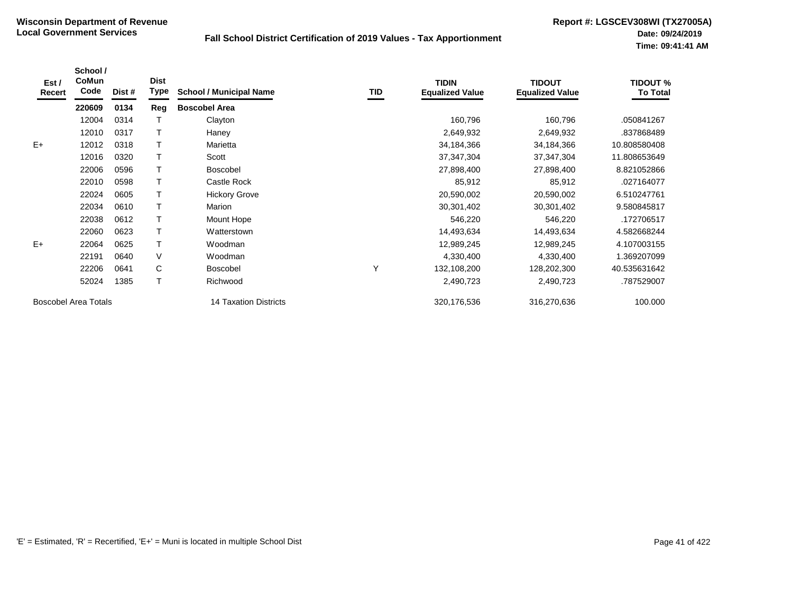| Est /<br>Recert             | School /<br>CoMun<br>Code | Dist # | <b>Dist</b><br><b>Type</b> | <b>School / Municipal Name</b> | TID | <b>TIDIN</b><br><b>Equalized Value</b> | <b>TIDOUT</b><br><b>Equalized Value</b> | <b>TIDOUT %</b><br><b>To Total</b> |
|-----------------------------|---------------------------|--------|----------------------------|--------------------------------|-----|----------------------------------------|-----------------------------------------|------------------------------------|
|                             | 220609                    | 0134   | Reg                        | <b>Boscobel Area</b>           |     |                                        |                                         |                                    |
|                             | 12004                     | 0314   |                            | Clayton                        |     | 160,796                                | 160,796                                 | .050841267                         |
|                             | 12010                     | 0317   |                            | Haney                          |     | 2,649,932                              | 2,649,932                               | .837868489                         |
| $E+$                        | 12012                     | 0318   |                            | Marietta                       |     | 34,184,366                             | 34,184,366                              | 10.808580408                       |
|                             | 12016                     | 0320   |                            | Scott                          |     | 37, 347, 304                           | 37, 347, 304                            | 11.808653649                       |
|                             | 22006                     | 0596   |                            | <b>Boscobel</b>                |     | 27,898,400                             | 27,898,400                              | 8.821052866                        |
|                             | 22010                     | 0598   |                            | Castle Rock                    |     | 85,912                                 | 85,912                                  | .027164077                         |
|                             | 22024                     | 0605   |                            | <b>Hickory Grove</b>           |     | 20,590,002                             | 20,590,002                              | 6.510247761                        |
|                             | 22034                     | 0610   |                            | Marion                         |     | 30,301,402                             | 30,301,402                              | 9.580845817                        |
|                             | 22038                     | 0612   |                            | Mount Hope                     |     | 546,220                                | 546,220                                 | .172706517                         |
|                             | 22060                     | 0623   |                            | Watterstown                    |     | 14,493,634                             | 14,493,634                              | 4.582668244                        |
| $E+$                        | 22064                     | 0625   |                            | Woodman                        |     | 12,989,245                             | 12,989,245                              | 4.107003155                        |
|                             | 22191                     | 0640   | V                          | Woodman                        |     | 4,330,400                              | 4,330,400                               | 1.369207099                        |
|                             | 22206                     | 0641   | C                          | <b>Boscobel</b>                | Υ   | 132,108,200                            | 128,202,300                             | 40.535631642                       |
|                             | 52024                     | 1385   |                            | Richwood                       |     | 2,490,723                              | 2,490,723                               | .787529007                         |
| <b>Boscobel Area Totals</b> |                           |        |                            | 14 Taxation Districts          |     | 320,176,536                            | 316,270,636                             | 100.000                            |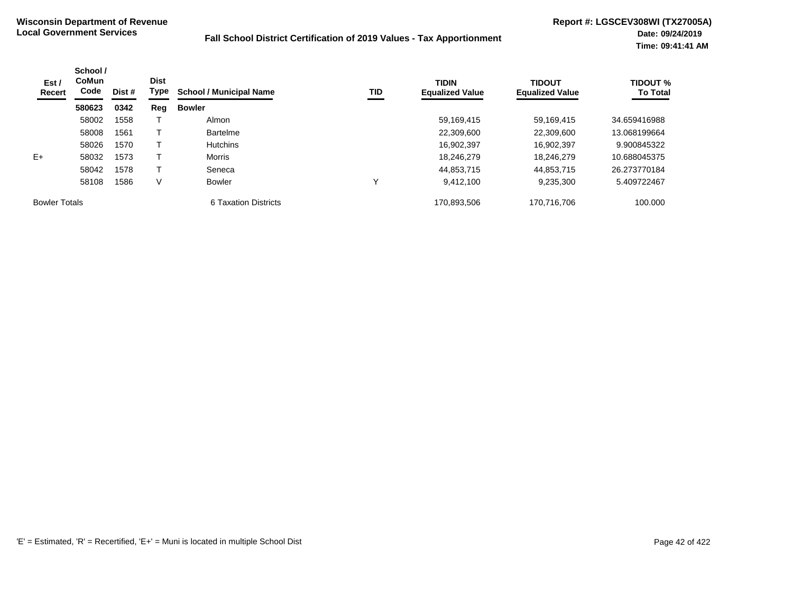| Est /<br>Recert      | School /<br><b>CoMun</b><br>Code | Dist # | <b>Dist</b><br>Type | <b>School / Municipal Name</b> | TID | <b>TIDIN</b><br><b>Equalized Value</b> | <b>TIDOUT</b><br><b>Equalized Value</b> | <b>TIDOUT %</b><br><b>To Total</b> |
|----------------------|----------------------------------|--------|---------------------|--------------------------------|-----|----------------------------------------|-----------------------------------------|------------------------------------|
|                      | 580623                           | 0342   | Reg                 | <b>Bowler</b>                  |     |                                        |                                         |                                    |
|                      | 58002                            | 1558   |                     | Almon                          |     | 59,169,415                             | 59,169,415                              | 34.659416988                       |
|                      | 58008                            | 1561   |                     | <b>Bartelme</b>                |     | 22,309,600                             | 22,309,600                              | 13.068199664                       |
|                      | 58026                            | 1570   |                     | <b>Hutchins</b>                |     | 16,902,397                             | 16,902,397                              | 9.900845322                        |
| $E+$                 | 58032                            | 1573   |                     | Morris                         |     | 18,246,279                             | 18,246,279                              | 10.688045375                       |
|                      | 58042                            | 1578   |                     | Seneca                         |     | 44,853,715                             | 44,853,715                              | 26.273770184                       |
|                      | 58108                            | 1586   | V                   | <b>Bowler</b>                  |     | 9,412,100                              | 9,235,300                               | 5.409722467                        |
| <b>Bowler Totals</b> |                                  |        |                     | 6 Taxation Districts           |     | 170,893,506                            | 170,716,706                             | 100.000                            |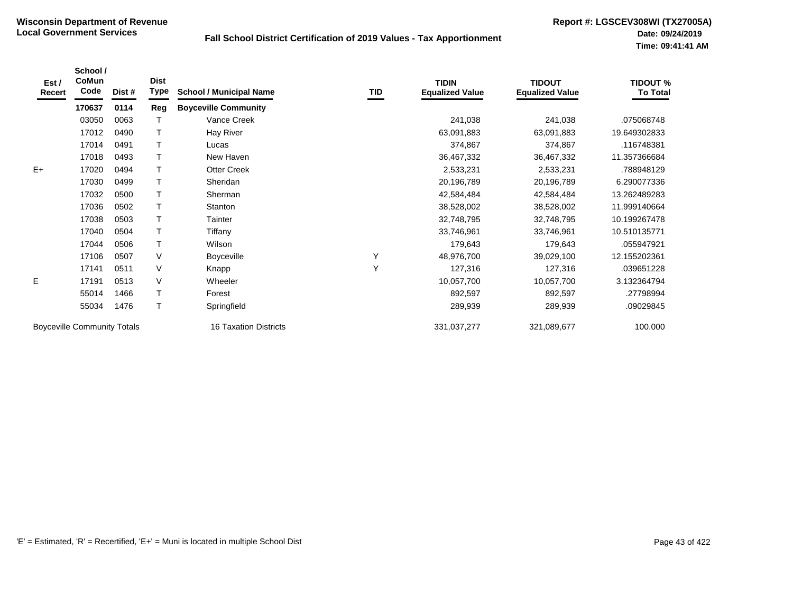| Est /<br>Recert                    | School /<br>CoMun<br>Code | Dist #                       | <b>Dist</b><br>Type | <b>School / Municipal Name</b> | TID         | <b>TIDIN</b><br><b>Equalized Value</b> | <b>TIDOUT</b><br><b>Equalized Value</b> | <b>TIDOUT %</b><br><b>To Total</b> |
|------------------------------------|---------------------------|------------------------------|---------------------|--------------------------------|-------------|----------------------------------------|-----------------------------------------|------------------------------------|
|                                    | 170637                    | 0114                         | Reg                 | <b>Boyceville Community</b>    |             |                                        |                                         |                                    |
|                                    | 03050                     | 0063                         |                     | Vance Creek                    |             | 241,038                                | 241,038                                 | .075068748                         |
|                                    | 17012                     | 0490                         | Т                   | <b>Hay River</b>               |             | 63,091,883                             | 63,091,883                              | 19.649302833                       |
|                                    | 17014                     | 0491                         |                     | Lucas                          |             | 374,867                                | 374,867                                 | .116748381                         |
|                                    | 17018                     | 0493                         | Т                   | New Haven                      |             | 36,467,332                             | 36,467,332                              | 11.357366684                       |
| $E+$                               | 17020                     | 0494                         | $\mathsf{T}$        | <b>Otter Creek</b>             |             | 2,533,231                              | 2,533,231                               | .788948129                         |
|                                    | 17030                     | 0499                         | $\top$              | Sheridan                       |             | 20,196,789                             | 20,196,789                              | 6.290077336                        |
|                                    | 17032                     | 0500                         | T                   | Sherman                        |             | 42,584,484                             | 42,584,484                              | 13.262489283                       |
|                                    | 17036                     | 0502                         |                     | Stanton                        |             | 38,528,002                             | 38,528,002                              | 11.999140664                       |
|                                    | 17038                     | 0503                         | $\top$              | Tainter                        |             | 32,748,795                             | 32,748,795                              | 10.199267478                       |
|                                    | 17040                     | 0504                         | Т                   | Tiffany                        |             | 33,746,961                             | 33,746,961                              | 10.510135771                       |
|                                    | 17044                     | 0506                         | $\mathsf{T}$        | Wilson                         |             | 179,643                                | 179,643                                 | .055947921                         |
|                                    | 17106                     | 0507                         | V                   | Boyceville                     | Υ           | 48,976,700                             | 39,029,100                              | 12.155202361                       |
|                                    | 17141                     | 0511                         | V                   | Knapp                          | Y           | 127,316                                | 127,316                                 | .039651228                         |
| E                                  | 17191                     | 0513                         | V                   | Wheeler                        |             | 10,057,700                             | 10,057,700                              | 3.132364794                        |
|                                    | 55014                     | 1466                         | $\mathsf T$         | Forest                         |             | 892,597                                | 892,597                                 | .27798994                          |
|                                    | 55034                     | 1476                         | $\mathsf{T}$        | Springfield                    |             | 289,939                                | 289,939                                 | .09029845                          |
| <b>Boyceville Community Totals</b> |                           | <b>16 Taxation Districts</b> |                     | 331,037,277                    | 321,089,677 | 100.000                                |                                         |                                    |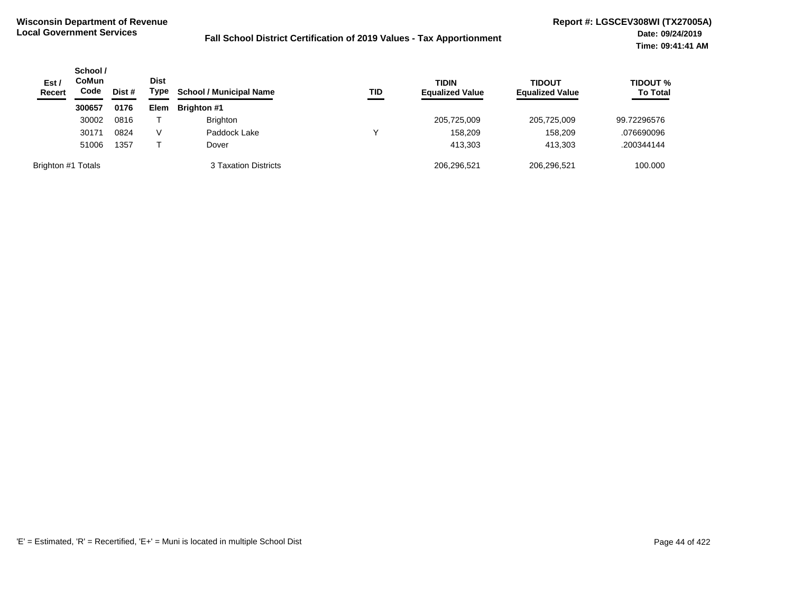| Est /<br><b>Recert</b> | School /<br><b>CoMun</b><br>Code | Dist # | <b>Dist</b><br>Type | <b>School / Municipal Name</b> | TID | <b>TIDIN</b><br><b>Equalized Value</b> | <b>TIDOUT</b><br><b>Equalized Value</b> | <b>TIDOUT %</b><br><b>To Total</b> |
|------------------------|----------------------------------|--------|---------------------|--------------------------------|-----|----------------------------------------|-----------------------------------------|------------------------------------|
|                        | 300657                           | 0176   | <b>Elem</b>         | <b>Brighton #1</b>             |     |                                        |                                         |                                    |
|                        | 30002                            | 0816   |                     | <b>Brighton</b>                |     | 205,725,009                            | 205,725,009                             | 99.72296576                        |
|                        | 30171                            | 0824   | V                   | Paddock Lake                   | v   | 158,209                                | 158,209                                 | .076690096                         |
|                        | 51006                            | 1357   |                     | Dover                          |     | 413.303                                | 413,303                                 | .200344144                         |
| Brighton #1 Totals     |                                  |        |                     | 3 Taxation Districts           |     | 206,296,521                            | 206,296,521                             | 100.000                            |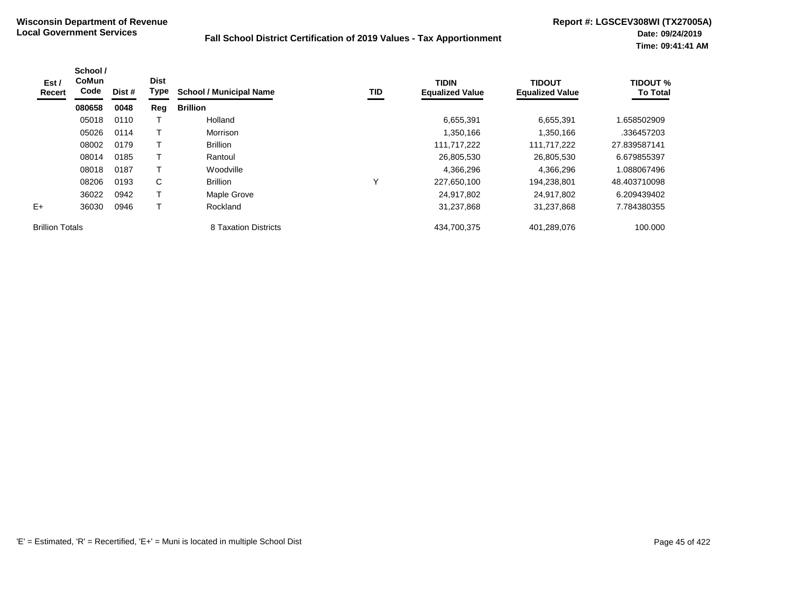| Est /<br>Recert        | School /<br><b>CoMun</b><br>Code | Dist # | <b>Dist</b><br>Type | <b>School / Municipal Name</b> | TID          | <b>TIDIN</b><br><b>Equalized Value</b> | <b>TIDOUT</b><br><b>Equalized Value</b> | <b>TIDOUT %</b><br><b>To Total</b> |
|------------------------|----------------------------------|--------|---------------------|--------------------------------|--------------|----------------------------------------|-----------------------------------------|------------------------------------|
|                        | 080658                           | 0048   | Reg                 | <b>Brillion</b>                |              |                                        |                                         |                                    |
|                        | 05018                            | 0110   |                     | Holland                        |              | 6,655,391                              | 6,655,391                               | 1.658502909                        |
|                        | 05026                            | 0114   |                     | Morrison                       |              | 1,350,166                              | 1,350,166                               | .336457203                         |
|                        | 08002                            | 0179   |                     | <b>Brillion</b>                |              | 111,717,222                            | 111,717,222                             | 27.839587141                       |
|                        | 08014                            | 0185   |                     | Rantoul                        |              | 26,805,530                             | 26,805,530                              | 6.679855397                        |
|                        | 08018                            | 0187   |                     | Woodville                      |              | 4,366,296                              | 4,366,296                               | 1.088067496                        |
|                        | 08206                            | 0193   | C                   | <b>Brillion</b>                | $\checkmark$ | 227,650,100                            | 194,238,801                             | 48.403710098                       |
|                        | 36022                            | 0942   |                     | Maple Grove                    |              | 24,917,802                             | 24,917,802                              | 6.209439402                        |
| $E+$                   | 36030                            | 0946   |                     | Rockland                       |              | 31,237,868                             | 31,237,868                              | 7.784380355                        |
| <b>Brillion Totals</b> |                                  |        |                     | 8 Taxation Districts           |              | 434,700,375                            | 401,289,076                             | 100.000                            |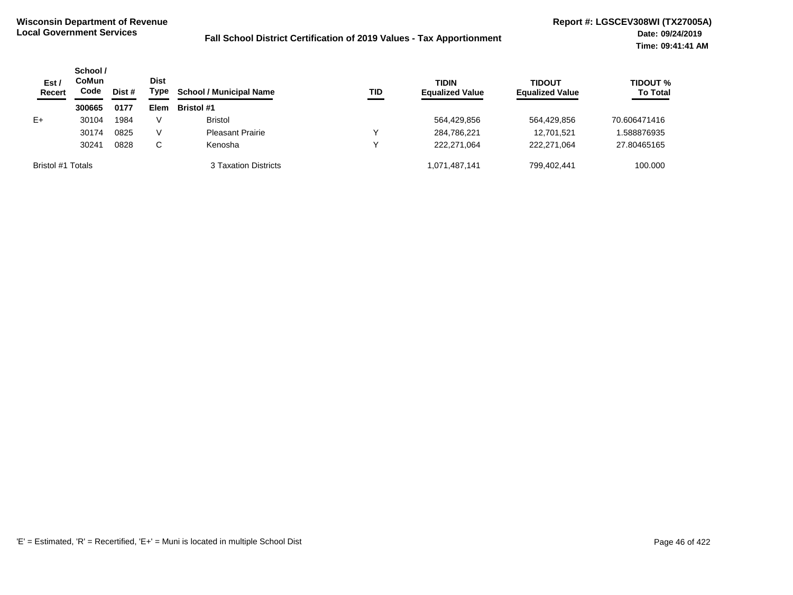| Est/<br><b>Recert</b> | School /<br><b>CoMun</b><br>Code | Dist # | <b>Dist</b><br>Type | <b>School / Municipal Name</b> | TID | <b>TIDIN</b><br><b>Equalized Value</b> | <b>TIDOUT</b><br><b>Equalized Value</b> | <b>TIDOUT %</b><br><b>To Total</b> |
|-----------------------|----------------------------------|--------|---------------------|--------------------------------|-----|----------------------------------------|-----------------------------------------|------------------------------------|
|                       | 300665                           | 0177   | Elem                | <b>Bristol #1</b>              |     |                                        |                                         |                                    |
| $E+$                  | 30104                            | 1984   | V                   | <b>Bristol</b>                 |     | 564,429,856                            | 564,429,856                             | 70.606471416                       |
|                       | 30174                            | 0825   | V                   | <b>Pleasant Prairie</b>        | ν   | 284,786,221                            | 12,701,521                              | .588876935                         |
|                       | 30241                            | 0828   | C.                  | Kenosha                        | ν   | 222.271.064                            | 222.271.064                             | 27.80465165                        |
| Bristol #1 Totals     |                                  |        |                     | 3 Taxation Districts           |     | 1,071,487,141                          | 799,402,441                             | 100.000                            |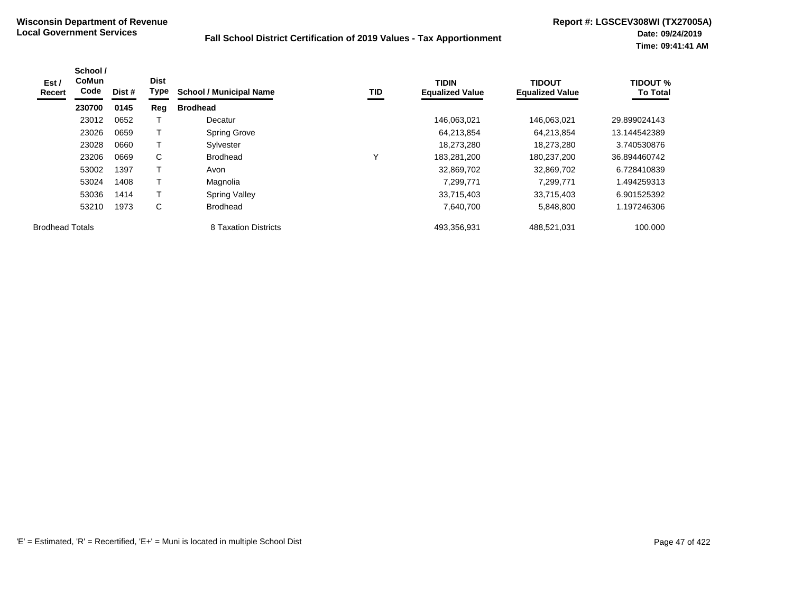| Est /<br>Recert        | School /<br>CoMun<br>Code | Dist # | <b>Dist</b><br><b>Type</b> | <b>School / Municipal Name</b> | TID          | <b>TIDIN</b><br><b>Equalized Value</b> | <b>TIDOUT</b><br><b>Equalized Value</b> | <b>TIDOUT %</b><br><b>To Total</b> |
|------------------------|---------------------------|--------|----------------------------|--------------------------------|--------------|----------------------------------------|-----------------------------------------|------------------------------------|
|                        | 230700                    | 0145   | Reg                        | <b>Brodhead</b>                |              |                                        |                                         |                                    |
|                        | 23012                     | 0652   |                            | Decatur                        |              | 146,063,021                            | 146,063,021                             | 29.899024143                       |
|                        | 23026                     | 0659   | т                          | <b>Spring Grove</b>            |              | 64,213,854                             | 64.213.854                              | 13.144542389                       |
|                        | 23028                     | 0660   |                            | Sylvester                      |              | 18,273,280                             | 18,273,280                              | 3.740530876                        |
|                        | 23206                     | 0669   | C                          | <b>Brodhead</b>                | $\checkmark$ | 183.281.200                            | 180,237,200                             | 36.894460742                       |
|                        | 53002                     | 1397   |                            | Avon                           |              | 32,869,702                             | 32,869,702                              | 6.728410839                        |
|                        | 53024                     | 1408   | T                          | Magnolia                       |              | 7,299,771                              | 7.299.771                               | 1.494259313                        |
|                        | 53036                     | 1414   |                            | <b>Spring Valley</b>           |              | 33,715,403                             | 33,715,403                              | 6.901525392                        |
|                        | 53210                     | 1973   | C                          | <b>Brodhead</b>                |              | 7,640,700                              | 5,848,800                               | 1.197246306                        |
| <b>Brodhead Totals</b> |                           |        |                            | 8 Taxation Districts           |              | 493,356,931                            | 488,521,031                             | 100.000                            |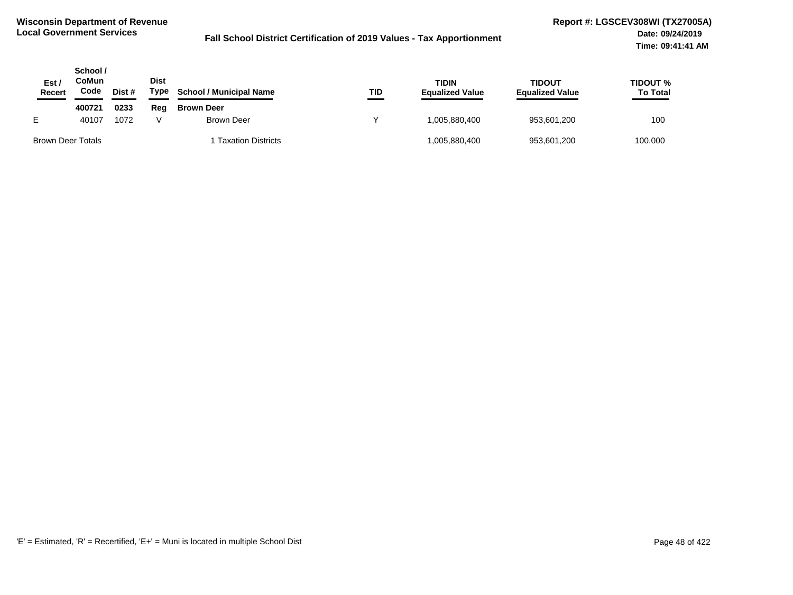| Est.<br>Recert    | School /<br>CoMun<br>Code | Dist # | <b>Dist</b><br>Type | <b>School / Municipal Name</b> | TID | <b>TIDIN</b><br><b>Equalized Value</b> | TIDOUT<br><b>Equalized Value</b> | <b>TIDOUT %</b><br><b>To Total</b> |
|-------------------|---------------------------|--------|---------------------|--------------------------------|-----|----------------------------------------|----------------------------------|------------------------------------|
|                   | 400721                    | 0233   | Reg                 | <b>Brown Deer</b>              |     |                                        |                                  |                                    |
|                   | 40107                     | 1072   |                     | Brown Deer                     |     | 005.880.400. ا                         | 953,601,200                      | 100                                |
| Brown Deer Totals |                           |        |                     | <b>Taxation Districts</b>      |     | 005,880,400                            | 953,601,200                      | 100.000                            |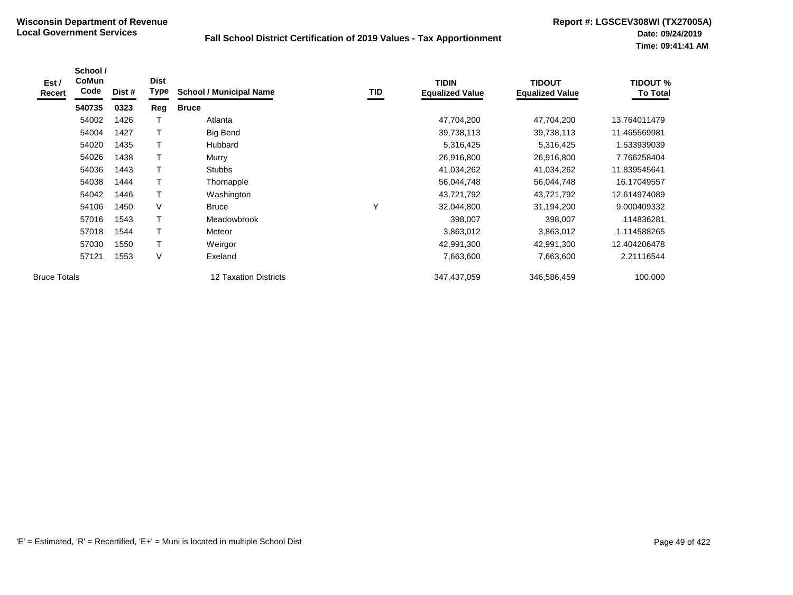| Est /<br>Recert     | School /<br><b>CoMun</b><br>Code | Dist # | <b>Dist</b><br>Type | <b>School / Municipal Name</b> | TID | <b>TIDIN</b><br><b>Equalized Value</b> | <b>TIDOUT</b><br><b>Equalized Value</b> | <b>TIDOUT %</b><br><b>To Total</b> |
|---------------------|----------------------------------|--------|---------------------|--------------------------------|-----|----------------------------------------|-----------------------------------------|------------------------------------|
|                     | 540735                           | 0323   | Reg                 | <b>Bruce</b>                   |     |                                        |                                         |                                    |
|                     | 54002                            | 1426   |                     | Atlanta                        |     | 47,704,200                             | 47,704,200                              | 13.764011479                       |
|                     | 54004                            | 1427   | T                   | <b>Big Bend</b>                |     | 39,738,113                             | 39,738,113                              | 11.465569981                       |
|                     | 54020                            | 1435   | T                   | Hubbard                        |     | 5,316,425                              | 5,316,425                               | 1.533939039                        |
|                     | 54026                            | 1438   | T                   | Murry                          |     | 26,916,800                             | 26,916,800                              | 7.766258404                        |
|                     | 54036                            | 1443   |                     | <b>Stubbs</b>                  |     | 41,034,262                             | 41,034,262                              | 11.839545641                       |
|                     | 54038                            | 1444   | T                   | Thornapple                     |     | 56,044,748                             | 56,044,748                              | 16.17049557                        |
|                     | 54042                            | 1446   | $\mathsf{T}$        | Washington                     |     | 43,721,792                             | 43,721,792                              | 12.614974089                       |
|                     | 54106                            | 1450   | V                   | <b>Bruce</b>                   |     | 32,044,800                             | 31,194,200                              | 9.000409332                        |
|                     | 57016                            | 1543   | T                   | Meadowbrook                    |     | 398,007                                | 398,007                                 | .114836281                         |
|                     | 57018                            | 1544   | T                   | Meteor                         |     | 3,863,012                              | 3,863,012                               | 1.114588265                        |
|                     | 57030                            | 1550   | T                   | Weirgor                        |     | 42,991,300                             | 42,991,300                              | 12.404206478                       |
|                     | 57121                            | 1553   | $\vee$              | Exeland                        |     | 7,663,600                              | 7,663,600                               | 2.21116544                         |
| <b>Bruce Totals</b> |                                  |        |                     | 12 Taxation Districts          |     | 347,437,059                            | 346,586,459                             | 100.000                            |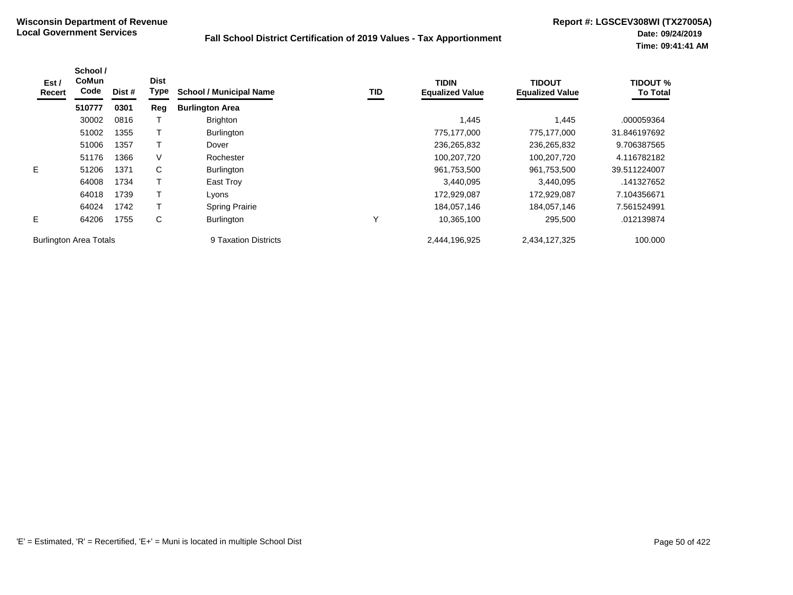| Est /<br>Recert               | School /<br><b>CoMun</b><br>Code | Dist # | <b>Dist</b><br>Type | <b>School / Municipal Name</b> | TID | <b>TIDIN</b><br><b>Equalized Value</b> | <b>TIDOUT</b><br><b>Equalized Value</b> | <b>TIDOUT %</b><br><b>To Total</b> |
|-------------------------------|----------------------------------|--------|---------------------|--------------------------------|-----|----------------------------------------|-----------------------------------------|------------------------------------|
|                               | 510777                           | 0301   | Reg                 | <b>Burlington Area</b>         |     |                                        |                                         |                                    |
|                               | 30002                            | 0816   |                     | <b>Brighton</b>                |     | 1.445                                  | 1,445                                   | .000059364                         |
|                               | 51002                            | 1355   |                     | <b>Burlington</b>              |     | 775,177,000                            | 775,177,000                             | 31.846197692                       |
|                               | 51006                            | 1357   |                     | Dover                          |     | 236,265,832                            | 236,265,832                             | 9.706387565                        |
|                               | 51176                            | 1366   | V                   | Rochester                      |     | 100,207,720                            | 100,207,720                             | 4.116782182                        |
| E                             | 51206                            | 1371   | C                   | <b>Burlington</b>              |     | 961,753,500                            | 961,753,500                             | 39.511224007                       |
|                               | 64008                            | 1734   |                     | East Troy                      |     | 3,440,095                              | 3,440,095                               | .141327652                         |
|                               | 64018                            | 1739   |                     | Lyons                          |     | 172,929,087                            | 172,929,087                             | 7.104356671                        |
|                               | 64024                            | 1742   |                     | <b>Spring Prairie</b>          |     | 184.057.146                            | 184,057,146                             | 7.561524991                        |
| Е                             | 64206                            | 1755   | С                   | <b>Burlington</b>              | ν   | 10,365,100                             | 295,500                                 | .012139874                         |
| <b>Burlington Area Totals</b> |                                  |        |                     | 9 Taxation Districts           |     | 2.444.196.925                          | 2,434,127,325                           | 100.000                            |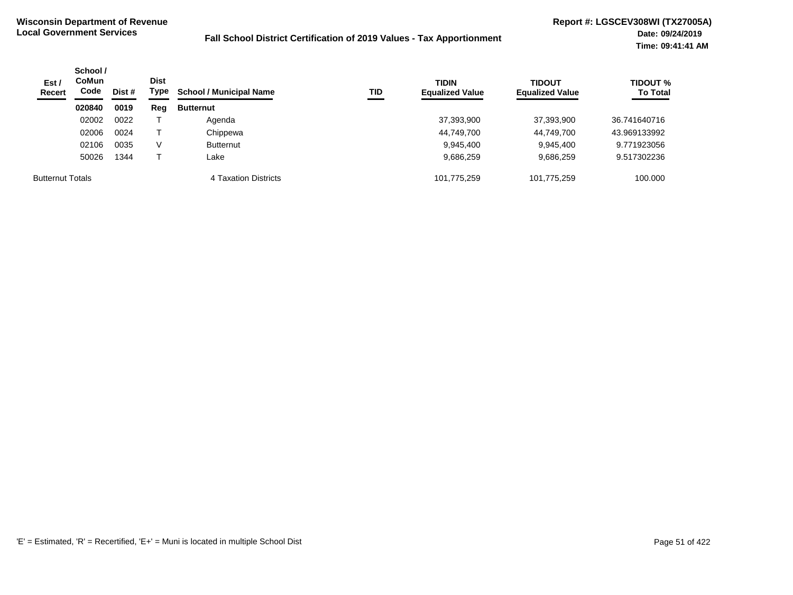| Est/<br><b>Recert</b>   | School /<br><b>CoMun</b><br>Code | Dist # | <b>Dist</b><br>Type | <b>School / Municipal Name</b> | TID | <b>TIDIN</b><br><b>Equalized Value</b> | <b>TIDOUT</b><br><b>Equalized Value</b> | <b>TIDOUT %</b><br><b>To Total</b> |
|-------------------------|----------------------------------|--------|---------------------|--------------------------------|-----|----------------------------------------|-----------------------------------------|------------------------------------|
|                         | 020840                           | 0019   | Reg                 | <b>Butternut</b>               |     |                                        |                                         |                                    |
|                         | 02002                            | 0022   |                     | Agenda                         |     | 37,393,900                             | 37,393,900                              | 36.741640716                       |
|                         | 02006                            | 0024   |                     | Chippewa                       |     | 44,749,700                             | 44,749,700                              | 43.969133992                       |
|                         | 02106                            | 0035   | V                   | <b>Butternut</b>               |     | 9,945,400                              | 9,945,400                               | 9.771923056                        |
|                         | 50026                            | 1344   |                     | Lake                           |     | 9,686,259                              | 9,686,259                               | 9.517302236                        |
| <b>Butternut Totals</b> |                                  |        |                     | 4 Taxation Districts           |     | 101,775,259                            | 101.775.259                             | 100.000                            |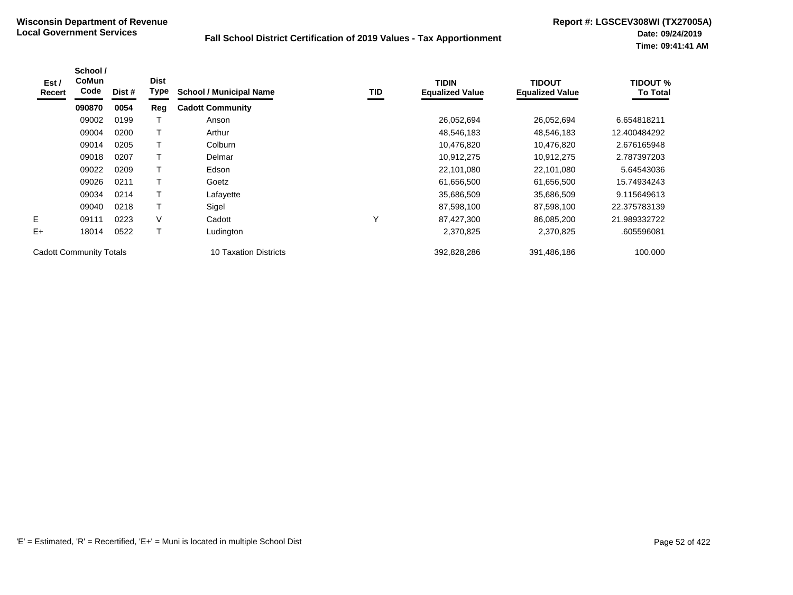| Est /<br>Recert                | School /<br><b>CoMun</b><br>Code | Dist # | <b>Dist</b><br>Type | <b>School / Municipal Name</b> | TID          | <b>TIDIN</b><br><b>Equalized Value</b> | <b>TIDOUT</b><br><b>Equalized Value</b> | TIDOUT %<br><b>To Total</b> |
|--------------------------------|----------------------------------|--------|---------------------|--------------------------------|--------------|----------------------------------------|-----------------------------------------|-----------------------------|
|                                | 090870                           | 0054   | Reg                 | <b>Cadott Community</b>        |              |                                        |                                         |                             |
|                                | 09002                            | 0199   |                     | Anson                          |              | 26,052,694                             | 26,052,694                              | 6.654818211                 |
|                                | 09004                            | 0200   |                     | Arthur                         |              | 48,546,183                             | 48,546,183                              | 12.400484292                |
|                                | 09014                            | 0205   | Т                   | Colburn                        |              | 10,476,820                             | 10,476,820                              | 2.676165948                 |
|                                | 09018                            | 0207   |                     | Delmar                         |              | 10,912,275                             | 10,912,275                              | 2.787397203                 |
|                                | 09022                            | 0209   |                     | Edson                          |              | 22,101,080                             | 22,101,080                              | 5.64543036                  |
|                                | 09026                            | 0211   | т                   | Goetz                          |              | 61,656,500                             | 61,656,500                              | 15.74934243                 |
|                                | 09034                            | 0214   |                     | Lafayette                      |              | 35,686,509                             | 35,686,509                              | 9.115649613                 |
|                                | 09040                            | 0218   | T                   | Sigel                          |              | 87,598,100                             | 87,598,100                              | 22.375783139                |
| E.                             | 09111                            | 0223   | $\vee$              | Cadott                         | $\checkmark$ | 87,427,300                             | 86,085,200                              | 21.989332722                |
| $E+$                           | 18014                            | 0522   |                     | Ludington                      |              | 2,370,825                              | 2,370,825                               | .605596081                  |
| <b>Cadott Community Totals</b> |                                  |        |                     | 10 Taxation Districts          |              | 392,828,286                            | 391,486,186                             | 100.000                     |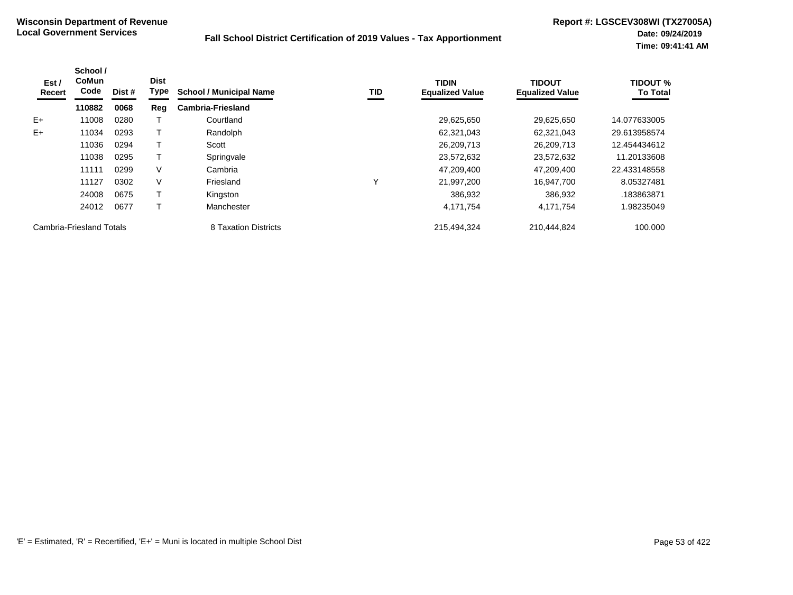| Est /<br>Recert          | School /<br><b>CoMun</b><br>Code | Dist # | <b>Dist</b><br>Type | <b>School / Municipal Name</b> | TID | <b>TIDIN</b><br><b>Equalized Value</b> | <b>TIDOUT</b><br><b>Equalized Value</b> | <b>TIDOUT %</b><br><b>To Total</b> |
|--------------------------|----------------------------------|--------|---------------------|--------------------------------|-----|----------------------------------------|-----------------------------------------|------------------------------------|
|                          | 110882                           | 0068   | Reg                 | <b>Cambria-Friesland</b>       |     |                                        |                                         |                                    |
| $E+$                     | 11008                            | 0280   |                     | Courtland                      |     | 29,625,650                             | 29,625,650                              | 14.077633005                       |
| $E+$                     | 11034                            | 0293   |                     | Randolph                       |     | 62,321,043                             | 62,321,043                              | 29.613958574                       |
|                          | 11036                            | 0294   |                     | Scott                          |     | 26,209,713                             | 26,209,713                              | 12.454434612                       |
|                          | 11038                            | 0295   |                     | Springvale                     |     | 23,572,632                             | 23.572.632                              | 11.20133608                        |
|                          | 11111                            | 0299   | V                   | Cambria                        |     | 47,209,400                             | 47,209,400                              | 22.433148558                       |
|                          | 11127                            | 0302   | V                   | Friesland                      | Y   | 21,997,200                             | 16,947,700                              | 8.05327481                         |
|                          | 24008                            | 0675   |                     | Kingston                       |     | 386.932                                | 386,932                                 | .183863871                         |
|                          | 24012                            | 0677   |                     | Manchester                     |     | 4,171,754                              | 4,171,754                               | 1.98235049                         |
| Cambria-Friesland Totals |                                  |        |                     | 8 Taxation Districts           |     | 215,494,324                            | 210,444,824                             | 100.000                            |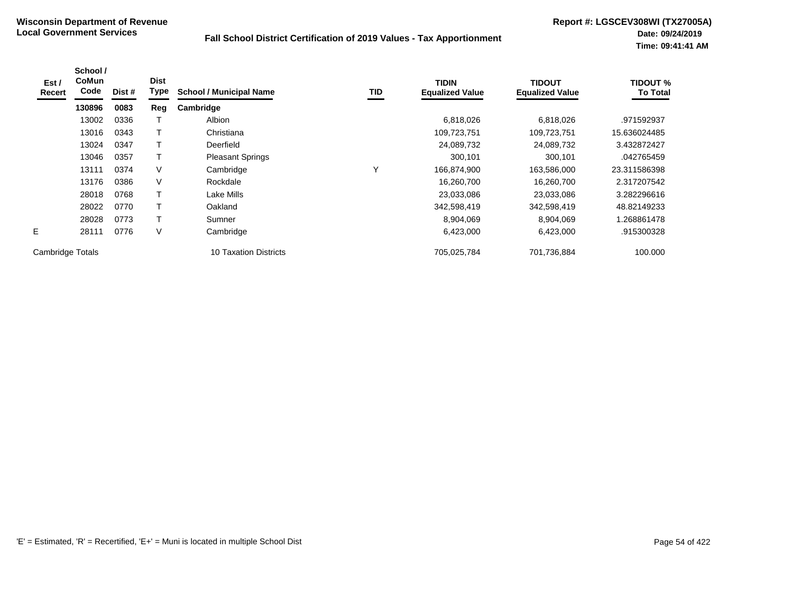| Est /<br>Recert  | School /<br><b>CoMun</b><br>Code | Dist # | <b>Dist</b><br>Type | <b>School / Municipal Name</b> | TID | <b>TIDIN</b><br><b>Equalized Value</b> | <b>TIDOUT</b><br><b>Equalized Value</b> | <b>TIDOUT %</b><br><b>To Total</b> |
|------------------|----------------------------------|--------|---------------------|--------------------------------|-----|----------------------------------------|-----------------------------------------|------------------------------------|
|                  | 130896                           | 0083   | Reg                 | Cambridge                      |     |                                        |                                         |                                    |
|                  | 13002                            | 0336   |                     | Albion                         |     | 6,818,026                              | 6,818,026                               | .971592937                         |
|                  | 13016                            | 0343   | $\mathsf{T}$        | Christiana                     |     | 109,723,751                            | 109,723,751                             | 15.636024485                       |
|                  | 13024                            | 0347   | т                   | Deerfield                      |     | 24,089,732                             | 24,089,732                              | 3.432872427                        |
|                  | 13046                            | 0357   | Т                   | <b>Pleasant Springs</b>        |     | 300,101                                | 300,101                                 | .042765459                         |
|                  | 13111                            | 0374   | V                   | Cambridge                      | Υ   | 166,874,900                            | 163,586,000                             | 23.311586398                       |
|                  | 13176                            | 0386   | V                   | Rockdale                       |     | 16,260,700                             | 16,260,700                              | 2.317207542                        |
|                  | 28018                            | 0768   | Т                   | Lake Mills                     |     | 23,033,086                             | 23,033,086                              | 3.282296616                        |
|                  | 28022                            | 0770   | T                   | Oakland                        |     | 342,598,419                            | 342,598,419                             | 48.82149233                        |
|                  | 28028                            | 0773   | T                   | Sumner                         |     | 8,904,069                              | 8,904,069                               | 1.268861478                        |
| E.               | 28111                            | 0776   | V                   | Cambridge                      |     | 6,423,000                              | 6,423,000                               | .915300328                         |
| Cambridge Totals |                                  |        |                     | 10 Taxation Districts          |     | 705,025,784                            | 701,736,884                             | 100.000                            |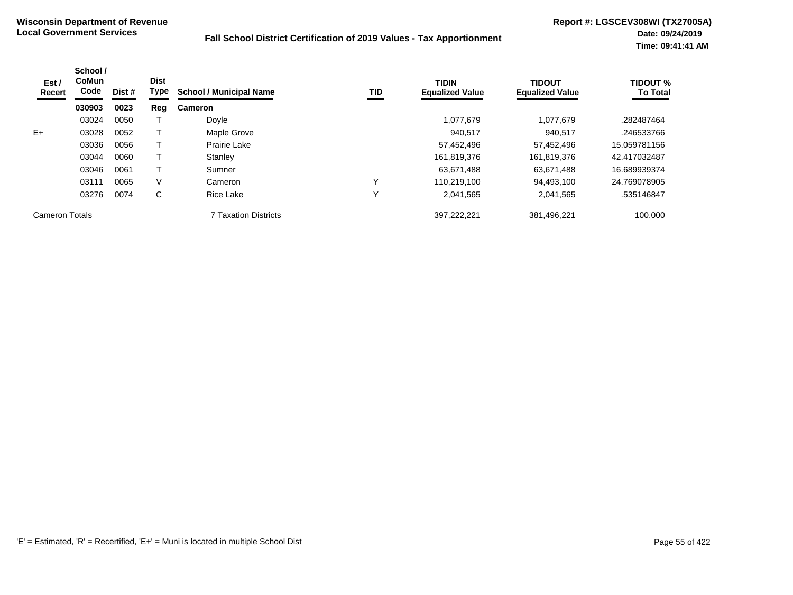| Est /<br>Recert       | School /<br><b>CoMun</b><br>Code | Dist # | <b>Dist</b><br>Type | <b>School / Municipal Name</b> | TID          | <b>TIDIN</b><br><b>Equalized Value</b> | <b>TIDOUT</b><br><b>Equalized Value</b> | <b>TIDOUT %</b><br><b>To Total</b> |
|-----------------------|----------------------------------|--------|---------------------|--------------------------------|--------------|----------------------------------------|-----------------------------------------|------------------------------------|
|                       | 030903                           | 0023   | Reg                 | <b>Cameron</b>                 |              |                                        |                                         |                                    |
|                       | 03024                            | 0050   |                     | Doyle                          |              | 1,077,679                              | 1.077.679                               | .282487464                         |
| $E+$                  | 03028                            | 0052   |                     | Maple Grove                    |              | 940.517                                | 940.517                                 | .246533766                         |
|                       | 03036                            | 0056   |                     | Prairie Lake                   |              | 57,452,496                             | 57,452,496                              | 15.059781156                       |
|                       | 03044                            | 0060   |                     | Stanley                        |              | 161,819,376                            | 161,819,376                             | 42.417032487                       |
|                       | 03046                            | 0061   |                     | Sumner                         |              | 63,671,488                             | 63,671,488                              | 16.689939374                       |
|                       | 03111                            | 0065   | V                   | Cameron                        | Y            | 110,219,100                            | 94,493,100                              | 24.769078905                       |
|                       | 03276                            | 0074   | C                   | <b>Rice Lake</b>               | $\checkmark$ | 2,041,565                              | 2,041,565                               | .535146847                         |
| <b>Cameron Totals</b> |                                  |        |                     | <b>7 Taxation Districts</b>    |              | 397.222.221                            | 381,496,221                             | 100.000                            |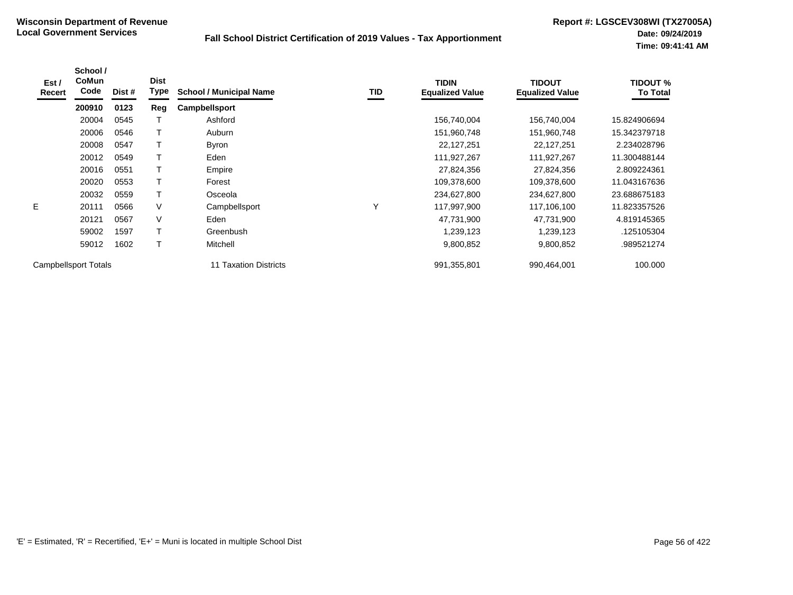| Est /<br>Recert | School /<br><b>CoMun</b><br>Code | Dist # | <b>Dist</b><br>Type | <b>School / Municipal Name</b> | TID | <b>TIDIN</b><br><b>Equalized Value</b> | <b>TIDOUT</b><br><b>Equalized Value</b> | <b>TIDOUT %</b><br><b>To Total</b> |
|-----------------|----------------------------------|--------|---------------------|--------------------------------|-----|----------------------------------------|-----------------------------------------|------------------------------------|
|                 | 200910                           | 0123   | Reg                 | <b>Campbellsport</b>           |     |                                        |                                         |                                    |
|                 | 20004                            | 0545   |                     | Ashford                        |     | 156,740,004                            | 156,740,004                             | 15.824906694                       |
|                 | 20006                            | 0546   | Т                   | Auburn                         |     | 151,960,748                            | 151,960,748                             | 15.342379718                       |
|                 | 20008                            | 0547   |                     | <b>Byron</b>                   |     | 22,127,251                             | 22,127,251                              | 2.234028796                        |
|                 | 20012                            | 0549   |                     | Eden                           |     | 111,927,267                            | 111,927,267                             | 11.300488144                       |
|                 | 20016                            | 0551   | Т                   | Empire                         |     | 27,824,356                             | 27,824,356                              | 2.809224361                        |
|                 | 20020                            | 0553   | т                   | Forest                         |     | 109,378,600                            | 109,378,600                             | 11.043167636                       |
|                 | 20032                            | 0559   | Т                   | Osceola                        |     | 234,627,800                            | 234,627,800                             | 23.688675183                       |
| Е               | 20111                            | 0566   | V                   | Campbellsport                  | Υ   | 117,997,900                            | 117,106,100                             | 11.823357526                       |
|                 | 20121                            | 0567   | V                   | Eden                           |     | 47,731,900                             | 47,731,900                              | 4.819145365                        |
|                 | 59002                            | 1597   | Т                   | Greenbush                      |     | 1,239,123                              | 1,239,123                               | .125105304                         |
|                 | 59012                            | 1602   | Т                   | Mitchell                       |     | 9,800,852                              | 9,800,852                               | .989521274                         |
|                 | Campbellsport Totals             |        |                     | 11 Taxation Districts          |     | 991,355,801                            | 990,464,001                             | 100.000                            |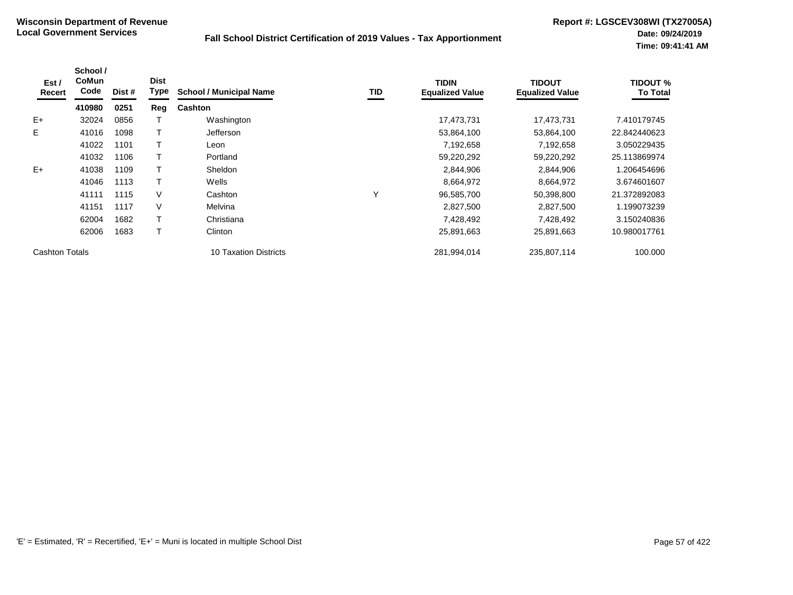| Est /<br>Recert       | School /<br><b>CoMun</b><br>Code | Dist # | <b>Dist</b><br><b>Type</b> | <b>School / Municipal Name</b> | TID | <b>TIDIN</b><br><b>Equalized Value</b> | <b>TIDOUT</b><br><b>Equalized Value</b> | <b>TIDOUT %</b><br><b>To Total</b> |
|-----------------------|----------------------------------|--------|----------------------------|--------------------------------|-----|----------------------------------------|-----------------------------------------|------------------------------------|
|                       | 410980                           | 0251   | Reg                        | <b>Cashton</b>                 |     |                                        |                                         |                                    |
| $E+$                  | 32024                            | 0856   |                            | Washington                     |     | 17,473,731                             | 17,473,731                              | 7.410179745                        |
| E.                    | 41016                            | 1098   |                            | <b>Jefferson</b>               |     | 53,864,100                             | 53,864,100                              | 22.842440623                       |
|                       | 41022                            | 1101   |                            | Leon                           |     | 7,192,658                              | 7,192,658                               | 3.050229435                        |
|                       | 41032                            | 1106   |                            | Portland                       |     | 59,220,292                             | 59,220,292                              | 25.113869974                       |
| $E+$                  | 41038                            | 1109   |                            | <b>Sheldon</b>                 |     | 2,844,906                              | 2,844,906                               | 1.206454696                        |
|                       | 41046                            | 1113   |                            | Wells                          |     | 8,664,972                              | 8,664,972                               | 3.674601607                        |
|                       | 41111                            | 1115   | V                          | Cashton                        | Υ   | 96,585,700                             | 50,398,800                              | 21.372892083                       |
|                       | 41151                            | 1117   | V                          | Melvina                        |     | 2,827,500                              | 2,827,500                               | 1.199073239                        |
|                       | 62004                            | 1682   |                            | Christiana                     |     | 7,428,492                              | 7,428,492                               | 3.150240836                        |
|                       | 62006                            | 1683   |                            | Clinton                        |     | 25,891,663                             | 25,891,663                              | 10.980017761                       |
| <b>Cashton Totals</b> |                                  |        |                            | 10 Taxation Districts          |     | 281,994,014                            | 235,807,114                             | 100.000                            |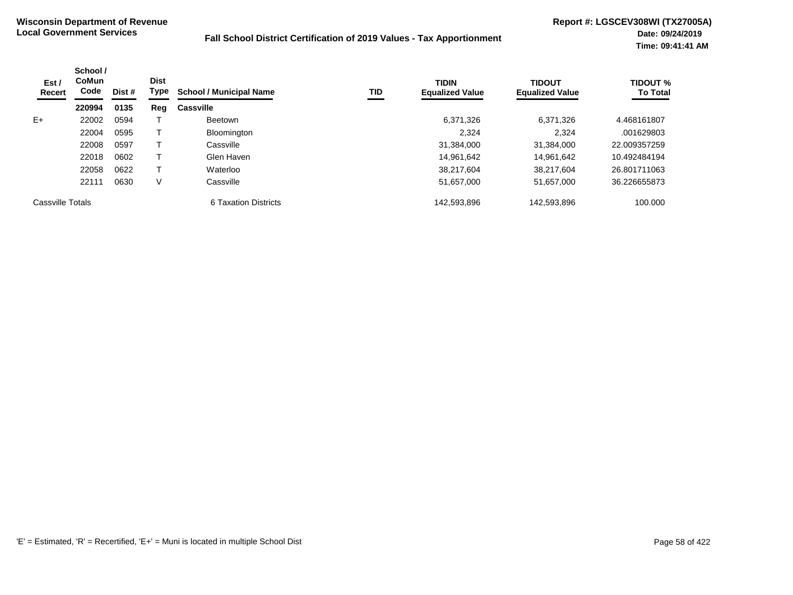| Est /<br>Recert  | School /<br><b>CoMun</b><br>Code | Dist # | <b>Dist</b><br>Type | <b>School / Municipal Name</b> | TID | <b>TIDIN</b><br><b>Equalized Value</b> | <b>TIDOUT</b><br><b>Equalized Value</b> | <b>TIDOUT %</b><br><b>To Total</b> |
|------------------|----------------------------------|--------|---------------------|--------------------------------|-----|----------------------------------------|-----------------------------------------|------------------------------------|
|                  | 220994                           | 0135   | Reg                 | <b>Cassville</b>               |     |                                        |                                         |                                    |
| $E+$             | 22002                            | 0594   |                     | <b>Beetown</b>                 |     | 6,371,326                              | 6,371,326                               | 4.468161807                        |
|                  | 22004                            | 0595   |                     | Bloomington                    |     | 2,324                                  | 2.324                                   | .001629803                         |
|                  | 22008                            | 0597   |                     | Cassville                      |     | 31,384,000                             | 31,384,000                              | 22.009357259                       |
|                  | 22018                            | 0602   |                     | Glen Haven                     |     | 14,961,642                             | 14.961.642                              | 10.492484194                       |
|                  | 22058                            | 0622   |                     | Waterloo                       |     | 38,217,604                             | 38.217.604                              | 26.801711063                       |
|                  | 22111                            | 0630   | V                   | Cassville                      |     | 51,657,000                             | 51,657,000                              | 36.226655873                       |
| Cassville Totals |                                  |        |                     | 6 Taxation Districts           |     | 142,593,896                            | 142,593,896                             | 100.000                            |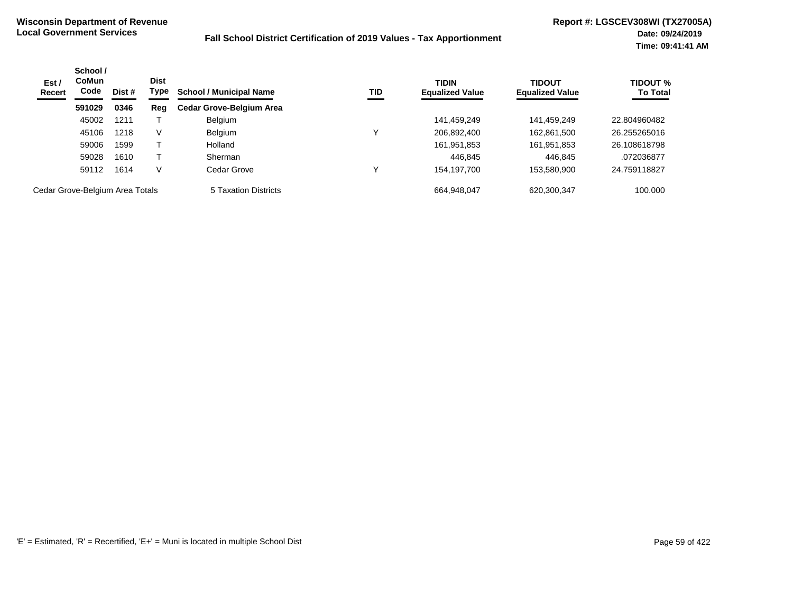| Est /<br><b>Recert</b>          | School /<br><b>CoMun</b><br>Code | Dist # | <b>Dist</b><br>Type | <b>School / Municipal Name</b>  | TID | <b>TIDIN</b><br><b>Equalized Value</b> | <b>TIDOUT</b><br><b>Equalized Value</b> | <b>TIDOUT %</b><br><b>To Total</b> |
|---------------------------------|----------------------------------|--------|---------------------|---------------------------------|-----|----------------------------------------|-----------------------------------------|------------------------------------|
|                                 | 591029                           | 0346   | Reg                 | <b>Cedar Grove-Belgium Area</b> |     |                                        |                                         |                                    |
|                                 | 45002                            | 1211   |                     | Belgium                         |     | 141,459,249                            | 141,459,249                             | 22.804960482                       |
|                                 | 45106                            | 1218   | V                   | <b>Belgium</b>                  |     | 206,892,400                            | 162,861,500                             | 26.255265016                       |
|                                 | 59006                            | 1599   |                     | Holland                         |     | 161,951,853                            | 161,951,853                             | 26.108618798                       |
|                                 | 59028                            | 1610   |                     | Sherman                         |     | 446.845                                | 446.845                                 | .072036877                         |
|                                 | 59112                            | 1614   | V                   | Cedar Grove                     |     | 154,197,700                            | 153,580,900                             | 24.759118827                       |
| Cedar Grove-Belgium Area Totals |                                  |        |                     | 5 Taxation Districts            |     | 664.948.047                            | 620,300,347                             | 100.000                            |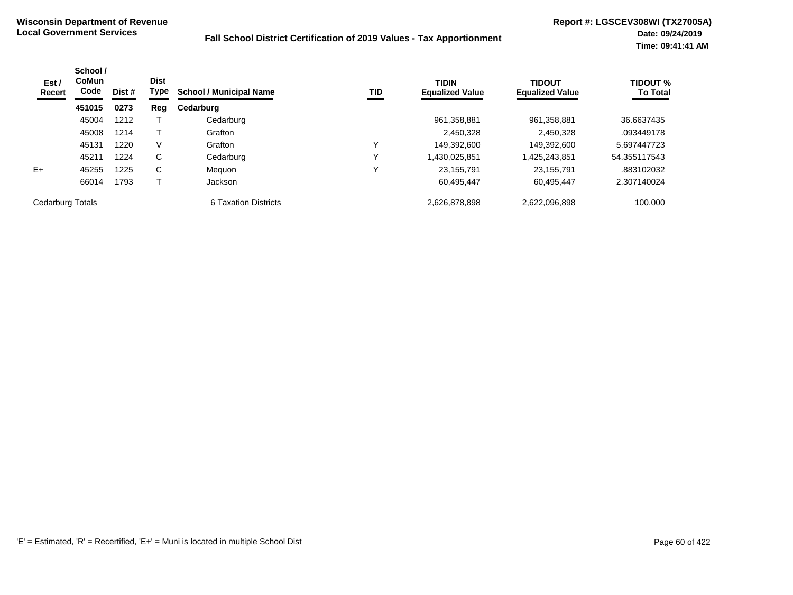| Est /<br><b>Recert</b> | School /<br>CoMun<br>Code<br>Dist #<br>451015<br>0273 | <b>Dist</b><br>Type | <b>School / Municipal Name</b> | TID                  | <b>TIDIN</b><br><b>Equalized Value</b> | <b>TIDOUT</b><br><b>Equalized Value</b> | <b>TIDOUT %</b><br><b>To Total</b> |              |
|------------------------|-------------------------------------------------------|---------------------|--------------------------------|----------------------|----------------------------------------|-----------------------------------------|------------------------------------|--------------|
|                        |                                                       | Reg                 | Cedarburg                      |                      |                                        |                                         |                                    |              |
|                        | 45004                                                 | 1212                |                                | Cedarburg            |                                        | 961,358,881                             | 961,358,881                        | 36.6637435   |
|                        | 45008                                                 | 1214                |                                | Grafton              |                                        | 2,450,328                               | 2,450,328                          | .093449178   |
|                        | 45131                                                 | 1220                | V                              | Grafton              | v                                      | 149,392,600                             | 149,392,600                        | 5.697447723  |
|                        | 45211                                                 | 1224                | $\mathsf{C}$                   | Cedarburg            | v                                      | 1,430,025,851                           | 1,425,243,851                      | 54.355117543 |
| $E+$                   | 45255                                                 | 1225                | C                              | Meguon               | $\checkmark$                           | 23,155,791                              | 23,155,791                         | .883102032   |
|                        | 66014                                                 | 1793                |                                | Jackson              |                                        | 60,495,447                              | 60,495,447                         | 2.307140024  |
| Cedarburg Totals       |                                                       |                     |                                | 6 Taxation Districts |                                        | 2.626.878.898                           | 2.622.096.898                      | 100.000      |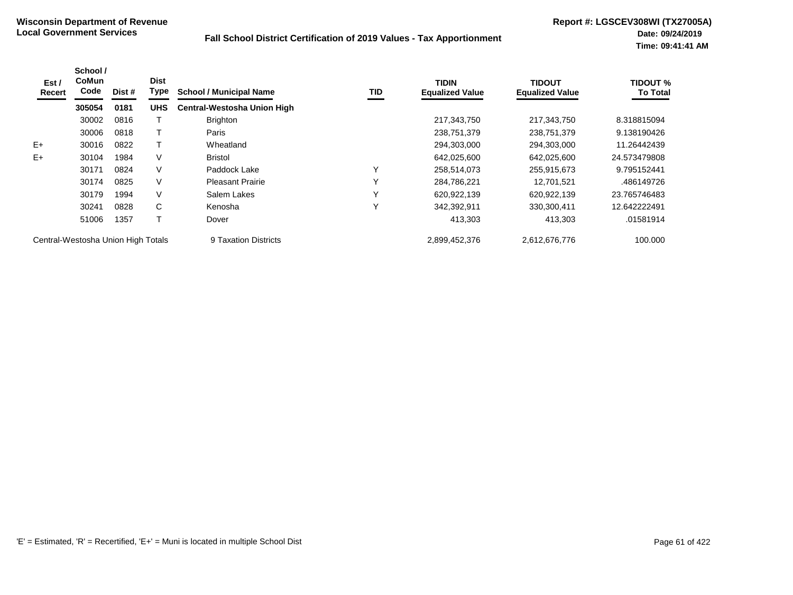| Est /<br>Recert                    | School /<br><b>CoMun</b><br>Code | Dist # | <b>Dist</b><br>Type | <b>School / Municipal Name</b>     | TID          | <b>TIDIN</b><br><b>Equalized Value</b> | <b>TIDOUT</b><br><b>Equalized Value</b> | <b>TIDOUT %</b><br><b>To Total</b> |
|------------------------------------|----------------------------------|--------|---------------------|------------------------------------|--------------|----------------------------------------|-----------------------------------------|------------------------------------|
|                                    | 305054                           | 0181   | <b>UHS</b>          | <b>Central-Westosha Union High</b> |              |                                        |                                         |                                    |
|                                    | 30002                            | 0816   |                     | <b>Brighton</b>                    |              | 217,343,750                            | 217,343,750                             | 8.318815094                        |
|                                    | 30006                            | 0818   |                     | Paris                              |              | 238,751,379                            | 238,751,379                             | 9.138190426                        |
| $E+$                               | 30016                            | 0822   |                     | Wheatland                          |              | 294,303,000                            | 294,303,000                             | 11.26442439                        |
| $E+$                               | 30104                            | 1984   | V                   | <b>Bristol</b>                     |              | 642,025,600                            | 642,025,600                             | 24.573479808                       |
|                                    | 30171                            | 0824   | V                   | Paddock Lake                       | Y            | 258,514,073                            | 255,915,673                             | 9.795152441                        |
|                                    | 30174                            | 0825   | V                   | <b>Pleasant Prairie</b>            | $\checkmark$ | 284,786,221                            | 12.701.521                              | .486149726                         |
|                                    | 30179                            | 1994   | V                   | Salem Lakes                        | Υ            | 620,922,139                            | 620,922,139                             | 23.765746483                       |
|                                    | 30241                            | 0828   | C                   | Kenosha                            | Υ            | 342,392,911                            | 330,300,411                             | 12.642222491                       |
|                                    | 51006                            | 1357   |                     | Dover                              |              | 413.303                                | 413,303                                 | .01581914                          |
| Central-Westosha Union High Totals |                                  |        |                     | 9 Taxation Districts               |              | 2,899,452,376                          | 2,612,676,776                           | 100.000                            |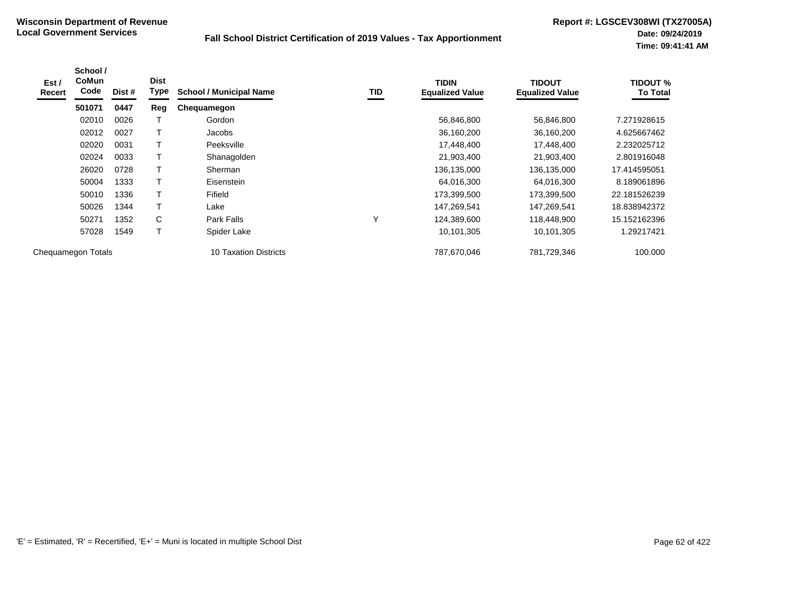| Est /<br>Recert    | School /<br><b>CoMun</b><br>Code | Dist # | <b>Dist</b><br>Type | <b>School / Municipal Name</b> | TID          | <b>TIDIN</b><br><b>Equalized Value</b> | <b>TIDOUT</b><br><b>Equalized Value</b> | TIDOUT %<br><b>To Total</b> |
|--------------------|----------------------------------|--------|---------------------|--------------------------------|--------------|----------------------------------------|-----------------------------------------|-----------------------------|
|                    | 501071                           | 0447   | Reg                 | Chequamegon                    |              |                                        |                                         |                             |
|                    | 02010                            | 0026   |                     | Gordon                         |              | 56,846,800                             | 56,846,800                              | 7.271928615                 |
|                    | 02012                            | 0027   |                     | Jacobs                         |              | 36,160,200                             | 36,160,200                              | 4.625667462                 |
|                    | 02020                            | 0031   | $\mathsf T$         | Peeksville                     |              | 17,448,400                             | 17,448,400                              | 2.232025712                 |
|                    | 02024                            | 0033   |                     | Shanagolden                    |              | 21,903,400                             | 21,903,400                              | 2.801916048                 |
|                    | 26020                            | 0728   | T                   | Sherman                        |              | 136,135,000                            | 136,135,000                             | 17.414595051                |
|                    | 50004                            | 1333   | Τ                   | Eisenstein                     |              | 64,016,300                             | 64,016,300                              | 8.189061896                 |
|                    | 50010                            | 1336   |                     | Fifield                        |              | 173,399,500                            | 173,399,500                             | 22.181526239                |
|                    | 50026                            | 1344   | $\mathsf T$         | Lake                           |              | 147,269,541                            | 147,269,541                             | 18.838942372                |
|                    | 50271                            | 1352   | C                   | Park Falls                     | $\checkmark$ | 124,389,600                            | 118,448,900                             | 15.152162396                |
|                    | 57028                            | 1549   | Τ                   | Spider Lake                    |              | 10,101,305                             | 10,101,305                              | 1.29217421                  |
| Chequamegon Totals |                                  |        |                     | <b>10 Taxation Districts</b>   |              | 787,670,046                            | 781,729,346                             | 100.000                     |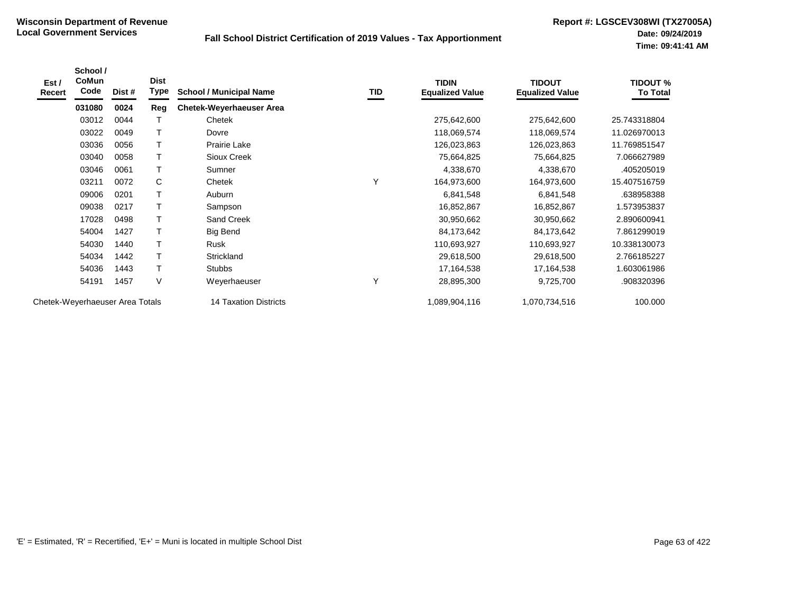| Est /<br>Recert                 | School /<br>CoMun<br>Code | Dist # | <b>Dist</b><br>Type | <b>School / Municipal Name</b>  | TID | <b>TIDIN</b><br><b>Equalized Value</b> | <b>TIDOUT</b><br><b>Equalized Value</b> | <b>TIDOUT %</b><br><b>To Total</b> |
|---------------------------------|---------------------------|--------|---------------------|---------------------------------|-----|----------------------------------------|-----------------------------------------|------------------------------------|
|                                 | 031080                    | 0024   | Reg                 | <b>Chetek-Weyerhaeuser Area</b> |     |                                        |                                         |                                    |
|                                 | 03012                     | 0044   |                     | Chetek                          |     | 275,642,600                            | 275,642,600                             | 25.743318804                       |
|                                 | 03022                     | 0049   |                     | Dovre                           |     | 118,069,574                            | 118,069,574                             | 11.026970013                       |
|                                 | 03036                     | 0056   |                     | Prairie Lake                    |     | 126,023,863                            | 126,023,863                             | 11.769851547                       |
|                                 | 03040                     | 0058   | $\mathsf T$         | Sioux Creek                     |     | 75,664,825                             | 75,664,825                              | 7.066627989                        |
|                                 | 03046                     | 0061   | Т                   | Sumner                          |     | 4,338,670                              | 4,338,670                               | .405205019                         |
|                                 | 03211                     | 0072   | C                   | Chetek                          | Υ   | 164,973,600                            | 164,973,600                             | 15.407516759                       |
|                                 | 09006                     | 0201   |                     | Auburn                          |     | 6,841,548                              | 6,841,548                               | .638958388                         |
|                                 | 09038                     | 0217   |                     | Sampson                         |     | 16,852,867                             | 16,852,867                              | 1.573953837                        |
|                                 | 17028                     | 0498   |                     | Sand Creek                      |     | 30,950,662                             | 30,950,662                              | 2.890600941                        |
|                                 | 54004                     | 1427   | т                   | Big Bend                        |     | 84,173,642                             | 84,173,642                              | 7.861299019                        |
|                                 | 54030                     | 1440   | $\mathsf T$         | Rusk                            |     | 110,693,927                            | 110,693,927                             | 10.338130073                       |
|                                 | 54034                     | 1442   | T                   | <b>Strickland</b>               |     | 29,618,500                             | 29,618,500                              | 2.766185227                        |
|                                 | 54036                     | 1443   | T                   | <b>Stubbs</b>                   |     | 17,164,538                             | 17,164,538                              | 1.603061986                        |
|                                 | 54191                     | 1457   | V                   | Weyerhaeuser                    | Υ   | 28,895,300                             | 9,725,700                               | .908320396                         |
| Chetek-Weyerhaeuser Area Totals |                           |        |                     | 14 Taxation Districts           |     | 1,089,904,116                          | 1,070,734,516                           | 100.000                            |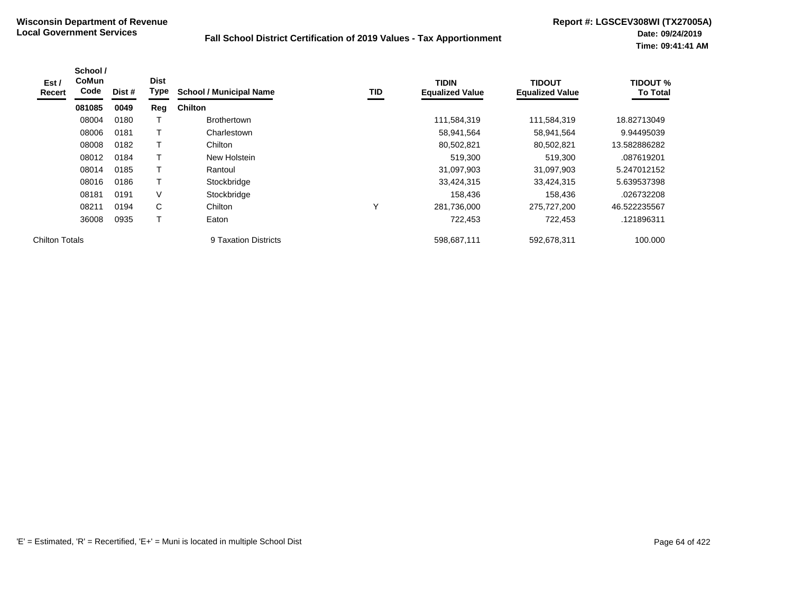| Est/<br>Recert        | School /<br>CoMun<br>Code | Dist # | <b>Dist</b><br>Type | <b>School / Municipal Name</b> | TID | <b>TIDIN</b><br><b>Equalized Value</b> | <b>TIDOUT</b><br><b>Equalized Value</b> | <b>TIDOUT %</b><br><b>To Total</b> |
|-----------------------|---------------------------|--------|---------------------|--------------------------------|-----|----------------------------------------|-----------------------------------------|------------------------------------|
|                       | 081085                    | 0049   | Reg                 | <b>Chilton</b>                 |     |                                        |                                         |                                    |
|                       | 08004                     | 0180   |                     | <b>Brothertown</b>             |     | 111,584,319                            | 111,584,319                             | 18.82713049                        |
|                       | 08006                     | 0181   |                     | Charlestown                    |     | 58,941,564                             | 58,941,564                              | 9.94495039                         |
|                       | 08008                     | 0182   |                     | Chilton                        |     | 80,502,821                             | 80,502,821                              | 13.582886282                       |
|                       | 08012                     | 0184   |                     | New Holstein                   |     | 519,300                                | 519,300                                 | .087619201                         |
|                       | 08014                     | 0185   |                     | Rantoul                        |     | 31,097,903                             | 31,097,903                              | 5.247012152                        |
|                       | 08016                     | 0186   |                     | Stockbridge                    |     | 33,424,315                             | 33,424,315                              | 5.639537398                        |
|                       | 08181                     | 0191   | V                   | Stockbridge                    |     | 158.436                                | 158,436                                 | .026732208                         |
|                       | 08211                     | 0194   | C                   | Chilton                        | Υ   | 281,736,000                            | 275,727,200                             | 46.522235567                       |
|                       | 36008                     | 0935   | $\mathbf \tau$      | Eaton                          |     | 722,453                                | 722,453                                 | .121896311                         |
| <b>Chilton Totals</b> |                           |        |                     | 9 Taxation Districts           |     | 598,687,111                            | 592,678,311                             | 100.000                            |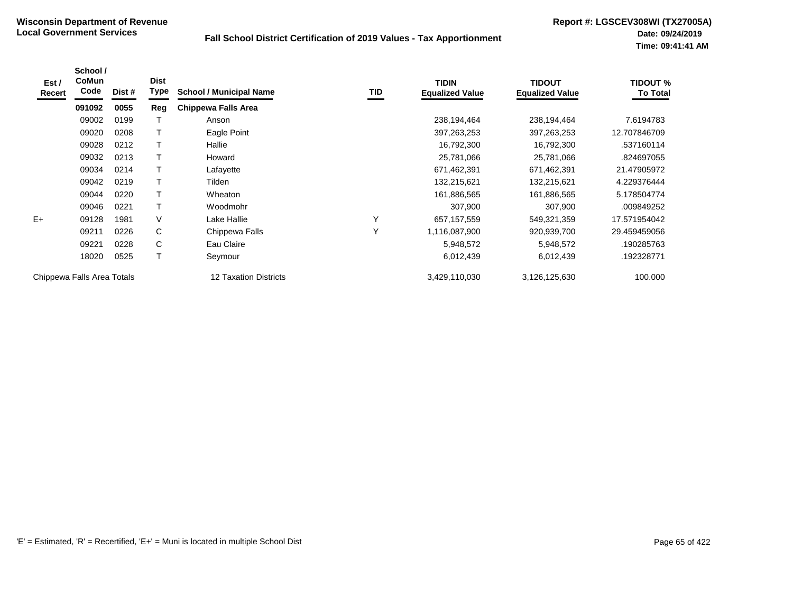| Est /<br>Recert            | School /<br><b>CoMun</b><br>Code | Dist # | <b>Dist</b><br><b>Type</b> | <b>School / Municipal Name</b> | TID          | <b>TIDIN</b><br><b>Equalized Value</b> | <b>TIDOUT</b><br><b>Equalized Value</b> | <b>TIDOUT %</b><br><b>To Total</b> |
|----------------------------|----------------------------------|--------|----------------------------|--------------------------------|--------------|----------------------------------------|-----------------------------------------|------------------------------------|
|                            | 091092                           | 0055   | Reg                        | <b>Chippewa Falls Area</b>     |              |                                        |                                         |                                    |
|                            | 09002                            | 0199   |                            | Anson                          |              | 238,194,464                            | 238,194,464                             | 7.6194783                          |
|                            | 09020                            | 0208   |                            | Eagle Point                    |              | 397,263,253                            | 397,263,253                             | 12.707846709                       |
|                            | 09028                            | 0212   |                            | Hallie                         |              | 16,792,300                             | 16,792,300                              | .537160114                         |
|                            | 09032                            | 0213   |                            | Howard                         |              | 25,781,066                             | 25,781,066                              | .824697055                         |
|                            | 09034                            | 0214   |                            | Lafayette                      |              | 671,462,391                            | 671,462,391                             | 21.47905972                        |
|                            | 09042                            | 0219   |                            | Tilden                         |              | 132,215,621                            | 132,215,621                             | 4.229376444                        |
|                            | 09044                            | 0220   |                            | Wheaton                        |              | 161,886,565                            | 161,886,565                             | 5.178504774                        |
|                            | 09046                            | 0221   |                            | Woodmohr                       |              | 307,900                                | 307,900                                 | .009849252                         |
| $E+$                       | 09128                            | 1981   | V                          | Lake Hallie                    | Υ            | 657, 157, 559                          | 549,321,359                             | 17.571954042                       |
|                            | 09211                            | 0226   | C                          | Chippewa Falls                 | $\checkmark$ | 1,116,087,900                          | 920,939,700                             | 29.459459056                       |
|                            | 09221                            | 0228   | C                          | Eau Claire                     |              | 5,948,572                              | 5,948,572                               | .190285763                         |
|                            | 18020                            | 0525   |                            | Seymour                        |              | 6,012,439                              | 6,012,439                               | .192328771                         |
| Chippewa Falls Area Totals |                                  |        |                            | 12 Taxation Districts          |              | 3,429,110,030                          | 3,126,125,630                           | 100.000                            |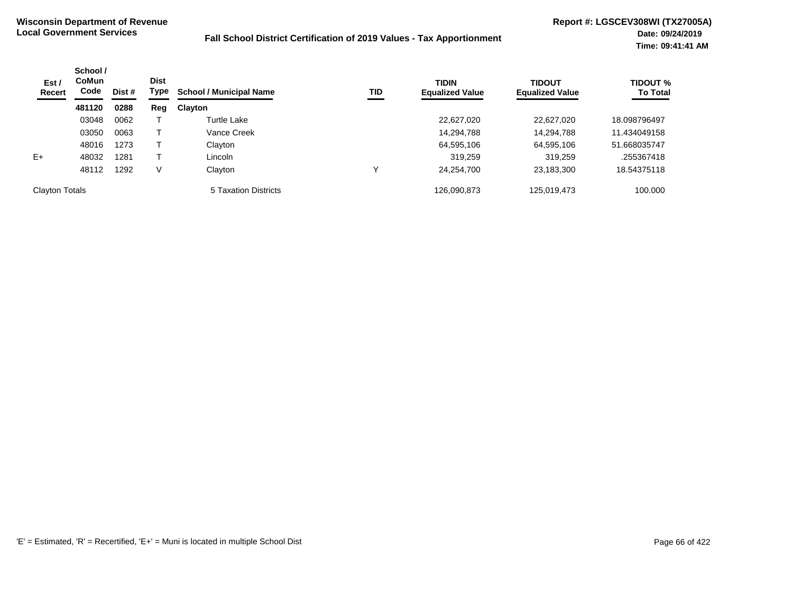| Est /<br>Recert       | School /<br><b>CoMun</b><br>Code | Dist # | <b>Dist</b><br>Type | <b>School / Municipal Name</b> | TID | <b>TIDIN</b><br><b>Equalized Value</b> | <b>TIDOUT</b><br><b>Equalized Value</b> | <b>TIDOUT %</b><br><b>To Total</b> |
|-----------------------|----------------------------------|--------|---------------------|--------------------------------|-----|----------------------------------------|-----------------------------------------|------------------------------------|
|                       | 481120                           | 0288   | Reg                 | Clayton                        |     |                                        |                                         |                                    |
|                       | 03048                            | 0062   |                     | <b>Turtle Lake</b>             |     | 22,627,020                             | 22,627,020                              | 18.098796497                       |
|                       | 03050                            | 0063   |                     | Vance Creek                    |     | 14,294,788                             | 14,294,788                              | 11.434049158                       |
|                       | 48016                            | 1273   |                     | Clayton                        |     | 64,595,106                             | 64,595,106                              | 51.668035747                       |
| $E+$                  | 48032                            | 1281   |                     | Lincoln                        |     | 319.259                                | 319,259                                 | .255367418                         |
|                       | 48112                            | 1292   | V                   | Clayton                        | ν   | 24,254,700                             | 23,183,300                              | 18.54375118                        |
| <b>Clayton Totals</b> |                                  |        |                     | 5 Taxation Districts           |     | 126,090,873                            | 125,019,473                             | 100.000                            |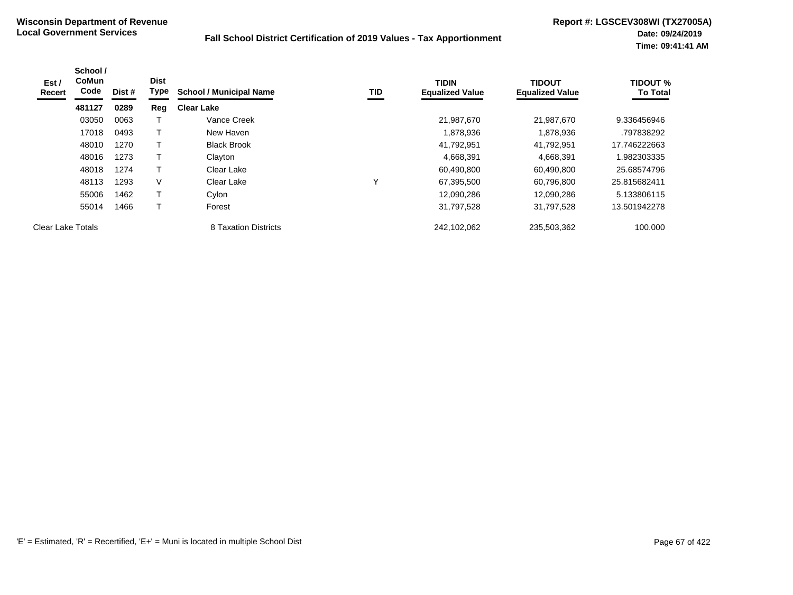| Est /<br>Recert   | School /<br><b>CoMun</b><br>Code | Dist # | <b>Dist</b><br>Type | <b>School / Municipal Name</b> | TID          | <b>TIDIN</b><br><b>Equalized Value</b> | <b>TIDOUT</b><br><b>Equalized Value</b> | <b>TIDOUT %</b><br><b>To Total</b> |
|-------------------|----------------------------------|--------|---------------------|--------------------------------|--------------|----------------------------------------|-----------------------------------------|------------------------------------|
|                   | 481127                           | 0289   | Reg                 | <b>Clear Lake</b>              |              |                                        |                                         |                                    |
|                   | 03050                            | 0063   |                     | Vance Creek                    |              | 21,987,670                             | 21,987,670                              | 9.336456946                        |
|                   | 17018                            | 0493   | Т                   | New Haven                      |              | 1,878,936                              | 1,878,936                               | .797838292                         |
|                   | 48010                            | 1270   | Т                   | <b>Black Brook</b>             |              | 41,792,951                             | 41,792,951                              | 17.746222663                       |
|                   | 48016                            | 1273   | $\mathsf{T}$        | Clayton                        |              | 4,668,391                              | 4,668,391                               | 1.982303335                        |
|                   | 48018                            | 1274   | Т                   | Clear Lake                     |              | 60,490,800                             | 60,490,800                              | 25.68574796                        |
|                   | 48113                            | 1293   | $\vee$              | Clear Lake                     | $\checkmark$ | 67,395,500                             | 60,796,800                              | 25.815682411                       |
|                   | 55006                            | 1462   | T                   | Cylon                          |              | 12.090.286                             | 12.090.286                              | 5.133806115                        |
|                   | 55014                            | 1466   | Т                   | Forest                         |              | 31,797,528                             | 31,797,528                              | 13.501942278                       |
| Clear Lake Totals |                                  |        |                     | 8 Taxation Districts           |              | 242,102,062                            | 235,503,362                             | 100.000                            |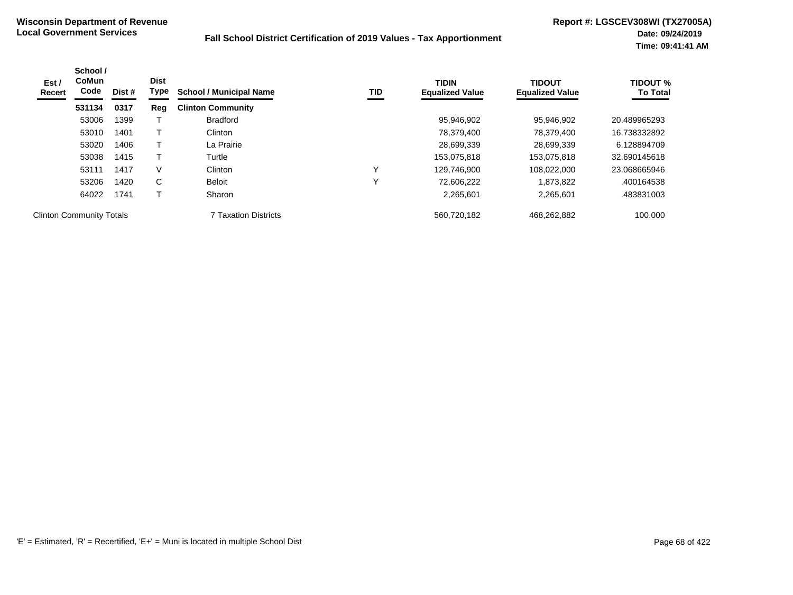| Est /<br>Recert                 | School /<br><b>CoMun</b><br>Code | Dist # | <b>Dist</b><br>Type | <b>School / Municipal Name</b> | TID          | <b>TIDIN</b><br><b>Equalized Value</b> | <b>TIDOUT</b><br><b>Equalized Value</b> | <b>TIDOUT %</b><br><b>To Total</b> |
|---------------------------------|----------------------------------|--------|---------------------|--------------------------------|--------------|----------------------------------------|-----------------------------------------|------------------------------------|
|                                 | 531134                           | 0317   | Reg                 | <b>Clinton Community</b>       |              |                                        |                                         |                                    |
|                                 | 53006                            | 1399   |                     | <b>Bradford</b>                |              | 95.946.902                             | 95.946.902                              | 20.489965293                       |
|                                 | 53010                            | 1401   |                     | Clinton                        |              | 78,379,400                             | 78,379,400                              | 16.738332892                       |
|                                 | 53020                            | 1406   |                     | La Prairie                     |              | 28,699,339                             | 28,699,339                              | 6.128894709                        |
|                                 | 53038                            | 1415   |                     | Turtle                         |              | 153,075,818                            | 153,075,818                             | 32.690145618                       |
|                                 | 53111                            | 1417   | V                   | Clinton                        | $\checkmark$ | 129.746.900                            | 108,022,000                             | 23.068665946                       |
|                                 | 53206                            | 1420   | C                   | Beloit                         |              | 72,606,222                             | 1,873,822                               | .400164538                         |
|                                 | 64022                            | 1741   |                     | Sharon                         |              | 2,265,601                              | 2,265,601                               | .483831003                         |
| <b>Clinton Community Totals</b> |                                  |        |                     | <b>7 Taxation Districts</b>    |              | 560,720,182                            | 468,262,882                             | 100.000                            |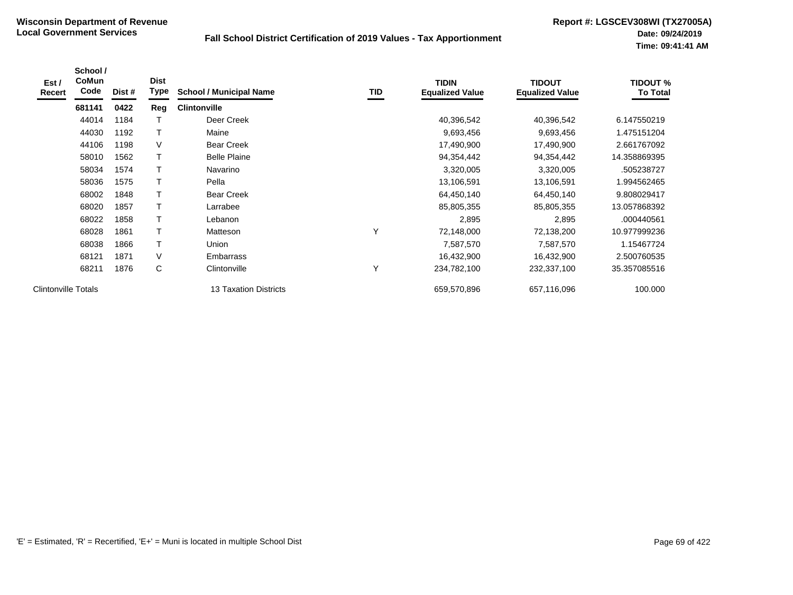| Est /<br><b>Recert</b>     | School /<br><b>CoMun</b><br>Code | Dist # | <b>Dist</b><br>Type | <b>School / Municipal Name</b> | TID | <b>TIDIN</b><br><b>Equalized Value</b> | <b>TIDOUT</b><br><b>Equalized Value</b> | <b>TIDOUT %</b><br><b>To Total</b> |
|----------------------------|----------------------------------|--------|---------------------|--------------------------------|-----|----------------------------------------|-----------------------------------------|------------------------------------|
|                            | 681141                           | 0422   | Reg                 | <b>Clintonville</b>            |     |                                        |                                         |                                    |
|                            | 44014                            | 1184   |                     | Deer Creek                     |     | 40,396,542                             | 40,396,542                              | 6.147550219                        |
|                            | 44030                            | 1192   |                     | Maine                          |     | 9,693,456                              | 9,693,456                               | 1.475151204                        |
|                            | 44106                            | 1198   | V                   | <b>Bear Creek</b>              |     | 17,490,900                             | 17,490,900                              | 2.661767092                        |
|                            | 58010                            | 1562   |                     | <b>Belle Plaine</b>            |     | 94,354,442                             | 94,354,442                              | 14.358869395                       |
|                            | 58034                            | 1574   |                     | Navarino                       |     | 3,320,005                              | 3,320,005                               | .505238727                         |
|                            | 58036                            | 1575   |                     | Pella                          |     | 13,106,591                             | 13,106,591                              | 1.994562465                        |
|                            | 68002                            | 1848   |                     | <b>Bear Creek</b>              |     | 64,450,140                             | 64,450,140                              | 9.808029417                        |
|                            | 68020                            | 1857   |                     | Larrabee                       |     | 85,805,355                             | 85,805,355                              | 13.057868392                       |
|                            | 68022                            | 1858   |                     | Lebanon                        |     | 2,895                                  | 2,895                                   | .000440561                         |
|                            | 68028                            | 1861   |                     | Matteson                       | Υ   | 72,148,000                             | 72,138,200                              | 10.977999236                       |
|                            | 68038                            | 1866   |                     | Union                          |     | 7,587,570                              | 7,587,570                               | 1.15467724                         |
|                            | 68121                            | 1871   | V                   | Embarrass                      |     | 16,432,900                             | 16,432,900                              | 2.500760535                        |
|                            | 68211                            | 1876   | С                   | Clintonville                   | Y   | 234,782,100                            | 232,337,100                             | 35.357085516                       |
| <b>Clintonville Totals</b> |                                  |        |                     | 13 Taxation Districts          |     | 659,570,896                            | 657,116,096                             | 100.000                            |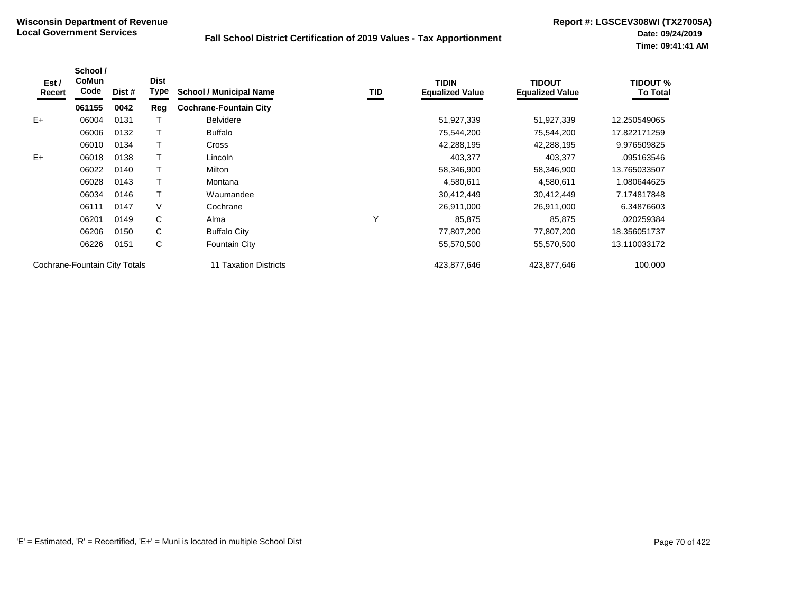| Est /<br>Recert | School /<br>CoMun<br>Code     | Dist # | <b>Dist</b><br>Type | <b>School / Municipal Name</b> | TID | <b>TIDIN</b><br><b>Equalized Value</b> | <b>TIDOUT</b><br><b>Equalized Value</b> | <b>TIDOUT %</b><br><b>To Total</b> |
|-----------------|-------------------------------|--------|---------------------|--------------------------------|-----|----------------------------------------|-----------------------------------------|------------------------------------|
|                 | 061155                        | 0042   | Reg                 | <b>Cochrane-Fountain City</b>  |     |                                        |                                         |                                    |
| $E+$            | 06004                         | 0131   |                     | <b>Belvidere</b>               |     | 51,927,339                             | 51,927,339                              | 12.250549065                       |
|                 | 06006                         | 0132   |                     | <b>Buffalo</b>                 |     | 75,544,200                             | 75,544,200                              | 17.822171259                       |
|                 | 06010                         | 0134   |                     | <b>Cross</b>                   |     | 42,288,195                             | 42,288,195                              | 9.976509825                        |
| $E+$            | 06018                         | 0138   |                     | Lincoln                        |     | 403,377                                | 403,377                                 | .095163546                         |
|                 | 06022                         | 0140   |                     | Milton                         |     | 58,346,900                             | 58,346,900                              | 13.765033507                       |
|                 | 06028                         | 0143   |                     | Montana                        |     | 4,580,611                              | 4,580,611                               | 1.080644625                        |
|                 | 06034                         | 0146   |                     | Waumandee                      |     | 30,412,449                             | 30,412,449                              | 7.174817848                        |
|                 | 06111                         | 0147   | V                   | Cochrane                       |     | 26,911,000                             | 26,911,000                              | 6.34876603                         |
|                 | 06201                         | 0149   | C                   | Alma                           | Υ   | 85,875                                 | 85,875                                  | .020259384                         |
|                 | 06206                         | 0150   | C                   | <b>Buffalo City</b>            |     | 77,807,200                             | 77,807,200                              | 18.356051737                       |
|                 | 06226                         | 0151   | С                   | Fountain City                  |     | 55,570,500                             | 55,570,500                              | 13.110033172                       |
|                 | Cochrane-Fountain City Totals |        |                     | 11 Taxation Districts          |     | 423,877,646                            | 423,877,646                             | 100.000                            |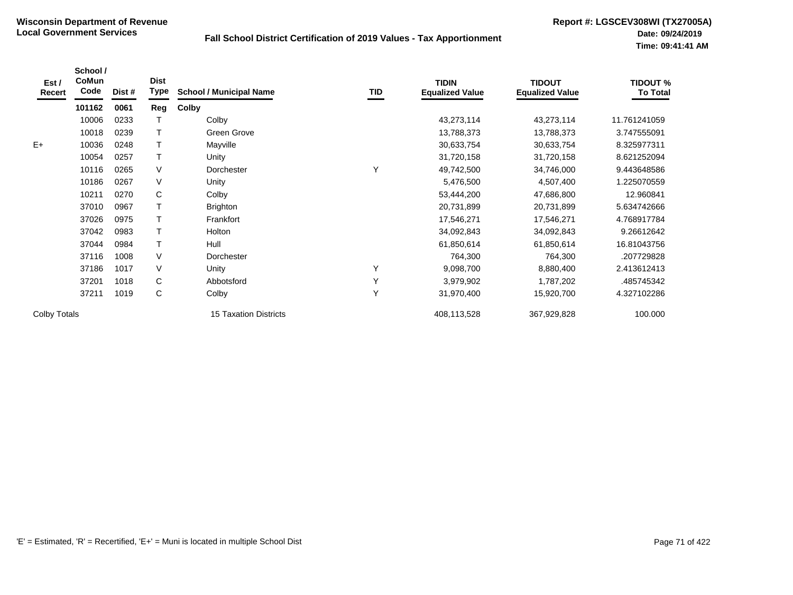| Est /<br>Recert | School /<br>CoMun<br>Code | Dist # | <b>Dist</b><br><b>Type</b> | <b>School / Municipal Name</b> | TID | <b>TIDIN</b><br><b>Equalized Value</b> | <b>TIDOUT</b><br><b>Equalized Value</b> | <b>TIDOUT %</b><br><b>To Total</b> |
|-----------------|---------------------------|--------|----------------------------|--------------------------------|-----|----------------------------------------|-----------------------------------------|------------------------------------|
|                 | 101162                    | 0061   | Reg                        | Colby                          |     |                                        |                                         |                                    |
|                 | 10006                     | 0233   |                            | Colby                          |     | 43,273,114                             | 43,273,114                              | 11.761241059                       |
|                 | 10018                     | 0239   |                            | Green Grove                    |     | 13,788,373                             | 13,788,373                              | 3.747555091                        |
| $E+$            | 10036                     | 0248   |                            | Mayville                       |     | 30,633,754                             | 30,633,754                              | 8.325977311                        |
|                 | 10054                     | 0257   |                            | Unity                          |     | 31,720,158                             | 31,720,158                              | 8.621252094                        |
|                 | 10116                     | 0265   | V                          | Dorchester                     | Υ   | 49,742,500                             | 34,746,000                              | 9.443648586                        |
|                 | 10186                     | 0267   | V                          | Unity                          |     | 5,476,500                              | 4,507,400                               | 1.225070559                        |
|                 | 10211                     | 0270   | C                          | Colby                          |     | 53,444,200                             | 47,686,800                              | 12.960841                          |
|                 | 37010                     | 0967   |                            | <b>Brighton</b>                |     | 20,731,899                             | 20,731,899                              | 5.634742666                        |
|                 | 37026                     | 0975   |                            | Frankfort                      |     | 17,546,271                             | 17,546,271                              | 4.768917784                        |
|                 | 37042                     | 0983   |                            | Holton                         |     | 34,092,843                             | 34,092,843                              | 9.26612642                         |
|                 | 37044                     | 0984   |                            | Hull                           |     | 61,850,614                             | 61,850,614                              | 16.81043756                        |
|                 | 37116                     | 1008   | V                          | Dorchester                     |     | 764,300                                | 764,300                                 | .207729828                         |
|                 | 37186                     | 1017   | V                          | Unity                          | Υ   | 9,098,700                              | 8,880,400                               | 2.413612413                        |
|                 | 37201                     | 1018   | C                          | Abbotsford                     | Y   | 3,979,902                              | 1,787,202                               | .485745342                         |
|                 | 37211                     | 1019   | C                          | Colby                          | Υ   | 31,970,400                             | 15,920,700                              | 4.327102286                        |
| Colby Totals    |                           |        |                            | <b>15 Taxation Districts</b>   |     | 408,113,528                            | 367,929,828                             | 100.000                            |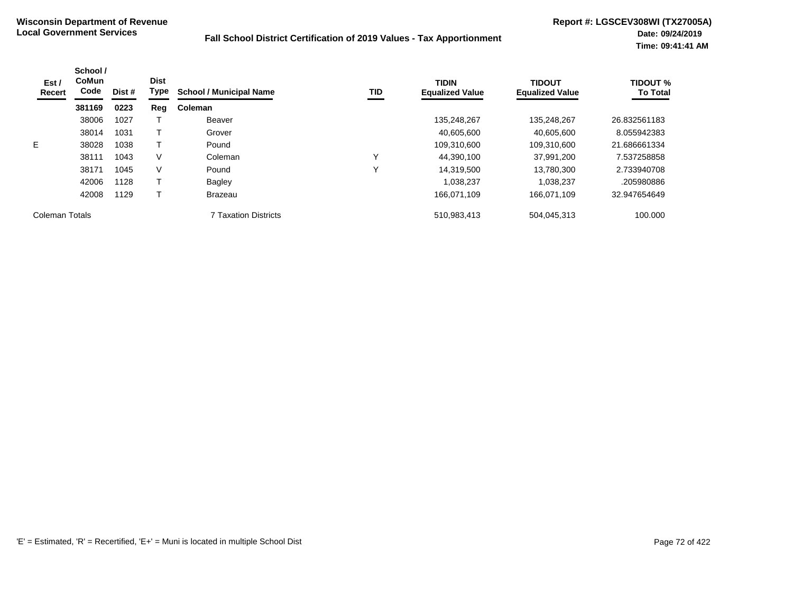| Est /<br>Recert | School /<br><b>CoMun</b><br>Code | Dist # | <b>Dist</b><br><b>Type</b> | <b>School / Municipal Name</b> | <b>TID</b> | <b>TIDIN</b><br><b>Equalized Value</b> | <b>TIDOUT</b><br><b>Equalized Value</b> | <b>TIDOUT %</b><br><b>To Total</b> |
|-----------------|----------------------------------|--------|----------------------------|--------------------------------|------------|----------------------------------------|-----------------------------------------|------------------------------------|
|                 | 381169                           | 0223   | Reg                        | Coleman                        |            |                                        |                                         |                                    |
|                 | 38006                            | 1027   |                            | Beaver                         |            | 135,248,267                            | 135,248,267                             | 26.832561183                       |
|                 | 38014                            | 1031   |                            | Grover                         |            | 40,605,600                             | 40,605,600                              | 8.055942383                        |
| E.              | 38028                            | 1038   |                            | Pound                          |            | 109,310,600                            | 109,310,600                             | 21.686661334                       |
|                 | 38111                            | 1043   | V                          | Coleman                        | ν          | 44,390,100                             | 37,991,200                              | 7.537258858                        |
|                 | 38171                            | 1045   | V                          | Pound                          | ν          | 14,319,500                             | 13.780.300                              | 2.733940708                        |
|                 | 42006                            | 1128   |                            | <b>Bagley</b>                  |            | 1.038.237                              | 1.038.237                               | .205980886                         |
|                 | 42008                            | 1129   |                            | <b>Brazeau</b>                 |            | 166.071.109                            | 166.071.109                             | 32.947654649                       |
| Coleman Totals  |                                  |        |                            | 7 Taxation Districts           |            | 510,983,413                            | 504,045,313                             | 100.000                            |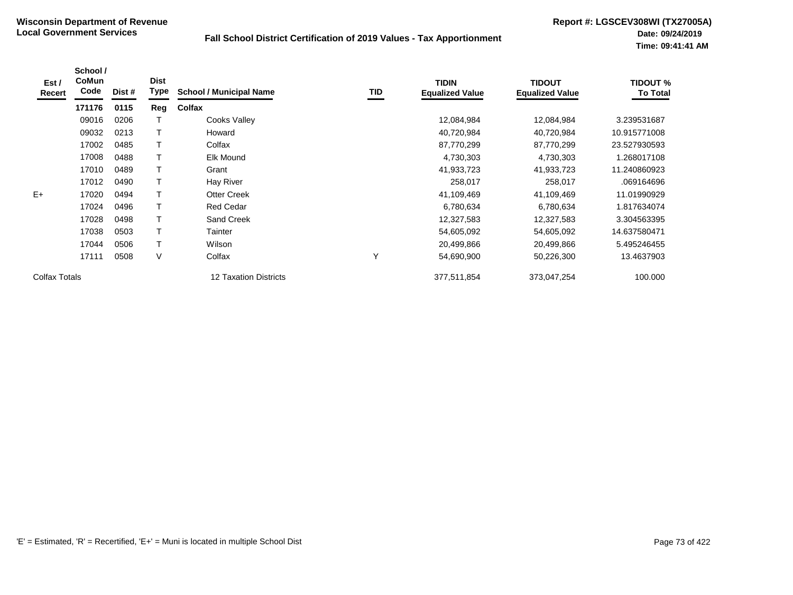| Est /<br>Recert | School /<br><b>CoMun</b><br>Code | Dist # | <b>Dist</b><br>Type | <b>School / Municipal Name</b> | TID          | <b>TIDIN</b><br><b>Equalized Value</b> | <b>TIDOUT</b><br><b>Equalized Value</b> | <b>TIDOUT %</b><br><b>To Total</b> |
|-----------------|----------------------------------|--------|---------------------|--------------------------------|--------------|----------------------------------------|-----------------------------------------|------------------------------------|
|                 | 171176                           | 0115   | Reg                 | Colfax                         |              |                                        |                                         |                                    |
|                 | 09016                            | 0206   |                     | Cooks Valley                   |              | 12,084,984                             | 12,084,984                              | 3.239531687                        |
|                 | 09032                            | 0213   |                     | Howard                         |              | 40,720,984                             | 40,720,984                              | 10.915771008                       |
|                 | 17002                            | 0485   |                     | Colfax                         |              | 87,770,299                             | 87,770,299                              | 23.527930593                       |
|                 | 17008                            | 0488   |                     | <b>Elk Mound</b>               |              | 4,730,303                              | 4,730,303                               | 1.268017108                        |
|                 | 17010                            | 0489   |                     | Grant                          |              | 41,933,723                             | 41,933,723                              | 11.240860923                       |
|                 | 17012                            | 0490   |                     | Hay River                      |              | 258,017                                | 258,017                                 | .069164696                         |
| $E+$            | 17020                            | 0494   |                     | <b>Otter Creek</b>             |              | 41,109,469                             | 41,109,469                              | 11.01990929                        |
|                 | 17024                            | 0496   |                     | <b>Red Cedar</b>               |              | 6,780,634                              | 6,780,634                               | 1.817634074                        |
|                 | 17028                            | 0498   |                     | <b>Sand Creek</b>              |              | 12,327,583                             | 12,327,583                              | 3.304563395                        |
|                 | 17038                            | 0503   |                     | Tainter                        |              | 54,605,092                             | 54,605,092                              | 14.637580471                       |
|                 | 17044                            | 0506   |                     | Wilson                         |              | 20,499,866                             | 20,499,866                              | 5.495246455                        |
|                 | 17111                            | 0508   | V                   | Colfax                         | $\checkmark$ | 54,690,900                             | 50,226,300                              | 13.4637903                         |
| Colfax Totals   |                                  |        |                     | 12 Taxation Districts          |              | 377,511,854                            | 373,047,254                             | 100.000                            |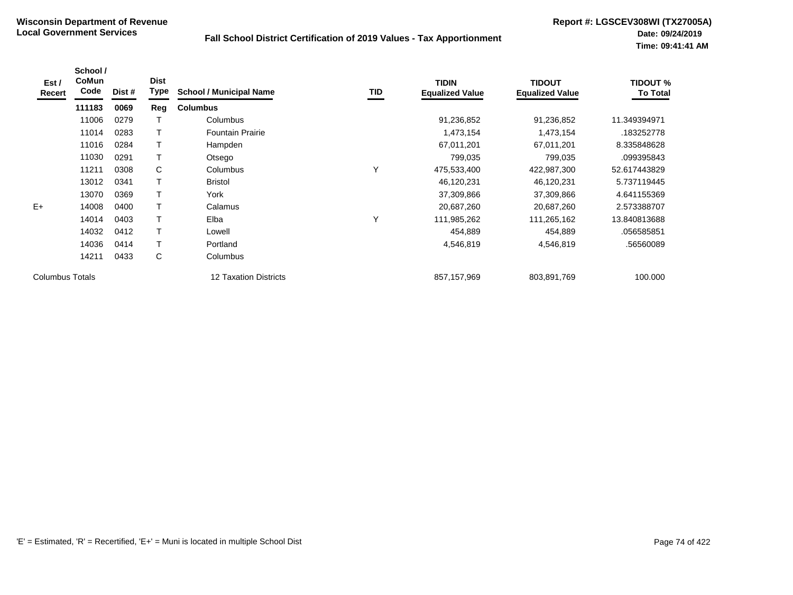| Est /<br>Recert        | School /<br>CoMun<br>Code | Dist # | <b>Dist</b><br>Type | <b>School / Municipal Name</b> | <b>TID</b> | <b>TIDIN</b><br><b>Equalized Value</b> | <b>TIDOUT</b><br><b>Equalized Value</b> | <b>TIDOUT %</b><br><b>To Total</b> |
|------------------------|---------------------------|--------|---------------------|--------------------------------|------------|----------------------------------------|-----------------------------------------|------------------------------------|
|                        | 111183                    | 0069   | Reg                 | <b>Columbus</b>                |            |                                        |                                         |                                    |
|                        | 11006                     | 0279   |                     | Columbus                       |            | 91,236,852                             | 91,236,852                              | 11.349394971                       |
|                        | 11014                     | 0283   | T                   | <b>Fountain Prairie</b>        |            | 1,473,154                              | 1,473,154                               | .183252778                         |
|                        | 11016                     | 0284   | T                   | Hampden                        |            | 67,011,201                             | 67,011,201                              | 8.335848628                        |
|                        | 11030                     | 0291   | т                   | Otsego                         |            | 799,035                                | 799,035                                 | .099395843                         |
|                        | 11211                     | 0308   | C                   | Columbus                       | Υ          | 475,533,400                            | 422,987,300                             | 52.617443829                       |
|                        | 13012                     | 0341   |                     | <b>Bristol</b>                 |            | 46,120,231                             | 46,120,231                              | 5.737119445                        |
|                        | 13070                     | 0369   |                     | York                           |            | 37,309,866                             | 37,309,866                              | 4.641155369                        |
| $E+$                   | 14008                     | 0400   | T                   | Calamus                        |            | 20,687,260                             | 20,687,260                              | 2.573388707                        |
|                        | 14014                     | 0403   | T                   | Elba                           | Υ          | 111,985,262                            | 111,265,162                             | 13.840813688                       |
|                        | 14032                     | 0412   | T                   | Lowell                         |            | 454,889                                | 454,889                                 | .056585851                         |
|                        | 14036                     | 0414   | T                   | Portland                       |            | 4,546,819                              | 4,546,819                               | .56560089                          |
|                        | 14211                     | 0433   | C                   | Columbus                       |            |                                        |                                         |                                    |
| <b>Columbus Totals</b> |                           |        |                     | 12 Taxation Districts          |            | 857,157,969                            | 803,891,769                             | 100.000                            |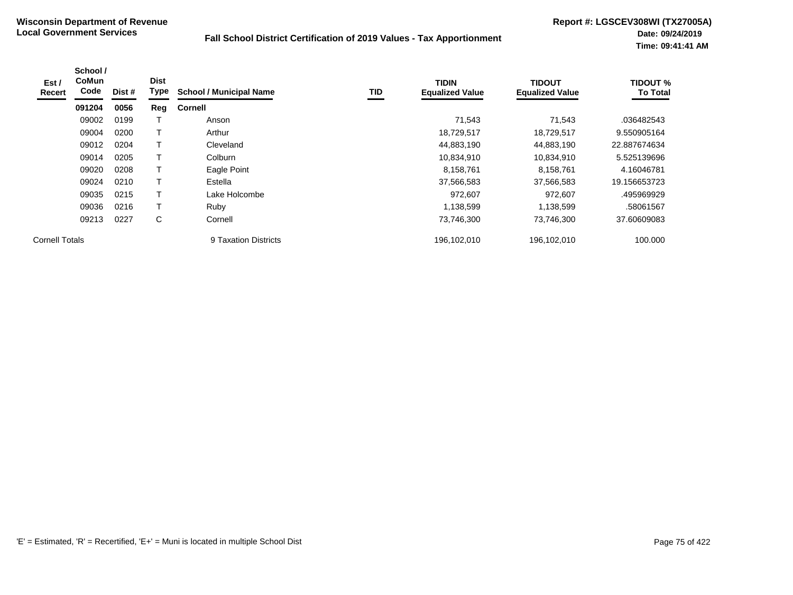| Est/<br>Recert        | School /<br><b>CoMun</b><br>Code | Dist # | <b>Dist</b><br>Type | <b>School / Municipal Name</b> | TID | <b>TIDIN</b><br><b>Equalized Value</b> | <b>TIDOUT</b><br><b>Equalized Value</b> | <b>TIDOUT %</b><br><b>To Total</b> |
|-----------------------|----------------------------------|--------|---------------------|--------------------------------|-----|----------------------------------------|-----------------------------------------|------------------------------------|
|                       | 091204                           | 0056   | Reg                 | <b>Cornell</b>                 |     |                                        |                                         |                                    |
|                       | 09002                            | 0199   |                     | Anson                          |     | 71,543                                 | 71,543                                  | .036482543                         |
|                       | 09004                            | 0200   |                     | Arthur                         |     | 18,729,517                             | 18,729,517                              | 9.550905164                        |
|                       | 09012                            | 0204   |                     | Cleveland                      |     | 44,883,190                             | 44,883,190                              | 22.887674634                       |
|                       | 09014                            | 0205   |                     | Colburn                        |     | 10,834,910                             | 10,834,910                              | 5.525139696                        |
|                       | 09020                            | 0208   |                     | Eagle Point                    |     | 8,158,761                              | 8,158,761                               | 4.16046781                         |
|                       | 09024                            | 0210   |                     | Estella                        |     | 37,566,583                             | 37,566,583                              | 19.156653723                       |
|                       | 09035                            | 0215   |                     | Lake Holcombe                  |     | 972,607                                | 972,607                                 | .495969929                         |
|                       | 09036                            | 0216   |                     | Ruby                           |     | 1,138,599                              | 1,138,599                               | .58061567                          |
|                       | 09213                            | 0227   | C                   | Cornell                        |     | 73,746,300                             | 73,746,300                              | 37.60609083                        |
| <b>Cornell Totals</b> |                                  |        |                     | 9 Taxation Districts           |     | 196,102,010                            | 196,102,010                             | 100.000                            |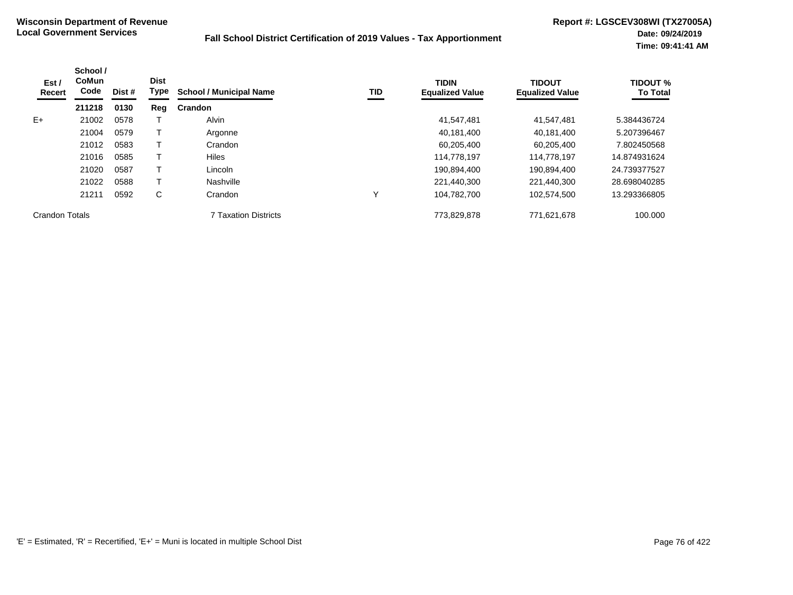| Est /<br>Recert       | School /<br><b>CoMun</b><br>Code | Dist # | <b>Dist</b><br>Type | <b>School / Municipal Name</b> | TID | <b>TIDIN</b><br><b>Equalized Value</b> | <b>TIDOUT</b><br><b>Equalized Value</b> | <b>TIDOUT %</b><br><b>To Total</b> |
|-----------------------|----------------------------------|--------|---------------------|--------------------------------|-----|----------------------------------------|-----------------------------------------|------------------------------------|
|                       | 211218                           | 0130   | Reg                 | <b>Crandon</b>                 |     |                                        |                                         |                                    |
| $E+$                  | 21002                            | 0578   |                     | Alvin                          |     | 41,547,481                             | 41,547,481                              | 5.384436724                        |
|                       | 21004                            | 0579   |                     | Argonne                        |     | 40,181,400                             | 40,181,400                              | 5.207396467                        |
|                       | 21012                            | 0583   |                     | Crandon                        |     | 60,205,400                             | 60,205,400                              | 7.802450568                        |
|                       | 21016                            | 0585   |                     | Hiles                          |     | 114.778.197                            | 114,778,197                             | 14.874931624                       |
|                       | 21020                            | 0587   |                     | Lincoln                        |     | 190,894,400                            | 190,894,400                             | 24.739377527                       |
|                       | 21022                            | 0588   |                     | Nashville                      |     | 221.440.300                            | 221,440,300                             | 28.698040285                       |
|                       | 21211                            | 0592   | C                   | Crandon                        | Υ   | 104,782,700                            | 102.574.500                             | 13.293366805                       |
| <b>Crandon Totals</b> |                                  |        |                     | 7 Taxation Districts           |     | 773,829,878                            | 771,621,678                             | 100.000                            |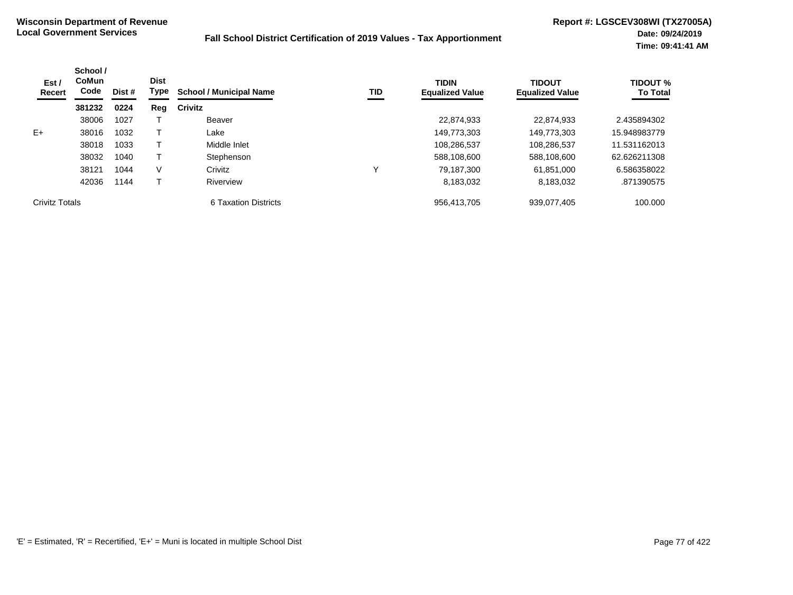| Est /<br><b>Recert</b> | School /<br>CoMun<br>Code | Dist # | <b>Dist</b><br>Type | <b>School / Municipal Name</b> | TID          | <b>TIDIN</b><br><b>Equalized Value</b> | <b>TIDOUT</b><br><b>Equalized Value</b> | <b>TIDOUT %</b><br><b>To Total</b> |
|------------------------|---------------------------|--------|---------------------|--------------------------------|--------------|----------------------------------------|-----------------------------------------|------------------------------------|
|                        | 381232                    | 0224   | Reg                 | Crivitz                        |              |                                        |                                         |                                    |
|                        | 38006                     | 1027   |                     | Beaver                         |              | 22,874,933                             | 22,874,933                              | 2.435894302                        |
| $E+$                   | 38016                     | 1032   |                     | Lake                           |              | 149,773,303                            | 149,773,303                             | 15.948983779                       |
|                        | 38018                     | 1033   |                     | Middle Inlet                   |              | 108,286,537                            | 108,286,537                             | 11.531162013                       |
|                        | 38032                     | 1040   |                     | Stephenson                     |              | 588,108,600                            | 588,108,600                             | 62.626211308                       |
|                        | 38121                     | 1044   | V                   | Crivitz                        | $\checkmark$ | 79.187.300                             | 61,851,000                              | 6.586358022                        |
|                        | 42036                     | 1144   |                     | Riverview                      |              | 8,183,032                              | 8,183,032                               | .871390575                         |
| <b>Crivitz Totals</b>  |                           |        |                     | 6 Taxation Districts           |              | 956.413.705                            | 939,077,405                             | 100.000                            |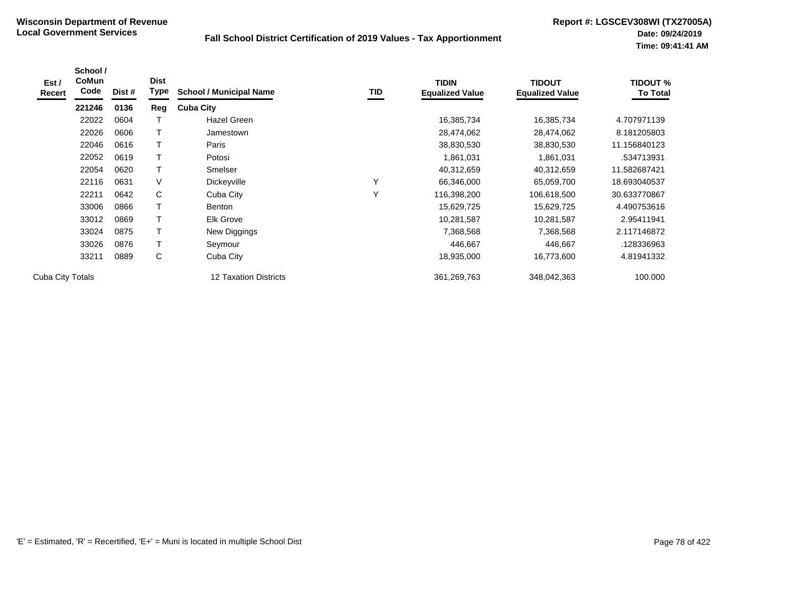| Est /<br>Recert  | School /<br><b>CoMun</b><br>Code | Dist # | <b>Dist</b><br><b>Type</b> | <b>School / Municipal Name</b> | TID          | <b>TIDIN</b><br><b>Equalized Value</b> | <b>TIDOUT</b><br><b>Equalized Value</b> | <b>TIDOUT %</b><br><b>To Total</b> |
|------------------|----------------------------------|--------|----------------------------|--------------------------------|--------------|----------------------------------------|-----------------------------------------|------------------------------------|
|                  | 221246                           | 0136   | Reg                        | <b>Cuba City</b>               |              |                                        |                                         |                                    |
|                  | 22022                            | 0604   |                            | Hazel Green                    |              | 16,385,734                             | 16,385,734                              | 4.707971139                        |
|                  | 22026                            | 0606   | т                          | Jamestown                      |              | 28,474,062                             | 28,474,062                              | 8.181205803                        |
|                  | 22046                            | 0616   | т                          | Paris                          |              | 38,830,530                             | 38,830,530                              | 11.156840123                       |
|                  | 22052                            | 0619   |                            | Potosi                         |              | 1,861,031                              | 1,861,031                               | .534713931                         |
|                  | 22054                            | 0620   |                            | Smelser                        |              | 40,312,659                             | 40,312,659                              | 11.582687421                       |
|                  | 22116                            | 0631   | V                          | Dickeyville                    | $\checkmark$ | 66,346,000                             | 65,059,700                              | 18.693040537                       |
|                  | 22211                            | 0642   | C                          | Cuba City                      | $\checkmark$ | 116,398,200                            | 106,618,500                             | 30.633770867                       |
|                  | 33006                            | 0866   |                            | Benton                         |              | 15,629,725                             | 15,629,725                              | 4.490753616                        |
|                  | 33012                            | 0869   |                            | Elk Grove                      |              | 10,281,587                             | 10,281,587                              | 2.95411941                         |
|                  | 33024                            | 0875   |                            | New Diggings                   |              | 7,368,568                              | 7,368,568                               | 2.117146872                        |
|                  | 33026                            | 0876   | т                          | Seymour                        |              | 446,667                                | 446,667                                 | .128336963                         |
|                  | 33211                            | 0889   | С                          | Cuba City                      |              | 18,935,000                             | 16,773,600                              | 4.81941332                         |
| Cuba City Totals |                                  |        |                            | <b>12 Taxation Districts</b>   |              | 361,269,763                            | 348,042,363                             | 100.000                            |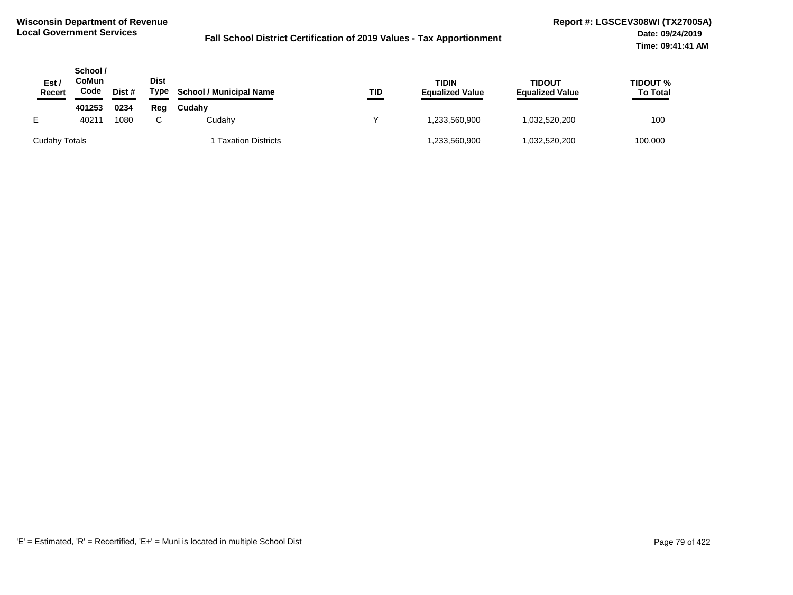| Est,<br>Recert | School /<br>CoMun<br>Code | Dist # | <b>Dist</b><br>Type | <b>School / Municipal Name</b> | TID | <b>TIDIN</b><br><b>Equalized Value</b> | TIDOUT<br><b>Equalized Value</b> | <b>TIDOUT %</b><br><b>To Total</b> |
|----------------|---------------------------|--------|---------------------|--------------------------------|-----|----------------------------------------|----------------------------------|------------------------------------|
|                | 401253                    | 0234   | Reg                 | Cudahy                         |     |                                        |                                  |                                    |
|                | 40211                     | 1080   |                     | Cudahy                         | v   | .233,560,900                           | 032,520,200                      | 100                                |
| Cudahy Totals  |                           |        |                     | <b>Taxation Districts</b>      |     | .233,560,900                           | 032,520,200                      | 100.000                            |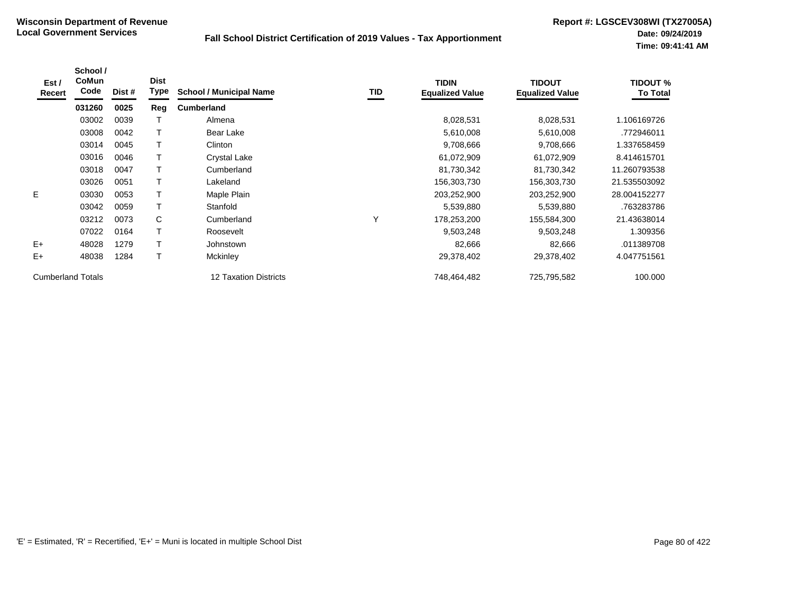| Est /<br>Recert          | School /<br><b>CoMun</b><br>Code | Dist # | <b>Dist</b><br><b>Type</b> | <b>School / Municipal Name</b> | TID | <b>TIDIN</b><br><b>Equalized Value</b> | <b>TIDOUT</b><br><b>Equalized Value</b> | <b>TIDOUT %</b><br><b>To Total</b> |
|--------------------------|----------------------------------|--------|----------------------------|--------------------------------|-----|----------------------------------------|-----------------------------------------|------------------------------------|
|                          | 031260                           | 0025   | Reg                        | <b>Cumberland</b>              |     |                                        |                                         |                                    |
|                          | 03002                            | 0039   |                            | Almena                         |     | 8,028,531                              | 8,028,531                               | 1.106169726                        |
|                          | 03008                            | 0042   |                            | Bear Lake                      |     | 5,610,008                              | 5,610,008                               | .772946011                         |
|                          | 03014                            | 0045   |                            | Clinton                        |     | 9,708,666                              | 9,708,666                               | 1.337658459                        |
|                          | 03016                            | 0046   |                            | Crystal Lake                   |     | 61,072,909                             | 61,072,909                              | 8.414615701                        |
|                          | 03018                            | 0047   |                            | Cumberland                     |     | 81,730,342                             | 81,730,342                              | 11.260793538                       |
|                          | 03026                            | 0051   |                            | Lakeland                       |     | 156,303,730                            | 156,303,730                             | 21.535503092                       |
| E                        | 03030                            | 0053   | Τ                          | Maple Plain                    |     | 203,252,900                            | 203,252,900                             | 28.004152277                       |
|                          | 03042                            | 0059   | т                          | Stanfold                       |     | 5,539,880                              | 5,539,880                               | .763283786                         |
|                          | 03212                            | 0073   | $\mathsf{C}$               | Cumberland                     | Υ   | 178,253,200                            | 155,584,300                             | 21.43638014                        |
|                          | 07022                            | 0164   | Т                          | Roosevelt                      |     | 9,503,248                              | 9,503,248                               | 1.309356                           |
| $E+$                     | 48028                            | 1279   |                            | Johnstown                      |     | 82,666                                 | 82,666                                  | .011389708                         |
| E+                       | 48038                            | 1284   |                            | Mckinley                       |     | 29,378,402                             | 29,378,402                              | 4.047751561                        |
| <b>Cumberland Totals</b> |                                  |        |                            | 12 Taxation Districts          |     | 748,464,482                            | 725,795,582                             | 100.000                            |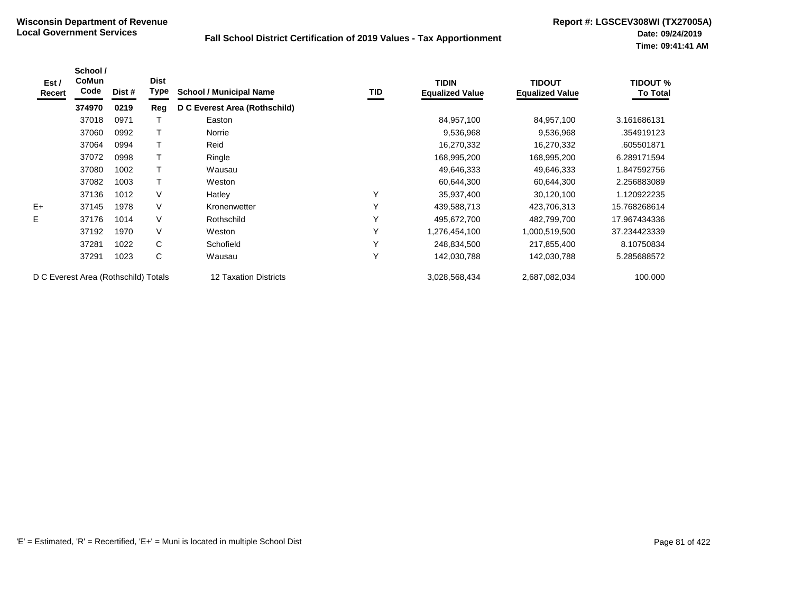| Est /<br>Recert                      | School /<br><b>CoMun</b><br>Code | Dist # | <b>Dist</b><br><b>Type</b> | <b>School / Municipal Name</b> | TID | <b>TIDIN</b><br><b>Equalized Value</b> | <b>TIDOUT</b><br><b>Equalized Value</b> | <b>TIDOUT %</b><br><b>To Total</b> |
|--------------------------------------|----------------------------------|--------|----------------------------|--------------------------------|-----|----------------------------------------|-----------------------------------------|------------------------------------|
|                                      | 374970                           | 0219   | Reg                        | D C Everest Area (Rothschild)  |     |                                        |                                         |                                    |
|                                      | 37018                            | 0971   |                            | Easton                         |     | 84,957,100                             | 84,957,100                              | 3.161686131                        |
|                                      | 37060                            | 0992   |                            | Norrie                         |     | 9,536,968                              | 9,536,968                               | .354919123                         |
|                                      | 37064                            | 0994   |                            | Reid                           |     | 16,270,332                             | 16,270,332                              | .605501871                         |
|                                      | 37072                            | 0998   |                            | Ringle                         |     | 168,995,200                            | 168,995,200                             | 6.289171594                        |
|                                      | 37080                            | 1002   | Τ                          | Wausau                         |     | 49,646,333                             | 49,646,333                              | 1.847592756                        |
|                                      | 37082                            | 1003   | T                          | Weston                         |     | 60,644,300                             | 60,644,300                              | 2.256883089                        |
|                                      | 37136                            | 1012   | $\vee$                     | Hatley                         | Υ   | 35,937,400                             | 30,120,100                              | 1.120922235                        |
| $E+$                                 | 37145                            | 1978   | $\vee$                     | Kronenwetter                   | Υ   | 439,588,713                            | 423,706,313                             | 15.768268614                       |
| E                                    | 37176                            | 1014   | $\vee$                     | Rothschild                     | Y   | 495,672,700                            | 482,799,700                             | 17.967434336                       |
|                                      | 37192                            | 1970   | $\vee$                     | Weston                         | Y   | 1,276,454,100                          | 1,000,519,500                           | 37.234423339                       |
|                                      | 37281                            | 1022   | C                          | Schofield                      | Y   | 248,834,500                            | 217,855,400                             | 8.10750834                         |
|                                      | 37291                            | 1023   | C                          | Wausau                         | Y   | 142,030,788                            | 142,030,788                             | 5.285688572                        |
| D C Everest Area (Rothschild) Totals |                                  |        |                            | 12 Taxation Districts          |     | 3,028,568,434                          | 2,687,082,034                           | 100.000                            |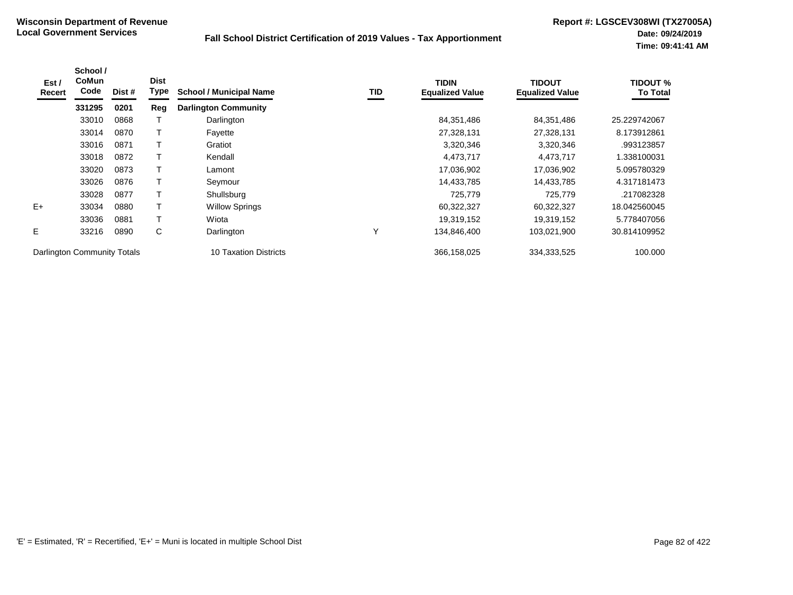| Est /<br>Recert             | School /<br><b>CoMun</b><br>Code | Dist # | <b>Dist</b><br><b>Type</b> | <b>School / Municipal Name</b> | TID | <b>TIDIN</b><br><b>Equalized Value</b> | <b>TIDOUT</b><br><b>Equalized Value</b> | <b>TIDOUT %</b><br><b>To Total</b> |
|-----------------------------|----------------------------------|--------|----------------------------|--------------------------------|-----|----------------------------------------|-----------------------------------------|------------------------------------|
|                             | 331295                           | 0201   | Reg                        | <b>Darlington Community</b>    |     |                                        |                                         |                                    |
|                             | 33010                            | 0868   |                            | Darlington                     |     | 84,351,486                             | 84,351,486                              | 25.229742067                       |
|                             | 33014                            | 0870   |                            | Fayette                        |     | 27,328,131                             | 27,328,131                              | 8.173912861                        |
|                             | 33016                            | 0871   |                            | Gratiot                        |     | 3,320,346                              | 3,320,346                               | .993123857                         |
|                             | 33018                            | 0872   |                            | Kendall                        |     | 4,473,717                              | 4,473,717                               | 1.338100031                        |
|                             | 33020                            | 0873   |                            | Lamont                         |     | 17,036,902                             | 17,036,902                              | 5.095780329                        |
|                             | 33026                            | 0876   |                            | Seymour                        |     | 14,433,785                             | 14,433,785                              | 4.317181473                        |
|                             | 33028                            | 0877   |                            | Shullsburg                     |     | 725,779                                | 725,779                                 | .217082328                         |
| $E+$                        | 33034                            | 0880   |                            | <b>Willow Springs</b>          |     | 60,322,327                             | 60,322,327                              | 18.042560045                       |
|                             | 33036                            | 0881   |                            | Wiota                          |     | 19,319,152                             | 19,319,152                              | 5.778407056                        |
| E                           | 33216                            | 0890   | C                          | Darlington                     | Υ   | 134,846,400                            | 103,021,900                             | 30.814109952                       |
| Darlington Community Totals |                                  |        |                            | 10 Taxation Districts          |     | 366,158,025                            | 334,333,525                             | 100.000                            |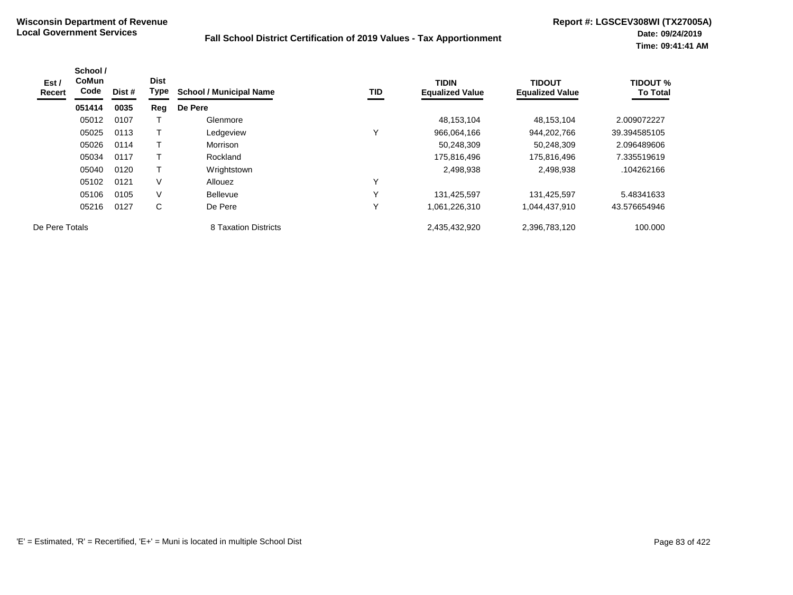| Est /<br>Recert | School /<br><b>CoMun</b><br>Code | Dist # | <b>Dist</b><br>Type | <b>School / Municipal Name</b> | TID | <b>TIDIN</b><br><b>Equalized Value</b> | <b>TIDOUT</b><br><b>Equalized Value</b> | <b>TIDOUT %</b><br><b>To Total</b> |
|-----------------|----------------------------------|--------|---------------------|--------------------------------|-----|----------------------------------------|-----------------------------------------|------------------------------------|
|                 | 051414                           | 0035   | Reg                 | De Pere                        |     |                                        |                                         |                                    |
|                 | 05012                            | 0107   |                     | Glenmore                       |     | 48,153,104                             | 48,153,104                              | 2.009072227                        |
|                 | 05025                            | 0113   | T                   | Ledgeview                      |     | 966,064,166                            | 944,202,766                             | 39.394585105                       |
|                 | 05026                            | 0114   | Т                   | Morrison                       |     | 50,248,309                             | 50,248,309                              | 2.096489606                        |
|                 | 05034                            | 0117   | Т                   | Rockland                       |     | 175,816,496                            | 175,816,496                             | 7.335519619                        |
|                 | 05040                            | 0120   | $\mathsf{T}$        | Wrightstown                    |     | 2,498,938                              | 2,498,938                               | .104262166                         |
|                 | 05102                            | 0121   | V                   | Allouez                        |     |                                        |                                         |                                    |
|                 | 05106                            | 0105   | $\vee$              | <b>Bellevue</b>                |     | 131,425,597                            | 131,425,597                             | 5.48341633                         |
|                 | 05216                            | 0127   | C                   | De Pere                        |     | 1,061,226,310                          | 1,044,437,910                           | 43.576654946                       |
| De Pere Totals  |                                  |        |                     | 8 Taxation Districts           |     | 2,435,432,920                          | 2,396,783,120                           | 100.000                            |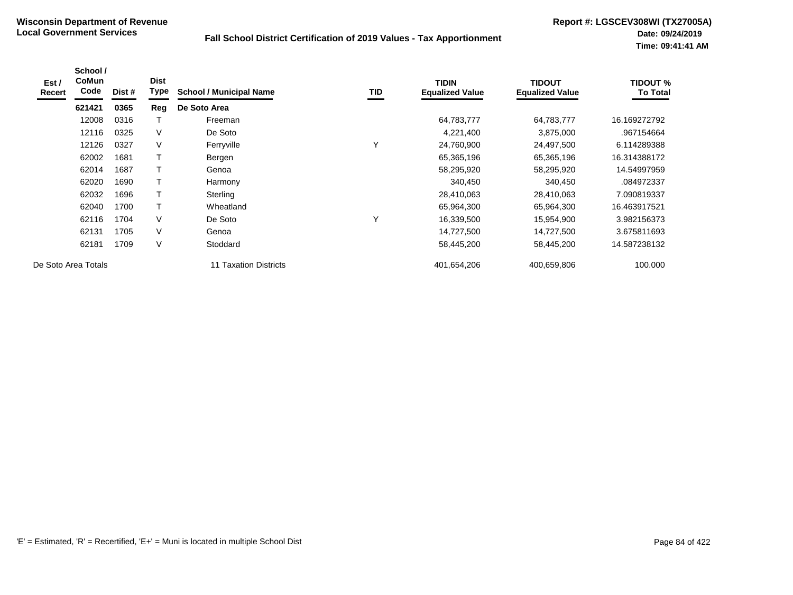| Est /<br>Recert | School /<br><b>CoMun</b><br>Code | Dist # | <b>Dist</b><br>Type | <b>School / Municipal Name</b> | <b>TID</b> | <b>TIDIN</b><br><b>Equalized Value</b> | <b>TIDOUT</b><br><b>Equalized Value</b> | <b>TIDOUT %</b><br><b>To Total</b> |
|-----------------|----------------------------------|--------|---------------------|--------------------------------|------------|----------------------------------------|-----------------------------------------|------------------------------------|
|                 | 621421                           | 0365   | Reg                 | De Soto Area                   |            |                                        |                                         |                                    |
|                 | 12008                            | 0316   |                     | Freeman                        |            | 64,783,777                             | 64,783,777                              | 16.169272792                       |
|                 | 12116                            | 0325   | V                   | De Soto                        |            | 4,221,400                              | 3,875,000                               | .967154664                         |
|                 | 12126                            | 0327   | $\vee$              | Ferryville                     | Υ          | 24,760,900                             | 24,497,500                              | 6.114289388                        |
|                 | 62002                            | 1681   | Т                   | Bergen                         |            | 65,365,196                             | 65,365,196                              | 16.314388172                       |
|                 | 62014                            | 1687   | Т                   | Genoa                          |            | 58,295,920                             | 58,295,920                              | 14.54997959                        |
|                 | 62020                            | 1690   | Т                   | Harmony                        |            | 340,450                                | 340,450                                 | .084972337                         |
|                 | 62032                            | 1696   | Т                   | Sterling                       |            | 28,410,063                             | 28,410,063                              | 7.090819337                        |
|                 | 62040                            | 1700   |                     | Wheatland                      |            | 65,964,300                             | 65,964,300                              | 16.463917521                       |
|                 | 62116                            | 1704   | $\vee$              | De Soto                        | Υ          | 16,339,500                             | 15,954,900                              | 3.982156373                        |
|                 | 62131                            | 1705   | $\vee$              | Genoa                          |            | 14,727,500                             | 14,727,500                              | 3.675811693                        |
|                 | 62181                            | 1709   | $\vee$              | Stoddard                       |            | 58,445,200                             | 58,445,200                              | 14.587238132                       |
|                 | De Soto Area Totals              |        |                     | 11 Taxation Districts          |            | 401,654,206                            | 400,659,806                             | 100.000                            |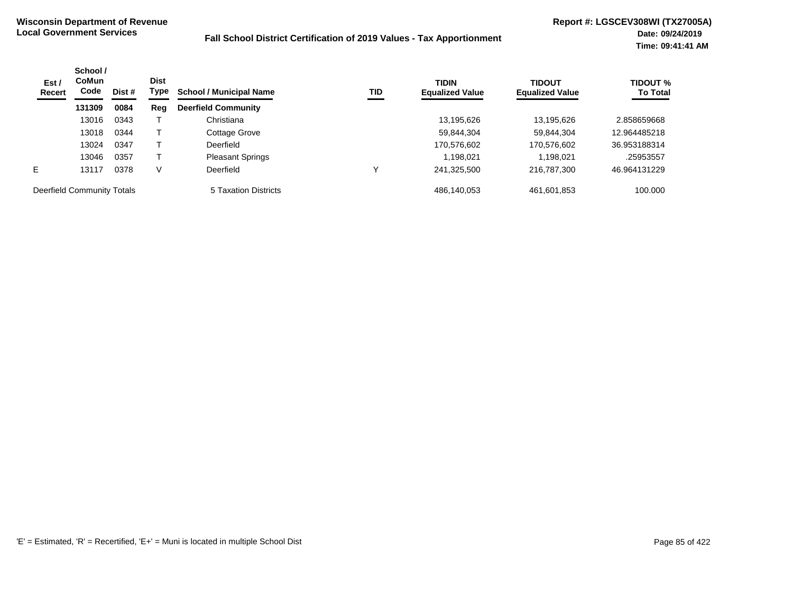| Est /<br><b>Recert</b>     | School /<br><b>CoMun</b><br>Code | Dist # | <b>Dist</b><br>Type | <b>School / Municipal Name</b> | TID | <b>TIDIN</b><br><b>Equalized Value</b> | <b>TIDOUT</b><br><b>Equalized Value</b> | <b>TIDOUT %</b><br><b>To Total</b> |
|----------------------------|----------------------------------|--------|---------------------|--------------------------------|-----|----------------------------------------|-----------------------------------------|------------------------------------|
|                            | 131309                           | 0084   | Reg                 | <b>Deerfield Community</b>     |     |                                        |                                         |                                    |
|                            | 13016                            | 0343   |                     | Christiana                     |     | 13,195,626                             | 13.195.626                              | 2.858659668                        |
|                            | 13018                            | 0344   |                     | Cottage Grove                  |     | 59,844,304                             | 59,844,304                              | 12.964485218                       |
|                            | 13024                            | 0347   |                     | Deerfield                      |     | 170,576,602                            | 170,576,602                             | 36.953188314                       |
|                            | 13046                            | 0357   |                     | <b>Pleasant Springs</b>        |     | 1,198,021                              | 1.198.021                               | .25953557                          |
| E                          | 13117                            | 0378   | V                   | Deerfield                      | ν   | 241,325,500                            | 216,787,300                             | 46.964131229                       |
| Deerfield Community Totals |                                  |        |                     | 5 Taxation Districts           |     | 486,140,053                            | 461,601,853                             | 100.000                            |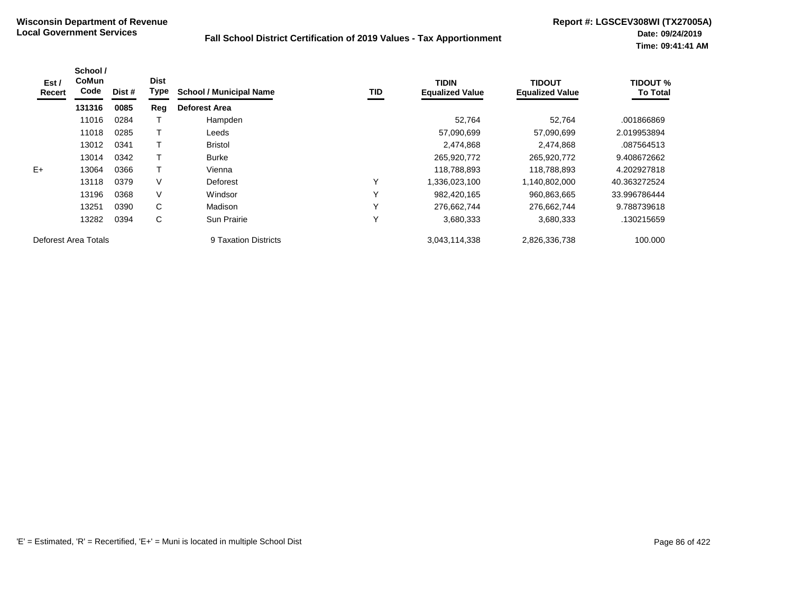| Est /<br>Recert      | School /<br><b>CoMun</b><br>Code | Dist # | <b>Dist</b><br><b>Type</b> | <b>School / Municipal Name</b> | TID          | <b>TIDIN</b><br><b>Equalized Value</b> | <b>TIDOUT</b><br><b>Equalized Value</b> | <b>TIDOUT %</b><br><b>To Total</b> |
|----------------------|----------------------------------|--------|----------------------------|--------------------------------|--------------|----------------------------------------|-----------------------------------------|------------------------------------|
|                      | 131316                           | 0085   | Reg                        | <b>Deforest Area</b>           |              |                                        |                                         |                                    |
|                      | 11016                            | 0284   |                            | Hampden                        |              | 52,764                                 | 52.764                                  | .001866869                         |
|                      | 11018                            | 0285   |                            | Leeds                          |              | 57,090,699                             | 57,090,699                              | 2.019953894                        |
|                      | 13012                            | 0341   |                            | <b>Bristol</b>                 |              | 2,474,868                              | 2,474,868                               | .087564513                         |
|                      | 13014                            | 0342   |                            | <b>Burke</b>                   |              | 265,920,772                            | 265,920,772                             | 9.408672662                        |
| $E+$                 | 13064                            | 0366   |                            | Vienna                         |              | 118,788,893                            | 118,788,893                             | 4.202927818                        |
|                      | 13118                            | 0379   | V                          | Deforest                       | $\checkmark$ | 1,336,023,100                          | 1,140,802,000                           | 40.363272524                       |
|                      | 13196                            | 0368   | V                          | Windsor                        | $\checkmark$ | 982,420,165                            | 960,863,665                             | 33.996786444                       |
|                      | 13251                            | 0390   | C                          | Madison                        | $\checkmark$ | 276,662,744                            | 276,662,744                             | 9.788739618                        |
|                      | 13282                            | 0394   | C                          | Sun Prairie                    | $\checkmark$ | 3,680,333                              | 3,680,333                               | .130215659                         |
| Deforest Area Totals |                                  |        |                            | 9 Taxation Districts           |              | 3,043,114,338                          | 2,826,336,738                           | 100.000                            |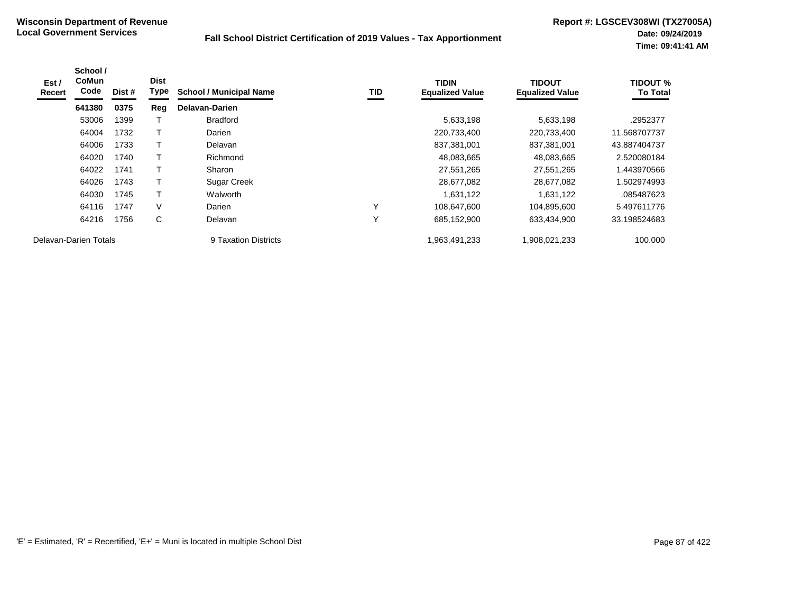| Est /<br>Recert | School /<br>CoMun<br>Code | Dist # | <b>Dist</b><br>Type | <b>School / Municipal Name</b> | TID          | <b>TIDIN</b><br><b>Equalized Value</b> | <b>TIDOUT</b><br><b>Equalized Value</b> | <b>TIDOUT %</b><br><b>To Total</b> |
|-----------------|---------------------------|--------|---------------------|--------------------------------|--------------|----------------------------------------|-----------------------------------------|------------------------------------|
|                 | 641380                    | 0375   | Reg                 | <b>Delavan-Darien</b>          |              |                                        |                                         |                                    |
|                 | 53006                     | 1399   |                     | <b>Bradford</b>                |              | 5,633,198                              | 5,633,198                               | .2952377                           |
|                 | 64004                     | 1732   |                     | Darien                         |              | 220,733,400                            | 220,733,400                             | 11.568707737                       |
|                 | 64006                     | 1733   |                     | Delavan                        |              | 837,381,001                            | 837,381,001                             | 43.887404737                       |
|                 | 64020                     | 1740   |                     | Richmond                       |              | 48,083,665                             | 48,083,665                              | 2.520080184                        |
|                 | 64022                     | 1741   | т                   | Sharon                         |              | 27,551,265                             | 27,551,265                              | 1.443970566                        |
|                 | 64026                     | 1743   |                     | Sugar Creek                    |              | 28,677,082                             | 28,677,082                              | 1.502974993                        |
|                 | 64030                     | 1745   | т                   | Walworth                       |              | 1,631,122                              | 1,631,122                               | .085487623                         |
|                 | 64116                     | 1747   | V                   | Darien                         | $\checkmark$ | 108,647,600                            | 104,895,600                             | 5.497611776                        |
|                 | 64216                     | 1756   | C                   | Delavan                        | $\checkmark$ | 685,152,900                            | 633,434,900                             | 33.198524683                       |
|                 | Delavan-Darien Totals     |        |                     | 9 Taxation Districts           |              | 1,963,491,233                          | 1,908,021,233                           | 100.000                            |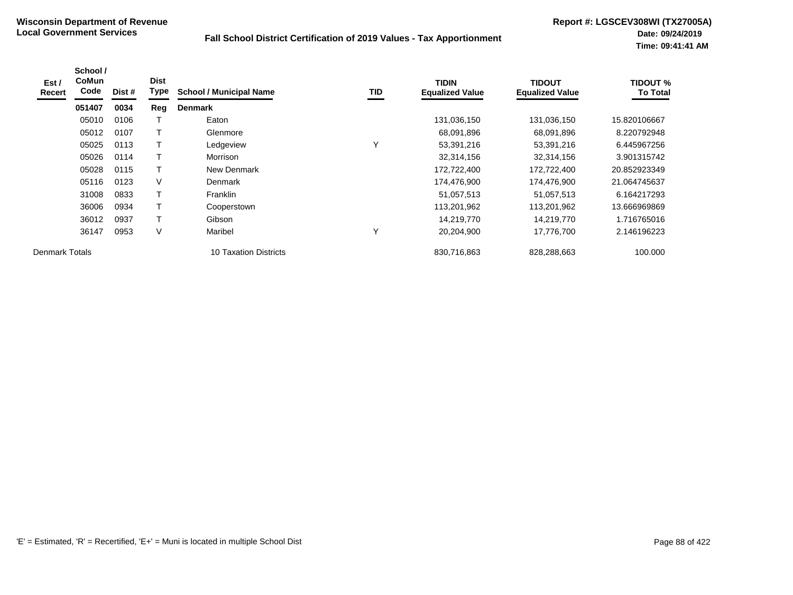| Est /<br><b>Recert</b> | School /<br><b>CoMun</b><br>Code | Dist # | <b>Dist</b><br>Type | <b>School / Municipal Name</b> | TID          | <b>TIDIN</b><br><b>Equalized Value</b> | <b>TIDOUT</b><br><b>Equalized Value</b> | <b>TIDOUT %</b><br><b>To Total</b> |
|------------------------|----------------------------------|--------|---------------------|--------------------------------|--------------|----------------------------------------|-----------------------------------------|------------------------------------|
|                        | 051407                           | 0034   | Reg                 | <b>Denmark</b>                 |              |                                        |                                         |                                    |
|                        | 05010                            | 0106   |                     | Eaton                          |              | 131,036,150                            | 131,036,150                             | 15.820106667                       |
|                        | 05012                            | 0107   |                     | Glenmore                       |              | 68,091,896                             | 68,091,896                              | 8.220792948                        |
|                        | 05025                            | 0113   |                     | Ledgeview                      | $\checkmark$ | 53,391,216                             | 53,391,216                              | 6.445967256                        |
|                        | 05026                            | 0114   |                     | Morrison                       |              | 32,314,156                             | 32,314,156                              | 3.901315742                        |
|                        | 05028                            | 0115   |                     | New Denmark                    |              | 172,722,400                            | 172,722,400                             | 20.852923349                       |
|                        | 05116                            | 0123   | V                   | Denmark                        |              | 174,476,900                            | 174,476,900                             | 21.064745637                       |
|                        | 31008                            | 0833   | T                   | <b>Franklin</b>                |              | 51,057,513                             | 51,057,513                              | 6.164217293                        |
|                        | 36006                            | 0934   |                     | Cooperstown                    |              | 113,201,962                            | 113,201,962                             | 13.666969869                       |
|                        | 36012                            | 0937   |                     | Gibson                         |              | 14,219,770                             | 14,219,770                              | 1.716765016                        |
|                        | 36147                            | 0953   | V                   | Maribel                        | $\checkmark$ | 20,204,900                             | 17,776,700                              | 2.146196223                        |
| <b>Denmark Totals</b>  |                                  |        |                     | <b>10 Taxation Districts</b>   |              | 830,716,863                            | 828,288,663                             | 100.000                            |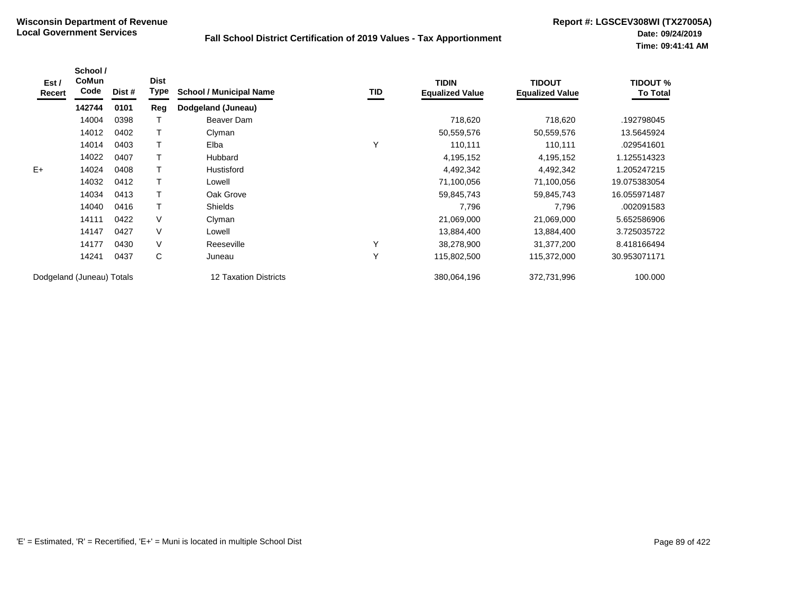| Est /<br>Recert           | School /<br><b>CoMun</b><br>Code | Dist # | <b>Dist</b><br>Type | <b>School / Municipal Name</b> | TID | <b>TIDIN</b><br><b>Equalized Value</b> | <b>TIDOUT</b><br><b>Equalized Value</b> | <b>TIDOUT %</b><br><b>To Total</b> |
|---------------------------|----------------------------------|--------|---------------------|--------------------------------|-----|----------------------------------------|-----------------------------------------|------------------------------------|
|                           | 142744                           | 0101   | Reg                 | Dodgeland (Juneau)             |     |                                        |                                         |                                    |
|                           | 14004                            | 0398   | т                   | Beaver Dam                     |     | 718,620                                | 718,620                                 | .192798045                         |
|                           | 14012                            | 0402   | Τ                   | Clyman                         |     | 50,559,576                             | 50,559,576                              | 13.5645924                         |
|                           | 14014                            | 0403   | т                   | Elba                           | Υ   | 110,111                                | 110,111                                 | .029541601                         |
|                           | 14022                            | 0407   | T                   | Hubbard                        |     | 4,195,152                              | 4,195,152                               | 1.125514323                        |
| $E+$                      | 14024                            | 0408   | $\mathsf{T}$        | Hustisford                     |     | 4,492,342                              | 4,492,342                               | 1.205247215                        |
|                           | 14032                            | 0412   | T                   | Lowell                         |     | 71,100,056                             | 71,100,056                              | 19.075383054                       |
|                           | 14034                            | 0413   | T                   | Oak Grove                      |     | 59,845,743                             | 59,845,743                              | 16.055971487                       |
|                           | 14040                            | 0416   | $\mathsf{T}$        | <b>Shields</b>                 |     | 7,796                                  | 7,796                                   | .002091583                         |
|                           | 14111                            | 0422   | V                   | Clyman                         |     | 21,069,000                             | 21,069,000                              | 5.652586906                        |
|                           | 14147                            | 0427   | V                   | Lowell                         |     | 13,884,400                             | 13,884,400                              | 3.725035722                        |
|                           | 14177                            | 0430   | V                   | Reeseville                     | Υ   | 38,278,900                             | 31,377,200                              | 8.418166494                        |
|                           | 14241                            | 0437   | C                   | Juneau                         | Y   | 115,802,500                            | 115,372,000                             | 30.953071171                       |
| Dodgeland (Juneau) Totals |                                  |        |                     | <b>12 Taxation Districts</b>   |     | 380,064,196                            | 372,731,996                             | 100.000                            |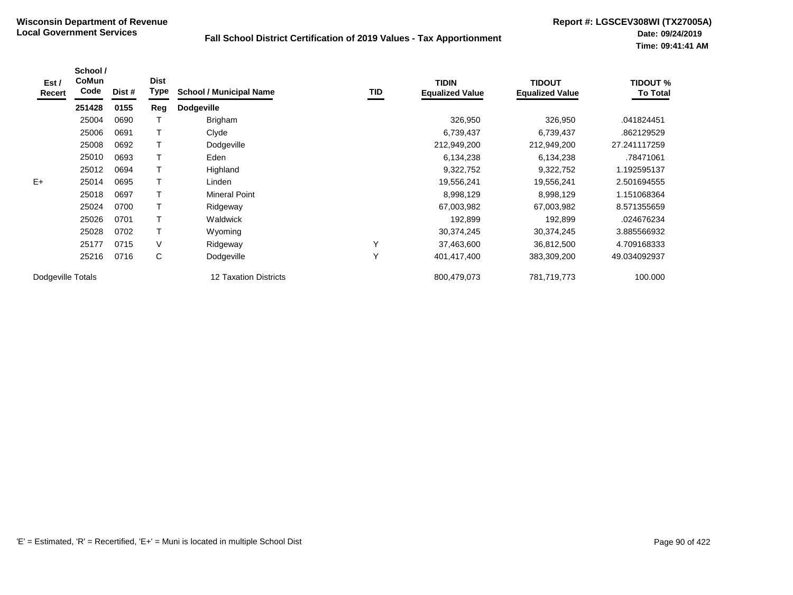| Est /<br>Recert   | School /<br><b>CoMun</b><br>Code | Dist # | <b>Dist</b><br><b>Type</b> | <b>School / Municipal Name</b> | <b>TID</b> | <b>TIDIN</b><br><b>Equalized Value</b> | <b>TIDOUT</b><br><b>Equalized Value</b> | <b>TIDOUT %</b><br><b>To Total</b> |
|-------------------|----------------------------------|--------|----------------------------|--------------------------------|------------|----------------------------------------|-----------------------------------------|------------------------------------|
|                   | 251428                           | 0155   | Reg                        | <b>Dodgeville</b>              |            |                                        |                                         |                                    |
|                   | 25004                            | 0690   |                            | Brigham                        |            | 326,950                                | 326,950                                 | .041824451                         |
|                   | 25006                            | 0691   |                            | Clyde                          |            | 6,739,437                              | 6,739,437                               | .862129529                         |
|                   | 25008                            | 0692   |                            | Dodgeville                     |            | 212,949,200                            | 212,949,200                             | 27.241117259                       |
|                   | 25010                            | 0693   |                            | Eden                           |            | 6,134,238                              | 6,134,238                               | .78471061                          |
|                   | 25012                            | 0694   |                            | Highland                       |            | 9,322,752                              | 9,322,752                               | 1.192595137                        |
| $E+$              | 25014                            | 0695   |                            | Linden                         |            | 19,556,241                             | 19,556,241                              | 2.501694555                        |
|                   | 25018                            | 0697   |                            | <b>Mineral Point</b>           |            | 8,998,129                              | 8,998,129                               | 1.151068364                        |
|                   | 25024                            | 0700   |                            | Ridgeway                       |            | 67,003,982                             | 67,003,982                              | 8.571355659                        |
|                   | 25026                            | 0701   | T                          | Waldwick                       |            | 192.899                                | 192,899                                 | .024676234                         |
|                   | 25028                            | 0702   | T                          | Wyoming                        |            | 30,374,245                             | 30,374,245                              | 3.885566932                        |
|                   | 25177                            | 0715   | V                          | Ridgeway                       | Υ          | 37,463,600                             | 36,812,500                              | 4.709168333                        |
|                   | 25216                            | 0716   | $\mathsf{C}$               | Dodgeville                     | Υ          | 401,417,400                            | 383,309,200                             | 49.034092937                       |
| Dodgeville Totals |                                  |        |                            | <b>12 Taxation Districts</b>   |            | 800,479,073                            | 781,719,773                             | 100.000                            |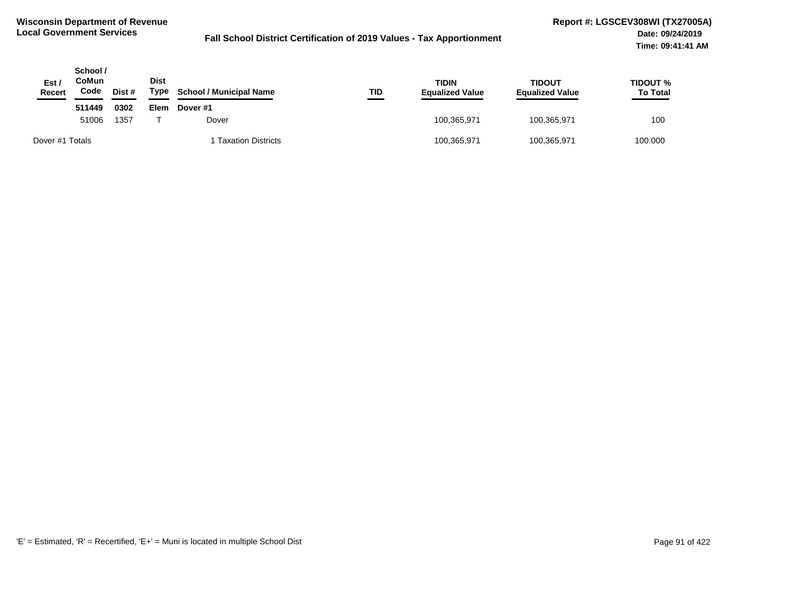| Est /<br>Recert | School /<br>CoMun<br>Code | Dist # | <b>Dist</b><br>Type | <b>School / Municipal Name</b> | TID | TIDIN<br><b>Equalized Value</b> | TIDOUT<br><b>Equalized Value</b> | TIDOUT %<br><b>To Total</b> |
|-----------------|---------------------------|--------|---------------------|--------------------------------|-----|---------------------------------|----------------------------------|-----------------------------|
|                 | 511449                    | 0302   | Elem                | Dover #1                       |     |                                 |                                  |                             |
|                 | 1357<br>51006             |        |                     | Dover                          |     | 100,365,971                     | 100,365,971                      | 100                         |
| Dover #1 Totals |                           |        |                     | 1 Taxation Districts           |     | 100,365,971                     | 100,365,971                      | 100.000                     |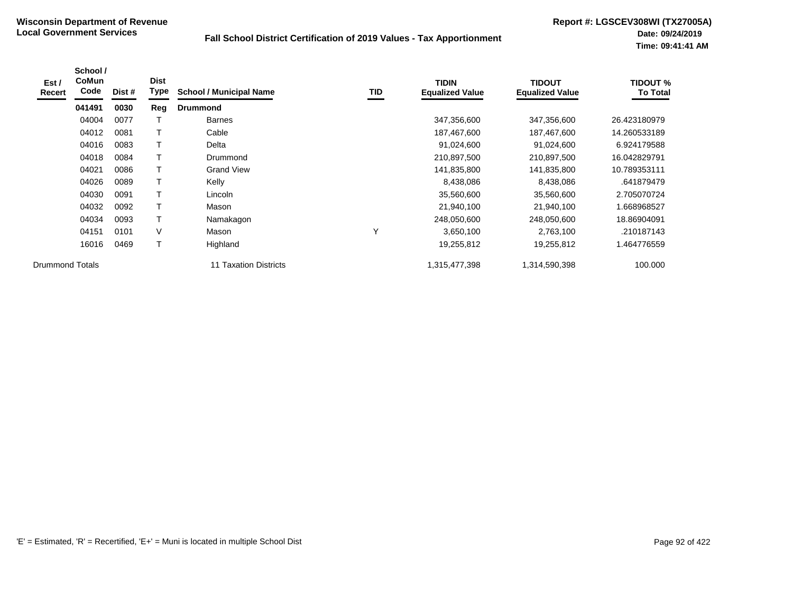| Est /<br><b>Recert</b> | School /<br><b>CoMun</b><br>Code | Dist # | <b>Dist</b><br>Type | <b>School / Municipal Name</b> | TID          | <b>TIDIN</b><br><b>Equalized Value</b> | <b>TIDOUT</b><br><b>Equalized Value</b> | <b>TIDOUT %</b><br><b>To Total</b> |
|------------------------|----------------------------------|--------|---------------------|--------------------------------|--------------|----------------------------------------|-----------------------------------------|------------------------------------|
|                        | 041491                           | 0030   | Reg                 | <b>Drummond</b>                |              |                                        |                                         |                                    |
|                        | 04004                            | 0077   |                     | <b>Barnes</b>                  |              | 347,356,600                            | 347,356,600                             | 26.423180979                       |
|                        | 04012                            | 0081   |                     | Cable                          |              | 187,467,600                            | 187,467,600                             | 14.260533189                       |
|                        | 04016                            | 0083   | T                   | Delta                          |              | 91,024,600                             | 91,024,600                              | 6.924179588                        |
|                        | 04018                            | 0084   |                     | Drummond                       |              | 210,897,500                            | 210,897,500                             | 16.042829791                       |
|                        | 04021                            | 0086   |                     | <b>Grand View</b>              |              | 141,835,800                            | 141,835,800                             | 10.789353111                       |
|                        | 04026                            | 0089   |                     | Kelly                          |              | 8,438,086                              | 8,438,086                               | .641879479                         |
|                        | 04030                            | 0091   | T                   | Lincoln                        |              | 35,560,600                             | 35,560,600                              | 2.705070724                        |
|                        | 04032                            | 0092   |                     | Mason                          |              | 21,940,100                             | 21,940,100                              | 1.668968527                        |
|                        | 04034                            | 0093   | T                   | Namakagon                      |              | 248,050,600                            | 248,050,600                             | 18.86904091                        |
|                        | 04151                            | 0101   | V                   | Mason                          | $\checkmark$ | 3,650,100                              | 2,763,100                               | .210187143                         |
|                        | 16016                            | 0469   | T                   | Highland                       |              | 19,255,812                             | 19,255,812                              | 1.464776559                        |
| <b>Drummond Totals</b> |                                  |        |                     | 11 Taxation Districts          |              | 1,315,477,398                          | 1,314,590,398                           | 100.000                            |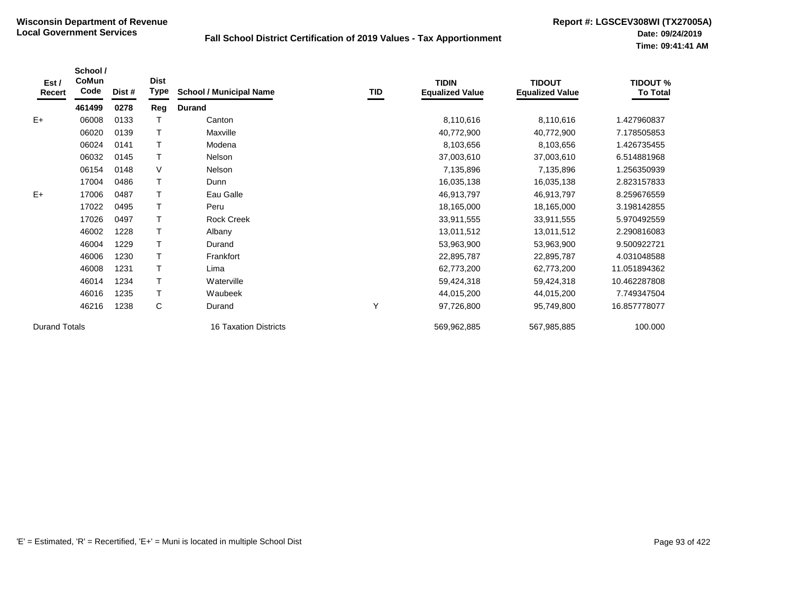| Est /<br>Recert      | School /<br>CoMun<br>Code | Dist # | <b>Dist</b><br><b>Type</b> | <b>School / Municipal Name</b> | TID | <b>TIDIN</b><br><b>Equalized Value</b> | <b>TIDOUT</b><br><b>Equalized Value</b> | <b>TIDOUT %</b><br><b>To Total</b> |
|----------------------|---------------------------|--------|----------------------------|--------------------------------|-----|----------------------------------------|-----------------------------------------|------------------------------------|
|                      | 461499                    | 0278   | Reg                        | <b>Durand</b>                  |     |                                        |                                         |                                    |
| $E+$                 | 06008                     | 0133   |                            | Canton                         |     | 8,110,616                              | 8,110,616                               | 1.427960837                        |
|                      | 06020                     | 0139   | T                          | Maxville                       |     | 40,772,900                             | 40,772,900                              | 7.178505853                        |
|                      | 06024                     | 0141   |                            | Modena                         |     | 8,103,656                              | 8,103,656                               | 1.426735455                        |
|                      | 06032                     | 0145   |                            | Nelson                         |     | 37,003,610                             | 37,003,610                              | 6.514881968                        |
|                      | 06154                     | 0148   | V                          | Nelson                         |     | 7,135,896                              | 7,135,896                               | 1.256350939                        |
|                      | 17004                     | 0486   | т                          | Dunn                           |     | 16,035,138                             | 16,035,138                              | 2.823157833                        |
| $E+$                 | 17006                     | 0487   | т                          | Eau Galle                      |     | 46,913,797                             | 46,913,797                              | 8.259676559                        |
|                      | 17022                     | 0495   |                            | Peru                           |     | 18,165,000                             | 18,165,000                              | 3.198142855                        |
|                      | 17026                     | 0497   | T                          | <b>Rock Creek</b>              |     | 33,911,555                             | 33,911,555                              | 5.970492559                        |
|                      | 46002                     | 1228   | T                          | Albany                         |     | 13,011,512                             | 13,011,512                              | 2.290816083                        |
|                      | 46004                     | 1229   |                            | Durand                         |     | 53,963,900                             | 53,963,900                              | 9.500922721                        |
|                      | 46006                     | 1230   |                            | Frankfort                      |     | 22,895,787                             | 22,895,787                              | 4.031048588                        |
|                      | 46008                     | 1231   | T                          | Lima                           |     | 62,773,200                             | 62,773,200                              | 11.051894362                       |
|                      | 46014                     | 1234   | т                          | Waterville                     |     | 59,424,318                             | 59,424,318                              | 10.462287808                       |
|                      | 46016                     | 1235   |                            | Waubeek                        |     | 44,015,200                             | 44,015,200                              | 7.749347504                        |
|                      | 46216                     | 1238   | C                          | Durand                         | Y   | 97,726,800                             | 95,749,800                              | 16.857778077                       |
| <b>Durand Totals</b> |                           |        |                            | <b>16 Taxation Districts</b>   |     | 569,962,885                            | 567,985,885                             | 100.000                            |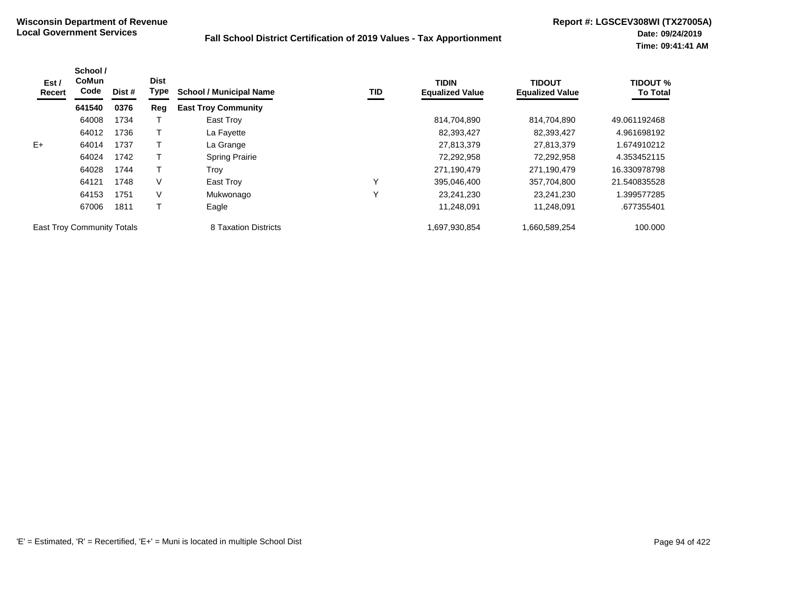| Est /<br>Recert                   | School /<br><b>CoMun</b><br>Code | Dist # | <b>Dist</b><br>Type | <b>School / Municipal Name</b> | TID | <b>TIDIN</b><br><b>Equalized Value</b> | <b>TIDOUT</b><br><b>Equalized Value</b> | <b>TIDOUT %</b><br><b>To Total</b> |
|-----------------------------------|----------------------------------|--------|---------------------|--------------------------------|-----|----------------------------------------|-----------------------------------------|------------------------------------|
|                                   | 641540                           | 0376   | Reg                 | <b>East Troy Community</b>     |     |                                        |                                         |                                    |
|                                   | 64008                            | 1734   |                     | East Troy                      |     | 814,704,890                            | 814,704,890                             | 49.061192468                       |
|                                   | 64012                            | 1736   |                     | La Fayette                     |     | 82,393,427                             | 82,393,427                              | 4.961698192                        |
| $E+$                              | 64014                            | 1737   |                     | La Grange                      |     | 27,813,379                             | 27,813,379                              | 1.674910212                        |
|                                   | 64024                            | 1742   |                     | <b>Spring Prairie</b>          |     | 72,292,958                             | 72,292,958                              | 4.353452115                        |
|                                   | 64028                            | 1744   |                     | Trov                           |     | 271,190,479                            | 271,190,479                             | 16.330978798                       |
|                                   | 64121                            | 1748   | V                   | East Troy                      | Υ   | 395,046,400                            | 357,704,800                             | 21.540835528                       |
|                                   | 64153                            | 1751   | V                   | Mukwonago                      | ٧   | 23.241.230                             | 23.241.230                              | 1.399577285                        |
|                                   | 67006                            | 1811   |                     | Eagle                          |     | 11,248,091                             | 11,248,091                              | .677355401                         |
| <b>East Troy Community Totals</b> |                                  |        |                     | 8 Taxation Districts           |     | 1,697,930,854                          | 1,660,589,254                           | 100.000                            |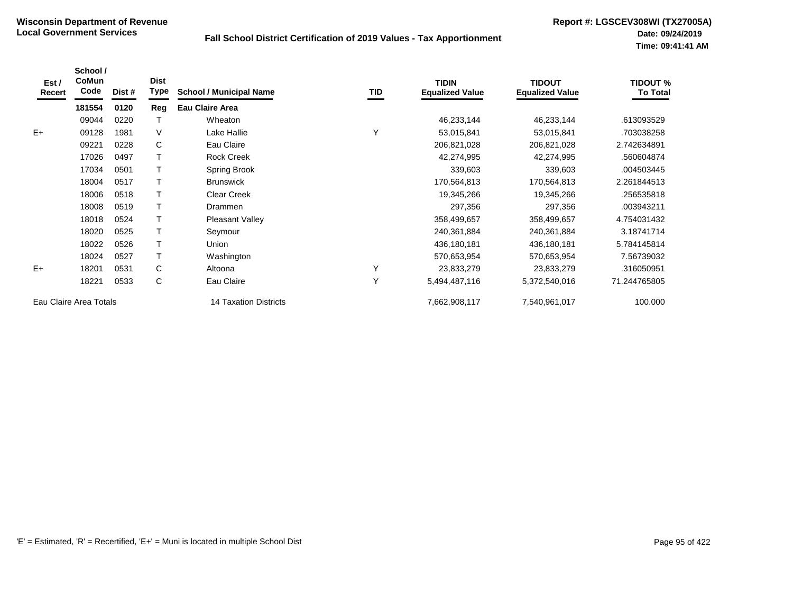| Est /<br>Recert | School /<br>CoMun<br>Code | Dist # | <b>Dist</b><br><b>Type</b> | <b>School / Municipal Name</b> | TID | <b>TIDIN</b><br><b>Equalized Value</b> | <b>TIDOUT</b><br><b>Equalized Value</b> | <b>TIDOUT %</b><br><b>To Total</b> |
|-----------------|---------------------------|--------|----------------------------|--------------------------------|-----|----------------------------------------|-----------------------------------------|------------------------------------|
|                 | 181554                    | 0120   | Reg                        | <b>Eau Claire Area</b>         |     |                                        |                                         |                                    |
|                 | 09044                     | 0220   |                            | Wheaton                        |     | 46,233,144                             | 46,233,144                              | .613093529                         |
| $E+$            | 09128                     | 1981   | V                          | Lake Hallie                    | Υ   | 53,015,841                             | 53,015,841                              | .703038258                         |
|                 | 09221                     | 0228   | C                          | Eau Claire                     |     | 206,821,028                            | 206,821,028                             | 2.742634891                        |
|                 | 17026                     | 0497   |                            | <b>Rock Creek</b>              |     | 42,274,995                             | 42,274,995                              | .560604874                         |
|                 | 17034                     | 0501   |                            | Spring Brook                   |     | 339,603                                | 339,603                                 | .004503445                         |
|                 | 18004                     | 0517   |                            | <b>Brunswick</b>               |     | 170,564,813                            | 170,564,813                             | 2.261844513                        |
|                 | 18006                     | 0518   |                            | <b>Clear Creek</b>             |     | 19,345,266                             | 19,345,266                              | .256535818                         |
|                 | 18008                     | 0519   |                            | Drammen                        |     | 297,356                                | 297,356                                 | .003943211                         |
|                 | 18018                     | 0524   |                            | <b>Pleasant Valley</b>         |     | 358,499,657                            | 358,499,657                             | 4.754031432                        |
|                 | 18020                     | 0525   |                            | Seymour                        |     | 240,361,884                            | 240,361,884                             | 3.18741714                         |
|                 | 18022                     | 0526   |                            | Union                          |     | 436,180,181                            | 436,180,181                             | 5.784145814                        |
|                 | 18024                     | 0527   |                            | Washington                     |     | 570,653,954                            | 570,653,954                             | 7.56739032                         |
| $E+$            | 18201                     | 0531   | C                          | Altoona                        | Υ   | 23,833,279                             | 23,833,279                              | .316050951                         |
|                 | 18221                     | 0533   | С                          | Eau Claire                     | Y   | 5,494,487,116                          | 5,372,540,016                           | 71.244765805                       |
|                 | Eau Claire Area Totals    |        |                            | <b>14 Taxation Districts</b>   |     | 7,662,908,117                          | 7,540,961,017                           | 100.000                            |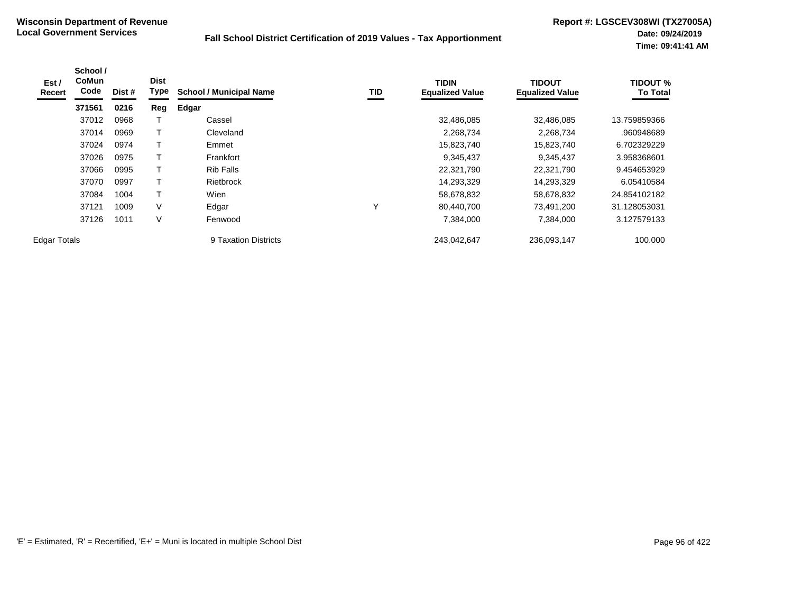| Est/<br>Recert      | School /<br><b>CoMun</b><br>Code | Dist # | <b>Dist</b><br>Type | <b>School / Municipal Name</b> | TID          | <b>TIDIN</b><br><b>Equalized Value</b> | <b>TIDOUT</b><br><b>Equalized Value</b> | <b>TIDOUT %</b><br><b>To Total</b> |
|---------------------|----------------------------------|--------|---------------------|--------------------------------|--------------|----------------------------------------|-----------------------------------------|------------------------------------|
|                     | 371561                           | 0216   | Reg                 | Edgar                          |              |                                        |                                         |                                    |
|                     | 37012                            | 0968   |                     | Cassel                         |              | 32,486,085                             | 32,486,085                              | 13.759859366                       |
|                     | 37014                            | 0969   |                     | Cleveland                      |              | 2,268,734                              | 2,268,734                               | .960948689                         |
|                     | 37024                            | 0974   |                     | Emmet                          |              | 15,823,740                             | 15,823,740                              | 6.702329229                        |
|                     | 37026                            | 0975   |                     | Frankfort                      |              | 9,345,437                              | 9,345,437                               | 3.958368601                        |
|                     | 37066                            | 0995   |                     | <b>Rib Falls</b>               |              | 22,321,790                             | 22,321,790                              | 9.454653929                        |
|                     | 37070                            | 0997   |                     | Rietbrock                      |              | 14,293,329                             | 14,293,329                              | 6.05410584                         |
|                     | 37084                            | 1004   |                     | Wien                           |              | 58,678,832                             | 58,678,832                              | 24.854102182                       |
|                     | 37121                            | 1009   | V                   | Edgar                          | $\checkmark$ | 80,440,700                             | 73,491,200                              | 31.128053031                       |
|                     | 37126                            | 1011   | V                   | Fenwood                        |              | 7,384,000                              | 7,384,000                               | 3.127579133                        |
| <b>Edgar Totals</b> |                                  |        |                     | 9 Taxation Districts           |              | 243,042,647                            | 236,093,147                             | 100.000                            |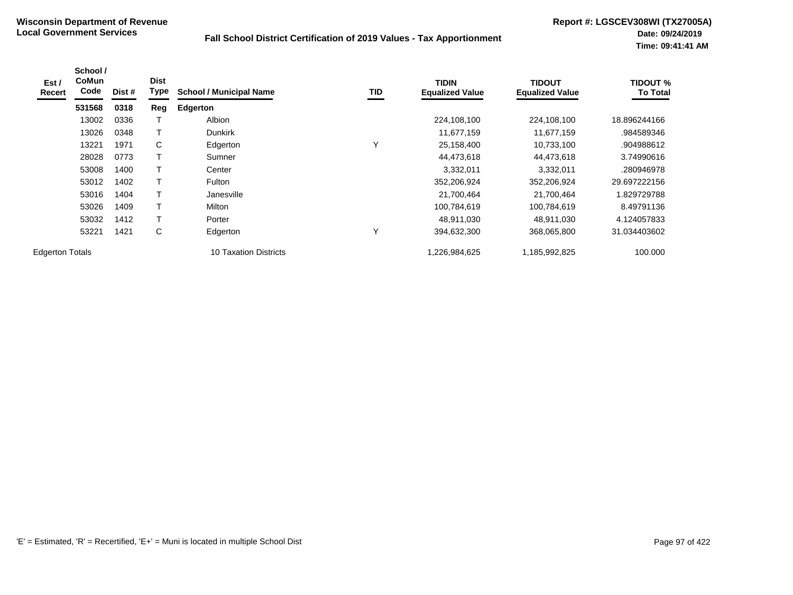| Est /<br>Recert        | School /<br><b>CoMun</b><br>Code | Dist # | <b>Dist</b><br>Type | <b>School / Municipal Name</b> | TID          | <b>TIDIN</b><br><b>Equalized Value</b> | TIDOUT<br><b>Equalized Value</b> | <b>TIDOUT %</b><br><b>To Total</b> |
|------------------------|----------------------------------|--------|---------------------|--------------------------------|--------------|----------------------------------------|----------------------------------|------------------------------------|
|                        | 531568                           | 0318   | Reg                 | <b>Edgerton</b>                |              |                                        |                                  |                                    |
|                        | 13002                            | 0336   |                     | Albion                         |              | 224,108,100                            | 224,108,100                      | 18.896244166                       |
|                        | 13026                            | 0348   |                     | <b>Dunkirk</b>                 |              | 11,677,159                             | 11,677,159                       | .984589346                         |
|                        | 13221                            | 1971   | C                   | Edgerton                       |              | 25,158,400                             | 10,733,100                       | .904988612                         |
|                        | 28028                            | 0773   |                     | Sumner                         |              | 44,473,618                             | 44,473,618                       | 3.74990616                         |
|                        | 53008                            | 1400   | T                   | Center                         |              | 3,332,011                              | 3,332,011                        | .280946978                         |
|                        | 53012                            | 1402   | T                   | Fulton                         |              | 352,206,924                            | 352,206,924                      | 29.697222156                       |
|                        | 53016                            | 1404   | T                   | Janesville                     |              | 21,700,464                             | 21,700,464                       | 1.829729788                        |
|                        | 53026                            | 1409   | T                   | Milton                         |              | 100,784,619                            | 100,784,619                      | 8.49791136                         |
|                        | 53032                            | 1412   | Т                   | Porter                         |              | 48,911,030                             | 48,911,030                       | 4.124057833                        |
|                        | 53221                            | 1421   | С                   | Edgerton                       | $\checkmark$ | 394,632,300                            | 368,065,800                      | 31.034403602                       |
| <b>Edgerton Totals</b> |                                  |        |                     | <b>10 Taxation Districts</b>   |              | 226,984,625,                           | 1,185,992,825                    | 100.000                            |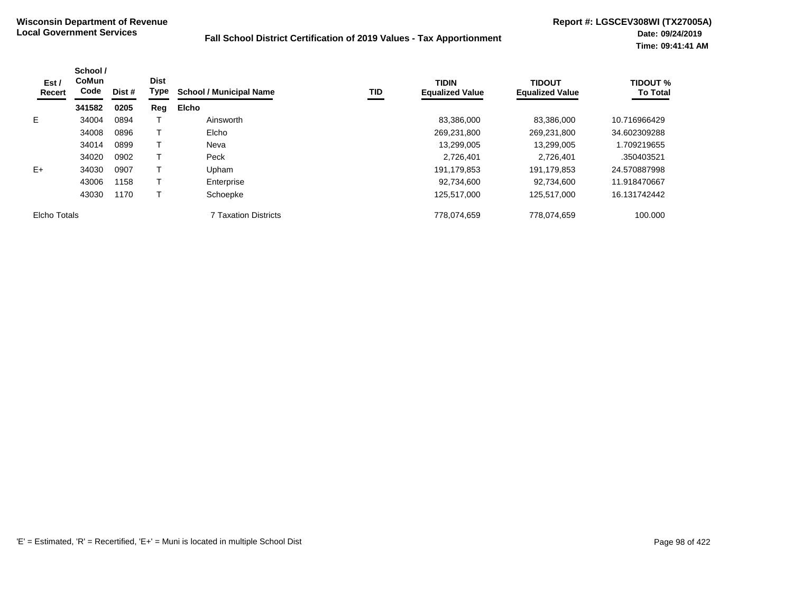| Est /<br>Recert | School /<br><b>CoMun</b><br>Code | Dist # | <b>Dist</b><br>Type | <b>School / Municipal Name</b> | TID | <b>TIDIN</b><br><b>Equalized Value</b> | <b>TIDOUT</b><br><b>Equalized Value</b> | <b>TIDOUT %</b><br><b>To Total</b> |
|-----------------|----------------------------------|--------|---------------------|--------------------------------|-----|----------------------------------------|-----------------------------------------|------------------------------------|
|                 | 341582                           | 0205   | Reg                 | <b>Elcho</b>                   |     |                                        |                                         |                                    |
| E.              | 34004                            | 0894   |                     | Ainsworth                      |     | 83,386,000                             | 83,386,000                              | 10.716966429                       |
|                 | 34008                            | 0896   |                     | Elcho                          |     | 269,231,800                            | 269,231,800                             | 34.602309288                       |
|                 | 34014                            | 0899   |                     | Neva                           |     | 13,299,005                             | 13,299,005                              | 1.709219655                        |
|                 | 34020                            | 0902   |                     | Peck                           |     | 2,726,401                              | 2.726.401                               | .350403521                         |
| $E+$            | 34030                            | 0907   |                     | Upham                          |     | 191,179,853                            | 191,179,853                             | 24.570887998                       |
|                 | 43006                            | 1158   |                     | Enterprise                     |     | 92,734,600                             | 92.734.600                              | 11.918470667                       |
|                 | 43030                            | 1170   |                     | Schoepke                       |     | 125,517,000                            | 125,517,000                             | 16.131742442                       |
| Elcho Totals    |                                  |        |                     | <b>7 Taxation Districts</b>    |     | 778,074,659                            | 778,074,659                             | 100.000                            |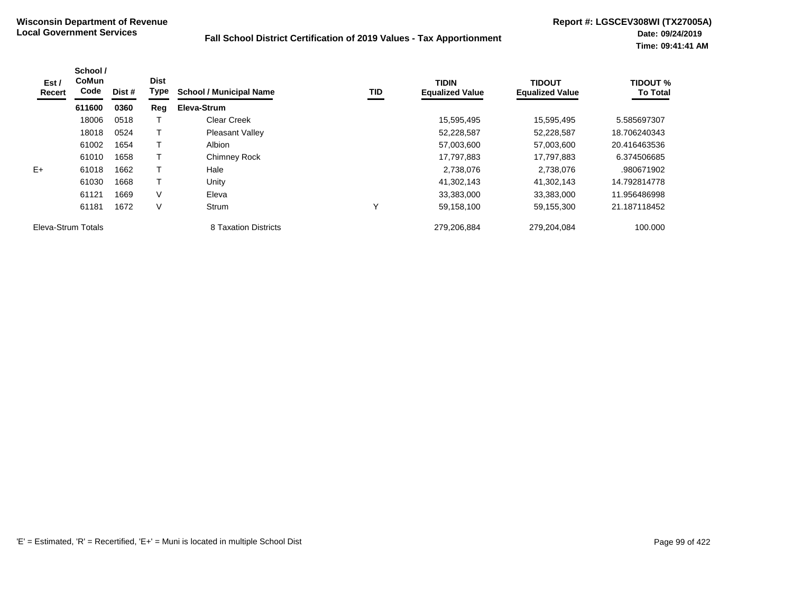| Est /<br>Recert    | School /<br><b>CoMun</b><br>Code | Dist # | <b>Dist</b><br>Type | <b>School / Municipal Name</b> | TID | <b>TIDIN</b><br><b>Equalized Value</b> | <b>TIDOUT</b><br><b>Equalized Value</b> | <b>TIDOUT %</b><br><b>To Total</b> |
|--------------------|----------------------------------|--------|---------------------|--------------------------------|-----|----------------------------------------|-----------------------------------------|------------------------------------|
|                    | 611600                           | 0360   | Reg                 | Eleva-Strum                    |     |                                        |                                         |                                    |
|                    | 18006                            | 0518   |                     | <b>Clear Creek</b>             |     | 15,595,495                             | 15,595,495                              | 5.585697307                        |
|                    | 18018                            | 0524   |                     | <b>Pleasant Valley</b>         |     | 52,228,587                             | 52,228,587                              | 18.706240343                       |
|                    | 61002                            | 1654   |                     | <b>Albion</b>                  |     | 57,003,600                             | 57,003,600                              | 20.416463536                       |
|                    | 61010                            | 1658   |                     | <b>Chimney Rock</b>            |     | 17,797,883                             | 17,797,883                              | 6.374506685                        |
| $E+$               | 61018                            | 1662   |                     | Hale                           |     | 2,738,076                              | 2,738,076                               | .980671902                         |
|                    | 61030                            | 1668   |                     | Unity                          |     | 41,302,143                             | 41,302,143                              | 14.792814778                       |
|                    | 61121                            | 1669   | V                   | Eleva                          |     | 33,383,000                             | 33,383,000                              | 11.956486998                       |
|                    | 61181                            | 1672   | V                   | Strum                          | Y   | 59,158,100                             | 59,155,300                              | 21.187118452                       |
| Eleva-Strum Totals |                                  |        |                     | 8 Taxation Districts           |     | 279,206,884                            | 279.204.084                             | 100.000                            |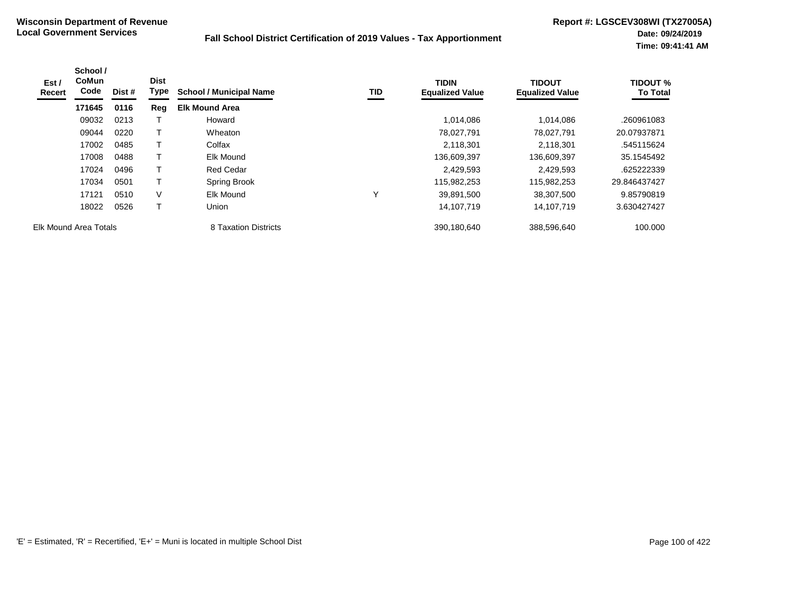| Est /<br>Recert | School /<br><b>CoMun</b><br>Code | Dist # | <b>Dist</b><br>Type | <b>School / Municipal Name</b> | TID          | <b>TIDIN</b><br><b>Equalized Value</b> | <b>TIDOUT</b><br><b>Equalized Value</b> | <b>TIDOUT %</b><br><b>To Total</b> |
|-----------------|----------------------------------|--------|---------------------|--------------------------------|--------------|----------------------------------------|-----------------------------------------|------------------------------------|
|                 | 171645                           | 0116   | Reg                 | <b>Elk Mound Area</b>          |              |                                        |                                         |                                    |
|                 | 09032                            | 0213   |                     | Howard                         |              | 1,014,086                              | 1.014.086                               | .260961083                         |
|                 | 09044                            | 0220   | т                   | Wheaton                        |              | 78,027,791                             | 78.027.791                              | 20.07937871                        |
|                 | 17002                            | 0485   | т                   | Colfax                         |              | 2,118,301                              | 2,118,301                               | .545115624                         |
|                 | 17008                            | 0488   | т                   | Elk Mound                      |              | 136,609,397                            | 136,609,397                             | 35.1545492                         |
|                 | 17024                            | 0496   | т                   | <b>Red Cedar</b>               |              | 2,429,593                              | 2,429,593                               | .625222339                         |
|                 | 17034                            | 0501   | т                   | Spring Brook                   |              | 115,982,253                            | 115,982,253                             | 29.846437427                       |
|                 | 17121                            | 0510   | $\vee$              | Elk Mound                      | $\checkmark$ | 39,891,500                             | 38,307,500                              | 9.85790819                         |
|                 | 18022                            | 0526   | т                   | Union                          |              | 14,107,719                             | 14,107,719                              | 3.630427427                        |
|                 | Elk Mound Area Totals            |        |                     | 8 Taxation Districts           |              | 390,180,640                            | 388,596,640                             | 100.000                            |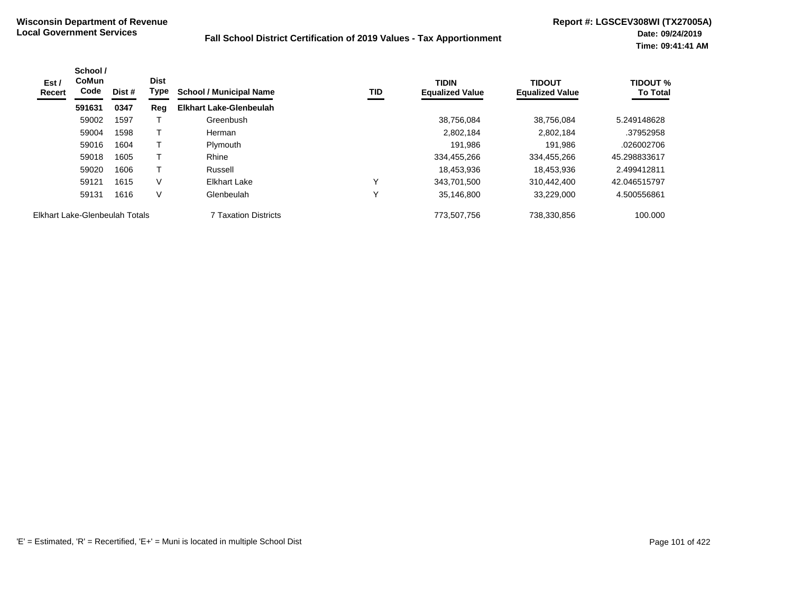| Est /<br>Recert | School /<br><b>CoMun</b><br>Code | Dist # | <b>Dist</b><br>Type | <b>School / Municipal Name</b> | TID | <b>TIDIN</b><br><b>Equalized Value</b> | <b>TIDOUT</b><br><b>Equalized Value</b> | <b>TIDOUT %</b><br><b>To Total</b> |
|-----------------|----------------------------------|--------|---------------------|--------------------------------|-----|----------------------------------------|-----------------------------------------|------------------------------------|
|                 | 591631                           | 0347   | Reg                 | <b>Elkhart Lake-Glenbeulah</b> |     |                                        |                                         |                                    |
|                 | 59002                            | 1597   |                     | Greenbush                      |     | 38,756,084                             | 38.756.084                              | 5.249148628                        |
|                 | 59004                            | 1598   |                     | Herman                         |     | 2,802,184                              | 2.802.184                               | .37952958                          |
|                 | 59016                            | 1604   |                     | Plymouth                       |     | 191,986                                | 191,986                                 | .026002706                         |
|                 | 59018                            | 1605   |                     | Rhine                          |     | 334,455,266                            | 334,455,266                             | 45.298833617                       |
|                 | 59020                            | 1606   |                     | Russell                        |     | 18,453,936                             | 18.453.936                              | 2.499412811                        |
|                 | 59121                            | 1615   | V                   | Elkhart Lake                   | v   | 343.701.500                            | 310.442.400                             | 42.046515797                       |
|                 | 59131                            | 1616   | V                   | Glenbeulah                     | Υ   | 35,146,800                             | 33,229,000                              | 4.500556861                        |
|                 | Elkhart Lake-Glenbeulah Totals   |        |                     | 7 Taxation Districts           |     | 773,507,756                            | 738,330,856                             | 100.000                            |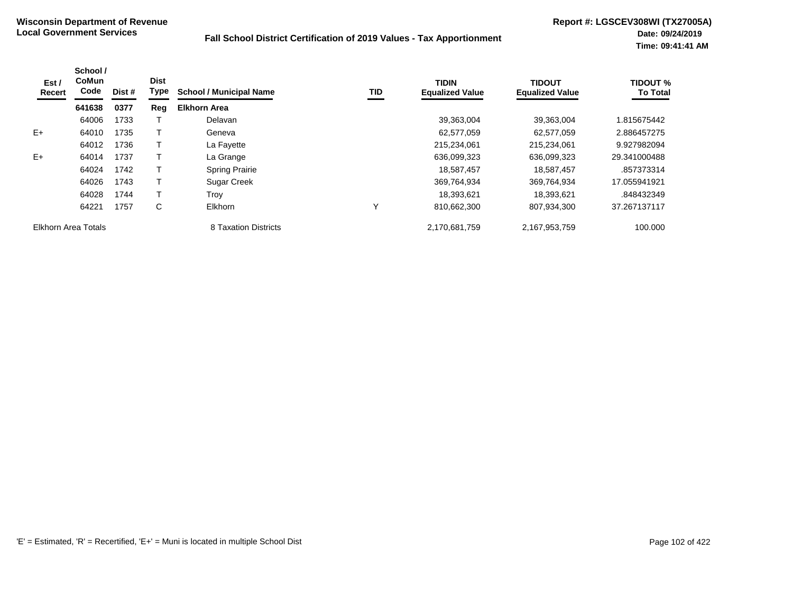| Est /<br>Recert     | School /<br><b>CoMun</b><br>Code | Dist # | <b>Dist</b><br><b>Type</b> | <b>School / Municipal Name</b> | TID | <b>TIDIN</b><br><b>Equalized Value</b> | <b>TIDOUT</b><br><b>Equalized Value</b> | <b>TIDOUT %</b><br><b>To Total</b> |
|---------------------|----------------------------------|--------|----------------------------|--------------------------------|-----|----------------------------------------|-----------------------------------------|------------------------------------|
|                     | 641638                           | 0377   | Reg                        | <b>Elkhorn Area</b>            |     |                                        |                                         |                                    |
|                     | 64006                            | 1733   |                            | Delavan                        |     | 39,363,004                             | 39,363,004                              | 1.815675442                        |
| $E+$                | 64010                            | 1735   |                            | Geneva                         |     | 62,577,059                             | 62,577,059                              | 2.886457275                        |
|                     | 64012                            | 1736   |                            | La Fayette                     |     | 215,234,061                            | 215,234,061                             | 9.927982094                        |
| $E+$                | 64014                            | 1737   |                            | La Grange                      |     | 636,099,323                            | 636,099,323                             | 29.341000488                       |
|                     | 64024                            | 1742   |                            | <b>Spring Prairie</b>          |     | 18.587.457                             | 18,587,457                              | .857373314                         |
|                     | 64026                            | 1743   |                            | <b>Sugar Creek</b>             |     | 369,764,934                            | 369,764,934                             | 17.055941921                       |
|                     | 64028                            | 1744   |                            | Trov                           |     | 18,393,621                             | 18,393,621                              | .848432349                         |
|                     | 64221                            | 1757   | С                          | Elkhorn                        | Υ   | 810.662.300                            | 807,934,300                             | 37.267137117                       |
| Elkhorn Area Totals |                                  |        |                            | 8 Taxation Districts           |     | 2,170,681,759                          | 2,167,953,759                           | 100.000                            |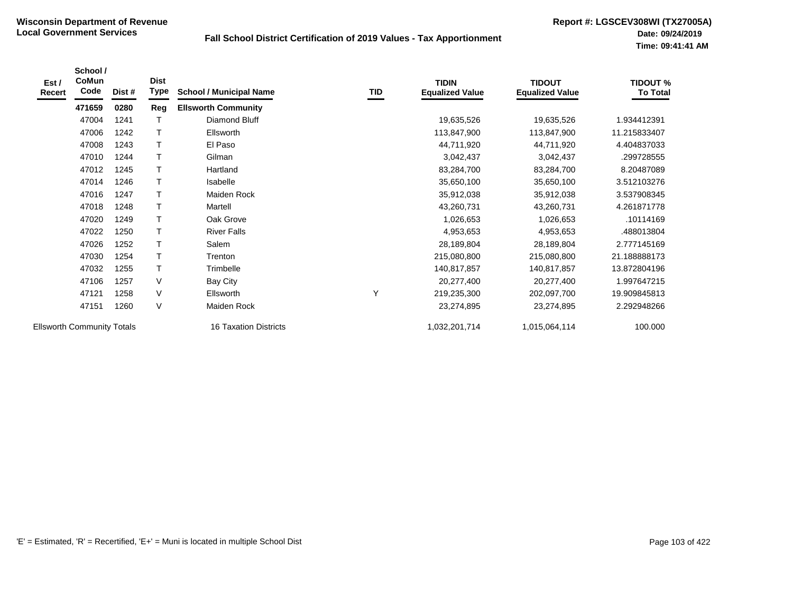| Est /<br>Recert                                                   | School /<br>CoMun<br>Code | Dist # | <b>Dist</b><br>Type | <b>School / Municipal Name</b> | TID           | <b>TIDIN</b><br><b>Equalized Value</b> | <b>TIDOUT</b><br><b>Equalized Value</b> | <b>TIDOUT %</b><br><b>To Total</b> |
|-------------------------------------------------------------------|---------------------------|--------|---------------------|--------------------------------|---------------|----------------------------------------|-----------------------------------------|------------------------------------|
|                                                                   | 471659                    | 0280   | Reg                 | <b>Ellsworth Community</b>     |               |                                        |                                         |                                    |
|                                                                   | 47004                     | 1241   | Т                   | Diamond Bluff                  |               | 19,635,526                             | 19,635,526                              | 1.934412391                        |
|                                                                   | 47006                     | 1242   | T                   | Ellsworth                      |               | 113,847,900                            | 113,847,900                             | 11.215833407                       |
|                                                                   | 47008                     | 1243   | $\mathsf T$         | El Paso                        |               | 44,711,920                             | 44,711,920                              | 4.404837033                        |
|                                                                   | 47010                     | 1244   | $\top$              | Gilman                         |               | 3,042,437                              | 3,042,437                               | .299728555                         |
|                                                                   | 47012                     | 1245   | $\mathsf{T}$        | Hartland                       |               | 83,284,700                             | 83,284,700                              | 8.20487089                         |
|                                                                   | 47014                     | 1246   | $\mathsf T$         | Isabelle                       |               | 35,650,100                             | 35,650,100                              | 3.512103276                        |
|                                                                   | 47016                     | 1247   | $\mathsf{T}$        | Maiden Rock                    |               | 35,912,038                             | 35,912,038                              | 3.537908345                        |
|                                                                   | 47018                     | 1248   | $\mathsf{T}$        | Martell                        |               | 43,260,731                             | 43,260,731                              | 4.261871778                        |
|                                                                   | 47020                     | 1249   | $\mathsf T$         | Oak Grove                      |               | 1,026,653                              | 1,026,653                               | .10114169                          |
|                                                                   | 47022                     | 1250   | $\mathsf T$         | <b>River Falls</b>             |               | 4,953,653                              | 4,953,653                               | .488013804                         |
|                                                                   | 47026                     | 1252   | $\mathsf T$         | Salem                          |               | 28,189,804                             | 28,189,804                              | 2.777145169                        |
|                                                                   | 47030                     | 1254   | $\mathsf{T}$        | Trenton                        |               | 215,080,800                            | 215,080,800                             | 21.188888173                       |
|                                                                   | 47032                     | 1255   | $\mathsf T$         | Trimbelle                      |               | 140,817,857                            | 140,817,857                             | 13.872804196                       |
|                                                                   | 47106                     | 1257   | $\vee$              | <b>Bay City</b>                |               | 20,277,400                             | 20,277,400                              | 1.997647215                        |
|                                                                   | 47121                     | 1258   | $\vee$              | Ellsworth                      | Υ             | 219,235,300                            | 202,097,700                             | 19.909845813                       |
|                                                                   | 47151                     | 1260   | $\vee$              | Maiden Rock                    |               | 23,274,895                             | 23,274,895                              | 2.292948266                        |
| <b>Ellsworth Community Totals</b><br><b>16 Taxation Districts</b> |                           |        |                     |                                | 1,032,201,714 | 1,015,064,114                          | 100.000                                 |                                    |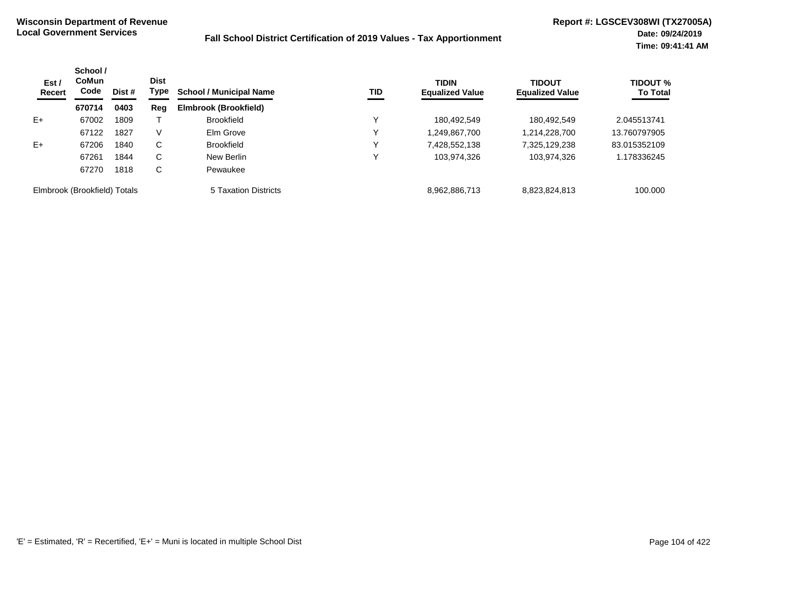| Est /<br>Recert              | School /<br>CoMun<br>Code<br>Dist # | <b>Dist</b><br>Type | <b>School / Municipal Name</b><br>TID | <b>TIDIN</b><br><b>Equalized Value</b> | <b>TIDOUT</b><br><b>Equalized Value</b> | <b>TIDOUT %</b><br><b>To Total</b> |               |              |
|------------------------------|-------------------------------------|---------------------|---------------------------------------|----------------------------------------|-----------------------------------------|------------------------------------|---------------|--------------|
|                              | 670714                              | 0403                | Reg                                   | Elmbrook (Brookfield)                  |                                         |                                    |               |              |
| $E+$                         | 67002                               | 1809                |                                       | <b>Brookfield</b>                      |                                         | 180.492.549                        | 180.492.549   | 2.045513741  |
|                              | 67122                               | 1827                | V                                     | Elm Grove                              |                                         | ,249,867,700                       | 1,214,228,700 | 13.760797905 |
| $E+$                         | 67206                               | 1840                | C                                     | <b>Brookfield</b>                      | v                                       | 7,428,552,138                      | 7,325,129,238 | 83.015352109 |
|                              | 67261                               | 1844                | C                                     | New Berlin                             |                                         | 103,974,326                        | 103,974,326   | 1.178336245  |
|                              | 67270                               | 1818                | C                                     | Pewaukee                               |                                         |                                    |               |              |
| Elmbrook (Brookfield) Totals |                                     |                     |                                       | 5 Taxation Districts                   |                                         | 8,962,886,713                      | 8,823,824,813 | 100.000      |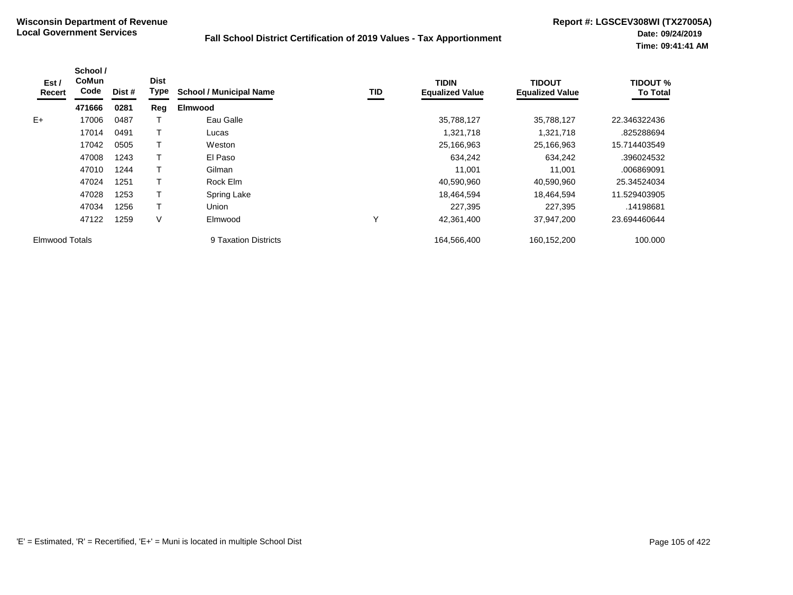| Est /<br>Recert       | School /<br><b>CoMun</b><br>Code | Dist # | <b>Dist</b><br>Type | <b>School / Municipal Name</b> | <b>TID</b> | <b>TIDIN</b><br><b>Equalized Value</b> | <b>TIDOUT</b><br><b>Equalized Value</b> | <b>TIDOUT %</b><br><b>To Total</b> |
|-----------------------|----------------------------------|--------|---------------------|--------------------------------|------------|----------------------------------------|-----------------------------------------|------------------------------------|
|                       | 471666                           | 0281   | Reg                 | <b>Elmwood</b>                 |            |                                        |                                         |                                    |
| $E+$                  | 17006                            | 0487   |                     | Eau Galle                      |            | 35,788,127                             | 35,788,127                              | 22.346322436                       |
|                       | 17014                            | 0491   |                     | Lucas                          |            | 1,321,718                              | 1,321,718                               | .825288694                         |
|                       | 17042                            | 0505   |                     | Weston                         |            | 25,166,963                             | 25,166,963                              | 15.714403549                       |
|                       | 47008                            | 1243   |                     | El Paso                        |            | 634,242                                | 634,242                                 | .396024532                         |
|                       | 47010                            | 1244   |                     | Gilman                         |            | 11,001                                 | 11,001                                  | .006869091                         |
|                       | 47024                            | 1251   |                     | Rock Elm                       |            | 40,590,960                             | 40,590,960                              | 25.34524034                        |
|                       | 47028                            | 1253   |                     | Spring Lake                    |            | 18,464,594                             | 18,464,594                              | 11.529403905                       |
|                       | 47034                            | 1256   |                     | Union                          |            | 227,395                                | 227,395                                 | .14198681                          |
|                       | 47122                            | 1259   | ٧                   | Elmwood                        | Υ          | 42,361,400                             | 37,947,200                              | 23.694460644                       |
| <b>Elmwood Totals</b> |                                  |        |                     | 9 Taxation Districts           |            | 164,566,400                            | 160,152,200                             | 100.000                            |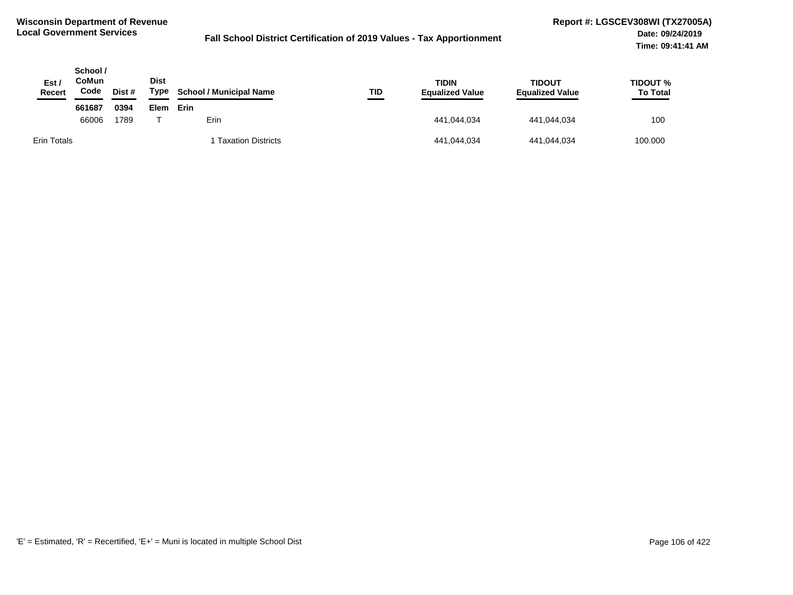| Est/<br><b>Recert</b> | School /<br>CoMun<br>Code | Dist # | <b>Dist</b><br>Type | <b>School / Municipal Name</b> | TID<br>$\sim$ | <b>TIDIN</b><br><b>Equalized Value</b> | <b>TIDOUT</b><br><b>Equalized Value</b> | <b>TIDOUT %</b><br><b>To Total</b> |
|-----------------------|---------------------------|--------|---------------------|--------------------------------|---------------|----------------------------------------|-----------------------------------------|------------------------------------|
|                       | 661687                    | 0394   | <b>Elem</b>         | Erin                           |               |                                        |                                         |                                    |
|                       | 66006                     | 1789   |                     | Erin                           |               | 441,044,034                            | 441.044.034                             | 100                                |
| <b>Erin Totals</b>    |                           |        |                     | <b>Taxation Districts</b>      |               | 441,044,034                            | 441,044,034                             | 100.000                            |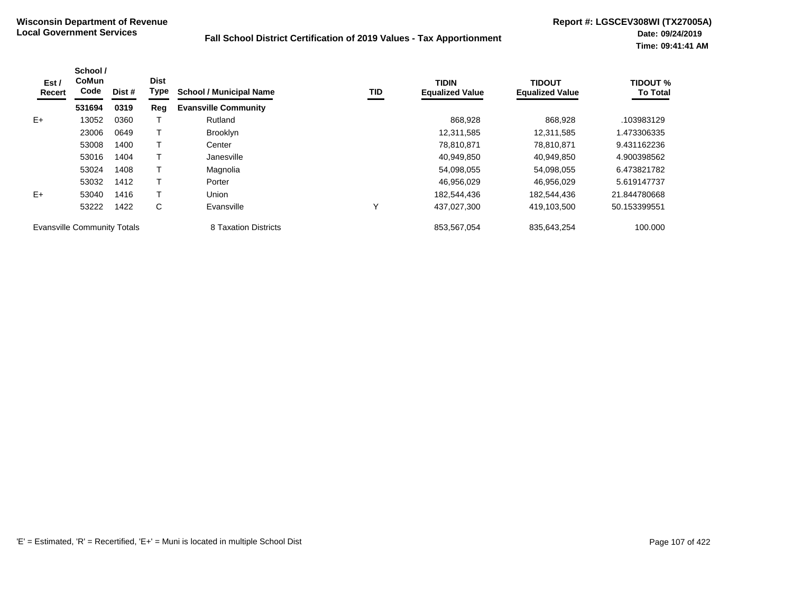| Est /<br>Recert                    | School /<br><b>CoMun</b><br>Code | Dist # | <b>Dist</b><br><b>Type</b> | <b>School / Municipal Name</b> | TID | <b>TIDIN</b><br><b>Equalized Value</b> | <b>TIDOUT</b><br><b>Equalized Value</b> | <b>TIDOUT %</b><br><b>To Total</b> |
|------------------------------------|----------------------------------|--------|----------------------------|--------------------------------|-----|----------------------------------------|-----------------------------------------|------------------------------------|
|                                    | 531694                           | 0319   | Reg                        | <b>Evansville Community</b>    |     |                                        |                                         |                                    |
| $E+$                               | 13052                            | 0360   |                            | Rutland                        |     | 868,928                                | 868,928                                 | .103983129                         |
|                                    | 23006                            | 0649   |                            | <b>Brooklyn</b>                |     | 12,311,585                             | 12,311,585                              | 1.473306335                        |
|                                    | 53008                            | 1400   |                            | Center                         |     | 78.810.871                             | 78.810.871                              | 9.431162236                        |
|                                    | 53016                            | 1404   |                            | Janesville                     |     | 40,949,850                             | 40,949,850                              | 4.900398562                        |
|                                    | 53024                            | 1408   |                            | Magnolia                       |     | 54,098,055                             | 54,098,055                              | 6.473821782                        |
|                                    | 53032                            | 1412   |                            | Porter                         |     | 46,956,029                             | 46.956.029                              | 5.619147737                        |
| $E+$                               | 53040                            | 1416   |                            | Union                          |     | 182.544.436                            | 182.544.436                             | 21.844780668                       |
|                                    | 53222                            | 1422   | C                          | Evansville                     | Υ   | 437,027,300                            | 419,103,500                             | 50.153399551                       |
| <b>Evansville Community Totals</b> |                                  |        |                            | 8 Taxation Districts           |     | 853,567,054                            | 835,643,254                             | 100.000                            |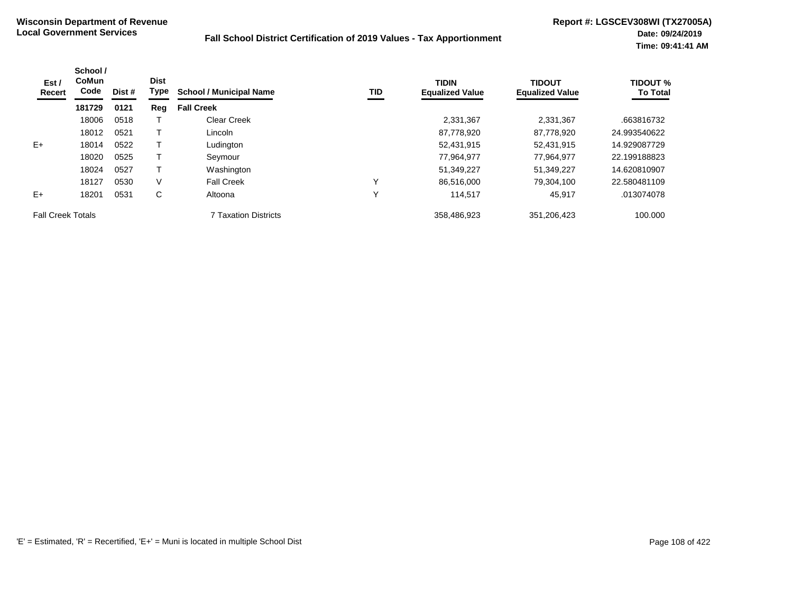| Est /<br><b>Recert</b>   | School /<br><b>CoMun</b><br>Code | Dist # | <b>Dist</b><br><b>Type</b> | <b>School / Municipal Name</b> | <b>TID</b> | <b>TIDIN</b><br><b>Equalized Value</b> | <b>TIDOUT</b><br><b>Equalized Value</b> | <b>TIDOUT %</b><br><b>To Total</b> |
|--------------------------|----------------------------------|--------|----------------------------|--------------------------------|------------|----------------------------------------|-----------------------------------------|------------------------------------|
|                          | 181729                           | 0121   | Reg                        | <b>Fall Creek</b>              |            |                                        |                                         |                                    |
|                          | 18006                            | 0518   |                            | <b>Clear Creek</b>             |            | 2,331,367                              | 2,331,367                               | .663816732                         |
|                          | 18012                            | 0521   |                            | Lincoln                        |            | 87,778,920                             | 87,778,920                              | 24.993540622                       |
| $E+$                     | 18014                            | 0522   |                            | Ludington                      |            | 52,431,915                             | 52,431,915                              | 14.929087729                       |
|                          | 18020                            | 0525   |                            | Seymour                        |            | 77,964,977                             | 77,964,977                              | 22.199188823                       |
|                          | 18024                            | 0527   |                            | Washington                     |            | 51,349,227                             | 51,349,227                              | 14.620810907                       |
|                          | 18127                            | 0530   | V                          | <b>Fall Creek</b>              | ν          | 86.516.000                             | 79.304.100                              | 22.580481109                       |
| $E+$                     | 18201                            | 0531   | C                          | Altoona                        | ν          | 114.517                                | 45,917                                  | .013074078                         |
| <b>Fall Creek Totals</b> |                                  |        |                            | <b>7 Taxation Districts</b>    |            | 358,486,923                            | 351,206,423                             | 100.000                            |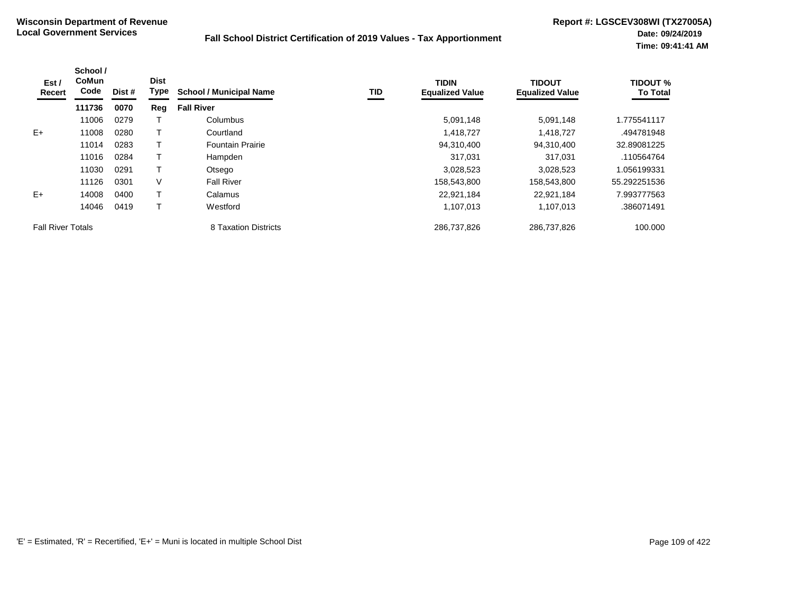| Est /<br>Recert          | School /<br>CoMun<br>Code | Dist # | <b>Dist</b><br><b>Type</b> | <b>School / Municipal Name</b> | TID | <b>TIDIN</b><br><b>Equalized Value</b> | <b>TIDOUT</b><br><b>Equalized Value</b> | <b>TIDOUT %</b><br><b>To Total</b> |
|--------------------------|---------------------------|--------|----------------------------|--------------------------------|-----|----------------------------------------|-----------------------------------------|------------------------------------|
|                          | 111736                    | 0070   | Reg                        | <b>Fall River</b>              |     |                                        |                                         |                                    |
|                          | 11006                     | 0279   |                            | Columbus                       |     | 5,091,148                              | 5,091,148                               | 1.775541117                        |
| $E+$                     | 11008                     | 0280   |                            | Courtland                      |     | 1,418,727                              | 1,418,727                               | .494781948                         |
|                          | 11014                     | 0283   |                            | <b>Fountain Prairie</b>        |     | 94,310,400                             | 94,310,400                              | 32.89081225                        |
|                          | 11016                     | 0284   |                            | Hampden                        |     | 317.031                                | 317.031                                 | .110564764                         |
|                          | 11030                     | 0291   |                            | Otsego                         |     | 3,028,523                              | 3,028,523                               | 1.056199331                        |
|                          | 11126                     | 0301   | V                          | <b>Fall River</b>              |     | 158,543,800                            | 158,543,800                             | 55.292251536                       |
| $E+$                     | 14008                     | 0400   |                            | Calamus                        |     | 22,921,184                             | 22,921,184                              | 7.993777563                        |
|                          | 14046                     | 0419   |                            | Westford                       |     | 1,107,013                              | 1,107,013                               | .386071491                         |
| <b>Fall River Totals</b> |                           |        |                            | 8 Taxation Districts           |     | 286,737,826                            | 286,737,826                             | 100.000                            |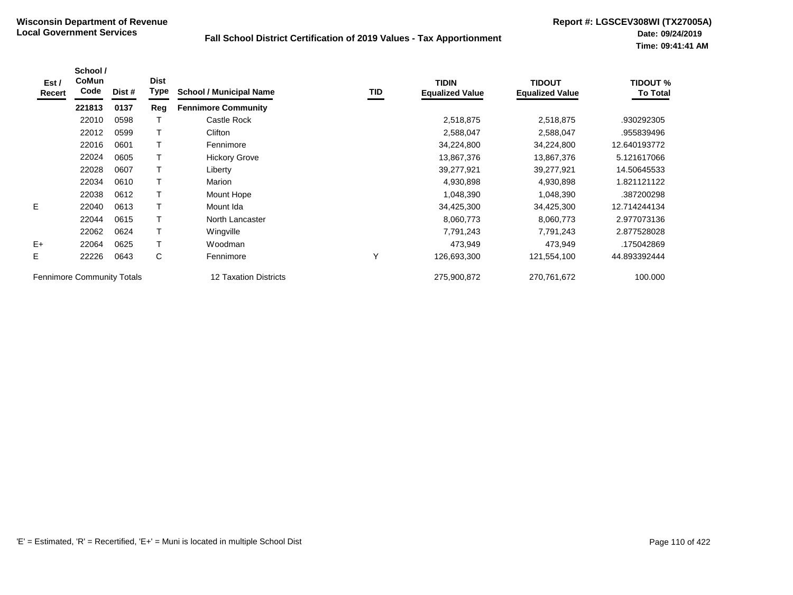| Est /<br>Recert | School /<br>CoMun<br>Code         | Dist # | <b>Dist</b><br><b>Type</b> | <b>School / Municipal Name</b> | TID | <b>TIDIN</b><br><b>Equalized Value</b> | <b>TIDOUT</b><br><b>Equalized Value</b> | <b>TIDOUT %</b><br><b>To Total</b> |
|-----------------|-----------------------------------|--------|----------------------------|--------------------------------|-----|----------------------------------------|-----------------------------------------|------------------------------------|
|                 | 221813                            | 0137   | Reg                        | <b>Fennimore Community</b>     |     |                                        |                                         |                                    |
|                 | 22010                             | 0598   |                            | Castle Rock                    |     | 2,518,875                              | 2,518,875                               | .930292305                         |
|                 | 22012                             | 0599   |                            | Clifton                        |     | 2,588,047                              | 2,588,047                               | .955839496                         |
|                 | 22016                             | 0601   |                            | Fennimore                      |     | 34,224,800                             | 34,224,800                              | 12.640193772                       |
|                 | 22024                             | 0605   |                            | <b>Hickory Grove</b>           |     | 13,867,376                             | 13,867,376                              | 5.121617066                        |
|                 | 22028                             | 0607   |                            | Liberty                        |     | 39,277,921                             | 39,277,921                              | 14.50645533                        |
|                 | 22034                             | 0610   | т                          | Marion                         |     | 4,930,898                              | 4,930,898                               | 1.821121122                        |
|                 | 22038                             | 0612   | $\mathsf T$                | Mount Hope                     |     | 1,048,390                              | 1,048,390                               | .387200298                         |
| E.              | 22040                             | 0613   | Т                          | Mount Ida                      |     | 34,425,300                             | 34,425,300                              | 12.714244134                       |
|                 | 22044                             | 0615   | T                          | North Lancaster                |     | 8,060,773                              | 8,060,773                               | 2.977073136                        |
|                 | 22062                             | 0624   |                            | Wingville                      |     | 7,791,243                              | 7,791,243                               | 2.877528028                        |
| $E+$            | 22064                             | 0625   |                            | Woodman                        |     | 473,949                                | 473,949                                 | .175042869                         |
| Е               | 22226                             | 0643   | C                          | Fennimore                      | Υ   | 126,693,300                            | 121,554,100                             | 44.893392444                       |
|                 | <b>Fennimore Community Totals</b> |        |                            | <b>12 Taxation Districts</b>   |     | 275,900,872                            | 270,761,672                             | 100.000                            |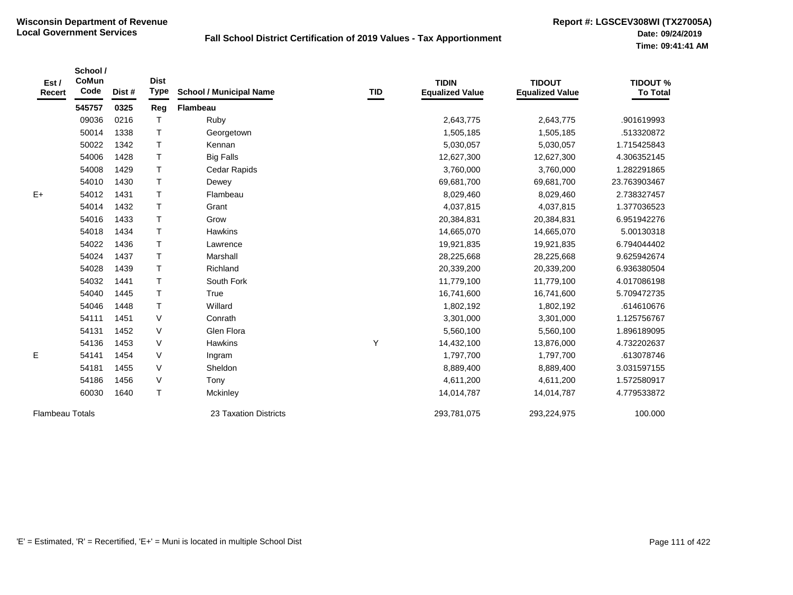| Est/<br>Recert         | School /<br>CoMun<br>Code | Dist# | <b>Dist</b><br><b>Type</b> | <b>School / Municipal Name</b> | TID | <b>TIDIN</b><br><b>Equalized Value</b> | <b>TIDOUT</b><br><b>Equalized Value</b> | <b>TIDOUT %</b><br><b>To Total</b> |
|------------------------|---------------------------|-------|----------------------------|--------------------------------|-----|----------------------------------------|-----------------------------------------|------------------------------------|
|                        | 545757                    | 0325  | Reg                        | <b>Flambeau</b>                |     |                                        |                                         |                                    |
|                        | 09036                     | 0216  | T                          | Ruby                           |     | 2,643,775                              | 2,643,775                               | .901619993                         |
|                        | 50014                     | 1338  | $\top$                     | Georgetown                     |     | 1,505,185                              | 1,505,185                               | .513320872                         |
|                        | 50022                     | 1342  | $\mathsf{T}$               | Kennan                         |     | 5,030,057                              | 5,030,057                               | 1.715425843                        |
|                        | 54006                     | 1428  | $\mathsf{T}$               | <b>Big Falls</b>               |     | 12,627,300                             | 12,627,300                              | 4.306352145                        |
|                        | 54008                     | 1429  | $\mathsf{T}$               | Cedar Rapids                   |     | 3,760,000                              | 3,760,000                               | 1.282291865                        |
|                        | 54010                     | 1430  | $\mathsf{T}$               | Dewey                          |     | 69,681,700                             | 69,681,700                              | 23.763903467                       |
| $E+$                   | 54012                     | 1431  | $\mathsf{T}$               | Flambeau                       |     | 8,029,460                              | 8,029,460                               | 2.738327457                        |
|                        | 54014                     | 1432  | $\mathsf{T}$               | Grant                          |     | 4,037,815                              | 4,037,815                               | 1.377036523                        |
|                        | 54016                     | 1433  | $\mathsf{T}$               | Grow                           |     | 20,384,831                             | 20,384,831                              | 6.951942276                        |
|                        | 54018                     | 1434  | $\top$                     | <b>Hawkins</b>                 |     | 14,665,070                             | 14,665,070                              | 5.00130318                         |
|                        | 54022                     | 1436  | $\mathsf{T}$               | Lawrence                       |     | 19,921,835                             | 19,921,835                              | 6.794044402                        |
|                        | 54024                     | 1437  | $\mathsf{T}$               | Marshall                       |     | 28,225,668                             | 28,225,668                              | 9.625942674                        |
|                        | 54028                     | 1439  | $\top$                     | Richland                       |     | 20,339,200                             | 20,339,200                              | 6.936380504                        |
|                        | 54032                     | 1441  | $\mathsf{T}$               | South Fork                     |     | 11,779,100                             | 11,779,100                              | 4.017086198                        |
|                        | 54040                     | 1445  | $\mathsf{T}$               | True                           |     | 16,741,600                             | 16,741,600                              | 5.709472735                        |
|                        | 54046                     | 1448  | $\mathsf{T}$               | Willard                        |     | 1,802,192                              | 1,802,192                               | .614610676                         |
|                        | 54111                     | 1451  | $\vee$                     | Conrath                        |     | 3,301,000                              | 3,301,000                               | 1.125756767                        |
|                        | 54131                     | 1452  | $\vee$                     | Glen Flora                     |     | 5,560,100                              | 5,560,100                               | 1.896189095                        |
|                        | 54136                     | 1453  | $\vee$                     | Hawkins                        | Y   | 14,432,100                             | 13,876,000                              | 4.732202637                        |
| E                      | 54141                     | 1454  | $\vee$                     | Ingram                         |     | 1,797,700                              | 1,797,700                               | .613078746                         |
|                        | 54181                     | 1455  | V                          | Sheldon                        |     | 8,889,400                              | 8,889,400                               | 3.031597155                        |
|                        | 54186                     | 1456  | $\vee$                     | Tony                           |     | 4,611,200                              | 4,611,200                               | 1.572580917                        |
|                        | 60030                     | 1640  | $\mathsf{T}$               | Mckinley                       |     | 14,014,787                             | 14,014,787                              | 4.779533872                        |
| <b>Flambeau Totals</b> |                           |       |                            | 23 Taxation Districts          |     | 293,781,075                            | 293,224,975                             | 100.000                            |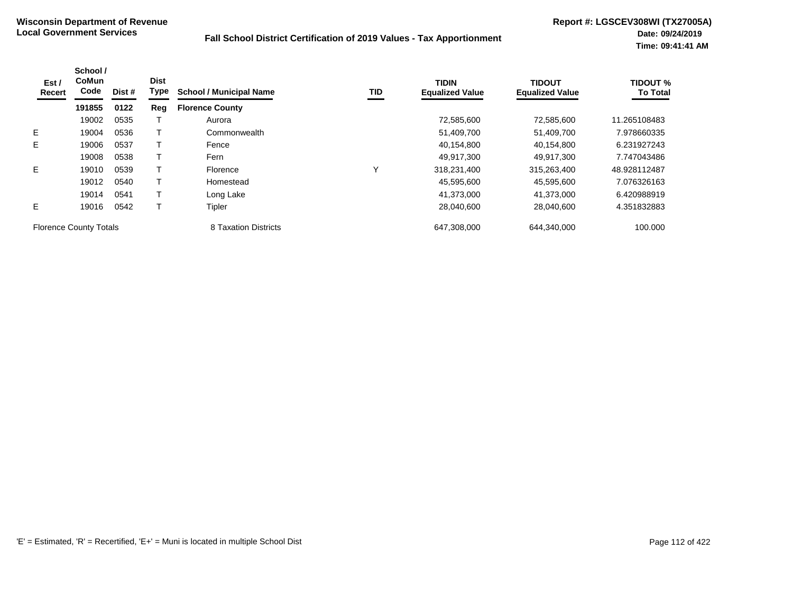| Est /<br>Recert               | School /<br><b>CoMun</b><br>Code | Dist # | <b>Dist</b><br><b>Type</b> | <b>School / Municipal Name</b> | <b>TID</b> | <b>TIDIN</b><br><b>Equalized Value</b> | <b>TIDOUT</b><br><b>Equalized Value</b> | <b>TIDOUT %</b><br><b>To Total</b> |
|-------------------------------|----------------------------------|--------|----------------------------|--------------------------------|------------|----------------------------------------|-----------------------------------------|------------------------------------|
|                               | 191855                           | 0122   | Reg                        | <b>Florence County</b>         |            |                                        |                                         |                                    |
|                               | 19002                            | 0535   |                            | Aurora                         |            | 72,585,600                             | 72,585,600                              | 11.265108483                       |
| E.                            | 19004                            | 0536   |                            | Commonwealth                   |            | 51,409,700                             | 51,409,700                              | 7.978660335                        |
| E.                            | 19006                            | 0537   |                            | Fence                          |            | 40,154,800                             | 40,154,800                              | 6.231927243                        |
|                               | 19008                            | 0538   |                            | Fern                           |            | 49.917.300                             | 49.917.300                              | 7.747043486                        |
| E                             | 19010                            | 0539   |                            | Florence                       | ν          | 318,231,400                            | 315,263,400                             | 48.928112487                       |
|                               | 19012                            | 0540   |                            | Homestead                      |            | 45,595,600                             | 45,595,600                              | 7.076326163                        |
|                               | 19014                            | 0541   |                            | Long Lake                      |            | 41,373,000                             | 41,373,000                              | 6.420988919                        |
| E.                            | 19016                            | 0542   |                            | Tipler                         |            | 28,040,600                             | 28,040,600                              | 4.351832883                        |
| <b>Florence County Totals</b> |                                  |        |                            | 8 Taxation Districts           |            | 647,308,000                            | 644,340,000                             | 100.000                            |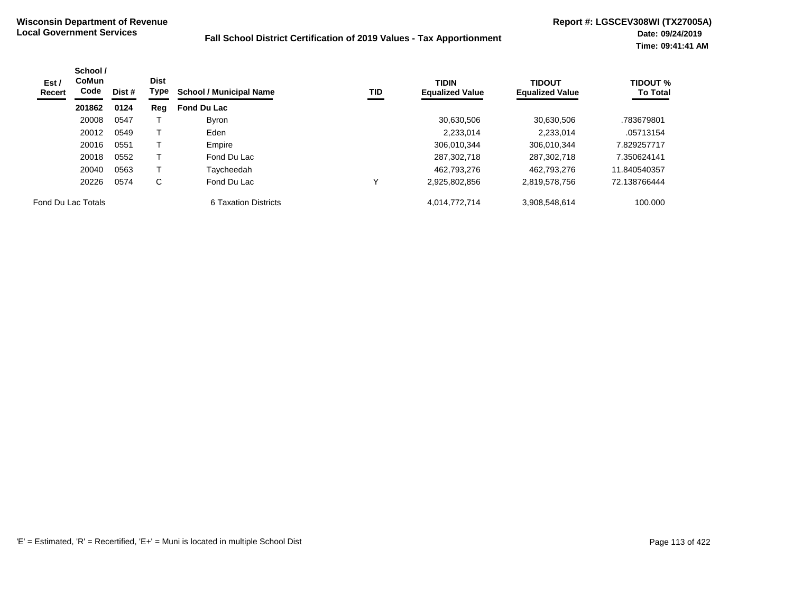| Est /<br>Recert    | School /<br><b>CoMun</b><br>Code | <b>Dist</b><br>Dist # | Type | <b>School / Municipal Name</b> | TID | <b>TIDIN</b><br><b>Equalized Value</b> | <b>TIDOUT</b><br><b>Equalized Value</b> | <b>TIDOUT %</b><br><b>To Total</b> |
|--------------------|----------------------------------|-----------------------|------|--------------------------------|-----|----------------------------------------|-----------------------------------------|------------------------------------|
|                    | 201862                           | 0124                  | Reg  | <b>Fond Du Lac</b>             |     |                                        |                                         |                                    |
|                    | 20008                            | 0547                  |      | <b>Byron</b>                   |     | 30,630,506                             | 30.630.506                              | .783679801                         |
|                    | 20012                            | 0549                  |      | Eden                           |     | 2.233.014                              | 2.233.014                               | .05713154                          |
|                    | 20016                            | 0551                  |      | Empire                         |     | 306.010.344                            | 306,010,344                             | 7.829257717                        |
|                    | 20018                            | 0552                  |      | Fond Du Lac                    |     | 287,302,718                            | 287,302,718                             | 7.350624141                        |
|                    | 20040                            | 0563                  |      | Taycheedah                     |     | 462.793.276                            | 462.793.276                             | 11.840540357                       |
|                    | 20226                            | 0574                  | C    | Fond Du Lac                    |     | 2,925,802,856                          | 2,819,578,756                           | 72.138766444                       |
| Fond Du Lac Totals |                                  |                       |      | 6 Taxation Districts           |     | 4,014,772,714                          | 3,908,548,614                           | 100.000                            |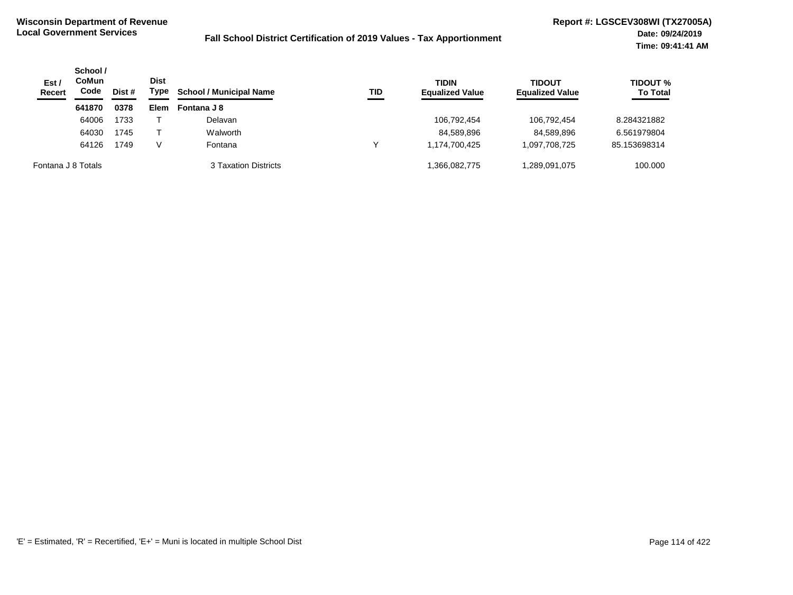| Est/<br><b>Recert</b> | School /<br><b>CoMun</b><br>Code | Dist # | <b>Dist</b><br>Type | <b>School / Municipal Name</b> | TID | <b>TIDIN</b><br><b>Equalized Value</b> | <b>TIDOUT</b><br><b>Equalized Value</b> | <b>TIDOUT %</b><br><b>To Total</b> |
|-----------------------|----------------------------------|--------|---------------------|--------------------------------|-----|----------------------------------------|-----------------------------------------|------------------------------------|
|                       | 641870                           | 0378   | <b>Elem</b>         | Fontana J 8                    |     |                                        |                                         |                                    |
|                       | 64006                            | 1733   |                     | Delavan                        |     | 106,792,454                            | 106.792.454                             | 8.284321882                        |
|                       | 64030                            | 1745   |                     | Walworth                       |     | 84,589,896                             | 84.589.896                              | 6.561979804                        |
|                       | 64126                            | 1749   | V                   | Fontana                        | ν   | 1,174,700,425                          | 1,097,708,725                           | 85.153698314                       |
| Fontana J 8 Totals    |                                  |        |                     | 3 Taxation Districts           |     | 1,366,082,775                          | 075.091 289.091.                        | 100.000                            |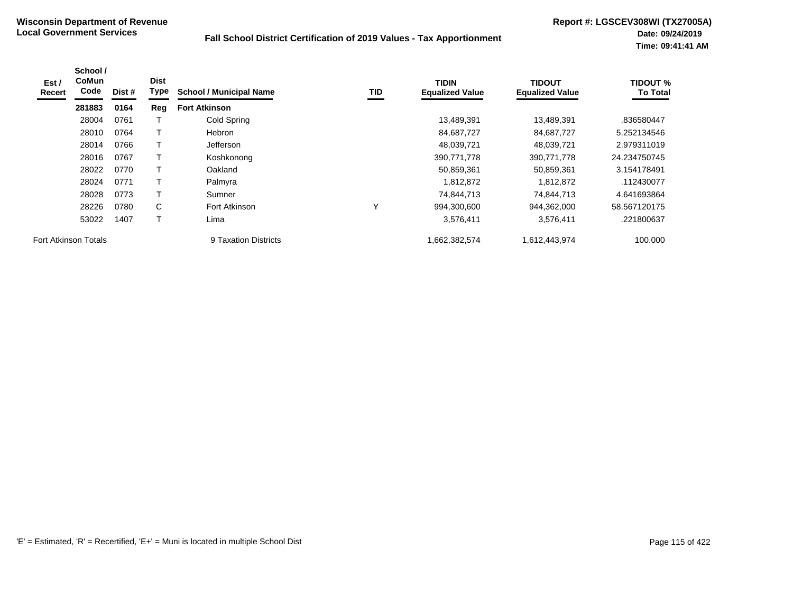| Est /<br>Recert             | School /<br><b>CoMun</b><br>Code | Dist # | <b>Dist</b><br>Type | <b>School / Municipal Name</b> | TID | <b>TIDIN</b><br><b>Equalized Value</b> | <b>TIDOUT</b><br><b>Equalized Value</b> | <b>TIDOUT %</b><br><b>To Total</b> |
|-----------------------------|----------------------------------|--------|---------------------|--------------------------------|-----|----------------------------------------|-----------------------------------------|------------------------------------|
|                             | 281883                           | 0164   | Reg                 | <b>Fort Atkinson</b>           |     |                                        |                                         |                                    |
|                             | 28004                            | 0761   |                     | Cold Spring                    |     | 13,489,391                             | 13,489,391                              | .836580447                         |
|                             | 28010                            | 0764   |                     | <b>Hebron</b>                  |     | 84,687,727                             | 84,687,727                              | 5.252134546                        |
|                             | 28014                            | 0766   | Т                   | Jefferson                      |     | 48,039,721                             | 48,039,721                              | 2.979311019                        |
|                             | 28016                            | 0767   |                     | Koshkonong                     |     | 390,771,778                            | 390,771,778                             | 24.234750745                       |
|                             | 28022                            | 0770   | т                   | Oakland                        |     | 50,859,361                             | 50,859,361                              | 3.154178491                        |
|                             | 28024                            | 0771   |                     | Palmyra                        |     | 1,812,872                              | 1,812,872                               | .112430077                         |
|                             | 28028                            | 0773   | т                   | Sumner                         |     | 74.844.713                             | 74,844,713                              | 4.641693864                        |
|                             | 28226                            | 0780   | C                   | Fort Atkinson                  | Υ   | 994,300,600                            | 944,362,000                             | 58.567120175                       |
|                             | 53022                            | 1407   | $\mathbf \tau$      | Lima                           |     | 3,576,411                              | 3,576,411                               | .221800637                         |
| <b>Fort Atkinson Totals</b> |                                  |        |                     | 9 Taxation Districts           |     | 1,662,382,574                          | 1,612,443,974                           | 100.000                            |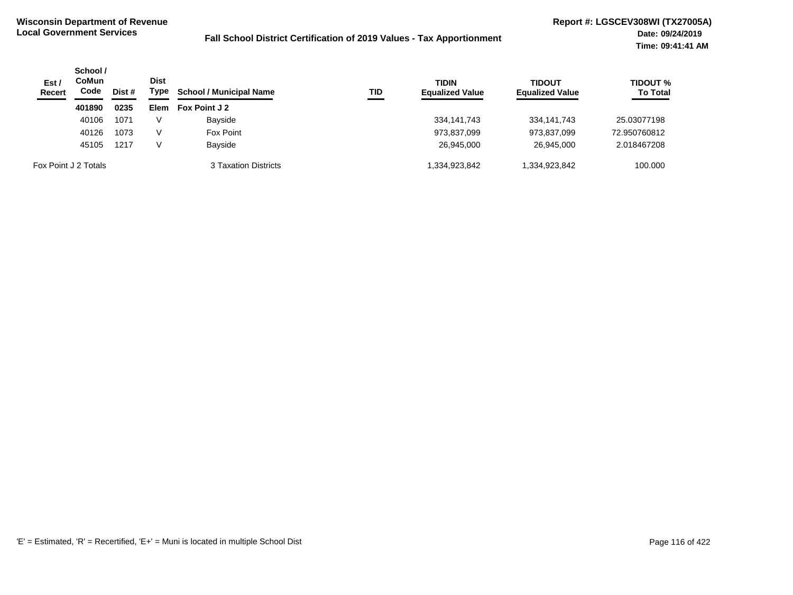| Est/<br>Recert       | School /<br>CoMun<br>Code | Dist # | Dist<br>Type | <b>School / Municipal Name</b> | <b>TID</b> | <b>TIDIN</b><br><b>Equalized Value</b> | <b>TIDOUT</b><br><b>Equalized Value</b> | <b>TIDOUT %</b><br><b>To Total</b> |
|----------------------|---------------------------|--------|--------------|--------------------------------|------------|----------------------------------------|-----------------------------------------|------------------------------------|
|                      | 401890                    | 0235   | Elem         | Fox Point J 2                  |            |                                        |                                         |                                    |
|                      | 40106                     | 1071   | v            | Bayside                        |            | 334,141,743                            | 334, 141, 743                           | 25.03077198                        |
|                      | 40126                     | 1073   | V            | Fox Point                      |            | 973,837,099                            | 973,837,099                             | 72.950760812                       |
|                      | 45105                     | 1217   | V            | Bayside                        |            | 26,945,000                             | 26.945.000                              | 2.018467208                        |
| Fox Point J 2 Totals |                           |        |              | 3 Taxation Districts           |            | 334,923,842                            | 334,923,842.                            | 100.000                            |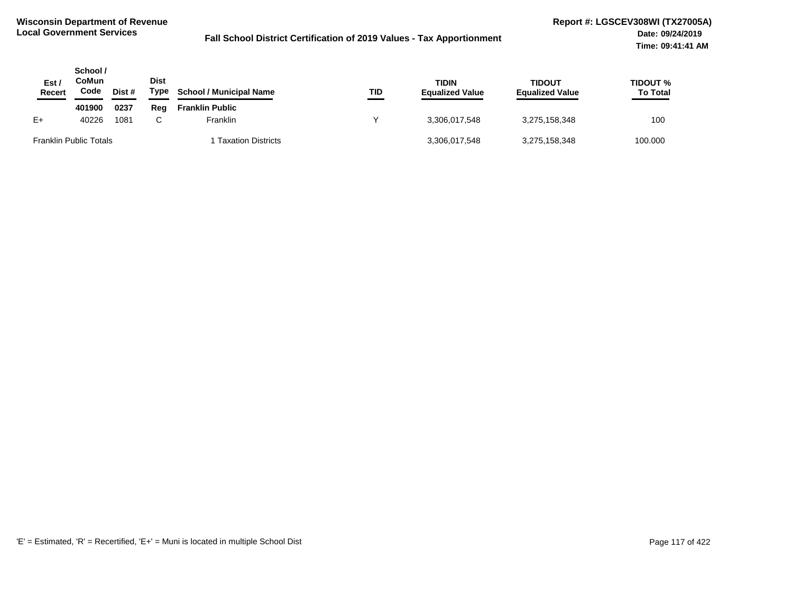| Est.<br><b>Recert</b>         | School /<br>CoMun<br>Code | Dist # | <b>Dist</b><br>Type | <b>School / Municipal Name</b> | TID | TIDIN<br><b>Equalized Value</b> | <b>TIDOUT</b><br><b>Equalized Value</b> | TIDOUT %<br><b>To Total</b> |
|-------------------------------|---------------------------|--------|---------------------|--------------------------------|-----|---------------------------------|-----------------------------------------|-----------------------------|
|                               | 401900                    | 0237   | Rea                 | <b>Franklin Public</b>         |     |                                 |                                         |                             |
| E+                            | 40226                     | 1081   |                     | Franklin                       |     | 3.306.017.548                   | 3,275,158,348                           | 100                         |
| <b>Franklin Public Totals</b> |                           |        |                     | <b>Taxation Districts</b>      |     | 3,306,017,548                   | 3,275,158,348                           | 100.000                     |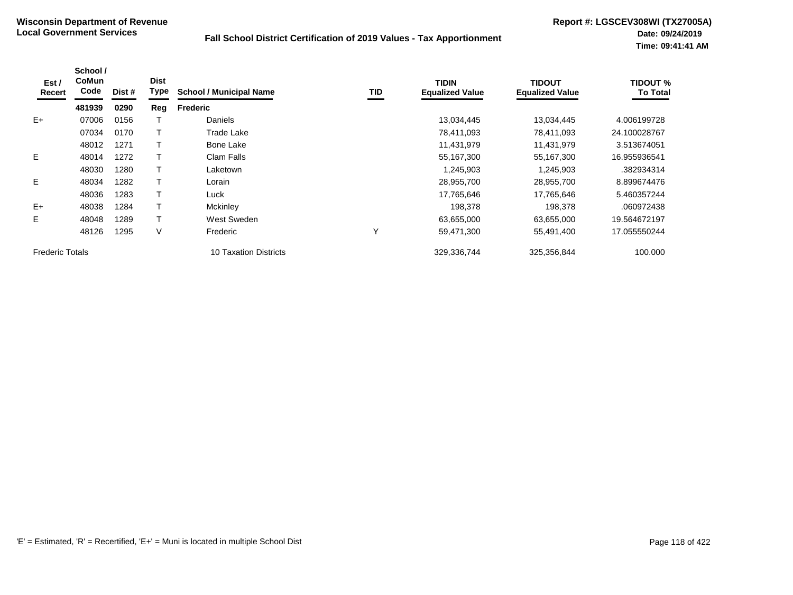| Est /<br>Recert        | School /<br><b>CoMun</b><br>Code | Dist # | <b>Dist</b><br>Type | <b>School / Municipal Name</b> | TID | <b>TIDIN</b><br><b>Equalized Value</b> | <b>TIDOUT</b><br><b>Equalized Value</b> | TIDOUT %<br><b>To Total</b> |
|------------------------|----------------------------------|--------|---------------------|--------------------------------|-----|----------------------------------------|-----------------------------------------|-----------------------------|
|                        | 481939                           | 0290   | Reg                 | <b>Frederic</b>                |     |                                        |                                         |                             |
| $E+$                   | 07006                            | 0156   |                     | Daniels                        |     | 13,034,445                             | 13,034,445                              | 4.006199728                 |
|                        | 07034                            | 0170   |                     | Trade Lake                     |     | 78,411,093                             | 78,411,093                              | 24.100028767                |
|                        | 48012                            | 1271   |                     | Bone Lake                      |     | 11,431,979                             | 11,431,979                              | 3.513674051                 |
| E.                     | 48014                            | 1272   |                     | Clam Falls                     |     | 55,167,300                             | 55,167,300                              | 16.955936541                |
|                        | 48030                            | 1280   |                     | Laketown                       |     | 1,245,903                              | 1,245,903                               | .382934314                  |
| E.                     | 48034                            | 1282   |                     | Lorain                         |     | 28,955,700                             | 28,955,700                              | 8.899674476                 |
|                        | 48036                            | 1283   |                     | Luck                           |     | 17,765,646                             | 17.765.646                              | 5.460357244                 |
| $E+$                   | 48038                            | 1284   |                     | Mckinley                       |     | 198,378                                | 198,378                                 | .060972438                  |
| E.                     | 48048                            | 1289   |                     | West Sweden                    |     | 63,655,000                             | 63,655,000                              | 19.564672197                |
|                        | 48126                            | 1295   | V                   | Frederic                       | Υ   | 59,471,300                             | 55,491,400                              | 17.055550244                |
| <b>Frederic Totals</b> |                                  |        |                     | 10 Taxation Districts          |     | 329,336,744                            | 325,356,844                             | 100.000                     |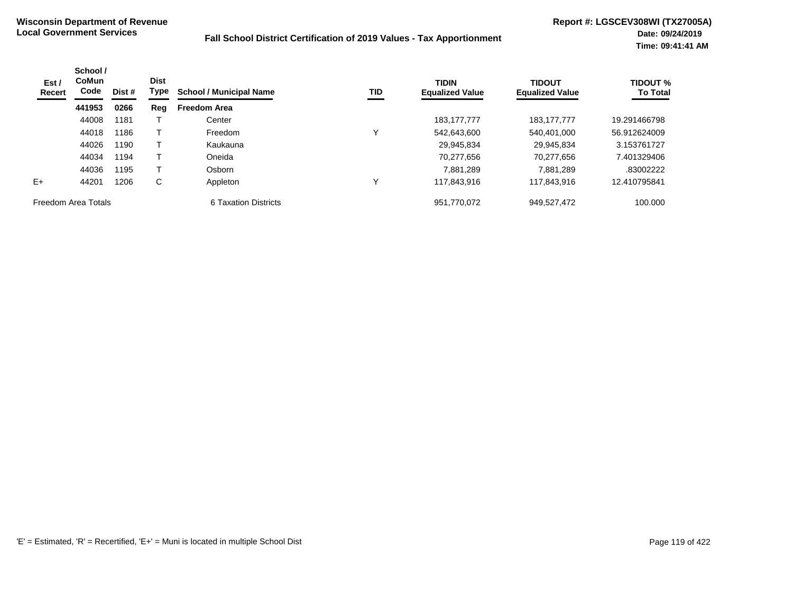| Est /<br>Recert     | School /<br><b>CoMun</b><br>Code | Dist # | <b>Dist</b><br>Type | <b>School / Municipal Name</b> | TID | <b>TIDIN</b><br><b>Equalized Value</b> | <b>TIDOUT</b><br><b>Equalized Value</b> | <b>TIDOUT %</b><br><b>To Total</b> |
|---------------------|----------------------------------|--------|---------------------|--------------------------------|-----|----------------------------------------|-----------------------------------------|------------------------------------|
|                     | 441953                           | 0266   | Reg                 | <b>Freedom Area</b>            |     |                                        |                                         |                                    |
|                     | 44008                            | 1181   |                     | Center                         |     | 183, 177, 777                          | 183, 177, 777                           | 19.291466798                       |
|                     | 44018                            | 1186   |                     | Freedom                        | v   | 542.643.600                            | 540,401,000                             | 56.912624009                       |
|                     | 44026                            | 1190   |                     | Kaukauna                       |     | 29.945.834                             | 29.945.834                              | 3.153761727                        |
|                     | 44034                            | 1194   |                     | Oneida                         |     | 70,277,656                             | 70,277,656                              | 7.401329406                        |
|                     | 44036                            | 1195   |                     | Osborn                         |     | 7.881.289                              | 7.881.289                               | .83002222                          |
| $E+$                | 44201                            | 1206   | C                   | Appleton                       |     | 117.843.916                            | 117.843.916                             | 12.410795841                       |
| Freedom Area Totals |                                  |        |                     | 6 Taxation Districts           |     | 951.770.072                            | 949,527,472                             | 100.000                            |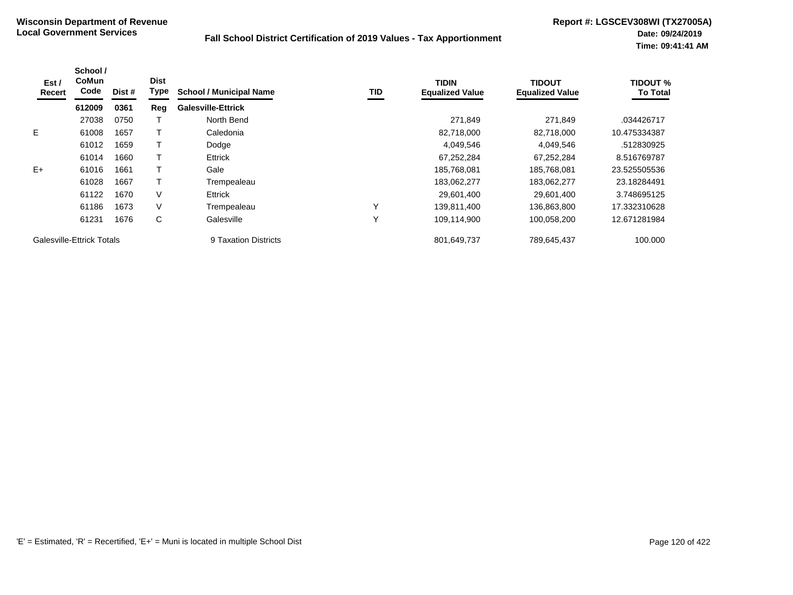| Est/<br>Recert | School /<br><b>CoMun</b><br>Code | Dist # | <b>Dist</b><br>Type | <b>School / Municipal Name</b> | TID          | <b>TIDIN</b><br><b>Equalized Value</b> | <b>TIDOUT</b><br><b>Equalized Value</b> | <b>TIDOUT %</b><br><b>To Total</b> |
|----------------|----------------------------------|--------|---------------------|--------------------------------|--------------|----------------------------------------|-----------------------------------------|------------------------------------|
|                | 612009                           | 0361   | Reg                 | <b>Galesville-Ettrick</b>      |              |                                        |                                         |                                    |
|                | 27038                            | 0750   |                     | North Bend                     |              | 271,849                                | 271,849                                 | .034426717                         |
| E              | 61008                            | 1657   |                     | Caledonia                      |              | 82,718,000                             | 82,718,000                              | 10.475334387                       |
|                | 61012                            | 1659   |                     | Dodge                          |              | 4,049,546                              | 4,049,546                               | .512830925                         |
|                | 61014                            | 1660   |                     | Ettrick                        |              | 67,252,284                             | 67,252,284                              | 8.516769787                        |
| $E+$           | 61016                            | 1661   |                     | Gale                           |              | 185,768,081                            | 185,768,081                             | 23.525505536                       |
|                | 61028                            | 1667   |                     | Trempealeau                    |              | 183,062,277                            | 183,062,277                             | 23.18284491                        |
|                | 61122                            | 1670   | V                   | <b>Ettrick</b>                 |              | 29,601,400                             | 29,601,400                              | 3.748695125                        |
|                | 61186                            | 1673   | V                   | Trempealeau                    | $\checkmark$ | 139,811,400                            | 136,863,800                             | 17.332310628                       |
|                | 61231                            | 1676   | C                   | Galesville                     | $\checkmark$ | 109,114,900                            | 100,058,200                             | 12.671281984                       |
|                | Galesville-Ettrick Totals        |        |                     | 9 Taxation Districts           |              | 801,649,737                            | 789,645,437                             | 100.000                            |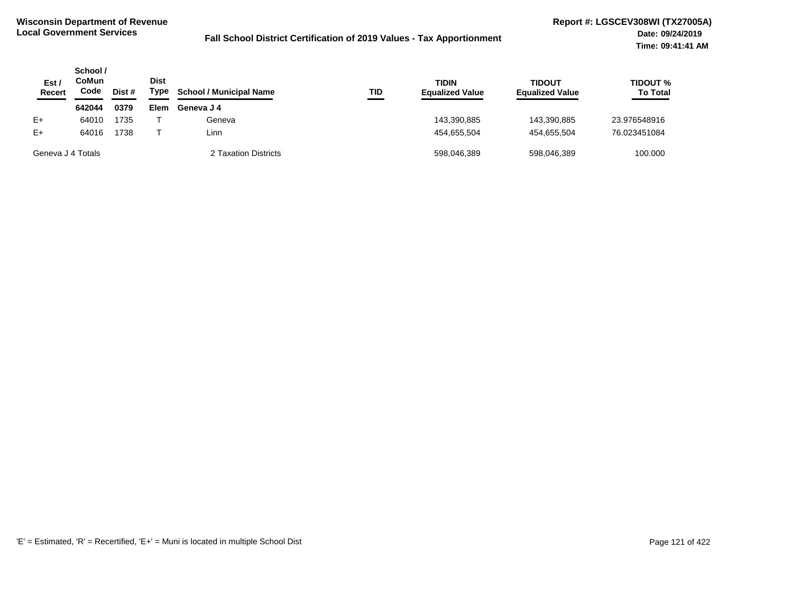| Est /<br><b>Recert</b> | School /<br>CoMun<br>Code | Dist # | <b>Dist</b><br>Type | <b>School / Municipal Name</b> | TID | <b>TIDIN</b><br><b>Equalized Value</b> | <b>TIDOUT</b><br><b>Equalized Value</b> | <b>TIDOUT %</b><br><b>To Total</b> |
|------------------------|---------------------------|--------|---------------------|--------------------------------|-----|----------------------------------------|-----------------------------------------|------------------------------------|
|                        | 642044                    | 0379   | Elem                | Geneva J 4                     |     |                                        |                                         |                                    |
| $E+$                   | 64010                     | 1735   |                     | Geneva                         |     | 143,390,885                            | 143.390.885                             | 23.976548916                       |
| $E+$                   | 64016                     | 1738   |                     | Linn                           |     | 454.655.504                            | 454.655.504                             | 76.023451084                       |
| Geneva J 4 Totals      |                           |        |                     | 2 Taxation Districts           |     | 598,046,389                            | 598,046,389                             | 100.000                            |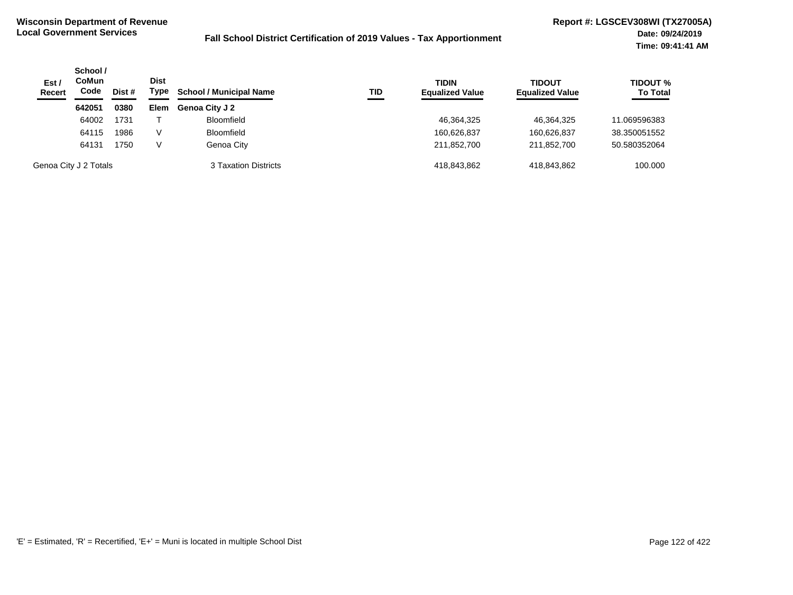| Est/<br><b>Recert</b> | School /<br><b>CoMun</b><br>Code | Dist # | <b>Dist</b><br>Type | <b>School / Municipal Name</b><br>TID | <b>TIDIN</b><br><b>Equalized Value</b> | <b>TIDOUT</b><br><b>Equalized Value</b> | <b>TIDOUT %</b><br><b>To Total</b> |
|-----------------------|----------------------------------|--------|---------------------|---------------------------------------|----------------------------------------|-----------------------------------------|------------------------------------|
|                       | 642051                           | 0380   | <b>Elem</b>         | <b>Genoa City J 2</b>                 |                                        |                                         |                                    |
|                       | 64002                            | 1731   |                     | <b>Bloomfield</b>                     | 46,364,325                             | 46.364.325                              | 11.069596383                       |
|                       | 64115                            | 1986   | V                   | <b>Bloomfield</b>                     | 160,626,837                            | 160,626,837                             | 38.350051552                       |
|                       | 64131                            | 1750   | V                   | Genoa City                            | 211,852,700                            | 211,852,700                             | 50.580352064                       |
|                       | Genoa City J 2 Totals            |        |                     | 3 Taxation Districts                  | 418.843.862                            | 418.843.862                             | 100.000                            |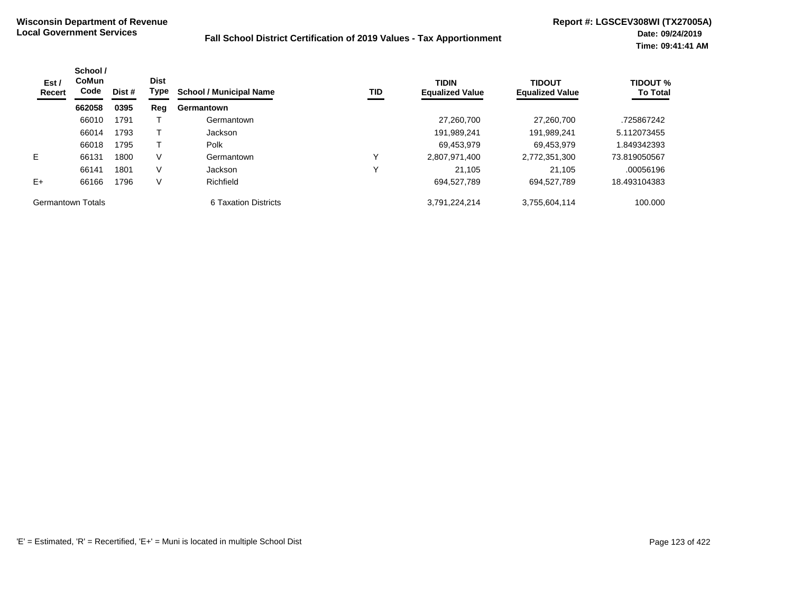| Est /<br>Recert   | School /<br>CoMun<br>Code | Dist # | <b>Dist</b><br>Type | <b>School / Municipal Name</b> | TID | <b>TIDIN</b><br><b>Equalized Value</b> | <b>TIDOUT</b><br><b>Equalized Value</b> | <b>TIDOUT %</b><br><b>To Total</b> |
|-------------------|---------------------------|--------|---------------------|--------------------------------|-----|----------------------------------------|-----------------------------------------|------------------------------------|
|                   | 662058                    | 0395   | Reg                 | Germantown                     |     |                                        |                                         |                                    |
|                   | 66010                     | 1791   |                     | Germantown                     |     | 27.260.700                             | 27.260.700                              | .725867242                         |
|                   | 66014                     | 1793   |                     | Jackson                        |     | 191,989,241                            | 191,989,241                             | 5.112073455                        |
|                   | 66018                     | 1795   |                     | Polk                           |     | 69,453,979                             | 69,453,979                              | 849342393                          |
| E.                | 66131                     | 1800   | V                   | Germantown                     |     | 2,807,971,400                          | 2,772,351,300                           | 73.819050567                       |
|                   | 66141                     | 1801   | V                   | Jackson                        | v   | 21.105                                 | 21,105                                  | .00056196                          |
| $E+$              | 66166                     | 1796   | V                   | Richfield                      |     | 694,527,789                            | 694,527,789                             | 18.493104383                       |
| Germantown Totals |                           |        |                     | 6 Taxation Districts           |     | 3.791.224.214                          | 3,755,604,114                           | 100.000                            |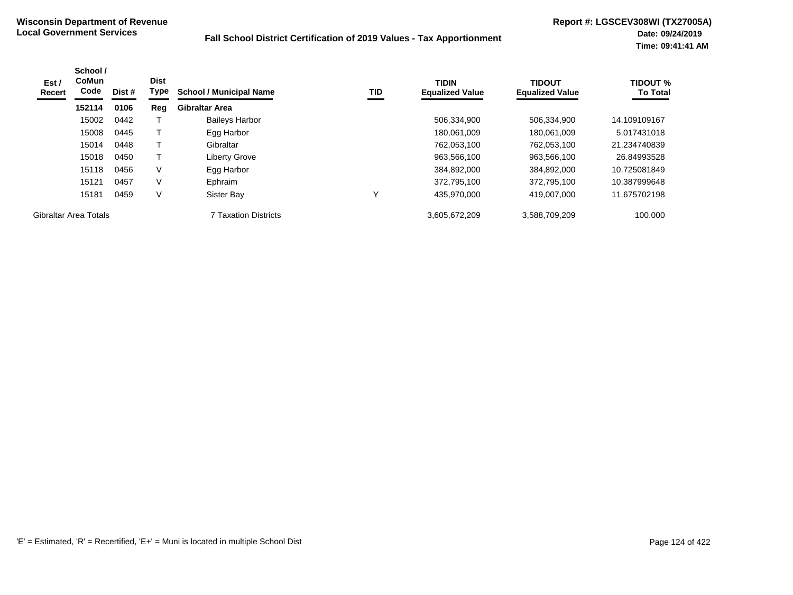| Est /<br>Recert       | School /<br><b>CoMun</b><br>Code | Dist # | <b>Dist</b><br>Type | <b>School / Municipal Name</b> | TID | <b>TIDIN</b><br><b>Equalized Value</b> | <b>TIDOUT</b><br><b>Equalized Value</b> | <b>TIDOUT %</b><br><b>To Total</b> |
|-----------------------|----------------------------------|--------|---------------------|--------------------------------|-----|----------------------------------------|-----------------------------------------|------------------------------------|
|                       | 152114                           | 0106   | Reg                 | <b>Gibraltar Area</b>          |     |                                        |                                         |                                    |
|                       | 15002                            | 0442   |                     | <b>Baileys Harbor</b>          |     | 506,334,900                            | 506,334,900                             | 14.109109167                       |
|                       | 15008                            | 0445   |                     | Egg Harbor                     |     | 180,061,009                            | 180,061,009                             | 5.017431018                        |
|                       | 15014                            | 0448   |                     | Gibraltar                      |     | 762,053,100                            | 762,053,100                             | 21.234740839                       |
|                       | 15018                            | 0450   |                     | <b>Liberty Grove</b>           |     | 963,566,100                            | 963,566,100                             | 26.84993528                        |
|                       | 15118                            | 0456   | V                   | Egg Harbor                     |     | 384,892,000                            | 384,892,000                             | 10.725081849                       |
|                       | 15121                            | 0457   | V                   | Ephraim                        |     | 372,795,100                            | 372,795,100                             | 10.387999648                       |
|                       | 15181                            | 0459   | $\vee$              | Sister Bay                     |     | 435,970,000                            | 419,007,000                             | 11.675702198                       |
| Gibraltar Area Totals |                                  |        |                     | <b>7 Taxation Districts</b>    |     | 3,605,672,209                          | 3,588,709,209                           | 100,000                            |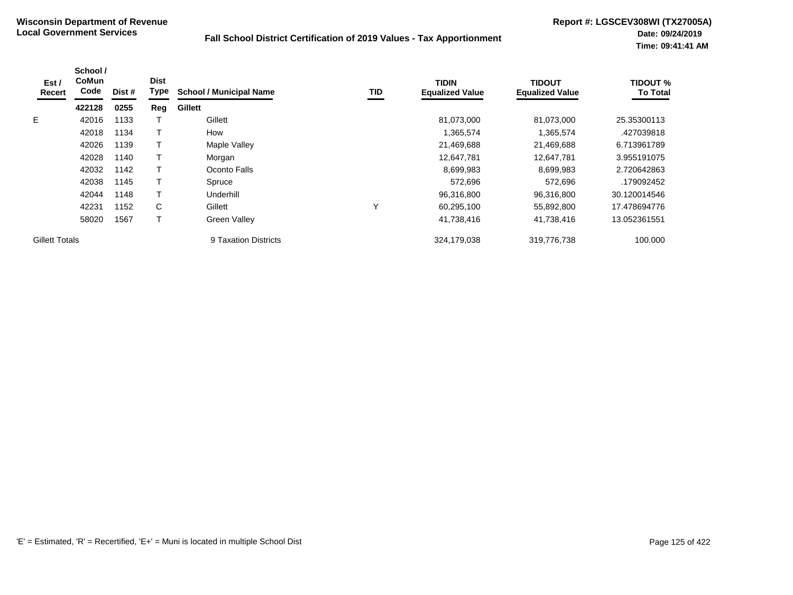| Est/<br>Recert        | School /<br><b>CoMun</b><br>Code | Dist # | <b>Dist</b><br>Type | <b>School / Municipal Name</b> | TID | <b>TIDIN</b><br><b>Equalized Value</b> | <b>TIDOUT</b><br><b>Equalized Value</b> | <b>TIDOUT %</b><br><b>To Total</b> |
|-----------------------|----------------------------------|--------|---------------------|--------------------------------|-----|----------------------------------------|-----------------------------------------|------------------------------------|
|                       | 422128                           | 0255   | Reg                 | Gillett                        |     |                                        |                                         |                                    |
| E.                    | 42016                            | 1133   |                     | Gillett                        |     | 81,073,000                             | 81,073,000                              | 25.35300113                        |
|                       | 42018                            | 1134   |                     | How                            |     | 1,365,574                              | 1,365,574                               | .427039818                         |
|                       | 42026                            | 1139   |                     | Maple Valley                   |     | 21,469,688                             | 21,469,688                              | 6.713961789                        |
|                       | 42028                            | 1140   |                     | Morgan                         |     | 12,647,781                             | 12,647,781                              | 3.955191075                        |
|                       | 42032                            | 1142   |                     | Oconto Falls                   |     | 8,699,983                              | 8,699,983                               | 2.720642863                        |
|                       | 42038                            | 1145   |                     | Spruce                         |     | 572,696                                | 572,696                                 | .179092452                         |
|                       | 42044                            | 1148   |                     | Underhill                      |     | 96,316,800                             | 96,316,800                              | 30.120014546                       |
|                       | 42231                            | 1152   | C                   | Gillett                        | Υ   | 60,295,100                             | 55,892,800                              | 17.478694776                       |
|                       | 58020                            | 1567   |                     | Green Valley                   |     | 41,738,416                             | 41,738,416                              | 13.052361551                       |
| <b>Gillett Totals</b> |                                  |        |                     | 9 Taxation Districts           |     | 324,179,038                            | 319,776,738                             | 100.000                            |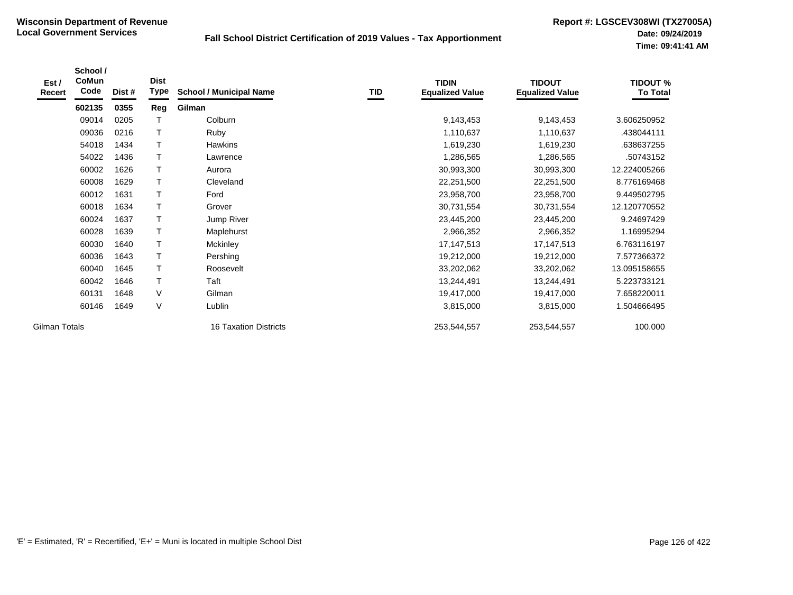| Est /<br>Recert | School /<br>CoMun<br>Code | Dist # | <b>Dist</b><br>Type | <b>School / Municipal Name</b> | <b>TID</b> | <b>TIDIN</b><br><b>Equalized Value</b> | <b>TIDOUT</b><br><b>Equalized Value</b> | <b>TIDOUT %</b><br><b>To Total</b> |
|-----------------|---------------------------|--------|---------------------|--------------------------------|------------|----------------------------------------|-----------------------------------------|------------------------------------|
|                 | 602135                    | 0355   | Reg                 | Gilman                         |            |                                        |                                         |                                    |
|                 | 09014                     | 0205   | Т                   | Colburn                        |            | 9,143,453                              | 9,143,453                               | 3.606250952                        |
|                 | 09036                     | 0216   | T                   | Ruby                           |            | 1,110,637                              | 1,110,637                               | .438044111                         |
|                 | 54018                     | 1434   | $\top$              | <b>Hawkins</b>                 |            | 1,619,230                              | 1,619,230                               | .638637255                         |
|                 | 54022                     | 1436   | $\top$              | Lawrence                       |            | 1,286,565                              | 1,286,565                               | .50743152                          |
|                 | 60002                     | 1626   | T                   | Aurora                         |            | 30,993,300                             | 30,993,300                              | 12.224005266                       |
|                 | 60008                     | 1629   | T                   | Cleveland                      |            | 22,251,500                             | 22,251,500                              | 8.776169468                        |
|                 | 60012                     | 1631   | Т                   | Ford                           |            | 23,958,700                             | 23,958,700                              | 9.449502795                        |
|                 | 60018                     | 1634   | $\top$              | Grover                         |            | 30,731,554                             | 30,731,554                              | 12.120770552                       |
|                 | 60024                     | 1637   | T                   | Jump River                     |            | 23,445,200                             | 23,445,200                              | 9.24697429                         |
|                 | 60028                     | 1639   | $\top$              | Maplehurst                     |            | 2,966,352                              | 2,966,352                               | 1.16995294                         |
|                 | 60030                     | 1640   | T                   | Mckinley                       |            | 17, 147, 513                           | 17, 147, 513                            | 6.763116197                        |
|                 | 60036                     | 1643   | T                   | Pershing                       |            | 19,212,000                             | 19,212,000                              | 7.577366372                        |
|                 | 60040                     | 1645   | Т                   | Roosevelt                      |            | 33,202,062                             | 33,202,062                              | 13.095158655                       |
|                 | 60042                     | 1646   | Т                   | Taft                           |            | 13,244,491                             | 13,244,491                              | 5.223733121                        |
|                 | 60131                     | 1648   | $\vee$              | Gilman                         |            | 19,417,000                             | 19,417,000                              | 7.658220011                        |
|                 | 60146                     | 1649   | $\vee$              | Lublin                         |            | 3,815,000                              | 3,815,000                               | 1.504666495                        |
| Gilman Totals   |                           |        |                     | <b>16 Taxation Districts</b>   |            | 253,544,557                            | 253,544,557                             | 100.000                            |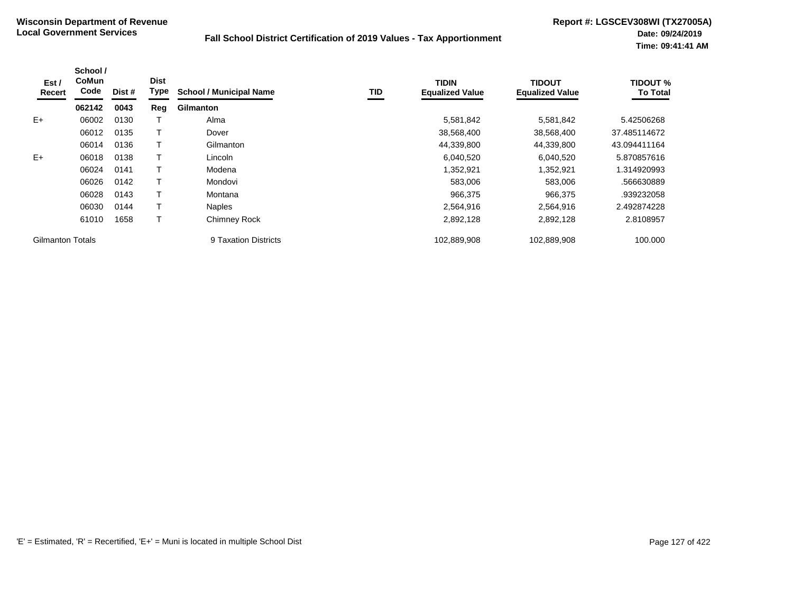| Est /<br>Recert         | School /<br><b>CoMun</b><br>Code | Dist # | <b>Dist</b><br>Type | <b>School / Municipal Name</b> | TID | <b>TIDIN</b><br><b>Equalized Value</b> | <b>TIDOUT</b><br><b>Equalized Value</b> | <b>TIDOUT %</b><br><b>To Total</b> |
|-------------------------|----------------------------------|--------|---------------------|--------------------------------|-----|----------------------------------------|-----------------------------------------|------------------------------------|
|                         | 062142                           | 0043   | Reg                 | <b>Gilmanton</b>               |     |                                        |                                         |                                    |
| $E+$                    | 06002                            | 0130   |                     | Alma                           |     | 5,581,842                              | 5,581,842                               | 5.42506268                         |
|                         | 06012                            | 0135   |                     | Dover                          |     | 38,568,400                             | 38,568,400                              | 37.485114672                       |
|                         | 06014                            | 0136   |                     | Gilmanton                      |     | 44,339,800                             | 44,339,800                              | 43.094411164                       |
| $E+$                    | 06018                            | 0138   |                     | Lincoln                        |     | 6,040,520                              | 6,040,520                               | 5.870857616                        |
|                         | 06024                            | 0141   |                     | Modena                         |     | 352,921. ا                             | 1,352,921                               | 1.314920993                        |
|                         | 06026                            | 0142   |                     | Mondovi                        |     | 583,006                                | 583,006                                 | .566630889                         |
|                         | 06028                            | 0143   |                     | Montana                        |     | 966,375                                | 966,375                                 | .939232058                         |
|                         | 06030                            | 0144   |                     | <b>Naples</b>                  |     | 2,564,916                              | 2,564,916                               | 2.492874228                        |
|                         | 61010                            | 1658   |                     | <b>Chimney Rock</b>            |     | 2,892,128                              | 2,892,128                               | 2.8108957                          |
| <b>Gilmanton Totals</b> |                                  |        |                     | 9 Taxation Districts           |     | 102,889,908                            | 102,889,908                             | 100.000                            |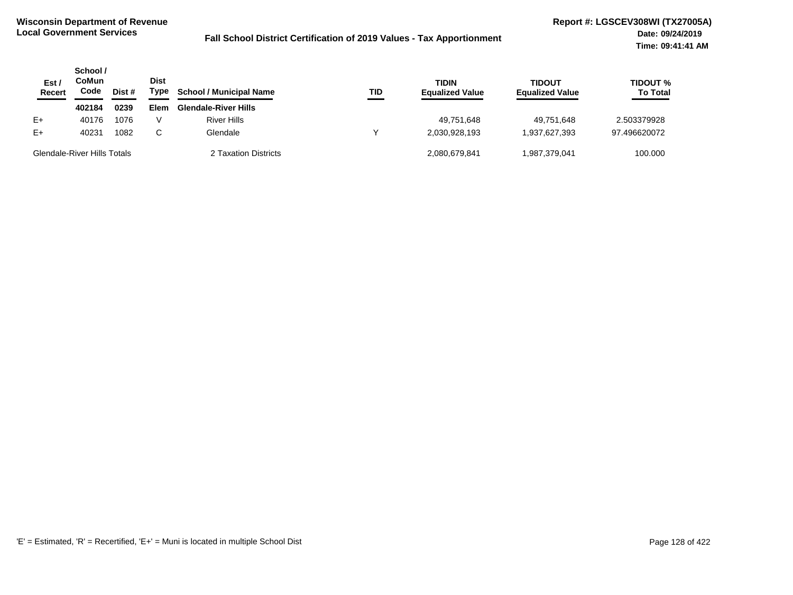| Est /<br><b>Recert</b>             | School /<br>CoMun<br>Code | Dist # | <b>Dist</b><br>Type | <b>School / Municipal Name</b> | <b>TID</b> | TIDIN<br><b>Equalized Value</b> | <b>TIDOUT</b><br><b>Equalized Value</b> | <b>TIDOUT %</b><br><b>To Total</b> |
|------------------------------------|---------------------------|--------|---------------------|--------------------------------|------------|---------------------------------|-----------------------------------------|------------------------------------|
|                                    | 402184                    | 0239   | Elem                | <b>Glendale-River Hills</b>    |            |                                 |                                         |                                    |
| $E+$                               | 40176                     | 1076   |                     | <b>River Hills</b>             |            | 49,751,648                      | 49.751.648                              | 2.503379928                        |
| $E+$                               | 40231                     | 1082   | C.                  | Glendale                       |            | 2.030.928.193                   | 1.937.627.393                           | 97.496620072                       |
| <b>Glendale-River Hills Totals</b> |                           |        |                     | 2 Taxation Districts           |            | 2.080.679.841                   | 1.987.379.041                           | 100.000                            |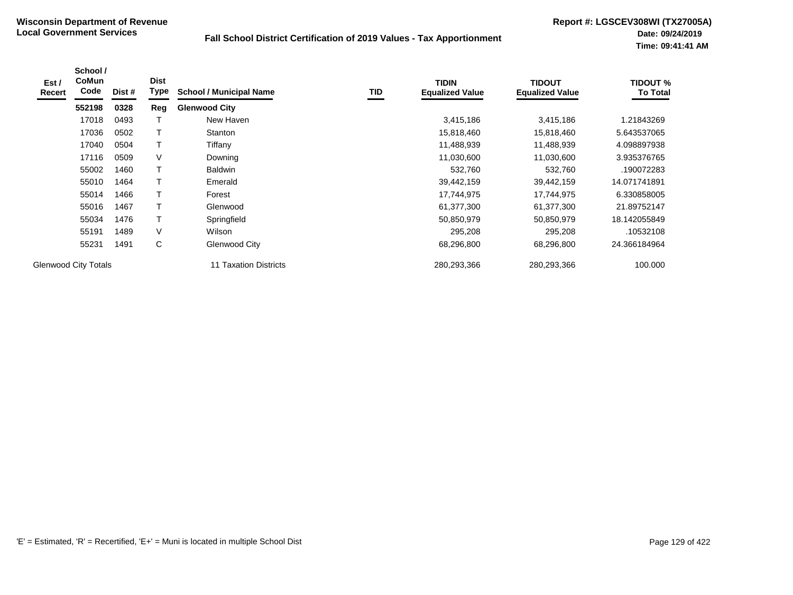| Est /<br>Recert | School /<br><b>CoMun</b><br>Code | Dist # | <b>Dist</b><br>Type | <b>School / Municipal Name</b> | TID | <b>TIDIN</b><br><b>Equalized Value</b> | <b>TIDOUT</b><br><b>Equalized Value</b> | <b>TIDOUT %</b><br><b>To Total</b> |
|-----------------|----------------------------------|--------|---------------------|--------------------------------|-----|----------------------------------------|-----------------------------------------|------------------------------------|
|                 | 552198                           | 0328   | Reg                 | <b>Glenwood City</b>           |     |                                        |                                         |                                    |
|                 | 17018                            | 0493   |                     | New Haven                      |     | 3,415,186                              | 3,415,186                               | 1.21843269                         |
|                 | 17036                            | 0502   |                     | Stanton                        |     | 15,818,460                             | 15,818,460                              | 5.643537065                        |
|                 | 17040                            | 0504   |                     | Tiffany                        |     | 11,488,939                             | 11,488,939                              | 4.098897938                        |
|                 | 17116                            | 0509   | V                   | Downing                        |     | 11,030,600                             | 11,030,600                              | 3.935376765                        |
|                 | 55002                            | 1460   | т                   | <b>Baldwin</b>                 |     | 532,760                                | 532,760                                 | .190072283                         |
|                 | 55010                            | 1464   |                     | Emerald                        |     | 39,442,159                             | 39,442,159                              | 14.071741891                       |
|                 | 55014                            | 1466   | т                   | Forest                         |     | 17,744,975                             | 17,744,975                              | 6.330858005                        |
|                 | 55016                            | 1467   |                     | Glenwood                       |     | 61,377,300                             | 61,377,300                              | 21.89752147                        |
|                 | 55034                            | 1476   | т                   | Springfield                    |     | 50,850,979                             | 50,850,979                              | 18.142055849                       |
|                 | 55191                            | 1489   | V                   | Wilson                         |     | 295,208                                | 295,208                                 | .10532108                          |
|                 | 55231                            | 1491   | С                   | Glenwood City                  |     | 68,296,800                             | 68,296,800                              | 24.366184964                       |
|                 | <b>Glenwood City Totals</b>      |        |                     | <b>11 Taxation Districts</b>   |     | 280,293,366                            | 280,293,366                             | 100.000                            |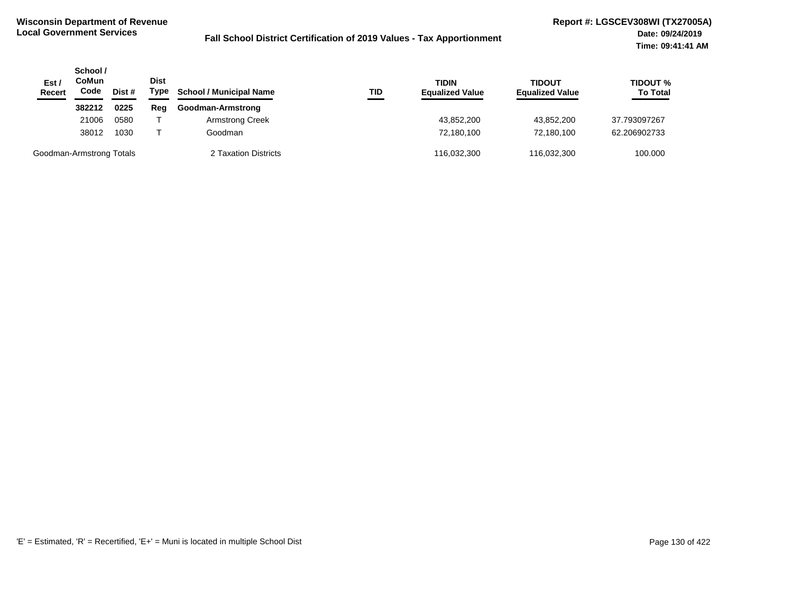| Est $\prime$<br><b>Recert</b> | School /<br>CoMun<br>Code | Dist # | <b>Dist</b><br>Type | <b>School / Municipal Name</b><br>TID | <b>TIDIN</b><br><b>Equalized Value</b> | TIDOUT<br><b>Equalized Value</b> | <b>TIDOUT %</b><br><b>To Total</b> |
|-------------------------------|---------------------------|--------|---------------------|---------------------------------------|----------------------------------------|----------------------------------|------------------------------------|
|                               | 382212                    | 0225   | Reg                 | Goodman-Armstrong                     |                                        |                                  |                                    |
|                               | 21006                     | 0580   |                     | <b>Armstrong Creek</b>                | 43,852,200                             | 43,852,200                       | 37.793097267                       |
|                               | 38012                     | 1030   |                     | Goodman                               | 72.180.100                             | 72.180.100                       | 62.206902733                       |
| Goodman-Armstrong Totals      |                           |        |                     | 2 Taxation Districts                  | 116,032,300                            | 116,032,300                      | 100.000                            |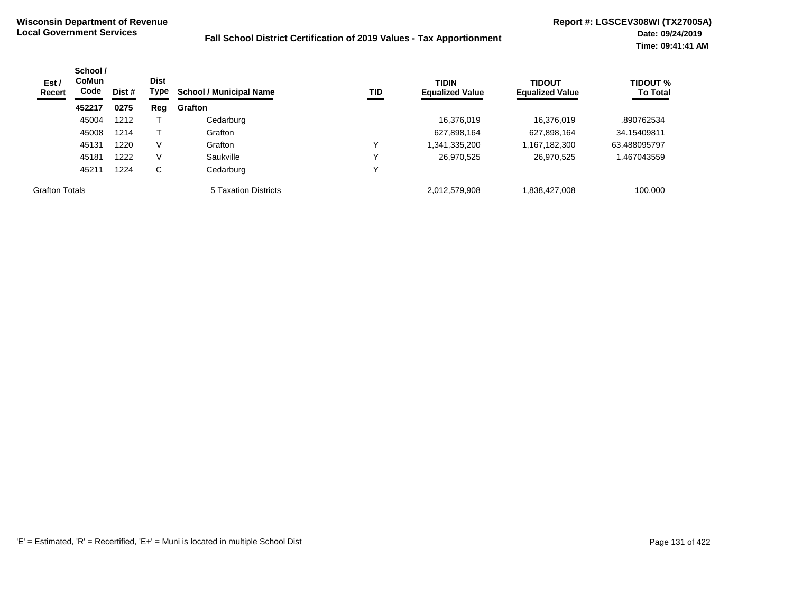| Est /<br>Recert       | School /<br><b>CoMun</b><br>Code | <b>Dist</b><br>Dist # | Type | <b>School / Municipal Name</b> | TID          | <b>TIDIN</b><br><b>Equalized Value</b> | <b>TIDOUT</b><br><b>Equalized Value</b> | <b>TIDOUT %</b><br><b>To Total</b> |
|-----------------------|----------------------------------|-----------------------|------|--------------------------------|--------------|----------------------------------------|-----------------------------------------|------------------------------------|
|                       | 452217                           | 0275                  | Reg  | Grafton                        |              |                                        |                                         |                                    |
|                       | 45004                            | 1212                  |      | Cedarburg                      |              | 16,376,019                             | 16,376,019                              | .890762534                         |
|                       | 45008                            | 1214                  |      | Grafton                        |              | 627,898,164                            | 627,898,164                             | 34.15409811                        |
|                       | 45131                            | 1220                  | V    | Grafton                        | v            | 1,341,335,200                          | 1,167,182,300                           | 63.488095797                       |
|                       | 45181                            | 1222                  | V    | Saukville                      | $\checkmark$ | 26,970,525                             | 26,970,525                              | .467043559                         |
|                       | 45211                            | 1224                  | С    | Cedarburg                      | $\checkmark$ |                                        |                                         |                                    |
| <b>Grafton Totals</b> |                                  |                       |      | 5 Taxation Districts           |              | 2,012,579,908                          | 838,427,008                             | 100.000                            |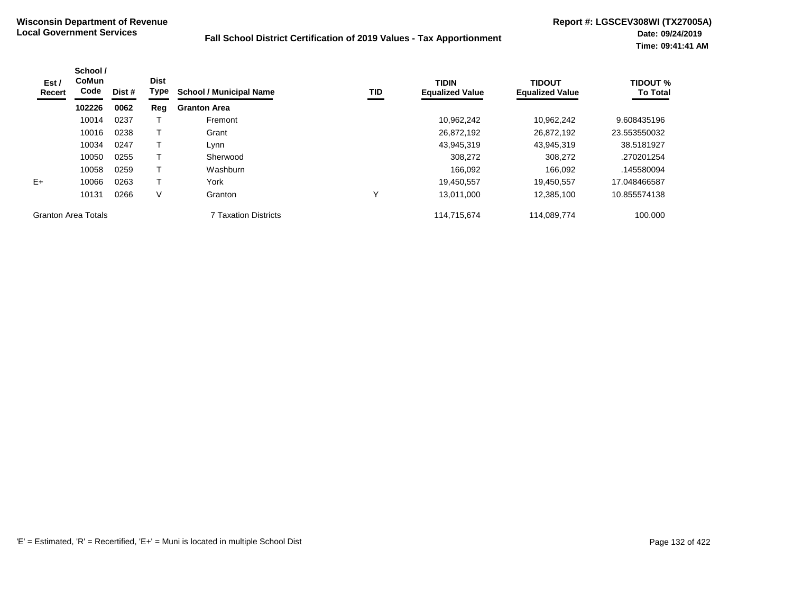| Est /<br>Recert            | School /<br>CoMun<br>Code | <b>Dist</b><br>Dist # | Type | <b>School / Municipal Name</b> | <b>TID</b> | <b>TIDIN</b><br><b>Equalized Value</b> | <b>TIDOUT</b><br><b>Equalized Value</b> | <b>TIDOUT %</b><br><b>To Total</b> |
|----------------------------|---------------------------|-----------------------|------|--------------------------------|------------|----------------------------------------|-----------------------------------------|------------------------------------|
|                            | 102226                    | 0062                  | Reg  | <b>Granton Area</b>            |            |                                        |                                         |                                    |
|                            | 10014                     | 0237                  |      | Fremont                        |            | 10,962,242                             | 10.962.242                              | 9.608435196                        |
|                            | 10016                     | 0238                  |      | Grant                          |            | 26,872,192                             | 26,872,192                              | 23.553550032                       |
|                            | 10034                     | 0247                  |      | Lynn                           |            | 43,945,319                             | 43.945.319                              | 38.5181927                         |
|                            | 10050                     | 0255                  |      | Sherwood                       |            | 308,272                                | 308,272                                 | .270201254                         |
|                            | 10058                     | 0259                  |      | Washburn                       |            | 166,092                                | 166,092                                 | .145580094                         |
| $E+$                       | 10066                     | 0263                  | т    | York                           |            | 19,450,557                             | 19.450.557                              | 17.048466587                       |
|                            | 10131                     | 0266                  | V    | Granton                        | ν          | 13,011,000                             | 12,385,100                              | 10.855574138                       |
| <b>Granton Area Totals</b> |                           |                       |      | <b>7 Taxation Districts</b>    |            | 114,715,674                            | 114,089,774                             | 100.000                            |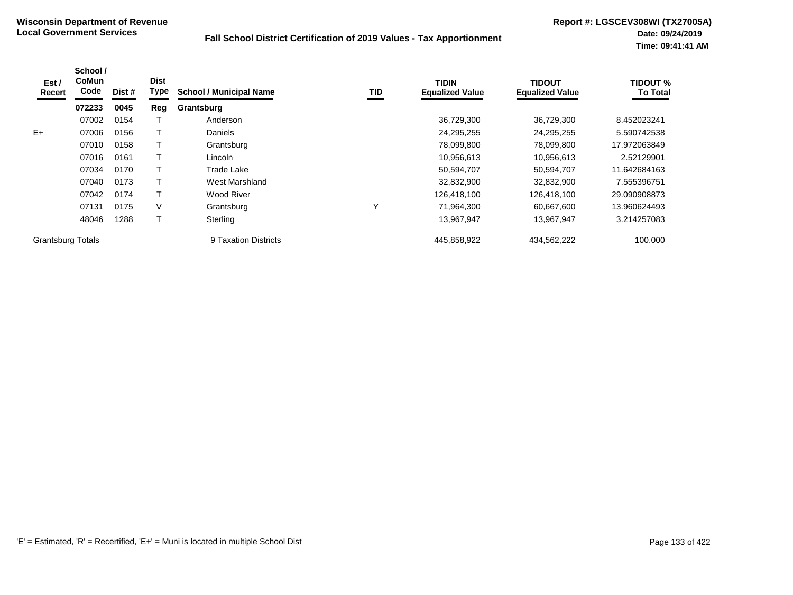| Est /<br>Recert          | School /<br><b>CoMun</b><br>Code | Dist # | <b>Dist</b><br>Type | <b>School / Municipal Name</b> | TID | <b>TIDIN</b><br><b>Equalized Value</b> | <b>TIDOUT</b><br><b>Equalized Value</b> | <b>TIDOUT %</b><br><b>To Total</b> |
|--------------------------|----------------------------------|--------|---------------------|--------------------------------|-----|----------------------------------------|-----------------------------------------|------------------------------------|
|                          | 072233                           | 0045   | Reg                 | Grantsburg                     |     |                                        |                                         |                                    |
|                          | 07002                            | 0154   |                     | Anderson                       |     | 36,729,300                             | 36,729,300                              | 8.452023241                        |
| $E+$                     | 07006                            | 0156   |                     | Daniels                        |     | 24,295,255                             | 24,295,255                              | 5.590742538                        |
|                          | 07010                            | 0158   |                     | Grantsburg                     |     | 78,099,800                             | 78,099,800                              | 17.972063849                       |
|                          | 07016                            | 0161   |                     | Lincoln                        |     | 10,956,613                             | 10,956,613                              | 2.52129901                         |
|                          | 07034                            | 0170   |                     | Trade Lake                     |     | 50,594,707                             | 50,594,707                              | 11.642684163                       |
|                          | 07040                            | 0173   |                     | West Marshland                 |     | 32,832,900                             | 32,832,900                              | 7.555396751                        |
|                          | 07042                            | 0174   |                     | <b>Wood River</b>              |     | 126.418.100                            | 126,418,100                             | 29.090908873                       |
|                          | 07131                            | 0175   | V                   | Grantsburg                     | Y   | 71,964,300                             | 60,667,600                              | 13.960624493                       |
|                          | 48046                            | 1288   |                     | Sterling                       |     | 13,967,947                             | 13.967.947                              | 3.214257083                        |
| <b>Grantsburg Totals</b> |                                  |        |                     | 9 Taxation Districts           |     | 445,858,922                            | 434,562,222                             | 100.000                            |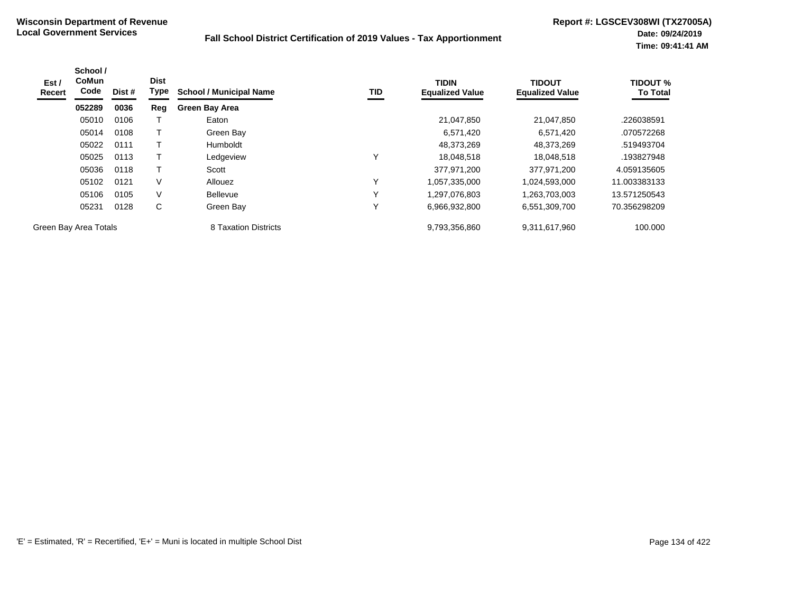| Est /<br>Recert | School /<br><b>CoMun</b><br>Code | Dist # | <b>Dist</b><br>Type | <b>School / Municipal Name</b> | TID          | <b>TIDIN</b><br><b>Equalized Value</b> | <b>TIDOUT</b><br><b>Equalized Value</b> | <b>TIDOUT %</b><br><b>To Total</b> |
|-----------------|----------------------------------|--------|---------------------|--------------------------------|--------------|----------------------------------------|-----------------------------------------|------------------------------------|
|                 | 052289                           | 0036   | Reg                 | <b>Green Bay Area</b>          |              |                                        |                                         |                                    |
|                 | 05010                            | 0106   |                     | Eaton                          |              | 21,047,850                             | 21,047,850                              | .226038591                         |
|                 | 05014                            | 0108   | т                   | Green Bay                      |              | 6,571,420                              | 6,571,420                               | .070572268                         |
|                 | 05022                            | 0111   | т                   | Humboldt                       |              | 48,373,269                             | 48,373,269                              | .519493704                         |
|                 | 05025                            | 0113   |                     | Ledgeview                      | $\checkmark$ | 18,048,518                             | 18.048.518                              | .193827948                         |
|                 | 05036                            | 0118   |                     | Scott                          |              | 377.971.200                            | 377,971,200                             | 4.059135605                        |
|                 | 05102                            | 0121   | V                   | Allouez                        | $\checkmark$ | 1,057,335,000                          | 1,024,593,000                           | 11.003383133                       |
|                 | 05106                            | 0105   | V                   | <b>Bellevue</b>                | $\checkmark$ | 1,297,076,803                          | 1,263,703,003                           | 13.571250543                       |
|                 | 05231                            | 0128   | C                   | Green Bay                      | $\checkmark$ | 6,966,932,800                          | 6,551,309,700                           | 70.356298209                       |
|                 | Green Bay Area Totals            |        |                     | 8 Taxation Districts           |              | 9,793,356,860                          | 9,311,617,960                           | 100.000                            |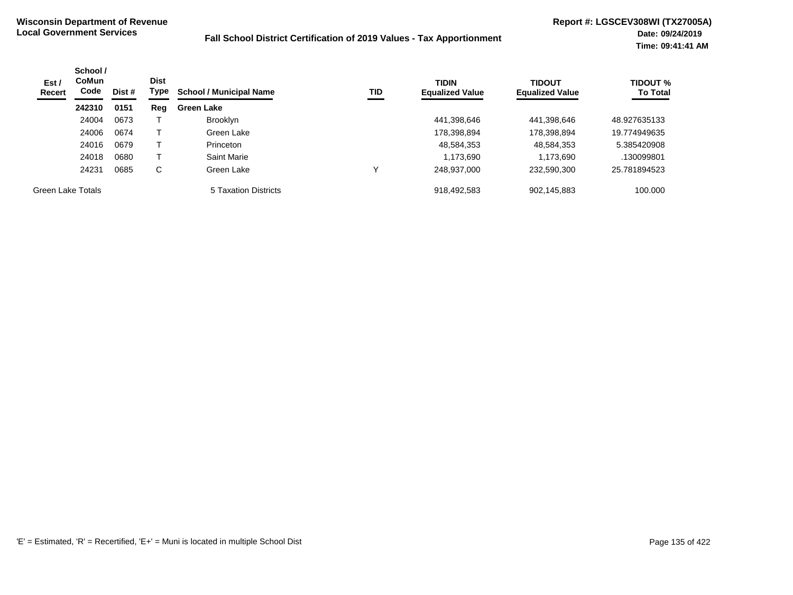| Est/<br>Recert    | School /<br><b>CoMun</b><br>Code<br>Dist #<br>0151<br>242310 | <b>Dist</b><br>Type | <b>School / Municipal Name</b><br>TID | <b>TIDIN</b><br><b>Equalized Value</b> | <b>TIDOUT</b><br><b>Equalized Value</b> | <b>TIDOUT %</b><br><b>To Total</b> |             |              |
|-------------------|--------------------------------------------------------------|---------------------|---------------------------------------|----------------------------------------|-----------------------------------------|------------------------------------|-------------|--------------|
|                   |                                                              |                     | Reg                                   | <b>Green Lake</b>                      |                                         |                                    |             |              |
|                   | 24004                                                        | 0673                |                                       | <b>Brooklyn</b>                        |                                         | 441,398,646                        | 441,398,646 | 48.927635133 |
|                   | 24006                                                        | 0674                |                                       | Green Lake                             |                                         | 178,398,894                        | 178,398,894 | 19.774949635 |
|                   | 24016                                                        | 0679                |                                       | Princeton                              |                                         | 48,584,353                         | 48,584,353  | 5.385420908  |
|                   | 24018                                                        | 0680                |                                       | Saint Marie                            |                                         | 1,173,690                          | 1,173,690   | .130099801   |
|                   | 24231                                                        | 0685                | C                                     | Green Lake                             |                                         | 248,937,000                        | 232,590,300 | 25.781894523 |
| Green Lake Totals |                                                              |                     |                                       | 5 Taxation Districts                   |                                         | 918,492,583                        | 902,145,883 | 100.000      |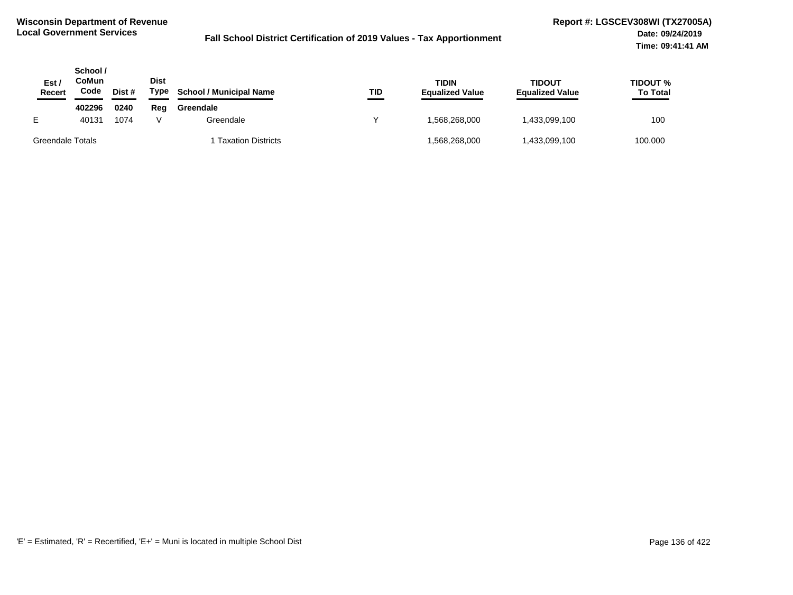| Est.<br>Recert   | School /<br>CoMun<br>Code | Dist # | Dist<br>Type | <b>School / Municipal Name</b> | TID | <b>TIDIN</b><br><b>Equalized Value</b> | <b>TIDOUT</b><br><b>Equalized Value</b> | <b>TIDOUT %</b><br><b>To Total</b> |
|------------------|---------------------------|--------|--------------|--------------------------------|-----|----------------------------------------|-----------------------------------------|------------------------------------|
|                  | 402296                    | 0240   | Reg          | Greendale                      |     |                                        |                                         |                                    |
| E.               | 40131                     | 1074   |              | Greendale                      |     | 1.568.268.000                          | 433,099,100                             | 100                                |
| Greendale Totals |                           |        |              | <b>Taxation Districts</b>      |     | .568,268,000                           | 433,099,100                             | 100.000                            |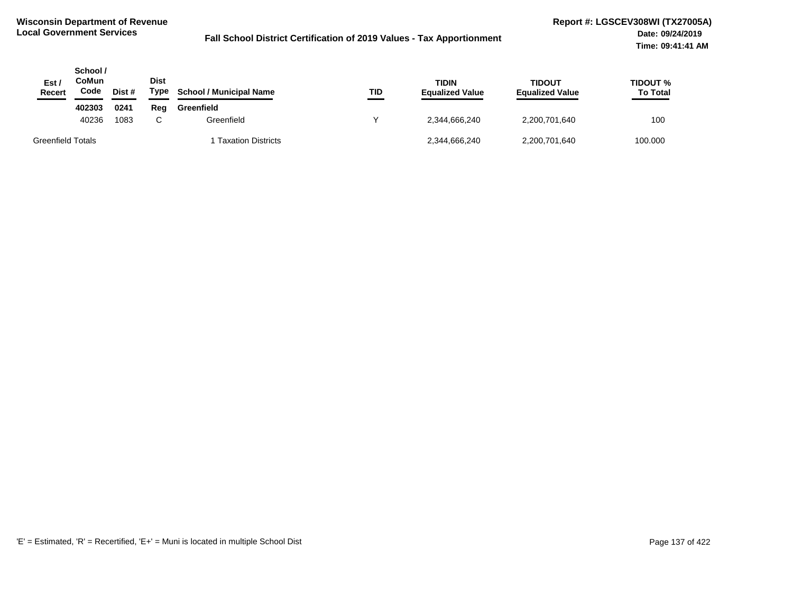| Est/<br>Recert           | School /<br>CoMun<br>Code | Dist # | <b>Dist</b><br>Type | <b>School / Municipal Name</b> | TID | <b>TIDIN</b><br><b>Equalized Value</b> | <b>TIDOUT</b><br><b>Equalized Value</b> | <b>TIDOUT %</b><br><b>To Total</b> |
|--------------------------|---------------------------|--------|---------------------|--------------------------------|-----|----------------------------------------|-----------------------------------------|------------------------------------|
|                          | 402303                    | 0241   | Reg                 | Greenfield                     |     |                                        |                                         |                                    |
|                          | 40236                     | 1083   | $\sim$              | Greenfield                     |     | 2.344.666.240                          | 2,200,701,640                           | 100                                |
| <b>Greenfield Totals</b> |                           |        |                     | 1 Taxation Districts           |     | 2,344,666,240                          | 2,200,701,640                           | 100.000                            |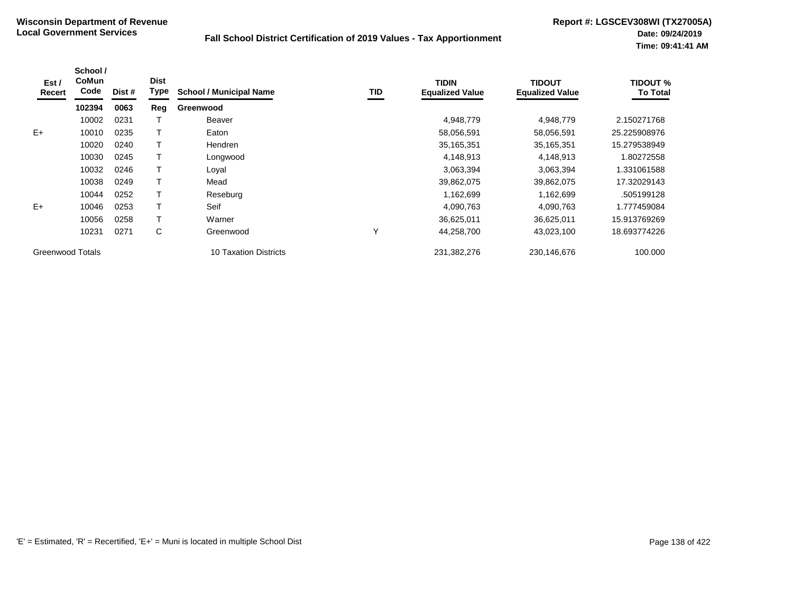| Est /<br>Recert         | School /<br>CoMun<br>Code | Dist # | <b>Dist</b><br><b>Type</b> | <b>School / Municipal Name</b> | TID | <b>TIDIN</b><br><b>Equalized Value</b> | <b>TIDOUT</b><br><b>Equalized Value</b> | <b>TIDOUT %</b><br><b>To Total</b> |
|-------------------------|---------------------------|--------|----------------------------|--------------------------------|-----|----------------------------------------|-----------------------------------------|------------------------------------|
|                         | 102394                    | 0063   | Reg                        | Greenwood                      |     |                                        |                                         |                                    |
|                         | 10002                     | 0231   |                            | <b>Beaver</b>                  |     | 4,948,779                              | 4,948,779                               | 2.150271768                        |
| $E+$                    | 10010                     | 0235   |                            | Eaton                          |     | 58,056,591                             | 58,056,591                              | 25.225908976                       |
|                         | 10020                     | 0240   |                            | <b>Hendren</b>                 |     | 35,165,351                             | 35, 165, 351                            | 15.279538949                       |
|                         | 10030                     | 0245   |                            | Longwood                       |     | 4,148,913                              | 4,148,913                               | 1.80272558                         |
|                         | 10032                     | 0246   |                            | Loyal                          |     | 3,063,394                              | 3,063,394                               | 1.331061588                        |
|                         | 10038                     | 0249   |                            | Mead                           |     | 39,862,075                             | 39,862,075                              | 17.32029143                        |
|                         | 10044                     | 0252   |                            | Reseburg                       |     | 1,162,699                              | 1,162,699                               | .505199128                         |
| $E+$                    | 10046                     | 0253   |                            | Seif                           |     | 4,090,763                              | 4,090,763                               | 1.777459084                        |
|                         | 10056                     | 0258   |                            | Warner                         |     | 36,625,011                             | 36,625,011                              | 15.913769269                       |
|                         | 10231                     | 0271   | С                          | Greenwood                      | Υ   | 44,258,700                             | 43,023,100                              | 18.693774226                       |
| <b>Greenwood Totals</b> |                           |        |                            | <b>10 Taxation Districts</b>   |     | 231,382,276                            | 230,146,676                             | 100.000                            |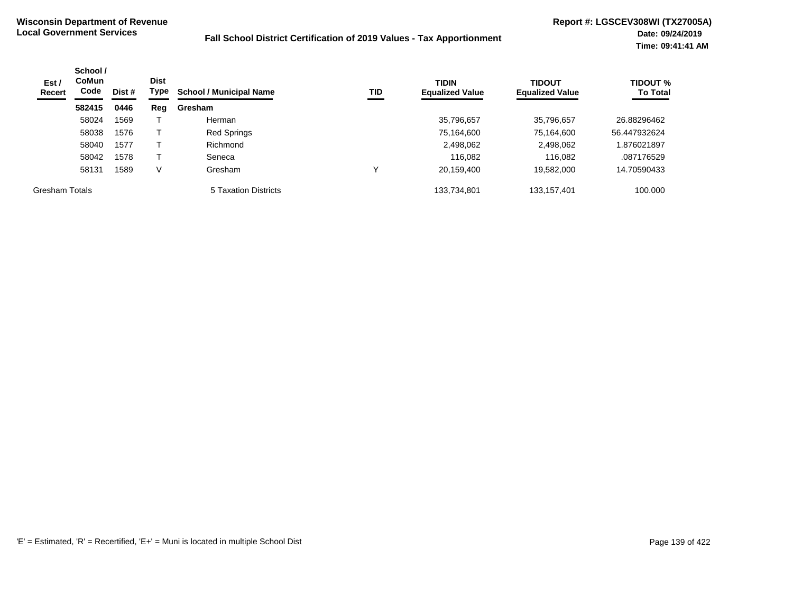| Est/<br>Recert        | School /<br><b>CoMun</b><br>Code<br>Dist #<br>582415<br>0446 | <b>Dist</b><br>Type | TID<br><b>School / Municipal Name</b> | <b>TIDIN</b><br><b>Equalized Value</b> | <b>TIDOUT</b><br><b>Equalized Value</b> | <b>TIDOUT %</b><br><b>To Total</b> |               |              |
|-----------------------|--------------------------------------------------------------|---------------------|---------------------------------------|----------------------------------------|-----------------------------------------|------------------------------------|---------------|--------------|
|                       |                                                              |                     | Reg                                   | Gresham                                |                                         |                                    |               |              |
|                       | 58024                                                        | 1569                |                                       | Herman                                 |                                         | 35,796,657                         | 35,796,657    | 26.88296462  |
|                       | 58038                                                        | 1576                |                                       | <b>Red Springs</b>                     |                                         | 75,164,600                         | 75,164,600    | 56.447932624 |
|                       | 58040                                                        | 1577                |                                       | Richmond                               |                                         | 2,498,062                          | 2,498,062     | 1.876021897  |
|                       | 58042                                                        | 1578                |                                       | Seneca                                 |                                         | 116.082                            | 116.082       | .087176529   |
|                       | 58131                                                        | 1589                | V                                     | Gresham                                |                                         | 20,159,400                         | 19,582,000    | 14.70590433  |
| <b>Gresham Totals</b> |                                                              |                     |                                       | 5 Taxation Districts                   |                                         | 133,734,801                        | 133, 157, 401 | 100.000      |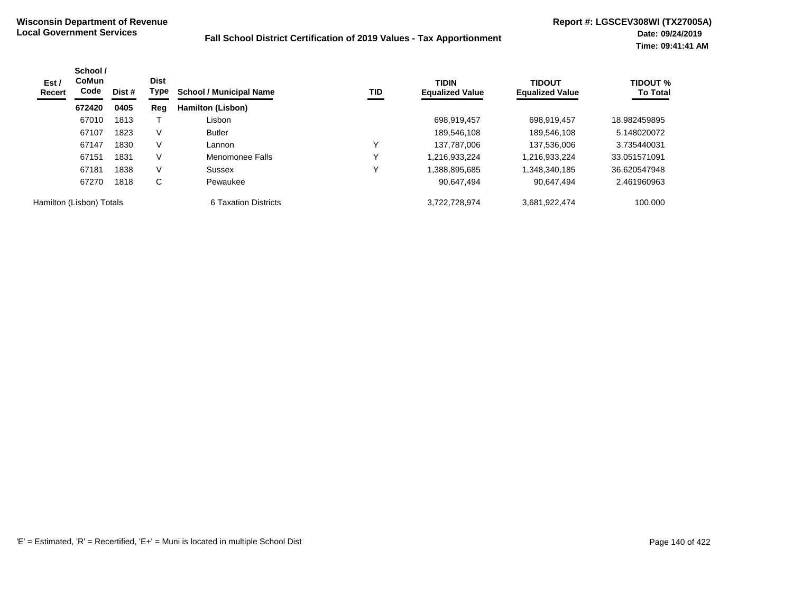| Est /<br><b>Recert</b>   | School /<br><b>CoMun</b><br>Code | Dist # | <b>Dist</b><br>Type | <b>School / Municipal Name</b> | TID | <b>TIDIN</b><br><b>Equalized Value</b> | <b>TIDOUT</b><br><b>Equalized Value</b> | <b>TIDOUT %</b><br><b>To Total</b> |
|--------------------------|----------------------------------|--------|---------------------|--------------------------------|-----|----------------------------------------|-----------------------------------------|------------------------------------|
|                          | 672420                           | 0405   | Reg                 | Hamilton (Lisbon)              |     |                                        |                                         |                                    |
|                          | 67010                            | 1813   |                     | Lisbon                         |     | 698.919.457                            | 698,919,457                             | 18.982459895                       |
|                          | 67107                            | 1823   | V                   | <b>Butler</b>                  |     | 189,546,108                            | 189,546,108                             | 5.148020072                        |
|                          | 67147                            | 1830   | V                   | Lannon                         |     | 137.787.006                            | 137,536,006                             | 3.735440031                        |
|                          | 67151                            | 1831   | V                   | Menomonee Falls                |     | 1,216,933,224                          | 1,216,933,224                           | 33.051571091                       |
|                          | 67181                            | 1838   | V                   | Sussex                         |     | 1,388,895,685                          | 348,340,185,                            | 36.620547948                       |
|                          | 67270                            | 1818   | C                   | Pewaukee                       |     | 90,647,494                             | 90,647,494                              | 2.461960963                        |
| Hamilton (Lisbon) Totals |                                  |        |                     | 6 Taxation Districts           |     | 3,722,728,974                          | 3,681,922,474                           | 100,000                            |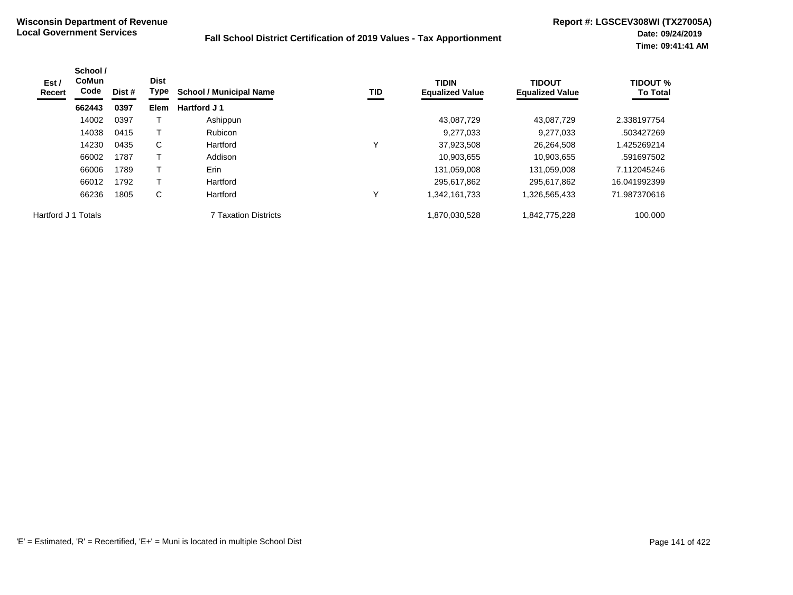| Est /<br>Recert     | School /<br><b>CoMun</b><br>Code | Dist # | <b>Dist</b><br>Type | <b>School / Municipal Name</b> | TID | <b>TIDIN</b><br><b>Equalized Value</b> | <b>TIDOUT</b><br><b>Equalized Value</b> | <b>TIDOUT %</b><br><b>To Total</b> |
|---------------------|----------------------------------|--------|---------------------|--------------------------------|-----|----------------------------------------|-----------------------------------------|------------------------------------|
|                     | 662443                           | 0397   | <b>Elem</b>         | Hartford J 1                   |     |                                        |                                         |                                    |
|                     | 14002                            | 0397   |                     | Ashippun                       |     | 43,087,729                             | 43,087,729                              | 2.338197754                        |
|                     | 14038                            | 0415   |                     | <b>Rubicon</b>                 |     | 9,277,033                              | 9,277,033                               | .503427269                         |
|                     | 14230                            | 0435   | C                   | Hartford                       |     | 37,923,508                             | 26,264,508                              | 1.425269214                        |
|                     | 66002                            | 1787   |                     | Addison                        |     | 10,903,655                             | 10,903,655                              | .591697502                         |
|                     | 66006                            | 1789   |                     | Erin                           |     | 131,059,008                            | 131.059.008                             | 7.112045246                        |
|                     | 66012                            | 1792   |                     | Hartford                       |     | 295.617.862                            | 295,617,862                             | 16.041992399                       |
|                     | 66236                            | 1805   | C                   | Hartford                       | v   | 342,161,733                            | 1,326,565,433                           | 71.987370616                       |
| Hartford J 1 Totals |                                  |        |                     | <b>7 Taxation Districts</b>    |     | 870,030,528,                           | 1,842,775,228                           | 100.000                            |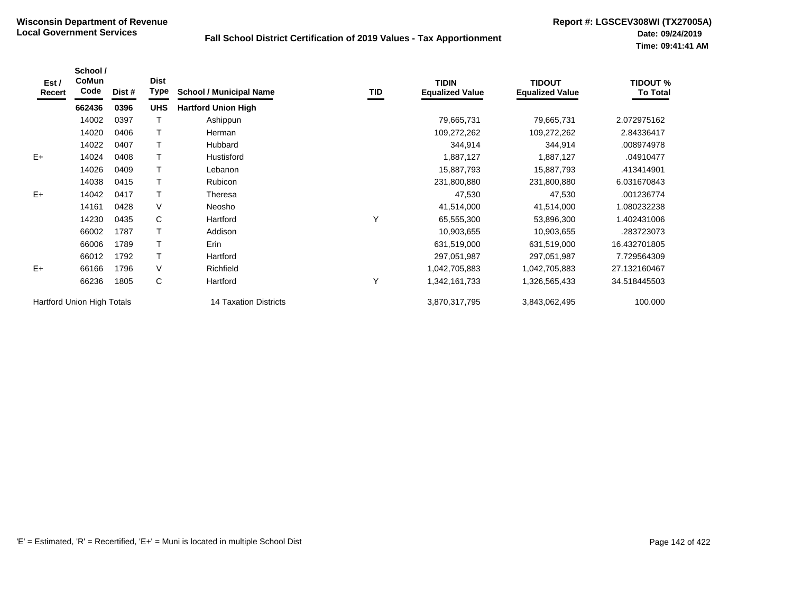| Est /<br>Recert            | School /<br>CoMun<br>Code | Dist # | <b>Dist</b><br>Type | <b>School / Municipal Name</b> | TID | <b>TIDIN</b><br><b>Equalized Value</b> | <b>TIDOUT</b><br><b>Equalized Value</b> | <b>TIDOUT %</b><br><b>To Total</b> |
|----------------------------|---------------------------|--------|---------------------|--------------------------------|-----|----------------------------------------|-----------------------------------------|------------------------------------|
|                            | 662436                    | 0396   | <b>UHS</b>          | <b>Hartford Union High</b>     |     |                                        |                                         |                                    |
|                            | 14002                     | 0397   |                     | Ashippun                       |     | 79,665,731                             | 79,665,731                              | 2.072975162                        |
|                            | 14020                     | 0406   |                     | Herman                         |     | 109,272,262                            | 109,272,262                             | 2.84336417                         |
|                            | 14022                     | 0407   |                     | Hubbard                        |     | 344,914                                | 344,914                                 | .008974978                         |
| $E+$                       | 14024                     | 0408   |                     | Hustisford                     |     | 1,887,127                              | 1,887,127                               | .04910477                          |
|                            | 14026                     | 0409   | $\mathsf{T}$        | Lebanon                        |     | 15,887,793                             | 15,887,793                              | .413414901                         |
|                            | 14038                     | 0415   |                     | Rubicon                        |     | 231,800,880                            | 231,800,880                             | 6.031670843                        |
| $E+$                       | 14042                     | 0417   |                     | Theresa                        |     | 47,530                                 | 47,530                                  | .001236774                         |
|                            | 14161                     | 0428   | $\vee$              | Neosho                         |     | 41,514,000                             | 41,514,000                              | 1.080232238                        |
|                            | 14230                     | 0435   | $\mathsf{C}$        | Hartford                       | Υ   | 65,555,300                             | 53,896,300                              | 1.402431006                        |
|                            | 66002                     | 1787   |                     | Addison                        |     | 10,903,655                             | 10,903,655                              | .283723073                         |
|                            | 66006                     | 1789   |                     | Erin                           |     | 631,519,000                            | 631,519,000                             | 16.432701805                       |
|                            | 66012                     | 1792   | Т                   | Hartford                       |     | 297,051,987                            | 297,051,987                             | 7.729564309                        |
| $E+$                       | 66166                     | 1796   | $\vee$              | Richfield                      |     | 1,042,705,883                          | 1,042,705,883                           | 27.132160467                       |
|                            | 66236                     | 1805   | C                   | Hartford                       | Υ   | 1,342,161,733                          | 1,326,565,433                           | 34.518445503                       |
| Hartford Union High Totals |                           |        |                     | 14 Taxation Districts          |     | 3,870,317,795                          | 3,843,062,495                           | 100.000                            |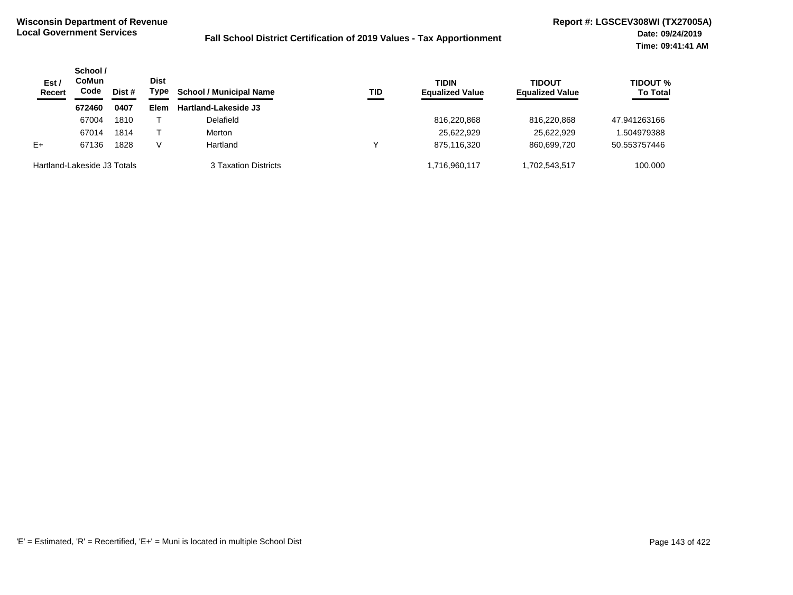| Est/<br><b>Recert</b>       | School /<br>CoMun<br>Code<br>Dist # | <b>Dist</b><br>Type | <b>School / Municipal Name</b> | <b>TID</b>           | <b>TIDIN</b><br><b>Equalized Value</b> | <b>TIDOUT</b><br><b>Equalized Value</b> | <b>TIDOUT %</b><br><b>To Total</b> |              |
|-----------------------------|-------------------------------------|---------------------|--------------------------------|----------------------|----------------------------------------|-----------------------------------------|------------------------------------|--------------|
|                             | 672460                              | 0407                | Elem                           | Hartland-Lakeside J3 |                                        |                                         |                                    |              |
|                             | 67004                               | 1810                |                                | Delafield            |                                        | 816,220,868                             | 816.220.868                        | 47.941263166 |
|                             | 67014                               | 1814                |                                | Merton               |                                        | 25,622,929                              | 25,622,929                         | .504979388   |
| $E+$                        | 67136                               | 1828                |                                | Hartland             | ν                                      | 875,116,320                             | 860.699.720                        | 50.553757446 |
| Hartland-Lakeside J3 Totals |                                     |                     |                                | 3 Taxation Districts |                                        | 1,716,960,117                           | 1,702,543,517                      | 100.000      |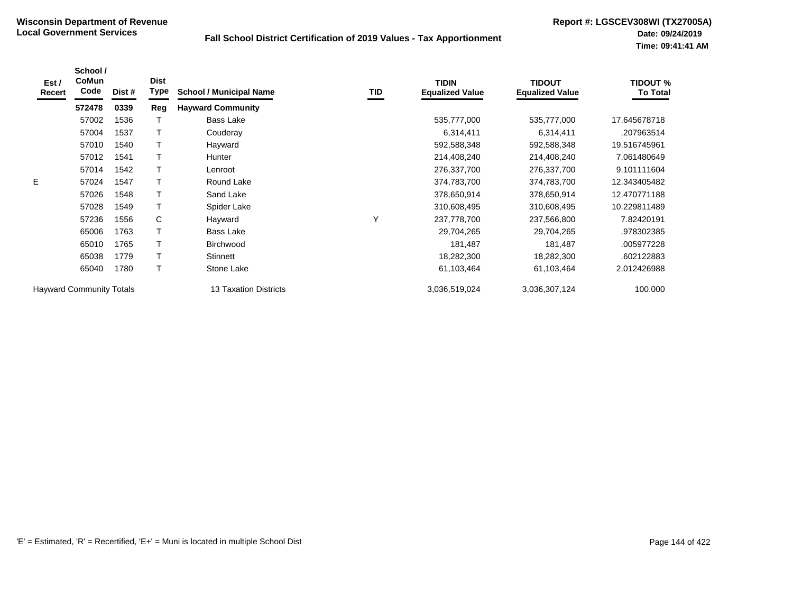| Est /<br><b>Recert</b>          | School /<br>CoMun<br>Code | Dist # | <b>Dist</b><br>Type | <b>School / Municipal Name</b> | TID | <b>TIDIN</b><br><b>Equalized Value</b> | <b>TIDOUT</b><br><b>Equalized Value</b> | <b>TIDOUT %</b><br><b>To Total</b> |
|---------------------------------|---------------------------|--------|---------------------|--------------------------------|-----|----------------------------------------|-----------------------------------------|------------------------------------|
|                                 | 572478                    | 0339   | Reg                 | <b>Hayward Community</b>       |     |                                        |                                         |                                    |
|                                 | 57002                     | 1536   |                     | Bass Lake                      |     | 535,777,000                            | 535,777,000                             | 17.645678718                       |
|                                 | 57004                     | 1537   |                     | Couderay                       |     | 6,314,411                              | 6,314,411                               | .207963514                         |
|                                 | 57010                     | 1540   |                     | Hayward                        |     | 592,588,348                            | 592,588,348                             | 19.516745961                       |
|                                 | 57012                     | 1541   | Т                   | Hunter                         |     | 214,408,240                            | 214,408,240                             | 7.061480649                        |
|                                 | 57014                     | 1542   |                     | Lenroot                        |     | 276,337,700                            | 276,337,700                             | 9.101111604                        |
| E.                              | 57024                     | 1547   |                     | Round Lake                     |     | 374,783,700                            | 374,783,700                             | 12.343405482                       |
|                                 | 57026                     | 1548   | т                   | Sand Lake                      |     | 378,650,914                            | 378,650,914                             | 12.470771188                       |
|                                 | 57028                     | 1549   | T                   | Spider Lake                    |     | 310,608,495                            | 310,608,495                             | 10.229811489                       |
|                                 | 57236                     | 1556   | C                   | Hayward                        | Υ   | 237,778,700                            | 237,566,800                             | 7.82420191                         |
|                                 | 65006                     | 1763   | T                   | Bass Lake                      |     | 29,704,265                             | 29,704,265                              | .978302385                         |
|                                 | 65010                     | 1765   | Т                   | Birchwood                      |     | 181,487                                | 181,487                                 | .005977228                         |
|                                 | 65038                     | 1779   | T                   | Stinnett                       |     | 18,282,300                             | 18,282,300                              | .602122883                         |
|                                 | 65040                     | 1780   | T                   | Stone Lake                     |     | 61,103,464                             | 61,103,464                              | 2.012426988                        |
| <b>Hayward Community Totals</b> |                           |        |                     | <b>13 Taxation Districts</b>   |     | 3,036,519,024                          | 3,036,307,124                           | 100.000                            |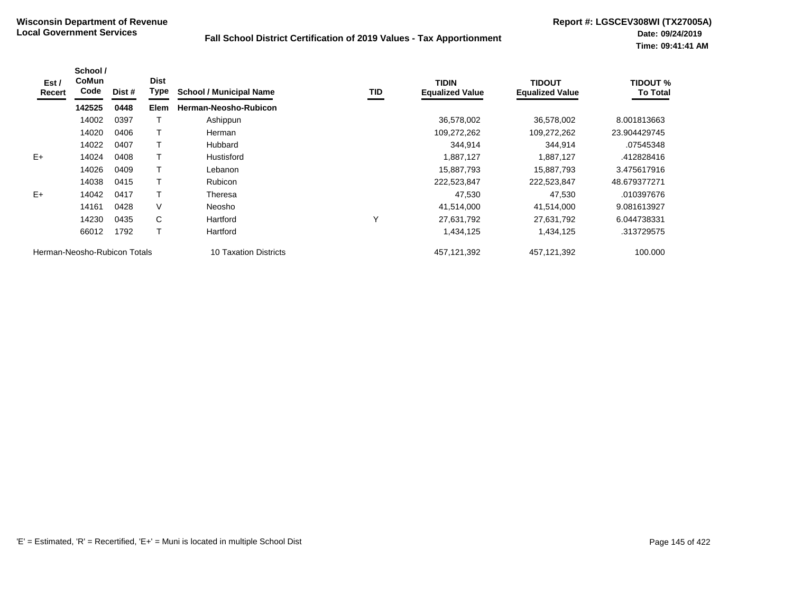| Est /<br>Recert              | School /<br>CoMun<br>Code | Dist # | <b>Dist</b><br><b>Type</b> | <b>School / Municipal Name</b> | TID | <b>TIDIN</b><br><b>Equalized Value</b> | <b>TIDOUT</b><br><b>Equalized Value</b> | <b>TIDOUT %</b><br><b>To Total</b> |
|------------------------------|---------------------------|--------|----------------------------|--------------------------------|-----|----------------------------------------|-----------------------------------------|------------------------------------|
|                              | 142525                    | 0448   | Elem                       | Herman-Neosho-Rubicon          |     |                                        |                                         |                                    |
|                              | 14002                     | 0397   |                            | Ashippun                       |     | 36,578,002                             | 36,578,002                              | 8.001813663                        |
|                              | 14020                     | 0406   |                            | <b>Herman</b>                  |     | 109,272,262                            | 109,272,262                             | 23.904429745                       |
|                              | 14022                     | 0407   |                            | Hubbard                        |     | 344,914                                | 344,914                                 | .07545348                          |
| $E+$                         | 14024                     | 0408   |                            | Hustisford                     |     | 1,887,127                              | 1,887,127                               | .412828416                         |
|                              | 14026                     | 0409   |                            | Lebanon                        |     | 15,887,793                             | 15,887,793                              | 3.475617916                        |
|                              | 14038                     | 0415   |                            | <b>Rubicon</b>                 |     | 222,523,847                            | 222,523,847                             | 48.679377271                       |
| $E+$                         | 14042                     | 0417   |                            | Theresa                        |     | 47,530                                 | 47,530                                  | .010397676                         |
|                              | 14161                     | 0428   | V                          | Neosho                         |     | 41,514,000                             | 41,514,000                              | 9.081613927                        |
|                              | 14230                     | 0435   | C                          | Hartford                       | Υ   | 27,631,792                             | 27,631,792                              | 6.044738331                        |
|                              | 66012                     | 1792   |                            | Hartford                       |     | 1,434,125                              | 1,434,125                               | .313729575                         |
| Herman-Neosho-Rubicon Totals |                           |        |                            | <b>10 Taxation Districts</b>   |     | 457, 121, 392                          | 457,121,392                             | 100.000                            |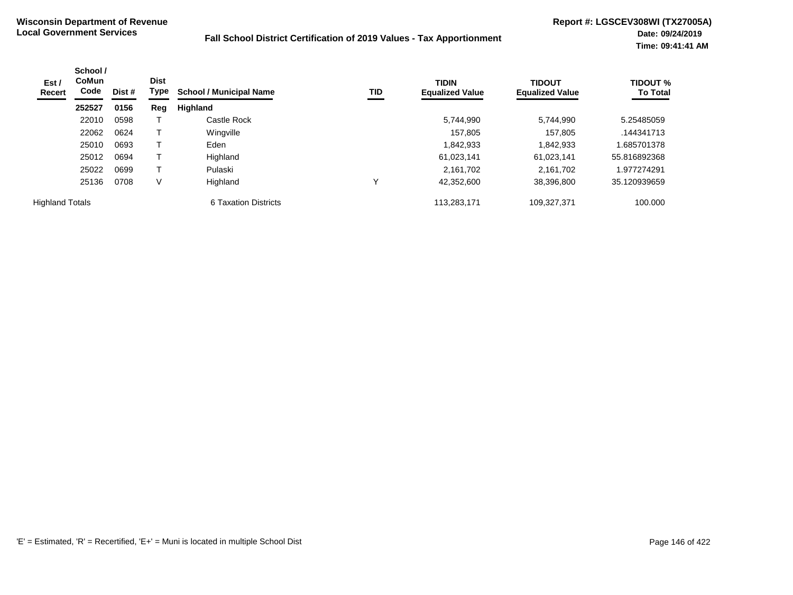| Est /<br>Recert        | School /<br><b>CoMun</b><br>Code | Dist # | <b>Dist</b><br>Type | <b>School / Municipal Name</b> | TID | <b>TIDIN</b><br><b>Equalized Value</b> | <b>TIDOUT</b><br><b>Equalized Value</b> | <b>TIDOUT %</b><br><b>To Total</b> |
|------------------------|----------------------------------|--------|---------------------|--------------------------------|-----|----------------------------------------|-----------------------------------------|------------------------------------|
|                        | 252527                           | 0156   | Reg                 | Highland                       |     |                                        |                                         |                                    |
|                        | 22010                            | 0598   |                     | Castle Rock                    |     | 5,744,990                              | 5,744,990                               | 5.25485059                         |
|                        | 22062                            | 0624   |                     | Wingville                      |     | 157.805                                | 157.805                                 | .144341713                         |
|                        | 25010                            | 0693   |                     | Eden                           |     | 1,842,933                              | 1,842,933                               | 1.685701378                        |
|                        | 25012                            | 0694   |                     | Highland                       |     | 61,023,141                             | 61,023,141                              | 55.816892368                       |
|                        | 25022                            | 0699   |                     | Pulaski                        |     | 2.161.702                              | 2,161,702                               | 1.977274291                        |
|                        | 25136                            | 0708   | ٧                   | Highland                       |     | 42.352.600                             | 38,396,800                              | 35.120939659                       |
| <b>Highland Totals</b> |                                  |        |                     | 6 Taxation Districts           |     | 113,283,171                            | 109,327,371                             | 100.000                            |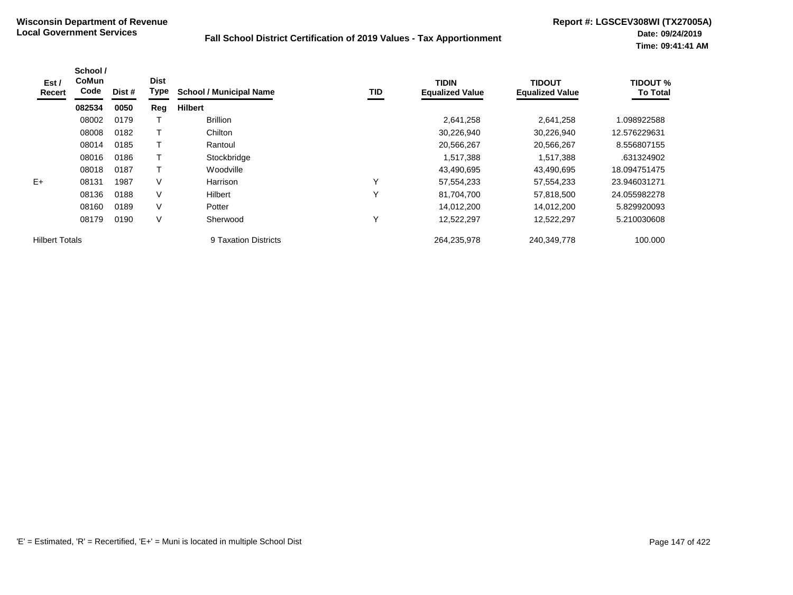| Est /<br>Recert       | School /<br><b>CoMun</b><br>Code | Dist # | <b>Dist</b><br>Type | <b>School / Municipal Name</b> | TID          | <b>TIDIN</b><br><b>Equalized Value</b> | <b>TIDOUT</b><br><b>Equalized Value</b> | <b>TIDOUT %</b><br><b>To Total</b> |
|-----------------------|----------------------------------|--------|---------------------|--------------------------------|--------------|----------------------------------------|-----------------------------------------|------------------------------------|
|                       | 082534                           | 0050   | Reg                 | <b>Hilbert</b>                 |              |                                        |                                         |                                    |
|                       | 08002                            | 0179   |                     | <b>Brillion</b>                |              | 2,641,258                              | 2,641,258                               | .098922588                         |
|                       | 08008                            | 0182   |                     | Chilton                        |              | 30,226,940                             | 30,226,940                              | 12.576229631                       |
|                       | 08014                            | 0185   | Т                   | Rantoul                        |              | 20,566,267                             | 20,566,267                              | 8.556807155                        |
|                       | 08016                            | 0186   |                     | Stockbridge                    |              | 1,517,388                              | 1,517,388                               | .631324902                         |
|                       | 08018                            | 0187   | т                   | Woodville                      |              | 43,490,695                             | 43,490,695                              | 18.094751475                       |
| $E+$                  | 08131                            | 1987   | V                   | Harrison                       | $\checkmark$ | 57,554,233                             | 57,554,233                              | 23.946031271                       |
|                       | 08136                            | 0188   | $\vee$              | Hilbert                        | $\checkmark$ | 81.704.700                             | 57,818,500                              | 24.055982278                       |
|                       | 08160                            | 0189   | $\vee$              | Potter                         |              | 14,012,200                             | 14,012,200                              | 5.829920093                        |
|                       | 08179                            | 0190   | $\vee$              | Sherwood                       | $\checkmark$ | 12,522,297                             | 12,522,297                              | 5.210030608                        |
| <b>Hilbert Totals</b> |                                  |        |                     | 9 Taxation Districts           |              | 264,235,978                            | 240,349,778                             | 100.000                            |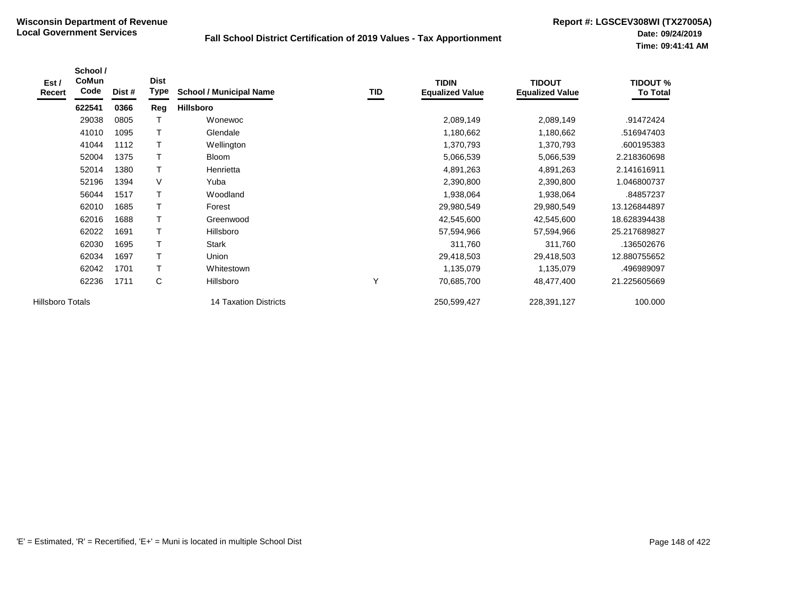| Est /<br>Recert  | School /<br>CoMun<br>Code | Dist # | <b>Dist</b><br>Type | <b>School / Municipal Name</b> | TID | <b>TIDIN</b><br><b>Equalized Value</b> | <b>TIDOUT</b><br><b>Equalized Value</b> | <b>TIDOUT %</b><br><b>To Total</b> |
|------------------|---------------------------|--------|---------------------|--------------------------------|-----|----------------------------------------|-----------------------------------------|------------------------------------|
|                  | 622541                    | 0366   | Reg                 | Hillsboro                      |     |                                        |                                         |                                    |
|                  | 29038                     | 0805   |                     | Wonewoc                        |     | 2,089,149                              | 2,089,149                               | .91472424                          |
|                  | 41010                     | 1095   | $\mathsf{T}$        | Glendale                       |     | 1,180,662                              | 1,180,662                               | .516947403                         |
|                  | 41044                     | 1112   | $\mathsf{T}$        | Wellington                     |     | 1,370,793                              | 1,370,793                               | .600195383                         |
|                  | 52004                     | 1375   | Т                   | <b>Bloom</b>                   |     | 5,066,539                              | 5,066,539                               | 2.218360698                        |
|                  | 52014                     | 1380   | $\mathsf{T}$        | Henrietta                      |     | 4,891,263                              | 4,891,263                               | 2.141616911                        |
|                  | 52196                     | 1394   | V                   | Yuba                           |     | 2,390,800                              | 2,390,800                               | 1.046800737                        |
|                  | 56044                     | 1517   | T                   | Woodland                       |     | 1,938,064                              | 1,938,064                               | .84857237                          |
|                  | 62010                     | 1685   |                     | Forest                         |     | 29,980,549                             | 29,980,549                              | 13.126844897                       |
|                  | 62016                     | 1688   | $\top$              | Greenwood                      |     | 42,545,600                             | 42,545,600                              | 18.628394438                       |
|                  | 62022                     | 1691   | $\top$              | Hillsboro                      |     | 57,594,966                             | 57,594,966                              | 25.217689827                       |
|                  | 62030                     | 1695   | T                   | <b>Stark</b>                   |     | 311,760                                | 311,760                                 | .136502676                         |
|                  | 62034                     | 1697   | T                   | Union                          |     | 29,418,503                             | 29,418,503                              | 12.880755652                       |
|                  | 62042                     | 1701   | T                   | Whitestown                     |     | 1,135,079                              | 1,135,079                               | .496989097                         |
|                  | 62236                     | 1711   | C                   | Hillsboro                      | Y   | 70,685,700                             | 48,477,400                              | 21.225605669                       |
| Hillsboro Totals |                           |        |                     | 14 Taxation Districts          |     | 250,599,427                            | 228,391,127                             | 100.000                            |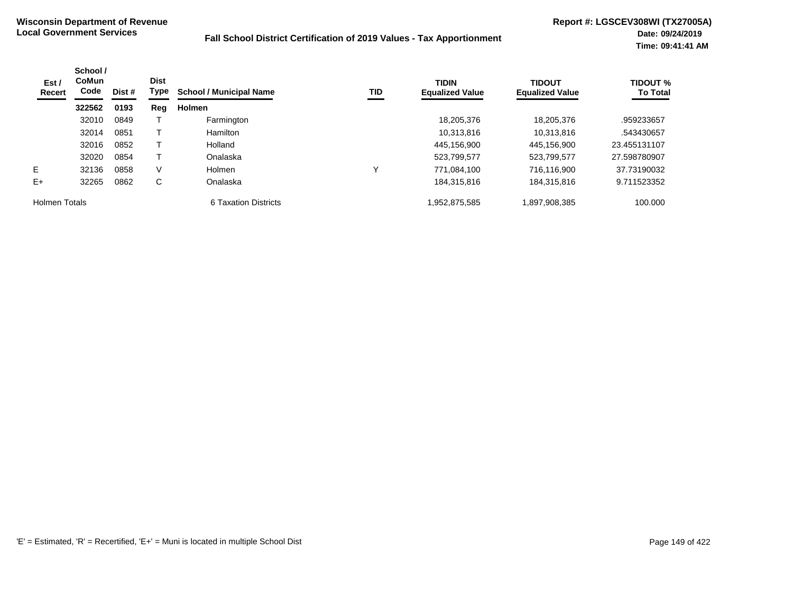| Est /<br><b>Recert</b> | School /<br><b>CoMun</b><br>Code | Dist # | <b>Dist</b><br>Type | <b>School / Municipal Name</b> | TID | <b>TIDIN</b><br><b>Equalized Value</b> | <b>TIDOUT</b><br><b>Equalized Value</b> | <b>TIDOUT %</b><br><b>To Total</b> |
|------------------------|----------------------------------|--------|---------------------|--------------------------------|-----|----------------------------------------|-----------------------------------------|------------------------------------|
|                        | 322562                           | 0193   | Reg                 | <b>Holmen</b>                  |     |                                        |                                         |                                    |
|                        | 32010                            | 0849   |                     | Farmington                     |     | 18,205,376                             | 18,205,376                              | .959233657                         |
|                        | 32014                            | 0851   |                     | Hamilton                       |     | 10.313.816                             | 10.313.816                              | .543430657                         |
|                        | 32016                            | 0852   |                     | Holland                        |     | 445.156.900                            | 445.156.900                             | 23.455131107                       |
|                        | 32020                            | 0854   |                     | Onalaska                       |     | 523,799,577                            | 523,799,577                             | 27.598780907                       |
| Е                      | 32136                            | 0858   | V                   | <b>Holmen</b>                  | v   | 771,084,100                            | 716.116.900                             | 37.73190032                        |
| $E+$                   | 32265                            | 0862   | C                   | Onalaska                       |     | 184,315,816                            | 184,315,816                             | 9.711523352                        |
| <b>Holmen Totals</b>   |                                  |        |                     | 6 Taxation Districts           |     | .952,875,585                           | 1,897,908,385                           | 100.000                            |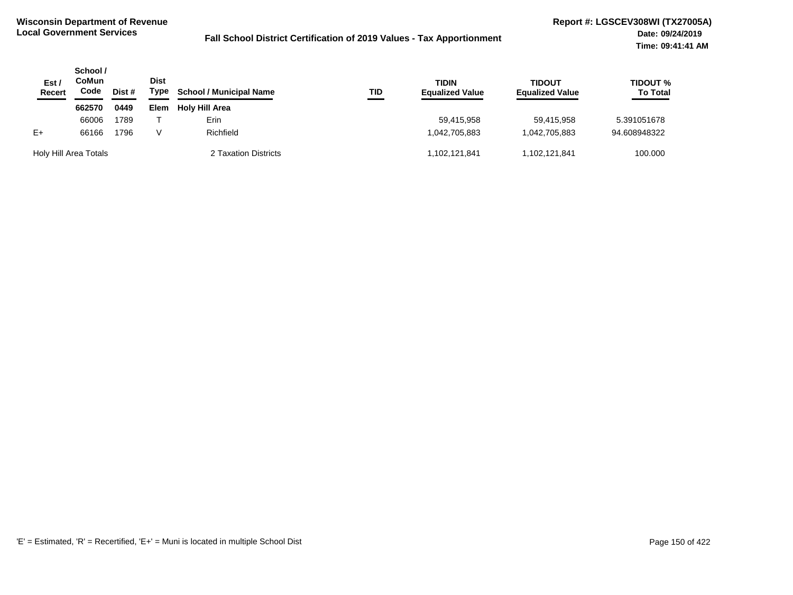| Est $\prime$<br><b>Recert</b> | School /<br>CoMun<br>Code | Dist # | <b>Dist</b><br>Type | <b>School / Municipal Name</b><br>TID<br>Holy Hill Area |  | TIDIN<br><b>Equalized Value</b> | <b>TIDOUT</b><br><b>Equalized Value</b> | <b>TIDOUT %</b><br><b>To Total</b> |
|-------------------------------|---------------------------|--------|---------------------|---------------------------------------------------------|--|---------------------------------|-----------------------------------------|------------------------------------|
|                               | 662570                    | 0449   | Elem                |                                                         |  |                                 |                                         |                                    |
|                               | 66006                     | 1789   |                     | Erin                                                    |  | 59.415.958                      | 59.415.958                              | 5.391051678                        |
| $E+$                          | 66166                     | 1796   |                     | Richfield                                               |  | 1.042.705.883                   | 1.042.705.883                           | 94.608948322                       |
| Holy Hill Area Totals         |                           |        |                     | 2 Taxation Districts                                    |  | 1,102,121,841                   | 1.102.121.841                           | 100.000                            |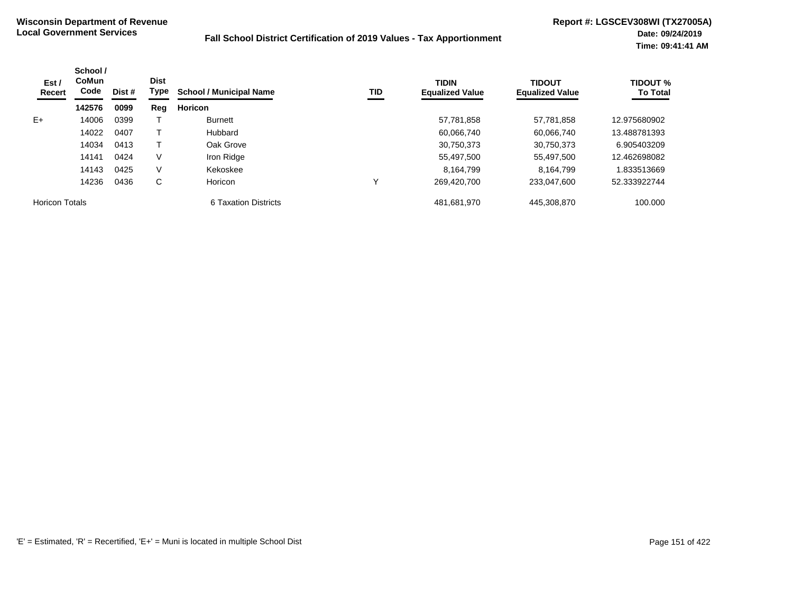| Est/<br><b>Recert</b> | School /<br><b>CoMun</b><br>Code<br>142576 | Dist # | <b>Dist</b><br>Type | <b>School / Municipal Name</b> | TID | <b>TIDIN</b><br><b>Equalized Value</b> | <b>TIDOUT</b><br><b>Equalized Value</b> | <b>TIDOUT %</b><br><b>To Total</b> |
|-----------------------|--------------------------------------------|--------|---------------------|--------------------------------|-----|----------------------------------------|-----------------------------------------|------------------------------------|
|                       |                                            | 0099   | Reg                 | <b>Horicon</b>                 |     |                                        |                                         |                                    |
| $E+$                  | 14006                                      | 0399   |                     | <b>Burnett</b>                 |     | 57,781,858                             | 57,781,858                              | 12.975680902                       |
|                       | 14022                                      | 0407   |                     | Hubbard                        |     | 60,066,740                             | 60,066,740                              | 13.488781393                       |
|                       | 14034                                      | 0413   |                     | Oak Grove                      |     | 30,750,373                             | 30,750,373                              | 6.905403209                        |
|                       | 14141                                      | 0424   | V                   | Iron Ridge                     |     | 55,497,500                             | 55,497,500                              | 12.462698082                       |
|                       | 14143                                      | 0425   | V                   | Kekoskee                       |     | 8,164,799                              | 8.164.799                               | 1.833513669                        |
|                       | 14236                                      | 0436   | C                   | Horicon                        | ν   | 269.420.700                            | 233.047.600                             | 52.333922744                       |
| <b>Horicon Totals</b> |                                            |        |                     | 6 Taxation Districts           |     | 481,681,970                            | 445,308,870                             | 100.000                            |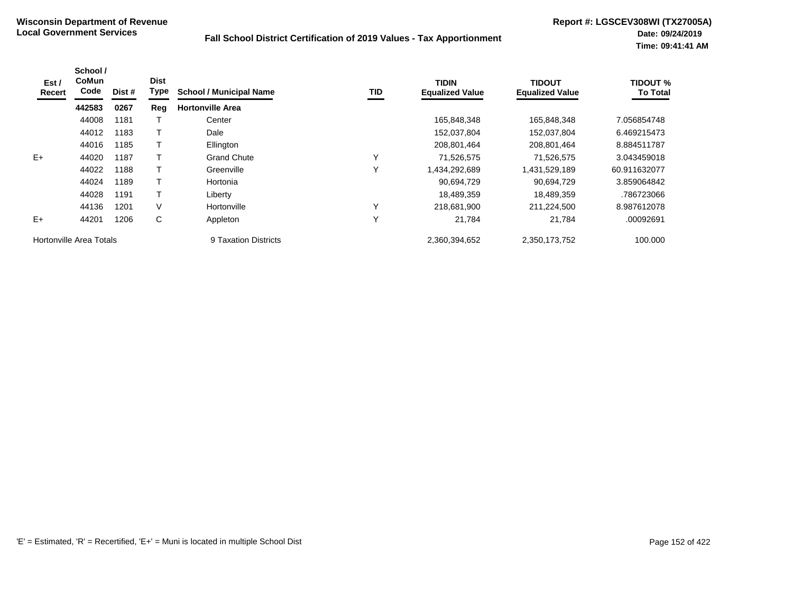| Est /<br>Recert         | School /<br><b>CoMun</b><br>Code | Dist # | <b>Dist</b><br>Type | <b>School / Municipal Name</b> | TID          | <b>TIDIN</b><br><b>Equalized Value</b> | <b>TIDOUT</b><br><b>Equalized Value</b> | <b>TIDOUT %</b><br><b>To Total</b> |
|-------------------------|----------------------------------|--------|---------------------|--------------------------------|--------------|----------------------------------------|-----------------------------------------|------------------------------------|
|                         | 442583                           | 0267   | Reg                 | <b>Hortonville Area</b>        |              |                                        |                                         |                                    |
|                         | 44008                            | 1181   |                     | Center                         |              | 165,848,348                            | 165,848,348                             | 7.056854748                        |
|                         | 44012                            | 1183   |                     | Dale                           |              | 152,037,804                            | 152,037,804                             | 6.469215473                        |
|                         | 44016                            | 1185   |                     | Ellington                      |              | 208,801,464                            | 208,801,464                             | 8.884511787                        |
| $E+$                    | 44020                            | 1187   |                     | <b>Grand Chute</b>             | $\checkmark$ | 71,526,575                             | 71,526,575                              | 3.043459018                        |
|                         | 44022                            | 1188   |                     | Greenville                     | $\checkmark$ | 1,434,292,689                          | 431,529,189                             | 60.911632077                       |
|                         | 44024                            | 1189   |                     | Hortonia                       |              | 90,694,729                             | 90,694,729                              | 3.859064842                        |
|                         | 44028                            | 1191   |                     | Liberty                        |              | 18,489,359                             | 18,489,359                              | .786723066                         |
|                         | 44136                            | 1201   | V                   | Hortonville                    | $\checkmark$ | 218,681,900                            | 211,224,500                             | 8.987612078                        |
| $E+$                    | 44201                            | 1206   | С                   | Appleton                       | $\checkmark$ | 21,784                                 | 21,784                                  | .00092691                          |
| Hortonville Area Totals |                                  |        |                     | 9 Taxation Districts           |              | 2,360,394,652                          | 2,350,173,752                           | 100.000                            |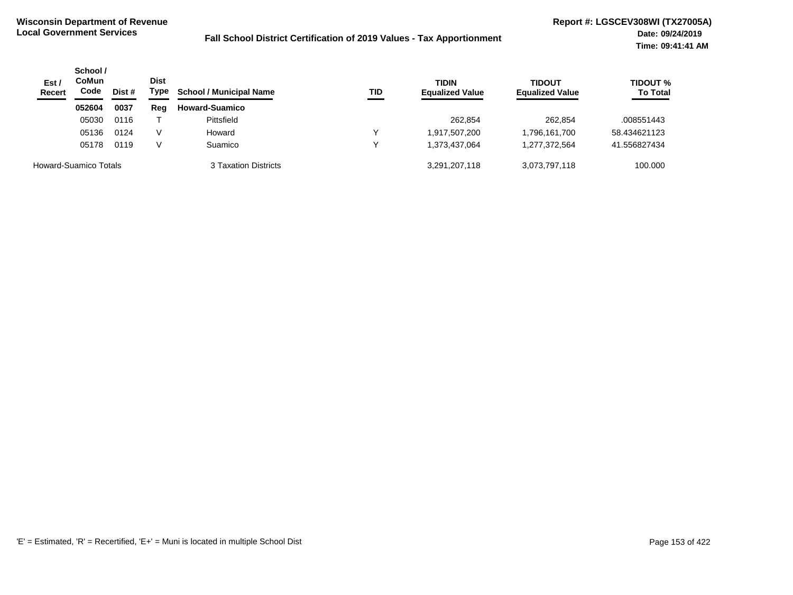| Est/<br><b>Recert</b> | School /<br><b>CoMun</b><br>Code<br>Dist # | <b>Dist</b><br>Type | <b>School / Municipal Name</b> | TID                   | <b>TIDIN</b><br><b>Equalized Value</b> | <b>TIDOUT</b><br><b>Equalized Value</b> | <b>TIDOUT %</b><br><b>To Total</b> |              |
|-----------------------|--------------------------------------------|---------------------|--------------------------------|-----------------------|----------------------------------------|-----------------------------------------|------------------------------------|--------------|
|                       | 052604                                     | 0037                | Reg                            | <b>Howard-Suamico</b> |                                        |                                         |                                    |              |
|                       | 05030                                      | 0116                |                                | Pittsfield            |                                        | 262,854                                 | 262,854                            | .008551443   |
|                       | 05136                                      | 0124                | V                              | Howard                | v                                      | 1,917,507,200                           | 1,796,161,700                      | 58.434621123 |
|                       | 05178                                      | 0119                | V                              | Suamico               | v                                      | 1,373,437,064                           | 1,277,372,564                      | 41.556827434 |
|                       | Howard-Suamico Totals                      |                     |                                | 3 Taxation Districts  |                                        | 3,291,207,118                           | 3,073,797,118                      | 100.000      |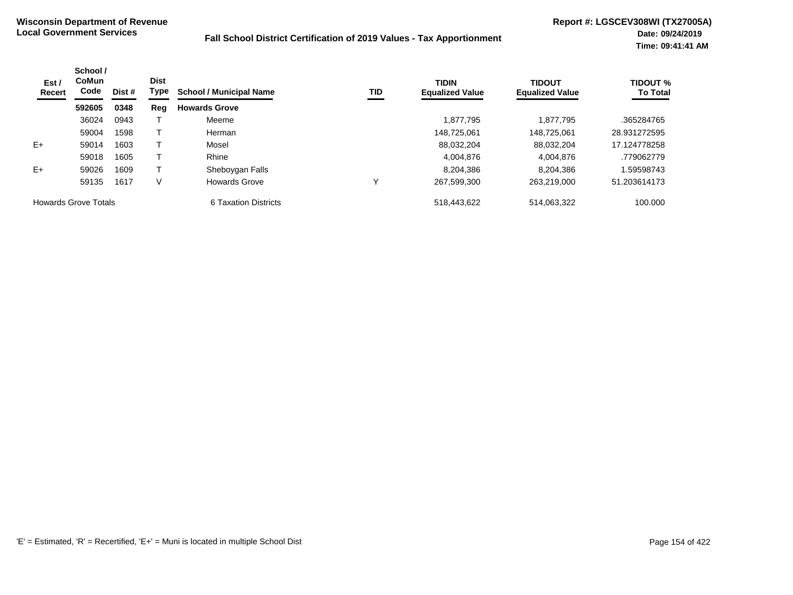| Est/<br><b>Recert</b>       | School /<br><b>CoMun</b><br>Code<br>Dist # |      | <b>Dist</b><br>Type<br><b>School / Municipal Name</b> | <b>TID</b>           | <b>TIDIN</b><br><b>Equalized Value</b> | <b>TIDOUT</b><br><b>Equalized Value</b> | <b>TIDOUT %</b><br><b>To Total</b> |              |
|-----------------------------|--------------------------------------------|------|-------------------------------------------------------|----------------------|----------------------------------------|-----------------------------------------|------------------------------------|--------------|
|                             | 592605                                     | 0348 | Reg                                                   | <b>Howards Grove</b> |                                        |                                         |                                    |              |
|                             | 36024                                      | 0943 |                                                       | Meeme                |                                        | 1,877,795                               | 1,877,795                          | .365284765   |
|                             | 59004                                      | 1598 |                                                       | Herman               |                                        | 148.725.061                             | 148.725.061                        | 28.931272595 |
| $E+$                        | 59014                                      | 1603 |                                                       | Mosel                |                                        | 88.032.204                              | 88.032.204                         | 17.124778258 |
|                             | 59018                                      | 1605 |                                                       | Rhine                |                                        | 4,004,876                               | 4,004,876                          | .779062779   |
| $E+$                        | 59026                                      | 1609 |                                                       | Sheboygan Falls      |                                        | 8,204,386                               | 8,204,386                          | 1.59598743   |
|                             | 59135                                      | 1617 | V                                                     | <b>Howards Grove</b> | v                                      | 267,599,300                             | 263.219.000                        | 51.203614173 |
| <b>Howards Grove Totals</b> |                                            |      |                                                       | 6 Taxation Districts |                                        | 518,443,622                             | 514,063,322                        | 100.000      |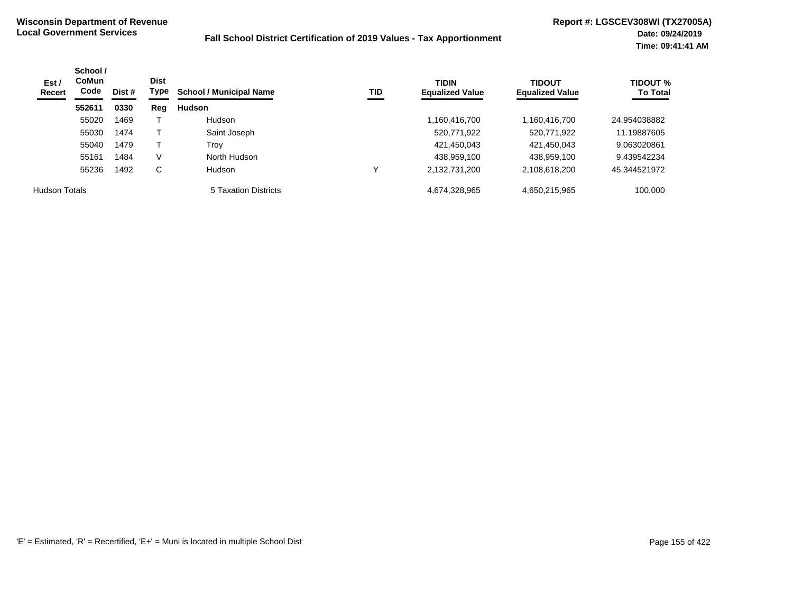| Est/<br>Recert       | School /<br><b>CoMun</b><br>Code | Dist # | <b>Dist</b><br>Type | <b>School / Municipal Name</b><br>TID | <b>TIDIN</b><br><b>Equalized Value</b> | <b>TIDOUT</b><br><b>Equalized Value</b> | <b>TIDOUT %</b><br><b>To Total</b> |              |
|----------------------|----------------------------------|--------|---------------------|---------------------------------------|----------------------------------------|-----------------------------------------|------------------------------------|--------------|
|                      | 552611                           | 0330   | Reg                 | Hudson                                |                                        |                                         |                                    |              |
|                      | 55020                            | 1469   |                     | Hudson                                |                                        | 1,160,416,700                           | 1,160,416,700                      | 24.954038882 |
|                      | 55030                            | 1474   |                     | Saint Joseph                          |                                        | 520,771,922                             | 520,771,922                        | 11.19887605  |
|                      | 55040                            | 1479   |                     | Trov                                  |                                        | 421,450,043                             | 421,450,043                        | 9.063020861  |
|                      | 55161                            | 1484   | V                   | North Hudson                          |                                        | 438.959.100                             | 438,959,100                        | 9.439542234  |
|                      | 55236                            | 1492   | C                   | Hudson                                |                                        | 2,132,731,200                           | 2,108,618,200                      | 45.344521972 |
| <b>Hudson Totals</b> |                                  |        |                     | 5 Taxation Districts                  |                                        | 4,674,328,965                           | 4,650,215,965                      | 100.000      |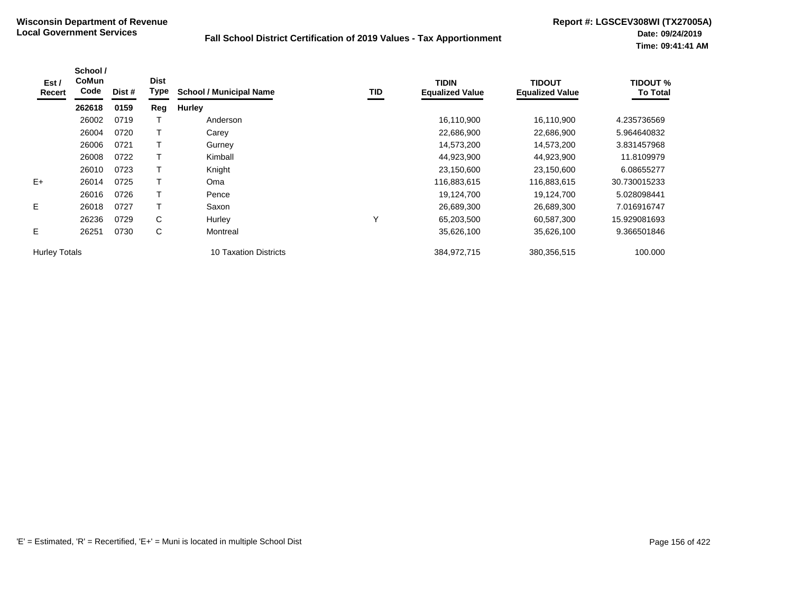| Est /<br>Recert      | School /<br>CoMun<br>Code | Dist # | <b>Dist</b><br>Type | <b>School / Municipal Name</b> | <b>TID</b> | <b>TIDIN</b><br><b>Equalized Value</b> | <b>TIDOUT</b><br><b>Equalized Value</b> | <b>TIDOUT %</b><br><b>To Total</b> |
|----------------------|---------------------------|--------|---------------------|--------------------------------|------------|----------------------------------------|-----------------------------------------|------------------------------------|
|                      | 262618                    | 0159   | Reg                 | <b>Hurley</b>                  |            |                                        |                                         |                                    |
|                      | 26002                     | 0719   |                     | Anderson                       |            | 16,110,900                             | 16,110,900                              | 4.235736569                        |
|                      | 26004                     | 0720   |                     | Carey                          |            | 22,686,900                             | 22,686,900                              | 5.964640832                        |
|                      | 26006                     | 0721   |                     | Gurney                         |            | 14,573,200                             | 14,573,200                              | 3.831457968                        |
|                      | 26008                     | 0722   |                     | Kimball                        |            | 44,923,900                             | 44,923,900                              | 11.8109979                         |
|                      | 26010                     | 0723   |                     | Knight                         |            | 23,150,600                             | 23,150,600                              | 6.08655277                         |
| $E+$                 | 26014                     | 0725   |                     | Oma                            |            | 116,883,615                            | 116,883,615                             | 30.730015233                       |
|                      | 26016                     | 0726   |                     | Pence                          |            | 19,124,700                             | 19,124,700                              | 5.028098441                        |
| E.                   | 26018                     | 0727   |                     | Saxon                          |            | 26,689,300                             | 26,689,300                              | 7.016916747                        |
|                      | 26236                     | 0729   | C                   | Hurley                         | Υ          | 65,203,500                             | 60,587,300                              | 15.929081693                       |
| Е                    | 26251                     | 0730   | C                   | Montreal                       |            | 35,626,100                             | 35,626,100                              | 9.366501846                        |
| <b>Hurley Totals</b> |                           |        |                     | 10 Taxation Districts          |            | 384,972,715                            | 380,356,515                             | 100.000                            |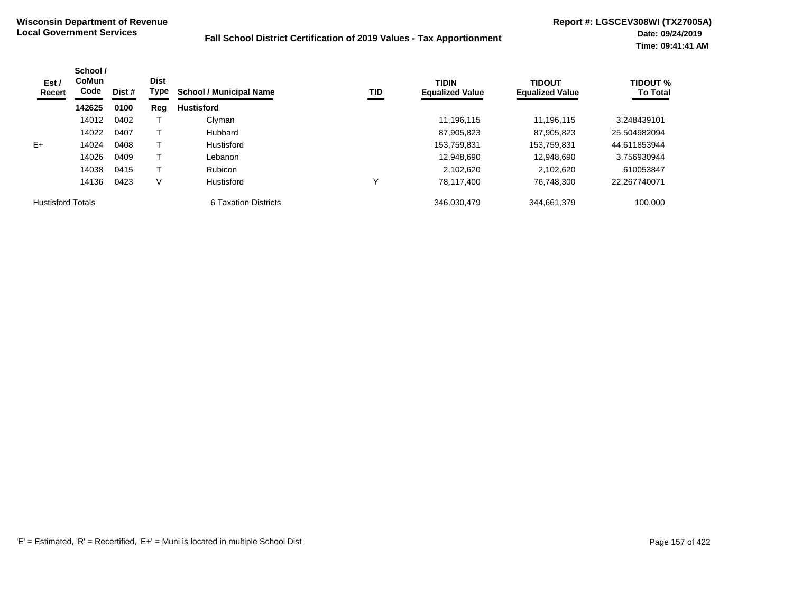| Est /<br>Recert          | School /<br>CoMun<br>Code | <b>Dist</b><br>Type<br>Dist # |     | <b>School / Municipal Name</b> | TID | <b>TIDIN</b><br><b>Equalized Value</b> | <b>TIDOUT</b><br><b>Equalized Value</b> | <b>TIDOUT %</b><br><b>To Total</b> |
|--------------------------|---------------------------|-------------------------------|-----|--------------------------------|-----|----------------------------------------|-----------------------------------------|------------------------------------|
|                          | 142625                    | 0100                          | Reg | <b>Hustisford</b>              |     |                                        |                                         |                                    |
|                          | 14012                     | 0402                          |     | Clyman                         |     | 11.196.115                             | 11.196.115                              | 3.248439101                        |
|                          | 14022                     | 0407                          |     | <b>Hubbard</b>                 |     | 87,905,823                             | 87,905,823                              | 25.504982094                       |
| $E+$                     | 14024                     | 0408                          |     | Hustisford                     |     | 153,759,831                            | 153,759,831                             | 44.611853944                       |
|                          | 14026                     | 0409                          |     | Lebanon                        |     | 12,948,690                             | 12,948,690                              | 3.756930944                        |
|                          | 14038                     | 0415                          |     | <b>Rubicon</b>                 |     | 2,102,620                              | 2.102.620                               | .610053847                         |
|                          | 14136                     | 0423                          | V   | Hustisford                     | Υ   | 78,117,400                             | 76.748.300                              | 22.267740071                       |
| <b>Hustisford Totals</b> |                           |                               |     | 6 Taxation Districts           |     | 346.030.479                            | 344,661,379                             | 100.000                            |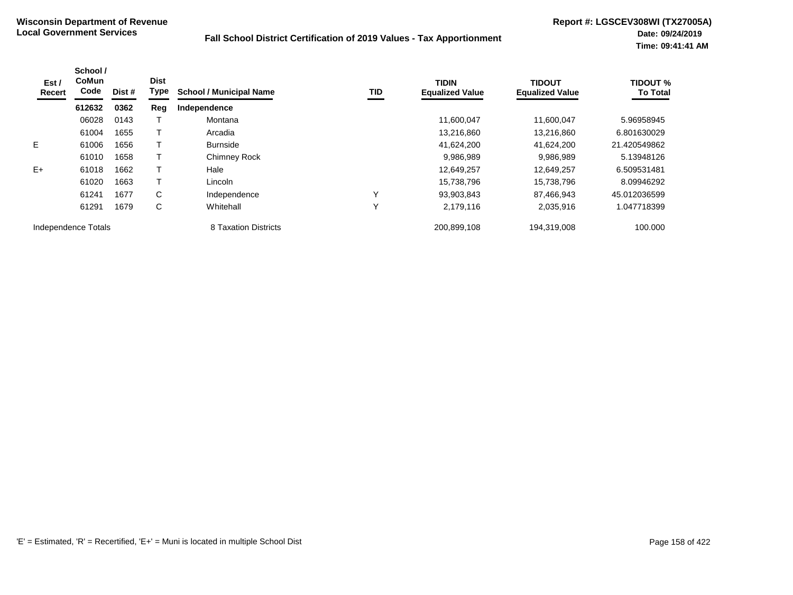| Est /<br>Recert     | School /<br><b>CoMun</b><br>Code | Dist # | <b>Dist</b><br>Type | <b>School / Municipal Name</b> | TID          | <b>TIDIN</b><br><b>Equalized Value</b> | <b>TIDOUT</b><br><b>Equalized Value</b> | <b>TIDOUT %</b><br><b>To Total</b> |
|---------------------|----------------------------------|--------|---------------------|--------------------------------|--------------|----------------------------------------|-----------------------------------------|------------------------------------|
|                     | 612632                           | 0362   | Reg                 | Independence                   |              |                                        |                                         |                                    |
|                     | 06028                            | 0143   |                     | Montana                        |              | 11,600,047                             | 11,600,047                              | 5.96958945                         |
|                     | 61004                            | 1655   |                     | Arcadia                        |              | 13,216,860                             | 13,216,860                              | 6.801630029                        |
| E.                  | 61006                            | 1656   |                     | <b>Burnside</b>                |              | 41,624,200                             | 41,624,200                              | 21.420549862                       |
|                     | 61010                            | 1658   |                     | <b>Chimney Rock</b>            |              | 9,986,989                              | 9,986,989                               | 5.13948126                         |
| $E+$                | 61018                            | 1662   |                     | Hale                           |              | 12,649,257                             | 12.649.257                              | 6.509531481                        |
|                     | 61020                            | 1663   |                     | Lincoln                        |              | 15,738,796                             | 15,738,796                              | 8.09946292                         |
|                     | 61241                            | 1677   | C                   | Independence                   | Υ            | 93.903.843                             | 87.466.943                              | 45.012036599                       |
|                     | 61291                            | 1679   | С                   | Whitehall                      | $\checkmark$ | 2,179,116                              | 2,035,916                               | 1.047718399                        |
| Independence Totals |                                  |        |                     | 8 Taxation Districts           |              | 200,899,108                            | 194,319,008                             | 100.000                            |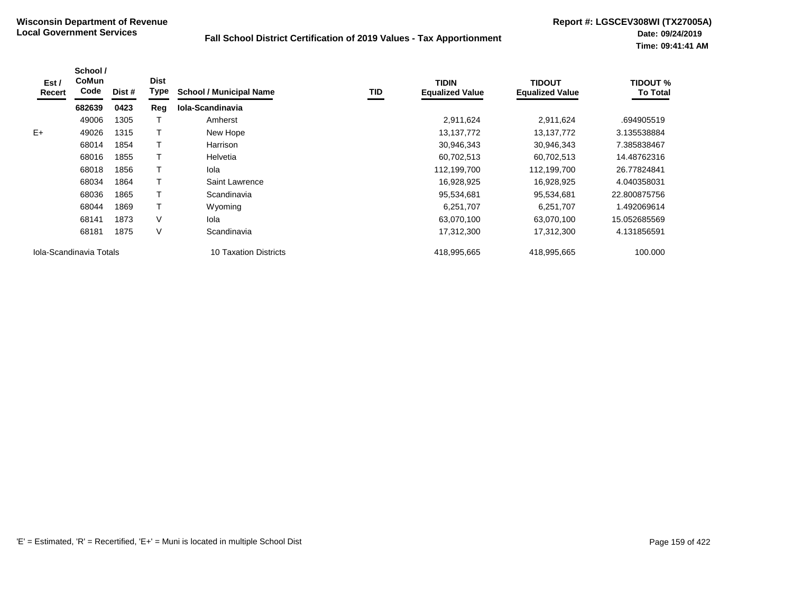| Est /<br>Recert | School /<br><b>CoMun</b><br>Code | Dist # | <b>Dist</b><br>Type | <b>School / Municipal Name</b> | TID | <b>TIDIN</b><br><b>Equalized Value</b> | <b>TIDOUT</b><br><b>Equalized Value</b> | TIDOUT %<br><b>To Total</b> |
|-----------------|----------------------------------|--------|---------------------|--------------------------------|-----|----------------------------------------|-----------------------------------------|-----------------------------|
|                 | 682639                           | 0423   | Reg                 | Iola-Scandinavia               |     |                                        |                                         |                             |
|                 | 49006                            | 1305   |                     | Amherst                        |     | 2,911,624                              | 2,911,624                               | .694905519                  |
| $E+$            | 49026                            | 1315   |                     | New Hope                       |     | 13, 137, 772                           | 13,137,772                              | 3.135538884                 |
|                 | 68014                            | 1854   |                     | Harrison                       |     | 30,946,343                             | 30,946,343                              | 7.385838467                 |
|                 | 68016                            | 1855   |                     | Helvetia                       |     | 60,702,513                             | 60,702,513                              | 14.48762316                 |
|                 | 68018                            | 1856   |                     | lola                           |     | 112,199,700                            | 112,199,700                             | 26.77824841                 |
|                 | 68034                            | 1864   |                     | Saint Lawrence                 |     | 16,928,925                             | 16,928,925                              | 4.040358031                 |
|                 | 68036                            | 1865   |                     | Scandinavia                    |     | 95,534,681                             | 95,534,681                              | 22.800875756                |
|                 | 68044                            | 1869   | т                   | Wyoming                        |     | 6,251,707                              | 6,251,707                               | 1.492069614                 |
|                 | 68141                            | 1873   | V                   | Iola                           |     | 63,070,100                             | 63,070,100                              | 15.052685569                |
|                 | 68181                            | 1875   | V                   | Scandinavia                    |     | 17,312,300                             | 17,312,300                              | 4.131856591                 |
|                 | Iola-Scandinavia Totals          |        |                     | 10 Taxation Districts          |     | 418,995,665                            | 418,995,665                             | 100.000                     |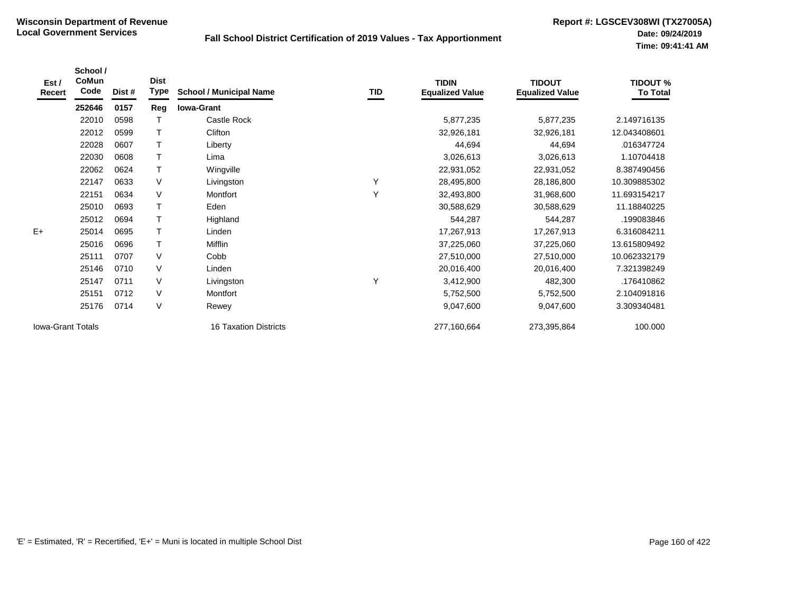| Est /<br>Recert          | School /<br><b>CoMun</b><br>Code | Dist # | <b>Dist</b><br>Type | <b>School / Municipal Name</b> | TID | <b>TIDIN</b><br><b>Equalized Value</b> | <b>TIDOUT</b><br><b>Equalized Value</b> | <b>TIDOUT %</b><br><b>To Total</b> |
|--------------------------|----------------------------------|--------|---------------------|--------------------------------|-----|----------------------------------------|-----------------------------------------|------------------------------------|
|                          | 252646                           | 0157   | Reg                 | <b>Iowa-Grant</b>              |     |                                        |                                         |                                    |
|                          | 22010                            | 0598   |                     | Castle Rock                    |     | 5,877,235                              | 5,877,235                               | 2.149716135                        |
|                          | 22012                            | 0599   |                     | Clifton                        |     | 32,926,181                             | 32,926,181                              | 12.043408601                       |
|                          | 22028                            | 0607   | T                   | Liberty                        |     | 44,694                                 | 44,694                                  | .016347724                         |
|                          | 22030                            | 0608   |                     | Lima                           |     | 3,026,613                              | 3,026,613                               | 1.10704418                         |
|                          | 22062                            | 0624   | T                   | Wingville                      |     | 22,931,052                             | 22,931,052                              | 8.387490456                        |
|                          | 22147                            | 0633   | V                   | Livingston                     | Y   | 28,495,800                             | 28,186,800                              | 10.309885302                       |
|                          | 22151                            | 0634   | V                   | Montfort                       | Υ   | 32,493,800                             | 31,968,600                              | 11.693154217                       |
|                          | 25010                            | 0693   | Т                   | Eden                           |     | 30,588,629                             | 30,588,629                              | 11.18840225                        |
|                          | 25012                            | 0694   |                     | Highland                       |     | 544,287                                | 544,287                                 | .199083846                         |
| $E+$                     | 25014                            | 0695   | $\top$              | Linden                         |     | 17,267,913                             | 17,267,913                              | 6.316084211                        |
|                          | 25016                            | 0696   |                     | <b>Mifflin</b>                 |     | 37,225,060                             | 37,225,060                              | 13.615809492                       |
|                          | 25111                            | 0707   | V                   | Cobb                           |     | 27,510,000                             | 27,510,000                              | 10.062332179                       |
|                          | 25146                            | 0710   | V                   | Linden                         |     | 20,016,400                             | 20,016,400                              | 7.321398249                        |
|                          | 25147                            | 0711   | V                   | Livingston                     | Υ   | 3,412,900                              | 482,300                                 | .176410862                         |
|                          | 25151                            | 0712   | V                   | Montfort                       |     | 5,752,500                              | 5,752,500                               | 2.104091816                        |
|                          | 25176                            | 0714   | V                   | Rewey                          |     | 9,047,600                              | 9,047,600                               | 3.309340481                        |
| <b>lowa-Grant Totals</b> |                                  |        |                     | <b>16 Taxation Districts</b>   |     | 277,160,664                            | 273,395,864                             | 100.000                            |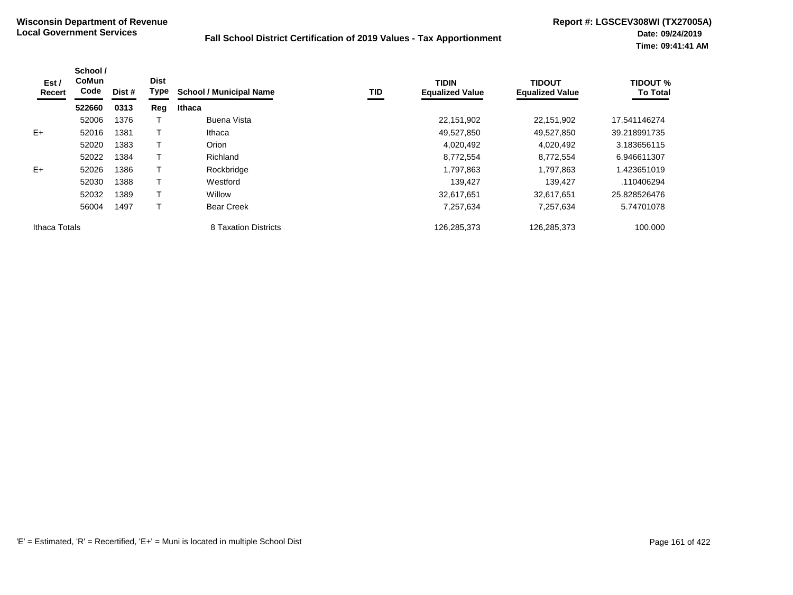| Est /<br>Recert | School /<br><b>CoMun</b><br>Code | Dist # | <b>Dist</b><br><b>Type</b> | <b>School / Municipal Name</b> | TID | <b>TIDIN</b><br><b>Equalized Value</b> | <b>TIDOUT</b><br><b>Equalized Value</b> | <b>TIDOUT %</b><br><b>To Total</b> |
|-----------------|----------------------------------|--------|----------------------------|--------------------------------|-----|----------------------------------------|-----------------------------------------|------------------------------------|
|                 | 522660                           | 0313   | Reg                        | Ithaca                         |     |                                        |                                         |                                    |
|                 | 52006                            | 1376   |                            | Buena Vista                    |     | 22,151,902                             | 22.151.902                              | 17.541146274                       |
| $E+$            | 52016                            | 1381   |                            | Ithaca                         |     | 49,527,850                             | 49,527,850                              | 39.218991735                       |
|                 | 52020                            | 1383   |                            | Orion                          |     | 4,020,492                              | 4,020,492                               | 3.183656115                        |
|                 | 52022                            | 1384   |                            | Richland                       |     | 8,772,554                              | 8,772,554                               | 6.946611307                        |
| $E+$            | 52026                            | 1386   |                            | Rockbridge                     |     | 1,797,863                              | 1,797,863                               | 1.423651019                        |
|                 | 52030                            | 1388   |                            | Westford                       |     | 139,427                                | 139,427                                 | .110406294                         |
|                 | 52032                            | 1389   |                            | Willow                         |     | 32,617,651                             | 32.617.651                              | 25.828526476                       |
|                 | 56004                            | 1497   |                            | <b>Bear Creek</b>              |     | 7,257,634                              | 7,257,634                               | 5.74701078                         |
| Ithaca Totals   |                                  |        |                            | 8 Taxation Districts           |     | 126,285,373                            | 126,285,373                             | 100.000                            |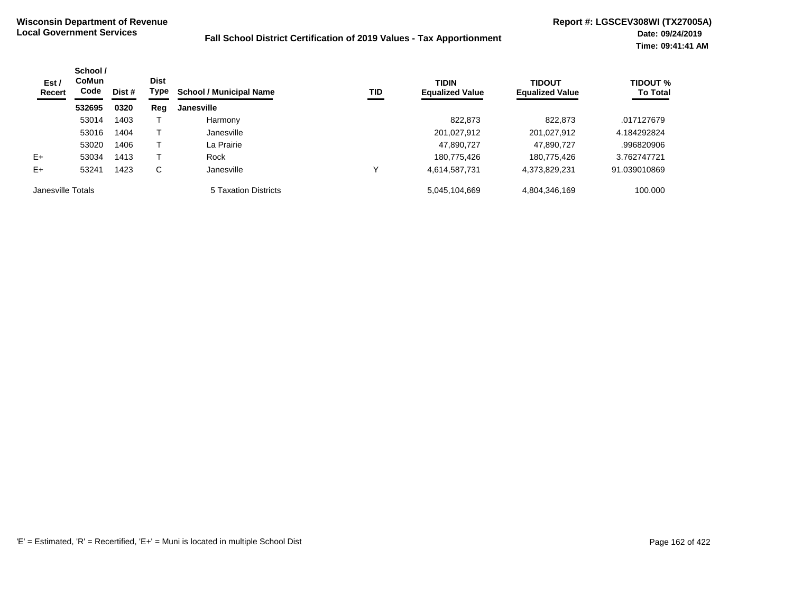| Est /<br>Recert   | School /<br><b>CoMun</b><br>Code | Dist # | <b>Dist</b><br>Type | <b>School / Municipal Name</b> | TID | <b>TIDIN</b><br><b>Equalized Value</b> | <b>TIDOUT</b><br><b>Equalized Value</b> | <b>TIDOUT %</b><br><b>To Total</b> |
|-------------------|----------------------------------|--------|---------------------|--------------------------------|-----|----------------------------------------|-----------------------------------------|------------------------------------|
|                   | 532695                           | 0320   | Reg                 | <b>Janesville</b>              |     |                                        |                                         |                                    |
|                   | 53014                            | 1403   |                     | Harmony                        |     | 822.873                                | 822,873                                 | .017127679                         |
|                   | 53016                            | 1404   |                     | Janesville                     |     | 201,027,912                            | 201,027,912                             | 4.184292824                        |
|                   | 53020                            | 1406   |                     | La Prairie                     |     | 47,890,727                             | 47,890,727                              | .996820906                         |
| $E+$              | 53034                            | 1413   |                     | Rock                           |     | 180,775,426                            | 180,775,426                             | 3.762747721                        |
| $E+$              | 53241                            | 1423   | C                   | Janesville                     | ν   | 4,614,587,731                          | 4,373,829,231                           | 91.039010869                       |
| Janesville Totals |                                  |        |                     | 5 Taxation Districts           |     | 5,045,104,669                          | 4,804,346,169                           | 100.000                            |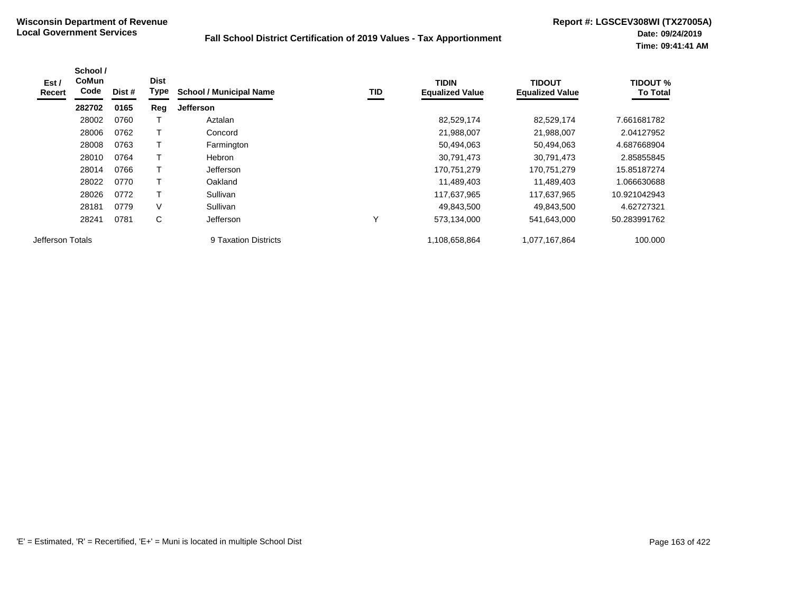| Est /<br>Recert  | School /<br><b>CoMun</b><br>Code | Dist # | <b>Dist</b><br>Type | <b>School / Municipal Name</b> | TID | <b>TIDIN</b><br><b>Equalized Value</b> | <b>TIDOUT</b><br><b>Equalized Value</b> | <b>TIDOUT %</b><br><b>To Total</b> |
|------------------|----------------------------------|--------|---------------------|--------------------------------|-----|----------------------------------------|-----------------------------------------|------------------------------------|
|                  | 282702                           | 0165   | Reg                 | <b>Jefferson</b>               |     |                                        |                                         |                                    |
|                  | 28002                            | 0760   |                     | Aztalan                        |     | 82,529,174                             | 82,529,174                              | 7.661681782                        |
|                  | 28006                            | 0762   |                     | Concord                        |     | 21,988,007                             | 21,988,007                              | 2.04127952                         |
|                  | 28008                            | 0763   |                     | Farmington                     |     | 50,494,063                             | 50,494,063                              | 4.687668904                        |
|                  | 28010                            | 0764   |                     | <b>Hebron</b>                  |     | 30,791,473                             | 30,791,473                              | 2.85855845                         |
|                  | 28014                            | 0766   |                     | Jefferson                      |     | 170,751,279                            | 170,751,279                             | 15.85187274                        |
|                  | 28022                            | 0770   |                     | Oakland                        |     | 11,489,403                             | 11.489.403                              | 1.066630688                        |
|                  | 28026                            | 0772   |                     | Sullivan                       |     | 117,637,965                            | 117,637,965                             | 10.921042943                       |
|                  | 28181                            | 0779   | V                   | Sullivan                       |     | 49,843,500                             | 49,843,500                              | 4.62727321                         |
|                  | 28241                            | 0781   | С                   | Jefferson                      | Y   | 573,134,000                            | 541,643,000                             | 50.283991762                       |
| Jefferson Totals |                                  |        |                     | 9 Taxation Districts           |     | 1,108,658,864                          | 1,077,167,864                           | 100.000                            |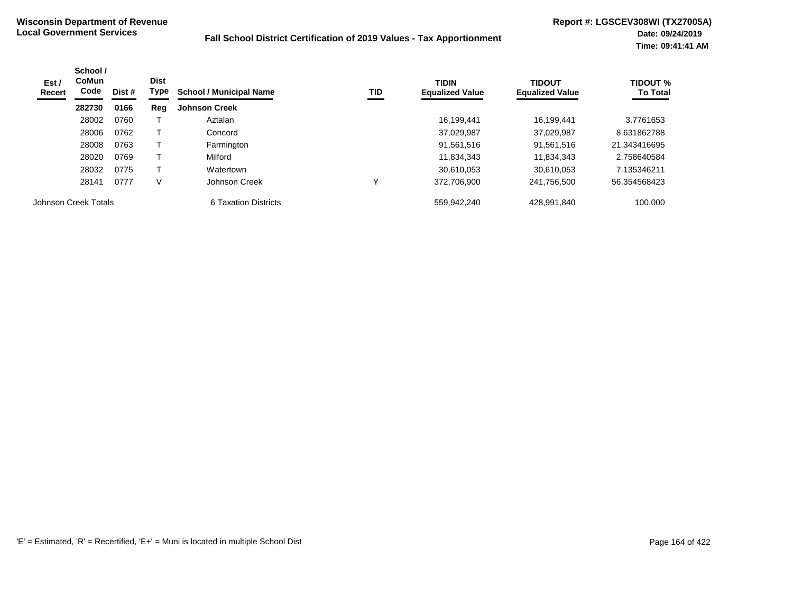| Est/<br>Recert       | School /<br><b>CoMun</b><br>Code | <b>Dist</b><br>Dist # |     | Type<br>TID<br><b>School / Municipal Name</b> | <b>TIDIN</b><br><b>Equalized Value</b> | <b>TIDOUT</b><br><b>Equalized Value</b> | <b>TIDOUT %</b><br><b>To Total</b> |
|----------------------|----------------------------------|-----------------------|-----|-----------------------------------------------|----------------------------------------|-----------------------------------------|------------------------------------|
|                      | 282730                           | 0166                  | Reg | <b>Johnson Creek</b>                          |                                        |                                         |                                    |
|                      | 28002                            | 0760                  |     | Aztalan                                       | 16.199.441                             | 16.199.441                              | 3.7761653                          |
|                      | 28006                            | 0762                  |     | Concord                                       | 37,029,987                             | 37,029,987                              | 8.631862788                        |
|                      | 28008                            | 0763                  |     | Farmington                                    | 91,561,516                             | 91,561,516                              | 21.343416695                       |
|                      | 28020                            | 0769                  |     | Milford                                       | 11,834,343                             | 11,834,343                              | 2.758640584                        |
|                      | 28032                            | 0775                  |     | Watertown                                     | 30,610,053                             | 30.610.053                              | 7.135346211                        |
|                      | 28141                            | 0777                  | ٧   | Johnson Creek                                 | 372.706.900                            | 241,756,500                             | 56.354568423                       |
| Johnson Creek Totals |                                  |                       |     | 6 Taxation Districts                          | 559,942,240                            | 428,991,840                             | 100.000                            |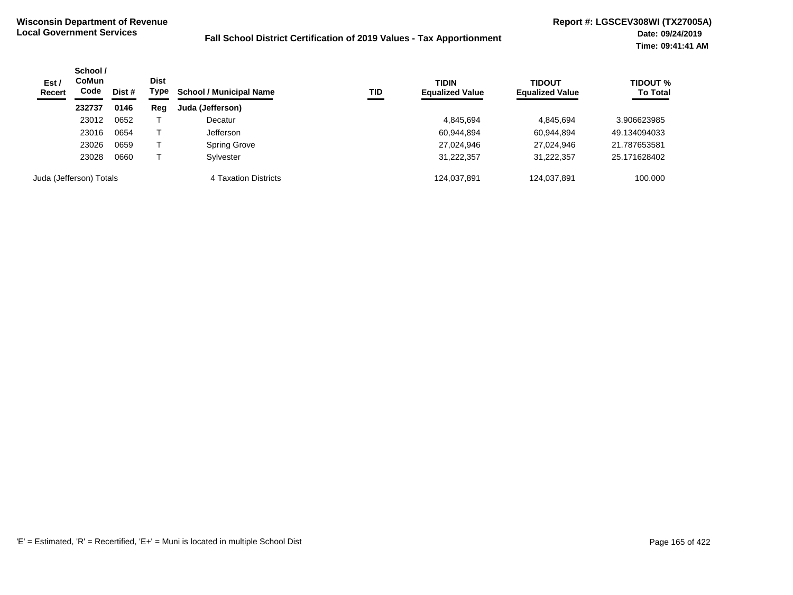| Est/<br><b>Recert</b> | School /<br><b>CoMun</b><br>Code<br>Dist # | <b>Dist</b><br>Type | <b>School / Municipal Name</b> | TID                  | <b>TIDIN</b><br><b>Equalized Value</b> | <b>TIDOUT</b><br><b>Equalized Value</b> | <b>TIDOUT %</b><br><b>To Total</b> |              |
|-----------------------|--------------------------------------------|---------------------|--------------------------------|----------------------|----------------------------------------|-----------------------------------------|------------------------------------|--------------|
|                       | 232737                                     | 0146                | Reg                            | Juda (Jefferson)     |                                        |                                         |                                    |              |
|                       | 23012                                      | 0652                |                                | Decatur              |                                        | 4,845,694                               | 4,845,694                          | 3.906623985  |
|                       | 23016                                      | 0654                |                                | Jefferson            |                                        | 60,944,894                              | 60,944,894                         | 49.134094033 |
|                       | 23026                                      | 0659                |                                | <b>Spring Grove</b>  |                                        | 27,024,946                              | 27,024,946                         | 21.787653581 |
|                       | 23028                                      | 0660                |                                | Sylvester            |                                        | 31,222,357                              | 31,222,357                         | 25.171628402 |
|                       | Juda (Jefferson) Totals                    |                     |                                | 4 Taxation Districts |                                        | 124,037,891                             | 124,037,891                        | 100.000      |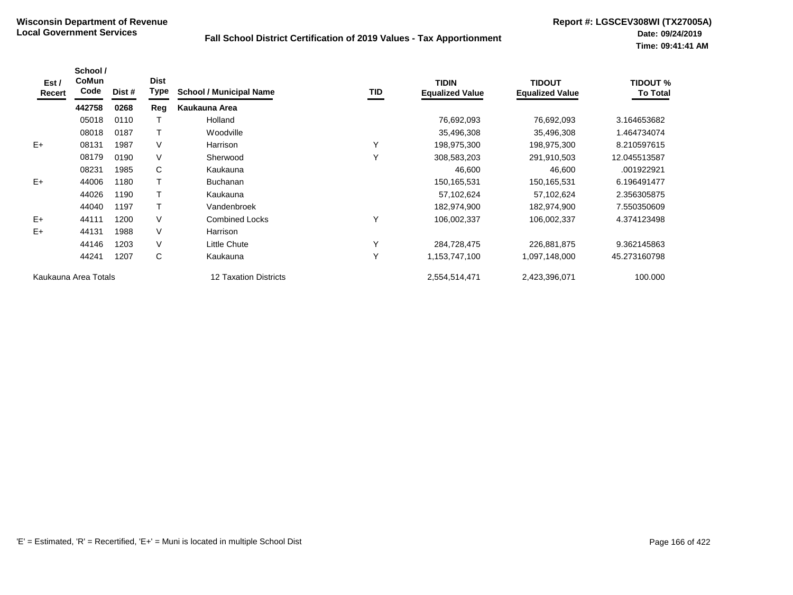| Est /<br>Recert | School /<br>CoMun<br>Code | Dist # | <b>Dist</b><br>Type | <b>School / Municipal Name</b> | TID | <b>TIDIN</b><br><b>Equalized Value</b> | <b>TIDOUT</b><br><b>Equalized Value</b> | <b>TIDOUT %</b><br><b>To Total</b> |
|-----------------|---------------------------|--------|---------------------|--------------------------------|-----|----------------------------------------|-----------------------------------------|------------------------------------|
|                 | 442758                    | 0268   | Reg                 | Kaukauna Area                  |     |                                        |                                         |                                    |
|                 | 05018                     | 0110   |                     | Holland                        |     | 76,692,093                             | 76,692,093                              | 3.164653682                        |
|                 | 08018                     | 0187   |                     | Woodville                      |     | 35,496,308                             | 35,496,308                              | 1.464734074                        |
| $E+$            | 08131                     | 1987   | $\vee$              | Harrison                       | Y   | 198,975,300                            | 198,975,300                             | 8.210597615                        |
|                 | 08179                     | 0190   | $\vee$              | Sherwood                       | Y   | 308,583,203                            | 291,910,503                             | 12.045513587                       |
|                 | 08231                     | 1985   | C                   | Kaukauna                       |     | 46,600                                 | 46,600                                  | .001922921                         |
| $E+$            | 44006                     | 1180   |                     | <b>Buchanan</b>                |     | 150,165,531                            | 150, 165, 531                           | 6.196491477                        |
|                 | 44026                     | 1190   |                     | Kaukauna                       |     | 57,102,624                             | 57,102,624                              | 2.356305875                        |
|                 | 44040                     | 1197   |                     | Vandenbroek                    |     | 182,974,900                            | 182,974,900                             | 7.550350609                        |
| $E+$            | 44111                     | 1200   | $\vee$              | <b>Combined Locks</b>          | Υ   | 106,002,337                            | 106,002,337                             | 4.374123498                        |
| E+              | 44131                     | 1988   | $\vee$              | Harrison                       |     |                                        |                                         |                                    |
|                 | 44146                     | 1203   | $\vee$              | <b>Little Chute</b>            | Υ   | 284,728,475                            | 226,881,875                             | 9.362145863                        |
|                 | 44241                     | 1207   | C                   | Kaukauna                       | Y   | 1,153,747,100                          | 1,097,148,000                           | 45.273160798                       |
|                 | Kaukauna Area Totals      |        |                     | 12 Taxation Districts          |     | 2,554,514,471                          | 2,423,396,071                           | 100.000                            |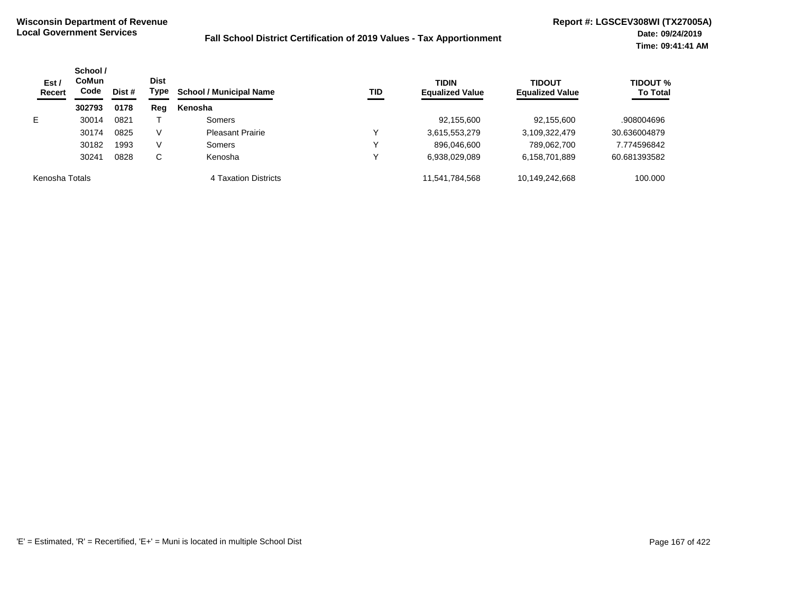| Est/<br><b>Recert</b> | School /<br>CoMun<br>Code | Dist # | <b>Dist</b><br>Type | <b>School / Municipal Name</b> | TID | <b>TIDIN</b><br><b>Equalized Value</b> | <b>TIDOUT</b><br><b>Equalized Value</b> | <b>TIDOUT %</b><br><b>To Total</b> |
|-----------------------|---------------------------|--------|---------------------|--------------------------------|-----|----------------------------------------|-----------------------------------------|------------------------------------|
|                       | 302793                    | 0178   | Reg                 | Kenosha                        |     |                                        |                                         |                                    |
| E.                    | 30014                     | 0821   |                     | Somers                         |     | 92,155,600                             | 92,155,600                              | .908004696                         |
|                       | 30174                     | 0825   | V                   | <b>Pleasant Prairie</b>        | ν   | 3,615,553,279                          | 3,109,322,479                           | 30.636004879                       |
|                       | 30182                     | 1993   | V                   | Somers                         |     | 896,046,600                            | 789,062,700                             | 7.774596842                        |
|                       | 30241                     | 0828   | С                   | Kenosha                        |     | 6,938,029,089                          | 6,158,701,889                           | 60.681393582                       |
| Kenosha Totals        |                           |        |                     | 4 Taxation Districts           |     | 11,541,784,568                         | 10,149,242,668                          | 100.000                            |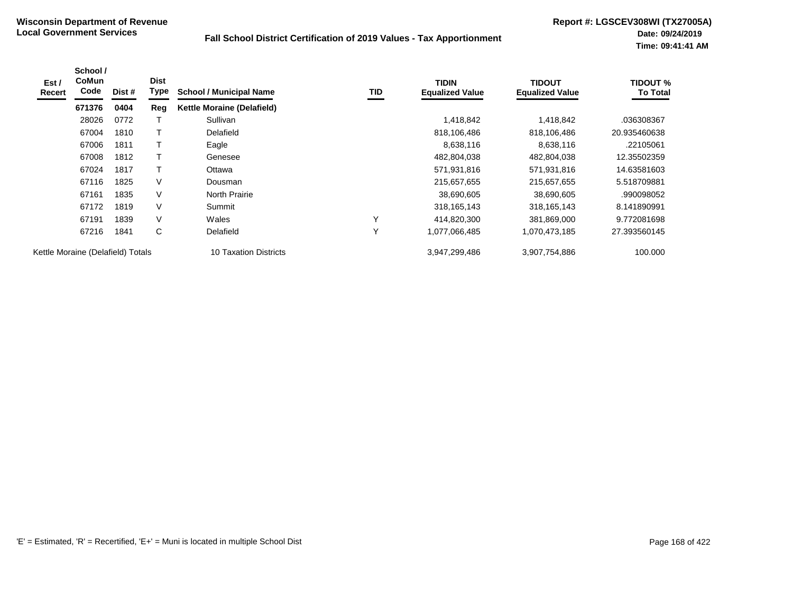| Est /<br>Recert                   | School /<br><b>CoMun</b><br>Code | Dist # | <b>Dist</b><br>Type | <b>School / Municipal Name</b>    | TID          | <b>TIDIN</b><br><b>Equalized Value</b> | TIDOUT<br><b>Equalized Value</b> | <b>TIDOUT %</b><br><b>To Total</b> |
|-----------------------------------|----------------------------------|--------|---------------------|-----------------------------------|--------------|----------------------------------------|----------------------------------|------------------------------------|
|                                   | 671376                           | 0404   | Reg                 | <b>Kettle Moraine (Delafield)</b> |              |                                        |                                  |                                    |
|                                   | 28026                            | 0772   |                     | Sullivan                          |              | 1,418,842                              | 1,418,842                        | .036308367                         |
|                                   | 67004                            | 1810   |                     | Delafield                         |              | 818,106,486                            | 818,106,486                      | 20.935460638                       |
|                                   | 67006                            | 1811   |                     | Eagle                             |              | 8,638,116                              | 8,638,116                        | .22105061                          |
|                                   | 67008                            | 1812   |                     | Genesee                           |              | 482,804,038                            | 482,804,038                      | 12.35502359                        |
|                                   | 67024                            | 1817   |                     | Ottawa                            |              | 571,931,816                            | 571,931,816                      | 14.63581603                        |
|                                   | 67116                            | 1825   | V                   | Dousman                           |              | 215,657,655                            | 215,657,655                      | 5.518709881                        |
|                                   | 67161                            | 1835   | V                   | <b>North Prairie</b>              |              | 38,690,605                             | 38,690,605                       | .990098052                         |
|                                   | 67172                            | 1819   | V                   | Summit                            |              | 318, 165, 143                          | 318, 165, 143                    | 8.141890991                        |
|                                   | 67191                            | 1839   | V                   | Wales                             | $\checkmark$ | 414,820,300                            | 381,869,000                      | 9.772081698                        |
|                                   | 67216                            | 1841   | C                   | Delafield                         | Υ            | 1,077,066,485                          | 1,070,473,185                    | 27.393560145                       |
| Kettle Moraine (Delafield) Totals |                                  |        |                     | 10 Taxation Districts             |              | 3,947,299,486                          | 3,907,754,886                    | 100.000                            |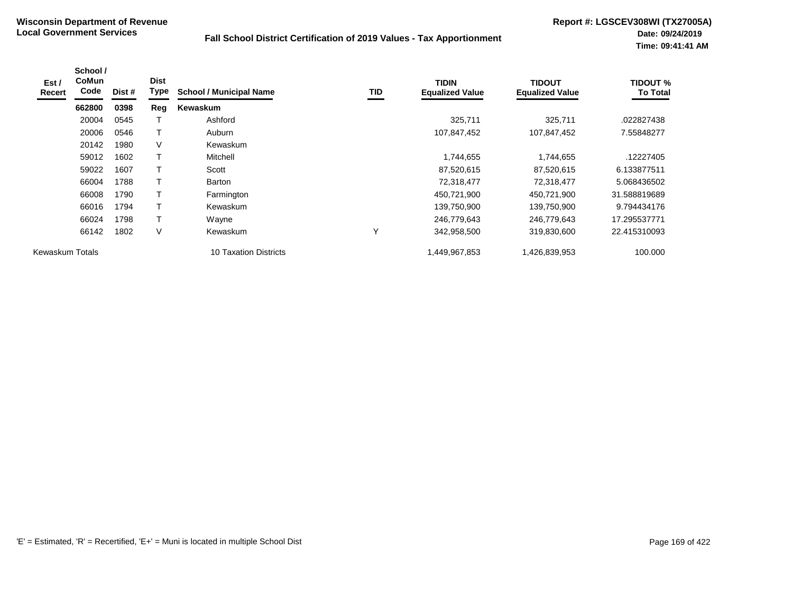| Est/<br><b>Recert</b> | School /<br>CoMun<br>Code | Dist # | <b>Dist</b><br><b>Type</b> | <b>School / Municipal Name</b> | TID | <b>TIDIN</b><br><b>Equalized Value</b> | TIDOUT<br><b>Equalized Value</b> | <b>TIDOUT %</b><br><b>To Total</b> |
|-----------------------|---------------------------|--------|----------------------------|--------------------------------|-----|----------------------------------------|----------------------------------|------------------------------------|
|                       | 662800                    | 0398   | Reg                        | Kewaskum                       |     |                                        |                                  |                                    |
|                       | 20004                     | 0545   |                            | Ashford                        |     | 325,711                                | 325,711                          | .022827438                         |
|                       | 20006                     | 0546   |                            | Auburn                         |     | 107,847,452                            | 107,847,452                      | 7.55848277                         |
|                       | 20142                     | 1980   | V                          | Kewaskum                       |     |                                        |                                  |                                    |
|                       | 59012                     | 1602   | $\top$                     | Mitchell                       |     | 1,744,655                              | 1,744,655                        | .12227405                          |
|                       | 59022                     | 1607   | т                          | Scott                          |     | 87,520,615                             | 87,520,615                       | 6.133877511                        |
|                       | 66004                     | 1788   | $\top$                     | <b>Barton</b>                  |     | 72,318,477                             | 72,318,477                       | 5.068436502                        |
|                       | 66008                     | 1790   |                            | Farmington                     |     | 450,721,900                            | 450,721,900                      | 31.588819689                       |
|                       | 66016                     | 1794   | т                          | Kewaskum                       |     | 139,750,900                            | 139,750,900                      | 9.794434176                        |
|                       | 66024                     | 1798   | Τ                          | Wayne                          |     | 246,779,643                            | 246,779,643                      | 17.295537771                       |
|                       | 66142                     | 1802   | V                          | Kewaskum                       | Υ   | 342,958,500                            | 319,830,600                      | 22.415310093                       |
| Kewaskum Totals       |                           |        |                            | <b>10 Taxation Districts</b>   |     | 1,449,967,853                          | 1,426,839,953                    | 100.000                            |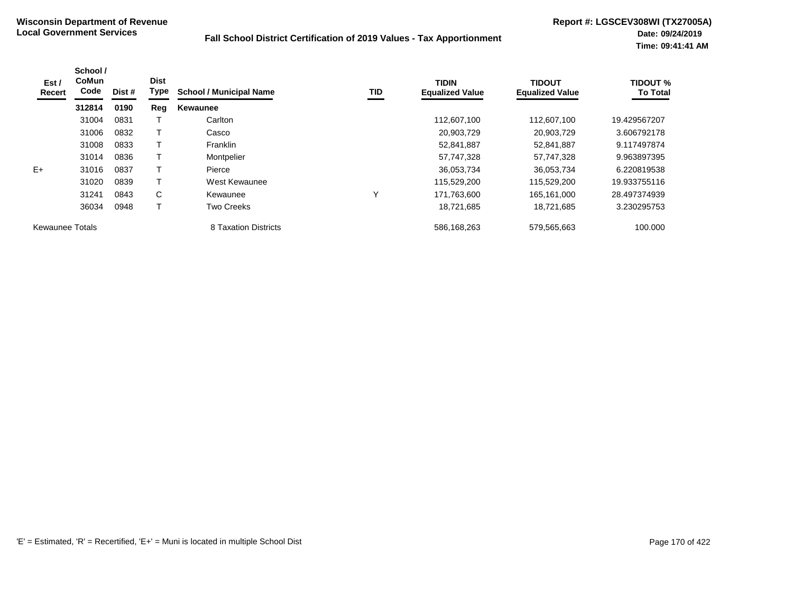| Est /<br>Recert        | School /<br><b>CoMun</b><br>Code | Dist # | <b>Dist</b><br>Type | <b>School / Municipal Name</b> | TID | <b>TIDIN</b><br><b>Equalized Value</b> | <b>TIDOUT</b><br><b>Equalized Value</b> | <b>TIDOUT %</b><br><b>To Total</b> |
|------------------------|----------------------------------|--------|---------------------|--------------------------------|-----|----------------------------------------|-----------------------------------------|------------------------------------|
|                        | 312814                           | 0190   | Reg                 | Kewaunee                       |     |                                        |                                         |                                    |
|                        | 31004                            | 0831   |                     | Carlton                        |     | 112.607.100                            | 112,607,100                             | 19.429567207                       |
|                        | 31006                            | 0832   |                     | Casco                          |     | 20,903,729                             | 20,903,729                              | 3.606792178                        |
|                        | 31008                            | 0833   |                     | Franklin                       |     | 52,841,887                             | 52,841,887                              | 9.117497874                        |
|                        | 31014                            | 0836   | т                   | Montpelier                     |     | 57,747,328                             | 57,747,328                              | 9.963897395                        |
| $E+$                   | 31016                            | 0837   |                     | Pierce                         |     | 36,053,734                             | 36,053,734                              | 6.220819538                        |
|                        | 31020                            | 0839   | Τ                   | West Kewaunee                  |     | 115,529,200                            | 115,529,200                             | 19.933755116                       |
|                        | 31241                            | 0843   | C                   | Kewaunee                       | Υ   | 171,763,600                            | 165,161,000                             | 28.497374939                       |
|                        | 36034                            | 0948   |                     | <b>Two Creeks</b>              |     | 18,721,685                             | 18,721,685                              | 3.230295753                        |
| <b>Kewaunee Totals</b> |                                  |        |                     | 8 Taxation Districts           |     | 586,168,263                            | 579,565,663                             | 100.000                            |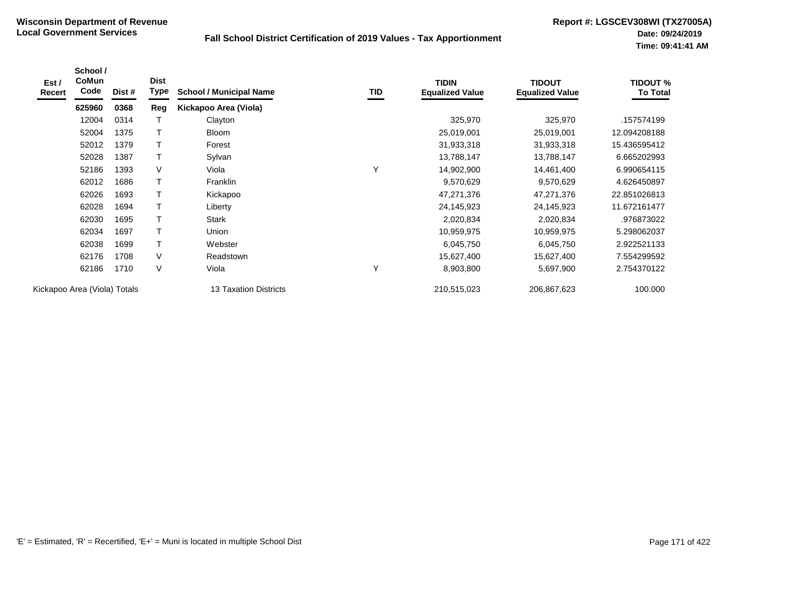| Est /<br>Recert | School /<br><b>CoMun</b><br>Code | Dist # | <b>Dist</b><br>Type | <b>School / Municipal Name</b> | TID | <b>TIDIN</b><br><b>Equalized Value</b> | <b>TIDOUT</b><br><b>Equalized Value</b> | <b>TIDOUT %</b><br><b>To Total</b> |
|-----------------|----------------------------------|--------|---------------------|--------------------------------|-----|----------------------------------------|-----------------------------------------|------------------------------------|
|                 | 625960                           | 0368   | Reg                 | Kickapoo Area (Viola)          |     |                                        |                                         |                                    |
|                 | 12004                            | 0314   | T                   | Clayton                        |     | 325,970                                | 325,970                                 | .157574199                         |
|                 | 52004                            | 1375   | $\mathsf T$         | <b>Bloom</b>                   |     | 25,019,001                             | 25,019,001                              | 12.094208188                       |
|                 | 52012                            | 1379   | $\mathsf T$         | Forest                         |     | 31,933,318                             | 31,933,318                              | 15.436595412                       |
|                 | 52028                            | 1387   | $\mathsf T$         | Sylvan                         |     | 13,788,147                             | 13,788,147                              | 6.665202993                        |
|                 | 52186                            | 1393   | V                   | Viola                          | Y   | 14,902,900                             | 14,461,400                              | 6.990654115                        |
|                 | 62012                            | 1686   | $\mathsf T$         | Franklin                       |     | 9,570,629                              | 9,570,629                               | 4.626450897                        |
|                 | 62026                            | 1693   | $\mathsf T$         | Kickapoo                       |     | 47,271,376                             | 47,271,376                              | 22.851026813                       |
|                 | 62028                            | 1694   | $\mathsf T$         | Liberty                        |     | 24,145,923                             | 24,145,923                              | 11.672161477                       |
|                 | 62030                            | 1695   |                     | <b>Stark</b>                   |     | 2,020,834                              | 2,020,834                               | .976873022                         |
|                 | 62034                            | 1697   |                     | Union                          |     | 10,959,975                             | 10,959,975                              | 5.298062037                        |
|                 | 62038                            | 1699   | $\mathsf T$         | Webster                        |     | 6,045,750                              | 6,045,750                               | 2.922521133                        |
|                 | 62176                            | 1708   | V                   | Readstown                      |     | 15,627,400                             | 15,627,400                              | 7.554299592                        |
|                 | 62186                            | 1710   | V                   | Viola                          | Υ   | 8,903,800                              | 5,697,900                               | 2.754370122                        |
|                 | Kickapoo Area (Viola) Totals     |        |                     | 13 Taxation Districts          |     | 210,515,023                            | 206,867,623                             | 100.000                            |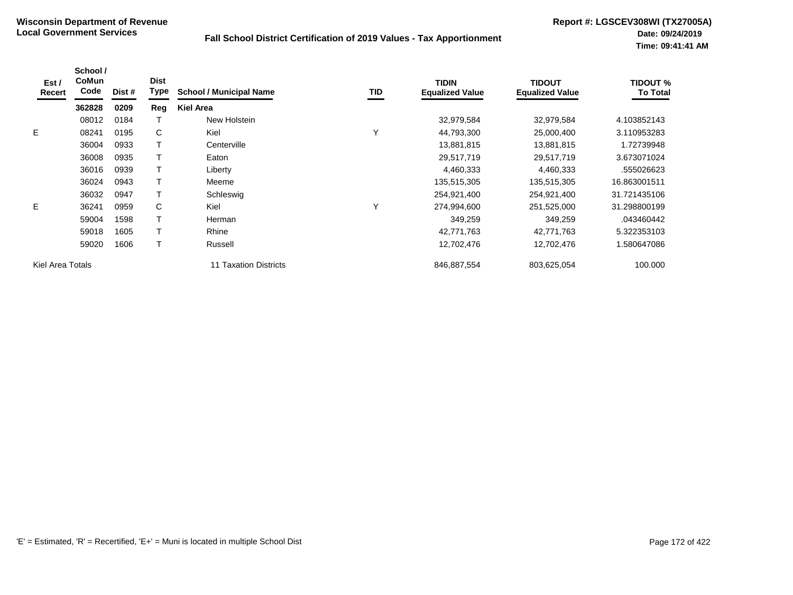| Est /<br>Recert  | School /<br><b>CoMun</b><br>Code | Dist # | <b>Dist</b><br><b>Type</b> | <b>School / Municipal Name</b> | <b>TID</b>   | <b>TIDIN</b><br><b>Equalized Value</b> | <b>TIDOUT</b><br><b>Equalized Value</b> | TIDOUT %<br><b>To Total</b> |
|------------------|----------------------------------|--------|----------------------------|--------------------------------|--------------|----------------------------------------|-----------------------------------------|-----------------------------|
|                  | 362828                           | 0209   | Reg                        | <b>Kiel Area</b>               |              |                                        |                                         |                             |
|                  | 08012                            | 0184   |                            | New Holstein                   |              | 32,979,584                             | 32,979,584                              | 4.103852143                 |
| E                | 08241                            | 0195   | C                          | Kiel                           | Υ            | 44,793,300                             | 25,000,400                              | 3.110953283                 |
|                  | 36004                            | 0933   |                            | Centerville                    |              | 13,881,815                             | 13,881,815                              | 1.72739948                  |
|                  | 36008                            | 0935   |                            | Eaton                          |              | 29,517,719                             | 29,517,719                              | 3.673071024                 |
|                  | 36016                            | 0939   | T                          | Liberty                        |              | 4,460,333                              | 4,460,333                               | .555026623                  |
|                  | 36024                            | 0943   |                            | Meeme                          |              | 135,515,305                            | 135,515,305                             | 16.863001511                |
|                  | 36032                            | 0947   |                            | Schleswig                      |              | 254,921,400                            | 254,921,400                             | 31.721435106                |
| E                | 36241                            | 0959   | C                          | Kiel                           | $\checkmark$ | 274,994,600                            | 251,525,000                             | 31.298800199                |
|                  | 59004                            | 1598   |                            | Herman                         |              | 349,259                                | 349,259                                 | .043460442                  |
|                  | 59018                            | 1605   |                            | Rhine                          |              | 42,771,763                             | 42,771,763                              | 5.322353103                 |
|                  | 59020                            | 1606   |                            | Russell                        |              | 12,702,476                             | 12,702,476                              | 1.580647086                 |
| Kiel Area Totals |                                  |        |                            | 11 Taxation Districts          |              | 846,887,554                            | 803,625,054                             | 100.000                     |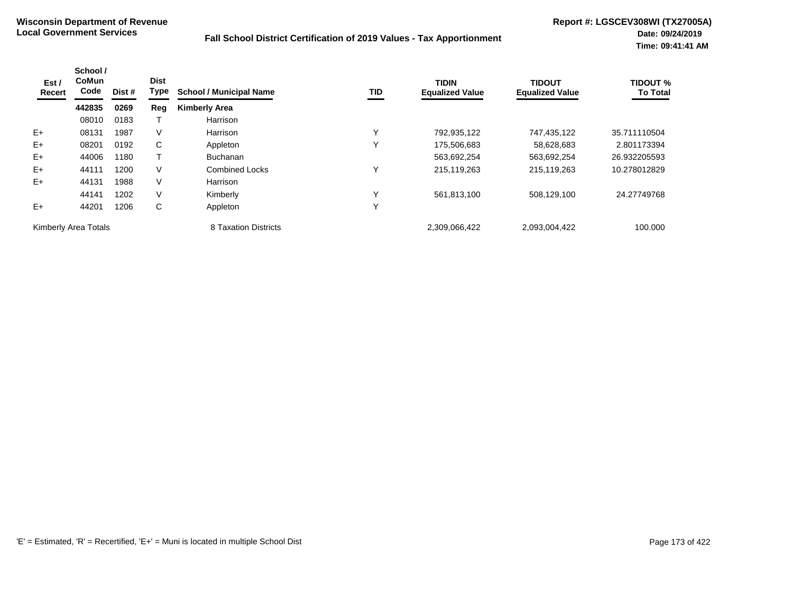| Est /<br>Recert      | School /<br><b>CoMun</b><br>Code | Dist # | <b>Dist</b><br><b>Type</b> | <b>School / Municipal Name</b> | TID          | <b>TIDIN</b><br><b>Equalized Value</b> | <b>TIDOUT</b><br><b>Equalized Value</b> | <b>TIDOUT %</b><br><b>To Total</b> |
|----------------------|----------------------------------|--------|----------------------------|--------------------------------|--------------|----------------------------------------|-----------------------------------------|------------------------------------|
|                      | 442835                           | 0269   | Reg                        | <b>Kimberly Area</b>           |              |                                        |                                         |                                    |
|                      | 08010                            | 0183   |                            | Harrison                       |              |                                        |                                         |                                    |
| $E+$                 | 08131                            | 1987   | V                          | Harrison                       | $\checkmark$ | 792,935,122                            | 747,435,122                             | 35.711110504                       |
| $E+$                 | 08201                            | 0192   | С                          | Appleton                       | $\checkmark$ | 175,506,683                            | 58,628,683                              | 2.801173394                        |
| $E+$                 | 44006                            | 1180   |                            | <b>Buchanan</b>                |              | 563,692,254                            | 563,692,254                             | 26.932205593                       |
| $E+$                 | 44111                            | 1200   | V                          | <b>Combined Locks</b>          | $\checkmark$ | 215,119,263                            | 215,119,263                             | 10.278012829                       |
| $E+$                 | 44131                            | 1988   | V                          | Harrison                       |              |                                        |                                         |                                    |
|                      | 44141                            | 1202   | V                          | Kimberly                       | $\checkmark$ | 561,813,100                            | 508,129,100                             | 24.27749768                        |
| $E+$                 | 44201                            | 1206   | С                          | Appleton                       | $\checkmark$ |                                        |                                         |                                    |
| Kimberly Area Totals |                                  |        |                            | 8 Taxation Districts           |              | 2,309,066,422                          | 2,093,004,422                           | 100.000                            |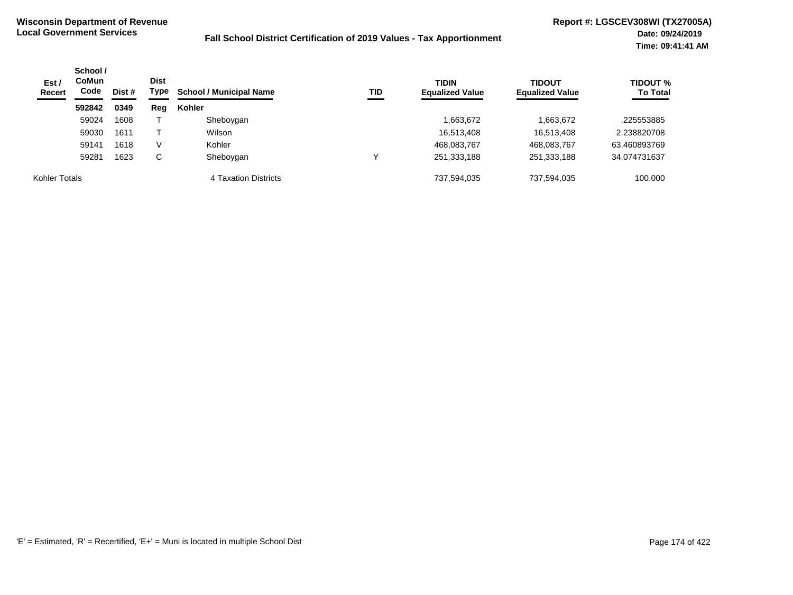| Est /<br><b>Recert</b> | School /<br><b>CoMun</b><br>Code<br>Dist # |      | <b>Dist</b><br>Type | <b>School / Municipal Name</b><br>TID | <b>TIDIN</b><br><b>Equalized Value</b> | <b>TIDOUT</b><br><b>Equalized Value</b> | <b>TIDOUT %</b><br><b>To Total</b> |              |
|------------------------|--------------------------------------------|------|---------------------|---------------------------------------|----------------------------------------|-----------------------------------------|------------------------------------|--------------|
|                        | 592842                                     | 0349 | Reg                 | Kohler                                |                                        |                                         |                                    |              |
|                        | 59024                                      | 1608 |                     | Sheboygan                             |                                        | 1,663,672                               | 1,663,672                          | .225553885   |
|                        | 59030                                      | 1611 |                     | Wilson                                |                                        | 16,513,408                              | 16,513,408                         | 2.238820708  |
|                        | 59141                                      | 1618 | V                   | Kohler                                |                                        | 468,083,767                             | 468,083,767                        | 63.460893769 |
|                        | 59281                                      | 1623 | C                   | Sheboygan                             |                                        | 251,333,188                             | 251,333,188                        | 34.074731637 |
| Kohler Totals          |                                            |      |                     | 4 Taxation Districts                  |                                        | 737.594.035                             | 737,594,035                        | 100,000      |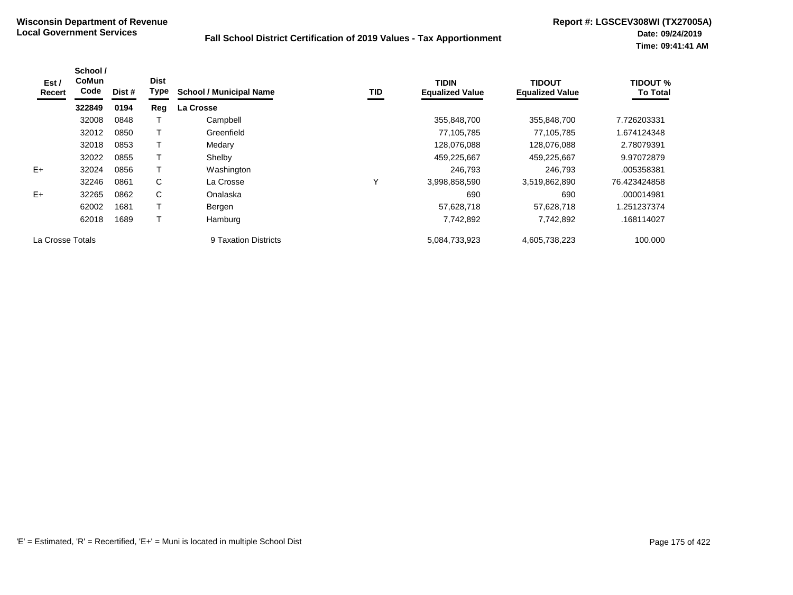| Est /<br>Recert  | School /<br><b>CoMun</b><br>Code | Dist # | <b>Dist</b><br>Type | <b>School / Municipal Name</b> | TID | <b>TIDIN</b><br><b>Equalized Value</b> | <b>TIDOUT</b><br><b>Equalized Value</b> | <b>TIDOUT %</b><br><b>To Total</b> |
|------------------|----------------------------------|--------|---------------------|--------------------------------|-----|----------------------------------------|-----------------------------------------|------------------------------------|
|                  | 322849                           | 0194   | Reg                 | La Crosse                      |     |                                        |                                         |                                    |
|                  | 32008                            | 0848   |                     | Campbell                       |     | 355,848,700                            | 355,848,700                             | 7.726203331                        |
|                  | 32012                            | 0850   |                     | Greenfield                     |     | 77,105,785                             | 77.105.785                              | 1.674124348                        |
|                  | 32018                            | 0853   |                     | Medary                         |     | 128,076,088                            | 128,076,088                             | 2.78079391                         |
|                  | 32022                            | 0855   |                     | Shelby                         |     | 459,225,667                            | 459,225,667                             | 9.97072879                         |
| $E+$             | 32024                            | 0856   |                     | Washington                     |     | 246,793                                | 246.793                                 | .005358381                         |
|                  | 32246                            | 0861   | C                   | La Crosse                      | Υ   | 3,998,858,590                          | 3,519,862,890                           | 76.423424858                       |
| $E+$             | 32265                            | 0862   | C                   | Onalaska                       |     | 690                                    | 690                                     | .000014981                         |
|                  | 62002                            | 1681   |                     | Bergen                         |     | 57,628,718                             | 57,628,718                              | 1.251237374                        |
|                  | 62018                            | 1689   |                     | Hamburg                        |     | 7,742,892                              | 7,742,892                               | .168114027                         |
| La Crosse Totals |                                  |        |                     | 9 Taxation Districts           |     | 5,084,733,923                          | 4,605,738,223                           | 100.000                            |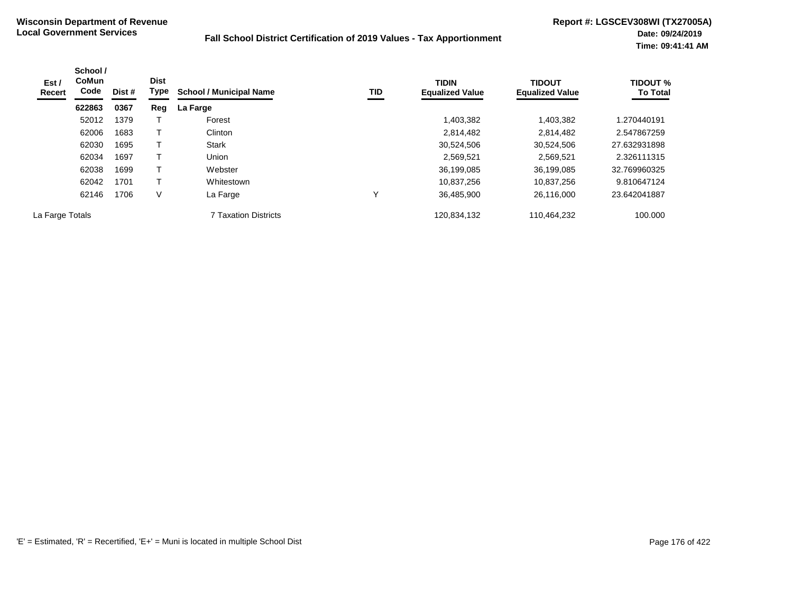| Est /<br>Recert | School /<br><b>CoMun</b><br>Code | Dist # | <b>Dist</b><br>Type | <b>School / Municipal Name</b> | TID | <b>TIDIN</b><br><b>Equalized Value</b> | <b>TIDOUT</b><br><b>Equalized Value</b> | <b>TIDOUT %</b><br><b>To Total</b> |
|-----------------|----------------------------------|--------|---------------------|--------------------------------|-----|----------------------------------------|-----------------------------------------|------------------------------------|
|                 | 622863                           | 0367   | Reg                 | La Farge                       |     |                                        |                                         |                                    |
|                 | 52012                            | 1379   |                     | Forest                         |     | 1,403,382                              | 1,403,382                               | 1.270440191                        |
|                 | 62006                            | 1683   |                     | Clinton                        |     | 2,814,482                              | 2,814,482                               | 2.547867259                        |
|                 | 62030                            | 1695   | т                   | <b>Stark</b>                   |     | 30,524,506                             | 30,524,506                              | 27.632931898                       |
|                 | 62034                            | 1697   | т                   | Union                          |     | 2,569,521                              | 2,569,521                               | 2.326111315                        |
|                 | 62038                            | 1699   | т                   | Webster                        |     | 36,199,085                             | 36,199,085                              | 32.769960325                       |
|                 | 62042                            | 1701   | т                   | Whitestown                     |     | 10,837,256                             | 10.837.256                              | 9.810647124                        |
|                 | 62146                            | 1706   | $\vee$              | La Farge                       |     | 36,485,900                             | 26,116,000                              | 23.642041887                       |
| La Farge Totals |                                  |        |                     | <b>7 Taxation Districts</b>    |     | 120,834,132                            | 110,464,232                             | 100.000                            |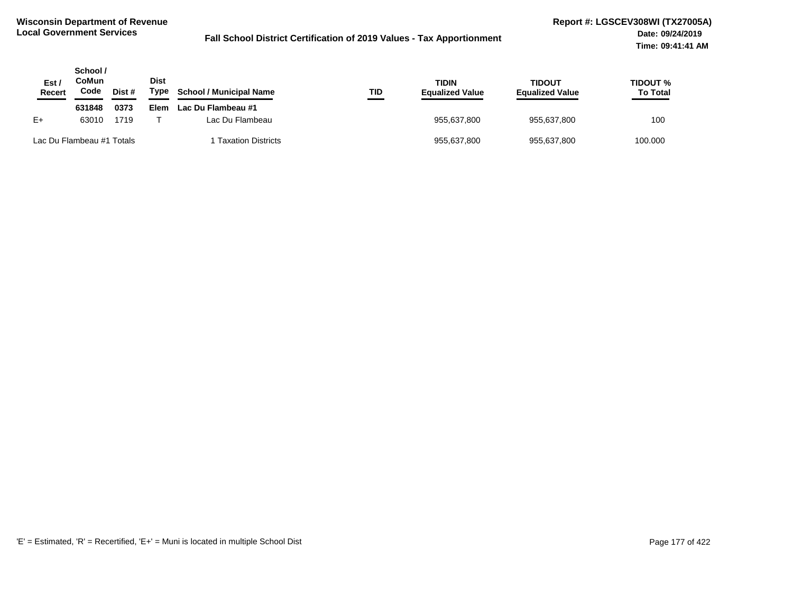| Est<br><b>Recert</b> | School /<br>CoMun<br>Code | Dist # | <b>Dist</b><br>Type | <b>School / Municipal Name</b><br>TID | <b>TIDIN</b><br><b>Equalized Value</b> | TIDOUT<br><b>Equalized Value</b> | <b>TIDOUT %</b><br><b>To Total</b> |
|----------------------|---------------------------|--------|---------------------|---------------------------------------|----------------------------------------|----------------------------------|------------------------------------|
|                      | 631848                    | 0373   | Elem                | Lac Du Flambeau #1                    |                                        |                                  |                                    |
| $E+$                 | 63010                     | 1719   |                     | Lac Du Flambeau                       | 955,637,800                            | 955,637,800                      | 100                                |
|                      | Lac Du Flambeau #1 Totals |        |                     | 1 Taxation Districts                  | 955,637,800                            | 955,637,800                      | 100.000                            |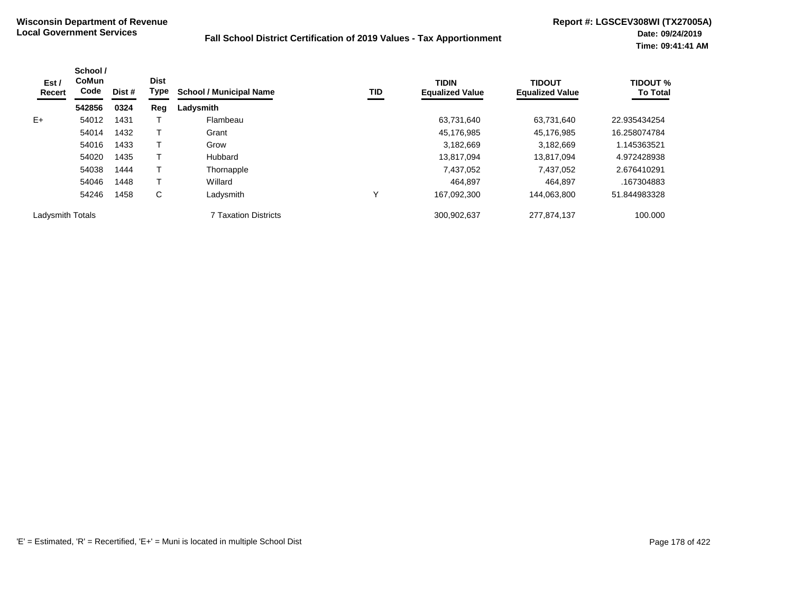| Est /<br>Recert  | School /<br><b>CoMun</b><br>Code<br>542856 | Dist # | <b>Dist</b><br><b>Type</b> | <b>School / Municipal Name</b> | TID | <b>TIDIN</b><br><b>Equalized Value</b> | <b>TIDOUT</b><br><b>Equalized Value</b> | <b>TIDOUT %</b><br><b>To Total</b> |
|------------------|--------------------------------------------|--------|----------------------------|--------------------------------|-----|----------------------------------------|-----------------------------------------|------------------------------------|
|                  |                                            | 0324   | Reg                        | Ladysmith                      |     |                                        |                                         |                                    |
| $E+$             | 54012                                      | 1431   |                            | Flambeau                       |     | 63,731,640                             | 63,731,640                              | 22.935434254                       |
|                  | 54014                                      | 1432   |                            | Grant                          |     | 45,176,985                             | 45,176,985                              | 16.258074784                       |
|                  | 54016                                      | 1433   |                            | Grow                           |     | 3,182,669                              | 3,182,669                               | 1.145363521                        |
|                  | 54020                                      | 1435   |                            | Hubbard                        |     | 13,817,094                             | 13,817,094                              | 4.972428938                        |
|                  | 54038                                      | 1444   |                            | Thornapple                     |     | 7,437,052                              | 7,437,052                               | 2.676410291                        |
|                  | 54046                                      | 1448   |                            | Willard                        |     | 464.897                                | 464.897                                 | .167304883                         |
|                  | 54246                                      | 1458   | С                          | Ladysmith                      | ν   | 167,092,300                            | 144.063.800                             | 51.844983328                       |
| Ladysmith Totals |                                            |        |                            | <b>7 Taxation Districts</b>    |     | 300,902,637                            | 277,874,137                             | 100.000                            |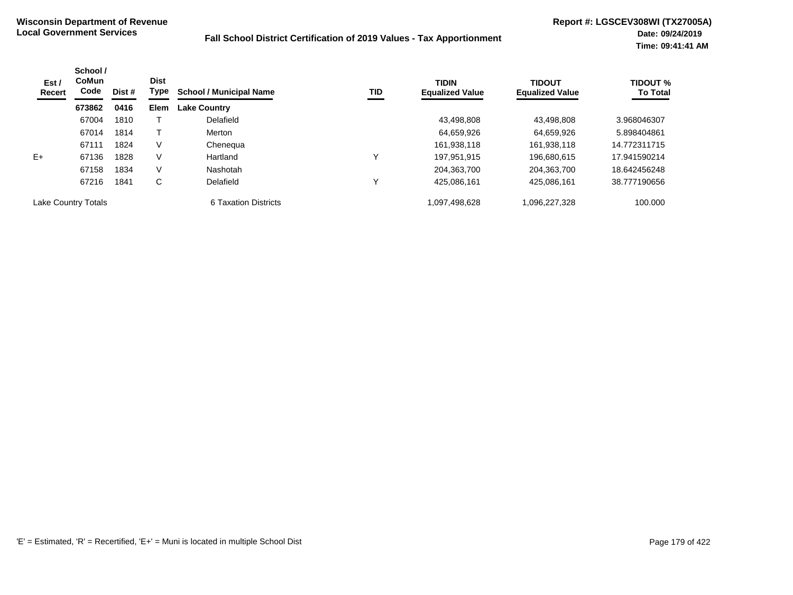| Est /<br>Recert            | School /<br><b>CoMun</b><br>Code | Dist # | <b>Dist</b><br>Type | <b>School / Municipal Name</b> | TID | <b>TIDIN</b><br><b>Equalized Value</b> | <b>TIDOUT</b><br><b>Equalized Value</b> | <b>TIDOUT %</b><br><b>To Total</b> |
|----------------------------|----------------------------------|--------|---------------------|--------------------------------|-----|----------------------------------------|-----------------------------------------|------------------------------------|
|                            | 673862                           | 0416   | <b>Elem</b>         | <b>Lake Country</b>            |     |                                        |                                         |                                    |
|                            | 67004                            | 1810   |                     | Delafield                      |     | 43.498.808                             | 43.498.808                              | 3.968046307                        |
|                            | 67014                            | 1814   |                     | Merton                         |     | 64,659,926                             | 64,659,926                              | 5.898404861                        |
|                            | 67111                            | 1824   | V                   | Chenequa                       |     | 161,938,118                            | 161,938,118                             | 14.772311715                       |
| $E+$                       | 67136                            | 1828   | V                   | Hartland                       | v   | 197.951.915                            | 196.680.615                             | 17.941590214                       |
|                            | 67158                            | 1834   | V                   | Nashotah                       |     | 204.363.700                            | 204,363,700                             | 18.642456248                       |
|                            | 67216                            | 1841   | C                   | Delafield                      | v   | 425.086.161                            | 425,086,161                             | 38.777190656                       |
| <b>Lake Country Totals</b> |                                  |        |                     | 6 Taxation Districts           |     | 1,097,498,628                          | 1,096,227,328                           | 100.000                            |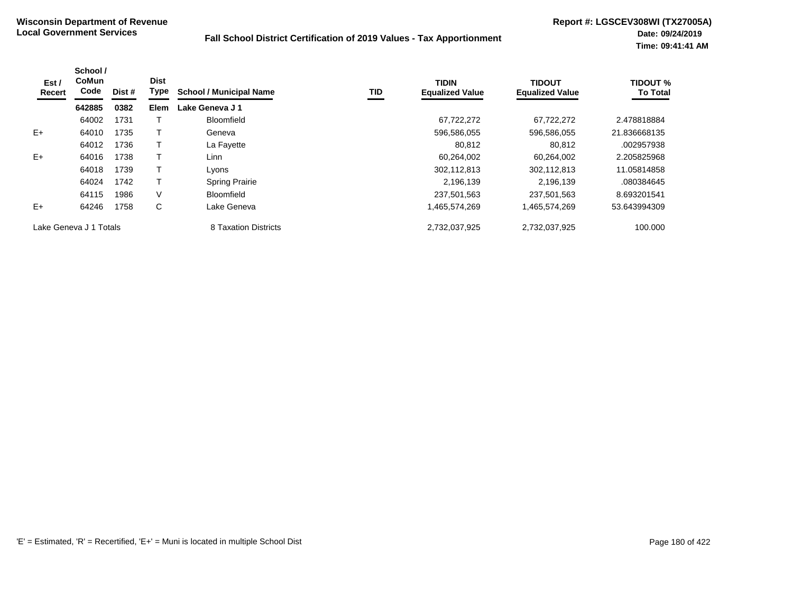| Est /<br>Recert        | School /<br><b>CoMun</b><br>Code | Dist # | <b>Dist</b><br>Type | <b>School / Municipal Name</b> | TID | <b>TIDIN</b><br><b>Equalized Value</b> | <b>TIDOUT</b><br><b>Equalized Value</b> | <b>TIDOUT %</b><br><b>To Total</b> |
|------------------------|----------------------------------|--------|---------------------|--------------------------------|-----|----------------------------------------|-----------------------------------------|------------------------------------|
|                        | 642885                           | 0382   | <b>Elem</b>         | Lake Geneva J 1                |     |                                        |                                         |                                    |
|                        | 64002                            | 1731   |                     | <b>Bloomfield</b>              |     | 67,722,272                             | 67.722.272                              | 2.478818884                        |
| $E+$                   | 64010                            | 1735   |                     | Geneva                         |     | 596,586,055                            | 596,586,055                             | 21.836668135                       |
|                        | 64012                            | 1736   |                     | La Fayette                     |     | 80.812                                 | 80,812                                  | .002957938                         |
| $E+$                   | 64016                            | 1738   |                     | Linn                           |     | 60,264,002                             | 60.264.002                              | 2.205825968                        |
|                        | 64018                            | 1739   |                     | Lyons                          |     | 302,112,813                            | 302,112,813                             | 11.05814858                        |
|                        | 64024                            | 1742   |                     | <b>Spring Prairie</b>          |     | 2.196.139                              | 2,196,139                               | .080384645                         |
|                        | 64115                            | 1986   | V                   | <b>Bloomfield</b>              |     | 237.501.563                            | 237.501.563                             | 8.693201541                        |
| $E+$                   | 64246                            | 1758   | C                   | Lake Geneva                    |     | 1,465,574,269                          | 1,465,574,269                           | 53.643994309                       |
| Lake Geneva J 1 Totals |                                  |        |                     | 8 Taxation Districts           |     | 2,732,037,925                          | 2,732,037,925                           | 100.000                            |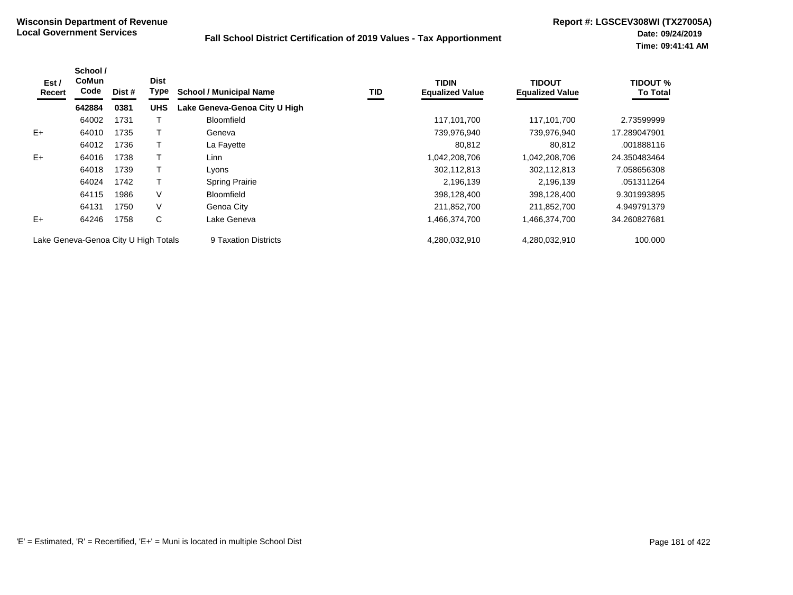| Est /<br>Recert | School /<br><b>CoMun</b><br>Code     | Dist # | <b>Dist</b><br><b>Type</b> | <b>School / Municipal Name</b> | TID | <b>TIDIN</b><br><b>Equalized Value</b> | <b>TIDOUT</b><br><b>Equalized Value</b> | <b>TIDOUT %</b><br><b>To Total</b> |
|-----------------|--------------------------------------|--------|----------------------------|--------------------------------|-----|----------------------------------------|-----------------------------------------|------------------------------------|
|                 | 642884                               | 0381   | <b>UHS</b>                 | Lake Geneva-Genoa City U High  |     |                                        |                                         |                                    |
|                 | 64002                                | 1731   |                            | <b>Bloomfield</b>              |     | 117,101,700                            | 117,101,700                             | 2.73599999                         |
| $E+$            | 64010                                | 1735   |                            | Geneva                         |     | 739,976,940                            | 739,976,940                             | 17.289047901                       |
|                 | 64012                                | 1736   |                            | La Fayette                     |     | 80,812                                 | 80,812                                  | .001888116                         |
| $E+$            | 64016                                | 1738   |                            | Linn                           |     | 042,208,706,                           | 1,042,208,706                           | 24.350483464                       |
|                 | 64018                                | 1739   |                            | Lyons                          |     | 302,112,813                            | 302,112,813                             | 7.058656308                        |
|                 | 64024                                | 1742   |                            | <b>Spring Prairie</b>          |     | 2,196,139                              | 2,196,139                               | .051311264                         |
|                 | 64115                                | 1986   | V                          | <b>Bloomfield</b>              |     | 398,128,400                            | 398,128,400                             | 9.301993895                        |
|                 | 64131                                | 1750   | V                          | Genoa City                     |     | 211,852,700                            | 211,852,700                             | 4.949791379                        |
| $E+$            | 64246                                | 1758   | С                          | Lake Geneva                    |     | .466,374,700                           | 1,466,374,700                           | 34.260827681                       |
|                 | Lake Geneva-Genoa City U High Totals |        |                            | 9 Taxation Districts           |     | 4.280.032.910                          | 4.280.032.910                           | 100.000                            |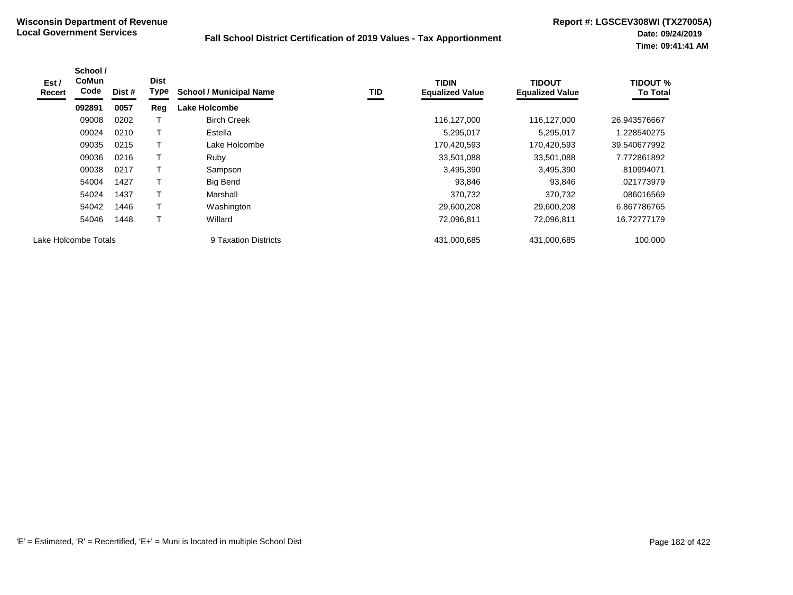| Est /<br>Recert | School /<br><b>CoMun</b><br>Code | Dist # | <b>Dist</b><br>Type | <b>School / Municipal Name</b> | <b>TID</b> | <b>TIDIN</b><br><b>Equalized Value</b> | <b>TIDOUT</b><br><b>Equalized Value</b> | <b>TIDOUT %</b><br><b>To Total</b> |
|-----------------|----------------------------------|--------|---------------------|--------------------------------|------------|----------------------------------------|-----------------------------------------|------------------------------------|
|                 | 092891                           | 0057   | Reg                 | Lake Holcombe                  |            |                                        |                                         |                                    |
|                 | 09008                            | 0202   |                     | <b>Birch Creek</b>             |            | 116,127,000                            | 116.127.000                             | 26.943576667                       |
|                 | 09024                            | 0210   |                     | Estella                        |            | 5,295,017                              | 5,295,017                               | 1.228540275                        |
|                 | 09035                            | 0215   | т                   | Lake Holcombe                  |            | 170,420,593                            | 170,420,593                             | 39.540677992                       |
|                 | 09036                            | 0216   |                     | Ruby                           |            | 33,501,088                             | 33,501,088                              | 7.772861892                        |
|                 | 09038                            | 0217   | Τ                   | Sampson                        |            | 3,495,390                              | 3,495,390                               | .810994071                         |
|                 | 54004                            | 1427   |                     | Big Bend                       |            | 93,846                                 | 93,846                                  | .021773979                         |
|                 | 54024                            | 1437   | T                   | Marshall                       |            | 370,732                                | 370,732                                 | .086016569                         |
|                 | 54042                            | 1446   |                     | Washington                     |            | 29,600,208                             | 29,600,208                              | 6.867786765                        |
|                 | 54046                            | 1448   | T                   | Willard                        |            | 72,096,811                             | 72,096,811                              | 16.72777179                        |
|                 | Lake Holcombe Totals             |        |                     | 9 Taxation Districts           |            | 431,000,685                            | 431,000,685                             | 100.000                            |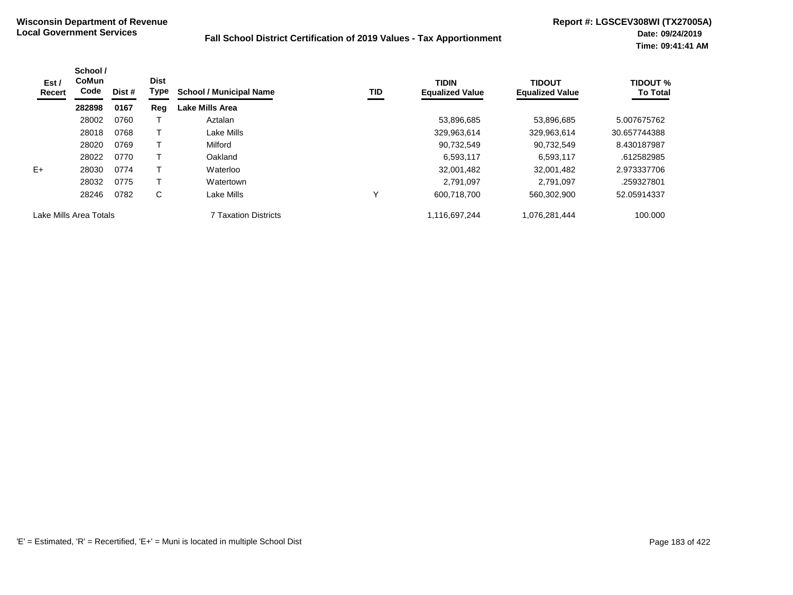| Est /<br>Recert        | School /<br><b>CoMun</b><br>Code<br>Dist # | <b>Dist</b><br>Type | <b>School / Municipal Name</b> | <b>TID</b>                  | <b>TIDIN</b><br><b>Equalized Value</b> | <b>TIDOUT</b><br><b>Equalized Value</b> | <b>TIDOUT %</b><br><b>To Total</b> |              |
|------------------------|--------------------------------------------|---------------------|--------------------------------|-----------------------------|----------------------------------------|-----------------------------------------|------------------------------------|--------------|
|                        | 282898                                     | 0167                | Reg                            | <b>Lake Mills Area</b>      |                                        |                                         |                                    |              |
|                        | 28002                                      | 0760                |                                | Aztalan                     |                                        | 53,896,685                              | 53,896,685                         | 5.007675762  |
|                        | 28018                                      | 0768                |                                | Lake Mills                  |                                        | 329,963,614                             | 329,963,614                        | 30.657744388 |
|                        | 28020                                      | 0769                |                                | Milford                     |                                        | 90,732,549                              | 90.732.549                         | 8.430187987  |
|                        | 28022                                      | 0770                |                                | Oakland                     |                                        | 6,593,117                               | 6,593,117                          | .612582985   |
| $E+$                   | 28030                                      | 0774                |                                | Waterloo                    |                                        | 32,001,482                              | 32,001,482                         | 2.973337706  |
|                        | 28032                                      | 0775                |                                | Watertown                   |                                        | 2.791.097                               | 2.791.097                          | .259327801   |
|                        | 28246                                      | 0782                | C                              | Lake Mills                  | Υ                                      | 600,718,700                             | 560,302,900                        | 52.05914337  |
| Lake Mills Area Totals |                                            |                     |                                | <b>7 Taxation Districts</b> |                                        | 1,116,697,244                           | 1,076,281,444                      | 100.000      |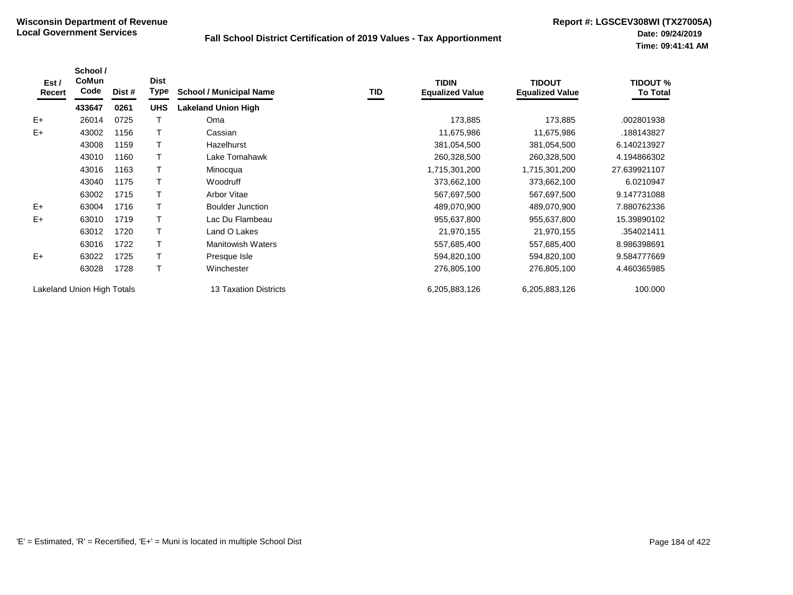| Est /<br>Recert | School /<br><b>CoMun</b><br>Code | Dist # | <b>Dist</b><br><b>Type</b> | <b>School / Municipal Name</b> | TID | <b>TIDIN</b><br><b>Equalized Value</b> | <b>TIDOUT</b><br><b>Equalized Value</b> | <b>TIDOUT %</b><br><b>To Total</b> |
|-----------------|----------------------------------|--------|----------------------------|--------------------------------|-----|----------------------------------------|-----------------------------------------|------------------------------------|
|                 | 433647                           | 0261   | <b>UHS</b>                 | <b>Lakeland Union High</b>     |     |                                        |                                         |                                    |
| $E+$            | 26014                            | 0725   |                            | Oma                            |     | 173,885                                | 173,885                                 | .002801938                         |
| $E+$            | 43002                            | 1156   |                            | Cassian                        |     | 11,675,986                             | 11,675,986                              | .188143827                         |
|                 | 43008                            | 1159   |                            | Hazelhurst                     |     | 381,054,500                            | 381,054,500                             | 6.140213927                        |
|                 | 43010                            | 1160   |                            | Lake Tomahawk                  |     | 260,328,500                            | 260,328,500                             | 4.194866302                        |
|                 | 43016                            | 1163   |                            | Minocqua                       |     | 1,715,301,200                          | 1,715,301,200                           | 27.639921107                       |
|                 | 43040                            | 1175   |                            | Woodruff                       |     | 373,662,100                            | 373,662,100                             | 6.0210947                          |
|                 | 63002                            | 1715   |                            | Arbor Vitae                    |     | 567,697,500                            | 567,697,500                             | 9.147731088                        |
| $E+$            | 63004                            | 1716   |                            | <b>Boulder Junction</b>        |     | 489,070,900                            | 489,070,900                             | 7.880762336                        |
| $E+$            | 63010                            | 1719   |                            | Lac Du Flambeau                |     | 955,637,800                            | 955,637,800                             | 15.39890102                        |
|                 | 63012                            | 1720   |                            | Land O Lakes                   |     | 21,970,155                             | 21,970,155                              | .354021411                         |
|                 | 63016                            | 1722   |                            | <b>Manitowish Waters</b>       |     | 557,685,400                            | 557,685,400                             | 8.986398691                        |
| $E+$            | 63022                            | 1725   |                            | Presque Isle                   |     | 594,820,100                            | 594,820,100                             | 9.584777669                        |
|                 | 63028                            | 1728   |                            | Winchester                     |     | 276,805,100                            | 276,805,100                             | 4.460365985                        |
|                 | Lakeland Union High Totals       |        |                            | <b>13 Taxation Districts</b>   |     | 6,205,883,126                          | 6,205,883,126                           | 100.000                            |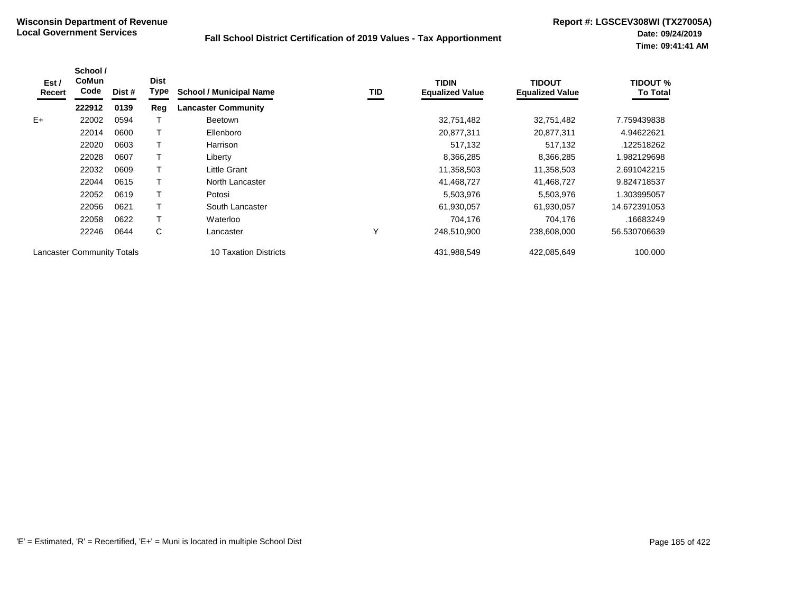| Est /<br>Recert | School /<br><b>CoMun</b><br>Code  | Dist # | <b>Dist</b><br>Type | <b>School / Municipal Name</b> | TID | <b>TIDIN</b><br><b>Equalized Value</b> | TIDOUT<br><b>Equalized Value</b> | <b>TIDOUT %</b><br><b>To Total</b> |
|-----------------|-----------------------------------|--------|---------------------|--------------------------------|-----|----------------------------------------|----------------------------------|------------------------------------|
|                 | 222912                            | 0139   | Reg                 | <b>Lancaster Community</b>     |     |                                        |                                  |                                    |
| $E+$            | 22002                             | 0594   |                     | <b>Beetown</b>                 |     | 32,751,482                             | 32,751,482                       | 7.759439838                        |
|                 | 22014                             | 0600   |                     | Ellenboro                      |     | 20,877,311                             | 20,877,311                       | 4.94622621                         |
|                 | 22020                             | 0603   |                     | Harrison                       |     | 517,132                                | 517,132                          | .122518262                         |
|                 | 22028                             | 0607   |                     | Liberty                        |     | 8,366,285                              | 8,366,285                        | 1.982129698                        |
|                 | 22032                             | 0609   |                     | Little Grant                   |     | 11,358,503                             | 11,358,503                       | 2.691042215                        |
|                 | 22044                             | 0615   |                     | North Lancaster                |     | 41,468,727                             | 41,468,727                       | 9.824718537                        |
|                 | 22052                             | 0619   |                     | Potosi                         |     | 5,503,976                              | 5,503,976                        | 1.303995057                        |
|                 | 22056                             | 0621   |                     | South Lancaster                |     | 61,930,057                             | 61,930,057                       | 14.672391053                       |
|                 | 22058                             | 0622   |                     | Waterloo                       |     | 704.176                                | 704,176                          | .16683249                          |
|                 | 22246                             | 0644   | С                   | Lancaster                      | Υ   | 248,510,900                            | 238,608,000                      | 56.530706639                       |
|                 | <b>Lancaster Community Totals</b> |        |                     | 10 Taxation Districts          |     | 431,988,549                            | 422,085,649                      | 100.000                            |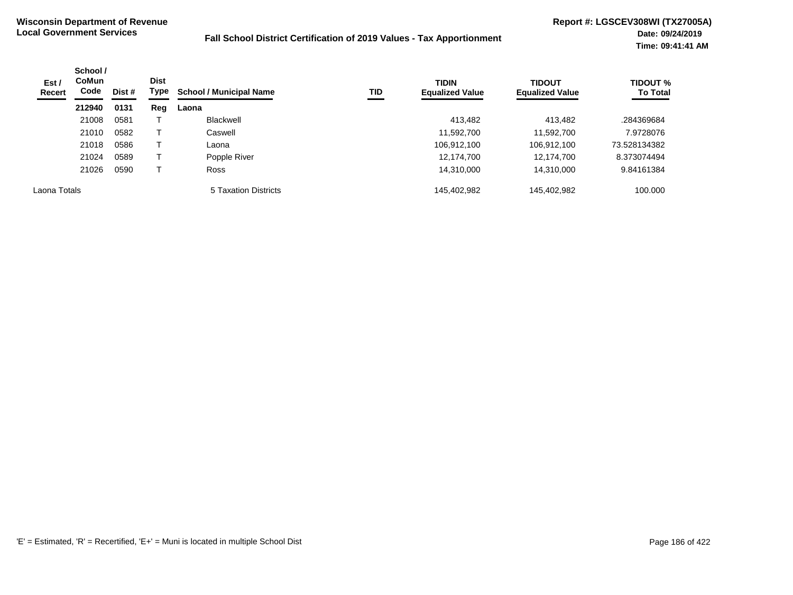| Est/<br>Recert | School /<br><b>CoMun</b><br>Code | Dist # | <b>Dist</b><br>Type | TID<br><b>School / Municipal Name</b> | <b>TIDIN</b><br><b>Equalized Value</b> | <b>TIDOUT</b><br><b>Equalized Value</b> | <b>TIDOUT %</b><br><b>To Total</b> |              |
|----------------|----------------------------------|--------|---------------------|---------------------------------------|----------------------------------------|-----------------------------------------|------------------------------------|--------------|
|                | 212940                           | 0131   | Reg                 | Laona                                 |                                        |                                         |                                    |              |
|                | 21008                            | 0581   |                     | Blackwell                             |                                        | 413,482                                 | 413,482                            | .284369684   |
|                | 21010                            | 0582   |                     | Caswell                               |                                        | 11,592,700                              | 11,592,700                         | 7.9728076    |
|                | 21018                            | 0586   |                     | Laona                                 |                                        | 106,912,100                             | 106,912,100                        | 73.528134382 |
|                | 21024                            | 0589   |                     | Popple River                          |                                        | 12,174,700                              | 12,174,700                         | 8.373074494  |
|                | 21026                            | 0590   |                     | <b>Ross</b>                           |                                        | 14,310,000                              | 14,310,000                         | 9.84161384   |
| Laona Totals   |                                  |        |                     | <b>5 Taxation Districts</b>           |                                        | 145,402,982                             | 145,402,982                        | 100.000      |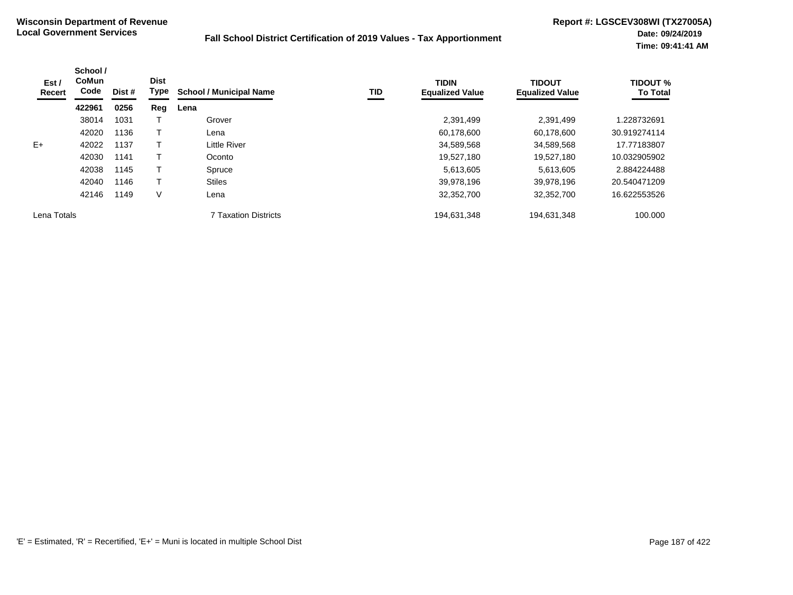| Est /<br>Recert | School /<br><b>CoMun</b><br>Code | Dist # | <b>Dist</b><br>Type | <b>School / Municipal Name</b> | <b>TID</b> | <b>TIDIN</b><br><b>Equalized Value</b> | <b>TIDOUT</b><br><b>Equalized Value</b> | <b>TIDOUT %</b><br><b>To Total</b> |
|-----------------|----------------------------------|--------|---------------------|--------------------------------|------------|----------------------------------------|-----------------------------------------|------------------------------------|
|                 | 422961                           | 0256   | Reg                 | Lena                           |            |                                        |                                         |                                    |
|                 | 38014                            | 1031   |                     | Grover                         |            | 2,391,499                              | 2,391,499                               | 1.228732691                        |
|                 | 42020                            | 1136   |                     | Lena                           |            | 60,178,600                             | 60,178,600                              | 30.919274114                       |
| $E+$            | 42022                            | 1137   |                     | <b>Little River</b>            |            | 34,589,568                             | 34,589,568                              | 17.77183807                        |
|                 | 42030                            | 1141   |                     | Oconto                         |            | 19,527,180                             | 19,527,180                              | 10.032905902                       |
|                 | 42038                            | 1145   |                     | Spruce                         |            | 5,613,605                              | 5,613,605                               | 2.884224488                        |
|                 | 42040                            | 1146   |                     | <b>Stiles</b>                  |            | 39,978,196                             | 39,978,196                              | 20.540471209                       |
|                 | 42146                            | 1149   | V                   | Lena                           |            | 32,352,700                             | 32,352,700                              | 16.622553526                       |
| Lena Totals     |                                  |        |                     | <b>7 Taxation Districts</b>    |            | 194,631,348                            | 194,631,348                             | 100.000                            |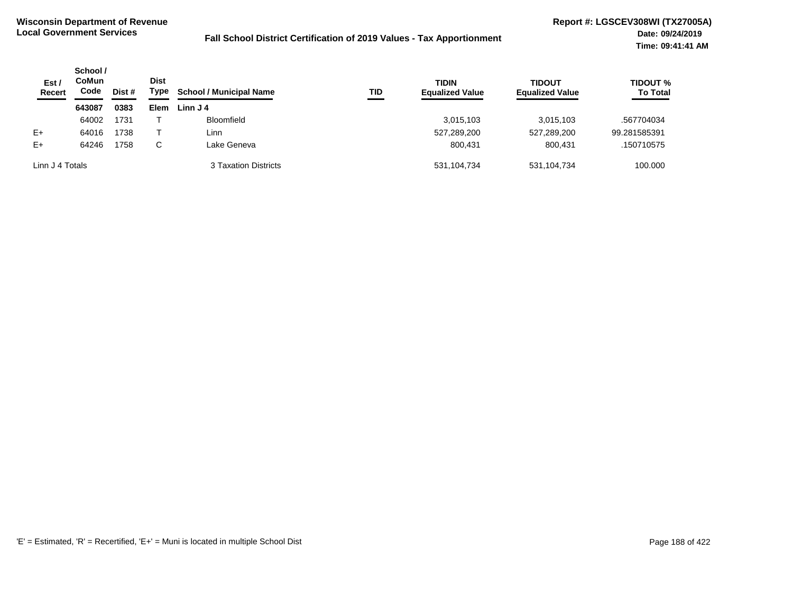| Est/<br><b>Recert</b> | School /<br>CoMun<br>Code | Dist # | <b>Dist</b><br>Type | <b>School / Municipal Name</b> | TID | <b>TIDIN</b><br><b>Equalized Value</b> | <b>TIDOUT</b><br><b>Equalized Value</b> | <b>TIDOUT %</b><br><b>To Total</b> |
|-----------------------|---------------------------|--------|---------------------|--------------------------------|-----|----------------------------------------|-----------------------------------------|------------------------------------|
|                       | 643087                    | 0383   | <b>Elem</b>         | Linn J 4                       |     |                                        |                                         |                                    |
|                       | 64002                     | 1731   |                     | <b>Bloomfield</b>              |     | 3,015,103                              | 3,015,103                               | .567704034                         |
| $E+$                  | 64016                     | 1738   |                     | Linn                           |     | 527,289,200                            | 527,289,200                             | 99.281585391                       |
| $E+$                  | 64246                     | 1758   | C.                  | Lake Geneva                    |     | 800,431                                | 800.431                                 | .150710575                         |
| Linn J 4 Totals       |                           |        |                     | 3 Taxation Districts           |     | 531,104,734                            | 531,104,734                             | 100.000                            |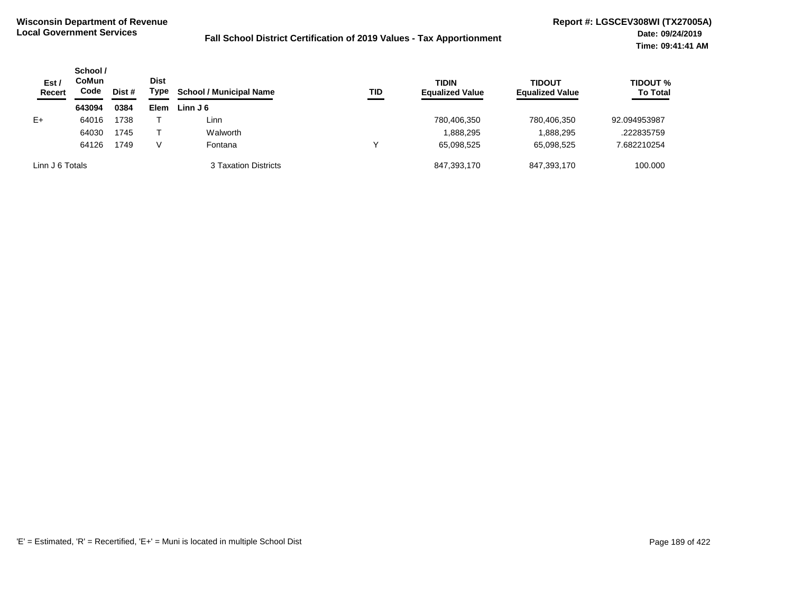| Est /<br><b>Recert</b> | School /<br>CoMun<br>Code | Dist # | <b>Dist</b><br>Type | <b>School / Municipal Name</b> | TID | <b>TIDIN</b><br><b>Equalized Value</b> | <b>TIDOUT</b><br><b>Equalized Value</b> | <b>TIDOUT %</b><br><b>To Total</b> |
|------------------------|---------------------------|--------|---------------------|--------------------------------|-----|----------------------------------------|-----------------------------------------|------------------------------------|
|                        | 643094                    | 0384   | <b>Elem</b>         | Linn $J_6$                     |     |                                        |                                         |                                    |
| $E+$                   | 64016                     | 1738   |                     | Linn                           |     | 780,406,350                            | 780,406,350                             | 92.094953987                       |
|                        | 64030                     | 1745   |                     | Walworth                       |     | .888,295                               | 1,888,295                               | .222835759                         |
|                        | 64126                     | 1749   | V                   | Fontana                        | ν   | 65,098,525                             | 65,098,525                              | 7.682210254                        |
| Linn J 6 Totals        |                           |        |                     | 3 Taxation Districts           |     | 847,393,170                            | 847,393,170                             | 100.000                            |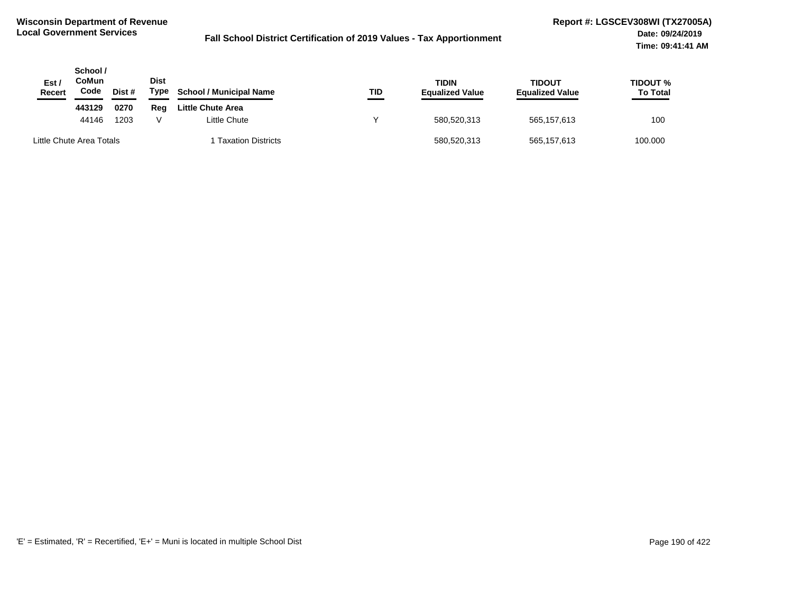| Est /<br>Recert          | School /<br>CoMun<br>Code | Dist # | <b>Dist</b><br>Type | <b>School / Municipal Name</b> | TID | <b>TIDIN</b><br><b>Equalized Value</b> | TIDOUT<br><b>Equalized Value</b> | <b>TIDOUT %</b><br><b>To Total</b> |
|--------------------------|---------------------------|--------|---------------------|--------------------------------|-----|----------------------------------------|----------------------------------|------------------------------------|
|                          | 443129                    | 0270   | Reg                 | <b>Little Chute Area</b>       |     |                                        |                                  |                                    |
|                          | 44146                     | 1203   |                     | Little Chute                   |     | 580,520,313                            | 565,157,613                      | 100                                |
| Little Chute Area Totals |                           |        |                     | <b>Taxation Districts</b>      |     | 580,520,313                            | 565,157,613                      | 100.000                            |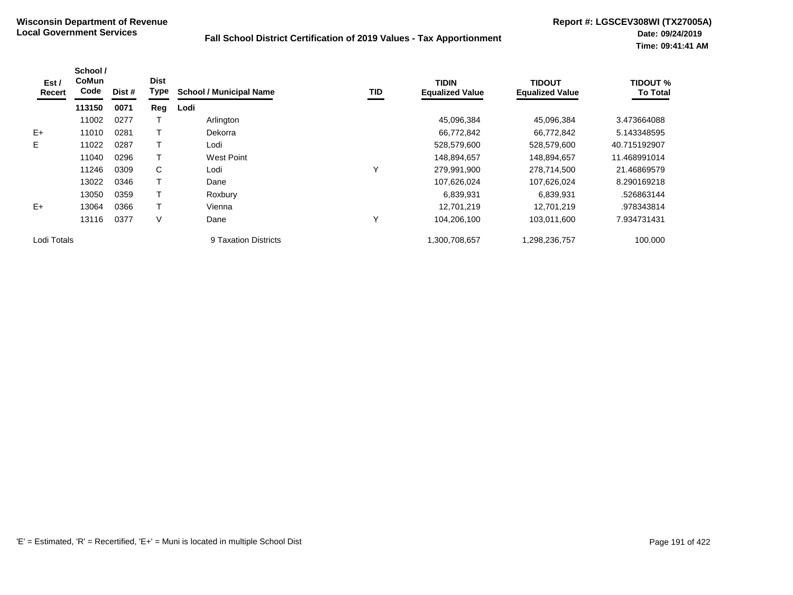| Est /<br>Recert | School /<br><b>CoMun</b><br>Code | Dist # | <b>Dist</b><br>Type | <b>School / Municipal Name</b> | TID | <b>TIDIN</b><br><b>Equalized Value</b> | <b>TIDOUT</b><br><b>Equalized Value</b> | <b>TIDOUT %</b><br><b>To Total</b> |
|-----------------|----------------------------------|--------|---------------------|--------------------------------|-----|----------------------------------------|-----------------------------------------|------------------------------------|
|                 | 113150                           | 0071   | Reg                 | Lodi                           |     |                                        |                                         |                                    |
|                 | 11002                            | 0277   |                     | Arlington                      |     | 45,096,384                             | 45,096,384                              | 3.473664088                        |
| $E+$            | 11010                            | 0281   |                     | Dekorra                        |     | 66,772,842                             | 66,772,842                              | 5.143348595                        |
| E.              | 11022                            | 0287   |                     | Lodi                           |     | 528,579,600                            | 528,579,600                             | 40.715192907                       |
|                 | 11040                            | 0296   |                     | <b>West Point</b>              |     | 148,894,657                            | 148,894,657                             | 11.468991014                       |
|                 | 11246                            | 0309   | C                   | Lodi                           | Υ   | 279,991,900                            | 278,714,500                             | 21.46869579                        |
|                 | 13022                            | 0346   |                     | Dane                           |     | 107,626,024                            | 107,626,024                             | 8.290169218                        |
|                 | 13050                            | 0359   |                     | Roxbury                        |     | 6,839,931                              | 6,839,931                               | .526863144                         |
| $E+$            | 13064                            | 0366   |                     | Vienna                         |     | 12,701,219                             | 12,701,219                              | .978343814                         |
|                 | 13116                            | 0377   | V                   | Dane                           | Υ   | 104,206,100                            | 103,011,600                             | 7.934731431                        |
| Lodi Totals     |                                  |        |                     | 9 Taxation Districts           |     | 1,300,708,657                          | 1,298,236,757                           | 100.000                            |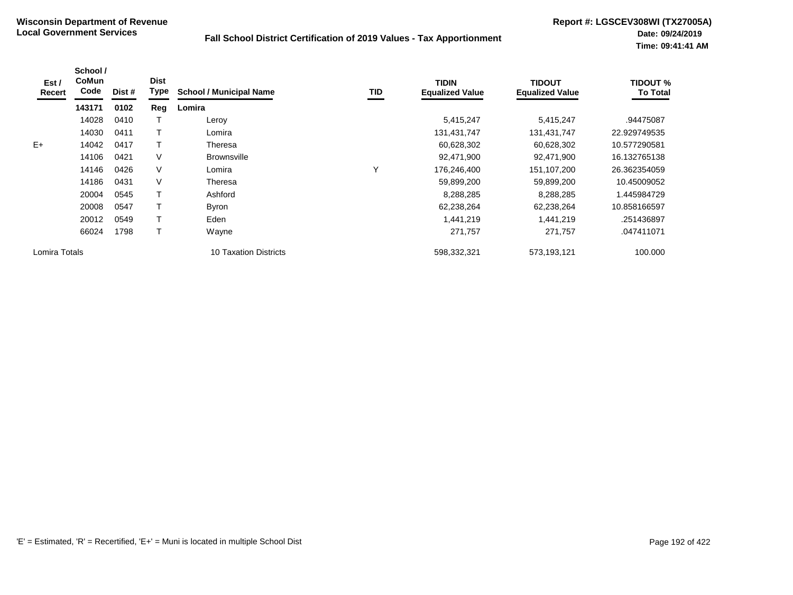| Est /<br>Recert | School /<br><b>CoMun</b><br>Code | Dist # | <b>Dist</b><br>Type | <b>School / Municipal Name</b> | TID | <b>TIDIN</b><br><b>Equalized Value</b> | <b>TIDOUT</b><br><b>Equalized Value</b> | <b>TIDOUT %</b><br><b>To Total</b> |
|-----------------|----------------------------------|--------|---------------------|--------------------------------|-----|----------------------------------------|-----------------------------------------|------------------------------------|
|                 | 143171                           | 0102   | Reg                 | Lomira                         |     |                                        |                                         |                                    |
|                 | 14028                            | 0410   |                     | Leroy                          |     | 5,415,247                              | 5,415,247                               | .94475087                          |
|                 | 14030                            | 0411   |                     | Lomira                         |     | 131,431,747                            | 131,431,747                             | 22.929749535                       |
| $E+$            | 14042                            | 0417   |                     | Theresa                        |     | 60,628,302                             | 60,628,302                              | 10.577290581                       |
|                 | 14106                            | 0421   | V                   | <b>Brownsville</b>             |     | 92,471,900                             | 92,471,900                              | 16.132765138                       |
|                 | 14146                            | 0426   | V                   | Lomira                         | Υ   | 176,246,400                            | 151,107,200                             | 26.362354059                       |
|                 | 14186                            | 0431   | V                   | Theresa                        |     | 59,899,200                             | 59,899,200                              | 10.45009052                        |
|                 | 20004                            | 0545   |                     | Ashford                        |     | 8,288,285                              | 8,288,285                               | 1.445984729                        |
|                 | 20008                            | 0547   |                     | Byron                          |     | 62,238,264                             | 62,238,264                              | 10.858166597                       |
|                 | 20012                            | 0549   |                     | Eden                           |     | 1,441,219                              | 1,441,219                               | .251436897                         |
|                 | 66024                            | 1798   |                     | Wayne                          |     | 271,757                                | 271,757                                 | .047411071                         |
| Lomira Totals   |                                  |        |                     | <b>10 Taxation Districts</b>   |     | 598,332,321                            | 573,193,121                             | 100.000                            |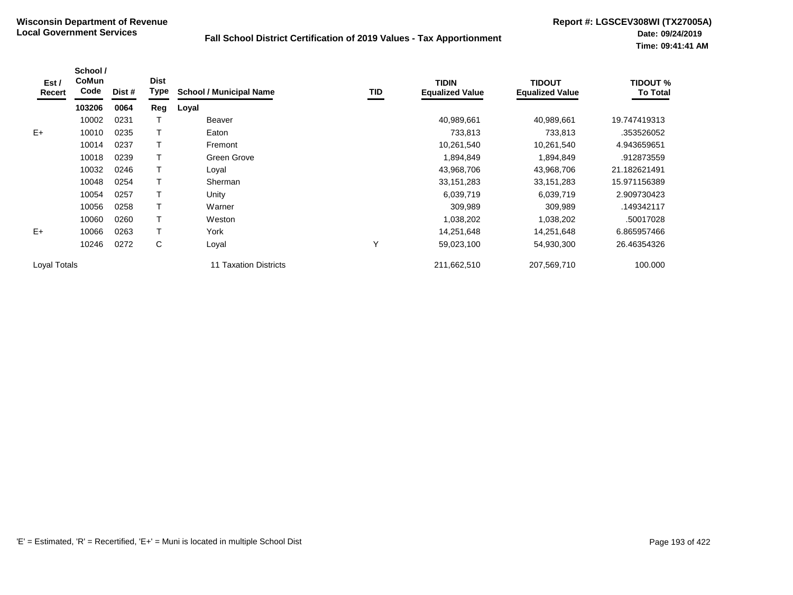| Est /<br>Recert | School /<br><b>CoMun</b><br>Code | Dist # | <b>Dist</b><br><b>Type</b> | <b>School / Municipal Name</b> | TID | <b>TIDIN</b><br><b>Equalized Value</b> | <b>TIDOUT</b><br><b>Equalized Value</b> | <b>TIDOUT %</b><br><b>To Total</b> |
|-----------------|----------------------------------|--------|----------------------------|--------------------------------|-----|----------------------------------------|-----------------------------------------|------------------------------------|
|                 | 103206                           | 0064   | Reg                        | Loyal                          |     |                                        |                                         |                                    |
|                 | 10002                            | 0231   |                            | <b>Beaver</b>                  |     | 40,989,661                             | 40,989,661                              | 19.747419313                       |
| $E+$            | 10010                            | 0235   |                            | Eaton                          |     | 733,813                                | 733,813                                 | .353526052                         |
|                 | 10014                            | 0237   |                            | Fremont                        |     | 10,261,540                             | 10,261,540                              | 4.943659651                        |
|                 | 10018                            | 0239   |                            | Green Grove                    |     | 1,894,849                              | 1,894,849                               | .912873559                         |
|                 | 10032                            | 0246   |                            | Loval                          |     | 43,968,706                             | 43,968,706                              | 21.182621491                       |
|                 | 10048                            | 0254   |                            | Sherman                        |     | 33, 151, 283                           | 33, 151, 283                            | 15.971156389                       |
|                 | 10054                            | 0257   |                            | Unity                          |     | 6,039,719                              | 6,039,719                               | 2.909730423                        |
|                 | 10056                            | 0258   |                            | Warner                         |     | 309,989                                | 309,989                                 | .149342117                         |
|                 | 10060                            | 0260   |                            | Weston                         |     | 1,038,202                              | 1,038,202                               | .50017028                          |
| $E+$            | 10066                            | 0263   | $\mathbf$                  | York                           |     | 14,251,648                             | 14,251,648                              | 6.865957466                        |
|                 | 10246                            | 0272   | С                          | Loyal                          | Υ   | 59,023,100                             | 54,930,300                              | 26.46354326                        |
| Loyal Totals    |                                  |        |                            | 11 Taxation Districts          |     | 211,662,510                            | 207,569,710                             | 100.000                            |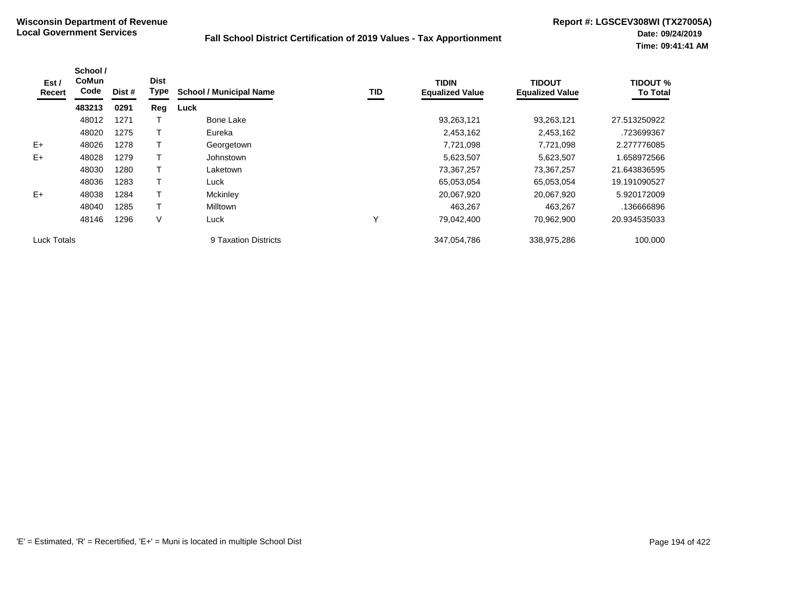| Est /<br>Recert    | School /<br><b>CoMun</b><br>Code | Dist # | <b>Dist</b><br>Type | <b>School / Municipal Name</b> | TID | <b>TIDIN</b><br><b>Equalized Value</b> | <b>TIDOUT</b><br><b>Equalized Value</b> | <b>TIDOUT %</b><br><b>To Total</b> |
|--------------------|----------------------------------|--------|---------------------|--------------------------------|-----|----------------------------------------|-----------------------------------------|------------------------------------|
|                    | 483213                           | 0291   | Reg                 | Luck                           |     |                                        |                                         |                                    |
|                    | 48012                            | 1271   |                     | <b>Bone Lake</b>               |     | 93,263,121                             | 93,263,121                              | 27.513250922                       |
|                    | 48020                            | 1275   |                     | Eureka                         |     | 2,453,162                              | 2,453,162                               | .723699367                         |
| $E+$               | 48026                            | 1278   |                     | Georgetown                     |     | 7,721,098                              | 7,721,098                               | 2.277776085                        |
| E+                 | 48028                            | 1279   |                     | Johnstown                      |     | 5,623,507                              | 5,623,507                               | 1.658972566                        |
|                    | 48030                            | 1280   |                     | Laketown                       |     | 73,367,257                             | 73,367,257                              | 21.643836595                       |
|                    | 48036                            | 1283   |                     | Luck                           |     | 65,053,054                             | 65,053,054                              | 19.191090527                       |
| $E+$               | 48038                            | 1284   |                     | Mckinley                       |     | 20,067,920                             | 20,067,920                              | 5.920172009                        |
|                    | 48040                            | 1285   |                     | <b>Milltown</b>                |     | 463.267                                | 463,267                                 | .136666896                         |
|                    | 48146                            | 1296   | V                   | Luck                           | Υ   | 79,042,400                             | 70,962,900                              | 20.934535033                       |
| <b>Luck Totals</b> |                                  |        |                     | 9 Taxation Districts           |     | 347,054,786                            | 338,975,286                             | 100.000                            |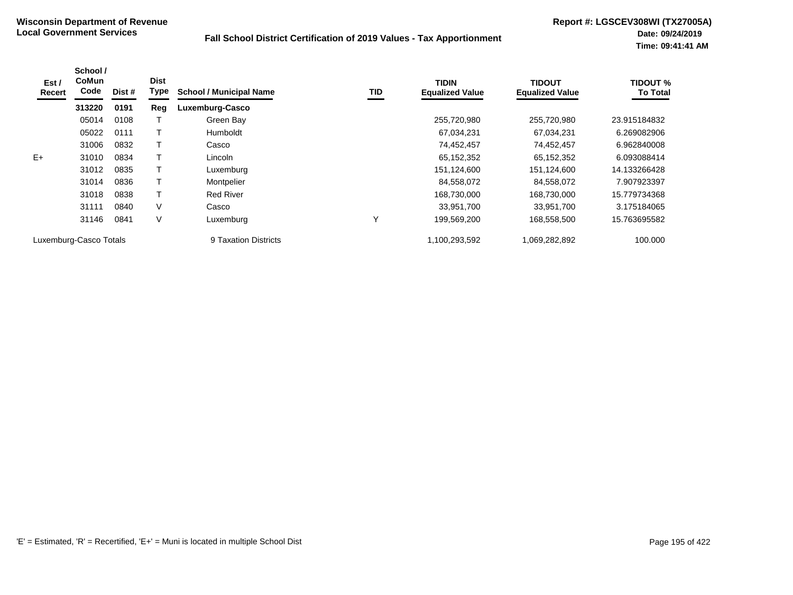| Est /<br>Recert        | School /<br><b>CoMun</b><br>Code | Dist # | <b>Dist</b><br>Type | <b>School / Municipal Name</b> | TID | <b>TIDIN</b><br><b>Equalized Value</b> | <b>TIDOUT</b><br><b>Equalized Value</b> | <b>TIDOUT %</b><br><b>To Total</b> |
|------------------------|----------------------------------|--------|---------------------|--------------------------------|-----|----------------------------------------|-----------------------------------------|------------------------------------|
|                        | 313220                           | 0191   | Reg                 | Luxemburg-Casco                |     |                                        |                                         |                                    |
|                        | 05014                            | 0108   |                     | Green Bay                      |     | 255,720,980                            | 255,720,980                             | 23.915184832                       |
|                        | 05022                            | 0111   |                     | <b>Humboldt</b>                |     | 67,034,231                             | 67,034,231                              | 6.269082906                        |
|                        | 31006                            | 0832   |                     | Casco                          |     | 74,452,457                             | 74,452,457                              | 6.962840008                        |
| $E+$                   | 31010                            | 0834   |                     | Lincoln                        |     | 65,152,352                             | 65,152,352                              | 6.093088414                        |
|                        | 31012                            | 0835   |                     | Luxemburg                      |     | 151,124,600                            | 151,124,600                             | 14.133266428                       |
|                        | 31014                            | 0836   |                     | Montpelier                     |     | 84,558,072                             | 84,558,072                              | 7.907923397                        |
|                        | 31018                            | 0838   |                     | <b>Red River</b>               |     | 168,730,000                            | 168,730,000                             | 15.779734368                       |
|                        | 31111                            | 0840   | V                   | Casco                          |     | 33.951.700                             | 33,951,700                              | 3.175184065                        |
|                        | 31146                            | 0841   | V                   | Luxemburg                      | Υ   | 199,569,200                            | 168,558,500                             | 15.763695582                       |
| Luxemburg-Casco Totals |                                  |        |                     | 9 Taxation Districts           |     | 1,100,293,592                          | 1,069,282,892                           | 100.000                            |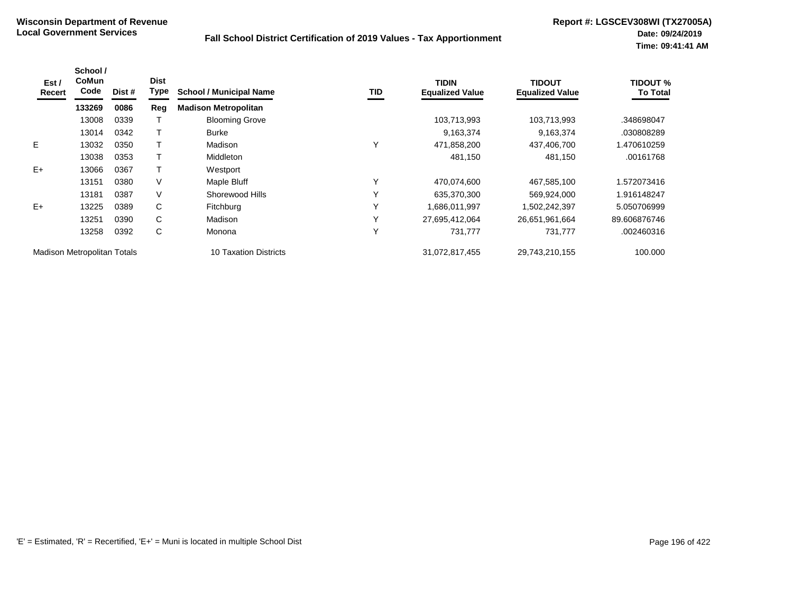| Est /<br>Recert             | School /<br>CoMun<br>Code | Dist # | <b>Dist</b><br>Type | <b>School / Municipal Name</b> | TID | <b>TIDIN</b><br><b>Equalized Value</b> | TIDOUT<br><b>Equalized Value</b> | TIDOUT %<br><b>To Total</b> |
|-----------------------------|---------------------------|--------|---------------------|--------------------------------|-----|----------------------------------------|----------------------------------|-----------------------------|
|                             | 133269                    | 0086   | Reg                 | <b>Madison Metropolitan</b>    |     |                                        |                                  |                             |
|                             | 13008                     | 0339   |                     | <b>Blooming Grove</b>          |     | 103,713,993                            | 103,713,993                      | .348698047                  |
|                             | 13014                     | 0342   |                     | <b>Burke</b>                   |     | 9,163,374                              | 9,163,374                        | .030808289                  |
| E                           | 13032                     | 0350   |                     | Madison                        | Y   | 471,858,200                            | 437,406,700                      | 1.470610259                 |
|                             | 13038                     | 0353   |                     | <b>Middleton</b>               |     | 481,150                                | 481,150                          | .00161768                   |
| $E+$                        | 13066                     | 0367   |                     | Westport                       |     |                                        |                                  |                             |
|                             | 13151                     | 0380   | V                   | Maple Bluff                    | Υ   | 470,074,600                            | 467,585,100                      | 1.572073416                 |
|                             | 13181                     | 0387   | V                   | Shorewood Hills                | Υ   | 635,370,300                            | 569,924,000                      | 1.916148247                 |
| $E+$                        | 13225                     | 0389   | C                   | Fitchburg                      | Y   | 1,686,011,997                          | 1,502,242,397                    | 5.050706999                 |
|                             | 13251                     | 0390   | C                   | Madison                        | Υ   | 27,695,412,064                         | 26,651,961,664                   | 89.606876746                |
|                             | 13258                     | 0392   | C                   | Monona                         | Y   | 731,777                                | 731,777                          | .002460316                  |
| Madison Metropolitan Totals |                           |        |                     | <b>10 Taxation Districts</b>   |     | 31,072,817,455                         | 29,743,210,155                   | 100.000                     |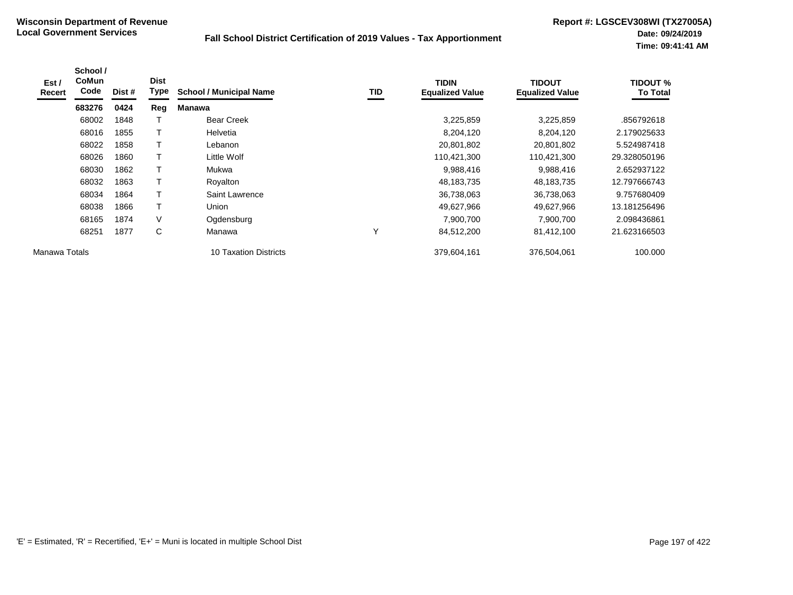| Est /<br>Recert | School /<br><b>CoMun</b><br>Code | Dist # | <b>Dist</b><br>Type | <b>School / Municipal Name</b> | TID          | <b>TIDIN</b><br><b>Equalized Value</b> | <b>TIDOUT</b><br><b>Equalized Value</b> | TIDOUT %<br><b>To Total</b> |
|-----------------|----------------------------------|--------|---------------------|--------------------------------|--------------|----------------------------------------|-----------------------------------------|-----------------------------|
|                 | 683276                           | 0424   | Reg                 | <b>Manawa</b>                  |              |                                        |                                         |                             |
|                 | 68002                            | 1848   |                     | <b>Bear Creek</b>              |              | 3,225,859                              | 3,225,859                               | .856792618                  |
|                 | 68016                            | 1855   | Т                   | Helvetia                       |              | 8,204,120                              | 8,204,120                               | 2.179025633                 |
|                 | 68022                            | 1858   | T                   | Lebanon                        |              | 20,801,802                             | 20,801,802                              | 5.524987418                 |
|                 | 68026                            | 1860   | T                   | Little Wolf                    |              | 110,421,300                            | 110,421,300                             | 29.328050196                |
|                 | 68030                            | 1862   | T                   | Mukwa                          |              | 9,988,416                              | 9,988,416                               | 2.652937122                 |
|                 | 68032                            | 1863   |                     | Royalton                       |              | 48,183,735                             | 48,183,735                              | 12.797666743                |
|                 | 68034                            | 1864   | Т                   | Saint Lawrence                 |              | 36,738,063                             | 36,738,063                              | 9.757680409                 |
|                 | 68038                            | 1866   | $\mathsf{T}$        | Union                          |              | 49,627,966                             | 49,627,966                              | 13.181256496                |
|                 | 68165                            | 1874   | V                   | Ogdensburg                     |              | 7,900,700                              | 7,900,700                               | 2.098436861                 |
|                 | 68251                            | 1877   | C                   | Manawa                         | $\checkmark$ | 84,512,200                             | 81,412,100                              | 21.623166503                |
| Manawa Totals   |                                  |        |                     | <b>10 Taxation Districts</b>   |              | 379,604,161                            | 376,504,061                             | 100.000                     |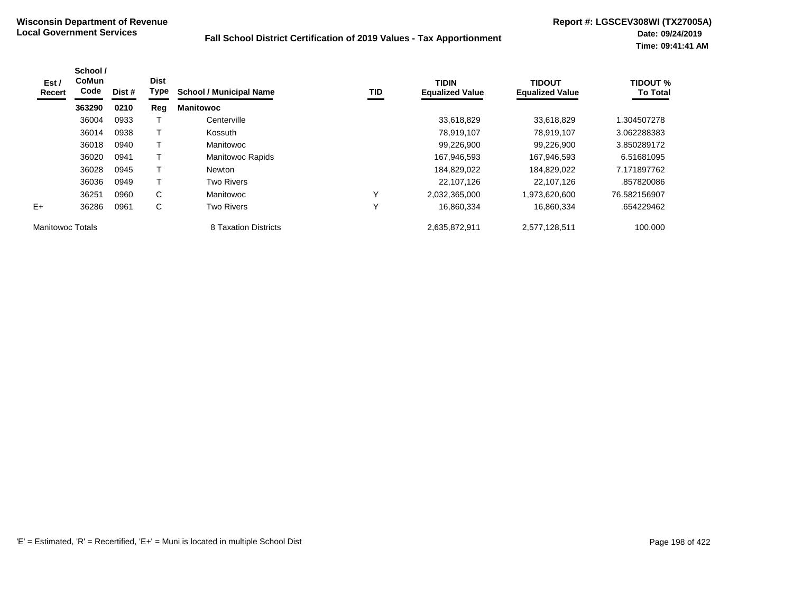| Est /<br>Recert  | School /<br><b>CoMun</b><br>Code | Dist # | <b>Dist</b><br>Type | <b>School / Municipal Name</b> | TID | <b>TIDIN</b><br><b>Equalized Value</b> | <b>TIDOUT</b><br><b>Equalized Value</b> | <b>TIDOUT %</b><br><b>To Total</b> |
|------------------|----------------------------------|--------|---------------------|--------------------------------|-----|----------------------------------------|-----------------------------------------|------------------------------------|
|                  | 363290                           | 0210   | Reg                 | <b>Manitowoc</b>               |     |                                        |                                         |                                    |
|                  | 36004                            | 0933   |                     | Centerville                    |     | 33,618,829                             | 33.618.829                              | 1.304507278                        |
|                  | 36014                            | 0938   |                     | Kossuth                        |     | 78,919,107                             | 78,919,107                              | 3.062288383                        |
|                  | 36018                            | 0940   | т                   | Manitowoc                      |     | 99,226,900                             | 99,226,900                              | 3.850289172                        |
|                  | 36020                            | 0941   |                     | <b>Manitowoc Rapids</b>        |     | 167,946,593                            | 167,946,593                             | 6.51681095                         |
|                  | 36028                            | 0945   |                     | <b>Newton</b>                  |     | 184,829,022                            | 184,829,022                             | 7.171897762                        |
|                  | 36036                            | 0949   | т                   | <b>Two Rivers</b>              |     | 22,107,126                             | 22,107,126                              | .857820086                         |
|                  | 36251                            | 0960   | C                   | Manitowoc                      | v   | 2,032,365,000                          | 1,973,620,600                           | 76.582156907                       |
| $E+$             | 36286                            | 0961   | С                   | <b>Two Rivers</b>              | Y   | 16,860,334                             | 16,860,334                              | .654229462                         |
| Manitowoc Totals |                                  |        |                     | 8 Taxation Districts           |     | 2,635,872,911                          | 2,577,128,511                           | 100.000                            |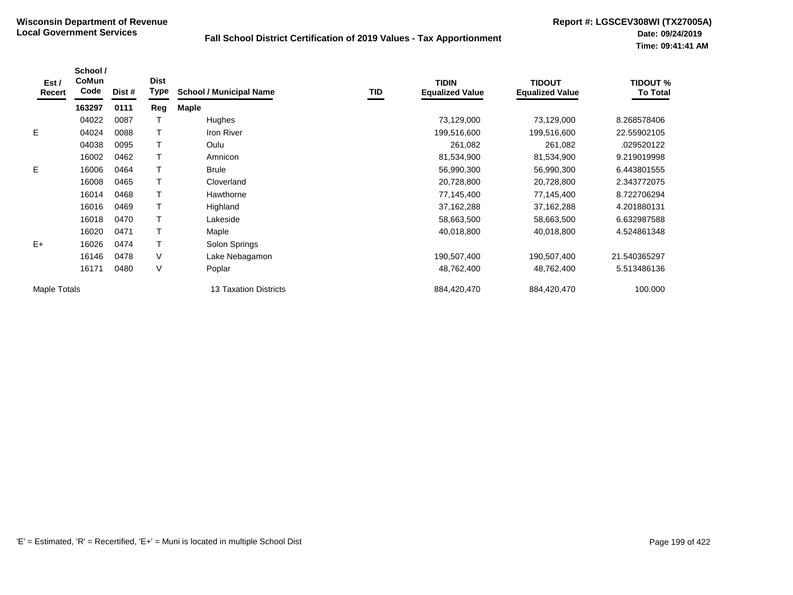| Est /<br>Recert | School /<br>CoMun<br>Code | Dist # | <b>Dist</b><br><b>Type</b> | <b>School / Municipal Name</b> | TID | <b>TIDIN</b><br><b>Equalized Value</b> | <b>TIDOUT</b><br><b>Equalized Value</b> | <b>TIDOUT %</b><br><b>To Total</b> |
|-----------------|---------------------------|--------|----------------------------|--------------------------------|-----|----------------------------------------|-----------------------------------------|------------------------------------|
|                 | 163297                    | 0111   | Reg                        | <b>Maple</b>                   |     |                                        |                                         |                                    |
|                 | 04022                     | 0087   |                            | Hughes                         |     | 73,129,000                             | 73,129,000                              | 8.268578406                        |
| E.              | 04024                     | 0088   |                            | Iron River                     |     | 199,516,600                            | 199,516,600                             | 22.55902105                        |
|                 | 04038                     | 0095   |                            | Oulu                           |     | 261,082                                | 261,082                                 | .029520122                         |
|                 | 16002                     | 0462   |                            | Amnicon                        |     | 81,534,900                             | 81,534,900                              | 9.219019998                        |
| E.              | 16006                     | 0464   |                            | <b>Brule</b>                   |     | 56,990,300                             | 56,990,300                              | 6.443801555                        |
|                 | 16008                     | 0465   |                            | Cloverland                     |     | 20,728,800                             | 20,728,800                              | 2.343772075                        |
|                 | 16014                     | 0468   |                            | Hawthorne                      |     | 77,145,400                             | 77,145,400                              | 8.722706294                        |
|                 | 16016                     | 0469   |                            | Highland                       |     | 37,162,288                             | 37,162,288                              | 4.201880131                        |
|                 | 16018                     | 0470   |                            | Lakeside                       |     | 58,663,500                             | 58,663,500                              | 6.632987588                        |
|                 | 16020                     | 0471   |                            | Maple                          |     | 40,018,800                             | 40,018,800                              | 4.524861348                        |
| $E+$            | 16026                     | 0474   |                            | Solon Springs                  |     |                                        |                                         |                                    |
|                 | 16146                     | 0478   | V                          | Lake Nebagamon                 |     | 190,507,400                            | 190,507,400                             | 21.540365297                       |
|                 | 16171                     | 0480   | V                          | Poplar                         |     | 48,762,400                             | 48,762,400                              | 5.513486136                        |
| Maple Totals    |                           |        |                            | <b>13 Taxation Districts</b>   |     | 884,420,470                            | 884,420,470                             | 100.000                            |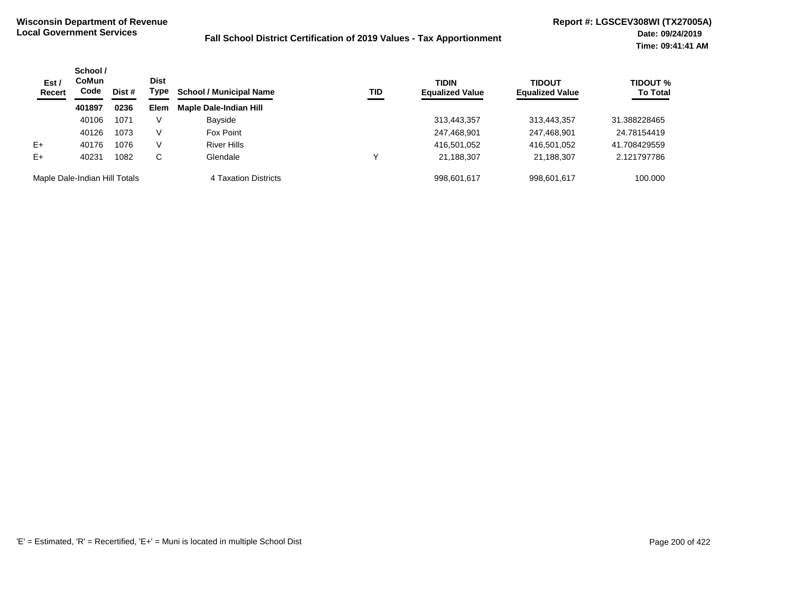| Est /<br>Recert               | School /<br><b>CoMun</b><br>Code | Dist # | <b>Dist</b><br>Type | <b>School / Municipal Name</b> | TID | <b>TIDIN</b><br><b>Equalized Value</b> | <b>TIDOUT</b><br><b>Equalized Value</b> | TIDOUT %<br><b>To Total</b> |
|-------------------------------|----------------------------------|--------|---------------------|--------------------------------|-----|----------------------------------------|-----------------------------------------|-----------------------------|
|                               | 401897                           | 0236   | <b>Elem</b>         | <b>Maple Dale-Indian Hill</b>  |     |                                        |                                         |                             |
|                               | 40106                            | 1071   | V                   | Bayside                        |     | 313,443,357                            | 313,443,357                             | 31.388228465                |
|                               | 40126                            | 1073   | V                   | Fox Point                      |     | 247,468,901                            | 247,468,901                             | 24.78154419                 |
| $E+$                          | 40176                            | 1076   | V                   | <b>River Hills</b>             |     | 416,501,052                            | 416,501,052                             | 41.708429559                |
| $E+$                          | 40231                            | 1082   | C                   | Glendale                       |     | 21,188,307                             | 21,188,307                              | 2.121797786                 |
| Maple Dale-Indian Hill Totals |                                  |        |                     | 4 Taxation Districts           |     | 998.601.617                            | 998,601,617                             | 100.000                     |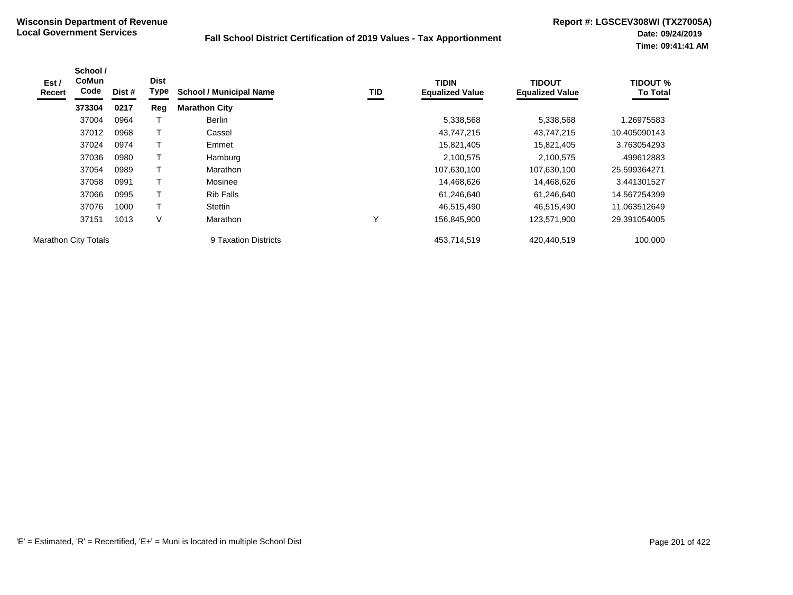| Est/<br>Recert              | School /<br><b>CoMun</b><br>Code | Dist # | <b>Dist</b><br>Type | <b>School / Municipal Name</b> | TID | <b>TIDIN</b><br><b>Equalized Value</b> | <b>TIDOUT</b><br><b>Equalized Value</b> | <b>TIDOUT %</b><br><b>To Total</b> |
|-----------------------------|----------------------------------|--------|---------------------|--------------------------------|-----|----------------------------------------|-----------------------------------------|------------------------------------|
|                             | 373304                           | 0217   | Reg                 | <b>Marathon City</b>           |     |                                        |                                         |                                    |
|                             | 37004                            | 0964   |                     | <b>Berlin</b>                  |     | 5,338,568                              | 5,338,568                               | 1.26975583                         |
|                             | 37012                            | 0968   |                     | Cassel                         |     | 43,747,215                             | 43,747,215                              | 10.405090143                       |
|                             | 37024                            | 0974   | т                   | Emmet                          |     | 15,821,405                             | 15,821,405                              | 3.763054293                        |
|                             | 37036                            | 0980   |                     | Hamburg                        |     | 2,100,575                              | 2,100,575                               | .499612883                         |
|                             | 37054                            | 0989   | T                   | Marathon                       |     | 107,630,100                            | 107,630,100                             | 25.599364271                       |
|                             | 37058                            | 0991   |                     | Mosinee                        |     | 14,468,626                             | 14,468,626                              | 3.441301527                        |
|                             | 37066                            | 0995   | т                   | <b>Rib Falls</b>               |     | 61,246,640                             | 61,246,640                              | 14.567254399                       |
|                             | 37076                            | 1000   | т                   | Stettin                        |     | 46,515,490                             | 46.515.490                              | 11.063512649                       |
|                             | 37151                            | 1013   | V                   | <b>Marathon</b>                | Υ   | 156,845,900                            | 123,571,900                             | 29.391054005                       |
| <b>Marathon City Totals</b> |                                  |        |                     | 9 Taxation Districts           |     | 453.714.519                            | 420.440.519                             | 100.000                            |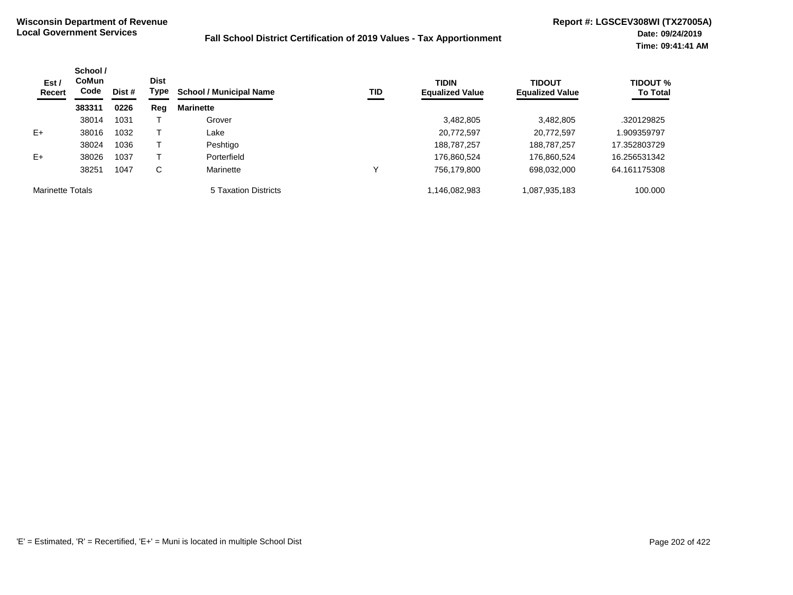| Est /<br>Recert         | School /<br><b>CoMun</b><br>Code | Dist # | <b>Dist</b><br>Type | <b>School / Municipal Name</b> | TID | <b>TIDIN</b><br><b>Equalized Value</b> | <b>TIDOUT</b><br><b>Equalized Value</b> | <b>TIDOUT %</b><br><b>To Total</b> |
|-------------------------|----------------------------------|--------|---------------------|--------------------------------|-----|----------------------------------------|-----------------------------------------|------------------------------------|
|                         | 383311                           | 0226   | Reg                 | <b>Marinette</b>               |     |                                        |                                         |                                    |
|                         | 38014                            | 1031   |                     | Grover                         |     | 3,482,805                              | 3,482,805                               | .320129825                         |
| $E+$                    | 38016                            | 1032   |                     | ∟ake                           |     | 20,772,597                             | 20,772,597                              | .909359797                         |
|                         | 38024                            | 1036   |                     | Peshtigo                       |     | 188,787,257                            | 188,787,257                             | 17.352803729                       |
| $E+$                    | 38026                            | 1037   |                     | Porterfield                    |     | 176,860,524                            | 176,860,524                             | 16.256531342                       |
|                         | 38251                            | 1047   | С                   | Marinette                      | ν   | 756,179,800                            | 698,032,000                             | 64.161175308                       |
| <b>Marinette Totals</b> |                                  |        |                     | 5 Taxation Districts           |     | 1,146,082,983                          | 1,087,935,183                           | 100.000                            |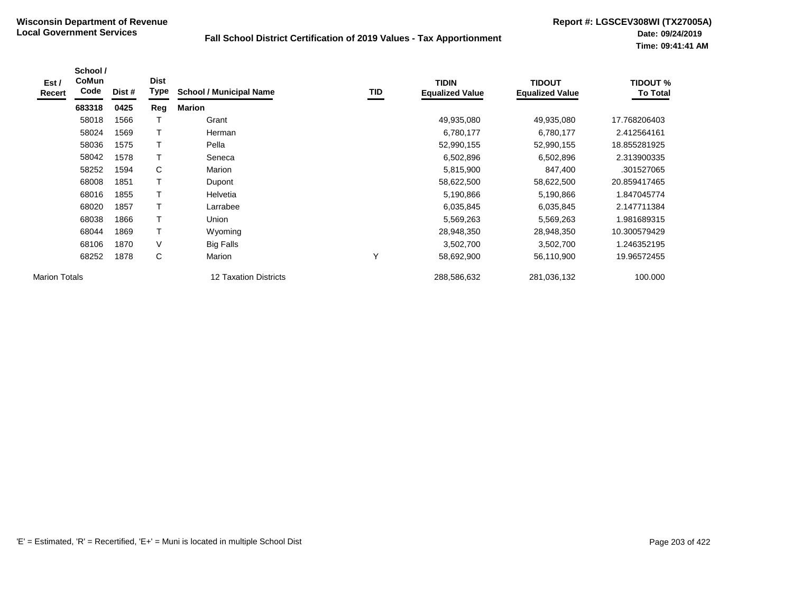| Est/<br>Recert       | School /<br><b>CoMun</b><br>Code | Dist # | <b>Dist</b><br><b>Type</b> | <b>School / Municipal Name</b> | <b>TID</b> | <b>TIDIN</b><br><b>Equalized Value</b> | <b>TIDOUT</b><br><b>Equalized Value</b> | <b>TIDOUT %</b><br><b>To Total</b> |
|----------------------|----------------------------------|--------|----------------------------|--------------------------------|------------|----------------------------------------|-----------------------------------------|------------------------------------|
|                      | 683318                           | 0425   | Reg                        | <b>Marion</b>                  |            |                                        |                                         |                                    |
|                      | 58018                            | 1566   |                            | Grant                          |            | 49,935,080                             | 49,935,080                              | 17.768206403                       |
|                      | 58024                            | 1569   | Т                          | Herman                         |            | 6,780,177                              | 6,780,177                               | 2.412564161                        |
|                      | 58036                            | 1575   |                            | Pella                          |            | 52,990,155                             | 52,990,155                              | 18.855281925                       |
|                      | 58042                            | 1578   |                            | Seneca                         |            | 6,502,896                              | 6,502,896                               | 2.313900335                        |
|                      | 58252                            | 1594   | С                          | Marion                         |            | 5,815,900                              | 847,400                                 | .301527065                         |
|                      | 68008                            | 1851   | Т                          | Dupont                         |            | 58,622,500                             | 58,622,500                              | 20.859417465                       |
|                      | 68016                            | 1855   |                            | Helvetia                       |            | 5,190,866                              | 5,190,866                               | 1.847045774                        |
|                      | 68020                            | 1857   | т                          | Larrabee                       |            | 6,035,845                              | 6,035,845                               | 2.147711384                        |
|                      | 68038                            | 1866   | T                          | Union                          |            | 5,569,263                              | 5,569,263                               | 1.981689315                        |
|                      | 68044                            | 1869   | Т                          | Wyoming                        |            | 28,948,350                             | 28,948,350                              | 10.300579429                       |
|                      | 68106                            | 1870   | V                          | <b>Big Falls</b>               |            | 3,502,700                              | 3,502,700                               | 1.246352195                        |
|                      | 68252                            | 1878   | С                          | Marion                         | v          | 58,692,900                             | 56,110,900                              | 19.96572455                        |
| <b>Marion Totals</b> |                                  |        |                            | <b>12 Taxation Districts</b>   |            | 288,586,632                            | 281,036,132                             | 100.000                            |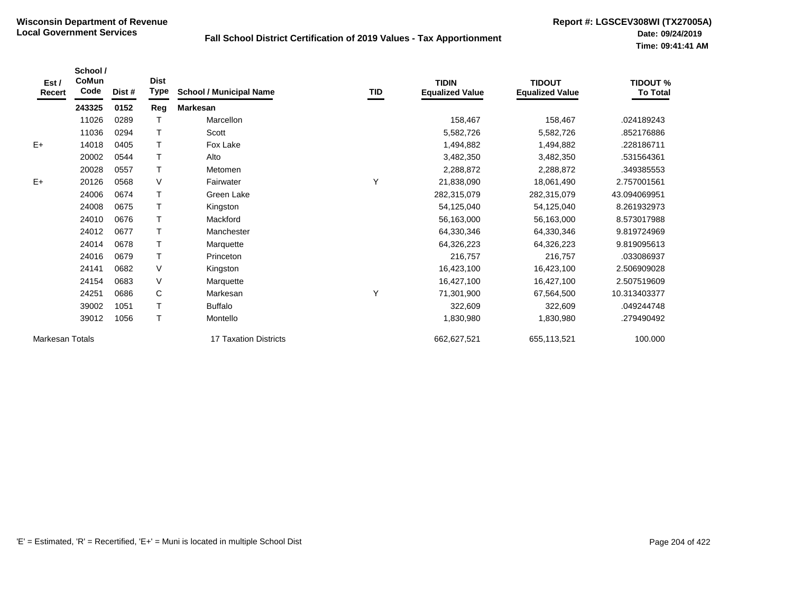| Est /<br>Recert | School /<br><b>CoMun</b><br>Code | Dist # | <b>Dist</b><br><b>Type</b> | <b>School / Municipal Name</b> | TID | <b>TIDIN</b><br><b>Equalized Value</b> | <b>TIDOUT</b><br><b>Equalized Value</b> | <b>TIDOUT %</b><br><b>To Total</b> |
|-----------------|----------------------------------|--------|----------------------------|--------------------------------|-----|----------------------------------------|-----------------------------------------|------------------------------------|
|                 | 243325                           | 0152   | Reg                        | <b>Markesan</b>                |     |                                        |                                         |                                    |
|                 | 11026                            | 0289   |                            | Marcellon                      |     | 158,467                                | 158,467                                 | .024189243                         |
|                 | 11036                            | 0294   |                            | Scott                          |     | 5,582,726                              | 5,582,726                               | .852176886                         |
| $E+$            | 14018                            | 0405   |                            | Fox Lake                       |     | 1,494,882                              | 1,494,882                               | .228186711                         |
|                 | 20002                            | 0544   |                            | Alto                           |     | 3,482,350                              | 3,482,350                               | .531564361                         |
|                 | 20028                            | 0557   |                            | Metomen                        |     | 2,288,872                              | 2,288,872                               | .349385553                         |
| $E+$            | 20126                            | 0568   | $\vee$                     | Fairwater                      | Υ   | 21,838,090                             | 18,061,490                              | 2.757001561                        |
|                 | 24006                            | 0674   |                            | Green Lake                     |     | 282,315,079                            | 282,315,079                             | 43.094069951                       |
|                 | 24008                            | 0675   |                            | Kingston                       |     | 54,125,040                             | 54,125,040                              | 8.261932973                        |
|                 | 24010                            | 0676   | $\top$                     | Mackford                       |     | 56,163,000                             | 56,163,000                              | 8.573017988                        |
|                 | 24012                            | 0677   |                            | Manchester                     |     | 64,330,346                             | 64,330,346                              | 9.819724969                        |
|                 | 24014                            | 0678   |                            | Marquette                      |     | 64,326,223                             | 64,326,223                              | 9.819095613                        |
|                 | 24016                            | 0679   |                            | Princeton                      |     | 216,757                                | 216,757                                 | .033086937                         |
|                 | 24141                            | 0682   | $\vee$                     | Kingston                       |     | 16,423,100                             | 16,423,100                              | 2.506909028                        |
|                 | 24154                            | 0683   | $\vee$                     | Marquette                      |     | 16,427,100                             | 16,427,100                              | 2.507519609                        |
|                 | 24251                            | 0686   | C                          | Markesan                       | Υ   | 71,301,900                             | 67,564,500                              | 10.313403377                       |
|                 | 39002                            | 1051   |                            | <b>Buffalo</b>                 |     | 322,609                                | 322,609                                 | .049244748                         |
|                 | 39012                            | 1056   |                            | Montello                       |     | 1,830,980                              | 1,830,980                               | .279490492                         |
| Markesan Totals |                                  |        |                            | 17 Taxation Districts          |     | 662,627,521                            | 655,113,521                             | 100.000                            |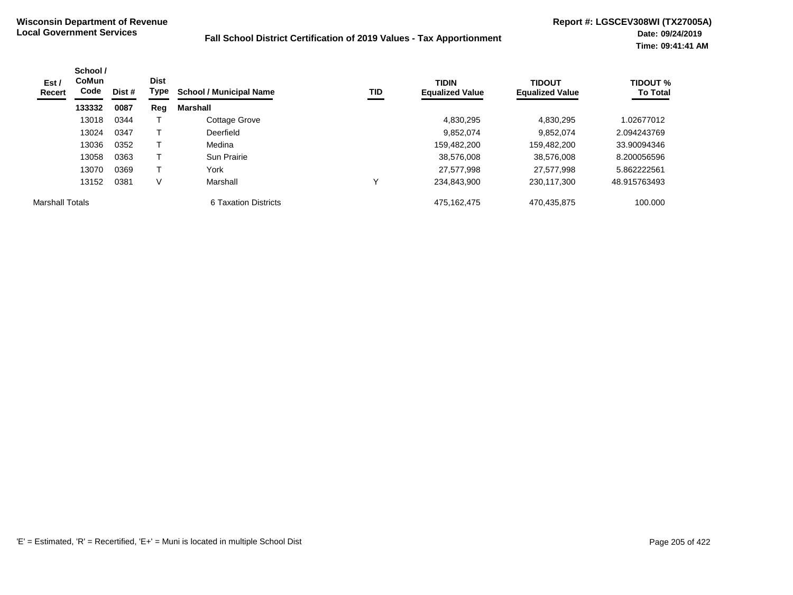| Est /<br>Recert | School /<br><b>CoMun</b><br>Code | Dist # | <b>Dist</b><br>Type | <b>School / Municipal Name</b> | TID | <b>TIDIN</b><br><b>Equalized Value</b> | <b>TIDOUT</b><br><b>Equalized Value</b> | <b>TIDOUT %</b><br><b>To Total</b> |
|-----------------|----------------------------------|--------|---------------------|--------------------------------|-----|----------------------------------------|-----------------------------------------|------------------------------------|
|                 | 133332                           | 0087   | Reg                 | Marshall                       |     |                                        |                                         |                                    |
|                 | 13018                            | 0344   |                     | Cottage Grove                  |     | 4,830,295                              | 4,830,295                               | 1.02677012                         |
|                 | 13024                            | 0347   |                     | Deerfield                      |     | 9,852,074                              | 9,852,074                               | 2.094243769                        |
|                 | 13036                            | 0352   |                     | Medina                         |     | 159,482,200                            | 159,482,200                             | 33.90094346                        |
|                 | 13058                            | 0363   |                     | Sun Prairie                    |     | 38,576,008                             | 38,576,008                              | 8.200056596                        |
|                 | 13070                            | 0369   |                     | York                           |     | 27,577,998                             | 27,577,998                              | 5.862222561                        |
|                 | 13152                            | 0381   | V                   | Marshall                       |     | 234.843.900                            | 230,117,300                             | 48.915763493                       |
| Marshall Totals |                                  |        |                     | 6 Taxation Districts           |     | 475, 162, 475                          | 470,435,875                             | 100.000                            |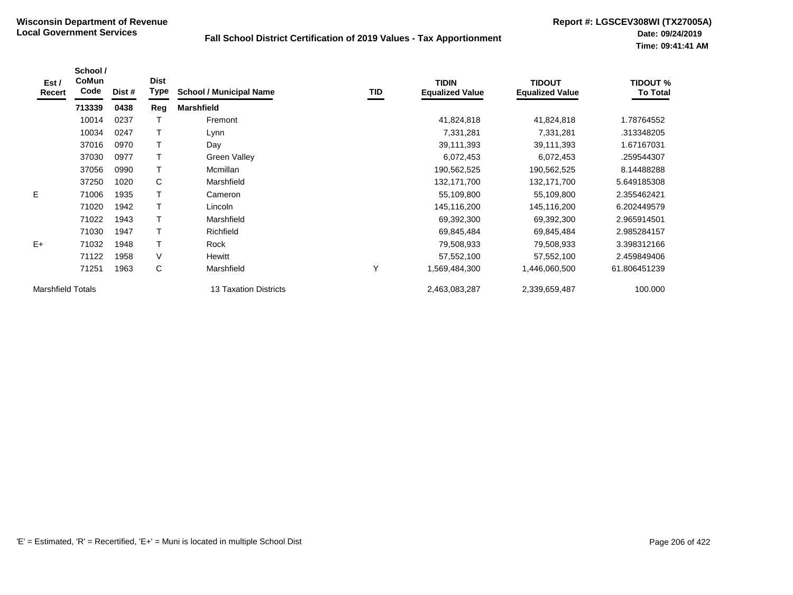| Est /<br>Recert          | School /<br>CoMun<br>Code | Dist # | <b>Dist</b><br>Type | <b>School / Municipal Name</b> | TID | <b>TIDIN</b><br><b>Equalized Value</b> | <b>TIDOUT</b><br><b>Equalized Value</b> | <b>TIDOUT %</b><br><b>To Total</b> |
|--------------------------|---------------------------|--------|---------------------|--------------------------------|-----|----------------------------------------|-----------------------------------------|------------------------------------|
|                          | 713339                    | 0438   | Reg                 | <b>Marshfield</b>              |     |                                        |                                         |                                    |
|                          | 10014                     | 0237   |                     | Fremont                        |     | 41,824,818                             | 41,824,818                              | 1.78764552                         |
|                          | 10034                     | 0247   | T                   | Lynn                           |     | 7,331,281                              | 7,331,281                               | .313348205                         |
|                          | 37016                     | 0970   | T                   | Day                            |     | 39,111,393                             | 39,111,393                              | 1.67167031                         |
|                          | 37030                     | 0977   | T                   | <b>Green Valley</b>            |     | 6,072,453                              | 6,072,453                               | .259544307                         |
|                          | 37056                     | 0990   | T                   | Mcmillan                       |     | 190,562,525                            | 190,562,525                             | 8.14488288                         |
|                          | 37250                     | 1020   | C                   | Marshfield                     |     | 132,171,700                            | 132,171,700                             | 5.649185308                        |
| E.                       | 71006                     | 1935   |                     | Cameron                        |     | 55,109,800                             | 55,109,800                              | 2.355462421                        |
|                          | 71020                     | 1942   |                     | Lincoln                        |     | 145,116,200                            | 145,116,200                             | 6.202449579                        |
|                          | 71022                     | 1943   |                     | Marshfield                     |     | 69,392,300                             | 69,392,300                              | 2.965914501                        |
|                          | 71030                     | 1947   |                     | Richfield                      |     | 69,845,484                             | 69,845,484                              | 2.985284157                        |
| $E+$                     | 71032                     | 1948   |                     | Rock                           |     | 79,508,933                             | 79,508,933                              | 3.398312166                        |
|                          | 71122                     | 1958   | V                   | Hewitt                         |     | 57,552,100                             | 57,552,100                              | 2.459849406                        |
|                          | 71251                     | 1963   | C                   | Marshfield                     | Υ   | 1,569,484,300                          | 1,446,060,500                           | 61.806451239                       |
| <b>Marshfield Totals</b> |                           |        |                     | <b>13 Taxation Districts</b>   |     | 2,463,083,287                          | 2,339,659,487                           | 100.000                            |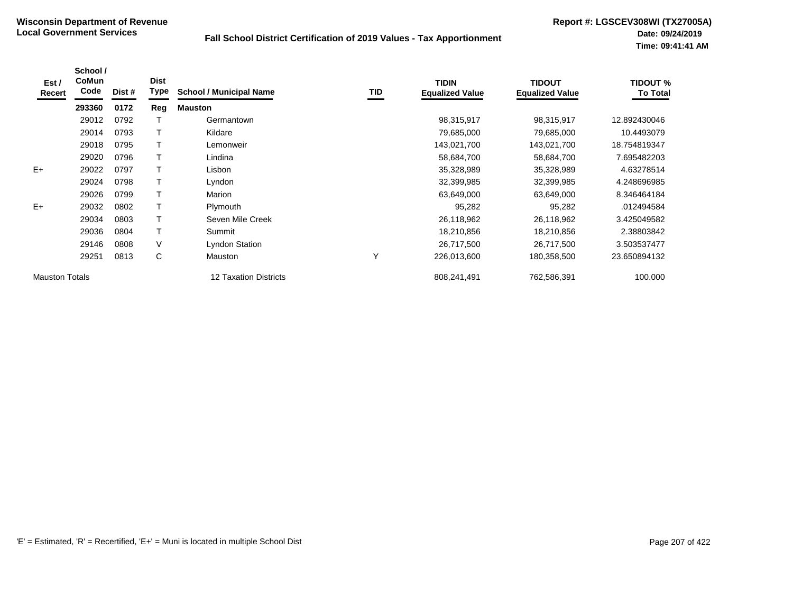| Est /<br>Recert       | School /<br>CoMun<br>Code | Dist # | <b>Dist</b><br>Type | <b>School / Municipal Name</b> | TID | <b>TIDIN</b><br><b>Equalized Value</b> | <b>TIDOUT</b><br><b>Equalized Value</b> | <b>TIDOUT %</b><br><b>To Total</b> |
|-----------------------|---------------------------|--------|---------------------|--------------------------------|-----|----------------------------------------|-----------------------------------------|------------------------------------|
|                       | 293360                    | 0172   | Reg                 | <b>Mauston</b>                 |     |                                        |                                         |                                    |
|                       | 29012                     | 0792   |                     | Germantown                     |     | 98,315,917                             | 98,315,917                              | 12.892430046                       |
|                       | 29014                     | 0793   | Т                   | Kildare                        |     | 79,685,000                             | 79,685,000                              | 10.4493079                         |
|                       | 29018                     | 0795   |                     | Lemonweir                      |     | 143,021,700                            | 143,021,700                             | 18.754819347                       |
|                       | 29020                     | 0796   |                     | Lindina                        |     | 58,684,700                             | 58,684,700                              | 7.695482203                        |
| $E+$                  | 29022                     | 0797   |                     | Lisbon                         |     | 35,328,989                             | 35,328,989                              | 4.63278514                         |
|                       | 29024                     | 0798   | т                   | Lyndon                         |     | 32,399,985                             | 32,399,985                              | 4.248696985                        |
|                       | 29026                     | 0799   | т                   | Marion                         |     | 63,649,000                             | 63,649,000                              | 8.346464184                        |
| $E+$                  | 29032                     | 0802   | Т                   | Plymouth                       |     | 95,282                                 | 95,282                                  | .012494584                         |
|                       | 29034                     | 0803   | Т                   | Seven Mile Creek               |     | 26,118,962                             | 26,118,962                              | 3.425049582                        |
|                       | 29036                     | 0804   | T                   | Summit                         |     | 18,210,856                             | 18,210,856                              | 2.38803842                         |
|                       | 29146                     | 0808   | V                   | <b>Lyndon Station</b>          |     | 26,717,500                             | 26,717,500                              | 3.503537477                        |
|                       | 29251                     | 0813   | C                   | Mauston                        | Υ   | 226,013,600                            | 180,358,500                             | 23.650894132                       |
| <b>Mauston Totals</b> |                           |        |                     | 12 Taxation Districts          |     | 808,241,491                            | 762,586,391                             | 100.000                            |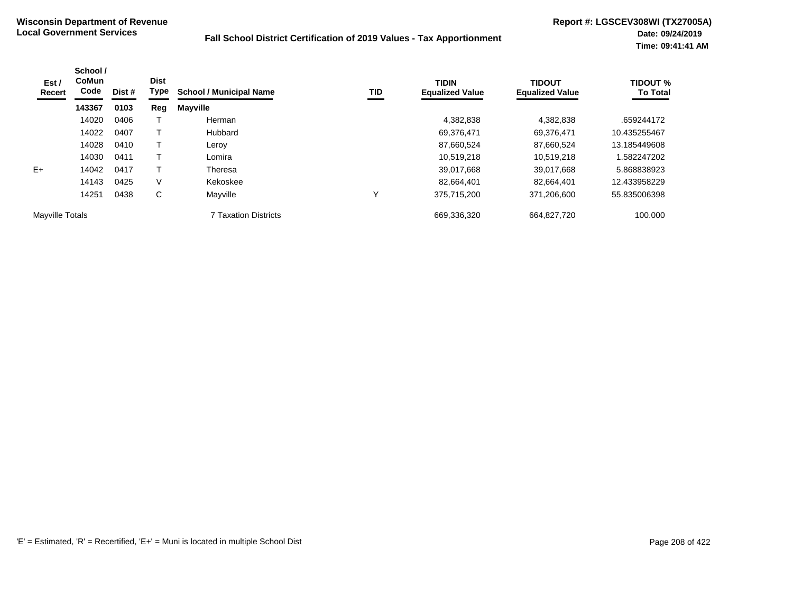| Est /<br>Recert | School /<br><b>CoMun</b><br>Code | Dist # | <b>Dist</b><br>Type | <b>School / Municipal Name</b> | <b>TID</b> | <b>TIDIN</b><br><b>Equalized Value</b> | <b>TIDOUT</b><br><b>Equalized Value</b> | <b>TIDOUT %</b><br><b>To Total</b> |
|-----------------|----------------------------------|--------|---------------------|--------------------------------|------------|----------------------------------------|-----------------------------------------|------------------------------------|
|                 | 143367                           | 0103   | Reg                 | <b>Mayville</b>                |            |                                        |                                         |                                    |
|                 | 14020                            | 0406   |                     | Herman                         |            | 4,382,838                              | 4,382,838                               | .659244172                         |
|                 | 14022                            | 0407   |                     | Hubbard                        |            | 69,376,471                             | 69,376,471                              | 10.435255467                       |
|                 | 14028                            | 0410   |                     | Leroy                          |            | 87,660,524                             | 87,660,524                              | 13.185449608                       |
|                 | 14030                            | 0411   |                     | Lomira                         |            | 10,519,218                             | 10.519.218                              | 1.582247202                        |
| $E+$            | 14042                            | 0417   |                     | Theresa                        |            | 39,017,668                             | 39,017,668                              | 5.868838923                        |
|                 | 14143                            | 0425   | V                   | Kekoskee                       |            | 82,664,401                             | 82.664.401                              | 12.433958229                       |
|                 | 14251                            | 0438   | C                   | Mayville                       | v          | 375,715,200                            | 371,206,600                             | 55.835006398                       |
| Mayville Totals |                                  |        |                     | <b>7 Taxation Districts</b>    |            | 669,336,320                            | 664,827,720                             | 100.000                            |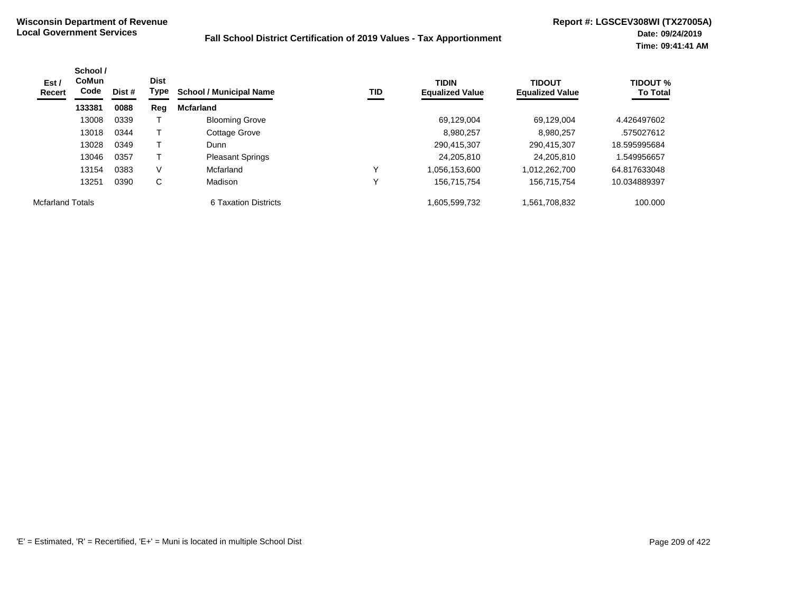| Est /<br>Recert         | School /<br><b>CoMun</b><br>Code | Dist # | <b>Dist</b><br>Type | <b>School / Municipal Name</b> | TID | <b>TIDIN</b><br><b>Equalized Value</b> | <b>TIDOUT</b><br><b>Equalized Value</b> | <b>TIDOUT %</b><br><b>To Total</b> |
|-------------------------|----------------------------------|--------|---------------------|--------------------------------|-----|----------------------------------------|-----------------------------------------|------------------------------------|
|                         | 133381                           | 0088   | Reg                 | <b>Mcfarland</b>               |     |                                        |                                         |                                    |
|                         | 13008                            | 0339   |                     | <b>Blooming Grove</b>          |     | 69,129,004                             | 69,129,004                              | 4.426497602                        |
|                         | 13018                            | 0344   |                     | Cottage Grove                  |     | 8.980.257                              | 8.980.257                               | .575027612                         |
|                         | 13028                            | 0349   |                     | Dunn                           |     | 290,415,307                            | 290,415,307                             | 18.595995684                       |
|                         | 13046                            | 0357   |                     | <b>Pleasant Springs</b>        |     | 24,205,810                             | 24,205,810                              | .549956657                         |
|                         | 13154                            | 0383   | V                   | Mcfarland                      |     | 1,056,153,600                          | 1,012,262,700                           | 64.817633048                       |
|                         | 13251                            | 0390   | С                   | Madison                        |     | 156,715,754                            | 156,715,754                             | 10.034889397                       |
| <b>Mcfarland Totals</b> |                                  |        |                     | 6 Taxation Districts           |     | 1,605,599,732                          | 1,561,708,832                           | 100.000                            |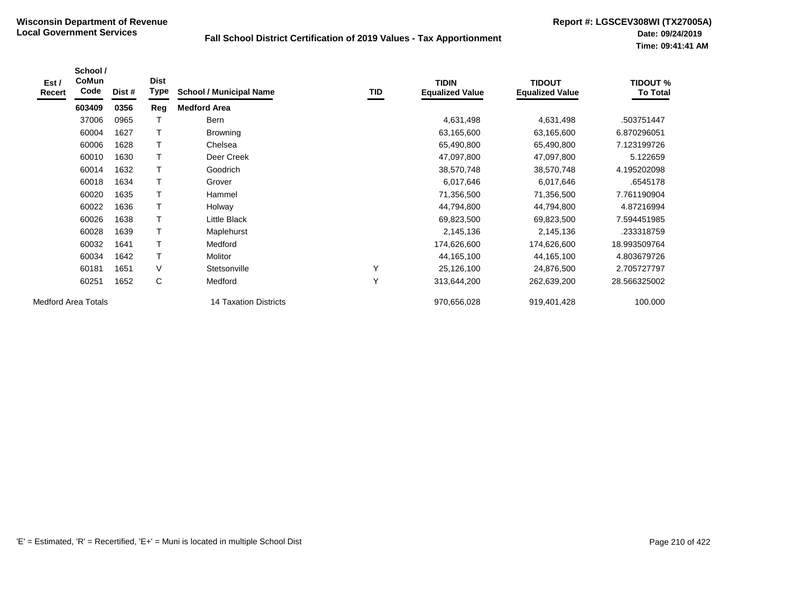| Est /<br>Recert            | School /<br>CoMun<br>Code | Dist # | <b>Dist</b><br>Type | <b>School / Municipal Name</b> | TID | <b>TIDIN</b><br><b>Equalized Value</b> | <b>TIDOUT</b><br><b>Equalized Value</b> | <b>TIDOUT %</b><br><b>To Total</b> |
|----------------------------|---------------------------|--------|---------------------|--------------------------------|-----|----------------------------------------|-----------------------------------------|------------------------------------|
|                            | 603409                    | 0356   | Reg                 | <b>Medford Area</b>            |     |                                        |                                         |                                    |
|                            | 37006                     | 0965   |                     | Bern                           |     | 4,631,498                              | 4,631,498                               | .503751447                         |
|                            | 60004                     | 1627   |                     | <b>Browning</b>                |     | 63,165,600                             | 63,165,600                              | 6.870296051                        |
|                            | 60006                     | 1628   |                     | Chelsea                        |     | 65,490,800                             | 65,490,800                              | 7.123199726                        |
|                            | 60010                     | 1630   |                     | Deer Creek                     |     | 47,097,800                             | 47,097,800                              | 5.122659                           |
|                            | 60014                     | 1632   | T                   | Goodrich                       |     | 38,570,748                             | 38,570,748                              | 4.195202098                        |
|                            | 60018                     | 1634   |                     | Grover                         |     | 6,017,646                              | 6,017,646                               | .6545178                           |
|                            | 60020                     | 1635   |                     | Hammel                         |     | 71,356,500                             | 71,356,500                              | 7.761190904                        |
|                            | 60022                     | 1636   | Τ                   | Holway                         |     | 44,794,800                             | 44,794,800                              | 4.87216994                         |
|                            | 60026                     | 1638   | T                   | Little Black                   |     | 69,823,500                             | 69,823,500                              | 7.594451985                        |
|                            | 60028                     | 1639   | Τ                   | Maplehurst                     |     | 2,145,136                              | 2,145,136                               | .233318759                         |
|                            | 60032                     | 1641   |                     | Medford                        |     | 174,626,600                            | 174,626,600                             | 18.993509764                       |
|                            | 60034                     | 1642   | Τ                   | Molitor                        |     | 44,165,100                             | 44,165,100                              | 4.803679726                        |
|                            | 60181                     | 1651   | V                   | Stetsonville                   | Υ   | 25,126,100                             | 24,876,500                              | 2.705727797                        |
|                            | 60251                     | 1652   | С                   | Medford                        | Y   | 313,644,200                            | 262,639,200                             | 28.566325002                       |
| <b>Medford Area Totals</b> |                           |        |                     | <b>14 Taxation Districts</b>   |     | 970,656,028                            | 919,401,428                             | 100.000                            |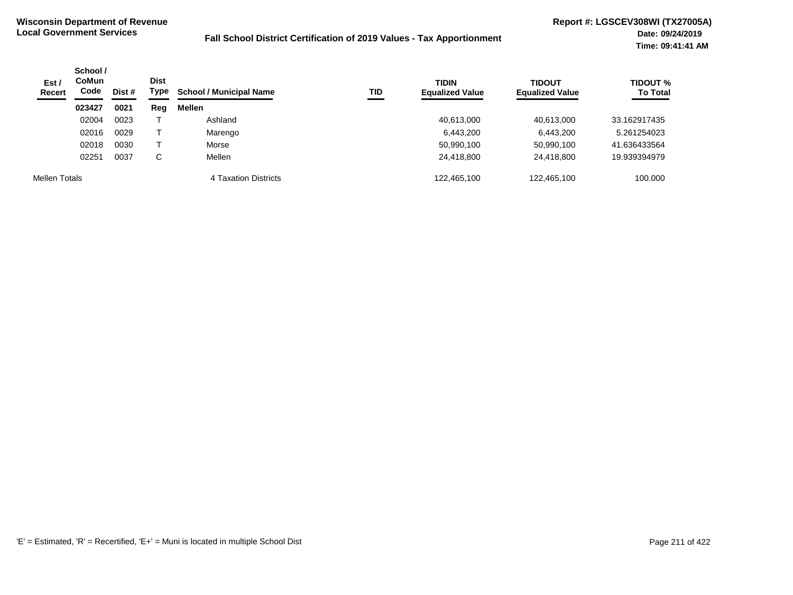| Est/<br><b>Recert</b> | School /<br><b>CoMun</b><br>Code | Dist # | <b>Dist</b><br>Type | <b>School / Municipal Name</b> | TID | <b>TIDIN</b><br><b>Equalized Value</b> | <b>TIDOUT</b><br><b>Equalized Value</b> | <b>TIDOUT %</b><br><b>To Total</b> |
|-----------------------|----------------------------------|--------|---------------------|--------------------------------|-----|----------------------------------------|-----------------------------------------|------------------------------------|
|                       | 023427                           | 0021   | Reg                 | Mellen                         |     |                                        |                                         |                                    |
|                       | 02004                            | 0023   |                     | Ashland                        |     | 40,613,000                             | 40,613,000                              | 33.162917435                       |
|                       | 02016                            | 0029   |                     | Marengo                        |     | 6,443,200                              | 6,443,200                               | 5.261254023                        |
|                       | 02018                            | 0030   |                     | Morse                          |     | 50,990,100                             | 50,990,100                              | 41.636433564                       |
|                       | 02251                            | 0037   | С                   | Mellen                         |     | 24,418,800                             | 24,418,800                              | 19.939394979                       |
| Mellen Totals         |                                  |        |                     | 4 Taxation Districts           |     | 122.465.100                            | 122.465.100                             | 100.000                            |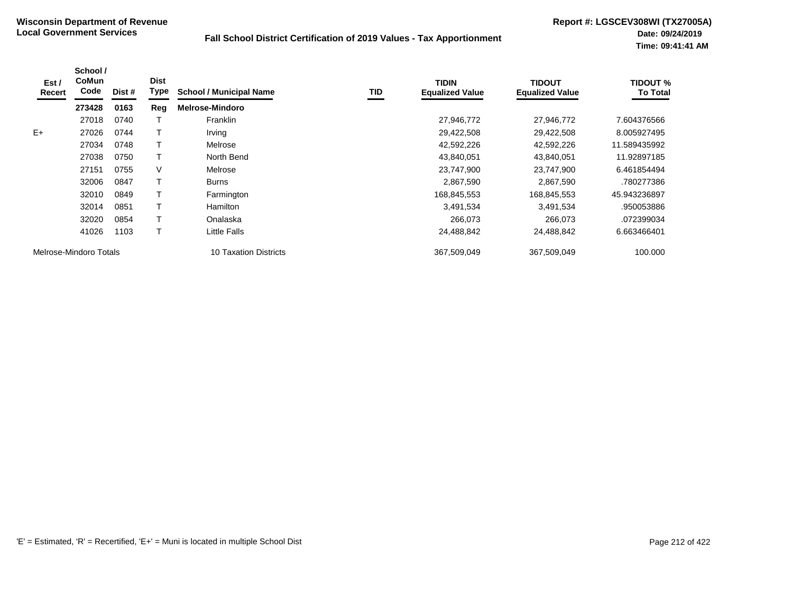| Est/<br>Recert | School /<br><b>CoMun</b><br>Code | Dist # | <b>Dist</b><br><b>Type</b> | <b>School / Municipal Name</b> | TID | <b>TIDIN</b><br><b>Equalized Value</b> | <b>TIDOUT</b><br><b>Equalized Value</b> | TIDOUT %<br><b>To Total</b> |
|----------------|----------------------------------|--------|----------------------------|--------------------------------|-----|----------------------------------------|-----------------------------------------|-----------------------------|
|                | 273428                           | 0163   | Reg                        | <b>Melrose-Mindoro</b>         |     |                                        |                                         |                             |
|                | 27018                            | 0740   |                            | Franklin                       |     | 27,946,772                             | 27,946,772                              | 7.604376566                 |
| $E+$           | 27026                            | 0744   |                            | Irving                         |     | 29,422,508                             | 29,422,508                              | 8.005927495                 |
|                | 27034                            | 0748   |                            | Melrose                        |     | 42,592,226                             | 42,592,226                              | 11.589435992                |
|                | 27038                            | 0750   |                            | North Bend                     |     | 43,840,051                             | 43,840,051                              | 11.92897185                 |
|                | 27151                            | 0755   | V                          | Melrose                        |     | 23,747,900                             | 23,747,900                              | 6.461854494                 |
|                | 32006                            | 0847   |                            | <b>Burns</b>                   |     | 2,867,590                              | 2,867,590                               | .780277386                  |
|                | 32010                            | 0849   |                            | Farmington                     |     | 168,845,553                            | 168,845,553                             | 45.943236897                |
|                | 32014                            | 0851   |                            | Hamilton                       |     | 3,491,534                              | 3,491,534                               | .950053886                  |
|                | 32020                            | 0854   |                            | Onalaska                       |     | 266,073                                | 266,073                                 | .072399034                  |
|                | 41026                            | 1103   |                            | Little Falls                   |     | 24,488,842                             | 24,488,842                              | 6.663466401                 |
|                | Melrose-Mindoro Totals           |        |                            | 10 Taxation Districts          |     | 367,509,049                            | 367,509,049                             | 100.000                     |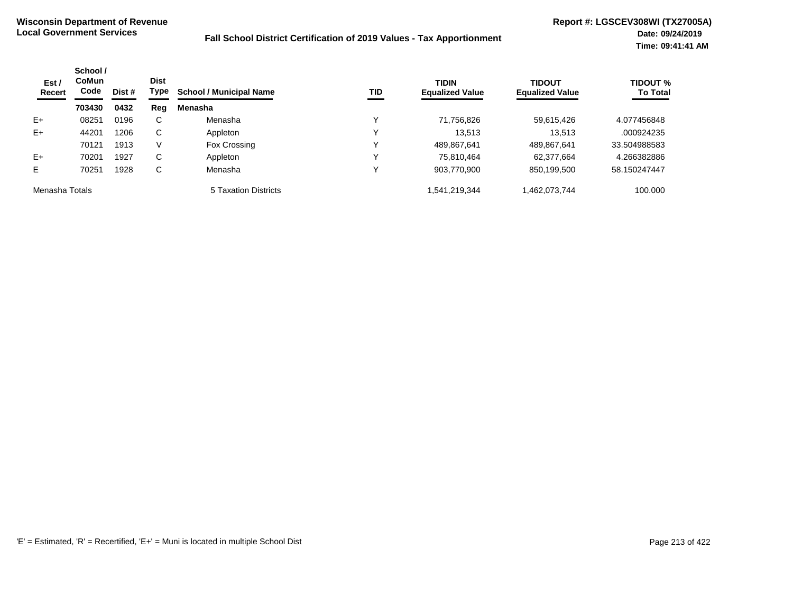| Est/<br>Recert | School /<br><b>CoMun</b><br>Code | Dist # | <b>Dist</b><br>Type | <b>School / Municipal Name</b> | <b>TID</b>  | <b>TIDIN</b><br><b>Equalized Value</b> | <b>TIDOUT</b><br><b>Equalized Value</b> | <b>TIDOUT %</b><br><b>To Total</b> |
|----------------|----------------------------------|--------|---------------------|--------------------------------|-------------|----------------------------------------|-----------------------------------------|------------------------------------|
|                | 703430                           | 0432   | Reg                 | Menasha                        |             |                                        |                                         |                                    |
| $E+$           | 08251                            | 0196   | С                   | Menasha                        |             | 71,756,826                             | 59,615,426                              | 4.077456848                        |
| $E+$           | 44201                            | 1206   | С                   | Appleton                       |             | 13.513                                 | 13.513                                  | .000924235                         |
|                | 70121                            | 1913   | V                   | Fox Crossing                   |             | 489,867,641                            | 489,867,641                             | 33.504988583                       |
| $E+$           | 70201                            | 1927   | С                   | Appleton                       |             | 75,810,464                             | 62,377,664                              | 4.266382886                        |
| Е              | 70251                            | 1928   | С                   | Menasha                        | $\check{ }$ | 903,770,900                            | 850,199,500                             | 58.150247447                       |
| Menasha Totals |                                  |        |                     | 5 Taxation Districts           |             | 541,219,344                            | 1,462,073,744                           | 100.000                            |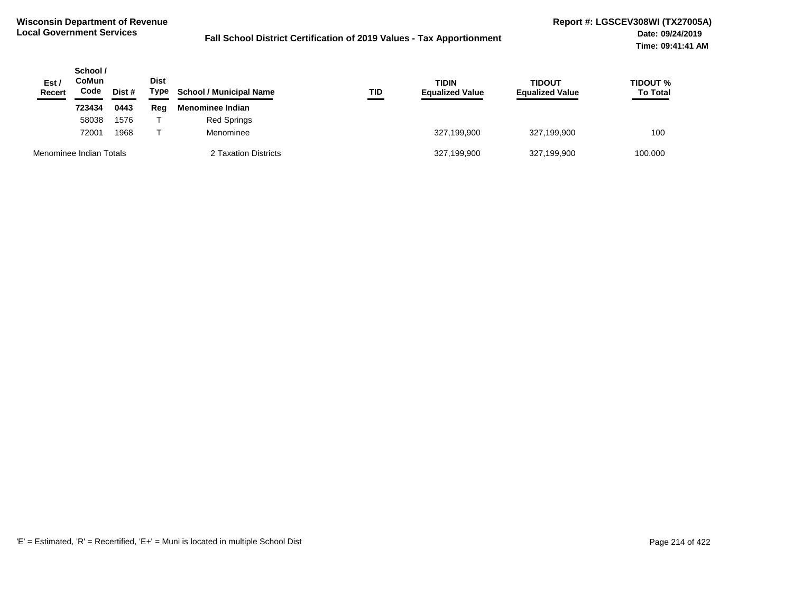| Est /<br><b>Recert</b>  | School /<br>CoMun<br>Code<br>Dist # | <b>Dist</b><br>Type | <b>School / Municipal Name</b> | TID                  | <b>TIDIN</b><br><b>Equalized Value</b> | <b>TIDOUT</b><br><b>Equalized Value</b> | <b>TIDOUT %</b><br><b>To Total</b><br>____ |         |
|-------------------------|-------------------------------------|---------------------|--------------------------------|----------------------|----------------------------------------|-----------------------------------------|--------------------------------------------|---------|
|                         | 723434                              | 0443                | Reg                            | Menominee Indian     |                                        |                                         |                                            |         |
|                         | 58038                               | 1576                |                                | Red Springs          |                                        |                                         |                                            |         |
|                         | 72001                               | 1968                |                                | Menominee            |                                        | 327,199,900                             | 327,199,900                                | 100     |
| Menominee Indian Totals |                                     |                     |                                | 2 Taxation Districts |                                        | 327,199,900                             | 327,199,900                                | 100.000 |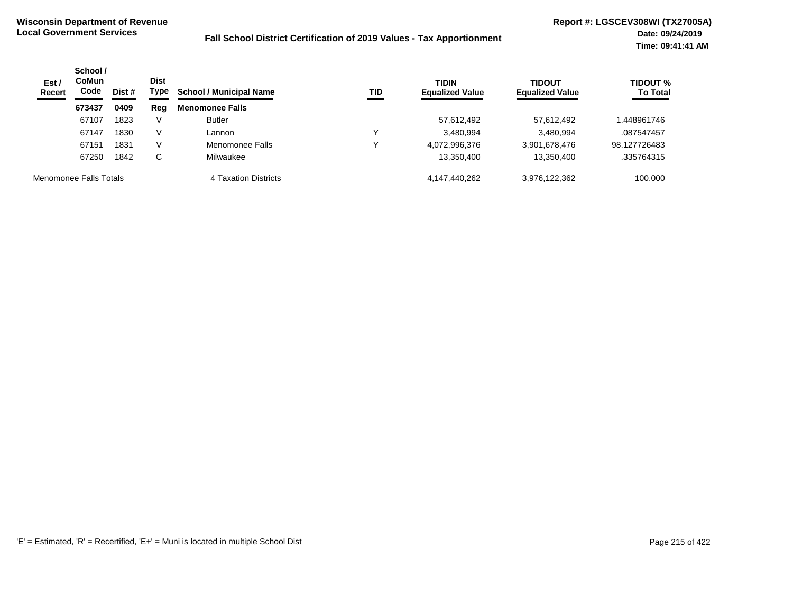| Est/<br><b>Recert</b>  | School /<br><b>CoMun</b><br>Code<br>Dist # | <b>Dist</b><br>Type<br><b>School / Municipal Name</b> | TID    | <b>TIDIN</b><br><b>Equalized Value</b> | <b>TIDOUT</b><br><b>Equalized Value</b> | <b>TIDOUT %</b><br><b>To Total</b> |               |              |
|------------------------|--------------------------------------------|-------------------------------------------------------|--------|----------------------------------------|-----------------------------------------|------------------------------------|---------------|--------------|
|                        | 673437                                     | 0409                                                  | Reg    | <b>Menomonee Falls</b>                 |                                         |                                    |               |              |
|                        | 67107                                      | 1823                                                  | $\vee$ | <b>Butler</b>                          |                                         | 57,612,492                         | 57,612,492    | .448961746   |
|                        | 67147                                      | 1830                                                  | V      | Lannon                                 | v                                       | 3,480,994                          | 3.480.994     | .087547457   |
|                        | 67151                                      | 1831                                                  | V      | Menomonee Falls                        | v                                       | 4,072,996,376                      | 3,901,678,476 | 98.127726483 |
|                        | 67250                                      | 1842                                                  | С      | Milwaukee                              |                                         | 13,350,400                         | 13,350,400    | .335764315   |
| Menomonee Falls Totals |                                            |                                                       |        | 4 Taxation Districts                   |                                         | 4.147.440.262                      | 3,976,122,362 | 100.000      |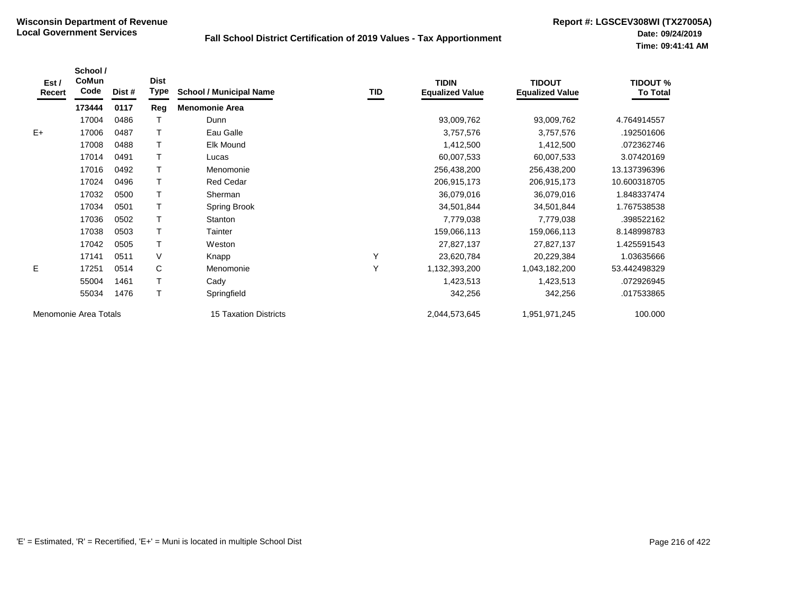| Est /<br>Recert | School /<br>CoMun<br>Code | Dist # | <b>Dist</b><br><b>Type</b> | <b>School / Municipal Name</b> | TID | <b>TIDIN</b><br><b>Equalized Value</b> | <b>TIDOUT</b><br><b>Equalized Value</b> | <b>TIDOUT %</b><br><b>To Total</b> |
|-----------------|---------------------------|--------|----------------------------|--------------------------------|-----|----------------------------------------|-----------------------------------------|------------------------------------|
|                 | 173444                    | 0117   | Reg                        | <b>Menomonie Area</b>          |     |                                        |                                         |                                    |
|                 | 17004                     | 0486   |                            | Dunn                           |     | 93,009,762                             | 93,009,762                              | 4.764914557                        |
| $E+$            | 17006                     | 0487   |                            | Eau Galle                      |     | 3,757,576                              | 3,757,576                               | .192501606                         |
|                 | 17008                     | 0488   |                            | Elk Mound                      |     | 1,412,500                              | 1,412,500                               | .072362746                         |
|                 | 17014                     | 0491   |                            | Lucas                          |     | 60,007,533                             | 60,007,533                              | 3.07420169                         |
|                 | 17016                     | 0492   |                            | Menomonie                      |     | 256,438,200                            | 256,438,200                             | 13.137396396                       |
|                 | 17024                     | 0496   |                            | <b>Red Cedar</b>               |     | 206,915,173                            | 206,915,173                             | 10.600318705                       |
|                 | 17032                     | 0500   |                            | Sherman                        |     | 36,079,016                             | 36,079,016                              | 1.848337474                        |
|                 | 17034                     | 0501   |                            | Spring Brook                   |     | 34,501,844                             | 34,501,844                              | 1.767538538                        |
|                 | 17036                     | 0502   |                            | <b>Stanton</b>                 |     | 7,779,038                              | 7,779,038                               | .398522162                         |
|                 | 17038                     | 0503   |                            | Tainter                        |     | 159,066,113                            | 159,066,113                             | 8.148998783                        |
|                 | 17042                     | 0505   |                            | Weston                         |     | 27,827,137                             | 27,827,137                              | 1.425591543                        |
|                 | 17141                     | 0511   | V                          | Knapp                          | Y   | 23,620,784                             | 20,229,384                              | 1.03635666                         |
| E               | 17251                     | 0514   | C                          | Menomonie                      | Y   | 1,132,393,200                          | 1,043,182,200                           | 53.442498329                       |
|                 | 55004                     | 1461   |                            | Cady                           |     | 1,423,513                              | 1,423,513                               | .072926945                         |
|                 | 55034                     | 1476   |                            | Springfield                    |     | 342,256                                | 342,256                                 | .017533865                         |
|                 | Menomonie Area Totals     |        |                            | 15 Taxation Districts          |     | 2,044,573,645                          | 1,951,971,245                           | 100.000                            |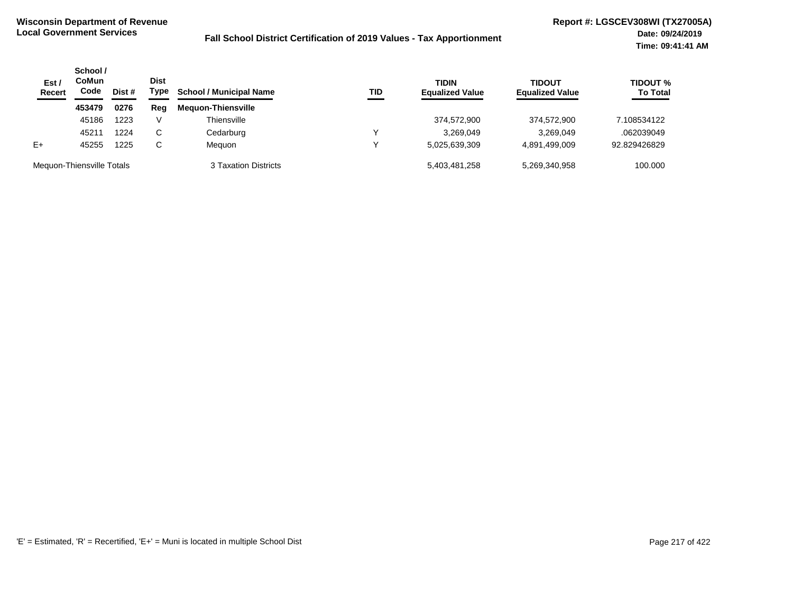| Est/<br><b>Recert</b>     | School /<br>CoMun<br>Code | Dist # | <b>Dist</b><br>Type | <b>School / Municipal Name</b> | TID | <b>TIDIN</b><br><b>Equalized Value</b> | TIDOUT<br><b>Equalized Value</b> | <b>TIDOUT %</b><br><b>To Total</b> |
|---------------------------|---------------------------|--------|---------------------|--------------------------------|-----|----------------------------------------|----------------------------------|------------------------------------|
|                           | 453479                    | 0276   | Reg                 | <b>Meguon-Thiensville</b>      |     |                                        |                                  |                                    |
|                           | 45186                     | 1223   | V                   | Thiensville                    |     | 374,572,900                            | 374.572.900                      | 7.108534122                        |
|                           | 45211                     | 1224   | C.                  | Cedarburg                      | ◡   | 3.269.049                              | 3,269,049                        | .062039049                         |
| $E+$                      | 45255                     | 1225   | C                   | Meauon                         | W   | 5,025,639,309                          | 4,891,499,009                    | 92.829426829                       |
| Meguon-Thiensville Totals |                           |        |                     | 3 Taxation Districts           |     | 5,403,481,258                          | 5.269.340.958                    | 100.000                            |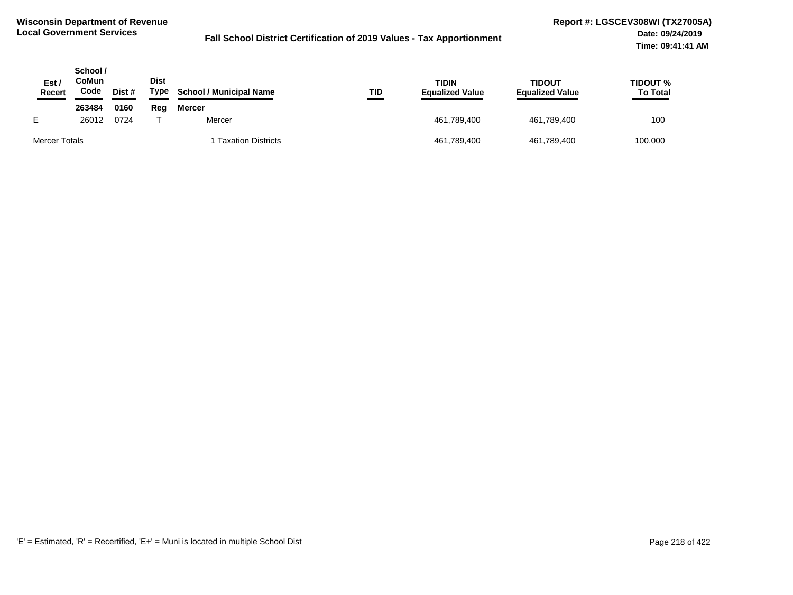| <b>Est</b><br><b>Recert</b> | School /<br>CoMun<br>Code | Dist # | <b>Dist</b><br>Type | <b>School / Municipal Name</b> | TID | <b>TIDIN</b><br><b>Equalized Value</b> | <b>TIDOUT</b><br><b>Equalized Value</b> | TIDOUT %<br><b>To Total</b> |
|-----------------------------|---------------------------|--------|---------------------|--------------------------------|-----|----------------------------------------|-----------------------------------------|-----------------------------|
|                             | 263484                    | 0160   | Reg                 | Mercer                         |     |                                        |                                         |                             |
|                             | 26012                     | 0724   |                     | Mercer                         |     | 461,789,400                            | 461,789,400                             | 100                         |
| Mercer Totals               |                           |        |                     | <b>Taxation Districts</b>      |     | 461,789,400                            | 461,789,400                             | 100.000                     |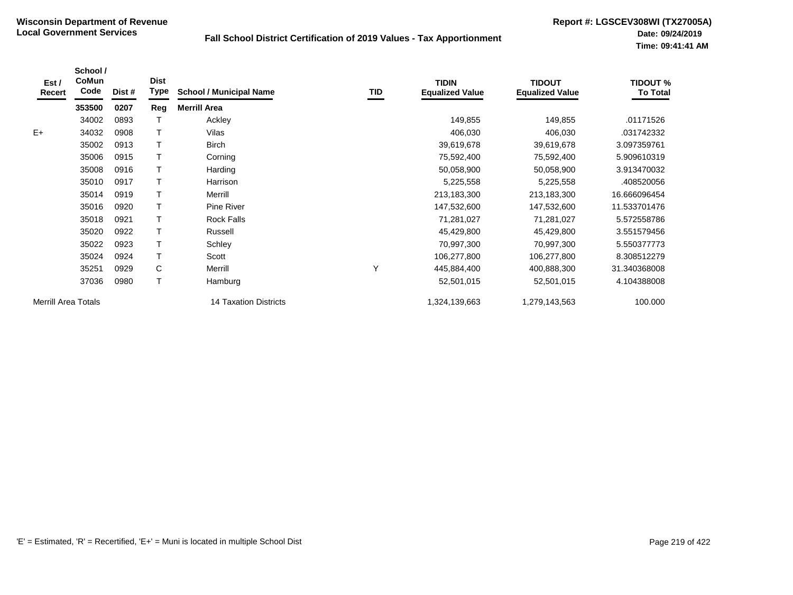| Est /<br>Recert            | School /<br>CoMun<br>Code | Dist # | <b>Dist</b><br><b>Type</b> | <b>School / Municipal Name</b> | TID | <b>TIDIN</b><br><b>Equalized Value</b> | <b>TIDOUT</b><br><b>Equalized Value</b> | <b>TIDOUT %</b><br><b>To Total</b> |
|----------------------------|---------------------------|--------|----------------------------|--------------------------------|-----|----------------------------------------|-----------------------------------------|------------------------------------|
|                            | 353500                    | 0207   | Reg                        | <b>Merrill Area</b>            |     |                                        |                                         |                                    |
|                            | 34002                     | 0893   |                            | Ackley                         |     | 149,855                                | 149,855                                 | .01171526                          |
| $E+$                       | 34032                     | 0908   | т                          | Vilas                          |     | 406,030                                | 406,030                                 | .031742332                         |
|                            | 35002                     | 0913   |                            | <b>Birch</b>                   |     | 39,619,678                             | 39,619,678                              | 3.097359761                        |
|                            | 35006                     | 0915   |                            | Corning                        |     | 75,592,400                             | 75,592,400                              | 5.909610319                        |
|                            | 35008                     | 0916   | Τ                          | Harding                        |     | 50,058,900                             | 50,058,900                              | 3.913470032                        |
|                            | 35010                     | 0917   | T                          | Harrison                       |     | 5,225,558                              | 5,225,558                               | .408520056                         |
|                            | 35014                     | 0919   |                            | Merrill                        |     | 213,183,300                            | 213,183,300                             | 16.666096454                       |
|                            | 35016                     | 0920   |                            | Pine River                     |     | 147,532,600                            | 147,532,600                             | 11.533701476                       |
|                            | 35018                     | 0921   |                            | <b>Rock Falls</b>              |     | 71,281,027                             | 71,281,027                              | 5.572558786                        |
|                            | 35020                     | 0922   |                            | Russell                        |     | 45,429,800                             | 45,429,800                              | 3.551579456                        |
|                            | 35022                     | 0923   |                            | Schley                         |     | 70,997,300                             | 70,997,300                              | 5.550377773                        |
|                            | 35024                     | 0924   |                            | Scott                          |     | 106,277,800                            | 106,277,800                             | 8.308512279                        |
|                            | 35251                     | 0929   | C                          | Merrill                        | Υ   | 445,884,400                            | 400,888,300                             | 31.340368008                       |
|                            | 37036                     | 0980   | T                          | Hamburg                        |     | 52,501,015                             | 52,501,015                              | 4.104388008                        |
| <b>Merrill Area Totals</b> |                           |        |                            | 14 Taxation Districts          |     | 1,324,139,663                          | 1,279,143,563                           | 100.000                            |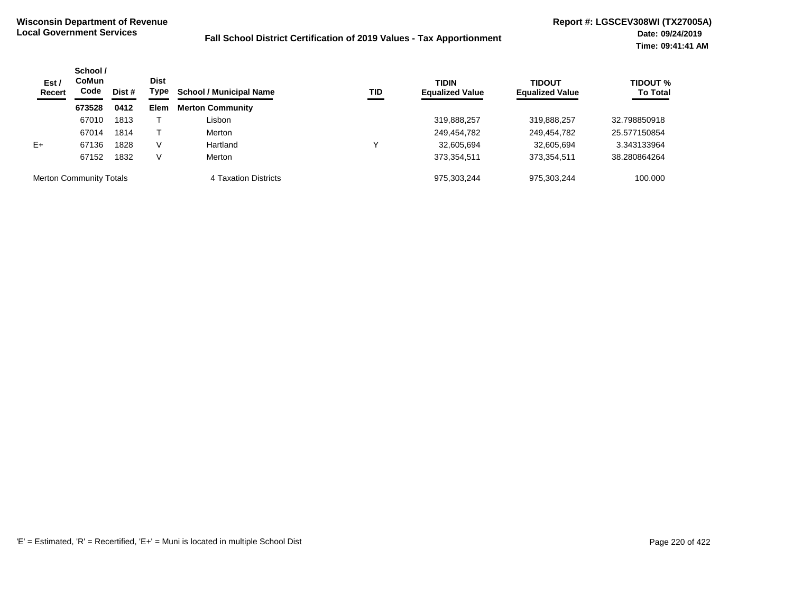| Est /<br><b>Recert</b>         | School /<br><b>Dist</b><br>CoMun<br>Code<br>Type<br>Dist # | <b>School / Municipal Name</b> | <b>TID</b>  | <b>TIDIN</b><br><b>Equalized Value</b> | <b>TIDOUT</b><br><b>Equalized Value</b> | <b>TIDOUT %</b><br><b>To Total</b> |             |              |
|--------------------------------|------------------------------------------------------------|--------------------------------|-------------|----------------------------------------|-----------------------------------------|------------------------------------|-------------|--------------|
|                                | 673528                                                     | 0412                           | <b>Elem</b> | <b>Merton Community</b>                |                                         |                                    |             |              |
|                                | 67010                                                      | 1813                           |             | Lisbon                                 |                                         | 319,888,257                        | 319,888,257 | 32.798850918 |
|                                | 67014                                                      | 1814                           |             | Merton                                 |                                         | 249,454,782                        | 249,454,782 | 25.577150854 |
| $E+$                           | 67136                                                      | 1828                           | V           | Hartland                               |                                         | 32,605,694                         | 32,605,694  | 3.343133964  |
|                                | 67152                                                      | 1832                           | V           | Merton                                 |                                         | 373,354,511                        | 373,354,511 | 38.280864264 |
| <b>Merton Community Totals</b> |                                                            |                                |             | 4 Taxation Districts                   |                                         | 975.303.244                        | 975,303,244 | 100.000      |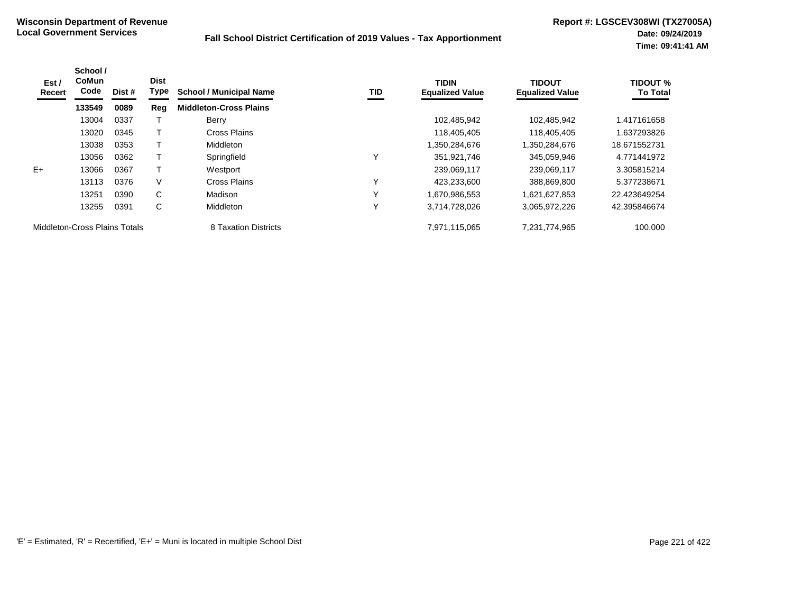| Est /<br>Recert               | School /<br><b>CoMun</b><br>Code | Dist # | <b>Dist</b><br>Type | <b>School / Municipal Name</b> | TID          | <b>TIDIN</b><br><b>Equalized Value</b> | <b>TIDOUT</b><br><b>Equalized Value</b> | <b>TIDOUT %</b><br><b>To Total</b> |
|-------------------------------|----------------------------------|--------|---------------------|--------------------------------|--------------|----------------------------------------|-----------------------------------------|------------------------------------|
|                               | 133549                           | 0089   | Reg                 | <b>Middleton-Cross Plains</b>  |              |                                        |                                         |                                    |
|                               | 13004                            | 0337   |                     | Berry                          |              | 102,485,942                            | 102,485,942                             | 1.417161658                        |
|                               | 13020                            | 0345   |                     | Cross Plains                   |              | 118,405,405                            | 118,405,405                             | 1.637293826                        |
|                               | 13038                            | 0353   |                     | Middleton                      |              | 1,350,284,676                          | 1,350,284,676                           | 18.671552731                       |
|                               | 13056                            | 0362   |                     | Springfield                    | $\checkmark$ | 351,921,746                            | 345,059,946                             | 4.771441972                        |
| $E+$                          | 13066                            | 0367   |                     | Westport                       |              | 239,069,117                            | 239,069,117                             | 3.305815214                        |
|                               | 13113                            | 0376   | V                   | Cross Plains                   | $\check{ }$  | 423,233,600                            | 388,869,800                             | 5.377238671                        |
|                               | 13251                            | 0390   | C                   | Madison                        | $\checkmark$ | 1,670,986,553                          | 1,621,627,853                           | 22.423649254                       |
|                               | 13255                            | 0391   | C                   | Middleton                      | $\checkmark$ | 3,714,728,026                          | 3,065,972,226                           | 42.395846674                       |
| Middleton-Cross Plains Totals |                                  |        |                     | 8 Taxation Districts           |              | 7,971,115,065                          | 7,231,774,965                           | 100.000                            |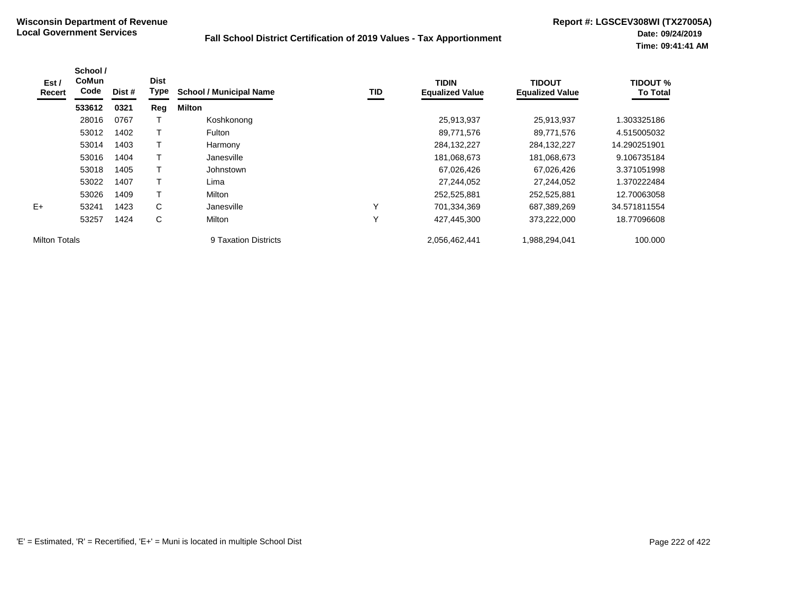| Est /<br>Recert      | School /<br><b>CoMun</b><br>Code | Dist # | <b>Dist</b><br>Type | <b>School / Municipal Name</b> | TID          | <b>TIDIN</b><br><b>Equalized Value</b> | <b>TIDOUT</b><br><b>Equalized Value</b> | <b>TIDOUT %</b><br><b>To Total</b> |
|----------------------|----------------------------------|--------|---------------------|--------------------------------|--------------|----------------------------------------|-----------------------------------------|------------------------------------|
|                      | 533612                           | 0321   | Reg                 | Milton                         |              |                                        |                                         |                                    |
|                      | 28016                            | 0767   |                     | Koshkonong                     |              | 25,913,937                             | 25,913,937                              | .303325186                         |
|                      | 53012                            | 1402   |                     | Fulton                         |              | 89,771,576                             | 89,771,576                              | 4.515005032                        |
|                      | 53014                            | 1403   | Т                   | Harmony                        |              | 284,132,227                            | 284, 132, 227                           | 14.290251901                       |
|                      | 53016                            | 1404   |                     | Janesville                     |              | 181,068,673                            | 181,068,673                             | 9.106735184                        |
|                      | 53018                            | 1405   | T                   | Johnstown                      |              | 67,026,426                             | 67,026,426                              | 3.371051998                        |
|                      | 53022                            | 1407   |                     | Lima                           |              | 27,244,052                             | 27,244,052                              | 1.370222484                        |
|                      | 53026                            | 1409   | T                   | Milton                         |              | 252,525,881                            | 252,525,881                             | 12.70063058                        |
| $E+$                 | 53241                            | 1423   | C                   | Janesville                     | $\checkmark$ | 701,334,369                            | 687,389,269                             | 34.571811554                       |
|                      | 53257                            | 1424   | C                   | Milton                         | $\checkmark$ | 427,445,300                            | 373,222,000                             | 18.77096608                        |
| <b>Milton Totals</b> |                                  |        |                     | 9 Taxation Districts           |              | 2,056,462,441                          | 1,988,294,041                           | 100,000                            |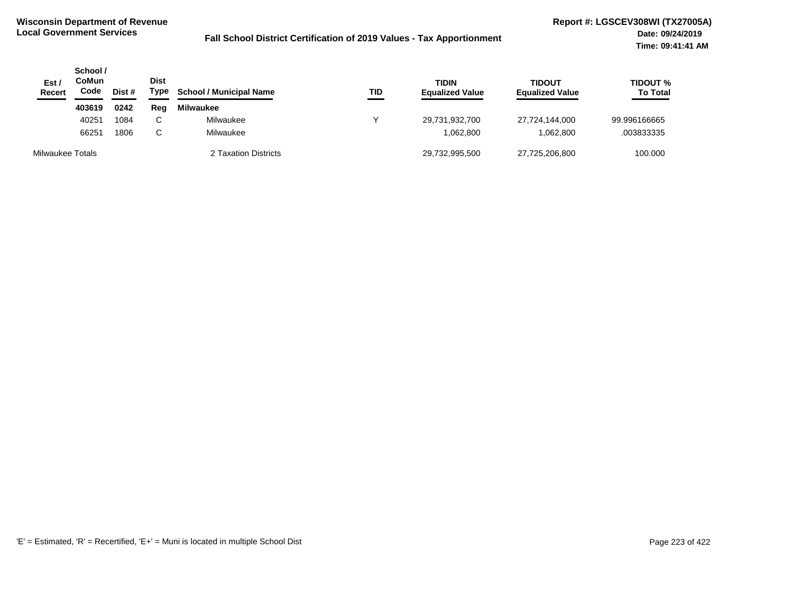| Est /<br>Recert  | School /<br>CoMun<br>Code | Dist # | <b>Dist</b><br>Type | <b>School / Municipal Name</b> | TID | <b>TIDIN</b><br><b>Equalized Value</b> | <b>TIDOUT</b><br><b>Equalized Value</b> | <b>TIDOUT %</b><br><b>To Total</b> |
|------------------|---------------------------|--------|---------------------|--------------------------------|-----|----------------------------------------|-----------------------------------------|------------------------------------|
|                  | 403619                    | 0242   | Reg                 | <b>Milwaukee</b>               |     |                                        |                                         |                                    |
|                  | 40251                     | 1084   | $\sim$              | Milwaukee                      |     | 29,731,932,700                         | 27,724,144,000                          | 99.996166665                       |
|                  | 66251                     | 1806   | C.                  | Milwaukee                      |     | 1,062,800                              | 1,062,800                               | .003833335                         |
| Milwaukee Totals |                           |        |                     | 2 Taxation Districts           |     | 29,732,995,500                         | 27,725,206,800                          | 100.000                            |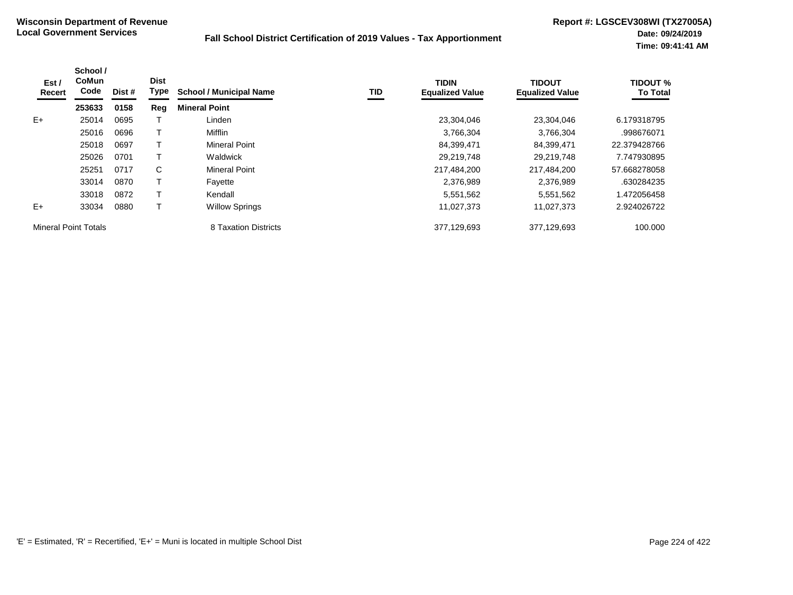| Est /<br>Recert             | School /<br><b>CoMun</b><br>Code | Dist # | <b>Dist</b><br><b>Type</b> | <b>School / Municipal Name</b> | TID | <b>TIDIN</b><br><b>Equalized Value</b> | <b>TIDOUT</b><br><b>Equalized Value</b> | <b>TIDOUT %</b><br><b>To Total</b> |
|-----------------------------|----------------------------------|--------|----------------------------|--------------------------------|-----|----------------------------------------|-----------------------------------------|------------------------------------|
|                             | 253633                           | 0158   | Reg                        | <b>Mineral Point</b>           |     |                                        |                                         |                                    |
| $E+$                        | 25014                            | 0695   |                            | Linden                         |     | 23,304,046                             | 23,304,046                              | 6.179318795                        |
|                             | 25016                            | 0696   |                            | Mifflin                        |     | 3,766,304                              | 3,766,304                               | .998676071                         |
|                             | 25018                            | 0697   |                            | Mineral Point                  |     | 84,399,471                             | 84,399,471                              | 22.379428766                       |
|                             | 25026                            | 0701   |                            | Waldwick                       |     | 29.219.748                             | 29.219.748                              | 7.747930895                        |
|                             | 25251                            | 0717   | C                          | <b>Mineral Point</b>           |     | 217,484,200                            | 217,484,200                             | 57.668278058                       |
|                             | 33014                            | 0870   |                            | Fayette                        |     | 2,376,989                              | 2,376,989                               | .630284235                         |
|                             | 33018                            | 0872   |                            | Kendall                        |     | 5,551,562                              | 5,551,562                               | 1.472056458                        |
| $E+$                        | 33034                            | 0880   |                            | <b>Willow Springs</b>          |     | 11,027,373                             | 11,027,373                              | 2.924026722                        |
| <b>Mineral Point Totals</b> |                                  |        |                            | 8 Taxation Districts           |     | 377,129,693                            | 377,129,693                             | 100.000                            |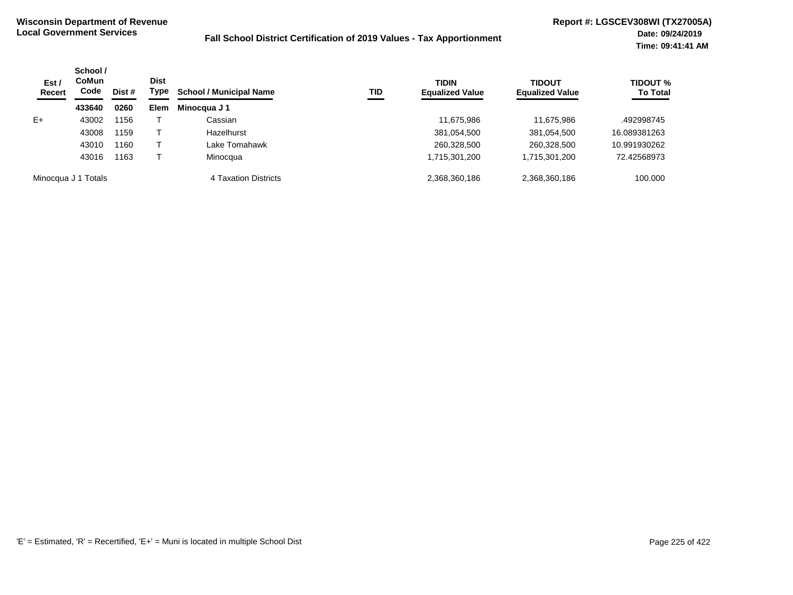| Est /<br><b>Recert</b> | School /<br>CoMun<br>Code | Dist # | <b>Dist</b><br>Type | <b>School / Municipal Name</b> | TID | <b>TIDIN</b><br><b>Equalized Value</b> | <b>TIDOUT</b><br><b>Equalized Value</b> | <b>TIDOUT %</b><br><b>To Total</b> |
|------------------------|---------------------------|--------|---------------------|--------------------------------|-----|----------------------------------------|-----------------------------------------|------------------------------------|
|                        | 433640                    | 0260   | <b>Elem</b>         | Minocqua J 1                   |     |                                        |                                         |                                    |
| $E+$                   | 43002                     | 1156   |                     | Cassian                        |     | 11,675,986                             | 11,675,986                              | .492998745                         |
|                        | 43008                     | 1159   |                     | Hazelhurst                     |     | 381,054,500                            | 381,054,500                             | 16.089381263                       |
|                        | 43010                     | 1160   |                     | Lake Tomahawk                  |     | 260,328,500                            | 260,328,500                             | 10.991930262                       |
|                        | 43016                     | 1163   |                     | Minocqua                       |     | 1,715,301,200                          | 1,715,301,200                           | 72.42568973                        |
|                        | Minocqua J 1 Totals       |        |                     | 4 Taxation Districts           |     | 2,368,360,186                          | 2,368,360,186                           | 100.000                            |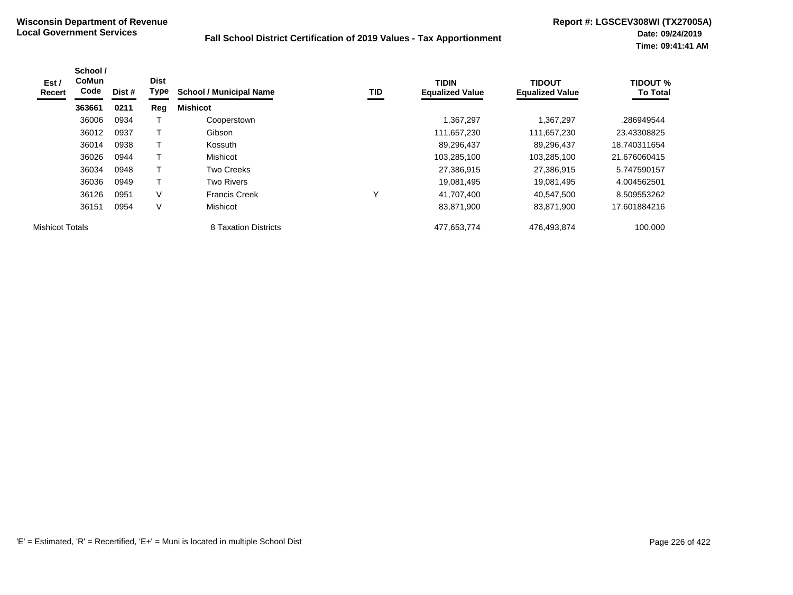| Est /<br>Recert        | School /<br><b>CoMun</b><br>Code | Dist # | <b>Dist</b><br>Type | <b>School / Municipal Name</b> | TID | <b>TIDIN</b><br><b>Equalized Value</b> | <b>TIDOUT</b><br><b>Equalized Value</b> | <b>TIDOUT %</b><br><b>To Total</b> |
|------------------------|----------------------------------|--------|---------------------|--------------------------------|-----|----------------------------------------|-----------------------------------------|------------------------------------|
|                        | 363661                           | 0211   | Reg                 | <b>Mishicot</b>                |     |                                        |                                         |                                    |
|                        | 36006                            | 0934   |                     | Cooperstown                    |     | 1,367,297                              | 1,367,297                               | .286949544                         |
|                        | 36012                            | 0937   | т                   | Gibson                         |     | 111,657,230                            | 111,657,230                             | 23.43308825                        |
|                        | 36014                            | 0938   | т                   | Kossuth                        |     | 89,296,437                             | 89,296,437                              | 18.740311654                       |
|                        | 36026                            | 0944   |                     | Mishicot                       |     | 103,285,100                            | 103,285,100                             | 21.676060415                       |
|                        | 36034                            | 0948   | T                   | Two Creeks                     |     | 27,386,915                             | 27,386,915                              | 5.747590157                        |
|                        | 36036                            | 0949   | т                   | <b>Two Rivers</b>              |     | 19,081,495                             | 19,081,495                              | 4.004562501                        |
|                        | 36126                            | 0951   | V                   | <b>Francis Creek</b>           |     | 41.707.400                             | 40.547.500                              | 8.509553262                        |
|                        | 36151                            | 0954   | V                   | Mishicot                       |     | 83,871,900                             | 83,871,900                              | 17.601884216                       |
| <b>Mishicot Totals</b> |                                  |        |                     | 8 Taxation Districts           |     | 477,653,774                            | 476,493,874                             | 100.000                            |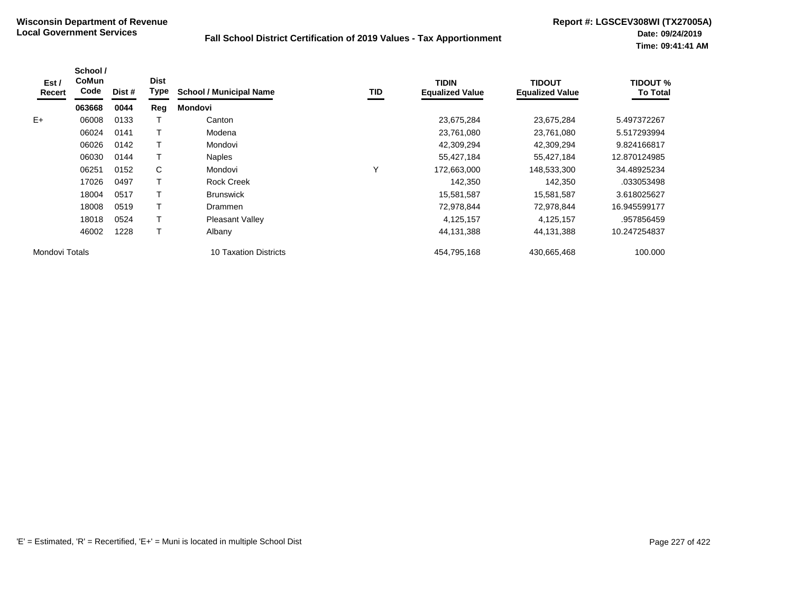| Est /<br>Recert | School /<br><b>CoMun</b><br>Code | Dist # | <b>Dist</b><br><b>Type</b> | <b>School / Municipal Name</b> | TID | <b>TIDIN</b><br><b>Equalized Value</b> | <b>TIDOUT</b><br><b>Equalized Value</b> | TIDOUT %<br><b>To Total</b> |
|-----------------|----------------------------------|--------|----------------------------|--------------------------------|-----|----------------------------------------|-----------------------------------------|-----------------------------|
|                 | 063668                           | 0044   | Reg                        | <b>Mondovi</b>                 |     |                                        |                                         |                             |
| $E+$            | 06008                            | 0133   |                            | Canton                         |     | 23,675,284                             | 23,675,284                              | 5.497372267                 |
|                 | 06024                            | 0141   |                            | Modena                         |     | 23,761,080                             | 23,761,080                              | 5.517293994                 |
|                 | 06026                            | 0142   |                            | Mondovi                        |     | 42,309,294                             | 42,309,294                              | 9.824166817                 |
|                 | 06030                            | 0144   |                            | <b>Naples</b>                  |     | 55,427,184                             | 55,427,184                              | 12.870124985                |
|                 | 06251                            | 0152   | C                          | Mondovi                        | Υ   | 172,663,000                            | 148,533,300                             | 34.48925234                 |
|                 | 17026                            | 0497   |                            | <b>Rock Creek</b>              |     | 142,350                                | 142,350                                 | .033053498                  |
|                 | 18004                            | 0517   |                            | <b>Brunswick</b>               |     | 15,581,587                             | 15,581,587                              | 3.618025627                 |
|                 | 18008                            | 0519   |                            | Drammen                        |     | 72,978,844                             | 72,978,844                              | 16.945599177                |
|                 | 18018                            | 0524   |                            | <b>Pleasant Valley</b>         |     | 4,125,157                              | 4,125,157                               | .957856459                  |
|                 | 46002                            | 1228   |                            | Albany                         |     | 44,131,388                             | 44,131,388                              | 10.247254837                |
| Mondovi Totals  |                                  |        |                            | 10 Taxation Districts          |     | 454,795,168                            | 430,665,468                             | 100.000                     |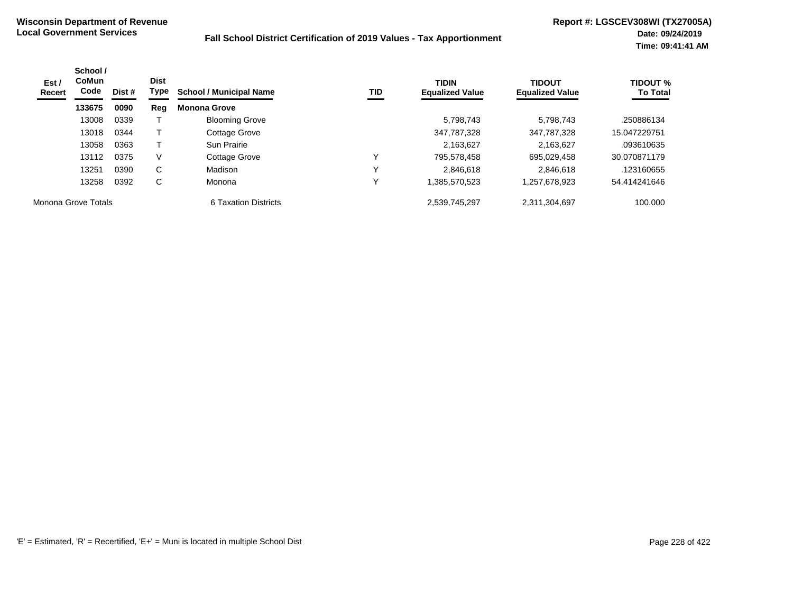| Est /<br>Recert     | School /<br><b>CoMun</b><br>Code | Dist # | <b>Dist</b><br>Type | <b>School / Municipal Name</b> | TID | <b>TIDIN</b><br><b>Equalized Value</b> | <b>TIDOUT</b><br><b>Equalized Value</b> | <b>TIDOUT %</b><br><b>To Total</b> |
|---------------------|----------------------------------|--------|---------------------|--------------------------------|-----|----------------------------------------|-----------------------------------------|------------------------------------|
|                     | 133675                           | 0090   | Reg                 | <b>Monona Grove</b>            |     |                                        |                                         |                                    |
|                     | 13008                            | 0339   |                     | <b>Blooming Grove</b>          |     | 5,798,743                              | 5.798.743                               | .250886134                         |
|                     | 13018                            | 0344   |                     | Cottage Grove                  |     | 347,787,328                            | 347,787,328                             | 15.047229751                       |
|                     | 13058                            | 0363   |                     | Sun Prairie                    |     | 2,163,627                              | 2,163,627                               | .093610635                         |
|                     | 13112                            | 0375   | V                   | Cottage Grove                  | v   | 795,578,458                            | 695,029,458                             | 30.070871179                       |
|                     | 13251                            | 0390   | C                   | Madison                        |     | 2.846.618                              | 2.846.618                               | .123160655                         |
|                     | 13258                            | 0392   | С                   | Monona                         | v   | 1,385,570,523                          | 257,678,923,                            | 54.414241646                       |
| Monona Grove Totals |                                  |        |                     | 6 Taxation Districts           |     | 2,539,745,297                          | 2,311,304,697                           | 100.000                            |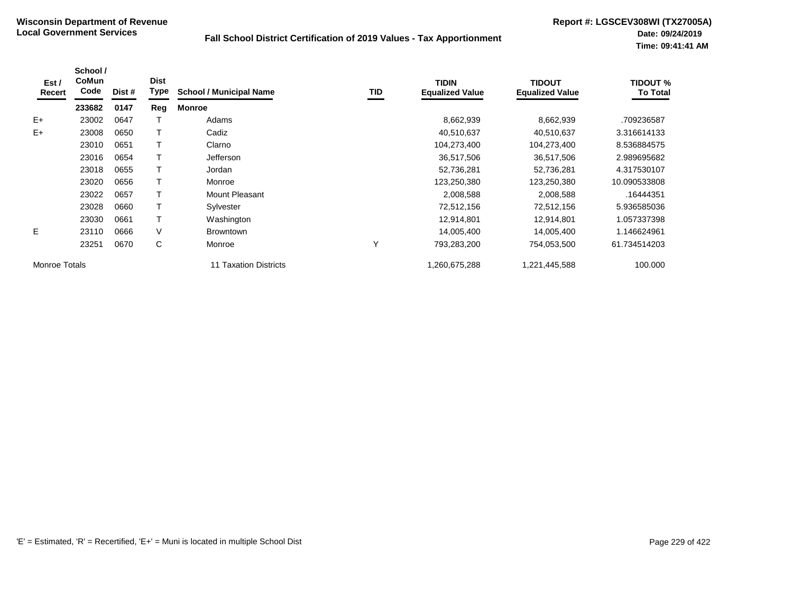| Est /<br>Recert      | School /<br><b>CoMun</b><br>Code | Dist # | <b>Dist</b><br>Type | <b>School / Municipal Name</b> | <b>TID</b> | <b>TIDIN</b><br><b>Equalized Value</b> | <b>TIDOUT</b><br><b>Equalized Value</b> | <b>TIDOUT %</b><br><b>To Total</b> |
|----------------------|----------------------------------|--------|---------------------|--------------------------------|------------|----------------------------------------|-----------------------------------------|------------------------------------|
|                      | 233682                           | 0147   | Reg                 | <b>Monroe</b>                  |            |                                        |                                         |                                    |
| $E+$                 | 23002                            | 0647   |                     | Adams                          |            | 8,662,939                              | 8,662,939                               | .709236587                         |
| $E+$                 | 23008                            | 0650   |                     | Cadiz                          |            | 40,510,637                             | 40,510,637                              | 3.316614133                        |
|                      | 23010                            | 0651   |                     | Clarno                         |            | 104,273,400                            | 104,273,400                             | 8.536884575                        |
|                      | 23016                            | 0654   |                     | Jefferson                      |            | 36,517,506                             | 36,517,506                              | 2.989695682                        |
|                      | 23018                            | 0655   |                     | Jordan                         |            | 52,736,281                             | 52,736,281                              | 4.317530107                        |
|                      | 23020                            | 0656   |                     | Monroe                         |            | 123,250,380                            | 123,250,380                             | 10.090533808                       |
|                      | 23022                            | 0657   |                     | Mount Pleasant                 |            | 2,008,588                              | 2,008,588                               | .16444351                          |
|                      | 23028                            | 0660   |                     | Sylvester                      |            | 72,512,156                             | 72,512,156                              | 5.936585036                        |
|                      | 23030                            | 0661   |                     | Washington                     |            | 12,914,801                             | 12,914,801                              | 1.057337398                        |
| E                    | 23110                            | 0666   | V                   | <b>Browntown</b>               |            | 14,005,400                             | 14,005,400                              | 1.146624961                        |
|                      | 23251                            | 0670   | C                   | Monroe                         | Υ          | 793,283,200                            | 754,053,500                             | 61.734514203                       |
| <b>Monroe Totals</b> |                                  |        |                     | 11 Taxation Districts          |            | 1,260,675,288                          | 1,221,445,588                           | 100.000                            |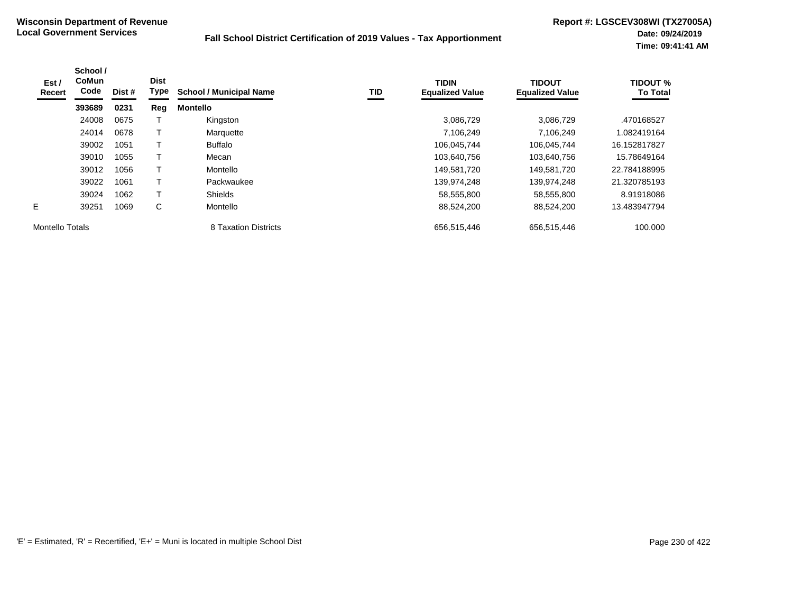| Est /<br>Recert | School /<br><b>CoMun</b><br>Code | Dist # | <b>Dist</b><br>Type | <b>School / Municipal Name</b> | TID | <b>TIDIN</b><br><b>Equalized Value</b> | <b>TIDOUT</b><br><b>Equalized Value</b> | <b>TIDOUT %</b><br><b>To Total</b> |
|-----------------|----------------------------------|--------|---------------------|--------------------------------|-----|----------------------------------------|-----------------------------------------|------------------------------------|
|                 | 393689                           | 0231   | Reg                 | <b>Montello</b>                |     |                                        |                                         |                                    |
|                 | 24008                            | 0675   |                     | Kingston                       |     | 3,086,729                              | 3.086.729                               | .470168527                         |
|                 | 24014                            | 0678   |                     | Marquette                      |     | 7,106,249                              | 7,106,249                               | 1.082419164                        |
|                 | 39002                            | 1051   |                     | <b>Buffalo</b>                 |     | 106,045,744                            | 106,045,744                             | 16.152817827                       |
|                 | 39010                            | 1055   |                     | Mecan                          |     | 103,640,756                            | 103,640,756                             | 15.78649164                        |
|                 | 39012                            | 1056   |                     | Montello                       |     | 149,581,720                            | 149,581,720                             | 22.784188995                       |
|                 | 39022                            | 1061   | т                   | Packwaukee                     |     | 139,974,248                            | 139,974,248                             | 21.320785193                       |
|                 | 39024                            | 1062   |                     | <b>Shields</b>                 |     | 58,555,800                             | 58,555,800                              | 8.91918086                         |
| E.              | 39251                            | 1069   | C                   | Montello                       |     | 88,524,200                             | 88,524,200                              | 13.483947794                       |
| Montello Totals |                                  |        |                     | 8 Taxation Districts           |     | 656,515,446                            | 656,515,446                             | 100.000                            |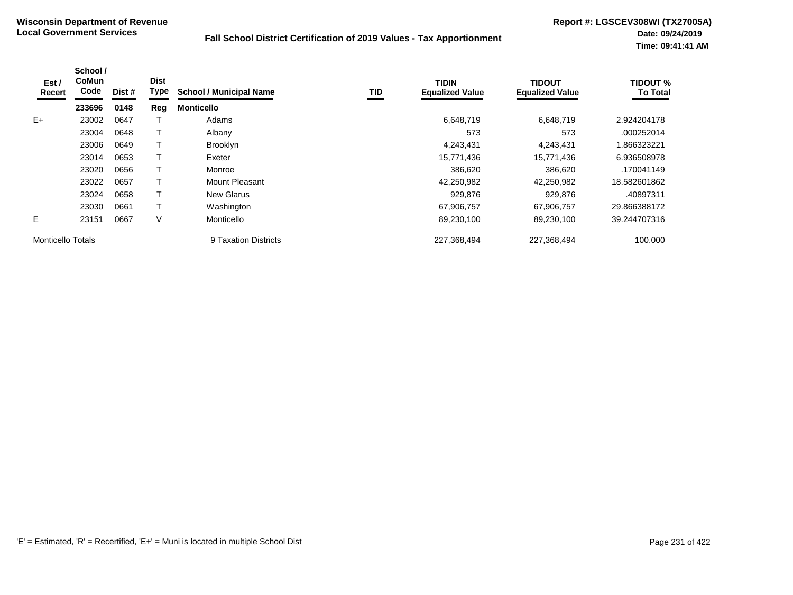| Est /<br>Recert          | School /<br><b>CoMun</b><br>Code | Dist # | <b>Dist</b><br>Type | <b>School / Municipal Name</b> | <b>TID</b> | <b>TIDIN</b><br><b>Equalized Value</b> | <b>TIDOUT</b><br><b>Equalized Value</b> | <b>TIDOUT %</b><br><b>To Total</b> |
|--------------------------|----------------------------------|--------|---------------------|--------------------------------|------------|----------------------------------------|-----------------------------------------|------------------------------------|
|                          | 233696                           | 0148   | Reg                 | <b>Monticello</b>              |            |                                        |                                         |                                    |
| $E+$                     | 23002                            | 0647   |                     | Adams                          |            | 6,648,719                              | 6,648,719                               | 2.924204178                        |
|                          | 23004                            | 0648   |                     | Albany                         |            | 573                                    | 573                                     | .000252014                         |
|                          | 23006                            | 0649   |                     | <b>Brooklyn</b>                |            | 4,243,431                              | 4,243,431                               | 1.866323221                        |
|                          | 23014                            | 0653   |                     | Exeter                         |            | 15,771,436                             | 15,771,436                              | 6.936508978                        |
|                          | 23020                            | 0656   |                     | Monroe                         |            | 386.620                                | 386,620                                 | .170041149                         |
|                          | 23022                            | 0657   |                     | Mount Pleasant                 |            | 42,250,982                             | 42,250,982                              | 18.582601862                       |
|                          | 23024                            | 0658   |                     | <b>New Glarus</b>              |            | 929,876                                | 929,876                                 | .40897311                          |
|                          | 23030                            | 0661   |                     | Washington                     |            | 67,906,757                             | 67,906,757                              | 29.866388172                       |
| E.                       | 23151                            | 0667   | V                   | Monticello                     |            | 89,230,100                             | 89,230,100                              | 39.244707316                       |
| <b>Monticello Totals</b> |                                  |        |                     | 9 Taxation Districts           |            | 227,368,494                            | 227,368,494                             | 100.000                            |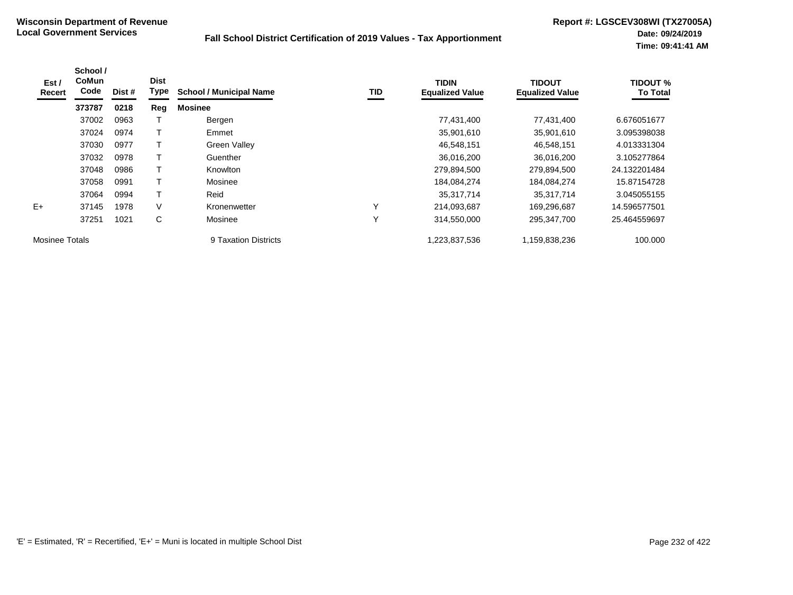| Est /<br>Recert | School /<br><b>CoMun</b><br>Code | Dist # | <b>Dist</b><br>Type | <b>School / Municipal Name</b> | <b>TID</b>   | <b>TIDIN</b><br><b>Equalized Value</b> | <b>TIDOUT</b><br><b>Equalized Value</b> | <b>TIDOUT %</b><br><b>To Total</b> |
|-----------------|----------------------------------|--------|---------------------|--------------------------------|--------------|----------------------------------------|-----------------------------------------|------------------------------------|
|                 | 373787                           | 0218   | Reg                 | <b>Mosinee</b>                 |              |                                        |                                         |                                    |
|                 | 37002                            | 0963   |                     | Bergen                         |              | 77,431,400                             | 77,431,400                              | 6.676051677                        |
|                 | 37024                            | 0974   |                     | Emmet                          |              | 35,901,610                             | 35,901,610                              | 3.095398038                        |
|                 | 37030                            | 0977   |                     | <b>Green Valley</b>            |              | 46,548,151                             | 46,548,151                              | 4.013331304                        |
|                 | 37032                            | 0978   |                     | Guenther                       |              | 36,016,200                             | 36,016,200                              | 3.105277864                        |
|                 | 37048                            | 0986   |                     | Knowlton                       |              | 279,894,500                            | 279,894,500                             | 24.132201484                       |
|                 | 37058                            | 0991   |                     | Mosinee                        |              | 184,084,274                            | 184,084,274                             | 15.87154728                        |
|                 | 37064                            | 0994   |                     | Reid                           |              | 35,317,714                             | 35,317,714                              | 3.045055155                        |
| $E+$            | 37145                            | 1978   | V                   | Kronenwetter                   | $\checkmark$ | 214,093,687                            | 169,296,687                             | 14.596577501                       |
|                 | 37251                            | 1021   | C                   | Mosinee                        | Υ            | 314,550,000                            | 295,347,700                             | 25.464559697                       |
| Mosinee Totals  |                                  |        |                     | 9 Taxation Districts           |              | 1,223,837,536                          | 1,159,838,236                           | 100.000                            |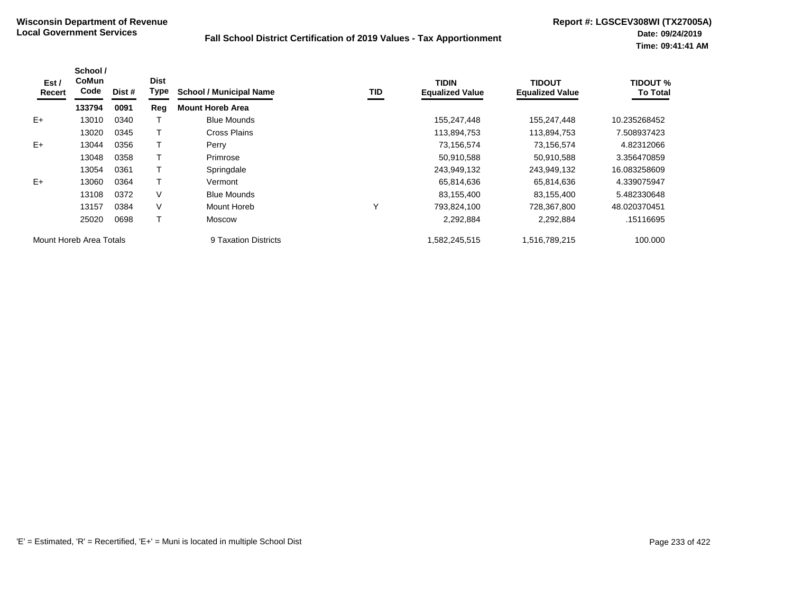| Est /<br>Recert         | School /<br>CoMun<br>Code | Dist # | <b>Dist</b><br>Type | <b>School / Municipal Name</b> | TID | <b>TIDIN</b><br><b>Equalized Value</b> | <b>TIDOUT</b><br><b>Equalized Value</b> | <b>TIDOUT %</b><br><b>To Total</b> |
|-------------------------|---------------------------|--------|---------------------|--------------------------------|-----|----------------------------------------|-----------------------------------------|------------------------------------|
|                         | 133794                    | 0091   | Reg                 | <b>Mount Horeb Area</b>        |     |                                        |                                         |                                    |
| $E+$                    | 13010                     | 0340   |                     | <b>Blue Mounds</b>             |     | 155,247,448                            | 155,247,448                             | 10.235268452                       |
|                         | 13020                     | 0345   |                     | Cross Plains                   |     | 113,894,753                            | 113,894,753                             | 7.508937423                        |
| $E+$                    | 13044                     | 0356   |                     | Perry                          |     | 73,156,574                             | 73,156,574                              | 4.82312066                         |
|                         | 13048                     | 0358   |                     | Primrose                       |     | 50,910,588                             | 50,910,588                              | 3.356470859                        |
|                         | 13054                     | 0361   |                     | Springdale                     |     | 243,949,132                            | 243,949,132                             | 16.083258609                       |
| $E+$                    | 13060                     | 0364   |                     | Vermont                        |     | 65,814,636                             | 65,814,636                              | 4.339075947                        |
|                         | 13108                     | 0372   | V                   | <b>Blue Mounds</b>             |     | 83,155,400                             | 83,155,400                              | 5.482330648                        |
|                         | 13157                     | 0384   | V                   | Mount Horeb                    | Υ   | 793,824,100                            | 728,367,800                             | 48.020370451                       |
|                         | 25020                     | 0698   |                     | <b>Moscow</b>                  |     | 2,292,884                              | 2,292,884                               | .15116695                          |
| Mount Horeb Area Totals |                           |        |                     | 9 Taxation Districts           |     | 582,245,515                            | 1,516,789,215                           | 100.000                            |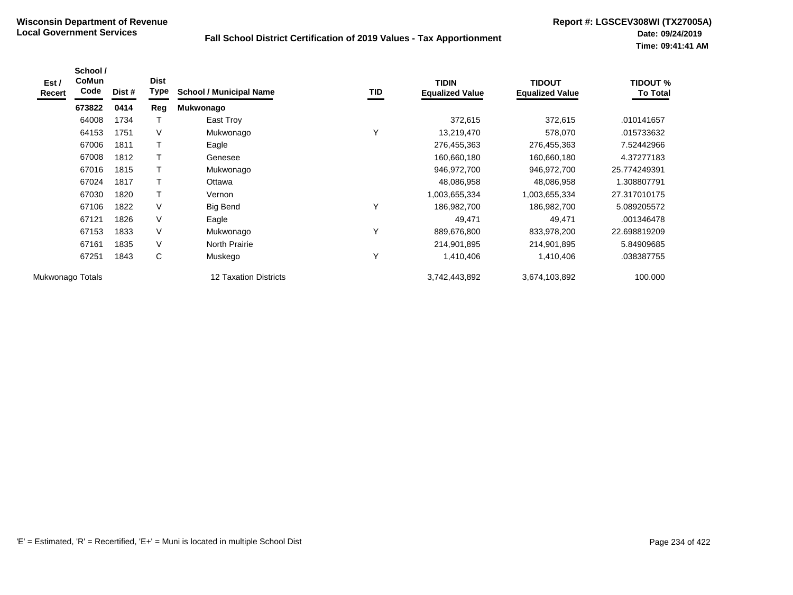| Est /<br>Recert  | School /<br><b>CoMun</b><br>Code | Dist # | <b>Dist</b><br><b>Type</b> | <b>School / Municipal Name</b> | TID          | <b>TIDIN</b><br><b>Equalized Value</b> | <b>TIDOUT</b><br><b>Equalized Value</b> | <b>TIDOUT %</b><br><b>To Total</b> |
|------------------|----------------------------------|--------|----------------------------|--------------------------------|--------------|----------------------------------------|-----------------------------------------|------------------------------------|
|                  | 673822                           | 0414   | Reg                        | Mukwonago                      |              |                                        |                                         |                                    |
|                  | 64008                            | 1734   | т                          | East Troy                      |              | 372,615                                | 372,615                                 | .010141657                         |
|                  | 64153                            | 1751   | V                          | Mukwonago                      | $\checkmark$ | 13,219,470                             | 578,070                                 | .015733632                         |
|                  | 67006                            | 1811   |                            | Eagle                          |              | 276,455,363                            | 276,455,363                             | 7.52442966                         |
|                  | 67008                            | 1812   |                            | Genesee                        |              | 160,660,180                            | 160,660,180                             | 4.37277183                         |
|                  | 67016                            | 1815   | Τ                          | Mukwonago                      |              | 946,972,700                            | 946,972,700                             | 25.774249391                       |
|                  | 67024                            | 1817   |                            | Ottawa                         |              | 48,086,958                             | 48,086,958                              | 1.308807791                        |
|                  | 67030                            | 1820   | T                          | Vernon                         |              | .003,655,334                           | 1,003,655,334                           | 27.317010175                       |
|                  | 67106                            | 1822   | V                          | <b>Big Bend</b>                |              | 186,982,700                            | 186,982,700                             | 5.089205572                        |
|                  | 67121                            | 1826   | V                          | Eagle                          |              | 49,471                                 | 49,471                                  | .001346478                         |
|                  | 67153                            | 1833   | V                          | Mukwonago                      | $\checkmark$ | 889,676,800                            | 833,978,200                             | 22.698819209                       |
|                  | 67161                            | 1835   | V                          | <b>North Prairie</b>           |              | 214,901,895                            | 214,901,895                             | 5.84909685                         |
|                  | 67251                            | 1843   | C                          | Muskego                        | $\checkmark$ | 1,410,406                              | 1,410,406                               | .038387755                         |
| Mukwonago Totals |                                  |        |                            | 12 Taxation Districts          |              | 3,742,443,892                          | 3,674,103,892                           | 100.000                            |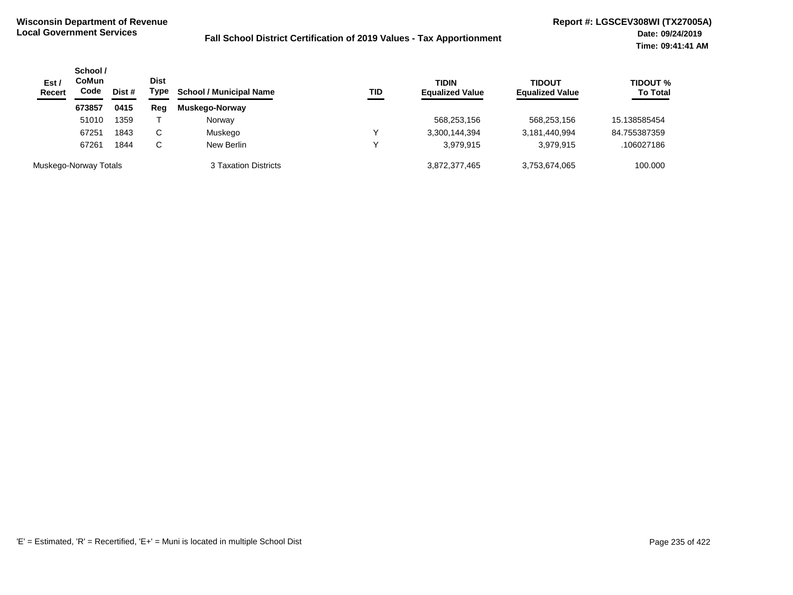| Est/<br><b>Recert</b> | School /<br><b>CoMun</b><br>Code | Dist # | <b>Dist</b><br>Type | <b>School / Municipal Name</b> | TID | <b>TIDIN</b><br><b>Equalized Value</b> | <b>TIDOUT</b><br><b>Equalized Value</b> | <b>TIDOUT %</b><br><b>To Total</b> |
|-----------------------|----------------------------------|--------|---------------------|--------------------------------|-----|----------------------------------------|-----------------------------------------|------------------------------------|
|                       | 673857                           | 0415   | Reg                 | Muskego-Norway                 |     |                                        |                                         |                                    |
|                       | 51010                            | 1359   |                     | Norway                         |     | 568,253,156                            | 568,253,156                             | 15.138585454                       |
|                       | 67251                            | 1843   | C                   | Muskego                        | ν   | 3,300,144,394                          | 3,181,440,994                           | 84.755387359                       |
|                       | 67261                            | 1844   | C                   | New Berlin                     |     | 3.979.915                              | 3,979,915                               | .106027186                         |
|                       | Muskego-Norway Totals            |        |                     | 3 Taxation Districts           |     | 3,872,377,465                          | 3,753,674,065                           | 100.000                            |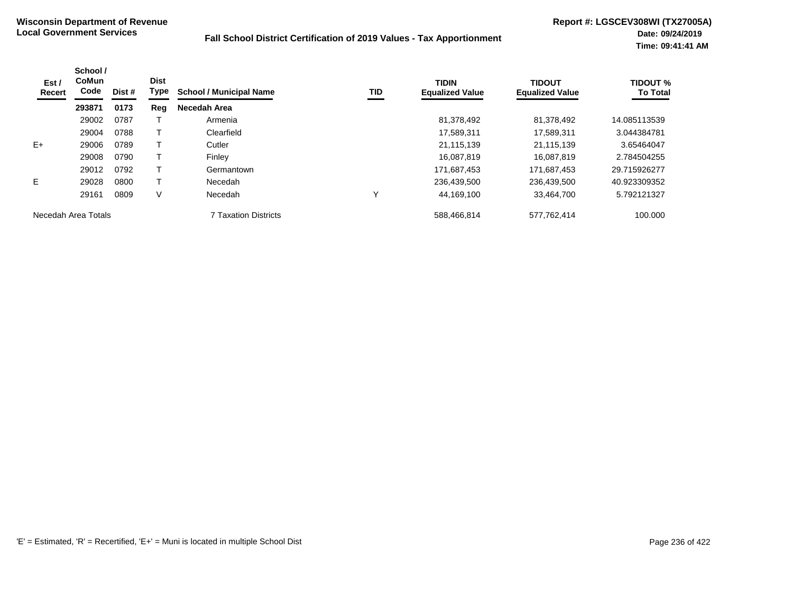| Est /<br>Recert     | School /<br><b>CoMun</b><br>Code | Dist # | <b>Dist</b><br><b>Type</b> | <b>School / Municipal Name</b> | <b>TID</b> | <b>TIDIN</b><br><b>Equalized Value</b> | <b>TIDOUT</b><br><b>Equalized Value</b> | <b>TIDOUT %</b><br><b>To Total</b> |
|---------------------|----------------------------------|--------|----------------------------|--------------------------------|------------|----------------------------------------|-----------------------------------------|------------------------------------|
|                     | 293871                           | 0173   | Reg                        | Necedah Area                   |            |                                        |                                         |                                    |
|                     | 29002                            | 0787   |                            | Armenia                        |            | 81,378,492                             | 81,378,492                              | 14.085113539                       |
|                     | 29004                            | 0788   |                            | Clearfield                     |            | 17,589,311                             | 17,589,311                              | 3.044384781                        |
| $E+$                | 29006                            | 0789   |                            | Cutler                         |            | 21,115,139                             | 21.115.139                              | 3.65464047                         |
|                     | 29008                            | 0790   |                            | Finley                         |            | 16,087,819                             | 16.087.819                              | 2.784504255                        |
|                     | 29012                            | 0792   |                            | Germantown                     |            | 171,687,453                            | 171,687,453                             | 29.715926277                       |
| E.                  | 29028                            | 0800   |                            | Necedah                        |            | 236,439,500                            | 236,439,500                             | 40.923309352                       |
|                     | 29161                            | 0809   | V                          | Necedah                        | ν          | 44,169,100                             | 33,464,700                              | 5.792121327                        |
| Necedah Area Totals |                                  |        |                            | <b>7 Taxation Districts</b>    |            | 588,466,814                            | 577,762,414                             | 100.000                            |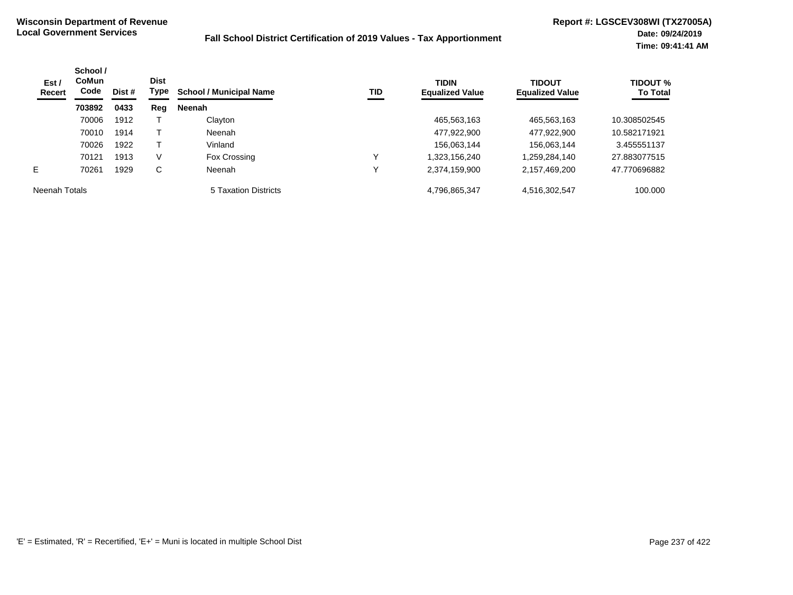| Est /<br>Recert | School /<br><b>CoMun</b><br>Code | Dist # | <b>Dist</b><br>Type | <b>School / Municipal Name</b> | TID | <b>TIDIN</b><br><b>Equalized Value</b> | <b>TIDOUT</b><br><b>Equalized Value</b> | <b>TIDOUT %</b><br><b>To Total</b> |
|-----------------|----------------------------------|--------|---------------------|--------------------------------|-----|----------------------------------------|-----------------------------------------|------------------------------------|
|                 | 703892                           | 0433   | Reg                 | <b>Neenah</b>                  |     |                                        |                                         |                                    |
|                 | 70006                            | 1912   |                     | Clayton                        |     | 465,563,163                            | 465,563,163                             | 10.308502545                       |
|                 | 70010                            | 1914   |                     | Neenah                         |     | 477,922,900                            | 477,922,900                             | 10.582171921                       |
|                 | 70026                            | 1922   |                     | Vinland                        |     | 156,063,144                            | 156,063,144                             | 3.455551137                        |
|                 | 70121                            | 1913   | V                   | Fox Crossing                   |     | 1,323,156,240                          | 1,259,284,140                           | 27.883077515                       |
| E.              | 70261                            | 1929   | С                   | <b>Neenah</b>                  |     | 2,374,159,900                          | 2,157,469,200                           | 47.770696882                       |
| Neenah Totals   |                                  |        |                     | 5 Taxation Districts           |     | 4,796,865,347                          | 4,516,302,547                           | 100.000                            |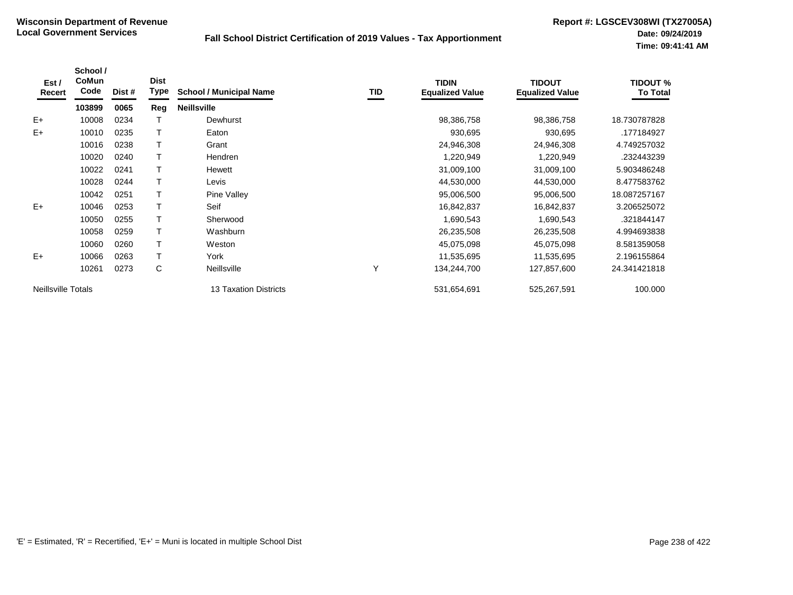| Est /<br>Recert           | School /<br>CoMun<br>Code | Dist # | <b>Dist</b><br>Type | <b>School / Municipal Name</b> | TID | <b>TIDIN</b><br><b>Equalized Value</b> | <b>TIDOUT</b><br><b>Equalized Value</b> | <b>TIDOUT %</b><br><b>To Total</b> |
|---------------------------|---------------------------|--------|---------------------|--------------------------------|-----|----------------------------------------|-----------------------------------------|------------------------------------|
|                           | 103899                    | 0065   | Reg                 | <b>Neillsville</b>             |     |                                        |                                         |                                    |
| $E+$                      | 10008                     | 0234   |                     | Dewhurst                       |     | 98,386,758                             | 98,386,758                              | 18.730787828                       |
| $E+$                      | 10010                     | 0235   |                     | Eaton                          |     | 930,695                                | 930,695                                 | .177184927                         |
|                           | 10016                     | 0238   |                     | Grant                          |     | 24,946,308                             | 24,946,308                              | 4.749257032                        |
|                           | 10020                     | 0240   |                     | <b>Hendren</b>                 |     | 1,220,949                              | 1,220,949                               | .232443239                         |
|                           | 10022                     | 0241   |                     | Hewett                         |     | 31,009,100                             | 31,009,100                              | 5.903486248                        |
|                           | 10028                     | 0244   |                     | Levis                          |     | 44,530,000                             | 44,530,000                              | 8.477583762                        |
|                           | 10042                     | 0251   |                     | Pine Valley                    |     | 95,006,500                             | 95,006,500                              | 18.087257167                       |
| $E+$                      | 10046                     | 0253   |                     | Seif                           |     | 16,842,837                             | 16,842,837                              | 3.206525072                        |
|                           | 10050                     | 0255   |                     | Sherwood                       |     | 1,690,543                              | 1,690,543                               | .321844147                         |
|                           | 10058                     | 0259   |                     | Washburn                       |     | 26,235,508                             | 26,235,508                              | 4.994693838                        |
|                           | 10060                     | 0260   |                     | Weston                         |     | 45,075,098                             | 45,075,098                              | 8.581359058                        |
| $E+$                      | 10066                     | 0263   |                     | York                           |     | 11,535,695                             | 11,535,695                              | 2.196155864                        |
|                           | 10261                     | 0273   | C                   | Neillsville                    | Υ   | 134,244,700                            | 127,857,600                             | 24.341421818                       |
| <b>Neillsville Totals</b> |                           |        |                     | <b>13 Taxation Districts</b>   |     | 531,654,691                            | 525,267,591                             | 100.000                            |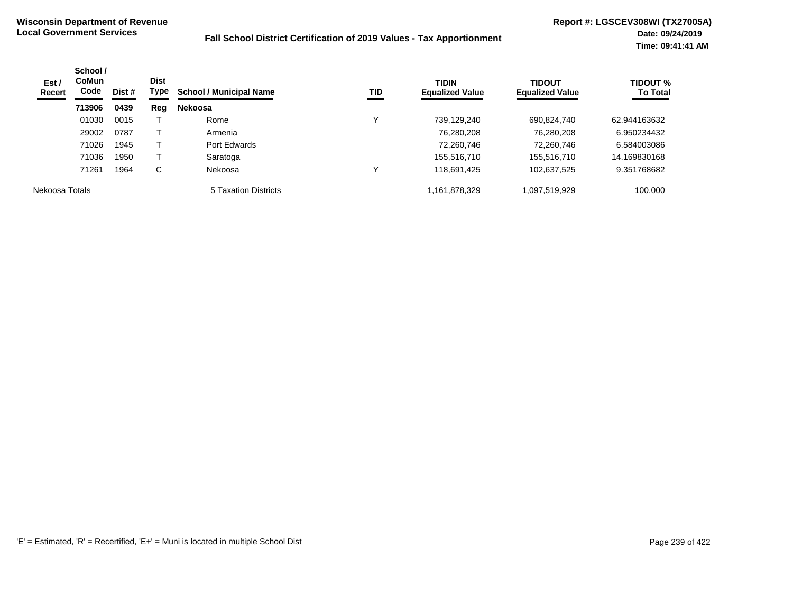| Est/<br><b>Recert</b> | School /<br><b>CoMun</b><br>Code | <b>Dist</b><br>Type<br>Dist # |     | <b>School / Municipal Name</b><br>TID | <b>TIDIN</b><br><b>Equalized Value</b> | <b>TIDOUT</b><br><b>Equalized Value</b> | <b>TIDOUT %</b><br><b>To Total</b> |              |
|-----------------------|----------------------------------|-------------------------------|-----|---------------------------------------|----------------------------------------|-----------------------------------------|------------------------------------|--------------|
|                       | 713906                           | 0439                          | Reg | <b>Nekoosa</b>                        |                                        |                                         |                                    |              |
|                       | 01030                            | 0015                          |     | Rome                                  |                                        | 739,129,240                             | 690,824,740                        | 62.944163632 |
|                       | 29002                            | 0787                          |     | Armenia                               |                                        | 76,280,208                              | 76,280,208                         | 6.950234432  |
|                       | 71026                            | 1945                          |     | Port Edwards                          |                                        | 72,260,746                              | 72,260,746                         | 6.584003086  |
|                       | 71036                            | 1950                          |     | Saratoga                              |                                        | 155,516,710                             | 155,516,710                        | 14.169830168 |
|                       | 71261                            | 1964                          | C   | Nekoosa                               |                                        | 118,691,425                             | 102,637,525                        | 9.351768682  |
| Nekoosa Totals        |                                  |                               |     | 5 Taxation Districts                  |                                        | 1,161,878,329                           | 1,097,519,929                      | 100.000      |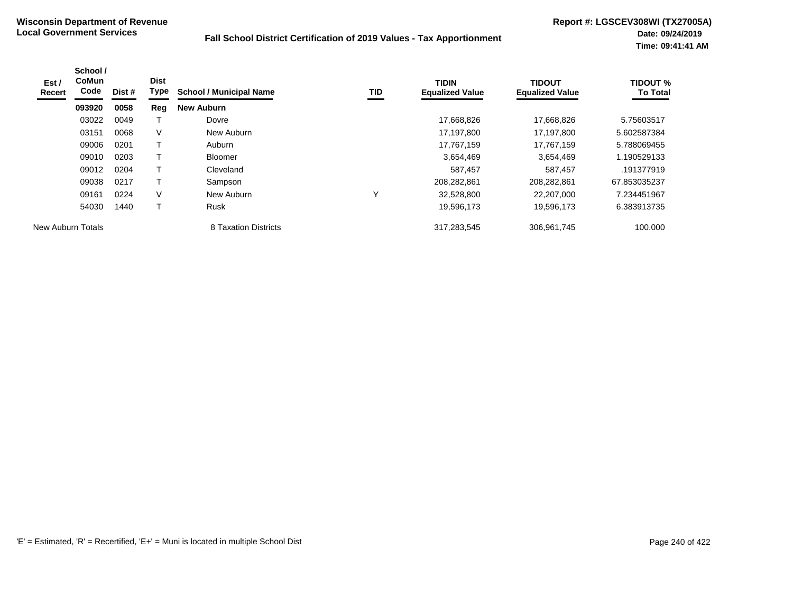| Est /<br>Recert   | School /<br><b>CoMun</b><br>Code | Dist # | <b>Dist</b><br>Type | <b>School / Municipal Name</b> | TID | <b>TIDIN</b><br><b>Equalized Value</b> | <b>TIDOUT</b><br><b>Equalized Value</b> | <b>TIDOUT %</b><br><b>To Total</b> |
|-------------------|----------------------------------|--------|---------------------|--------------------------------|-----|----------------------------------------|-----------------------------------------|------------------------------------|
|                   | 093920                           | 0058   | Reg                 | <b>New Auburn</b>              |     |                                        |                                         |                                    |
|                   | 03022                            | 0049   |                     | Dovre                          |     | 17,668,826                             | 17,668,826                              | 5.75603517                         |
|                   | 03151                            | 0068   | V                   | New Auburn                     |     | 17,197,800                             | 17,197,800                              | 5.602587384                        |
|                   | 09006                            | 0201   |                     | Auburn                         |     | 17,767,159                             | 17.767.159                              | 5.788069455                        |
|                   | 09010                            | 0203   |                     | <b>Bloomer</b>                 |     | 3,654,469                              | 3,654,469                               | 1.190529133                        |
|                   | 09012                            | 0204   |                     | Cleveland                      |     | 587,457                                | 587,457                                 | .191377919                         |
|                   | 09038                            | 0217   |                     | Sampson                        |     | 208,282,861                            | 208,282,861                             | 67.853035237                       |
|                   | 09161                            | 0224   | V                   | New Auburn                     |     | 32,528,800                             | 22,207,000                              | 7.234451967                        |
|                   | 54030                            | 1440   |                     | <b>Rusk</b>                    |     | 19,596,173                             | 19,596,173                              | 6.383913735                        |
| New Auburn Totals |                                  |        |                     | 8 Taxation Districts           |     | 317,283,545                            | 306,961,745                             | 100.000                            |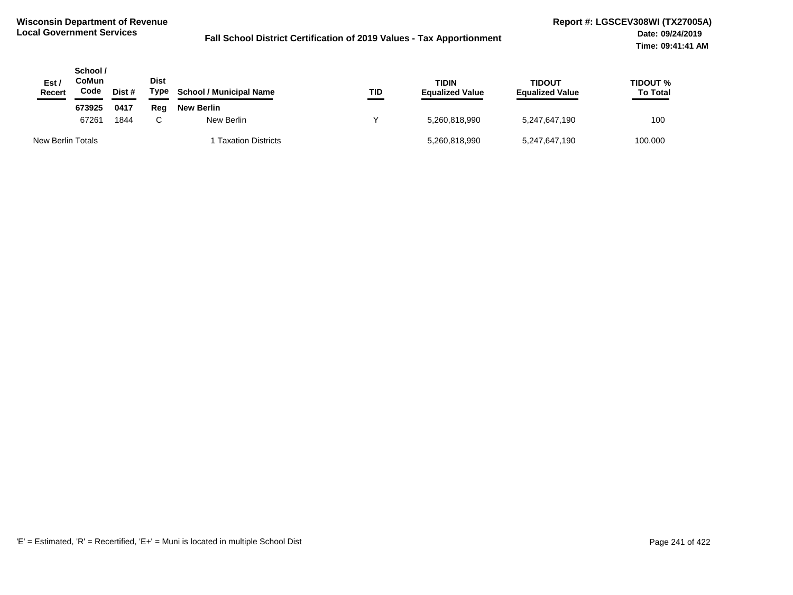| Est /<br>Recert   | School /<br>CoMun<br>Code | Dist # | Dist<br>Type | <b>School / Municipal Name</b> | TID | <b>TIDIN</b><br><b>Equalized Value</b> | <b>TIDOUT</b><br><b>Equalized Value</b> | TIDOUT %<br><b>To Total</b> |
|-------------------|---------------------------|--------|--------------|--------------------------------|-----|----------------------------------------|-----------------------------------------|-----------------------------|
|                   | 673925                    | 0417   | Rea          | New Berlin                     |     |                                        |                                         |                             |
|                   | 67261                     | 1844   | C.           | New Berlin                     |     | 5,260,818,990                          | 5,247,647,190                           | 100                         |
| New Berlin Totals |                           |        |              | 1 Taxation Districts           |     | 5,260,818,990                          | 5,247,647,190                           | 100.000                     |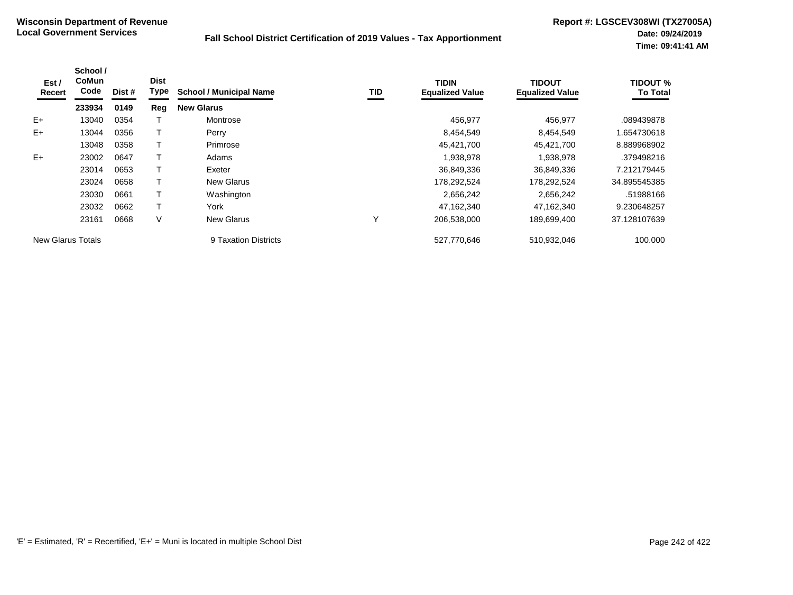| Est /<br>Recert          | School /<br><b>CoMun</b><br>Code | Dist # | <b>Dist</b><br>Type | <b>School / Municipal Name</b> | TID | <b>TIDIN</b><br><b>Equalized Value</b> | <b>TIDOUT</b><br><b>Equalized Value</b> | <b>TIDOUT %</b><br><b>To Total</b> |
|--------------------------|----------------------------------|--------|---------------------|--------------------------------|-----|----------------------------------------|-----------------------------------------|------------------------------------|
|                          | 233934                           | 0149   | Reg                 | <b>New Glarus</b>              |     |                                        |                                         |                                    |
| $E+$                     | 13040                            | 0354   |                     | Montrose                       |     | 456.977                                | 456,977                                 | .089439878                         |
| $E+$                     | 13044                            | 0356   |                     | Perry                          |     | 8,454,549                              | 8,454,549                               | 1.654730618                        |
|                          | 13048                            | 0358   |                     | Primrose                       |     | 45,421,700                             | 45,421,700                              | 8.889968902                        |
| $E+$                     | 23002                            | 0647   |                     | Adams                          |     | 1,938,978                              | 1,938,978                               | .379498216                         |
|                          | 23014                            | 0653   |                     | Exeter                         |     | 36,849,336                             | 36,849,336                              | 7.212179445                        |
|                          | 23024                            | 0658   |                     | <b>New Glarus</b>              |     | 178,292,524                            | 178,292,524                             | 34.895545385                       |
|                          | 23030                            | 0661   |                     | Washington                     |     | 2,656,242                              | 2,656,242                               | .51988166                          |
|                          | 23032                            | 0662   |                     | York                           |     | 47,162,340                             | 47.162.340                              | 9.230648257                        |
|                          | 23161                            | 0668   | V                   | <b>New Glarus</b>              | Υ   | 206,538,000                            | 189,699,400                             | 37.128107639                       |
| <b>New Glarus Totals</b> |                                  |        |                     | 9 Taxation Districts           |     | 527.770.646                            | 510.932.046                             | 100.000                            |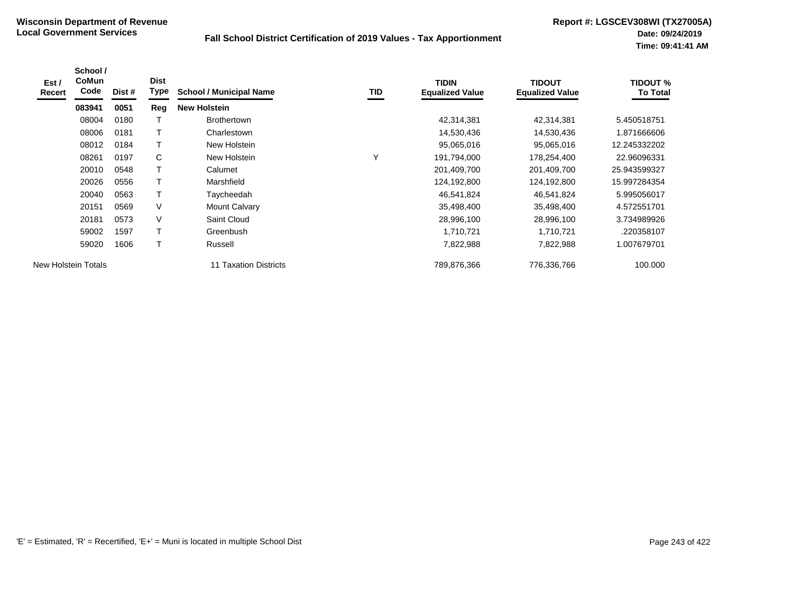| Est /<br><b>Recert</b> | School /<br><b>CoMun</b><br>Code | Dist # | <b>Dist</b><br>Type | <b>School / Municipal Name</b> | TID | <b>TIDIN</b><br><b>Equalized Value</b> | <b>TIDOUT</b><br><b>Equalized Value</b> | <b>TIDOUT %</b><br><b>To Total</b> |
|------------------------|----------------------------------|--------|---------------------|--------------------------------|-----|----------------------------------------|-----------------------------------------|------------------------------------|
|                        | 083941                           | 0051   | Reg                 | <b>New Holstein</b>            |     |                                        |                                         |                                    |
|                        | 08004                            | 0180   |                     | <b>Brothertown</b>             |     | 42,314,381                             | 42,314,381                              | 5.450518751                        |
|                        | 08006                            | 0181   |                     | Charlestown                    |     | 14,530,436                             | 14,530,436                              | 1.871666606                        |
|                        | 08012                            | 0184   |                     | New Holstein                   |     | 95,065,016                             | 95,065,016                              | 12.245332202                       |
|                        | 08261                            | 0197   | C                   | New Holstein                   | v   | 191,794,000                            | 178,254,400                             | 22.96096331                        |
|                        | 20010                            | 0548   |                     | Calumet                        |     | 201,409,700                            | 201,409,700                             | 25.943599327                       |
|                        | 20026                            | 0556   |                     | Marshfield                     |     | 124,192,800                            | 124,192,800                             | 15.997284354                       |
|                        | 20040                            | 0563   | T                   | Taycheedah                     |     | 46,541,824                             | 46,541,824                              | 5.995056017                        |
|                        | 20151                            | 0569   | V                   | <b>Mount Calvary</b>           |     | 35,498,400                             | 35,498,400                              | 4.572551701                        |
|                        | 20181                            | 0573   | V                   | Saint Cloud                    |     | 28,996,100                             | 28,996,100                              | 3.734989926                        |
|                        | 59002                            | 1597   |                     | Greenbush                      |     | 1,710,721                              | 1,710,721                               | .220358107                         |
|                        | 59020                            | 1606   |                     | Russell                        |     | 7,822,988                              | 7,822,988                               | 1.007679701                        |
| New Holstein Totals    |                                  |        |                     | 11 Taxation Districts          |     | 789,876,366                            | 776,336,766                             | 100.000                            |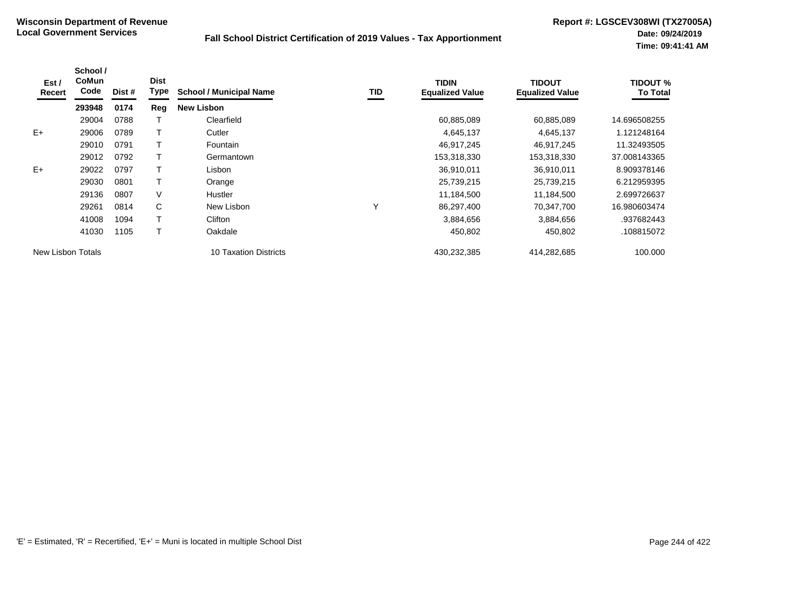| Est /<br>Recert   | School /<br><b>CoMun</b><br>Code | Dist # | <b>Dist</b><br><b>Type</b> | <b>School / Municipal Name</b> | TID | <b>TIDIN</b><br><b>Equalized Value</b> | <b>TIDOUT</b><br><b>Equalized Value</b> | <b>TIDOUT %</b><br><b>To Total</b> |
|-------------------|----------------------------------|--------|----------------------------|--------------------------------|-----|----------------------------------------|-----------------------------------------|------------------------------------|
|                   | 293948                           | 0174   | Reg                        | <b>New Lisbon</b>              |     |                                        |                                         |                                    |
|                   | 29004                            | 0788   |                            | Clearfield                     |     | 60,885,089                             | 60,885,089                              | 14.696508255                       |
| $E+$              | 29006                            | 0789   |                            | Cutler                         |     | 4,645,137                              | 4,645,137                               | 1.121248164                        |
|                   | 29010                            | 0791   |                            | <b>Fountain</b>                |     | 46,917,245                             | 46,917,245                              | 11.32493505                        |
|                   | 29012                            | 0792   |                            | Germantown                     |     | 153,318,330                            | 153,318,330                             | 37.008143365                       |
| $E+$              | 29022                            | 0797   |                            | Lisbon                         |     | 36,910,011                             | 36,910,011                              | 8.909378146                        |
|                   | 29030                            | 0801   |                            | Orange                         |     | 25,739,215                             | 25,739,215                              | 6.212959395                        |
|                   | 29136                            | 0807   | V                          | <b>Hustler</b>                 |     | 11,184,500                             | 11,184,500                              | 2.699726637                        |
|                   | 29261                            | 0814   | C                          | New Lisbon                     | Υ   | 86,297,400                             | 70,347,700                              | 16.980603474                       |
|                   | 41008                            | 1094   |                            | Clifton                        |     | 3,884,656                              | 3,884,656                               | .937682443                         |
|                   | 41030                            | 1105   |                            | Oakdale                        |     | 450,802                                | 450,802                                 | .108815072                         |
| New Lisbon Totals |                                  |        |                            | 10 Taxation Districts          |     | 430,232,385                            | 414,282,685                             | 100.000                            |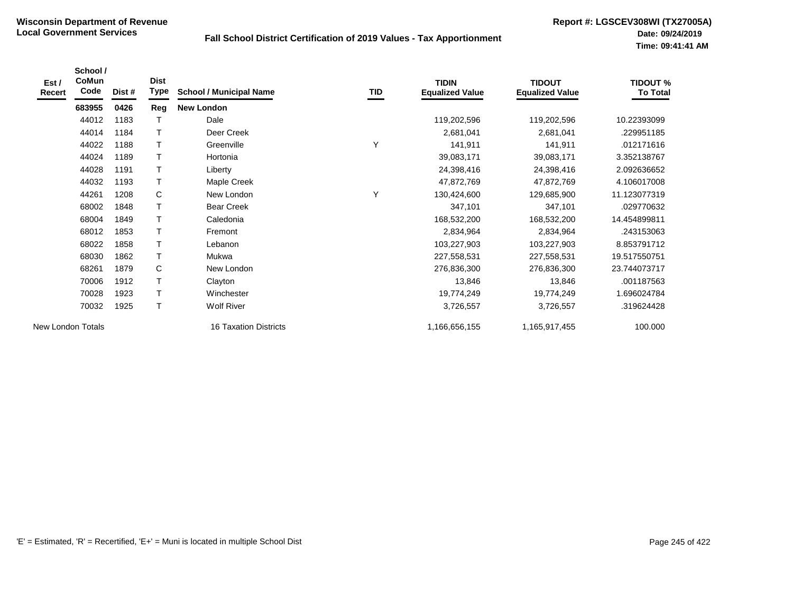| Est /<br>Recert   | School /<br>CoMun<br>Code | Dist # | <b>Dist</b><br>Type | <b>School / Municipal Name</b> | TID | <b>TIDIN</b><br><b>Equalized Value</b> | <b>TIDOUT</b><br><b>Equalized Value</b> | <b>TIDOUT %</b><br><b>To Total</b> |
|-------------------|---------------------------|--------|---------------------|--------------------------------|-----|----------------------------------------|-----------------------------------------|------------------------------------|
|                   | 683955                    | 0426   | Reg                 | <b>New London</b>              |     |                                        |                                         |                                    |
|                   | 44012                     | 1183   | Т                   | Dale                           |     | 119,202,596                            | 119,202,596                             | 10.22393099                        |
|                   | 44014                     | 1184   | T                   | Deer Creek                     |     | 2,681,041                              | 2,681,041                               | 229951185                          |
|                   | 44022                     | 1188   | $\mathsf{T}$        | Greenville                     | Υ   | 141,911                                | 141,911                                 | .012171616                         |
|                   | 44024                     | 1189   | $\mathsf T$         | Hortonia                       |     | 39,083,171                             | 39,083,171                              | 3.352138767                        |
|                   | 44028                     | 1191   | $\mathsf{T}$        | Liberty                        |     | 24,398,416                             | 24,398,416                              | 2.092636652                        |
|                   | 44032                     | 1193   | $\mathsf T$         | Maple Creek                    |     | 47,872,769                             | 47,872,769                              | 4.106017008                        |
|                   | 44261                     | 1208   | C                   | New London                     | Υ   | 130,424,600                            | 129,685,900                             | 11.123077319                       |
|                   | 68002                     | 1848   | T                   | <b>Bear Creek</b>              |     | 347,101                                | 347,101                                 | .029770632                         |
|                   | 68004                     | 1849   | $\mathsf T$         | Caledonia                      |     | 168,532,200                            | 168,532,200                             | 14.454899811                       |
|                   | 68012                     | 1853   | $\mathsf{T}$        | Fremont                        |     | 2,834,964                              | 2,834,964                               | .243153063                         |
|                   | 68022                     | 1858   | $\mathsf T$         | Lebanon                        |     | 103,227,903                            | 103,227,903                             | 8.853791712                        |
|                   | 68030                     | 1862   | $\mathsf{T}$        | Mukwa                          |     | 227,558,531                            | 227,558,531                             | 19.517550751                       |
|                   | 68261                     | 1879   | C                   | New London                     |     | 276,836,300                            | 276,836,300                             | 23.744073717                       |
|                   | 70006                     | 1912   | T                   | Clayton                        |     | 13,846                                 | 13,846                                  | .001187563                         |
|                   | 70028                     | 1923   | $\mathsf{T}$        | Winchester                     |     | 19,774,249                             | 19,774,249                              | 1.696024784                        |
|                   | 70032                     | 1925   | $\mathsf{T}$        | <b>Wolf River</b>              |     | 3,726,557                              | 3,726,557                               | .319624428                         |
| New London Totals |                           |        |                     | <b>16 Taxation Districts</b>   |     | 1,166,656,155                          | 1,165,917,455                           | 100.000                            |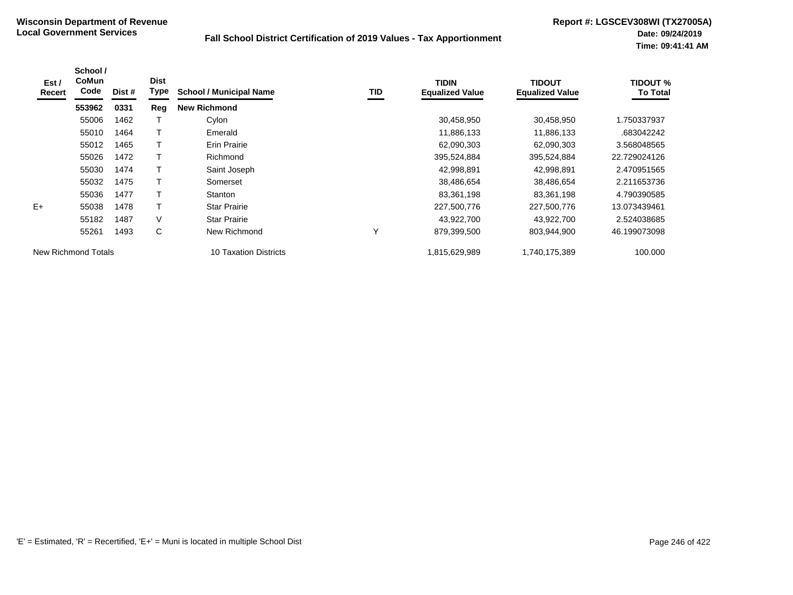| Est /<br>Recert     | School /<br>CoMun<br>Code | Dist # | <b>Dist</b><br>Type | <b>School / Municipal Name</b> | TID | <b>TIDIN</b><br><b>Equalized Value</b> | <b>TIDOUT</b><br><b>Equalized Value</b> | <b>TIDOUT %</b><br><b>To Total</b> |
|---------------------|---------------------------|--------|---------------------|--------------------------------|-----|----------------------------------------|-----------------------------------------|------------------------------------|
|                     | 553962                    | 0331   | Reg                 | <b>New Richmond</b>            |     |                                        |                                         |                                    |
|                     | 55006                     | 1462   |                     | Cylon                          |     | 30,458,950                             | 30,458,950                              | 1.750337937                        |
|                     | 55010                     | 1464   |                     | Emerald                        |     | 11,886,133                             | 11,886,133                              | .683042242                         |
|                     | 55012                     | 1465   |                     | <b>Erin Prairie</b>            |     | 62,090,303                             | 62,090,303                              | 3.568048565                        |
|                     | 55026                     | 1472   |                     | Richmond                       |     | 395,524,884                            | 395,524,884                             | 22.729024126                       |
|                     | 55030                     | 1474   |                     | Saint Joseph                   |     | 42,998,891                             | 42.998.891                              | 2.470951565                        |
|                     | 55032                     | 1475   |                     | Somerset                       |     | 38,486,654                             | 38,486,654                              | 2.211653736                        |
|                     | 55036                     | 1477   |                     | Stanton                        |     | 83,361,198                             | 83,361,198                              | 4.790390585                        |
| $E+$                | 55038                     | 1478   | Т                   | <b>Star Prairie</b>            |     | 227,500,776                            | 227,500,776                             | 13.073439461                       |
|                     | 55182                     | 1487   | V                   | <b>Star Prairie</b>            |     | 43,922,700                             | 43,922,700                              | 2.524038685                        |
|                     | 55261                     | 1493   | C                   | New Richmond                   | Υ   | 879,399,500                            | 803,944,900                             | 46.199073098                       |
| New Richmond Totals |                           |        |                     | 10 Taxation Districts          |     | 1,815,629,989                          | 1,740,175,389                           | 100.000                            |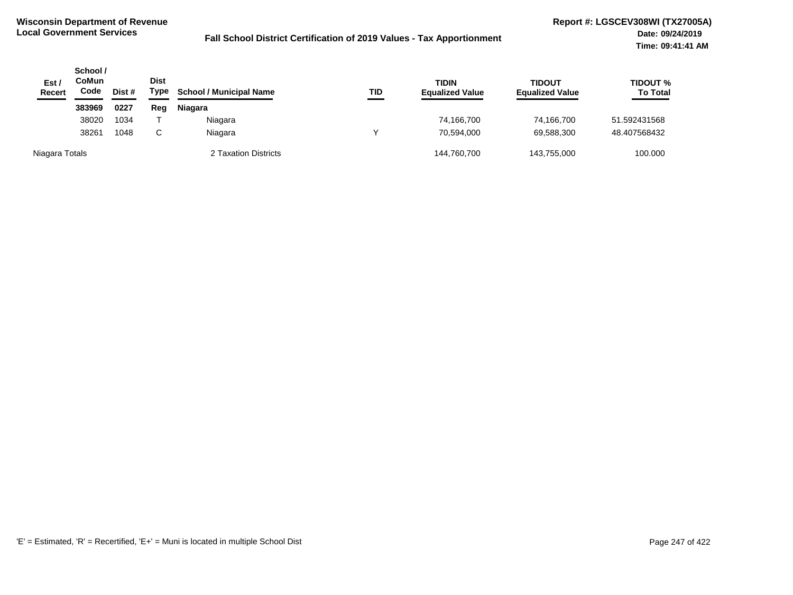| Est /<br><b>Recert</b> | School /<br>CoMun<br>Code<br>Dist # |      | <b>Dist</b><br>Type | <b>School / Municipal Name</b> | TID | <b>TIDIN</b><br><b>Equalized Value</b> | <b>TIDOUT</b><br><b>Equalized Value</b> | <b>TIDOUT %</b><br><b>To Total</b> |
|------------------------|-------------------------------------|------|---------------------|--------------------------------|-----|----------------------------------------|-----------------------------------------|------------------------------------|
|                        | 383969                              | 0227 | Reg                 | <b>Niagara</b>                 |     |                                        |                                         |                                    |
|                        | 38020                               | 1034 |                     | Niagara                        |     | 74,166,700                             | 74,166,700                              | 51.592431568                       |
|                        | 38261                               | 1048 |                     | Niagara                        |     | 70,594,000                             | 69,588,300                              | 48.407568432                       |
| Niagara Totals         |                                     |      |                     | 2 Taxation Districts           |     | 144,760,700                            | 143.755.000                             | 100.000                            |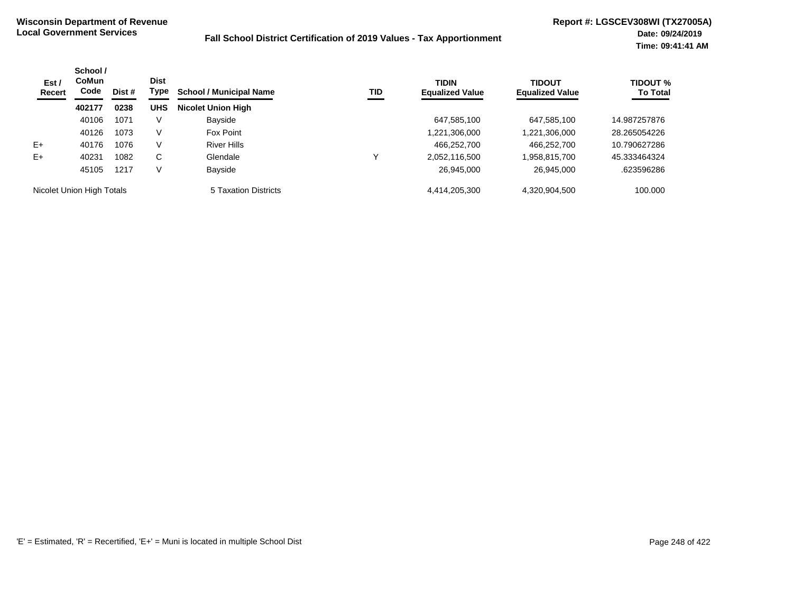| Est /<br>Recert           | School /<br><b>CoMun</b><br>Code | Dist # | <b>Dist</b><br>Type | <b>School / Municipal Name</b> | TID | <b>TIDIN</b><br><b>Equalized Value</b> | <b>TIDOUT</b><br><b>Equalized Value</b> | <b>TIDOUT %</b><br><b>To Total</b> |
|---------------------------|----------------------------------|--------|---------------------|--------------------------------|-----|----------------------------------------|-----------------------------------------|------------------------------------|
|                           | 402177                           | 0238   | <b>UHS</b>          | <b>Nicolet Union High</b>      |     |                                        |                                         |                                    |
|                           | 40106                            | 1071   | V                   | Bayside                        |     | 647,585,100                            | 647,585,100                             | 14.987257876                       |
|                           | 40126                            | 1073   | V                   | Fox Point                      |     | 1,221,306,000                          | 1,221,306,000                           | 28.265054226                       |
| $E+$                      | 40176                            | 1076   | V                   | <b>River Hills</b>             |     | 466,252,700                            | 466,252,700                             | 10.790627286                       |
| $E+$                      | 40231                            | 1082   | C                   | Glendale                       | ν   | 2,052,116,500                          | 1,958,815,700                           | 45.333464324                       |
|                           | 45105                            | 1217   | V                   | Bayside                        |     | 26,945,000                             | 26,945,000                              | .623596286                         |
| Nicolet Union High Totals |                                  |        |                     | 5 Taxation Districts           |     | 4,414,205,300                          | 4,320,904,500                           | 100.000                            |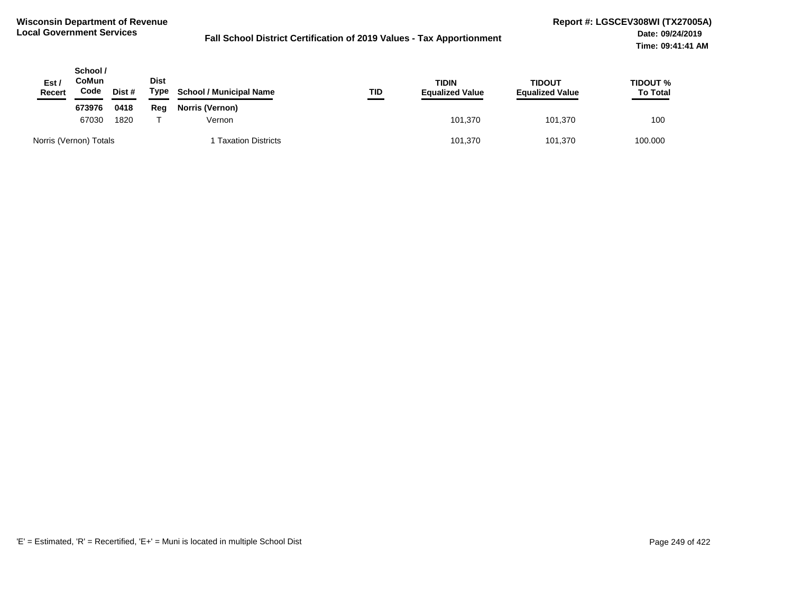| Est/<br><b>Recert</b> | School /<br>CoMun<br>Code | Dist # | Dist<br>Type | <b>School / Municipal Name</b> | TID     | <b>TIDIN</b><br><b>Equalized Value</b> | TIDOUT<br><b>Equalized Value</b> | <b>TIDOUT %</b><br><b>To Total</b> |
|-----------------------|---------------------------|--------|--------------|--------------------------------|---------|----------------------------------------|----------------------------------|------------------------------------|
|                       | 673976                    | 0418   | Reg          | Norris (Vernon)                |         |                                        |                                  |                                    |
|                       | 67030<br>1820             |        | Vernon       |                                | 101.370 | 101.370                                | 100                              |                                    |
|                       | Norris (Vernon) Totals    |        |              | <b>Taxation Districts</b>      |         | 101,370                                | 101,370                          | 100.000                            |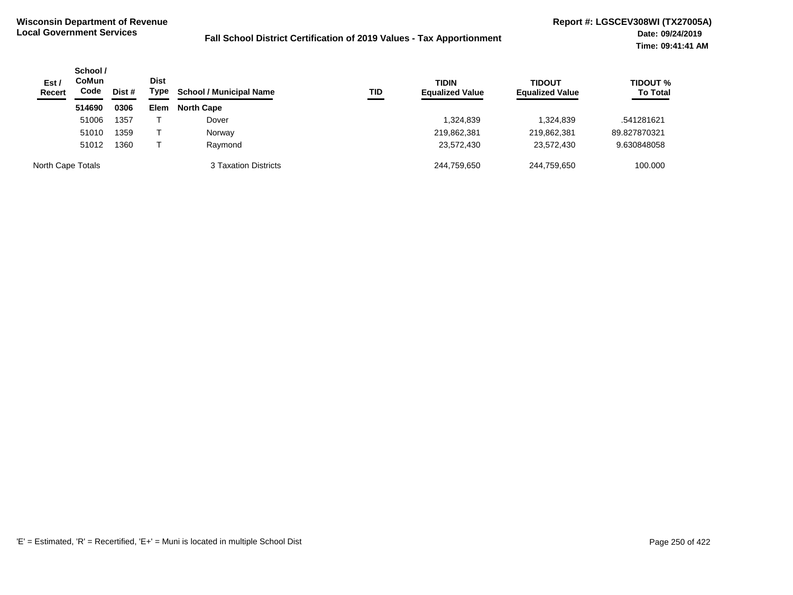| Est/<br><b>Recert</b> | School /<br><b>CoMun</b><br>Code | Dist # | <b>Dist</b><br>Type | <b>School / Municipal Name</b> | TID | <b>TIDIN</b><br><b>Equalized Value</b> | <b>TIDOUT</b><br><b>Equalized Value</b> | <b>TIDOUT %</b><br><b>To Total</b> |
|-----------------------|----------------------------------|--------|---------------------|--------------------------------|-----|----------------------------------------|-----------------------------------------|------------------------------------|
|                       | 514690                           | 0306   | <b>Elem</b>         | <b>North Cape</b>              |     |                                        |                                         |                                    |
|                       | 51006                            | 1357   |                     | Dover                          |     | 324,839                                | 1,324,839                               | .541281621                         |
|                       | 51010                            | 1359   |                     | Norway                         |     | 219,862,381                            | 219,862,381                             | 89.827870321                       |
|                       | 51012                            | 1360   |                     | Raymond                        |     | 23,572,430                             | 23,572,430                              | 9.630848058                        |
| North Cape Totals     |                                  |        |                     | 3 Taxation Districts           |     | 244.759.650                            | 244.759.650                             | 100.000                            |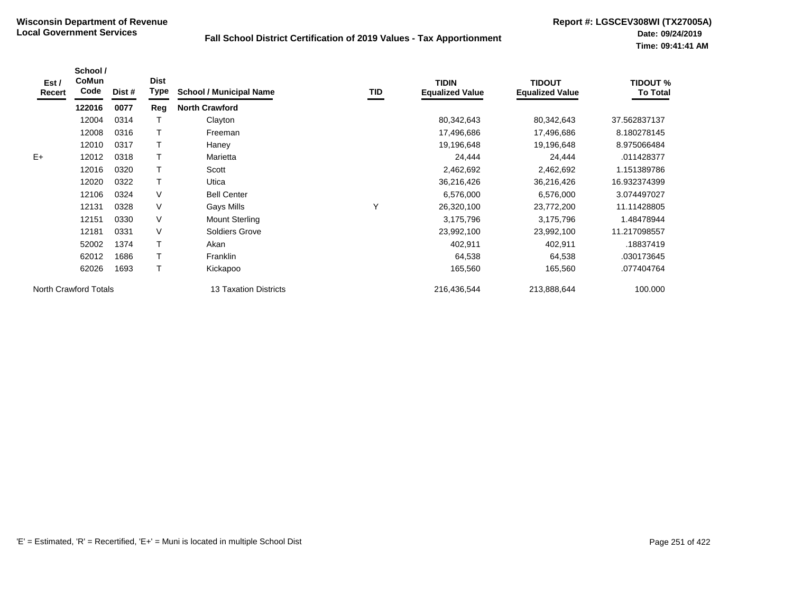| Est /<br><b>Recert</b> | School /<br>CoMun<br>Code | Dist # | <b>Dist</b><br>Type | <b>School / Municipal Name</b> | TID | <b>TIDIN</b><br><b>Equalized Value</b> | <b>TIDOUT</b><br><b>Equalized Value</b> | <b>TIDOUT %</b><br><b>To Total</b> |
|------------------------|---------------------------|--------|---------------------|--------------------------------|-----|----------------------------------------|-----------------------------------------|------------------------------------|
|                        | 122016                    | 0077   | Reg                 | <b>North Crawford</b>          |     |                                        |                                         |                                    |
|                        | 12004                     | 0314   |                     | Clayton                        |     | 80,342,643                             | 80,342,643                              | 37.562837137                       |
|                        | 12008                     | 0316   |                     | Freeman                        |     | 17,496,686                             | 17,496,686                              | 8.180278145                        |
|                        | 12010                     | 0317   |                     | Haney                          |     | 19,196,648                             | 19,196,648                              | 8.975066484                        |
| $E+$                   | 12012                     | 0318   |                     | Marietta                       |     | 24,444                                 | 24,444                                  | .011428377                         |
|                        | 12016                     | 0320   |                     | Scott                          |     | 2,462,692                              | 2,462,692                               | 1.151389786                        |
|                        | 12020                     | 0322   |                     | Utica                          |     | 36,216,426                             | 36,216,426                              | 16.932374399                       |
|                        | 12106                     | 0324   | V                   | <b>Bell Center</b>             |     | 6,576,000                              | 6,576,000                               | 3.074497027                        |
|                        | 12131                     | 0328   | V                   | Gays Mills                     | Υ   | 26,320,100                             | 23,772,200                              | 11.11428805                        |
|                        | 12151                     | 0330   | V                   | <b>Mount Sterling</b>          |     | 3,175,796                              | 3,175,796                               | 1.48478944                         |
|                        | 12181                     | 0331   | V                   | Soldiers Grove                 |     | 23,992,100                             | 23,992,100                              | 11.217098557                       |
|                        | 52002                     | 1374   |                     | Akan                           |     | 402,911                                | 402,911                                 | .18837419                          |
|                        | 62012                     | 1686   |                     | Franklin                       |     | 64,538                                 | 64,538                                  | .030173645                         |
|                        | 62026                     | 1693   |                     | Kickapoo                       |     | 165,560                                | 165,560                                 | .077404764                         |
| North Crawford Totals  |                           |        |                     | <b>13 Taxation Districts</b>   |     | 216,436,544                            | 213,888,644                             | 100.000                            |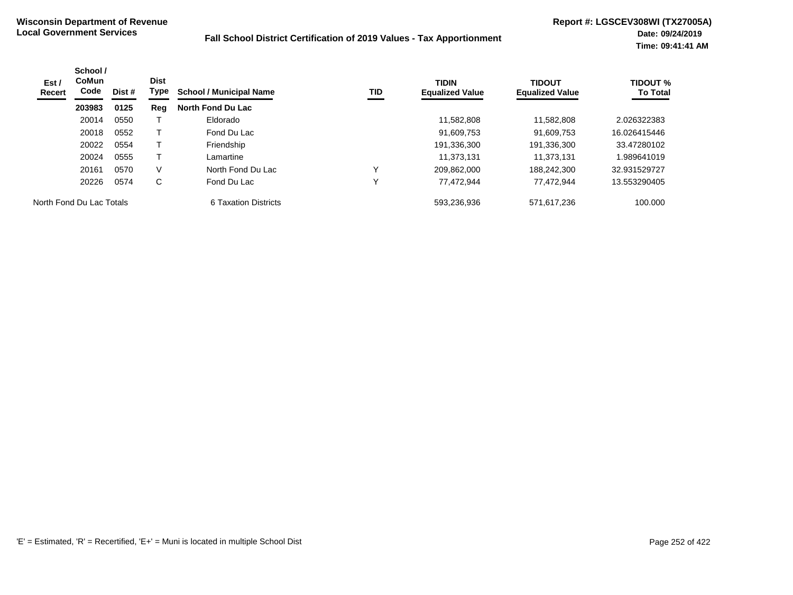| Est /<br>Recert          | School /<br>CoMun<br>Code | Dist # | <b>Dist</b><br>Type | <b>School / Municipal Name</b> | TID | <b>TIDIN</b><br><b>Equalized Value</b> | <b>TIDOUT</b><br><b>Equalized Value</b> | <b>TIDOUT %</b><br><b>To Total</b> |
|--------------------------|---------------------------|--------|---------------------|--------------------------------|-----|----------------------------------------|-----------------------------------------|------------------------------------|
|                          | 203983                    | 0125   | Reg                 | <b>North Fond Du Lac</b>       |     |                                        |                                         |                                    |
|                          | 20014                     | 0550   |                     | Eldorado                       |     | 11.582.808                             | 11.582.808                              | 2.026322383                        |
|                          | 20018                     | 0552   |                     | Fond Du Lac                    |     | 91,609,753                             | 91,609,753                              | 16.026415446                       |
|                          | 20022                     | 0554   |                     | Friendship                     |     | 191,336,300                            | 191,336,300                             | 33.47280102                        |
|                          | 20024                     | 0555   |                     | Lamartine                      |     | 11.373.131                             | 11.373.131                              | 989641019                          |
|                          | 20161                     | 0570   | V                   | North Fond Du Lac              | v   | 209.862.000                            | 188.242.300                             | 32.931529727                       |
|                          | 20226                     | 0574   | C                   | Fond Du Lac                    |     | 77.472.944                             | 77.472.944                              | 13.553290405                       |
| North Fond Du Lac Totals |                           |        |                     | 6 Taxation Districts           |     | 593.236.936                            | 571.617.236                             | 100.000                            |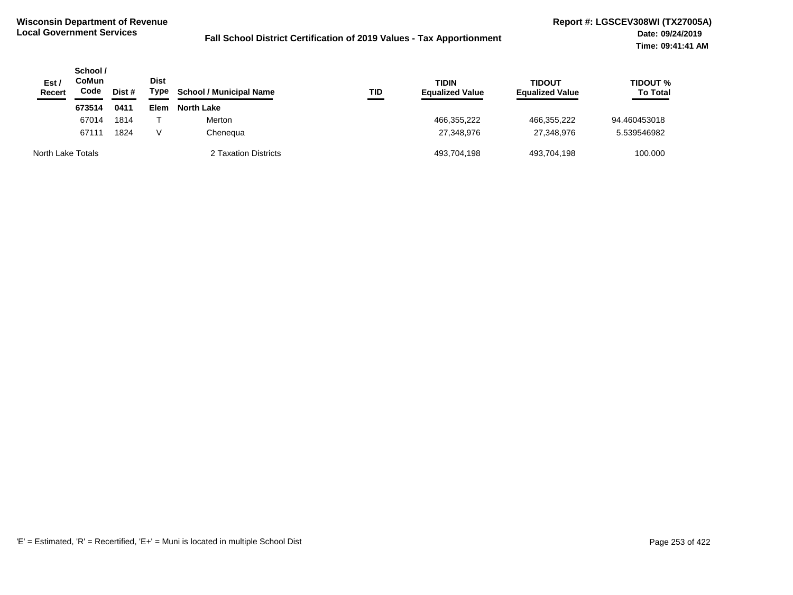| Est/<br>Recert    | School /<br>CoMun<br>Code<br>Dist # |      | <b>Dist</b><br>Type | <b>School / Municipal Name</b> | TID | <b>TIDIN</b><br><b>Equalized Value</b> | TIDOUT<br><b>Equalized Value</b> | <b>TIDOUT %</b><br><b>To Total</b> |
|-------------------|-------------------------------------|------|---------------------|--------------------------------|-----|----------------------------------------|----------------------------------|------------------------------------|
|                   | 673514                              | 0411 | Elem                | <b>North Lake</b>              |     |                                        |                                  |                                    |
|                   | 67014                               | 1814 |                     | Merton                         |     | 466,355,222                            | 466,355,222                      | 94.460453018                       |
|                   | 67111                               | 1824 | V                   | Chenequa                       |     | 27.348.976                             | 27,348,976                       | 5.539546982                        |
| North Lake Totals |                                     |      |                     | 2 Taxation Districts           |     | 493,704,198                            | 493.704.198                      | 100.000                            |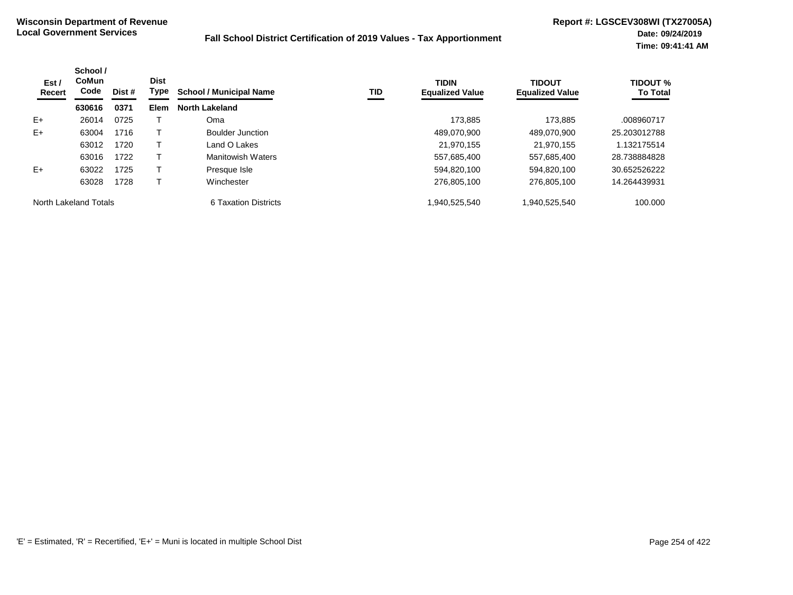| Est /<br>Recert       | School /<br>CoMun<br>Code | <b>Dist</b><br>Type<br>Dist # |      | <b>School / Municipal Name</b> | TID | <b>TIDIN</b><br><b>Equalized Value</b> | <b>TIDOUT</b><br><b>Equalized Value</b> | <b>TIDOUT %</b><br><b>To Total</b> |
|-----------------------|---------------------------|-------------------------------|------|--------------------------------|-----|----------------------------------------|-----------------------------------------|------------------------------------|
|                       | 630616                    | 0371                          | Elem | <b>North Lakeland</b>          |     |                                        |                                         |                                    |
| $E+$                  | 26014                     | 0725                          |      | Oma                            |     | 173.885                                | 173.885                                 | .008960717                         |
| $E+$                  | 63004                     | 1716                          |      | <b>Boulder Junction</b>        |     | 489.070.900                            | 489.070.900                             | 25.203012788                       |
|                       | 63012                     | 1720                          |      | Land O Lakes                   |     | 21.970.155                             | 21.970.155                              | 1.132175514                        |
|                       | 63016                     | 1722                          |      | <b>Manitowish Waters</b>       |     | 557,685,400                            | 557,685,400                             | 28.738884828                       |
| $E+$                  | 63022                     | 1725                          |      | Presque Isle                   |     | 594.820.100                            | 594.820.100                             | 30.652526222                       |
|                       | 63028                     | 1728                          |      | Winchester                     |     | 276.805.100                            | 276,805,100                             | 14.264439931                       |
| North Lakeland Totals |                           |                               |      | 6 Taxation Districts           |     | 1.940.525.540                          | 1,940,525,540                           | 100.000                            |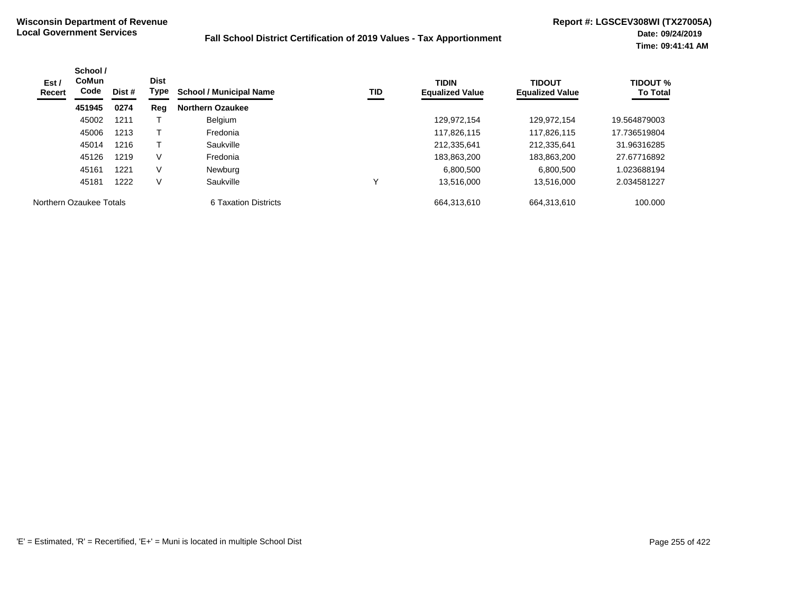| Est /<br>Recert         | School /<br><b>CoMun</b><br>Code<br>Dist #<br>451945<br>0274 | <b>Dist</b><br>Type | TID<br><b>School / Municipal Name</b> | <b>TIDIN</b><br><b>Equalized Value</b> | <b>TIDOUT</b><br><b>Equalized Value</b> | <b>TIDOUT %</b><br><b>To Total</b> |             |              |
|-------------------------|--------------------------------------------------------------|---------------------|---------------------------------------|----------------------------------------|-----------------------------------------|------------------------------------|-------------|--------------|
|                         |                                                              |                     | Reg                                   | <b>Northern Ozaukee</b>                |                                         |                                    |             |              |
|                         | 45002                                                        | 1211                |                                       | <b>Belgium</b>                         |                                         | 129.972.154                        | 129.972.154 | 19.564879003 |
|                         | 45006                                                        | 1213                |                                       | Fredonia                               |                                         | 117.826.115                        | 117.826.115 | 17.736519804 |
|                         | 45014                                                        | 1216                |                                       | Saukville                              |                                         | 212,335,641                        | 212,335,641 | 31.96316285  |
|                         | 45126                                                        | 1219                | V                                     | Fredonia                               |                                         | 183,863,200                        | 183,863,200 | 27.67716892  |
|                         | 45161                                                        | 1221                | V                                     | Newburg                                |                                         | 6.800.500                          | 6.800.500   | 1.023688194  |
|                         | 45181                                                        | 1222                | $\vee$                                | Saukville                              |                                         | 13.516.000                         | 13,516,000  | 2.034581227  |
| Northern Ozaukee Totals |                                                              |                     |                                       | 6 Taxation Districts                   |                                         | 664.313.610                        | 664.313.610 | 100.000      |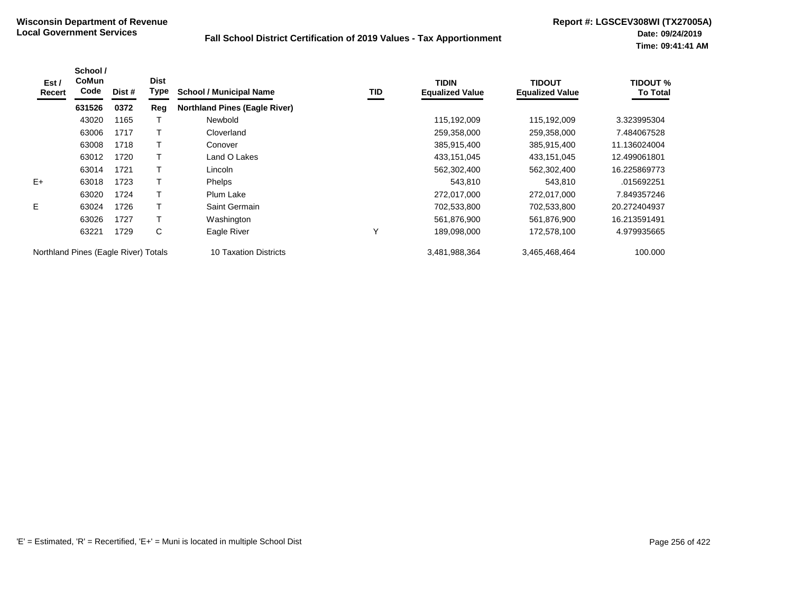| Est /<br>Recert                      | School /<br>CoMun<br>Code | Dist # | <b>Dist</b><br>Type | <b>School / Municipal Name</b>       | TID | <b>TIDIN</b><br><b>Equalized Value</b> | TIDOUT<br><b>Equalized Value</b> | <b>TIDOUT %</b><br><b>To Total</b> |
|--------------------------------------|---------------------------|--------|---------------------|--------------------------------------|-----|----------------------------------------|----------------------------------|------------------------------------|
|                                      | 631526                    | 0372   | Reg                 | <b>Northland Pines (Eagle River)</b> |     |                                        |                                  |                                    |
|                                      | 43020                     | 1165   |                     | Newbold                              |     | 115,192,009                            | 115,192,009                      | 3.323995304                        |
|                                      | 63006                     | 1717   |                     | Cloverland                           |     | 259,358,000                            | 259,358,000                      | 7.484067528                        |
|                                      | 63008                     | 1718   |                     | Conover                              |     | 385,915,400                            | 385,915,400                      | 11.136024004                       |
|                                      | 63012                     | 1720   |                     | Land O Lakes                         |     | 433,151,045                            | 433,151,045                      | 12.499061801                       |
|                                      | 63014                     | 1721   |                     | Lincoln                              |     | 562,302,400                            | 562,302,400                      | 16.225869773                       |
| $E+$                                 | 63018                     | 1723   |                     | <b>Phelps</b>                        |     | 543,810                                | 543,810                          | .015692251                         |
|                                      | 63020                     | 1724   |                     | Plum Lake                            |     | 272,017,000                            | 272,017,000                      | 7.849357246                        |
| E                                    | 63024                     | 1726   |                     | Saint Germain                        |     | 702,533,800                            | 702,533,800                      | 20.272404937                       |
|                                      | 63026                     | 1727   |                     | Washington                           |     | 561,876,900                            | 561,876,900                      | 16.213591491                       |
|                                      | 63221                     | 1729   | С                   | Eagle River                          | Y   | 189,098,000                            | 172,578,100                      | 4.979935665                        |
| Northland Pines (Eagle River) Totals |                           |        |                     | 10 Taxation Districts                |     | 3,481,988,364                          | 3,465,468,464                    | 100.000                            |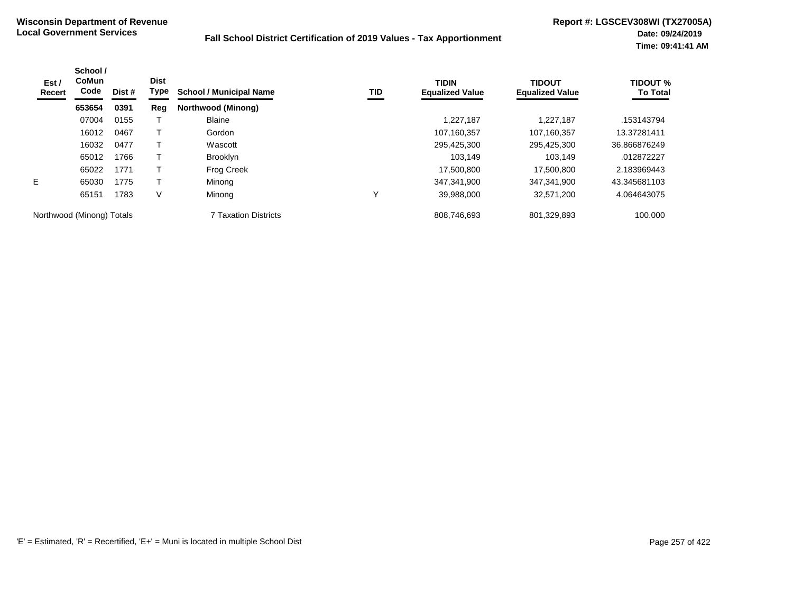| Est /<br>Recert           | School /<br><b>CoMun</b><br>Code | Dist # | <b>Dist</b><br>Type | <b>School / Municipal Name</b> | TID | <b>TIDIN</b><br><b>Equalized Value</b> | <b>TIDOUT</b><br><b>Equalized Value</b> | <b>TIDOUT %</b><br><b>To Total</b> |
|---------------------------|----------------------------------|--------|---------------------|--------------------------------|-----|----------------------------------------|-----------------------------------------|------------------------------------|
|                           | 653654                           | 0391   | Reg                 | Northwood (Minong)             |     |                                        |                                         |                                    |
|                           | 07004                            | 0155   |                     | <b>Blaine</b>                  |     | 1,227,187                              | 1.227.187                               | .153143794                         |
|                           | 16012                            | 0467   |                     | Gordon                         |     | 107,160,357                            | 107.160.357                             | 13.37281411                        |
|                           | 16032                            | 0477   |                     | Wascott                        |     | 295,425,300                            | 295,425,300                             | 36.866876249                       |
|                           | 65012                            | 1766   |                     | <b>Brooklyn</b>                |     | 103.149                                | 103.149                                 | .012872227                         |
|                           | 65022                            | 1771   |                     | <b>Frog Creek</b>              |     | 17,500,800                             | 17,500,800                              | 2.183969443                        |
| E.                        | 65030                            | 1775   |                     | Minong                         |     | 347.341.900                            | 347,341,900                             | 43.345681103                       |
|                           | 65151                            | 1783   | V                   | Minong                         |     | 39,988,000                             | 32,571,200                              | 4.064643075                        |
| Northwood (Minong) Totals |                                  |        |                     | <b>7 Taxation Districts</b>    |     | 808,746,693                            | 801,329,893                             | 100.000                            |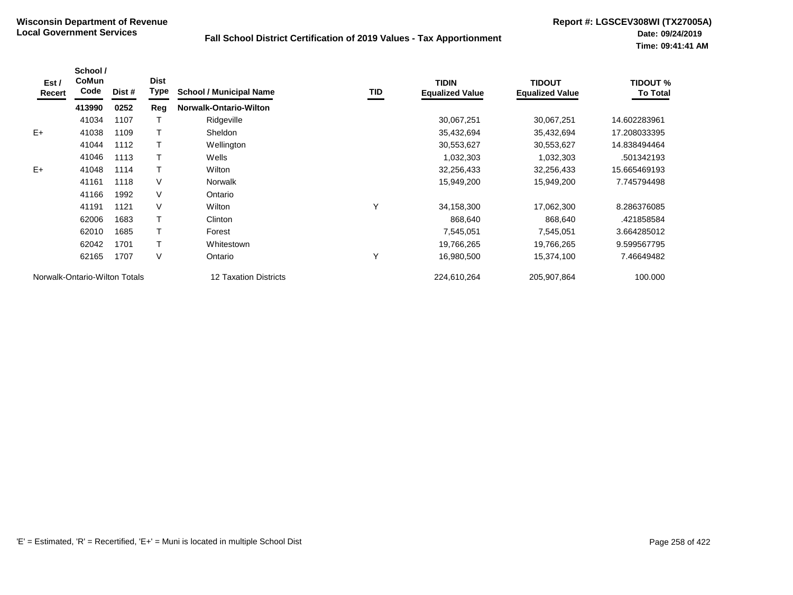| Est /<br>Recert | School /<br><b>CoMun</b><br>Code | Dist # | <b>Dist</b><br><b>Type</b> | <b>School / Municipal Name</b> | <b>TID</b> | <b>TIDIN</b><br><b>Equalized Value</b> | <b>TIDOUT</b><br><b>Equalized Value</b> | <b>TIDOUT %</b><br><b>To Total</b> |
|-----------------|----------------------------------|--------|----------------------------|--------------------------------|------------|----------------------------------------|-----------------------------------------|------------------------------------|
|                 | 413990                           | 0252   | Reg                        | <b>Norwalk-Ontario-Wilton</b>  |            |                                        |                                         |                                    |
|                 | 41034                            | 1107   |                            | Ridgeville                     |            | 30,067,251                             | 30,067,251                              | 14.602283961                       |
| $E+$            | 41038                            | 1109   |                            | <b>Sheldon</b>                 |            | 35,432,694                             | 35,432,694                              | 17.208033395                       |
|                 | 41044                            | 1112   |                            | Wellington                     |            | 30,553,627                             | 30,553,627                              | 14.838494464                       |
|                 | 41046                            | 1113   |                            | Wells                          |            | 1,032,303                              | 1,032,303                               | .501342193                         |
| $E+$            | 41048                            | 1114   |                            | Wilton                         |            | 32,256,433                             | 32,256,433                              | 15.665469193                       |
|                 | 41161                            | 1118   | V                          | <b>Norwalk</b>                 |            | 15,949,200                             | 15,949,200                              | 7.745794498                        |
|                 | 41166                            | 1992   | V                          | Ontario                        |            |                                        |                                         |                                    |
|                 | 41191                            | 1121   | V                          | Wilton                         | Υ          | 34,158,300                             | 17,062,300                              | 8.286376085                        |
|                 | 62006                            | 1683   |                            | Clinton                        |            | 868.640                                | 868,640                                 | .421858584                         |
|                 | 62010                            | 1685   |                            | Forest                         |            | 7,545,051                              | 7,545,051                               | 3.664285012                        |
|                 | 62042                            | 1701   |                            | Whitestown                     |            | 19,766,265                             | 19,766,265                              | 9.599567795                        |
|                 | 62165                            | 1707   | V                          | Ontario                        | Υ          | 16,980,500                             | 15,374,100                              | 7.46649482                         |
|                 | Norwalk-Ontario-Wilton Totals    |        |                            | <b>12 Taxation Districts</b>   |            | 224,610,264                            | 205,907,864                             | 100.000                            |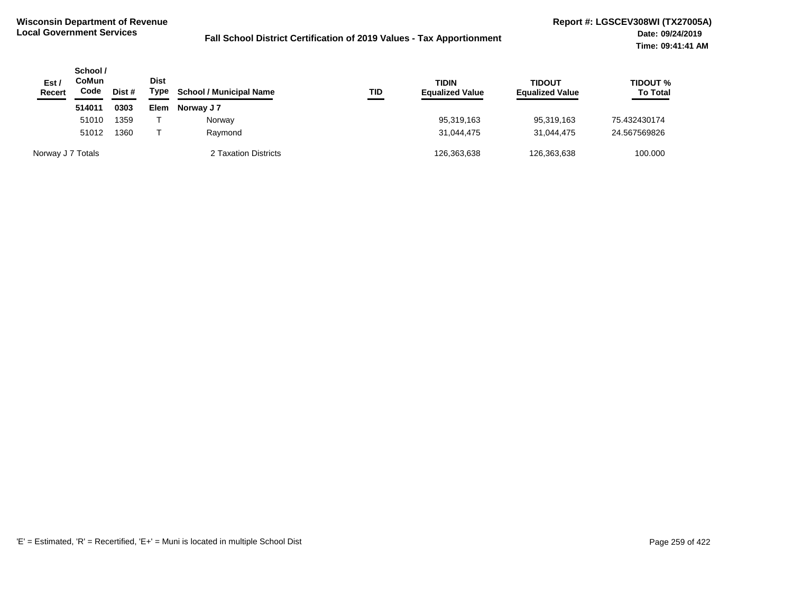| Est /<br>Recert   | School /<br>CoMun<br>Code | Dist # | Dist<br>Type | <b>School / Municipal Name</b> | TID | <b>TIDIN</b><br><b>Equalized Value</b> | TIDOUT<br><b>Equalized Value</b> | <b>TIDOUT %</b><br><b>To Total</b> |
|-------------------|---------------------------|--------|--------------|--------------------------------|-----|----------------------------------------|----------------------------------|------------------------------------|
|                   | 514011                    | 0303   | Elem         | Norway J 7                     |     |                                        |                                  |                                    |
|                   | 51010                     | 1359   |              | Norway                         |     | 95,319,163                             | 95,319,163                       | 75.432430174                       |
|                   | 51012                     | 1360   |              | Raymond                        |     | 31,044,475                             | 31.044.475                       | 24.567569826                       |
| Norway J 7 Totals |                           |        |              | 2 Taxation Districts           |     | 126,363,638                            | 126,363,638                      | 100.000                            |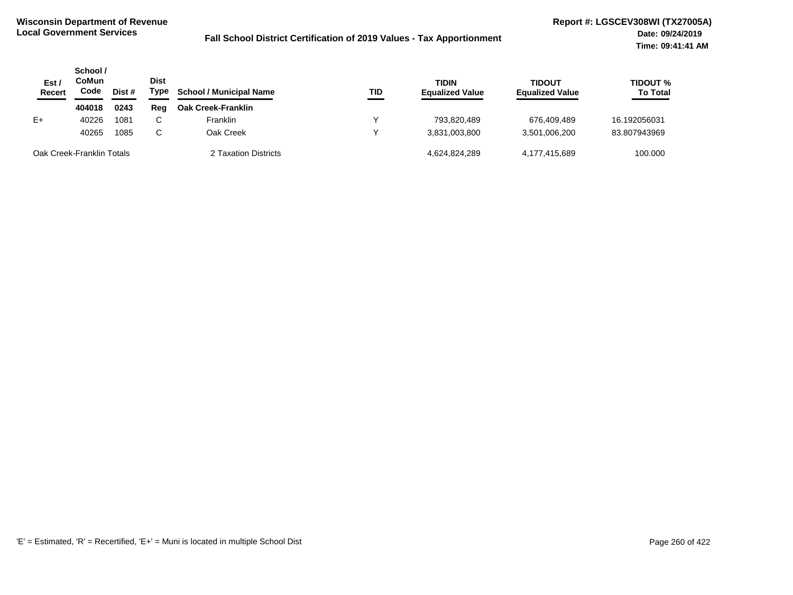| Est /<br>Recert           | School /<br>CoMun<br>Code | Dist # | <b>Dist</b><br>Type | <b>School / Municipal Name</b> | TID | <b>TIDIN</b><br><b>Equalized Value</b> | TIDOUT<br><b>Equalized Value</b> | TIDOUT %<br><b>To Total</b> |
|---------------------------|---------------------------|--------|---------------------|--------------------------------|-----|----------------------------------------|----------------------------------|-----------------------------|
|                           | 404018                    | 0243   | Rea                 | <b>Oak Creek-Franklin</b>      |     |                                        |                                  |                             |
| E+                        | 40226                     | 1081   | $\sim$<br>U         | <b>Franklin</b>                |     | 793.820.489                            | 676.409.489                      | 16.192056031                |
|                           | 40265                     | 1085   | C.                  | Oak Creek                      |     | 3.831.003.800                          | 3,501,006,200                    | 83.807943969                |
| Oak Creek-Franklin Totals |                           |        |                     | 2 Taxation Districts           |     | 4.624.824.289                          | 4,177,415,689                    | 100.000                     |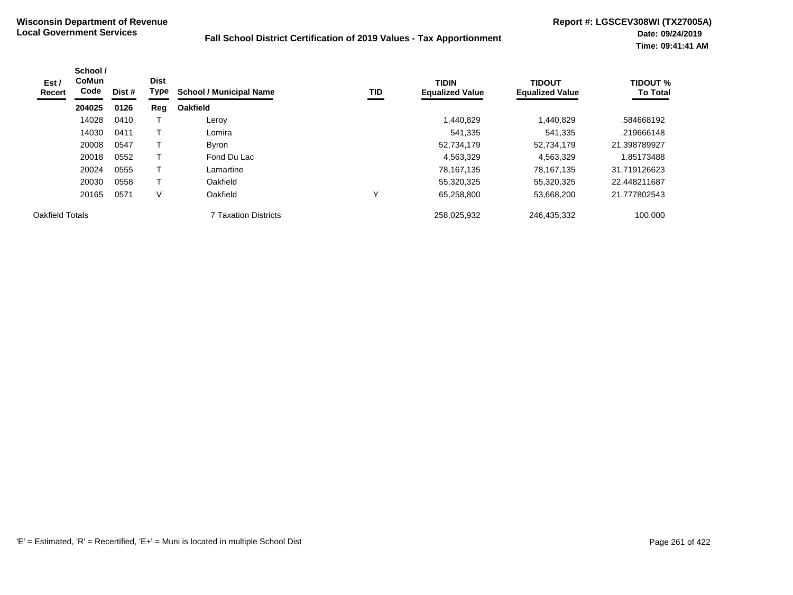| Est /<br>Recert | School /<br><b>CoMun</b><br>Code | Dist # | <b>Dist</b><br>Type | <b>School / Municipal Name</b> | <b>TID</b> | <b>TIDIN</b><br><b>Equalized Value</b> | <b>TIDOUT</b><br><b>Equalized Value</b> | <b>TIDOUT %</b><br><b>To Total</b> |
|-----------------|----------------------------------|--------|---------------------|--------------------------------|------------|----------------------------------------|-----------------------------------------|------------------------------------|
|                 | 204025                           | 0126   | Reg                 | <b>Oakfield</b>                |            |                                        |                                         |                                    |
|                 | 14028                            | 0410   |                     | Leroy                          |            | 1,440,829                              | 1,440,829                               | .584668192                         |
|                 | 14030                            | 0411   |                     | Lomira                         |            | 541,335                                | 541,335                                 | .219666148                         |
|                 | 20008                            | 0547   |                     | <b>Byron</b>                   |            | 52,734,179                             | 52,734,179                              | 21.398789927                       |
|                 | 20018                            | 0552   |                     | Fond Du Lac                    |            | 4,563,329                              | 4,563,329                               | 1.85173488                         |
|                 | 20024                            | 0555   |                     | Lamartine                      |            | 78,167,135                             | 78,167,135                              | 31.719126623                       |
|                 | 20030                            | 0558   |                     | Oakfield                       |            | 55,320,325                             | 55,320,325                              | 22.448211687                       |
|                 | 20165                            | 0571   | V                   | Oakfield                       | v          | 65,258,800                             | 53,668,200                              | 21.777802543                       |
| Oakfield Totals |                                  |        |                     | <b>7 Taxation Districts</b>    |            | 258,025,932                            | 246,435,332                             | 100.000                            |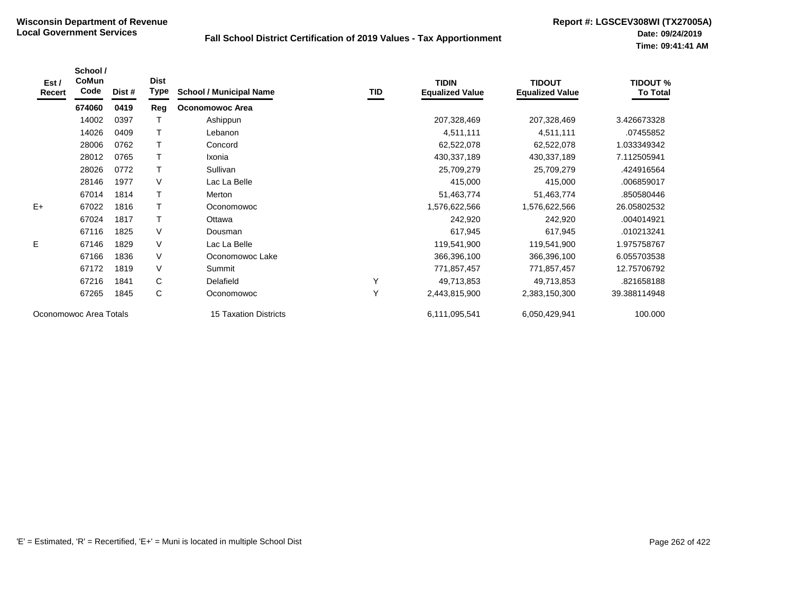| Est /<br><b>Recert</b> | School /<br><b>CoMun</b><br>Code | Dist # | <b>Dist</b><br>Type | <b>School / Municipal Name</b> | TID | <b>TIDIN</b><br><b>Equalized Value</b> | <b>TIDOUT</b><br><b>Equalized Value</b> | <b>TIDOUT %</b><br><b>To Total</b> |
|------------------------|----------------------------------|--------|---------------------|--------------------------------|-----|----------------------------------------|-----------------------------------------|------------------------------------|
|                        | 674060                           | 0419   | Reg                 | <b>Oconomowoc Area</b>         |     |                                        |                                         |                                    |
|                        | 14002                            | 0397   |                     | Ashippun                       |     | 207,328,469                            | 207,328,469                             | 3.426673328                        |
|                        | 14026                            | 0409   | $\mathsf{T}$        | Lebanon                        |     | 4,511,111                              | 4,511,111                               | .07455852                          |
|                        | 28006                            | 0762   |                     | Concord                        |     | 62,522,078                             | 62,522,078                              | 1.033349342                        |
|                        | 28012                            | 0765   | T                   | Ixonia                         |     | 430,337,189                            | 430,337,189                             | 7.112505941                        |
|                        | 28026                            | 0772   | T                   | Sullivan                       |     | 25,709,279                             | 25,709,279                              | .424916564                         |
|                        | 28146                            | 1977   | V                   | Lac La Belle                   |     | 415,000                                | 415,000                                 | .006859017                         |
|                        | 67014                            | 1814   | T                   | Merton                         |     | 51,463,774                             | 51,463,774                              | .850580446                         |
| $E+$                   | 67022                            | 1816   |                     | Oconomowoc                     |     | 1,576,622,566                          | 1,576,622,566                           | 26.05802532                        |
|                        | 67024                            | 1817   | т                   | Ottawa                         |     | 242,920                                | 242,920                                 | .004014921                         |
|                        | 67116                            | 1825   | V                   | Dousman                        |     | 617,945                                | 617,945                                 | .010213241                         |
| E.                     | 67146                            | 1829   | V                   | Lac La Belle                   |     | 119,541,900                            | 119,541,900                             | 1.975758767                        |
|                        | 67166                            | 1836   | $\vee$              | Oconomowoc Lake                |     | 366,396,100                            | 366,396,100                             | 6.055703538                        |
|                        | 67172                            | 1819   | V                   | Summit                         |     | 771,857,457                            | 771,857,457                             | 12.75706792                        |
|                        | 67216                            | 1841   | C                   | Delafield                      | Υ   | 49,713,853                             | 49,713,853                              | .821658188                         |
|                        | 67265                            | 1845   | С                   | Oconomowoc                     | Y   | 2,443,815,900                          | 2,383,150,300                           | 39.388114948                       |
| Oconomowoc Area Totals |                                  |        |                     | <b>15 Taxation Districts</b>   |     | 6,111,095,541                          | 6,050,429,941                           | 100.000                            |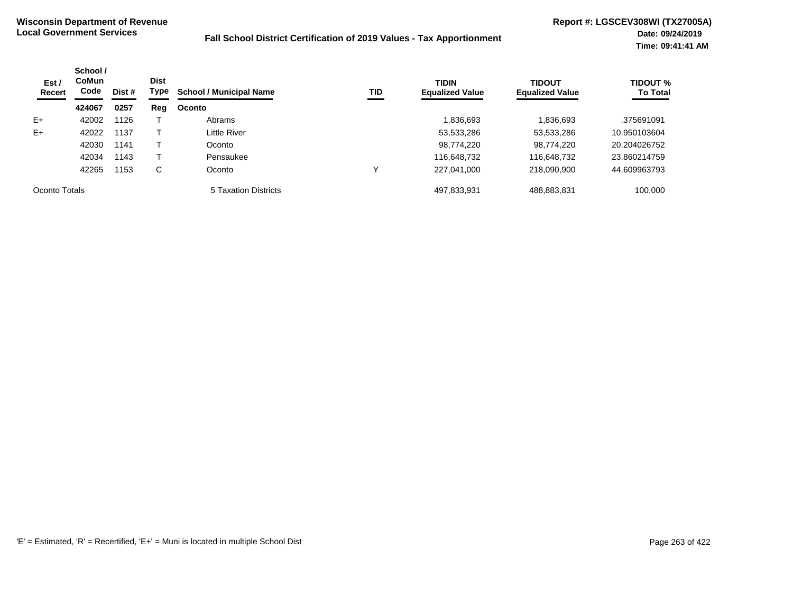| Est /<br>Recert | School /<br><b>CoMun</b><br>Code<br>Dist # | <b>Dist</b><br>Type | TID<br><b>School / Municipal Name</b> | <b>TIDIN</b><br><b>Equalized Value</b> | <b>TIDOUT</b><br><b>Equalized Value</b> | <b>TIDOUT %</b><br><b>To Total</b> |             |              |
|-----------------|--------------------------------------------|---------------------|---------------------------------------|----------------------------------------|-----------------------------------------|------------------------------------|-------------|--------------|
|                 | 424067                                     | 0257                | Reg                                   | Oconto                                 |                                         |                                    |             |              |
| $E+$            | 42002                                      | 1126                |                                       | Abrams                                 |                                         | 836,693.                           | 1,836,693   | .375691091   |
| $E+$            | 42022                                      | 1137                |                                       | Little River                           |                                         | 53,533,286                         | 53,533,286  | 10.950103604 |
|                 | 42030                                      | 1141                |                                       | Oconto                                 |                                         | 98,774,220                         | 98,774,220  | 20.204026752 |
|                 | 42034                                      | 1143                |                                       | Pensaukee                              |                                         | 116,648,732                        | 116,648,732 | 23.860214759 |
|                 | 42265                                      | 1153                | С                                     | Oconto                                 |                                         | 227,041,000                        | 218,090,900 | 44.609963793 |
| Oconto Totals   |                                            |                     |                                       | 5 Taxation Districts                   |                                         | 497,833,931                        | 488,883,831 | 100.000      |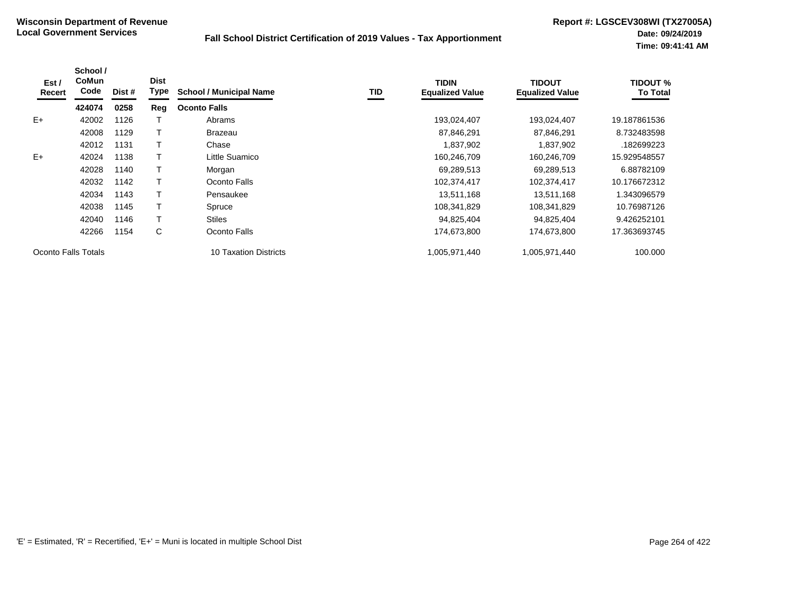| Est /<br>Recert     | School /<br>CoMun<br>Code | Dist # | <b>Dist</b><br>Type | <b>School / Municipal Name</b> | TID | <b>TIDIN</b><br><b>Equalized Value</b> | <b>TIDOUT</b><br><b>Equalized Value</b> | TIDOUT %<br><b>To Total</b> |
|---------------------|---------------------------|--------|---------------------|--------------------------------|-----|----------------------------------------|-----------------------------------------|-----------------------------|
|                     | 424074                    | 0258   | Reg                 | <b>Oconto Falls</b>            |     |                                        |                                         |                             |
| $E+$                | 42002                     | 1126   |                     | Abrams                         |     | 193,024,407                            | 193,024,407                             | 19.187861536                |
|                     | 42008                     | 1129   |                     | <b>Brazeau</b>                 |     | 87,846,291                             | 87,846,291                              | 8.732483598                 |
|                     | 42012                     | 1131   |                     | Chase                          |     | 1,837,902                              | 1,837,902                               | .182699223                  |
| $E+$                | 42024                     | 1138   |                     | Little Suamico                 |     | 160,246,709                            | 160,246,709                             | 15.929548557                |
|                     | 42028                     | 1140   |                     | Morgan                         |     | 69,289,513                             | 69,289,513                              | 6.88782109                  |
|                     | 42032                     | 1142   |                     | Oconto Falls                   |     | 102,374,417                            | 102,374,417                             | 10.176672312                |
|                     | 42034                     | 1143   |                     | Pensaukee                      |     | 13,511,168                             | 13,511,168                              | 1.343096579                 |
|                     | 42038                     | 1145   |                     | Spruce                         |     | 108,341,829                            | 108,341,829                             | 10.76987126                 |
|                     | 42040                     | 1146   |                     | <b>Stiles</b>                  |     | 94,825,404                             | 94,825,404                              | 9.426252101                 |
|                     | 42266                     | 1154   | C                   | Oconto Falls                   |     | 174,673,800                            | 174,673,800                             | 17.363693745                |
| Oconto Falls Totals |                           |        |                     | <b>10 Taxation Districts</b>   |     | 1,005,971,440                          | 1,005,971,440                           | 100.000                     |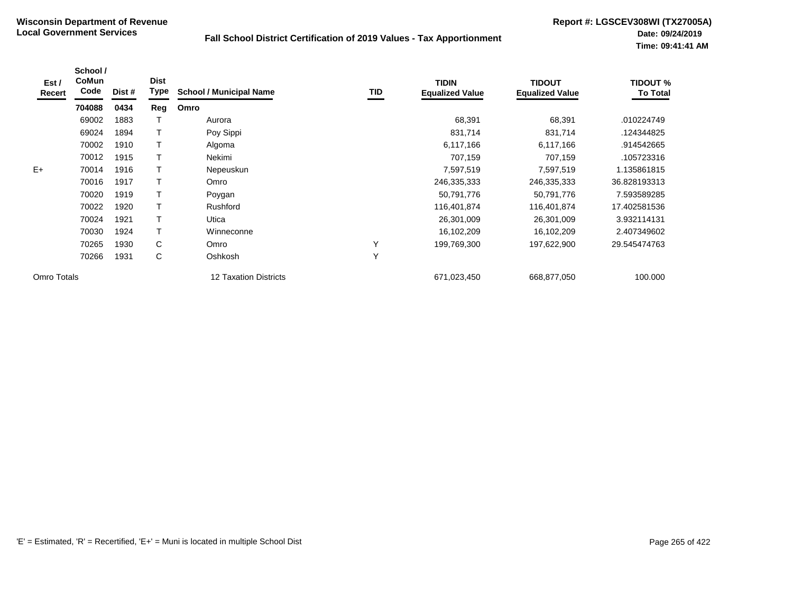| Est /<br>Recert | School /<br>CoMun<br>Code | Dist # | <b>Dist</b><br><b>Type</b> | <b>School / Municipal Name</b> | <b>TID</b> | <b>TIDIN</b><br><b>Equalized Value</b> | <b>TIDOUT</b><br><b>Equalized Value</b> | <b>TIDOUT %</b><br><b>To Total</b> |
|-----------------|---------------------------|--------|----------------------------|--------------------------------|------------|----------------------------------------|-----------------------------------------|------------------------------------|
|                 | 704088                    | 0434   | Reg                        | Omro                           |            |                                        |                                         |                                    |
|                 | 69002                     | 1883   |                            | Aurora                         |            | 68,391                                 | 68,391                                  | .010224749                         |
|                 | 69024                     | 1894   | T                          | Poy Sippi                      |            | 831,714                                | 831,714                                 | .124344825                         |
|                 | 70002                     | 1910   |                            | Algoma                         |            | 6,117,166                              | 6,117,166                               | .914542665                         |
|                 | 70012                     | 1915   |                            | Nekimi                         |            | 707,159                                | 707,159                                 | .105723316                         |
| $E+$            | 70014                     | 1916   |                            | Nepeuskun                      |            | 7,597,519                              | 7,597,519                               | 1.135861815                        |
|                 | 70016                     | 1917   |                            | Omro                           |            | 246,335,333                            | 246,335,333                             | 36.828193313                       |
|                 | 70020                     | 1919   |                            | Poygan                         |            | 50,791,776                             | 50,791,776                              | 7.593589285                        |
|                 | 70022                     | 1920   | Т                          | Rushford                       |            | 116,401,874                            | 116,401,874                             | 17.402581536                       |
|                 | 70024                     | 1921   | Т                          | Utica                          |            | 26,301,009                             | 26,301,009                              | 3.932114131                        |
|                 | 70030                     | 1924   | T                          | Winneconne                     |            | 16,102,209                             | 16,102,209                              | 2.407349602                        |
|                 | 70265                     | 1930   | C                          | Omro                           | Υ          | 199,769,300                            | 197,622,900                             | 29.545474763                       |
|                 | 70266                     | 1931   | C                          | Oshkosh                        | Y          |                                        |                                         |                                    |
| Omro Totals     |                           |        |                            | <b>12 Taxation Districts</b>   |            | 671,023,450                            | 668,877,050                             | 100.000                            |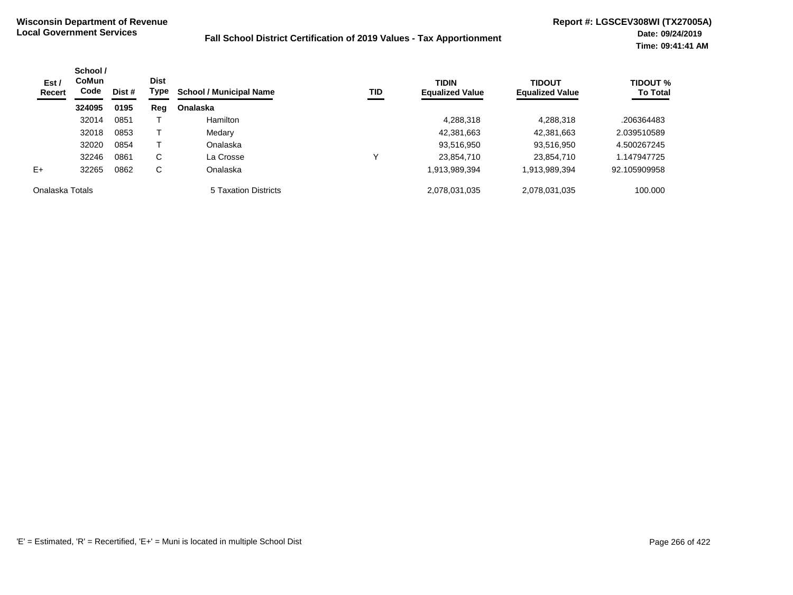| Est /<br><b>Recert</b> | School /<br>CoMun<br>Code<br>Dist # |      | <b>Dist</b><br>Type | <b>School / Municipal Name</b> | TID | <b>TIDIN</b><br><b>Equalized Value</b> | <b>TIDOUT</b><br><b>Equalized Value</b> | <b>TIDOUT %</b><br><b>To Total</b> |
|------------------------|-------------------------------------|------|---------------------|--------------------------------|-----|----------------------------------------|-----------------------------------------|------------------------------------|
|                        | 324095                              | 0195 | Reg                 | Onalaska                       |     |                                        |                                         |                                    |
|                        | 32014                               | 0851 |                     | Hamilton                       |     | 4,288,318                              | 4,288,318                               | .206364483                         |
|                        | 32018                               | 0853 |                     | Medary                         |     | 42,381,663                             | 42,381,663                              | 2.039510589                        |
|                        | 32020                               | 0854 |                     | Onalaska                       |     | 93,516,950                             | 93,516,950                              | 4.500267245                        |
|                        | 32246                               | 0861 | C                   | La Crosse                      | ν   | 23,854,710                             | 23,854,710                              | 1.147947725                        |
| $E+$                   | 32265                               | 0862 | C                   | Onalaska                       |     | 1,913,989,394                          | 1,913,989,394                           | 92.105909958                       |
| Onalaska Totals        |                                     |      |                     | 5 Taxation Districts           |     | 2,078,031,035                          | 2,078,031,035                           | 100.000                            |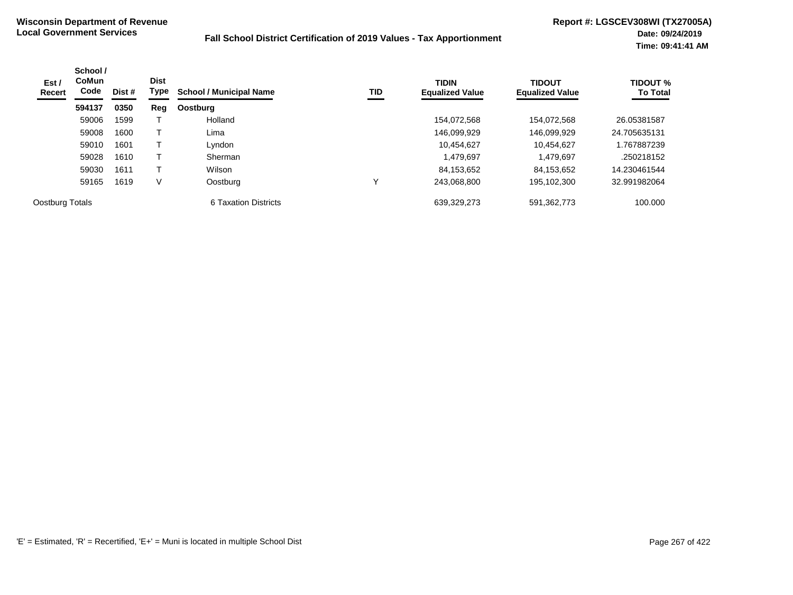| Est /<br>Recert | School /<br><b>CoMun</b><br>Code | Dist # | <b>Dist</b><br>Type | <b>School / Municipal Name</b> | TID | <b>TIDIN</b><br><b>Equalized Value</b> | <b>TIDOUT</b><br><b>Equalized Value</b> | <b>TIDOUT %</b><br><b>To Total</b> |
|-----------------|----------------------------------|--------|---------------------|--------------------------------|-----|----------------------------------------|-----------------------------------------|------------------------------------|
|                 | 594137                           | 0350   | Reg                 | <b>Oostburg</b>                |     |                                        |                                         |                                    |
|                 | 59006                            | 1599   |                     | Holland                        |     | 154,072,568                            | 154,072,568                             | 26.05381587                        |
|                 | 59008                            | 1600   |                     | Lima                           |     | 146,099,929                            | 146,099,929                             | 24.705635131                       |
|                 | 59010                            | 1601   |                     | Lyndon                         |     | 10,454,627                             | 10.454.627                              | .767887239                         |
|                 | 59028                            | 1610   |                     | Sherman                        |     | 1,479,697                              | 1,479,697                               | .250218152                         |
|                 | 59030                            | 1611   |                     | Wilson                         |     | 84,153,652                             | 84,153,652                              | 14.230461544                       |
|                 | 59165                            | 1619   | ٧                   | Oostburg                       |     | 243,068,800                            | 195,102,300                             | 32.991982064                       |
| Oostburg Totals |                                  |        |                     | 6 Taxation Districts           |     | 639,329,273                            | 591,362,773                             | 100.000                            |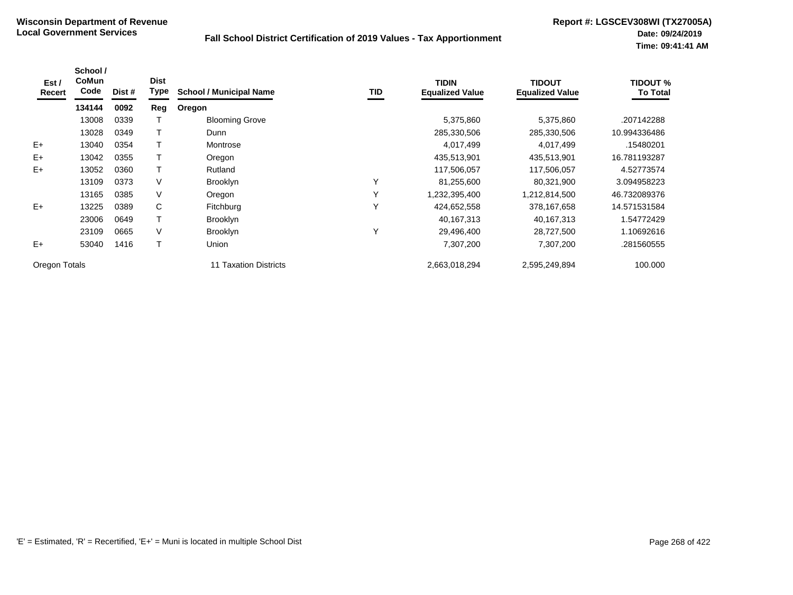| Est /<br>Recert | School /<br>CoMun<br>Code | Dist # | <b>Dist</b><br><b>Type</b> | <b>School / Municipal Name</b> | <b>TID</b> | <b>TIDIN</b><br><b>Equalized Value</b> | <b>TIDOUT</b><br><b>Equalized Value</b> | TIDOUT %<br><b>To Total</b> |
|-----------------|---------------------------|--------|----------------------------|--------------------------------|------------|----------------------------------------|-----------------------------------------|-----------------------------|
|                 | 134144                    | 0092   | Reg                        | Oregon                         |            |                                        |                                         |                             |
|                 | 13008                     | 0339   |                            | <b>Blooming Grove</b>          |            | 5,375,860                              | 5,375,860                               | .207142288                  |
|                 | 13028                     | 0349   |                            | Dunn                           |            | 285,330,506                            | 285,330,506                             | 10.994336486                |
| $E+$            | 13040                     | 0354   |                            | Montrose                       |            | 4,017,499                              | 4,017,499                               | .15480201                   |
| $E+$            | 13042                     | 0355   |                            | Oregon                         |            | 435,513,901                            | 435,513,901                             | 16.781193287                |
| $E+$            | 13052                     | 0360   |                            | Rutland                        |            | 117,506,057                            | 117,506,057                             | 4.52773574                  |
|                 | 13109                     | 0373   | V                          | <b>Brooklyn</b>                | Υ          | 81,255,600                             | 80,321,900                              | 3.094958223                 |
|                 | 13165                     | 0385   | V                          | Oregon                         | Υ          | 1,232,395,400                          | 1,212,814,500                           | 46.732089376                |
| $E+$            | 13225                     | 0389   | C                          | Fitchburg                      | Υ          | 424,652,558                            | 378,167,658                             | 14.571531584                |
|                 | 23006                     | 0649   |                            | <b>Brooklyn</b>                |            | 40,167,313                             | 40,167,313                              | 1.54772429                  |
|                 | 23109                     | 0665   | V                          | <b>Brooklyn</b>                | Υ          | 29,496,400                             | 28,727,500                              | 1.10692616                  |
| $E+$            | 53040                     | 1416   | T                          | Union                          |            | 7,307,200                              | 7,307,200                               | .281560555                  |
| Oregon Totals   |                           |        |                            | <b>Taxation Districts</b>      |            | 2,663,018,294                          | 2,595,249,894                           | 100.000                     |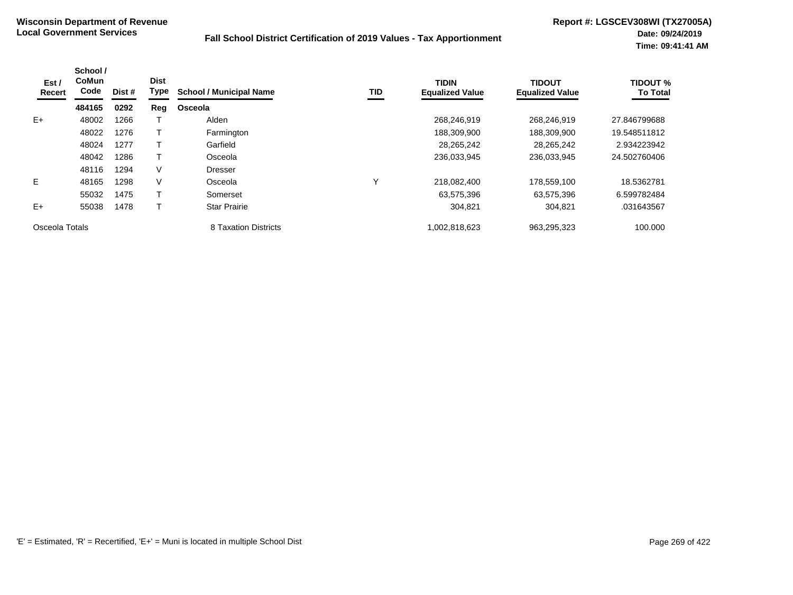| Est /<br>Recert | School /<br><b>CoMun</b><br>Code | Dist # | <b>Dist</b><br><b>Type</b> | <b>School / Municipal Name</b> | TID          | <b>TIDIN</b><br><b>Equalized Value</b> | <b>TIDOUT</b><br><b>Equalized Value</b> | <b>TIDOUT %</b><br><b>To Total</b> |
|-----------------|----------------------------------|--------|----------------------------|--------------------------------|--------------|----------------------------------------|-----------------------------------------|------------------------------------|
|                 | 484165                           | 0292   | Reg                        | Osceola                        |              |                                        |                                         |                                    |
| $E+$            | 48002                            | 1266   |                            | Alden                          |              | 268,246,919                            | 268,246,919                             | 27.846799688                       |
|                 | 48022                            | 1276   |                            | Farmington                     |              | 188,309,900                            | 188,309,900                             | 19.548511812                       |
|                 | 48024                            | 1277   |                            | Garfield                       |              | 28,265,242                             | 28,265,242                              | 2.934223942                        |
|                 | 48042                            | 1286   |                            | Osceola                        |              | 236,033,945                            | 236,033,945                             | 24.502760406                       |
|                 | 48116                            | 1294   | V                          | <b>Dresser</b>                 |              |                                        |                                         |                                    |
| E               | 48165                            | 1298   | V                          | Osceola                        | $\checkmark$ | 218,082,400                            | 178,559,100                             | 18.5362781                         |
|                 | 55032                            | 1475   |                            | Somerset                       |              | 63,575,396                             | 63,575,396                              | 6.599782484                        |
| $E+$            | 55038                            | 1478   |                            | <b>Star Prairie</b>            |              | 304,821                                | 304,821                                 | .031643567                         |
| Osceola Totals  |                                  |        |                            | 8 Taxation Districts           |              | 1,002,818,623                          | 963,295,323                             | 100.000                            |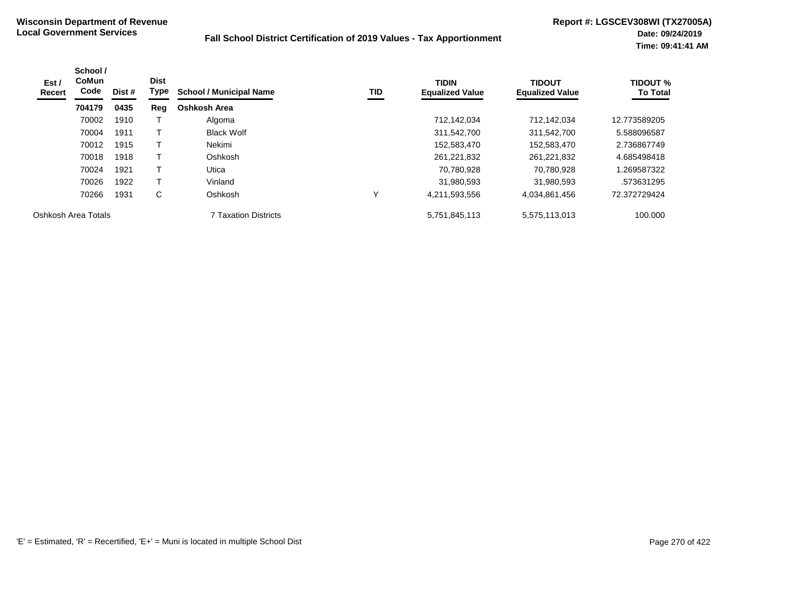| Est /<br><b>Recert</b> | School /<br><b>CoMun</b><br>Code | Dist # | <b>Dist</b><br>Type | <b>School / Municipal Name</b> | TID | <b>TIDIN</b><br><b>Equalized Value</b> | <b>TIDOUT</b><br><b>Equalized Value</b> | <b>TIDOUT %</b><br><b>To Total</b> |
|------------------------|----------------------------------|--------|---------------------|--------------------------------|-----|----------------------------------------|-----------------------------------------|------------------------------------|
|                        | 704179                           | 0435   | Reg                 | Oshkosh Area                   |     |                                        |                                         |                                    |
|                        | 70002                            | 1910   |                     | Algoma                         |     | 712,142,034                            | 712,142,034                             | 12.773589205                       |
|                        | 70004                            | 1911   |                     | <b>Black Wolf</b>              |     | 311,542,700                            | 311,542,700                             | 5.588096587                        |
|                        | 70012                            | 1915   |                     | Nekimi                         |     | 152,583,470                            | 152,583,470                             | 2.736867749                        |
|                        | 70018                            | 1918   |                     | Oshkosh                        |     | 261,221,832                            | 261,221,832                             | 4.685498418                        |
|                        | 70024                            | 1921   |                     | Utica                          |     | 70,780,928                             | 70.780.928                              | 1.269587322                        |
|                        | 70026                            | 1922   |                     | Vinland                        |     | 31,980,593                             | 31,980,593                              | .573631295                         |
|                        | 70266                            | 1931   | C                   | Oshkosh                        |     | 4,211,593,556                          | 4,034,861,456                           | 72.372729424                       |
| Oshkosh Area Totals    |                                  |        |                     | 7 Taxation Districts           |     | 5,751,845,113                          | 5,575,113,013                           | 100.000                            |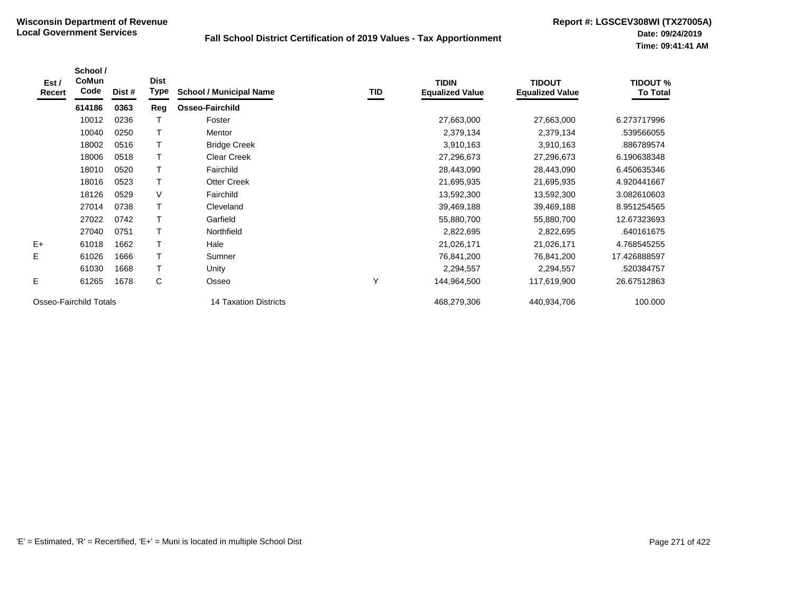| Est /<br>Recert        | School /<br>CoMun<br>Code | Dist # | <b>Dist</b><br>Type | <b>School / Municipal Name</b> | TID | <b>TIDIN</b><br><b>Equalized Value</b> | <b>TIDOUT</b><br><b>Equalized Value</b> | <b>TIDOUT %</b><br><b>To Total</b> |
|------------------------|---------------------------|--------|---------------------|--------------------------------|-----|----------------------------------------|-----------------------------------------|------------------------------------|
|                        | 614186                    | 0363   | Reg                 | <b>Osseo-Fairchild</b>         |     |                                        |                                         |                                    |
|                        | 10012                     | 0236   |                     | Foster                         |     | 27,663,000                             | 27,663,000                              | 6.273717996                        |
|                        | 10040                     | 0250   |                     | Mentor                         |     | 2,379,134                              | 2,379,134                               | .539566055                         |
|                        | 18002                     | 0516   |                     | <b>Bridge Creek</b>            |     | 3,910,163                              | 3,910,163                               | .886789574                         |
|                        | 18006                     | 0518   |                     | <b>Clear Creek</b>             |     | 27,296,673                             | 27,296,673                              | 6.190638348                        |
|                        | 18010                     | 0520   |                     | Fairchild                      |     | 28,443,090                             | 28,443,090                              | 6.450635346                        |
|                        | 18016                     | 0523   |                     | <b>Otter Creek</b>             |     | 21,695,935                             | 21,695,935                              | 4.920441667                        |
|                        | 18126                     | 0529   | V                   | Fairchild                      |     | 13,592,300                             | 13,592,300                              | 3.082610603                        |
|                        | 27014                     | 0738   |                     | Cleveland                      |     | 39,469,188                             | 39,469,188                              | 8.951254565                        |
|                        | 27022                     | 0742   |                     | Garfield                       |     | 55,880,700                             | 55,880,700                              | 12.67323693                        |
|                        | 27040                     | 0751   |                     | Northfield                     |     | 2,822,695                              | 2,822,695                               | .640161675                         |
| $E+$                   | 61018                     | 1662   |                     | Hale                           |     | 21,026,171                             | 21,026,171                              | 4.768545255                        |
| E                      | 61026                     | 1666   | $\mathsf T$         | Sumner                         |     | 76,841,200                             | 76,841,200                              | 17.426888597                       |
|                        | 61030                     | 1668   |                     | Unity                          |     | 2,294,557                              | 2,294,557                               | .520384757                         |
| Е                      | 61265                     | 1678   | C                   | Osseo                          | Y   | 144,964,500                            | 117,619,900                             | 26.67512863                        |
| Osseo-Fairchild Totals |                           |        |                     | 14 Taxation Districts          |     | 468,279,306                            | 440,934,706                             | 100.000                            |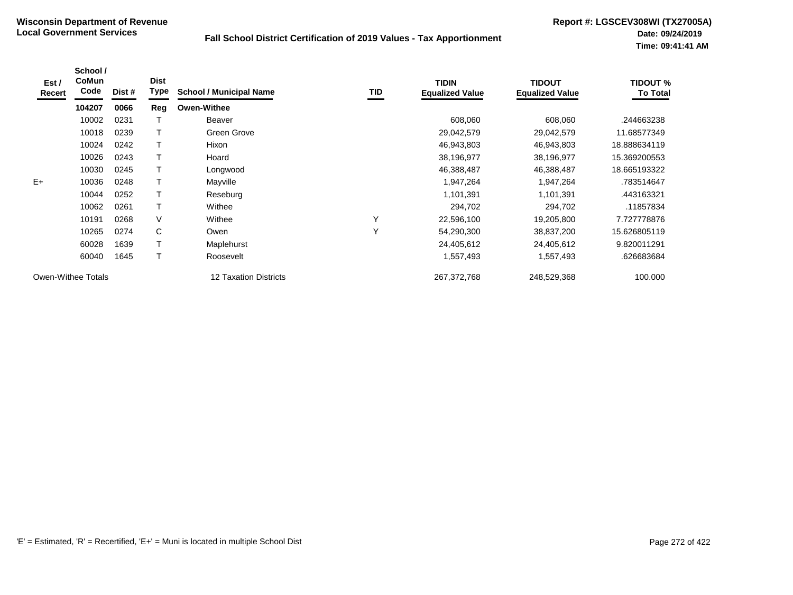| Est /<br>Recert    | School /<br>CoMun<br>Code | Dist # | <b>Dist</b><br>Type | <b>School / Municipal Name</b> | <b>TID</b> | <b>TIDIN</b><br><b>Equalized Value</b> | <b>TIDOUT</b><br><b>Equalized Value</b> | <b>TIDOUT %</b><br><b>To Total</b> |
|--------------------|---------------------------|--------|---------------------|--------------------------------|------------|----------------------------------------|-----------------------------------------|------------------------------------|
|                    | 104207                    | 0066   | Reg                 | <b>Owen-Withee</b>             |            |                                        |                                         |                                    |
|                    | 10002                     | 0231   |                     | Beaver                         |            | 608,060                                | 608,060                                 | .244663238                         |
|                    | 10018                     | 0239   | т                   | Green Grove                    |            | 29,042,579                             | 29,042,579                              | 11.68577349                        |
|                    | 10024                     | 0242   |                     | Hixon                          |            | 46,943,803                             | 46,943,803                              | 18.888634119                       |
|                    | 10026                     | 0243   |                     | Hoard                          |            | 38,196,977                             | 38,196,977                              | 15.369200553                       |
|                    | 10030                     | 0245   |                     | Longwood                       |            | 46,388,487                             | 46,388,487                              | 18.665193322                       |
| $E+$               | 10036                     | 0248   |                     | Mayville                       |            | 1,947,264                              | 1,947,264                               | .783514647                         |
|                    | 10044                     | 0252   | Τ                   | Reseburg                       |            | 1,101,391                              | 1,101,391                               | .443163321                         |
|                    | 10062                     | 0261   | Т                   | Withee                         |            | 294,702                                | 294,702                                 | .11857834                          |
|                    | 10191                     | 0268   | V                   | Withee                         | Υ          | 22,596,100                             | 19,205,800                              | 7.727778876                        |
|                    | 10265                     | 0274   | C                   | Owen                           | Υ          | 54,290,300                             | 38,837,200                              | 15.626805119                       |
|                    | 60028                     | 1639   |                     | Maplehurst                     |            | 24,405,612                             | 24,405,612                              | 9.820011291                        |
|                    | 60040                     | 1645   |                     | Roosevelt                      |            | 1,557,493                              | 1,557,493                               | .626683684                         |
| Owen-Withee Totals |                           |        |                     | 12 Taxation Districts          |            | 267,372,768                            | 248,529,368                             | 100.000                            |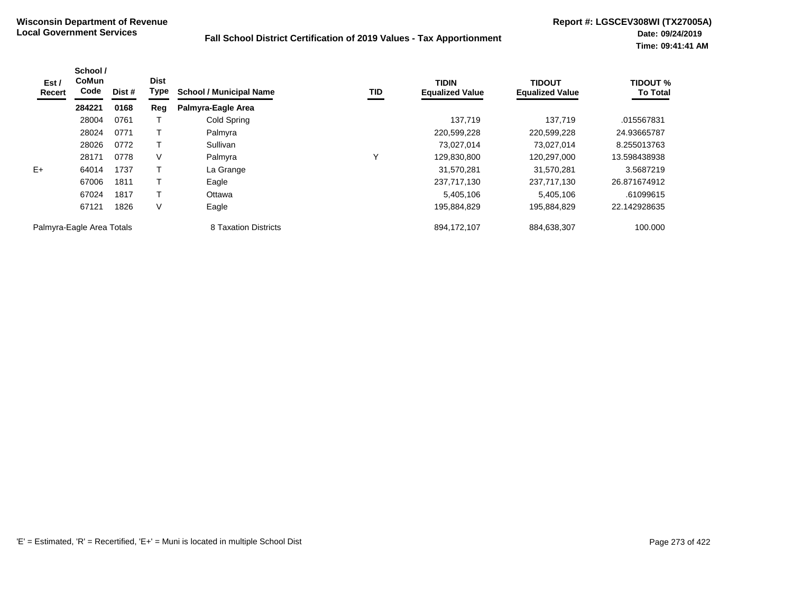| Est /<br>Recert           | School /<br><b>CoMun</b><br>Code | Dist # | <b>Dist</b><br>Type | <b>School / Municipal Name</b> | TID         | <b>TIDIN</b><br><b>Equalized Value</b> | <b>TIDOUT</b><br><b>Equalized Value</b> | <b>TIDOUT %</b><br><b>To Total</b> |
|---------------------------|----------------------------------|--------|---------------------|--------------------------------|-------------|----------------------------------------|-----------------------------------------|------------------------------------|
|                           | 284221                           | 0168   | Reg                 | Palmyra-Eagle Area             |             |                                        |                                         |                                    |
|                           | 28004                            | 0761   |                     | Cold Spring                    |             | 137,719                                | 137,719                                 | .015567831                         |
|                           | 28024                            | 0771   |                     | Palmyra                        |             | 220,599,228                            | 220,599,228                             | 24.93665787                        |
|                           | 28026                            | 0772   |                     | Sullivan                       |             | 73,027,014                             | 73,027,014                              | 8.255013763                        |
|                           | 28171                            | 0778   | V                   | Palmyra                        | $\check{ }$ | 129,830,800                            | 120.297.000                             | 13.598438938                       |
| $E+$                      | 64014                            | 1737   |                     | La Grange                      |             | 31,570,281                             | 31,570,281                              | 3.5687219                          |
|                           | 67006                            | 1811   |                     | Eagle                          |             | 237,717,130                            | 237,717,130                             | 26.871674912                       |
|                           | 67024                            | 1817   |                     | Ottawa                         |             | 5,405,106                              | 5,405,106                               | .61099615                          |
|                           | 67121                            | 1826   | V                   | Eagle                          |             | 195,884,829                            | 195,884,829                             | 22.142928635                       |
| Palmyra-Eagle Area Totals |                                  |        |                     | 8 Taxation Districts           |             | 894,172,107                            | 884,638,307                             | 100.000                            |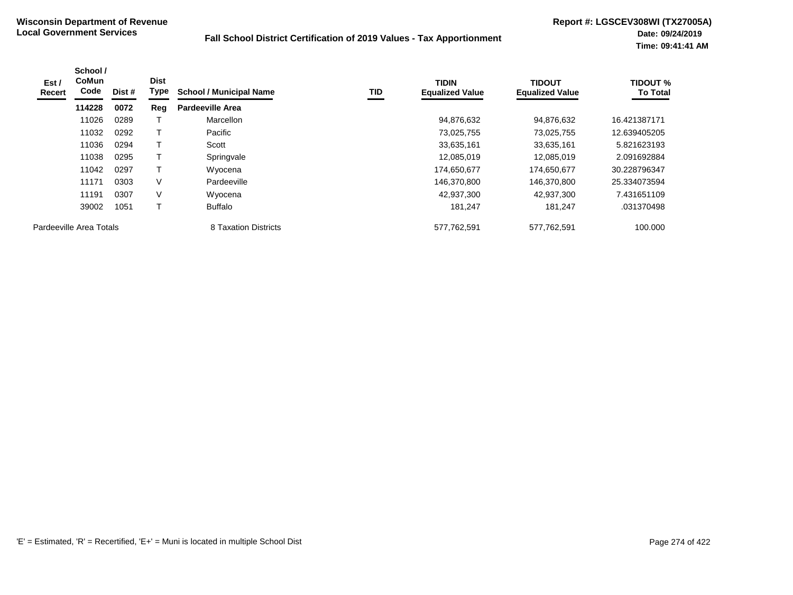| Est /<br>Recert | School /<br><b>CoMun</b><br>Code | Dist # | <b>Dist</b><br>Type | <b>School / Municipal Name</b> | TID | <b>TIDIN</b><br><b>Equalized Value</b> | <b>TIDOUT</b><br><b>Equalized Value</b> | <b>TIDOUT %</b><br><b>To Total</b> |
|-----------------|----------------------------------|--------|---------------------|--------------------------------|-----|----------------------------------------|-----------------------------------------|------------------------------------|
|                 | 114228                           | 0072   | Reg                 | Pardeeville Area               |     |                                        |                                         |                                    |
|                 | 11026                            | 0289   |                     | Marcellon                      |     | 94,876,632                             | 94,876,632                              | 16.421387171                       |
|                 | 11032                            | 0292   | Τ                   | Pacific                        |     | 73,025,755                             | 73,025,755                              | 12.639405205                       |
|                 | 11036                            | 0294   | т                   | Scott                          |     | 33,635,161                             | 33,635,161                              | 5.821623193                        |
|                 | 11038                            | 0295   | $\mathsf{T}$        | Springvale                     |     | 12,085,019                             | 12.085.019                              | 2.091692884                        |
|                 | 11042                            | 0297   | Τ                   | Wyocena                        |     | 174,650,677                            | 174,650,677                             | 30.228796347                       |
|                 | 11171                            | 0303   | $\vee$              | Pardeeville                    |     | 146,370,800                            | 146,370,800                             | 25.334073594                       |
|                 | 11191                            | 0307   | V                   | Wyocena                        |     | 42,937,300                             | 42,937,300                              | 7.431651109                        |
|                 | 39002                            | 1051   | Τ                   | Buffalo                        |     | 181,247                                | 181,247                                 | .031370498                         |
|                 | Pardeeville Area Totals          |        |                     | 8 Taxation Districts           |     | 577,762,591                            | 577,762,591                             | 100.000                            |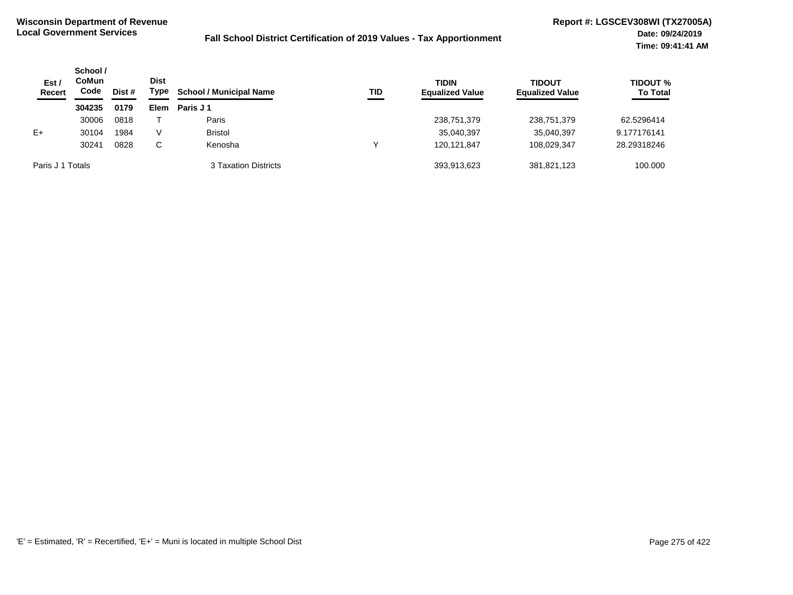| Est/<br><b>Recert</b> | School /<br>CoMun<br>Code | Dist # | <b>Dist</b><br>Type | <b>School / Municipal Name</b> | <b>TID</b> | <b>TIDIN</b><br><b>Equalized Value</b> | <b>TIDOUT</b><br><b>Equalized Value</b> | TIDOUT %<br><b>To Total</b> |
|-----------------------|---------------------------|--------|---------------------|--------------------------------|------------|----------------------------------------|-----------------------------------------|-----------------------------|
|                       | 304235                    | 0179   | Elem                | Paris J 1                      |            |                                        |                                         |                             |
|                       | 30006                     | 0818   |                     | Paris                          |            | 238,751,379                            | 238,751,379                             | 62.5296414                  |
| $E+$                  | 30104                     | 1984   | V                   | <b>Bristol</b>                 |            | 35,040,397                             | 35,040,397                              | 9.177176141                 |
|                       | 30241                     | 0828   | C.                  | Kenosha                        |            | 120.121.847                            | 108.029.347                             | 28.29318246                 |
| Paris J 1 Totals      |                           |        |                     | 3 Taxation Districts           |            | 393,913,623                            | 381,821,123                             | 100.000                     |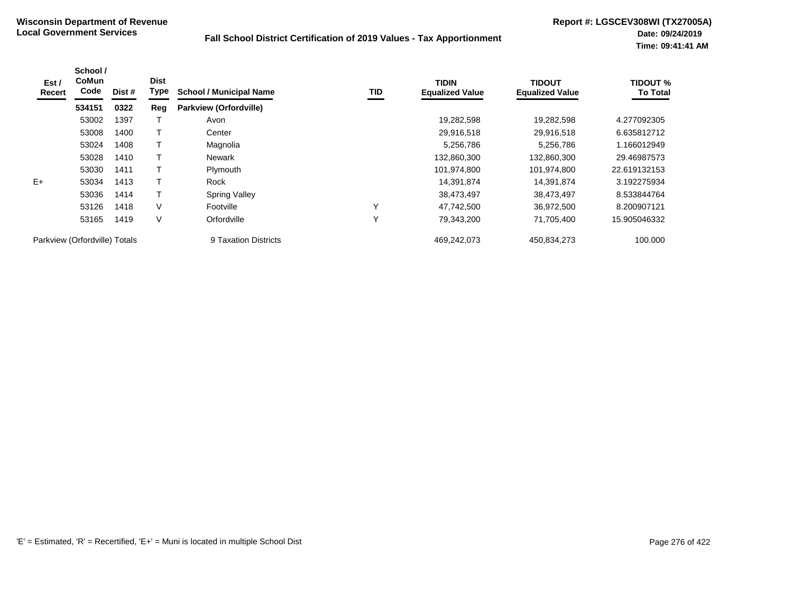| Est /<br>Recert               | School /<br><b>CoMun</b><br>Code | Dist # | <b>Dist</b><br>Type | <b>School / Municipal Name</b> | TID | <b>TIDIN</b><br><b>Equalized Value</b> | <b>TIDOUT</b><br><b>Equalized Value</b> | <b>TIDOUT %</b><br><b>To Total</b> |
|-------------------------------|----------------------------------|--------|---------------------|--------------------------------|-----|----------------------------------------|-----------------------------------------|------------------------------------|
|                               | 534151                           | 0322   | Reg                 | Parkview (Orfordville)         |     |                                        |                                         |                                    |
|                               | 53002                            | 1397   |                     | Avon                           |     | 19,282,598                             | 19,282,598                              | 4.277092305                        |
|                               | 53008                            | 1400   |                     | Center                         |     | 29,916,518                             | 29,916,518                              | 6.635812712                        |
|                               | 53024                            | 1408   |                     | Magnolia                       |     | 5,256,786                              | 5,256,786                               | 1.166012949                        |
|                               | 53028                            | 1410   |                     | Newark                         |     | 132,860,300                            | 132,860,300                             | 29.46987573                        |
|                               | 53030                            | 1411   |                     | Plymouth                       |     | 101,974,800                            | 101,974,800                             | 22.619132153                       |
| $E+$                          | 53034                            | 1413   |                     | Rock                           |     | 14,391,874                             | 14,391,874                              | 3.192275934                        |
|                               | 53036                            | 1414   |                     | <b>Spring Valley</b>           |     | 38,473,497                             | 38,473,497                              | 8.533844764                        |
|                               | 53126                            | 1418   | V                   | Footville                      | Υ   | 47,742,500                             | 36,972,500                              | 8.200907121                        |
|                               | 53165                            | 1419   | V                   | Orfordville                    | Υ   | 79,343,200                             | 71,705,400                              | 15.905046332                       |
| Parkview (Orfordville) Totals |                                  |        |                     | 9 Taxation Districts           |     | 469,242,073                            | 450,834,273                             | 100.000                            |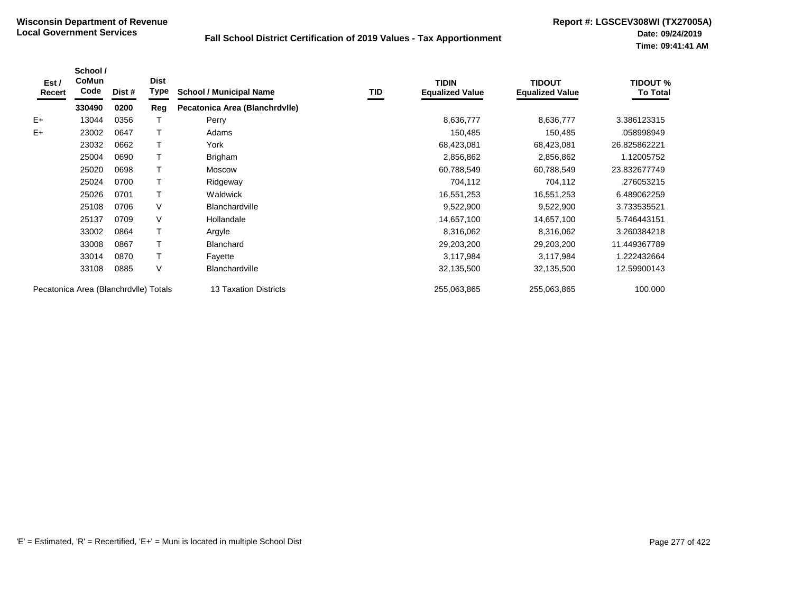| Est /<br>Recert | School /<br>CoMun<br>Code             | Dist # | <b>Dist</b><br>Type | <b>School / Municipal Name</b> | TID | <b>TIDIN</b><br><b>Equalized Value</b> | <b>TIDOUT</b><br><b>Equalized Value</b> | <b>TIDOUT %</b><br>To Total |
|-----------------|---------------------------------------|--------|---------------------|--------------------------------|-----|----------------------------------------|-----------------------------------------|-----------------------------|
|                 | 330490                                | 0200   | Reg                 | Pecatonica Area (Blanchrdvlle) |     |                                        |                                         |                             |
| $E+$            | 13044                                 | 0356   |                     | Perry                          |     | 8,636,777                              | 8,636,777                               | 3.386123315                 |
| E+              | 23002                                 | 0647   |                     | Adams                          |     | 150,485                                | 150,485                                 | .058998949                  |
|                 | 23032                                 | 0662   |                     | York                           |     | 68,423,081                             | 68,423,081                              | 26.825862221                |
|                 | 25004                                 | 0690   |                     | Brigham                        |     | 2,856,862                              | 2,856,862                               | 1.12005752                  |
|                 | 25020                                 | 0698   |                     | <b>Moscow</b>                  |     | 60,788,549                             | 60,788,549                              | 23.832677749                |
|                 | 25024                                 | 0700   |                     | Ridgeway                       |     | 704,112                                | 704,112                                 | .276053215                  |
|                 | 25026                                 | 0701   |                     | Waldwick                       |     | 16,551,253                             | 16,551,253                              | 6.489062259                 |
|                 | 25108                                 | 0706   | $\vee$              | <b>Blanchardville</b>          |     | 9,522,900                              | 9,522,900                               | 3.733535521                 |
|                 | 25137                                 | 0709   | $\vee$              | Hollandale                     |     | 14,657,100                             | 14,657,100                              | 5.746443151                 |
|                 | 33002                                 | 0864   |                     | Argyle                         |     | 8,316,062                              | 8,316,062                               | 3.260384218                 |
|                 | 33008                                 | 0867   |                     | <b>Blanchard</b>               |     | 29,203,200                             | 29,203,200                              | 11.449367789                |
|                 | 33014                                 | 0870   |                     | Fayette                        |     | 3,117,984                              | 3,117,984                               | 1.222432664                 |
|                 | 33108                                 | 0885   | V                   | <b>Blanchardville</b>          |     | 32,135,500                             | 32,135,500                              | 12.59900143                 |
|                 | Pecatonica Area (Blanchrdvlle) Totals |        |                     | 13 Taxation Districts          |     | 255,063,865                            | 255,063,865                             | 100.000                     |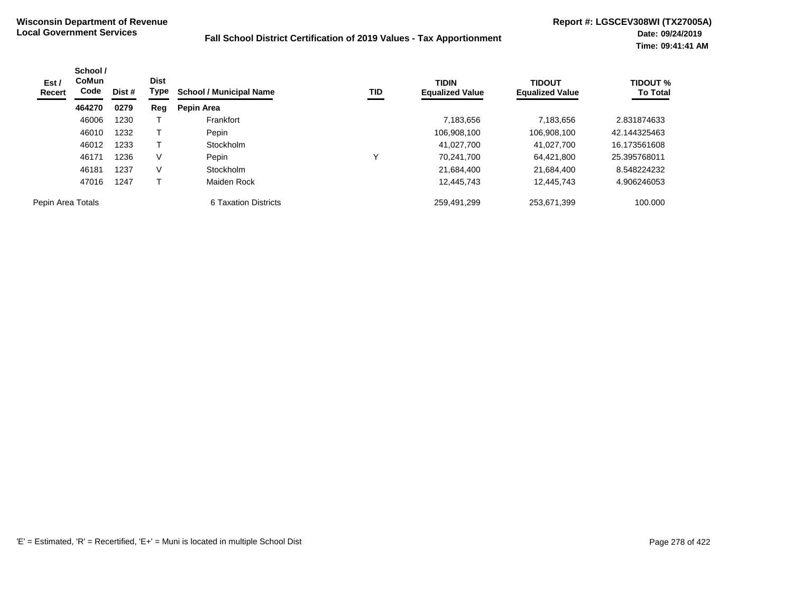| Est /<br>Recert   | School /<br><b>CoMun</b><br>Code | Dist # | <b>Dist</b><br>Type | <b>School / Municipal Name</b> | TID | <b>TIDIN</b><br><b>Equalized Value</b> | <b>TIDOUT</b><br><b>Equalized Value</b> | <b>TIDOUT %</b><br><b>To Total</b> |
|-------------------|----------------------------------|--------|---------------------|--------------------------------|-----|----------------------------------------|-----------------------------------------|------------------------------------|
|                   | 464270                           | 0279   | Reg                 | Pepin Area                     |     |                                        |                                         |                                    |
|                   | 46006                            | 1230   |                     | Frankfort                      |     | 7,183,656                              | 7,183,656                               | 2.831874633                        |
|                   | 46010                            | 1232   |                     | Pepin                          |     | 106,908,100                            | 106,908,100                             | 42.144325463                       |
|                   | 46012                            | 1233   |                     | Stockholm                      |     | 41,027,700                             | 41.027.700                              | 16.173561608                       |
|                   | 46171                            | 1236   | V                   | Pepin                          |     | 70,241,700                             | 64,421,800                              | 25.395768011                       |
|                   | 46181                            | 1237   | V                   | Stockholm                      |     | 21,684,400                             | 21,684,400                              | 8.548224232                        |
|                   | 47016                            | 1247   |                     | Maiden Rock                    |     | 12,445,743                             | 12,445,743                              | 4.906246053                        |
| Pepin Area Totals |                                  |        |                     | 6 Taxation Districts           |     | 259,491,299                            | 253,671,399                             | 100.000                            |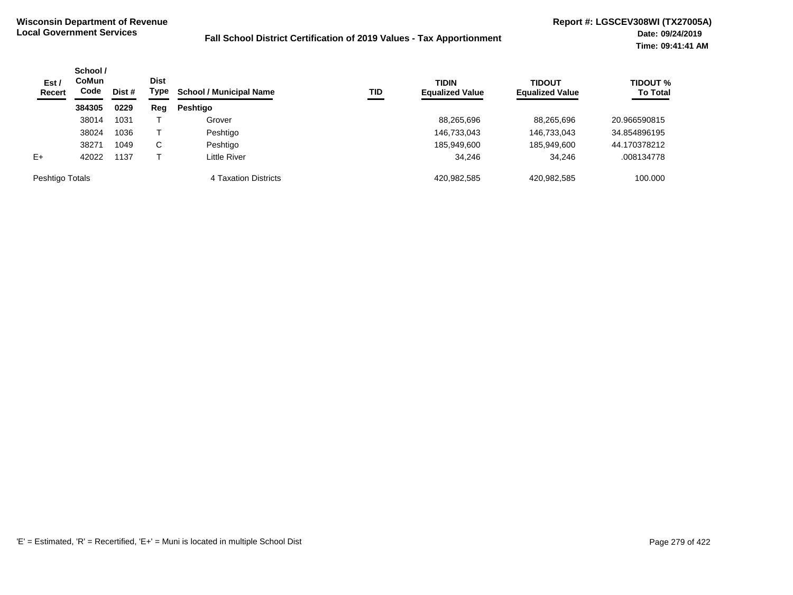| Est /<br>Recert | School /<br>CoMun<br>Code<br>Dist # | <b>Dist</b><br>Type | <b>School / Municipal Name</b> | TID                  | <b>TIDIN</b><br><b>Equalized Value</b> | <b>TIDOUT</b><br><b>Equalized Value</b> | TIDOUT %<br><b>To Total</b> |              |
|-----------------|-------------------------------------|---------------------|--------------------------------|----------------------|----------------------------------------|-----------------------------------------|-----------------------------|--------------|
|                 | 384305                              | 0229                | Reg                            | <b>Peshtigo</b>      |                                        |                                         |                             |              |
|                 | 38014                               | 1031                |                                | Grover               |                                        | 88,265,696                              | 88.265.696                  | 20.966590815 |
|                 | 38024                               | 1036                |                                | Peshtigo             |                                        | 146,733,043                             | 146,733,043                 | 34.854896195 |
|                 | 38271                               | 1049                | C.                             | Peshtigo             |                                        | 185,949,600                             | 185,949,600                 | 44.170378212 |
| $E+$            | 42022                               | 1137                |                                | Little River         |                                        | 34.246                                  | 34.246                      | .008134778   |
| Peshtigo Totals |                                     |                     |                                | 4 Taxation Districts |                                        | 420,982,585                             | 420.982.585                 | 100.000      |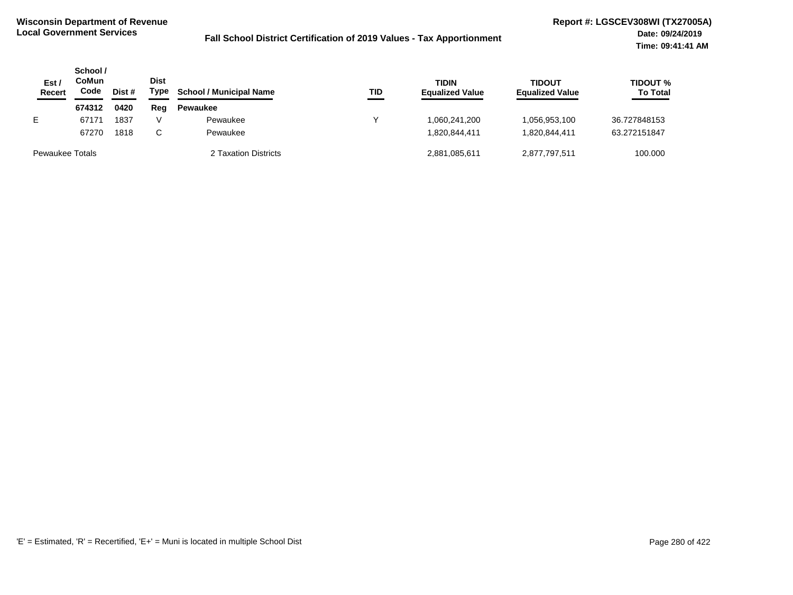| Est,<br><b>Recert</b>  | School /<br>CoMun<br>Code | Dist # | Dist<br>Type | <b>School / Municipal Name</b> | TID | <b>TIDIN</b><br><b>Equalized Value</b> | <b>TIDOUT</b><br><b>Equalized Value</b> | <b>TIDOUT %</b><br><b>To Total</b> |
|------------------------|---------------------------|--------|--------------|--------------------------------|-----|----------------------------------------|-----------------------------------------|------------------------------------|
|                        | 674312                    | 0420   | Reg          | <b>Pewaukee</b>                |     |                                        |                                         |                                    |
| E.                     | 67171                     | 1837   |              | Pewaukee                       |     | 060,241,200,                           | 056,953,100                             | 36.727848153                       |
|                        | 67270                     | 1818   | C.           | Pewaukee                       |     | 820,844,411.                           | 820,844,411                             | 63.272151847                       |
| <b>Pewaukee Totals</b> |                           |        |              | 2 Taxation Districts           |     | 2,881,085,611                          | 2,877,797,511                           | 100.000                            |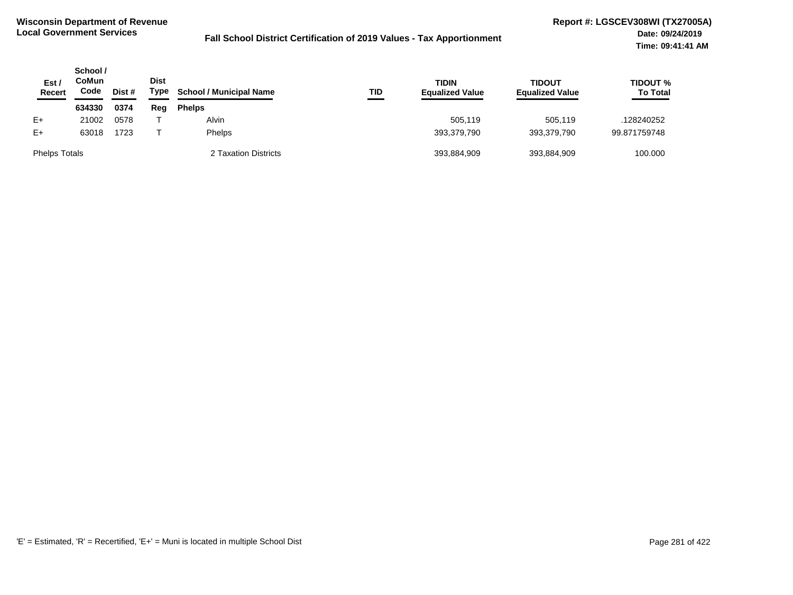| Est /<br>Recert      | School /<br>CoMun<br>Code | Dist # | <b>Dist</b><br>Type | <b>School / Municipal Name</b> | TID | <b>TIDIN</b><br><b>Equalized Value</b> | <b>TIDOUT</b><br><b>Equalized Value</b> | <b>TIDOUT %</b><br><b>To Total</b> |
|----------------------|---------------------------|--------|---------------------|--------------------------------|-----|----------------------------------------|-----------------------------------------|------------------------------------|
|                      | 634330                    | 0374   | Reg                 | <b>Phelps</b>                  |     |                                        |                                         |                                    |
| $E+$                 | 21002                     | 0578   |                     | Alvin                          |     | 505.119                                | 505.119                                 | .128240252                         |
| $E+$                 | 63018                     | 1723   |                     | <b>Phelps</b>                  |     | 393,379,790                            | 393.379.790                             | 99.871759748                       |
| <b>Phelps Totals</b> |                           |        |                     | 2 Taxation Districts           |     | 393,884,909                            | 393,884,909                             | 100.000                            |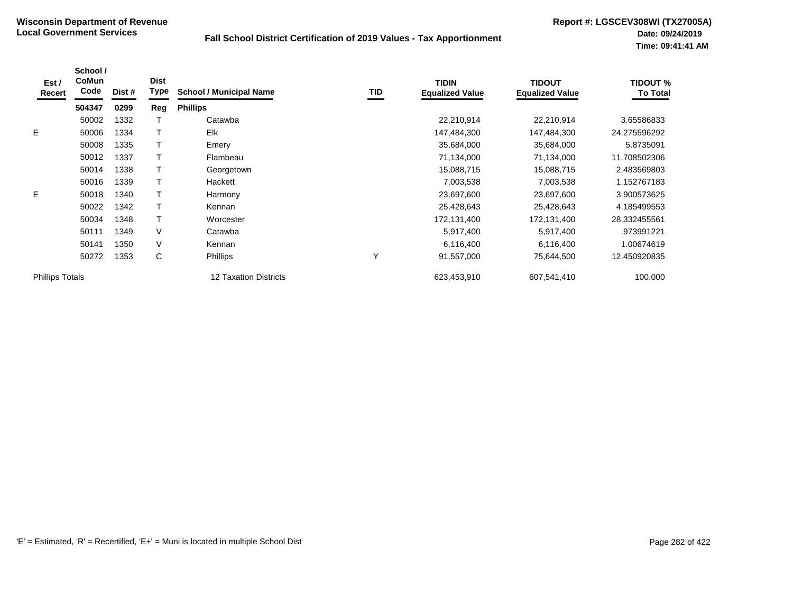| Est /<br>Recert        | School /<br>CoMun<br>Code | Dist # | <b>Dist</b><br><b>Type</b> | <b>School / Municipal Name</b> | TID          | <b>TIDIN</b><br><b>Equalized Value</b> | <b>TIDOUT</b><br><b>Equalized Value</b> | <b>TIDOUT %</b><br><b>To Total</b> |
|------------------------|---------------------------|--------|----------------------------|--------------------------------|--------------|----------------------------------------|-----------------------------------------|------------------------------------|
|                        | 504347                    | 0299   | Reg                        | <b>Phillips</b>                |              |                                        |                                         |                                    |
|                        | 50002                     | 1332   |                            | Catawba                        |              | 22,210,914                             | 22,210,914                              | 3.65586833                         |
| E.                     | 50006                     | 1334   |                            | Elk                            |              | 147,484,300                            | 147,484,300                             | 24.275596292                       |
|                        | 50008                     | 1335   |                            | Emery                          |              | 35,684,000                             | 35,684,000                              | 5.8735091                          |
|                        | 50012                     | 1337   |                            | Flambeau                       |              | 71,134,000                             | 71,134,000                              | 11.708502306                       |
|                        | 50014                     | 1338   |                            | Georgetown                     |              | 15,088,715                             | 15,088,715                              | 2.483569803                        |
|                        | 50016                     | 1339   |                            | Hackett                        |              | 7,003,538                              | 7,003,538                               | 1.152767183                        |
| E.                     | 50018                     | 1340   |                            | Harmony                        |              | 23,697,600                             | 23,697,600                              | 3.900573625                        |
|                        | 50022                     | 1342   |                            | Kennan                         |              | 25,428,643                             | 25,428,643                              | 4.185499553                        |
|                        | 50034                     | 1348   |                            | Worcester                      |              | 172,131,400                            | 172,131,400                             | 28.332455561                       |
|                        | 50111                     | 1349   | V                          | Catawba                        |              | 5,917,400                              | 5,917,400                               | .973991221                         |
|                        | 50141                     | 1350   | V                          | Kennan                         |              | 6,116,400                              | 6,116,400                               | 1.00674619                         |
|                        | 50272                     | 1353   | С                          | Phillips                       | $\checkmark$ | 91,557,000                             | 75,644,500                              | 12.450920835                       |
| <b>Phillips Totals</b> |                           |        |                            | <b>12 Taxation Districts</b>   |              | 623,453,910                            | 607,541,410                             | 100.000                            |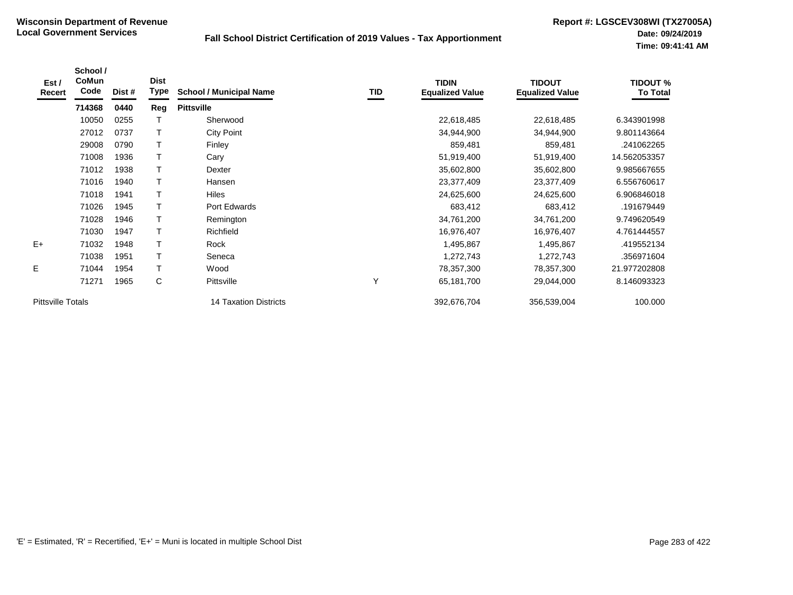| Est /<br>Recert          | School /<br>CoMun<br>Code | Dist # | <b>Dist</b><br>Type | <b>School / Municipal Name</b> | TID | <b>TIDIN</b><br><b>Equalized Value</b> | <b>TIDOUT</b><br><b>Equalized Value</b> | <b>TIDOUT %</b><br><b>To Total</b> |
|--------------------------|---------------------------|--------|---------------------|--------------------------------|-----|----------------------------------------|-----------------------------------------|------------------------------------|
|                          | 714368                    | 0440   | Reg                 | <b>Pittsville</b>              |     |                                        |                                         |                                    |
|                          | 10050                     | 0255   |                     | Sherwood                       |     | 22,618,485                             | 22,618,485                              | 6.343901998                        |
|                          | 27012                     | 0737   |                     | City Point                     |     | 34,944,900                             | 34,944,900                              | 9.801143664                        |
|                          | 29008                     | 0790   |                     | Finley                         |     | 859,481                                | 859,481                                 | .241062265                         |
|                          | 71008                     | 1936   |                     | Cary                           |     | 51,919,400                             | 51,919,400                              | 14.562053357                       |
|                          | 71012                     | 1938   |                     | Dexter                         |     | 35,602,800                             | 35,602,800                              | 9.985667655                        |
|                          | 71016                     | 1940   |                     | Hansen                         |     | 23,377,409                             | 23,377,409                              | 6.556760617                        |
|                          | 71018                     | 1941   |                     | Hiles                          |     | 24,625,600                             | 24,625,600                              | 6.906846018                        |
|                          | 71026                     | 1945   |                     | Port Edwards                   |     | 683,412                                | 683,412                                 | .191679449                         |
|                          | 71028                     | 1946   |                     | Remington                      |     | 34,761,200                             | 34,761,200                              | 9.749620549                        |
|                          | 71030                     | 1947   |                     | Richfield                      |     | 16,976,407                             | 16,976,407                              | 4.761444557                        |
| $E+$                     | 71032                     | 1948   | Т                   | Rock                           |     | 1,495,867                              | 1,495,867                               | .419552134                         |
|                          | 71038                     | 1951   | T                   | Seneca                         |     | 1,272,743                              | 1,272,743                               | .356971604                         |
| E                        | 71044                     | 1954   | Т                   | Wood                           |     | 78,357,300                             | 78,357,300                              | 21.977202808                       |
|                          | 71271                     | 1965   | C                   | Pittsville                     | Y   | 65,181,700                             | 29,044,000                              | 8.146093323                        |
| <b>Pittsville Totals</b> |                           |        |                     | 14 Taxation Districts          |     | 392,676,704                            | 356,539,004                             | 100.000                            |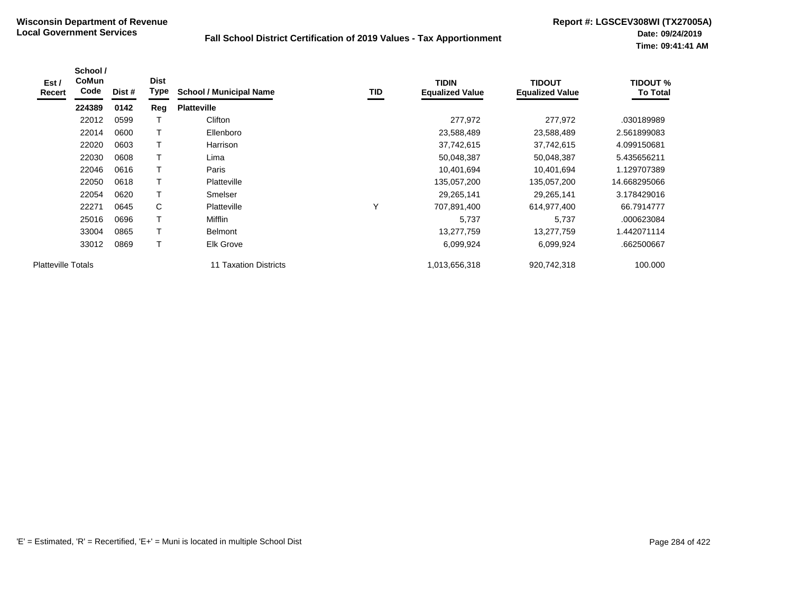| Est /<br>Recert           | School /<br><b>CoMun</b><br>Code | Dist # | <b>Dist</b><br>Type | <b>School / Municipal Name</b> | TID | <b>TIDIN</b><br><b>Equalized Value</b> | <b>TIDOUT</b><br><b>Equalized Value</b> | <b>TIDOUT %</b><br><b>To Total</b> |
|---------------------------|----------------------------------|--------|---------------------|--------------------------------|-----|----------------------------------------|-----------------------------------------|------------------------------------|
|                           | 224389                           | 0142   | Reg                 | <b>Platteville</b>             |     |                                        |                                         |                                    |
|                           | 22012                            | 0599   |                     | Clifton                        |     | 277,972                                | 277,972                                 | .030189989                         |
|                           | 22014                            | 0600   |                     | Ellenboro                      |     | 23,588,489                             | 23,588,489                              | 2.561899083                        |
|                           | 22020                            | 0603   |                     | Harrison                       |     | 37,742,615                             | 37,742,615                              | 4.099150681                        |
|                           | 22030                            | 0608   |                     | Lima                           |     | 50,048,387                             | 50,048,387                              | 5.435656211                        |
|                           | 22046                            | 0616   |                     | Paris                          |     | 10,401,694                             | 10,401,694                              | 1.129707389                        |
|                           | 22050                            | 0618   |                     | Platteville                    |     | 135,057,200                            | 135,057,200                             | 14.668295066                       |
|                           | 22054                            | 0620   | T                   | Smelser                        |     | 29,265,141                             | 29,265,141                              | 3.178429016                        |
|                           | 22271                            | 0645   | C                   | Platteville                    | v   | 707,891,400                            | 614,977,400                             | 66.7914777                         |
|                           | 25016                            | 0696   |                     | Mifflin                        |     | 5,737                                  | 5,737                                   | .000623084                         |
|                           | 33004                            | 0865   |                     | <b>Belmont</b>                 |     | 13,277,759                             | 13,277,759                              | 1.442071114                        |
|                           | 33012                            | 0869   | T                   | <b>Elk Grove</b>               |     | 6,099,924                              | 6,099,924                               | .662500667                         |
| <b>Platteville Totals</b> |                                  |        |                     | <b>11 Taxation Districts</b>   |     | 1,013,656,318                          | 920,742,318                             | 100.000                            |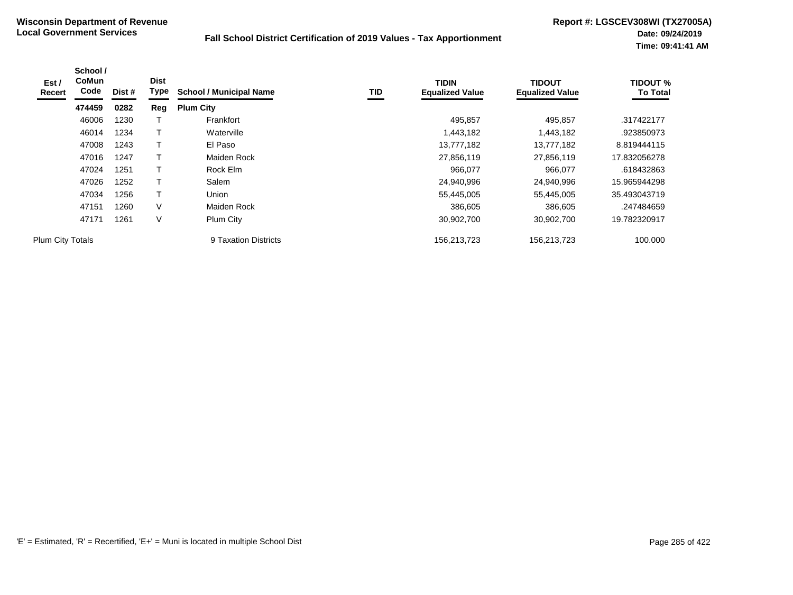| Est/<br>Recert   | School /<br>CoMun<br>Code | Dist # | <b>Dist</b><br>Type | <b>School / Municipal Name</b> | TID | <b>TIDIN</b><br><b>Equalized Value</b> | <b>TIDOUT</b><br><b>Equalized Value</b> | <b>TIDOUT %</b><br><b>To Total</b> |
|------------------|---------------------------|--------|---------------------|--------------------------------|-----|----------------------------------------|-----------------------------------------|------------------------------------|
|                  | 474459                    | 0282   | Reg                 | <b>Plum City</b>               |     |                                        |                                         |                                    |
|                  | 46006                     | 1230   |                     | Frankfort                      |     | 495,857                                | 495,857                                 | .317422177                         |
|                  | 46014                     | 1234   |                     | Waterville                     |     | 1,443,182                              | 1,443,182                               | .923850973                         |
|                  | 47008                     | 1243   |                     | El Paso                        |     | 13,777,182                             | 13,777,182                              | 8.819444115                        |
|                  | 47016                     | 1247   |                     | Maiden Rock                    |     | 27,856,119                             | 27,856,119                              | 17.832056278                       |
|                  | 47024                     | 1251   |                     | Rock Elm                       |     | 966.077                                | 966,077                                 | .618432863                         |
|                  | 47026                     | 1252   |                     | Salem                          |     | 24,940,996                             | 24,940,996                              | 15.965944298                       |
|                  | 47034                     | 1256   | т                   | Union                          |     | 55,445,005                             | 55,445,005                              | 35.493043719                       |
|                  | 47151                     | 1260   | V                   | Maiden Rock                    |     | 386,605                                | 386,605                                 | .247484659                         |
|                  | 47171                     | 1261   | ٧                   | Plum City                      |     | 30,902,700                             | 30,902,700                              | 19.782320917                       |
| Plum City Totals |                           |        |                     | 9 Taxation Districts           |     | 156,213,723                            | 156,213,723                             | 100.000                            |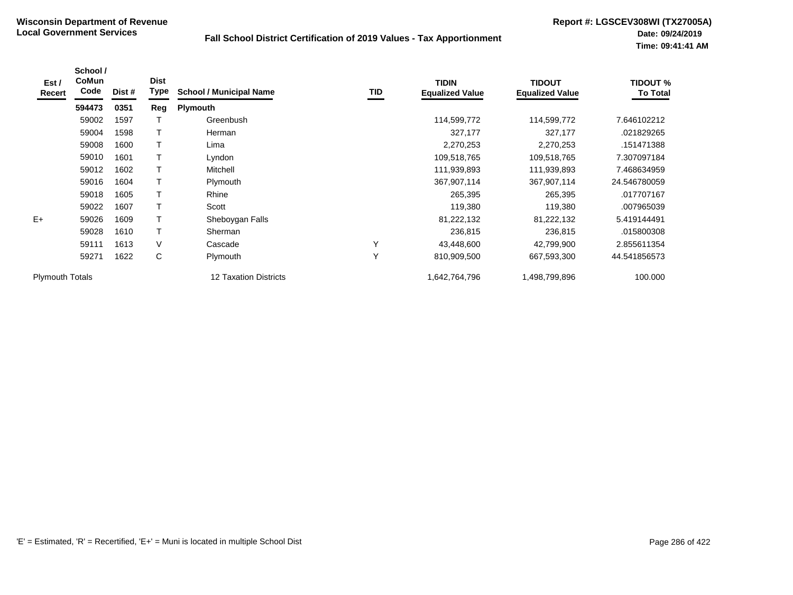| Est /<br>Recert        | School /<br><b>CoMun</b><br>Code | Dist # | <b>Dist</b><br><b>Type</b> | <b>School / Municipal Name</b> | TID | <b>TIDIN</b><br><b>Equalized Value</b> | <b>TIDOUT</b><br><b>Equalized Value</b> | <b>TIDOUT %</b><br><b>To Total</b> |
|------------------------|----------------------------------|--------|----------------------------|--------------------------------|-----|----------------------------------------|-----------------------------------------|------------------------------------|
|                        | 594473                           | 0351   | Reg                        | Plymouth                       |     |                                        |                                         |                                    |
|                        | 59002                            | 1597   |                            | Greenbush                      |     | 114,599,772                            | 114,599,772                             | 7.646102212                        |
|                        | 59004                            | 1598   | T                          | Herman                         |     | 327,177                                | 327,177                                 | .021829265                         |
|                        | 59008                            | 1600   | T                          | Lima                           |     | 2,270,253                              | 2,270,253                               | .151471388                         |
|                        | 59010                            | 1601   |                            | Lyndon                         |     | 109,518,765                            | 109,518,765                             | 7.307097184                        |
|                        | 59012                            | 1602   | T                          | Mitchell                       |     | 111,939,893                            | 111,939,893                             | 7.468634959                        |
|                        | 59016                            | 1604   | T                          | Plymouth                       |     | 367,907,114                            | 367,907,114                             | 24.546780059                       |
|                        | 59018                            | 1605   | T                          | Rhine                          |     | 265,395                                | 265,395                                 | .017707167                         |
|                        | 59022                            | 1607   | T                          | Scott                          |     | 119,380                                | 119,380                                 | .007965039                         |
| $E+$                   | 59026                            | 1609   | T                          | Sheboygan Falls                |     | 81,222,132                             | 81,222,132                              | 5.419144491                        |
|                        | 59028                            | 1610   | $\top$                     | Sherman                        |     | 236,815                                | 236,815                                 | .015800308                         |
|                        | 59111                            | 1613   | V                          | Cascade                        | Υ   | 43,448,600                             | 42,799,900                              | 2.855611354                        |
|                        | 59271                            | 1622   | C                          | Plymouth                       | Y   | 810,909,500                            | 667,593,300                             | 44.541856573                       |
| <b>Plymouth Totals</b> |                                  |        |                            | <b>12 Taxation Districts</b>   |     | 1,642,764,796                          | 1,498,799,896                           | 100.000                            |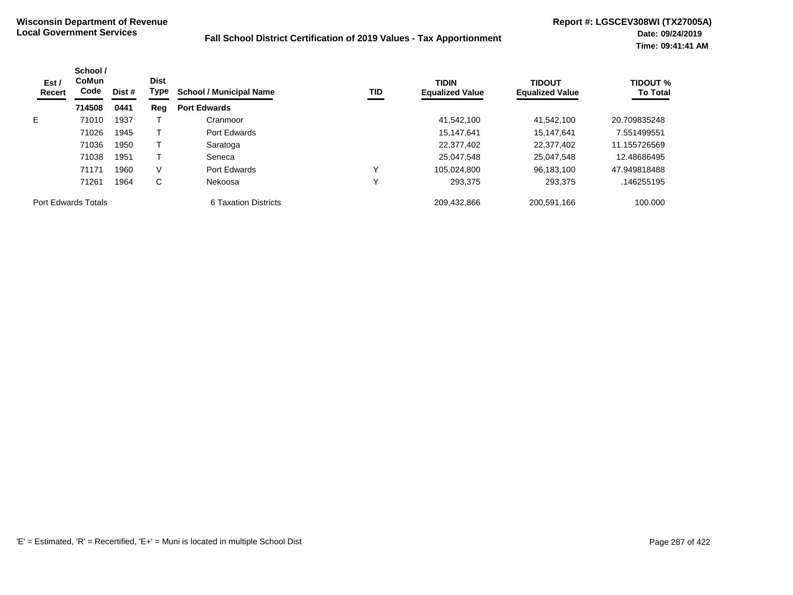| Est /<br>Recert            | School /<br><b>CoMun</b><br>Code<br>Dist # | <b>Dist</b><br>Type | <b>TID</b><br><b>School / Municipal Name</b> |                      | <b>TIDIN</b><br><b>Equalized Value</b> | <b>TIDOUT</b><br><b>Equalized Value</b> | <b>TIDOUT %</b><br><b>To Total</b> |              |
|----------------------------|--------------------------------------------|---------------------|----------------------------------------------|----------------------|----------------------------------------|-----------------------------------------|------------------------------------|--------------|
|                            | 714508                                     | 0441                | Reg                                          | <b>Port Edwards</b>  |                                        |                                         |                                    |              |
| E.                         | 71010                                      | 1937                |                                              | Cranmoor             |                                        | 41,542,100                              | 41,542,100                         | 20.709835248 |
|                            | 71026                                      | 1945                |                                              | Port Edwards         |                                        | 15.147.641                              | 15,147,641                         | 7.551499551  |
|                            | 71036                                      | 1950                |                                              | Saratoga             |                                        | 22,377,402                              | 22,377,402                         | 11.155726569 |
|                            | 71038                                      | 1951                |                                              | Seneca               |                                        | 25,047,548                              | 25,047,548                         | 12.48686495  |
|                            | 71171                                      | 1960                | V                                            | Port Edwards         |                                        | 105,024,800                             | 96,183,100                         | 47.949818488 |
|                            | 71261                                      | 1964                | С                                            | Nekoosa              | ν                                      | 293,375                                 | 293.375                            | .146255195   |
| <b>Port Edwards Totals</b> |                                            |                     |                                              | 6 Taxation Districts |                                        | 209,432,866                             | 200,591,166                        | 100.000      |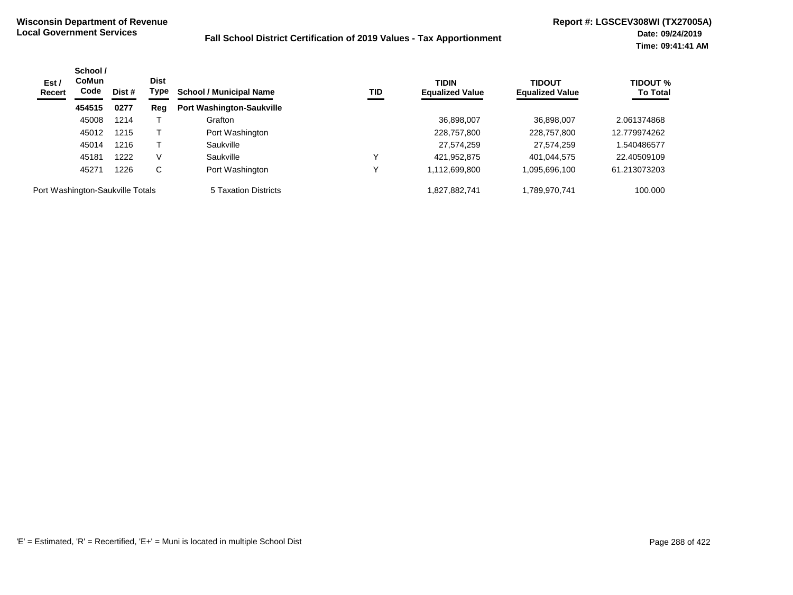| Est /<br><b>Recert</b>           | School /<br><b>CoMun</b><br>Code | Dist # | <b>Dist</b><br>Type | <b>School / Municipal Name</b>   | TID | <b>TIDIN</b><br><b>Equalized Value</b> | <b>TIDOUT</b><br><b>Equalized Value</b> | <b>TIDOUT %</b><br><b>To Total</b> |
|----------------------------------|----------------------------------|--------|---------------------|----------------------------------|-----|----------------------------------------|-----------------------------------------|------------------------------------|
|                                  | 454515                           | 0277   | Reg                 | <b>Port Washington-Saukville</b> |     |                                        |                                         |                                    |
|                                  | 45008                            | 1214   |                     | Grafton                          |     | 36,898,007                             | 36,898,007                              | 2.061374868                        |
|                                  | 45012                            | 1215   |                     | Port Washington                  |     | 228,757,800                            | 228,757,800                             | 12.779974262                       |
|                                  | 45014                            | 1216   |                     | Saukville                        |     | 27,574,259                             | 27,574,259                              | .540486577                         |
|                                  | 45181                            | 1222   | V                   | Saukville                        |     | 421,952,875                            | 401,044,575                             | 22.40509109                        |
|                                  | 45271                            | 1226   | C                   | Port Washington                  |     | 1,112,699,800                          | 1,095,696,100                           | 61.213073203                       |
| Port Washington-Saukville Totals |                                  |        |                     | 5 Taxation Districts             |     | 1,827,882,741                          | 1,789,970,741                           | 100.000                            |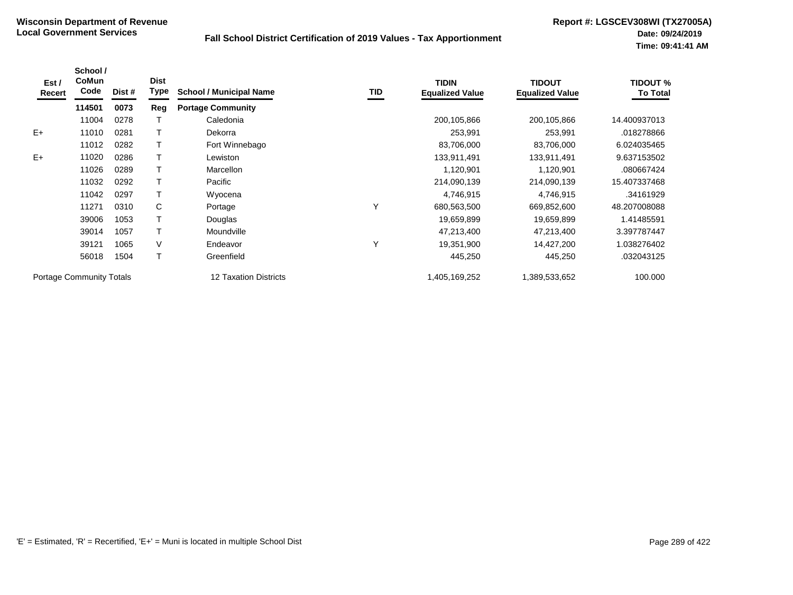| Est /<br>Recert | School /<br><b>CoMun</b><br>Code | Dist # | <b>Dist</b><br><b>Type</b> | <b>School / Municipal Name</b> | TID | <b>TIDIN</b><br><b>Equalized Value</b> | <b>TIDOUT</b><br><b>Equalized Value</b> | <b>TIDOUT %</b><br>To Total |
|-----------------|----------------------------------|--------|----------------------------|--------------------------------|-----|----------------------------------------|-----------------------------------------|-----------------------------|
|                 | 114501                           | 0073   | Reg                        | <b>Portage Community</b>       |     |                                        |                                         |                             |
|                 | 11004                            | 0278   |                            | Caledonia                      |     | 200,105,866                            | 200,105,866                             | 14.400937013                |
| $E+$            | 11010                            | 0281   |                            | Dekorra                        |     | 253,991                                | 253,991                                 | .018278866                  |
|                 | 11012                            | 0282   |                            | Fort Winnebago                 |     | 83,706,000                             | 83,706,000                              | 6.024035465                 |
| $E+$            | 11020                            | 0286   |                            | Lewiston                       |     | 133,911,491                            | 133,911,491                             | 9.637153502                 |
|                 | 11026                            | 0289   |                            | <b>Marcellon</b>               |     | 1,120,901                              | 1,120,901                               | .080667424                  |
|                 | 11032                            | 0292   |                            | Pacific                        |     | 214,090,139                            | 214,090,139                             | 15.407337468                |
|                 | 11042                            | 0297   |                            | Wyocena                        |     | 4,746,915                              | 4,746,915                               | .34161929                   |
|                 | 11271                            | 0310   | C                          | Portage                        | Υ   | 680,563,500                            | 669,852,600                             | 48.207008088                |
|                 | 39006                            | 1053   |                            | Douglas                        |     | 19,659,899                             | 19,659,899                              | 1.41485591                  |
|                 | 39014                            | 1057   |                            | Moundville                     |     | 47,213,400                             | 47,213,400                              | 3.397787447                 |
|                 | 39121                            | 1065   | V                          | Endeavor                       | Y   | 19,351,900                             | 14,427,200                              | 1.038276402                 |
|                 | 56018                            | 1504   |                            | Greenfield                     |     | 445,250                                | 445,250                                 | .032043125                  |
|                 | <b>Portage Community Totals</b>  |        |                            | <b>12 Taxation Districts</b>   |     | 1,405,169,252                          | 1,389,533,652                           | 100.000                     |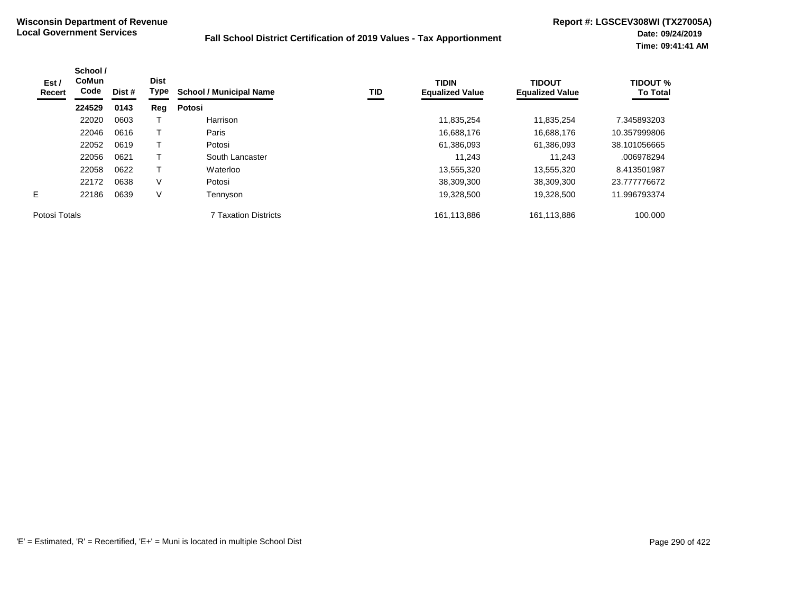| School /<br><b>CoMun</b><br>Est /<br>Code<br>Recert | Dist # | <b>Dist</b><br>Type | <b>School / Municipal Name</b> | <b>TID</b>           | <b>TIDIN</b><br><b>Equalized Value</b> | <b>TIDOUT</b><br><b>Equalized Value</b> | <b>TIDOUT %</b><br><b>To Total</b> |              |
|-----------------------------------------------------|--------|---------------------|--------------------------------|----------------------|----------------------------------------|-----------------------------------------|------------------------------------|--------------|
|                                                     | 224529 | 0143                | Reg                            | Potosi               |                                        |                                         |                                    |              |
|                                                     | 22020  | 0603                |                                | Harrison             |                                        | 11,835,254                              | 11,835,254                         | 7.345893203  |
|                                                     | 22046  | 0616                |                                | Paris                |                                        | 16,688,176                              | 16.688.176                         | 10.357999806 |
|                                                     | 22052  | 0619                |                                | Potosi               |                                        | 61,386,093                              | 61,386,093                         | 38.101056665 |
|                                                     | 22056  | 0621                |                                | South Lancaster      |                                        | 11.243                                  | 11.243                             | .006978294   |
|                                                     | 22058  | 0622                |                                | Waterloo             |                                        | 13,555,320                              | 13,555,320                         | 8.413501987  |
|                                                     | 22172  | 0638                | ٧                              | Potosi               |                                        | 38,309,300                              | 38.309.300                         | 23.777776672 |
| E.                                                  | 22186  | 0639                | V                              | Tennyson             |                                        | 19,328,500                              | 19,328,500                         | 11.996793374 |
| Potosi Totals                                       |        |                     |                                | 7 Taxation Districts |                                        | 161,113,886                             | 161,113,886                        | 100.000      |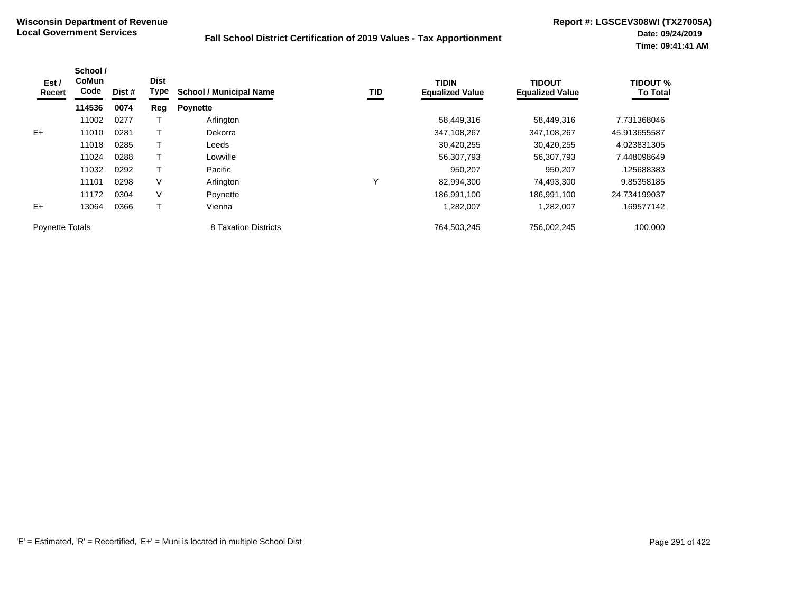| Est /<br>Recert        | School /<br><b>CoMun</b><br>Code | Dist # | <b>Dist</b><br>Type | <b>School / Municipal Name</b> | TID | <b>TIDIN</b><br><b>Equalized Value</b> | <b>TIDOUT</b><br><b>Equalized Value</b> | <b>TIDOUT %</b><br><b>To Total</b> |
|------------------------|----------------------------------|--------|---------------------|--------------------------------|-----|----------------------------------------|-----------------------------------------|------------------------------------|
|                        | 114536                           | 0074   | Reg                 | <b>Poynette</b>                |     |                                        |                                         |                                    |
|                        | 11002                            | 0277   |                     | Arlington                      |     | 58,449,316                             | 58,449,316                              | 7.731368046                        |
| $E+$                   | 11010                            | 0281   |                     | Dekorra                        |     | 347,108,267                            | 347,108,267                             | 45.913655587                       |
|                        | 11018                            | 0285   |                     | Leeds                          |     | 30,420,255                             | 30.420.255                              | 4.023831305                        |
|                        | 11024                            | 0288   |                     | Lowville                       |     | 56,307,793                             | 56,307,793                              | 7.448098649                        |
|                        | 11032                            | 0292   |                     | Pacific                        |     | 950.207                                | 950.207                                 | .125688383                         |
|                        | 11101                            | 0298   | V                   | Arlington                      | ν   | 82,994,300                             | 74,493,300                              | 9.85358185                         |
|                        | 11172                            | 0304   | V                   | Poynette                       |     | 186,991,100                            | 186,991,100                             | 24.734199037                       |
| $E+$                   | 13064                            | 0366   |                     | Vienna                         |     | 1,282,007                              | 1,282,007                               | .169577142                         |
| <b>Poynette Totals</b> |                                  |        |                     | 8 Taxation Districts           |     | 764,503,245                            | 756,002,245                             | 100.000                            |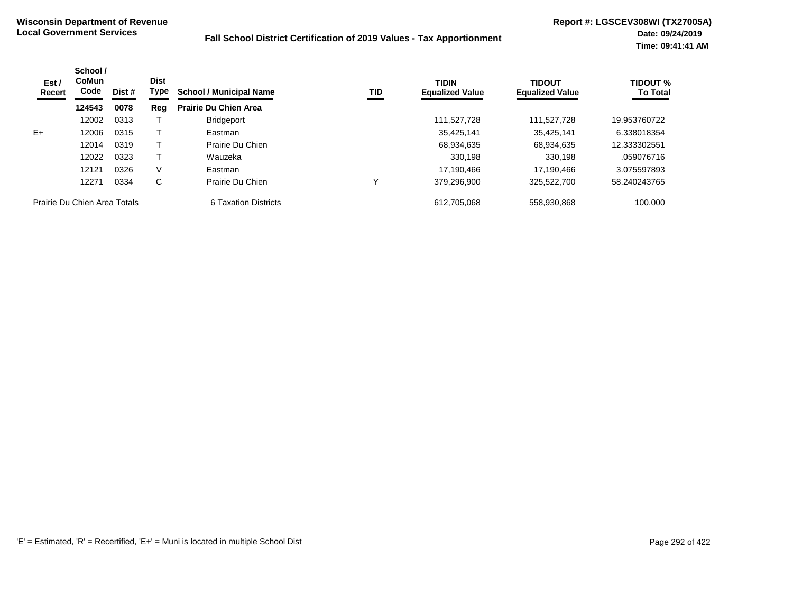| Est /<br>Recert              | School /<br><b>CoMun</b><br>Code | Dist # | <b>Dist</b><br>Type | <b>School / Municipal Name</b> | TID | <b>TIDIN</b><br><b>Equalized Value</b> | <b>TIDOUT</b><br><b>Equalized Value</b> | <b>TIDOUT %</b><br><b>To Total</b> |
|------------------------------|----------------------------------|--------|---------------------|--------------------------------|-----|----------------------------------------|-----------------------------------------|------------------------------------|
|                              | 124543                           | 0078   | Reg                 | <b>Prairie Du Chien Area</b>   |     |                                        |                                         |                                    |
|                              | 12002                            | 0313   |                     | <b>Bridgeport</b>              |     | 111,527,728                            | 111.527.728                             | 19.953760722                       |
| $E+$                         | 12006                            | 0315   |                     | Eastman                        |     | 35,425,141                             | 35.425.141                              | 6.338018354                        |
|                              | 12014                            | 0319   |                     | Prairie Du Chien               |     | 68,934,635                             | 68.934.635                              | 12.333302551                       |
|                              | 12022                            | 0323   |                     | Wauzeka                        |     | 330.198                                | 330,198                                 | .059076716                         |
|                              | 12121                            | 0326   | V                   | Eastman                        |     | 17,190,466                             | 17,190,466                              | 3.075597893                        |
|                              | 12271                            | 0334   | C                   | Prairie Du Chien               |     | 379.296.900                            | 325,522,700                             | 58.240243765                       |
| Prairie Du Chien Area Totals |                                  |        |                     | 6 Taxation Districts           |     | 612.705.068                            | 558,930,868                             | 100.000                            |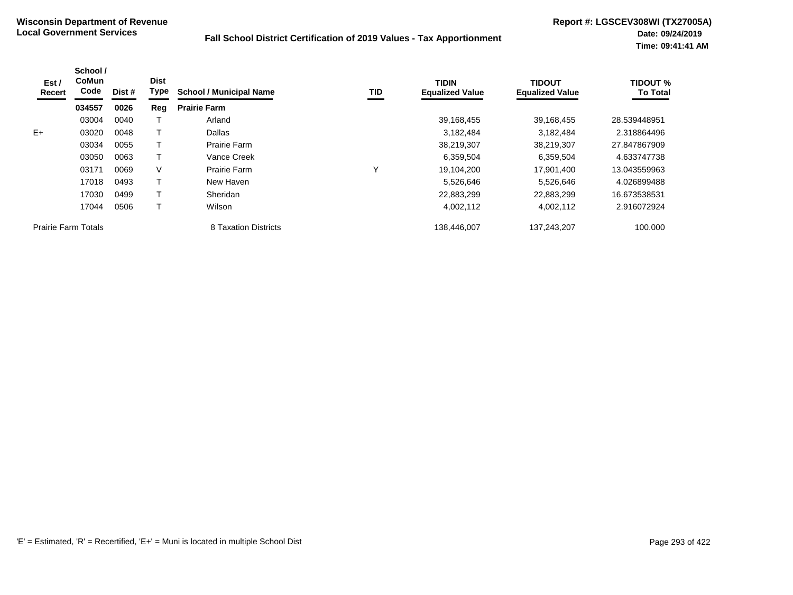| Est /<br>Recert            | School /<br><b>CoMun</b><br>Code | Dist # | <b>Dist</b><br>Type | <b>School / Municipal Name</b> | TID | <b>TIDIN</b><br><b>Equalized Value</b> | <b>TIDOUT</b><br><b>Equalized Value</b> | <b>TIDOUT %</b><br><b>To Total</b> |
|----------------------------|----------------------------------|--------|---------------------|--------------------------------|-----|----------------------------------------|-----------------------------------------|------------------------------------|
|                            | 034557                           | 0026   | Reg                 | <b>Prairie Farm</b>            |     |                                        |                                         |                                    |
|                            | 03004                            | 0040   |                     | Arland                         |     | 39,168,455                             | 39.168.455                              | 28.539448951                       |
| $E+$                       | 03020                            | 0048   |                     | Dallas                         |     | 3,182,484                              | 3,182,484                               | 2.318864496                        |
|                            | 03034                            | 0055   |                     | Prairie Farm                   |     | 38,219,307                             | 38,219,307                              | 27.847867909                       |
|                            | 03050                            | 0063   |                     | Vance Creek                    |     | 6,359,504                              | 6,359,504                               | 4.633747738                        |
|                            | 03171                            | 0069   | V                   | Prairie Farm                   | ν   | 19,104,200                             | 17,901,400                              | 13.043559963                       |
|                            | 17018                            | 0493   |                     | New Haven                      |     | 5,526,646                              | 5,526,646                               | 4.026899488                        |
|                            | 17030                            | 0499   |                     | Sheridan                       |     | 22,883,299                             | 22,883,299                              | 16.673538531                       |
|                            | 17044                            | 0506   |                     | Wilson                         |     | 4,002,112                              | 4,002,112                               | 2.916072924                        |
| <b>Prairie Farm Totals</b> |                                  |        |                     | 8 Taxation Districts           |     | 138,446,007                            | 137,243,207                             | 100.000                            |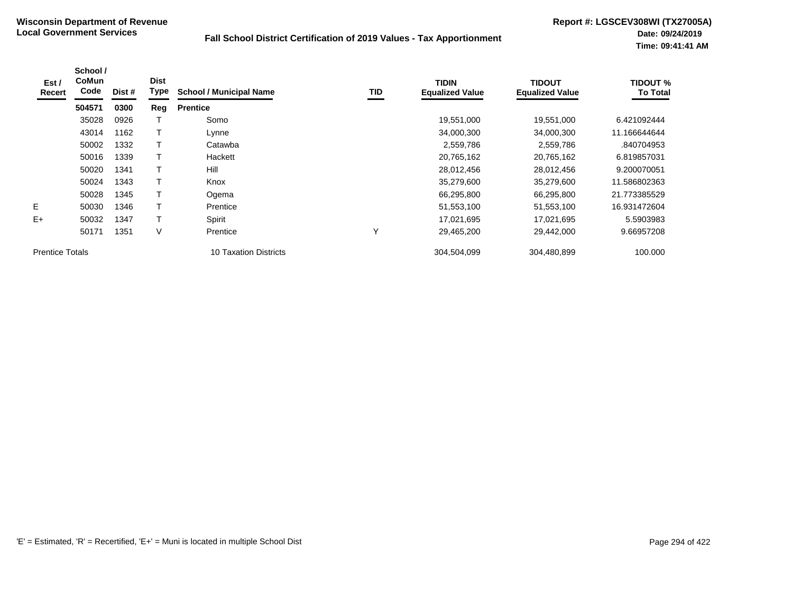| Est /<br>Recert        | School /<br>CoMun<br>Code | Dist # | <b>Dist</b><br>Type | <b>School / Municipal Name</b> | TID | <b>TIDIN</b><br><b>Equalized Value</b> | <b>TIDOUT</b><br><b>Equalized Value</b> | <b>TIDOUT %</b><br><b>To Total</b> |
|------------------------|---------------------------|--------|---------------------|--------------------------------|-----|----------------------------------------|-----------------------------------------|------------------------------------|
|                        | 504571                    | 0300   | Reg                 | <b>Prentice</b>                |     |                                        |                                         |                                    |
|                        | 35028                     | 0926   |                     | Somo                           |     | 19,551,000                             | 19,551,000                              | 6.421092444                        |
|                        | 43014                     | 1162   |                     | Lynne                          |     | 34,000,300                             | 34,000,300                              | 11.166644644                       |
|                        | 50002                     | 1332   |                     | Catawba                        |     | 2,559,786                              | 2,559,786                               | .840704953                         |
|                        | 50016                     | 1339   |                     | Hackett                        |     | 20,765,162                             | 20,765,162                              | 6.819857031                        |
|                        | 50020                     | 1341   |                     | Hill                           |     | 28,012,456                             | 28.012.456                              | 9.200070051                        |
|                        | 50024                     | 1343   |                     | Knox                           |     | 35,279,600                             | 35,279,600                              | 11.586802363                       |
|                        | 50028                     | 1345   |                     | Ogema                          |     | 66,295,800                             | 66,295,800                              | 21.773385529                       |
| Е                      | 50030                     | 1346   | т                   | Prentice                       |     | 51,553,100                             | 51,553,100                              | 16.931472604                       |
| $E+$                   | 50032                     | 1347   |                     | Spirit                         |     | 17,021,695                             | 17,021,695                              | 5.5903983                          |
|                        | 50171                     | 1351   | V                   | Prentice                       | Υ   | 29,465,200                             | 29,442,000                              | 9.66957208                         |
| <b>Prentice Totals</b> |                           |        |                     | 10 Taxation Districts          |     | 304,504,099                            | 304,480,899                             | 100.000                            |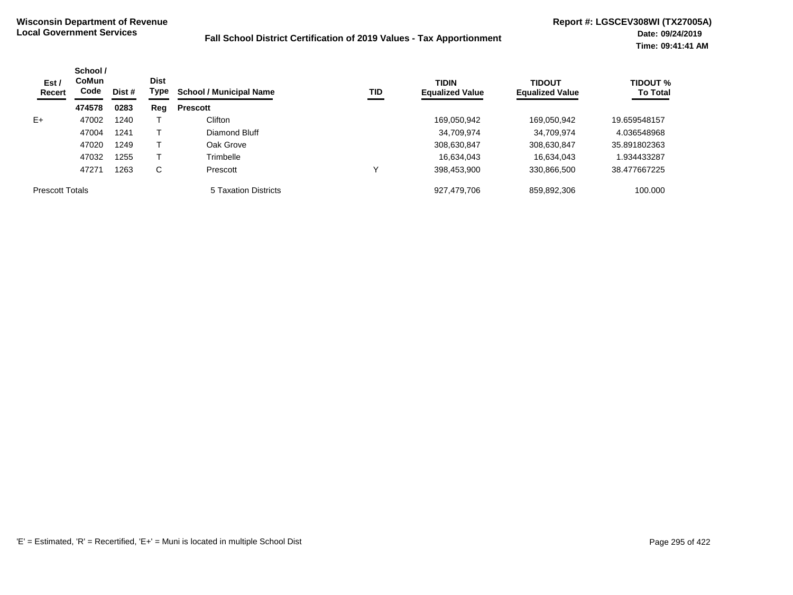| Est /<br>Recert        | School /<br><b>CoMun</b><br>Code<br>474578 | Dist # | <b>Dist</b><br>Type | <b>School / Municipal Name</b> | <b>TID</b> | <b>TIDIN</b><br><b>Equalized Value</b> | <b>TIDOUT</b><br><b>Equalized Value</b> | <b>TIDOUT %</b><br><b>To Total</b> |
|------------------------|--------------------------------------------|--------|---------------------|--------------------------------|------------|----------------------------------------|-----------------------------------------|------------------------------------|
|                        |                                            | 0283   | Reg                 | <b>Prescott</b>                |            |                                        |                                         |                                    |
| $E+$                   | 47002                                      | 1240   |                     | Clifton                        |            | 169,050,942                            | 169,050,942                             | 19.659548157                       |
|                        | 47004                                      | 1241   |                     | Diamond Bluff                  |            | 34,709,974                             | 34,709,974                              | 4.036548968                        |
|                        | 47020                                      | 1249   |                     | Oak Grove                      |            | 308,630,847                            | 308,630,847                             | 35.891802363                       |
|                        | 47032                                      | 1255   |                     | Trimbelle                      |            | 16,634,043                             | 16,634,043                              | 1.934433287                        |
|                        | 47271                                      | 1263   | С                   | Prescott                       |            | 398,453,900                            | 330,866,500                             | 38.477667225                       |
| <b>Prescott Totals</b> |                                            |        |                     | 5 Taxation Districts           |            | 927,479,706                            | 859,892,306                             | 100.000                            |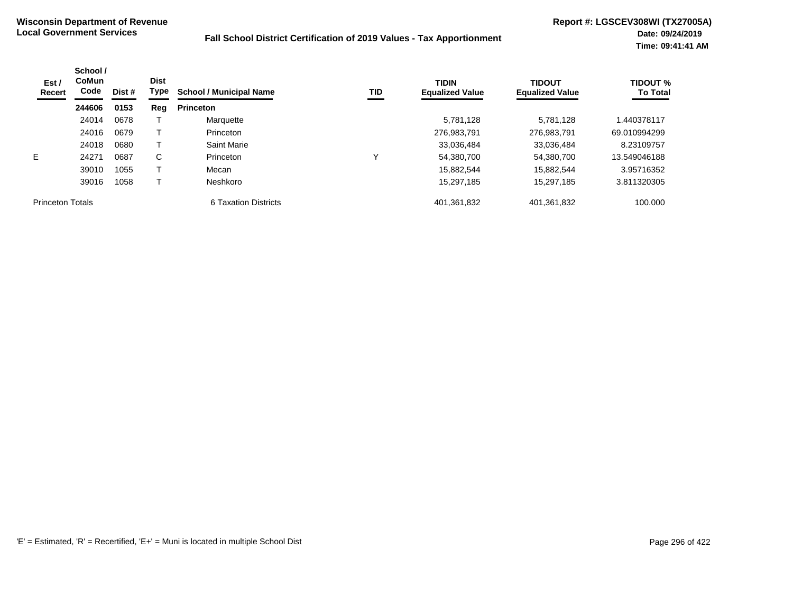| Est /<br>Recert         | School /<br>CoMun<br>Code<br>Dist #<br>244606<br>0153 | <b>Dist</b><br>Type | <b>School / Municipal Name</b> | TID                  | <b>TIDIN</b><br><b>Equalized Value</b> | <b>TIDOUT</b><br><b>Equalized Value</b> | <b>TIDOUT %</b><br><b>To Total</b> |              |
|-------------------------|-------------------------------------------------------|---------------------|--------------------------------|----------------------|----------------------------------------|-----------------------------------------|------------------------------------|--------------|
|                         |                                                       |                     | Reg                            | <b>Princeton</b>     |                                        |                                         |                                    |              |
|                         | 24014                                                 | 0678                |                                | Marquette            |                                        | 5,781,128                               | 5.781.128                          | 1.440378117  |
|                         | 24016                                                 | 0679                |                                | Princeton            |                                        | 276,983,791                             | 276,983,791                        | 69.010994299 |
|                         | 24018                                                 | 0680                |                                | Saint Marie          |                                        | 33,036,484                              | 33,036,484                         | 8.23109757   |
| E.                      | 24271                                                 | 0687                | C                              | Princeton            | ν                                      | 54,380,700                              | 54,380,700                         | 13.549046188 |
|                         | 39010                                                 | 1055                |                                | Mecan                |                                        | 15,882,544                              | 15.882.544                         | 3.95716352   |
|                         | 39016                                                 | 1058                |                                | Neshkoro             |                                        | 15.297.185                              | 15.297.185                         | 3.811320305  |
| <b>Princeton Totals</b> |                                                       |                     |                                | 6 Taxation Districts |                                        | 401,361,832                             | 401,361,832                        | 100.000      |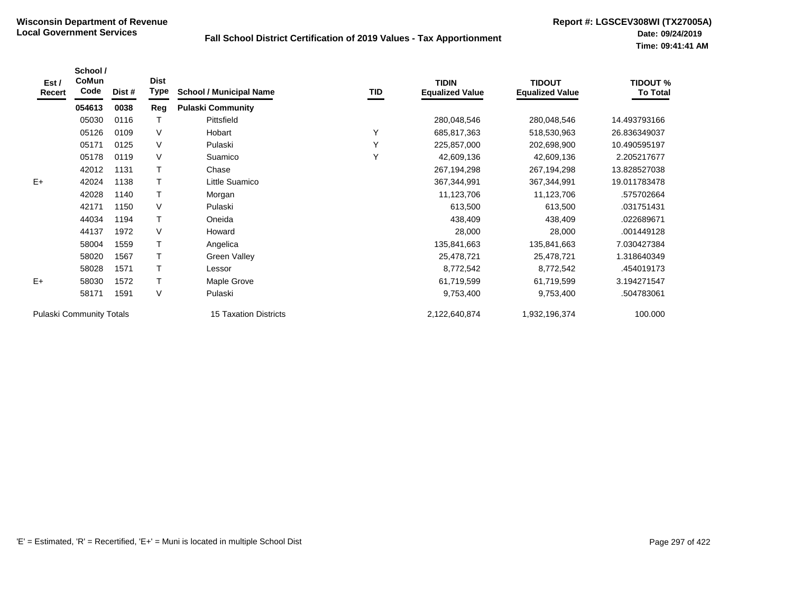| Est /<br>Recert          | School /<br>CoMun<br>Code | Dist # | <b>Dist</b><br>Type | <b>School / Municipal Name</b> | TID | <b>TIDIN</b><br><b>Equalized Value</b> | <b>TIDOUT</b><br><b>Equalized Value</b> | <b>TIDOUT %</b><br><b>To Total</b> |
|--------------------------|---------------------------|--------|---------------------|--------------------------------|-----|----------------------------------------|-----------------------------------------|------------------------------------|
|                          | 054613                    | 0038   | Reg                 | <b>Pulaski Community</b>       |     |                                        |                                         |                                    |
|                          | 05030                     | 0116   |                     | Pittsfield                     |     | 280,048,546                            | 280,048,546                             | 14.493793166                       |
|                          | 05126                     | 0109   | V                   | Hobart                         | Y   | 685,817,363                            | 518,530,963                             | 26.836349037                       |
|                          | 05171                     | 0125   | V                   | Pulaski                        | Y   | 225,857,000                            | 202,698,900                             | 10.490595197                       |
|                          | 05178                     | 0119   | V                   | Suamico                        | Υ   | 42,609,136                             | 42,609,136                              | 2.205217677                        |
|                          | 42012                     | 1131   | $\mathsf{T}$        | Chase                          |     | 267,194,298                            | 267,194,298                             | 13.828527038                       |
| $E+$                     | 42024                     | 1138   | $\top$              | Little Suamico                 |     | 367,344,991                            | 367,344,991                             | 19.011783478                       |
|                          | 42028                     | 1140   | $\top$              | Morgan                         |     | 11,123,706                             | 11,123,706                              | .575702664                         |
|                          | 42171                     | 1150   | V                   | Pulaski                        |     | 613,500                                | 613,500                                 | .031751431                         |
|                          | 44034                     | 1194   | т                   | Oneida                         |     | 438,409                                | 438,409                                 | .022689671                         |
|                          | 44137                     | 1972   | $\vee$              | Howard                         |     | 28,000                                 | 28,000                                  | .001449128                         |
|                          | 58004                     | 1559   | Т                   | Angelica                       |     | 135,841,663                            | 135,841,663                             | 7.030427384                        |
|                          | 58020                     | 1567   | T                   | Green Valley                   |     | 25,478,721                             | 25,478,721                              | 1.318640349                        |
|                          | 58028                     | 1571   | т                   | Lessor                         |     | 8,772,542                              | 8,772,542                               | .454019173                         |
| $E+$                     | 58030                     | 1572   | $\top$              | Maple Grove                    |     | 61,719,599                             | 61,719,599                              | 3.194271547                        |
|                          | 58171                     | 1591   | V                   | Pulaski                        |     | 9,753,400                              | 9,753,400                               | .504783061                         |
| Pulaski Community Totals |                           |        |                     | <b>15 Taxation Districts</b>   |     | 2,122,640,874                          | 1,932,196,374                           | 100.000                            |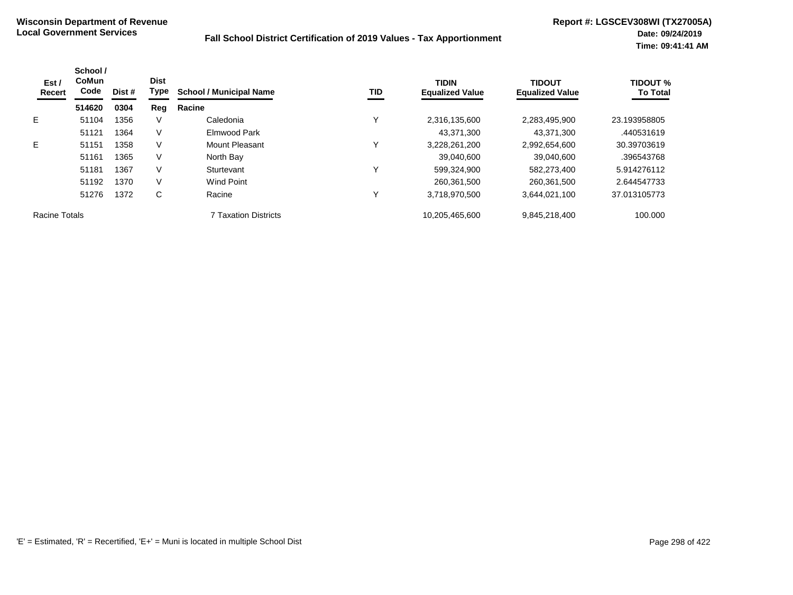| Est /<br><b>Recert</b> | School /<br><b>CoMun</b><br>Code | Dist # | <b>Dist</b><br>Type | <b>School / Municipal Name</b> | TID          | <b>TIDIN</b><br><b>Equalized Value</b> | <b>TIDOUT</b><br><b>Equalized Value</b> | <b>TIDOUT %</b><br><b>To Total</b> |
|------------------------|----------------------------------|--------|---------------------|--------------------------------|--------------|----------------------------------------|-----------------------------------------|------------------------------------|
|                        | 514620                           | 0304   | Reg                 | Racine                         |              |                                        |                                         |                                    |
| E.                     | 51104                            | 1356   | V                   | Caledonia                      | $\checkmark$ | 2,316,135,600                          | 2,283,495,900                           | 23.193958805                       |
|                        | 51121                            | 1364   | V                   | Elmwood Park                   |              | 43,371,300                             | 43.371.300                              | .440531619                         |
| E.                     | 51151                            | 1358   | V                   | Mount Pleasant                 | Υ            | 3,228,261,200                          | 2,992,654,600                           | 30.39703619                        |
|                        | 51161                            | 1365   | V                   | North Bay                      |              | 39.040.600                             | 39.040.600                              | .396543768                         |
|                        | 51181                            | 1367   | V                   | Sturtevant                     | Y            | 599,324,900                            | 582,273,400                             | 5.914276112                        |
|                        | 51192                            | 1370   | V                   | <b>Wind Point</b>              |              | 260,361,500                            | 260,361,500                             | 2.644547733                        |
|                        | 51276                            | 1372   | C                   | Racine                         | Υ            | 3,718,970,500                          | 3,644,021,100                           | 37.013105773                       |
| Racine Totals          |                                  |        |                     | <b>7 Taxation Districts</b>    |              | 10,205,465,600                         | 9,845,218,400                           | 100.000                            |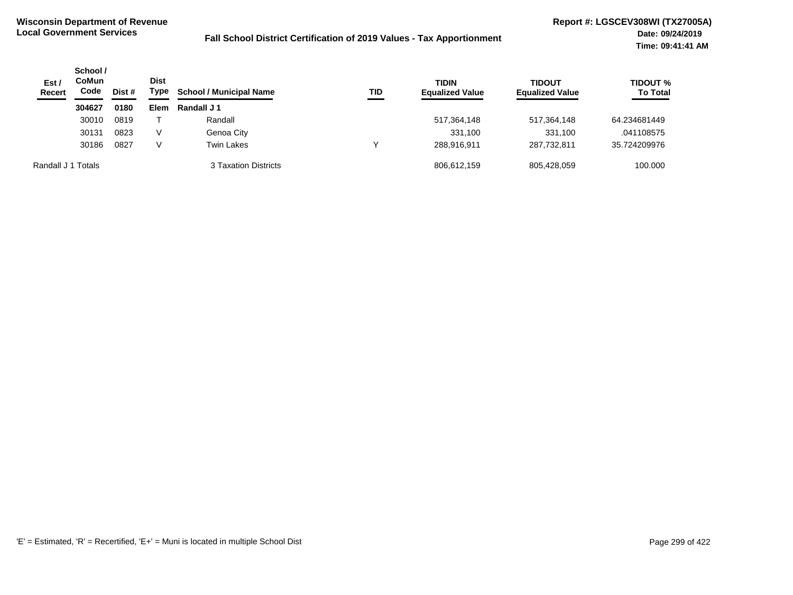| Est /<br><b>Recert</b> | School /<br>CoMun<br>Code | Dist # | <b>Dist</b><br>Type | <b>School / Municipal Name</b> | TID | <b>TIDIN</b><br><b>Equalized Value</b> | <b>TIDOUT</b><br><b>Equalized Value</b> | TIDOUT %<br><b>To Total</b> |
|------------------------|---------------------------|--------|---------------------|--------------------------------|-----|----------------------------------------|-----------------------------------------|-----------------------------|
|                        | 304627                    | 0180   | Elem                | Randall J 1                    |     |                                        |                                         |                             |
|                        | 30010                     | 0819   |                     | Randall                        |     | 517,364,148                            | 517,364,148                             | 64.234681449                |
|                        | 30131                     | 0823   | V                   | Genoa City                     |     | 331,100                                | 331,100                                 | .041108575                  |
|                        | 30186                     | 0827   | V                   | <b>Twin Lakes</b>              | v   | 288.916.911                            | 287.732.811                             | 35.724209976                |
| Randall J 1 Totals     |                           |        |                     | 3 Taxation Districts           |     | 806,612,159                            | 805,428,059                             | 100.000                     |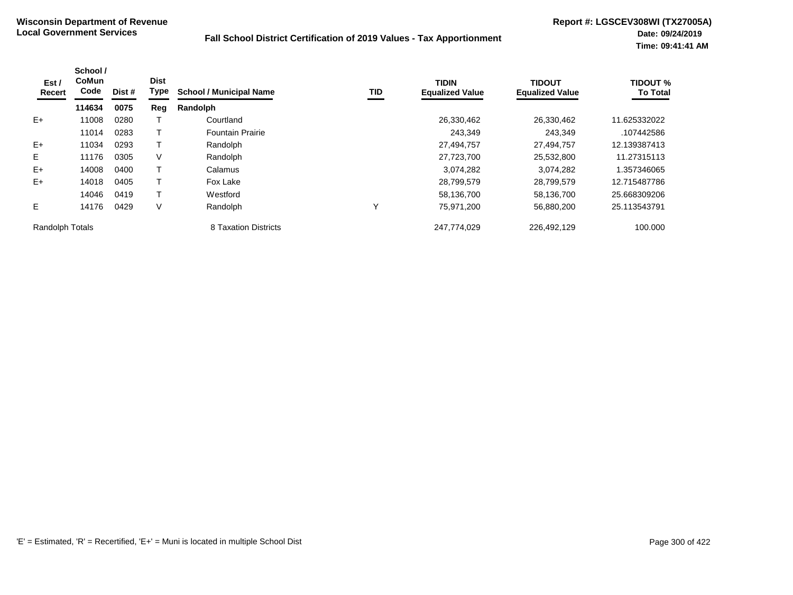| Est /<br>Recert | School /<br><b>CoMun</b><br>Code | Dist # | <b>Dist</b><br>Type | <b>School / Municipal Name</b> | <b>TID</b> | <b>TIDIN</b><br><b>Equalized Value</b> | <b>TIDOUT</b><br><b>Equalized Value</b> | <b>TIDOUT %</b><br><b>To Total</b> |
|-----------------|----------------------------------|--------|---------------------|--------------------------------|------------|----------------------------------------|-----------------------------------------|------------------------------------|
|                 | 114634                           | 0075   | Reg                 | Randolph                       |            |                                        |                                         |                                    |
| $E+$            | 11008                            | 0280   |                     | Courtland                      |            | 26,330,462                             | 26,330,462                              | 11.625332022                       |
|                 | 11014                            | 0283   |                     | <b>Fountain Prairie</b>        |            | 243,349                                | 243,349                                 | .107442586                         |
| $E+$            | 11034                            | 0293   |                     | Randolph                       |            | 27,494,757                             | 27,494,757                              | 12.139387413                       |
| E.              | 11176                            | 0305   | V                   | Randolph                       |            | 27,723,700                             | 25,532,800                              | 11.27315113                        |
| $E+$            | 14008                            | 0400   |                     | Calamus                        |            | 3,074,282                              | 3,074,282                               | 1.357346065                        |
| $E+$            | 14018                            | 0405   |                     | Fox Lake                       |            | 28,799,579                             | 28,799,579                              | 12.715487786                       |
|                 | 14046                            | 0419   |                     | Westford                       |            | 58,136,700                             | 58,136,700                              | 25.668309206                       |
| E               | 14176                            | 0429   | V                   | Randolph                       | Y          | 75,971,200                             | 56,880,200                              | 25.113543791                       |
| Randolph Totals |                                  |        |                     | 8 Taxation Districts           |            | 247,774,029                            | 226,492,129                             | 100.000                            |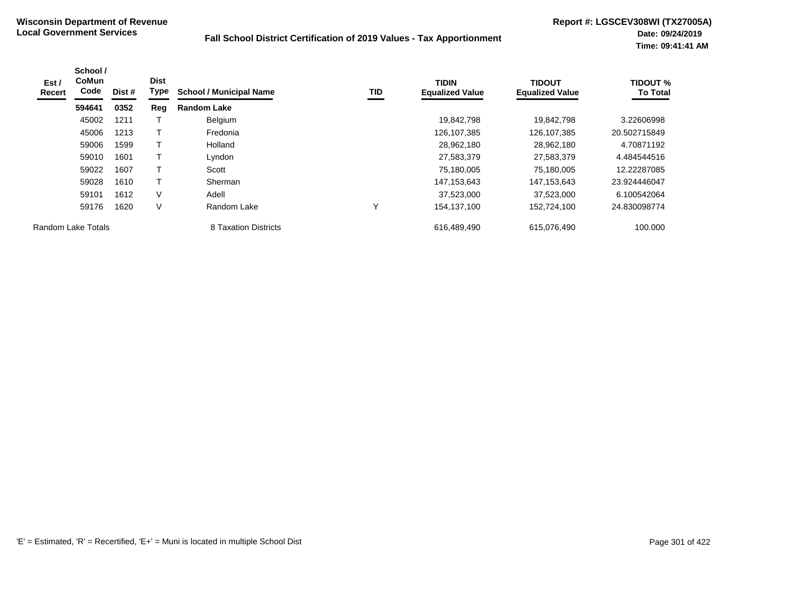| Est /<br>Recert | School /<br><b>CoMun</b><br>Code | Dist # | <b>Dist</b><br>Type | <b>School / Municipal Name</b> | TID          | <b>TIDIN</b><br><b>Equalized Value</b> | <b>TIDOUT</b><br><b>Equalized Value</b> | <b>TIDOUT %</b><br><b>To Total</b> |
|-----------------|----------------------------------|--------|---------------------|--------------------------------|--------------|----------------------------------------|-----------------------------------------|------------------------------------|
|                 | 594641                           | 0352   | Reg                 | <b>Random Lake</b>             |              |                                        |                                         |                                    |
|                 | 45002                            | 1211   |                     | Belgium                        |              | 19,842,798                             | 19.842.798                              | 3.22606998                         |
|                 | 45006                            | 1213   | Т                   | Fredonia                       |              | 126,107,385                            | 126,107,385                             | 20.502715849                       |
|                 | 59006                            | 1599   | т                   | Holland                        |              | 28,962,180                             | 28,962,180                              | 4.70871192                         |
|                 | 59010                            | 1601   | Т                   | Lyndon                         |              | 27,583,379                             | 27,583,379                              | 4.484544516                        |
|                 | 59022                            | 1607   | $\mathsf T$         | Scott                          |              | 75,180,005                             | 75,180,005                              | 12.22287085                        |
|                 | 59028                            | 1610   | Т                   | Sherman                        |              | 147, 153, 643                          | 147, 153, 643                           | 23.924446047                       |
|                 | 59101                            | 1612   | $\vee$              | Adell                          |              | 37,523,000                             | 37,523,000                              | 6.100542064                        |
|                 | 59176                            | 1620   | $\vee$              | Random Lake                    | $\checkmark$ | 154,137,100                            | 152,724,100                             | 24.830098774                       |
|                 | Random Lake Totals               |        |                     | 8 Taxation Districts           |              | 616.489.490                            | 615,076,490                             | 100.000                            |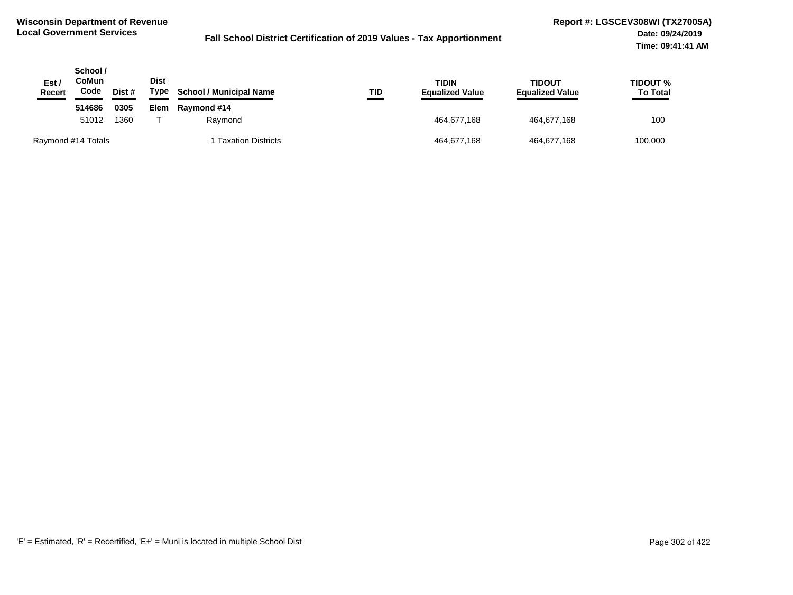| Est /<br><b>Recert</b> | School /<br><b>CoMun</b><br>Code | Dist # | <b>Dist</b><br>Type | <b>School / Municipal Name</b> | TID | <b>TIDIN</b><br><b>Equalized Value</b> | TIDOUT<br><b>Equalized Value</b> | <b>TIDOUT %</b><br><b>To Total</b> |
|------------------------|----------------------------------|--------|---------------------|--------------------------------|-----|----------------------------------------|----------------------------------|------------------------------------|
|                        | 514686                           | 0305   | Elem                | Raymond #14                    |     |                                        |                                  |                                    |
|                        | 51012                            | 1360   |                     | Raymond                        |     | 464.677.168                            | 464,677,168                      | 100                                |
| Raymond #14 Totals     |                                  |        |                     | <b>Taxation Districts</b>      |     | 464,677,168                            | 464,677,168                      | 100.000                            |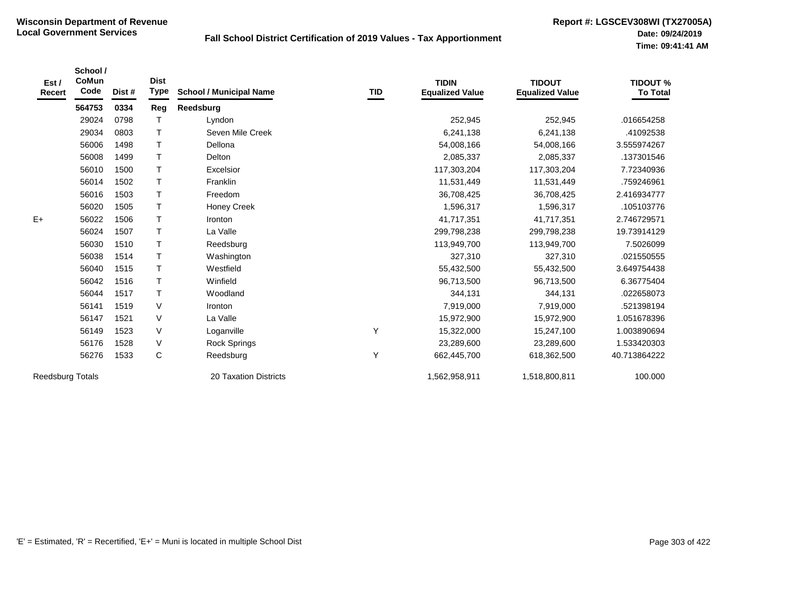| Est /<br>Recert         | School /<br><b>CoMun</b><br>Code | Dist # | <b>Dist</b><br>Type | <b>School / Municipal Name</b> | TID | <b>TIDIN</b><br><b>Equalized Value</b> | <b>TIDOUT</b><br><b>Equalized Value</b> | <b>TIDOUT %</b><br><b>To Total</b> |
|-------------------------|----------------------------------|--------|---------------------|--------------------------------|-----|----------------------------------------|-----------------------------------------|------------------------------------|
|                         | 564753                           | 0334   | Reg                 | Reedsburg                      |     |                                        |                                         |                                    |
|                         | 29024                            | 0798   | Т                   | Lyndon                         |     | 252,945                                | 252,945                                 | .016654258                         |
|                         | 29034                            | 0803   | $\mathsf{T}$        | Seven Mile Creek               |     | 6,241,138                              | 6,241,138                               | .41092538                          |
|                         | 56006                            | 1498   | $\mathsf{T}$        | Dellona                        |     | 54,008,166                             | 54,008,166                              | 3.555974267                        |
|                         | 56008                            | 1499   | $\mathsf{T}$        | Delton                         |     | 2,085,337                              | 2,085,337                               | .137301546                         |
|                         | 56010                            | 1500   | $\mathsf{T}$        | Excelsior                      |     | 117,303,204                            | 117,303,204                             | 7.72340936                         |
|                         | 56014                            | 1502   | $\top$              | Franklin                       |     | 11,531,449                             | 11,531,449                              | .759246961                         |
|                         | 56016                            | 1503   | $\top$              | Freedom                        |     | 36,708,425                             | 36,708,425                              | 2.416934777                        |
|                         | 56020                            | 1505   | $\mathsf{T}$        | <b>Honey Creek</b>             |     | 1,596,317                              | 1,596,317                               | .105103776                         |
| $E+$                    | 56022                            | 1506   | $\mathsf{T}$        | Ironton                        |     | 41,717,351                             | 41,717,351                              | 2.746729571                        |
|                         | 56024                            | 1507   | $\mathsf{T}$        | La Valle                       |     | 299,798,238                            | 299,798,238                             | 19.73914129                        |
|                         | 56030                            | 1510   | $\mathsf{T}$        | Reedsburg                      |     | 113,949,700                            | 113,949,700                             | 7.5026099                          |
|                         | 56038                            | 1514   | $\mathsf{T}$        | Washington                     |     | 327,310                                | 327,310                                 | .021550555                         |
|                         | 56040                            | 1515   | $\mathsf{T}$        | Westfield                      |     | 55,432,500                             | 55,432,500                              | 3.649754438                        |
|                         | 56042                            | 1516   | $\mathsf{T}$        | Winfield                       |     | 96,713,500                             | 96,713,500                              | 6.36775404                         |
|                         | 56044                            | 1517   | $\mathsf{T}$        | Woodland                       |     | 344,131                                | 344,131                                 | .022658073                         |
|                         | 56141                            | 1519   | V                   | Ironton                        |     | 7,919,000                              | 7,919,000                               | .521398194                         |
|                         | 56147                            | 1521   | V                   | La Valle                       |     | 15,972,900                             | 15,972,900                              | 1.051678396                        |
|                         | 56149                            | 1523   | $\vee$              | Loganville                     | Υ   | 15,322,000                             | 15,247,100                              | 1.003890694                        |
|                         | 56176                            | 1528   | $\vee$              | <b>Rock Springs</b>            |     | 23,289,600                             | 23,289,600                              | 1.533420303                        |
|                         | 56276                            | 1533   | C                   | Reedsburg                      | Y   | 662,445,700                            | 618,362,500                             | 40.713864222                       |
| <b>Reedsburg Totals</b> |                                  |        |                     | <b>20 Taxation Districts</b>   |     | 1,562,958,911                          | 1,518,800,811                           | 100.000                            |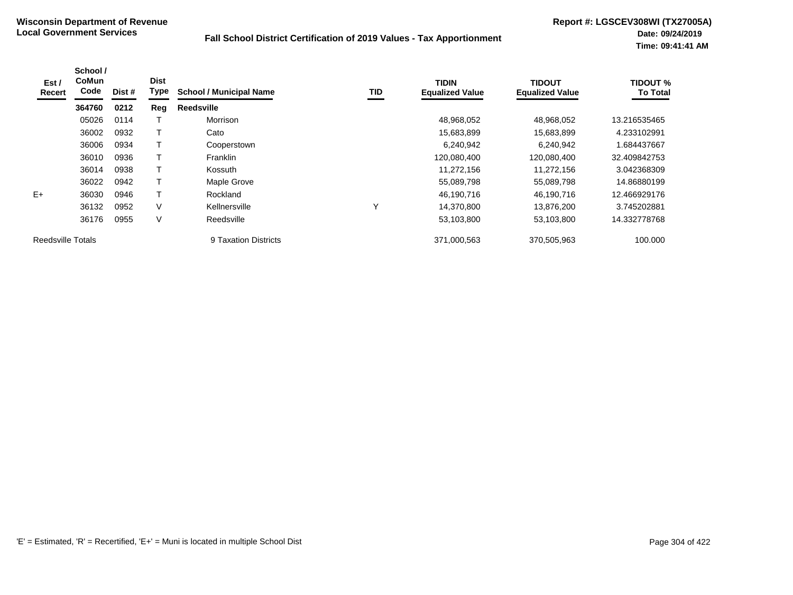| Est /<br>Recert          | School /<br>CoMun<br>Code | Dist # | <b>Dist</b><br>Type | <b>School / Municipal Name</b> | TID          | <b>TIDIN</b><br><b>Equalized Value</b> | <b>TIDOUT</b><br><b>Equalized Value</b> | <b>TIDOUT %</b><br><b>To Total</b> |
|--------------------------|---------------------------|--------|---------------------|--------------------------------|--------------|----------------------------------------|-----------------------------------------|------------------------------------|
|                          | 364760                    | 0212   | Reg                 | <b>Reedsville</b>              |              |                                        |                                         |                                    |
|                          | 05026                     | 0114   |                     | Morrison                       |              | 48,968,052                             | 48,968,052                              | 13.216535465                       |
|                          | 36002                     | 0932   |                     | Cato                           |              | 15,683,899                             | 15,683,899                              | 4.233102991                        |
|                          | 36006                     | 0934   |                     | Cooperstown                    |              | 6,240,942                              | 6,240,942                               | 1.684437667                        |
|                          | 36010                     | 0936   |                     | <b>Franklin</b>                |              | 120,080,400                            | 120,080,400                             | 32.409842753                       |
|                          | 36014                     | 0938   |                     | Kossuth                        |              | 11,272,156                             | 11,272,156                              | 3.042368309                        |
|                          | 36022                     | 0942   |                     | Maple Grove                    |              | 55,089,798                             | 55,089,798                              | 14.86880199                        |
| $E+$                     | 36030                     | 0946   |                     | Rockland                       |              | 46,190,716                             | 46,190,716                              | 12.466929176                       |
|                          | 36132                     | 0952   | V                   | Kellnersville                  | $\checkmark$ | 14,370,800                             | 13,876,200                              | 3.745202881                        |
|                          | 36176                     | 0955   | V                   | Reedsville                     |              | 53,103,800                             | 53,103,800                              | 14.332778768                       |
| <b>Reedsville Totals</b> |                           |        |                     | 9 Taxation Districts           |              | 371,000,563                            | 370,505,963                             | 100.000                            |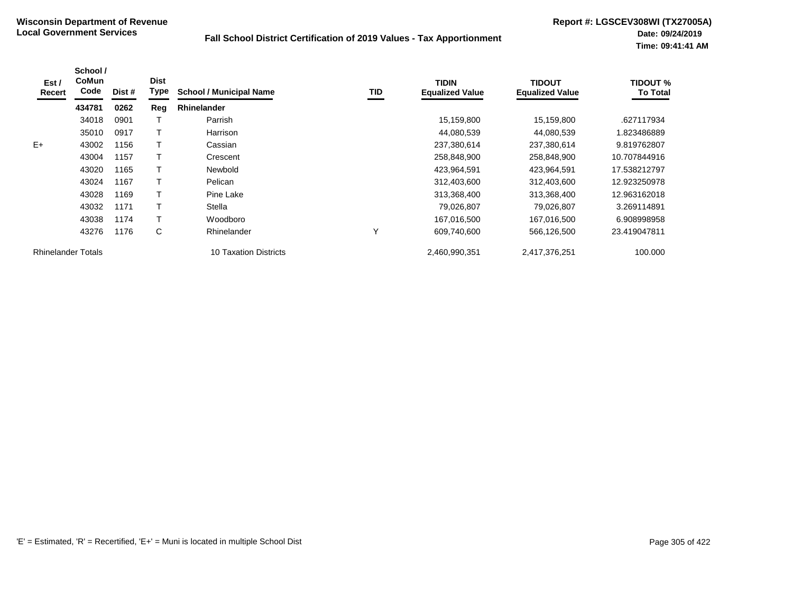| Est /<br>Recert           | School /<br>CoMun<br>Code | Dist # | <b>Dist</b><br>Type | <b>School / Municipal Name</b> | TID | <b>TIDIN</b><br><b>Equalized Value</b> | <b>TIDOUT</b><br><b>Equalized Value</b> | TIDOUT %<br><b>To Total</b> |
|---------------------------|---------------------------|--------|---------------------|--------------------------------|-----|----------------------------------------|-----------------------------------------|-----------------------------|
|                           | 434781                    | 0262   | Reg                 | <b>Rhinelander</b>             |     |                                        |                                         |                             |
|                           | 34018                     | 0901   |                     | Parrish                        |     | 15,159,800                             | 15,159,800                              | .627117934                  |
|                           | 35010                     | 0917   |                     | Harrison                       |     | 44,080,539                             | 44,080,539                              | 1.823486889                 |
| $E+$                      | 43002                     | 1156   |                     | Cassian                        |     | 237,380,614                            | 237,380,614                             | 9.819762807                 |
|                           | 43004                     | 1157   |                     | Crescent                       |     | 258,848,900                            | 258,848,900                             | 10.707844916                |
|                           | 43020                     | 1165   |                     | Newbold                        |     | 423,964,591                            | 423,964,591                             | 17.538212797                |
|                           | 43024                     | 1167   |                     | Pelican                        |     | 312,403,600                            | 312,403,600                             | 12.923250978                |
|                           | 43028                     | 1169   |                     | Pine Lake                      |     | 313,368,400                            | 313,368,400                             | 12.963162018                |
|                           | 43032                     | 1171   | т                   | Stella                         |     | 79,026,807                             | 79,026,807                              | 3.269114891                 |
|                           | 43038                     | 1174   |                     | Woodboro                       |     | 167,016,500                            | 167,016,500                             | 6.908998958                 |
|                           | 43276                     | 1176   | С                   | Rhinelander                    | Υ   | 609,740,600                            | 566,126,500                             | 23.419047811                |
| <b>Rhinelander Totals</b> |                           |        |                     | <b>10 Taxation Districts</b>   |     | 2,460,990,351                          | 2,417,376,251                           | 100.000                     |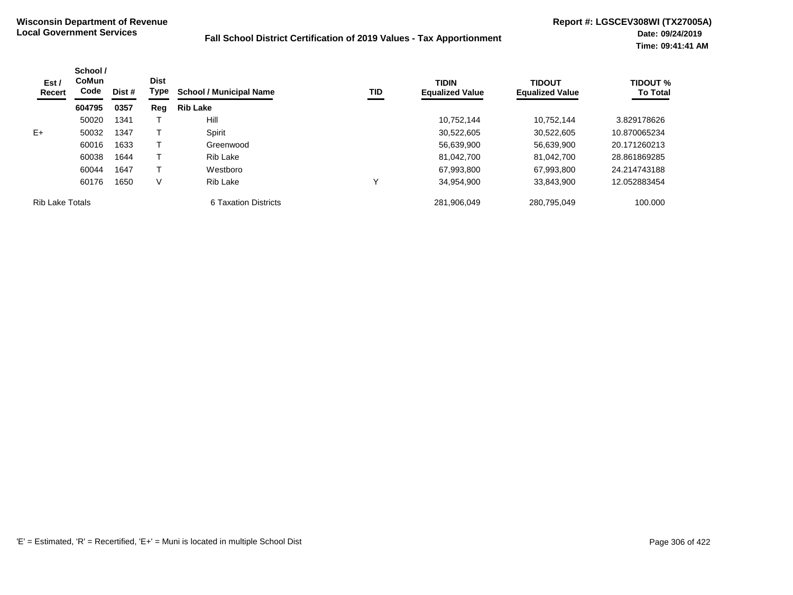| Est /<br><b>Recert</b> | School /<br><b>CoMun</b><br>Code<br>604795 | Dist # | <b>Dist</b><br>Type | <b>School / Municipal Name</b> | TID | <b>TIDIN</b><br><b>Equalized Value</b> | <b>TIDOUT</b><br><b>Equalized Value</b> | <b>TIDOUT %</b><br><b>To Total</b> |
|------------------------|--------------------------------------------|--------|---------------------|--------------------------------|-----|----------------------------------------|-----------------------------------------|------------------------------------|
|                        |                                            | 0357   | Reg                 | <b>Rib Lake</b>                |     |                                        |                                         |                                    |
|                        | 50020                                      | 1341   |                     | Hill                           |     | 10,752,144                             | 10.752.144                              | 3.829178626                        |
| $E+$                   | 50032                                      | 1347   |                     | Spirit                         |     | 30,522,605                             | 30,522,605                              | 10.870065234                       |
|                        | 60016                                      | 1633   |                     | Greenwood                      |     | 56,639,900                             | 56,639,900                              | 20.171260213                       |
|                        | 60038                                      | 1644   |                     | Rib Lake                       |     | 81,042,700                             | 81,042,700                              | 28.861869285                       |
|                        | 60044                                      | 1647   |                     | Westboro                       |     | 67,993,800                             | 67,993,800                              | 24.214743188                       |
|                        | 60176                                      | 1650   | V                   | Rib Lake                       | ν   | 34,954,900                             | 33.843.900                              | 12.052883454                       |
| <b>Rib Lake Totals</b> |                                            |        |                     | 6 Taxation Districts           |     | 281,906,049                            | 280,795,049                             | 100.000                            |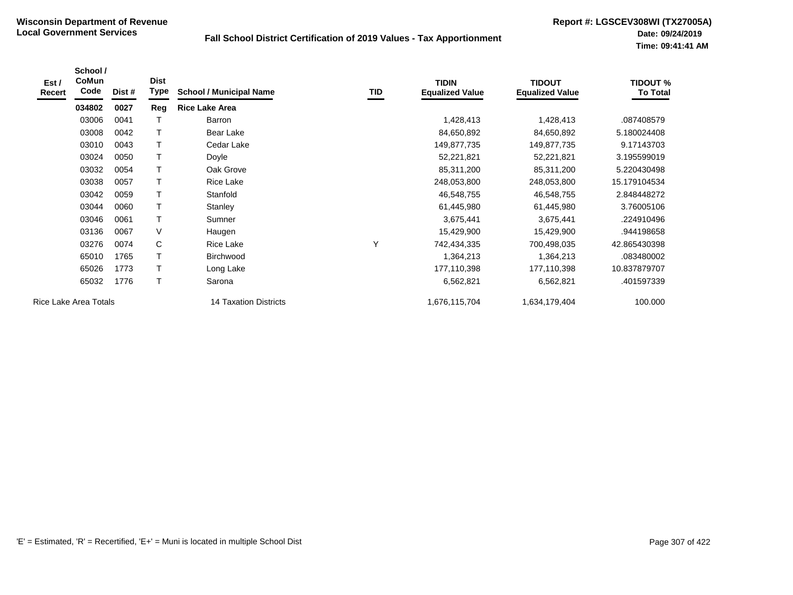| Est /<br>Recert       | School /<br>CoMun<br>Code | Dist # | <b>Dist</b><br>Type | <b>School / Municipal Name</b> | TID | <b>TIDIN</b><br><b>Equalized Value</b> | <b>TIDOUT</b><br><b>Equalized Value</b> | <b>TIDOUT %</b><br><b>To Total</b> |
|-----------------------|---------------------------|--------|---------------------|--------------------------------|-----|----------------------------------------|-----------------------------------------|------------------------------------|
|                       | 034802                    | 0027   | Reg                 | <b>Rice Lake Area</b>          |     |                                        |                                         |                                    |
|                       | 03006                     | 0041   |                     | Barron                         |     | 1,428,413                              | 1,428,413                               | .087408579                         |
|                       | 03008                     | 0042   |                     | Bear Lake                      |     | 84,650,892                             | 84,650,892                              | 5.180024408                        |
|                       | 03010                     | 0043   | T                   | Cedar Lake                     |     | 149,877,735                            | 149,877,735                             | 9.17143703                         |
|                       | 03024                     | 0050   | Т                   | Doyle                          |     | 52,221,821                             | 52,221,821                              | 3.195599019                        |
|                       | 03032                     | 0054   | T                   | Oak Grove                      |     | 85,311,200                             | 85,311,200                              | 5.220430498                        |
|                       | 03038                     | 0057   |                     | Rice Lake                      |     | 248,053,800                            | 248,053,800                             | 15.179104534                       |
|                       | 03042                     | 0059   |                     | Stanfold                       |     | 46,548,755                             | 46,548,755                              | 2.848448272                        |
|                       | 03044                     | 0060   |                     | Stanley                        |     | 61,445,980                             | 61,445,980                              | 3.76005106                         |
|                       | 03046                     | 0061   | T                   | Sumner                         |     | 3,675,441                              | 3,675,441                               | .224910496                         |
|                       | 03136                     | 0067   | V                   | Haugen                         |     | 15,429,900                             | 15,429,900                              | .944198658                         |
|                       | 03276                     | 0074   | C                   | Rice Lake                      | Υ   | 742,434,335                            | 700,498,035                             | 42.865430398                       |
|                       | 65010                     | 1765   | $\mathsf T$         | Birchwood                      |     | 1,364,213                              | 1,364,213                               | .083480002                         |
|                       | 65026                     | 1773   | Т                   | Long Lake                      |     | 177,110,398                            | 177,110,398                             | 10.837879707                       |
|                       | 65032                     | 1776   | Т                   | Sarona                         |     | 6,562,821                              | 6,562,821                               | .401597339                         |
| Rice Lake Area Totals |                           |        |                     | 14 Taxation Districts          |     | 1,676,115,704                          | 1,634,179,404                           | 100.000                            |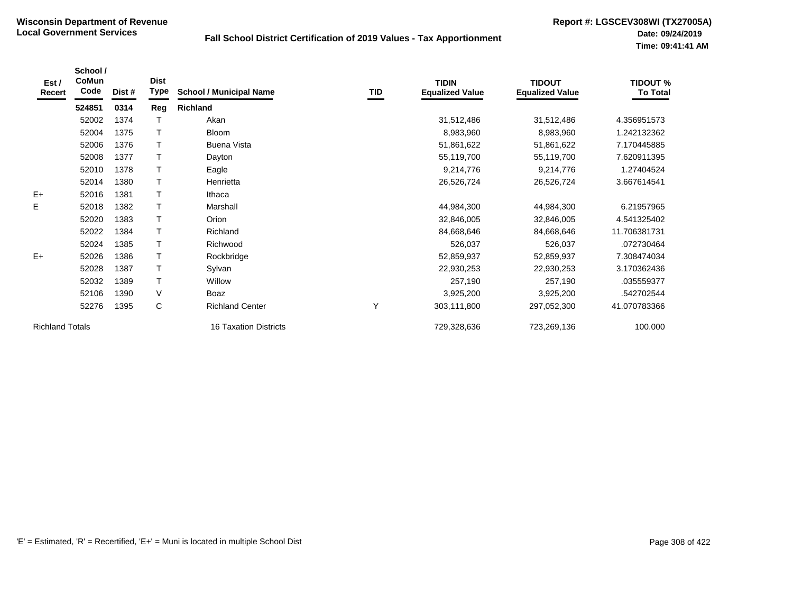| Est /<br>Recert        | School /<br>CoMun<br>Code | Dist # | <b>Dist</b><br>Type | <b>School / Municipal Name</b> | TID | <b>TIDIN</b><br><b>Equalized Value</b> | <b>TIDOUT</b><br><b>Equalized Value</b> | <b>TIDOUT %</b><br><b>To Total</b> |
|------------------------|---------------------------|--------|---------------------|--------------------------------|-----|----------------------------------------|-----------------------------------------|------------------------------------|
|                        | 524851                    | 0314   | Reg                 | <b>Richland</b>                |     |                                        |                                         |                                    |
|                        | 52002                     | 1374   |                     | Akan                           |     | 31,512,486                             | 31,512,486                              | 4.356951573                        |
|                        | 52004                     | 1375   |                     | <b>Bloom</b>                   |     | 8,983,960                              | 8,983,960                               | 1.242132362                        |
|                        | 52006                     | 1376   | $\mathsf T$         | <b>Buena Vista</b>             |     | 51,861,622                             | 51,861,622                              | 7.170445885                        |
|                        | 52008                     | 1377   |                     | Dayton                         |     | 55,119,700                             | 55,119,700                              | 7.620911395                        |
|                        | 52010                     | 1378   |                     | Eagle                          |     | 9,214,776                              | 9,214,776                               | 1.27404524                         |
|                        | 52014                     | 1380   |                     | Henrietta                      |     | 26,526,724                             | 26,526,724                              | 3.667614541                        |
| $E+$                   | 52016                     | 1381   | $\top$              | Ithaca                         |     |                                        |                                         |                                    |
| E                      | 52018                     | 1382   |                     | Marshall                       |     | 44,984,300                             | 44,984,300                              | 6.21957965                         |
|                        | 52020                     | 1383   | $\mathsf{T}$        | Orion                          |     | 32,846,005                             | 32,846,005                              | 4.541325402                        |
|                        | 52022                     | 1384   | $\mathsf{T}$        | Richland                       |     | 84,668,646                             | 84,668,646                              | 11.706381731                       |
|                        | 52024                     | 1385   |                     | Richwood                       |     | 526,037                                | 526,037                                 | .072730464                         |
| $E+$                   | 52026                     | 1386   |                     | Rockbridge                     |     | 52,859,937                             | 52,859,937                              | 7.308474034                        |
|                        | 52028                     | 1387   |                     | Sylvan                         |     | 22,930,253                             | 22,930,253                              | 3.170362436                        |
|                        | 52032                     | 1389   | $\top$              | Willow                         |     | 257,190                                | 257,190                                 | .035559377                         |
|                        | 52106                     | 1390   | V                   | Boaz                           |     | 3,925,200                              | 3,925,200                               | .542702544                         |
|                        | 52276                     | 1395   | C                   | <b>Richland Center</b>         | Υ   | 303,111,800                            | 297,052,300                             | 41.070783366                       |
| <b>Richland Totals</b> |                           |        |                     | <b>16 Taxation Districts</b>   |     | 729,328,636                            | 723,269,136                             | 100.000                            |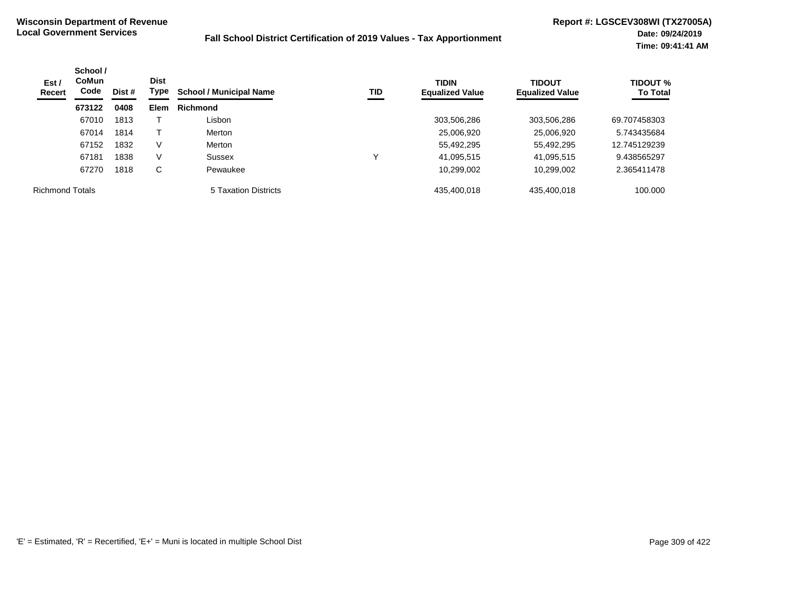| Est /<br>Recert        | School /<br><b>CoMun</b><br>Code | <b>Dist</b><br>Type<br>Dist # |             | <b>School / Municipal Name</b> | TID | <b>TIDIN</b><br><b>Equalized Value</b> | <b>TIDOUT</b><br><b>Equalized Value</b> | <b>TIDOUT %</b><br><b>To Total</b> |
|------------------------|----------------------------------|-------------------------------|-------------|--------------------------------|-----|----------------------------------------|-----------------------------------------|------------------------------------|
|                        | 673122                           | 0408                          | <b>Elem</b> | <b>Richmond</b>                |     |                                        |                                         |                                    |
|                        | 67010                            | 1813                          |             | Lisbon                         |     | 303,506,286                            | 303,506,286                             | 69.707458303                       |
|                        | 67014                            | 1814                          |             | Merton                         |     | 25,006,920                             | 25,006,920                              | 5.743435684                        |
|                        | 67152                            | 1832                          | V           | Merton                         |     | 55,492,295                             | 55,492,295                              | 12.745129239                       |
|                        | 67181                            | 1838                          | V           | Sussex                         |     | 41,095,515                             | 41,095,515                              | 9.438565297                        |
|                        | 67270                            | 1818                          | C           | Pewaukee                       |     | 10,299,002                             | 10,299,002                              | 2.365411478                        |
| <b>Richmond Totals</b> |                                  |                               |             | 5 Taxation Districts           |     | 435,400,018                            | 435,400,018                             | 100.000                            |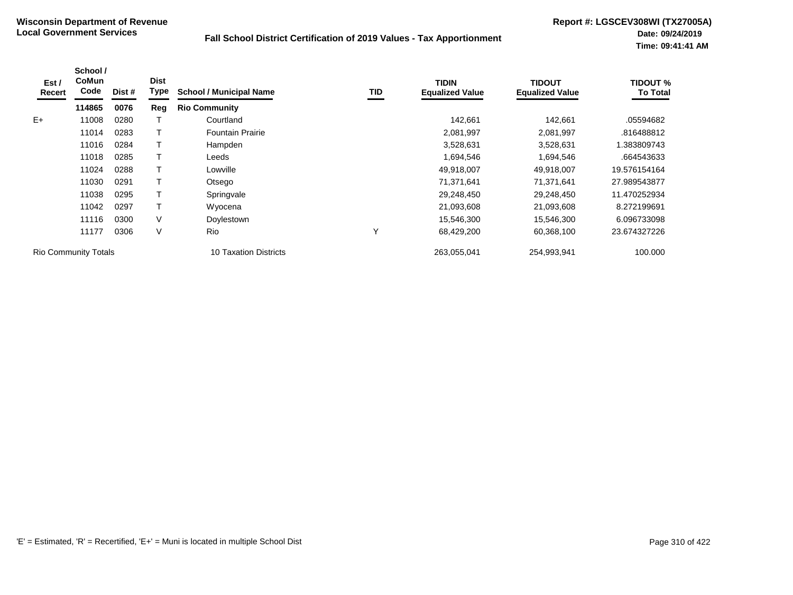| Est /<br>Recert | School /<br><b>CoMun</b><br>Code | Dist # | <b>Dist</b><br>Type | <b>School / Municipal Name</b> | TID | <b>TIDIN</b><br><b>Equalized Value</b> | TIDOUT<br><b>Equalized Value</b> | <b>TIDOUT %</b><br><b>To Total</b> |
|-----------------|----------------------------------|--------|---------------------|--------------------------------|-----|----------------------------------------|----------------------------------|------------------------------------|
|                 | 114865                           | 0076   | Reg                 | <b>Rio Community</b>           |     |                                        |                                  |                                    |
| $E+$            | 11008                            | 0280   |                     | Courtland                      |     | 142,661                                | 142,661                          | .05594682                          |
|                 | 11014                            | 0283   |                     | <b>Fountain Prairie</b>        |     | 2,081,997                              | 2,081,997                        | .816488812                         |
|                 | 11016                            | 0284   |                     | Hampden                        |     | 3,528,631                              | 3,528,631                        | 1.383809743                        |
|                 | 11018                            | 0285   |                     | Leeds                          |     | 1,694,546                              | 1,694,546                        | .664543633                         |
|                 | 11024                            | 0288   |                     | Lowville                       |     | 49,918,007                             | 49,918,007                       | 19.576154164                       |
|                 | 11030                            | 0291   |                     | Otsego                         |     | 71,371,641                             | 71,371,641                       | 27.989543877                       |
|                 | 11038                            | 0295   |                     | Springvale                     |     | 29,248,450                             | 29,248,450                       | 11.470252934                       |
|                 | 11042                            | 0297   |                     | Wyocena                        |     | 21,093,608                             | 21,093,608                       | 8.272199691                        |
|                 | 11116                            | 0300   | V                   | Doylestown                     |     | 15,546,300                             | 15,546,300                       | 6.096733098                        |
|                 | 11177                            | 0306   | V                   | <b>Rio</b>                     | Υ   | 68,429,200                             | 60,368,100                       | 23.674327226                       |
|                 | <b>Rio Community Totals</b>      |        |                     | 10 Taxation Districts          |     | 263,055,041                            | 254,993,941                      | 100.000                            |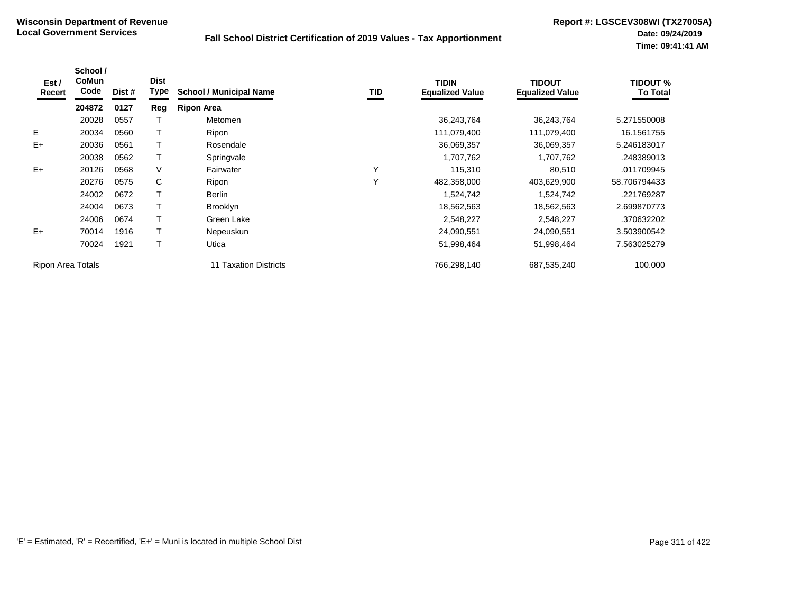| Est /<br>Recert   | School /<br><b>CoMun</b><br>Code | Dist # | <b>Dist</b><br><b>Type</b> | <b>School / Municipal Name</b> | <b>TID</b> | <b>TIDIN</b><br><b>Equalized Value</b> | <b>TIDOUT</b><br><b>Equalized Value</b> | <b>TIDOUT %</b><br><b>To Total</b> |
|-------------------|----------------------------------|--------|----------------------------|--------------------------------|------------|----------------------------------------|-----------------------------------------|------------------------------------|
|                   | 204872                           | 0127   | Reg                        | <b>Ripon Area</b>              |            |                                        |                                         |                                    |
|                   | 20028                            | 0557   |                            | Metomen                        |            | 36,243,764                             | 36,243,764                              | 5.271550008                        |
| E.                | 20034                            | 0560   |                            | Ripon                          |            | 111,079,400                            | 111,079,400                             | 16.1561755                         |
| $E+$              | 20036                            | 0561   |                            | Rosendale                      |            | 36,069,357                             | 36,069,357                              | 5.246183017                        |
|                   | 20038                            | 0562   |                            | Springvale                     |            | 1,707,762                              | 1,707,762                               | .248389013                         |
| $E+$              | 20126                            | 0568   | V                          | Fairwater                      | Υ          | 115,310                                | 80,510                                  | .011709945                         |
|                   | 20276                            | 0575   | C                          | Ripon                          | Υ          | 482,358,000                            | 403,629,900                             | 58.706794433                       |
|                   | 24002                            | 0672   |                            | <b>Berlin</b>                  |            | 1,524,742                              | 1,524,742                               | .221769287                         |
|                   | 24004                            | 0673   |                            | <b>Brooklyn</b>                |            | 18,562,563                             | 18,562,563                              | 2.699870773                        |
|                   | 24006                            | 0674   |                            | Green Lake                     |            | 2,548,227                              | 2,548,227                               | .370632202                         |
| $E+$              | 70014                            | 1916   |                            | Nepeuskun                      |            | 24,090,551                             | 24,090,551                              | 3.503900542                        |
|                   | 70024                            | 1921   |                            | Utica                          |            | 51,998,464                             | 51,998,464                              | 7.563025279                        |
| Ripon Area Totals |                                  |        |                            | 11 Taxation Districts          |            | 766,298,140                            | 687,535,240                             | 100.000                            |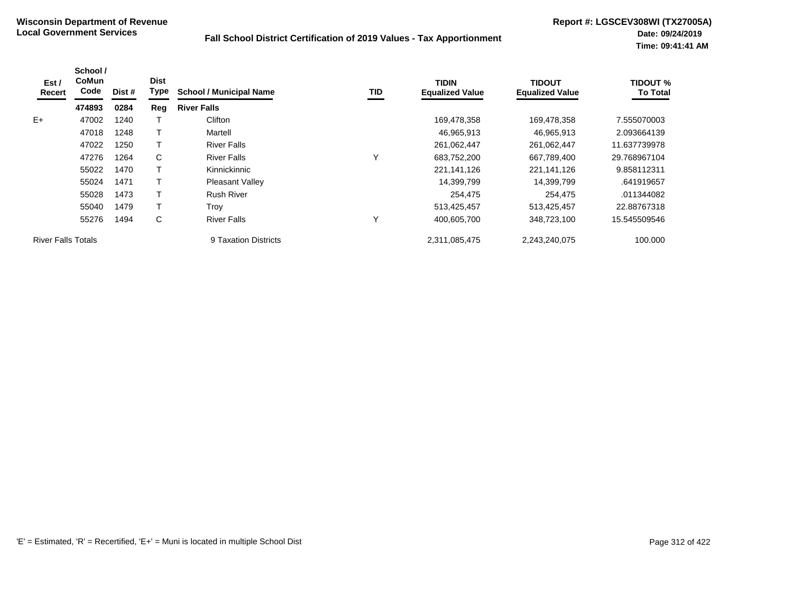| Est /<br>Recert           | School /<br><b>CoMun</b><br>Code | Dist # | <b>Dist</b><br>Type | <b>School / Municipal Name</b> | TID | <b>TIDIN</b><br><b>Equalized Value</b> | <b>TIDOUT</b><br><b>Equalized Value</b> | <b>TIDOUT %</b><br><b>To Total</b> |
|---------------------------|----------------------------------|--------|---------------------|--------------------------------|-----|----------------------------------------|-----------------------------------------|------------------------------------|
|                           | 474893                           | 0284   | Reg                 | <b>River Falls</b>             |     |                                        |                                         |                                    |
| $E+$                      | 47002                            | 1240   |                     | Clifton                        |     | 169,478,358                            | 169,478,358                             | 7.555070003                        |
|                           | 47018                            | 1248   |                     | Martell                        |     | 46,965,913                             | 46,965,913                              | 2.093664139                        |
|                           | 47022                            | 1250   |                     | <b>River Falls</b>             |     | 261,062,447                            | 261,062,447                             | 11.637739978                       |
|                           | 47276                            | 1264   | C                   | <b>River Falls</b>             | Υ   | 683,752,200                            | 667,789,400                             | 29.768967104                       |
|                           | 55022                            | 1470   |                     | Kinnickinnic                   |     | 221,141,126                            | 221,141,126                             | 9.858112311                        |
|                           | 55024                            | 1471   |                     | <b>Pleasant Valley</b>         |     | 14,399,799                             | 14,399,799                              | .641919657                         |
|                           | 55028                            | 1473   |                     | <b>Rush River</b>              |     | 254,475                                | 254,475                                 | .011344082                         |
|                           | 55040                            | 1479   |                     | Trov                           |     | 513,425,457                            | 513,425,457                             | 22.88767318                        |
|                           | 55276                            | 1494   | C                   | <b>River Falls</b>             | Υ   | 400,605,700                            | 348,723,100                             | 15.545509546                       |
| <b>River Falls Totals</b> |                                  |        |                     | 9 Taxation Districts           |     | 2,311,085,475                          | 2,243,240,075                           | 100.000                            |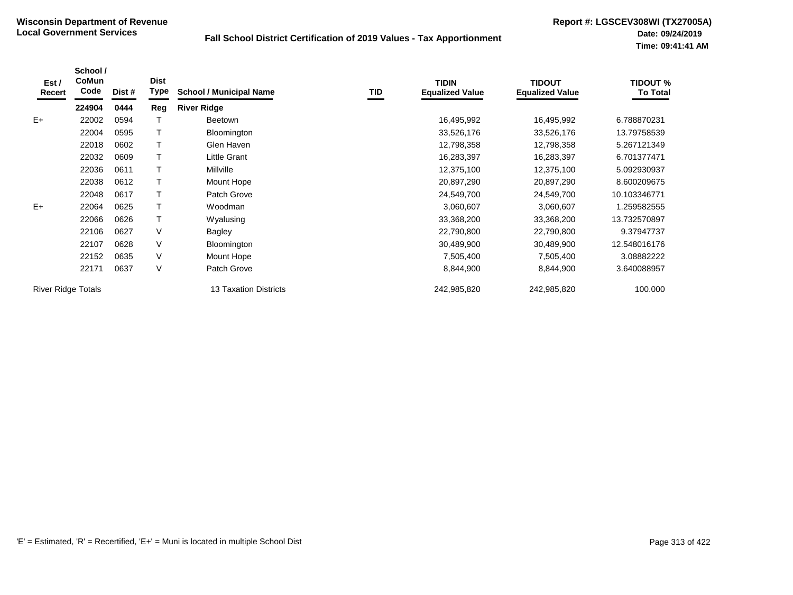| Est /<br>Recert           | School /<br>CoMun<br>Code | Dist # | <b>Dist</b><br>Type | <b>School / Municipal Name</b> | TID | <b>TIDIN</b><br><b>Equalized Value</b> | <b>TIDOUT</b><br><b>Equalized Value</b> | <b>TIDOUT %</b><br><b>To Total</b> |
|---------------------------|---------------------------|--------|---------------------|--------------------------------|-----|----------------------------------------|-----------------------------------------|------------------------------------|
|                           | 224904                    | 0444   | Reg                 | <b>River Ridge</b>             |     |                                        |                                         |                                    |
| $E+$                      | 22002                     | 0594   |                     | <b>Beetown</b>                 |     | 16,495,992                             | 16,495,992                              | 6.788870231                        |
|                           | 22004                     | 0595   |                     | Bloomington                    |     | 33,526,176                             | 33,526,176                              | 13.79758539                        |
|                           | 22018                     | 0602   |                     | Glen Haven                     |     | 12,798,358                             | 12,798,358                              | 5.267121349                        |
|                           | 22032                     | 0609   |                     | Little Grant                   |     | 16,283,397                             | 16,283,397                              | 6.701377471                        |
|                           | 22036                     | 0611   |                     | <b>Millville</b>               |     | 12,375,100                             | 12,375,100                              | 5.092930937                        |
|                           | 22038                     | 0612   |                     | Mount Hope                     |     | 20,897,290                             | 20,897,290                              | 8.600209675                        |
|                           | 22048                     | 0617   |                     | Patch Grove                    |     | 24,549,700                             | 24,549,700                              | 10.103346771                       |
| $E+$                      | 22064                     | 0625   |                     | Woodman                        |     | 3,060,607                              | 3,060,607                               | 1.259582555                        |
|                           | 22066                     | 0626   |                     | Wyalusing                      |     | 33,368,200                             | 33,368,200                              | 13.732570897                       |
|                           | 22106                     | 0627   | V                   | Bagley                         |     | 22,790,800                             | 22,790,800                              | 9.37947737                         |
|                           | 22107                     | 0628   | V                   | Bloomington                    |     | 30,489,900                             | 30,489,900                              | 12.548016176                       |
|                           | 22152                     | 0635   | V                   | Mount Hope                     |     | 7,505,400                              | 7,505,400                               | 3.08882222                         |
|                           | 22171                     | 0637   | V                   | Patch Grove                    |     | 8,844,900                              | 8,844,900                               | 3.640088957                        |
| <b>River Ridge Totals</b> |                           |        |                     | <b>13 Taxation Districts</b>   |     | 242,985,820                            | 242,985,820                             | 100.000                            |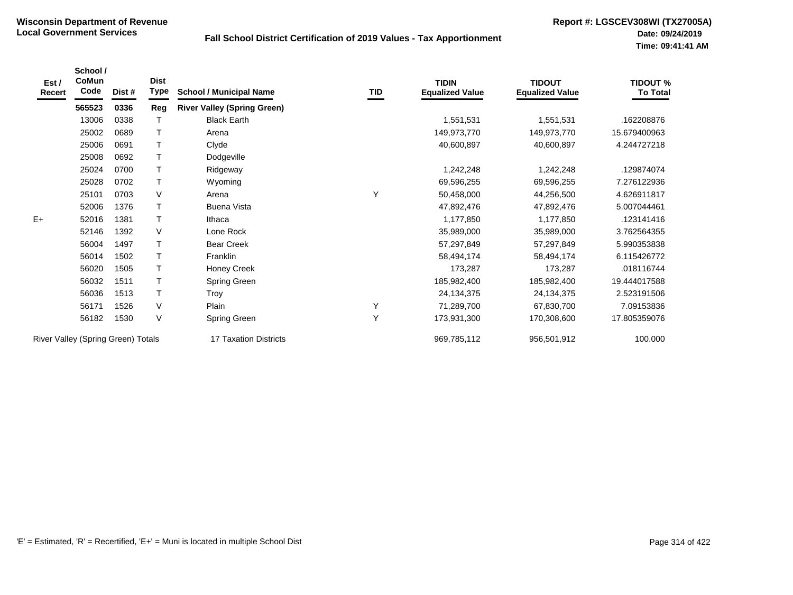| Est /<br><b>Recert</b>             | School /<br>CoMun<br>Code | Dist # | <b>Dist</b><br>Type | <b>School / Municipal Name</b>     | TID | <b>TIDIN</b><br><b>Equalized Value</b> | <b>TIDOUT</b><br><b>Equalized Value</b> | <b>TIDOUT %</b><br><b>To Total</b> |
|------------------------------------|---------------------------|--------|---------------------|------------------------------------|-----|----------------------------------------|-----------------------------------------|------------------------------------|
|                                    | 565523                    | 0336   | Reg                 | <b>River Valley (Spring Green)</b> |     |                                        |                                         |                                    |
|                                    | 13006                     | 0338   | Т                   | <b>Black Earth</b>                 |     | 1,551,531                              | 1,551,531                               | .162208876                         |
|                                    | 25002                     | 0689   | Τ                   | Arena                              |     | 149,973,770                            | 149,973,770                             | 15.679400963                       |
|                                    | 25006                     | 0691   | Т                   | Clyde                              |     | 40,600,897                             | 40,600,897                              | 4.244727218                        |
|                                    | 25008                     | 0692   | Т                   | Dodgeville                         |     |                                        |                                         |                                    |
|                                    | 25024                     | 0700   | Т                   | Ridgeway                           |     | 1,242,248                              | 1,242,248                               | 129874074                          |
|                                    | 25028                     | 0702   | Т                   | Wyoming                            |     | 69,596,255                             | 69,596,255                              | 7.276122936                        |
|                                    | 25101                     | 0703   | V                   | Arena                              | Y   | 50,458,000                             | 44,256,500                              | 4.626911817                        |
|                                    | 52006                     | 1376   | T                   | <b>Buena Vista</b>                 |     | 47,892,476                             | 47,892,476                              | 5.007044461                        |
| $E+$                               | 52016                     | 1381   | $\top$              | Ithaca                             |     | 1,177,850                              | 1,177,850                               | 123141416                          |
|                                    | 52146                     | 1392   | V                   | Lone Rock                          |     | 35,989,000                             | 35,989,000                              | 3.762564355                        |
|                                    | 56004                     | 1497   | T                   | <b>Bear Creek</b>                  |     | 57,297,849                             | 57,297,849                              | 5.990353838                        |
|                                    | 56014                     | 1502   | Т                   | Franklin                           |     | 58,494,174                             | 58,494,174                              | 6.115426772                        |
|                                    | 56020                     | 1505   | T                   | Honey Creek                        |     | 173,287                                | 173,287                                 | .018116744                         |
|                                    | 56032                     | 1511   | T                   | Spring Green                       |     | 185,982,400                            | 185,982,400                             | 19.444017588                       |
|                                    | 56036                     | 1513   | $\top$              | Troy                               |     | 24,134,375                             | 24,134,375                              | 2.523191506                        |
|                                    | 56171                     | 1526   | V                   | Plain                              | Υ   | 71,289,700                             | 67,830,700                              | 7.09153836                         |
|                                    | 56182                     | 1530   | V                   | Spring Green                       | Y   | 173,931,300                            | 170,308,600                             | 17.805359076                       |
| River Valley (Spring Green) Totals |                           |        |                     | 17 Taxation Districts              |     | 969,785,112                            | 956,501,912                             | 100.000                            |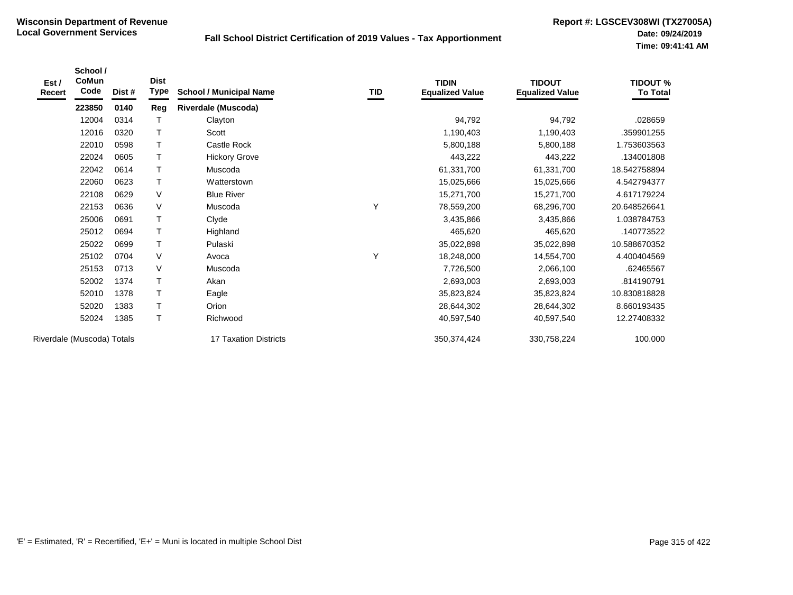| Est /<br>Recert | School /<br>CoMun<br>Code  | Dist # | <b>Dist</b><br>Type | <b>School / Municipal Name</b> | TID | <b>TIDIN</b><br><b>Equalized Value</b> | <b>TIDOUT</b><br><b>Equalized Value</b> | <b>TIDOUT %</b><br><b>To Total</b> |
|-----------------|----------------------------|--------|---------------------|--------------------------------|-----|----------------------------------------|-----------------------------------------|------------------------------------|
|                 | 223850                     | 0140   | Reg                 | <b>Riverdale (Muscoda)</b>     |     |                                        |                                         |                                    |
|                 | 12004                      | 0314   | $\mathsf{T}$        | Clayton                        |     | 94,792                                 | 94,792                                  | .028659                            |
|                 | 12016                      | 0320   | T                   | Scott                          |     | 1,190,403                              | 1,190,403                               | .359901255                         |
|                 | 22010                      | 0598   | т                   | Castle Rock                    |     | 5,800,188                              | 5,800,188                               | 1.753603563                        |
|                 | 22024                      | 0605   | $\mathsf T$         | <b>Hickory Grove</b>           |     | 443,222                                | 443,222                                 | 134001808                          |
|                 | 22042                      | 0614   | $\mathsf T$         | Muscoda                        |     | 61,331,700                             | 61,331,700                              | 18.542758894                       |
|                 | 22060                      | 0623   | Т                   | Watterstown                    |     | 15,025,666                             | 15,025,666                              | 4.542794377                        |
|                 | 22108                      | 0629   | $\vee$              | <b>Blue River</b>              |     | 15,271,700                             | 15,271,700                              | 4.617179224                        |
|                 | 22153                      | 0636   | $\vee$              | Muscoda                        | Y   | 78,559,200                             | 68,296,700                              | 20.648526641                       |
|                 | 25006                      | 0691   | т                   | Clyde                          |     | 3,435,866                              | 3,435,866                               | 1.038784753                        |
|                 | 25012                      | 0694   | $\mathsf T$         | Highland                       |     | 465,620                                | 465,620                                 | .140773522                         |
|                 | 25022                      | 0699   | Τ                   | Pulaski                        |     | 35,022,898                             | 35,022,898                              | 10.588670352                       |
|                 | 25102                      | 0704   | $\vee$              | Avoca                          | Υ   | 18,248,000                             | 14,554,700                              | 4.400404569                        |
|                 | 25153                      | 0713   | $\vee$              | Muscoda                        |     | 7,726,500                              | 2,066,100                               | .62465567                          |
|                 | 52002                      | 1374   | Τ                   | Akan                           |     | 2,693,003                              | 2,693,003                               | .814190791                         |
|                 | 52010                      | 1378   | $\mathsf{T}$        | Eagle                          |     | 35,823,824                             | 35,823,824                              | 10.830818828                       |
|                 | 52020                      | 1383   | т                   | Orion                          |     | 28,644,302                             | 28,644,302                              | 8.660193435                        |
|                 | 52024                      | 1385   | T                   | Richwood                       |     | 40,597,540                             | 40,597,540                              | 12.27408332                        |
|                 | Riverdale (Muscoda) Totals |        |                     | 17 Taxation Districts          |     | 350, 374, 424                          | 330,758,224                             | 100.000                            |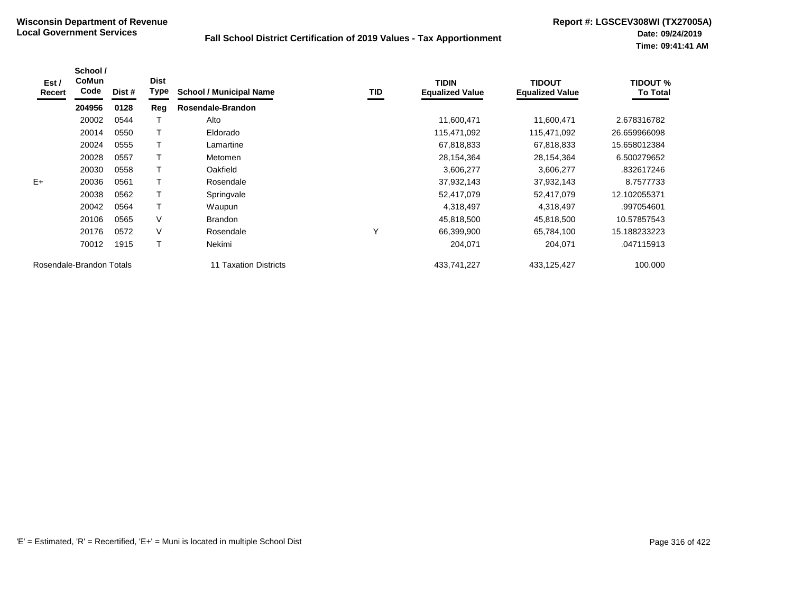| Est /<br>Recert | School /<br><b>CoMun</b><br>Code | Dist # | <b>Dist</b><br>Type | <b>School / Municipal Name</b> | <b>TID</b> | <b>TIDIN</b><br><b>Equalized Value</b> | <b>TIDOUT</b><br><b>Equalized Value</b> | <b>TIDOUT %</b><br><b>To Total</b> |
|-----------------|----------------------------------|--------|---------------------|--------------------------------|------------|----------------------------------------|-----------------------------------------|------------------------------------|
|                 | 204956                           | 0128   | Reg                 | Rosendale-Brandon              |            |                                        |                                         |                                    |
|                 | 20002                            | 0544   |                     | Alto                           |            | 11,600,471                             | 11,600,471                              | 2.678316782                        |
|                 | 20014                            | 0550   | Т                   | Eldorado                       |            | 115,471,092                            | 115,471,092                             | 26.659966098                       |
|                 | 20024                            | 0555   |                     | Lamartine                      |            | 67,818,833                             | 67,818,833                              | 15.658012384                       |
|                 | 20028                            | 0557   |                     | Metomen                        |            | 28,154,364                             | 28,154,364                              | 6.500279652                        |
|                 | 20030                            | 0558   |                     | Oakfield                       |            | 3,606,277                              | 3,606,277                               | .832617246                         |
| $E+$            | 20036                            | 0561   | Т                   | Rosendale                      |            | 37,932,143                             | 37,932,143                              | 8.7577733                          |
|                 | 20038                            | 0562   |                     | Springvale                     |            | 52,417,079                             | 52,417,079                              | 12.102055371                       |
|                 | 20042                            | 0564   |                     | Waupun                         |            | 4,318,497                              | 4,318,497                               | .997054601                         |
|                 | 20106                            | 0565   | $\vee$              | <b>Brandon</b>                 |            | 45,818,500                             | 45,818,500                              | 10.57857543                        |
|                 | 20176                            | 0572   | $\vee$              | Rosendale                      | Υ          | 66,399,900                             | 65,784,100                              | 15.188233223                       |
|                 | 70012                            | 1915   |                     | Nekimi                         |            | 204,071                                | 204,071                                 | .047115913                         |
|                 | Rosendale-Brandon Totals         |        |                     | 11 Taxation Districts          |            | 433,741,227                            | 433,125,427                             | 100.000                            |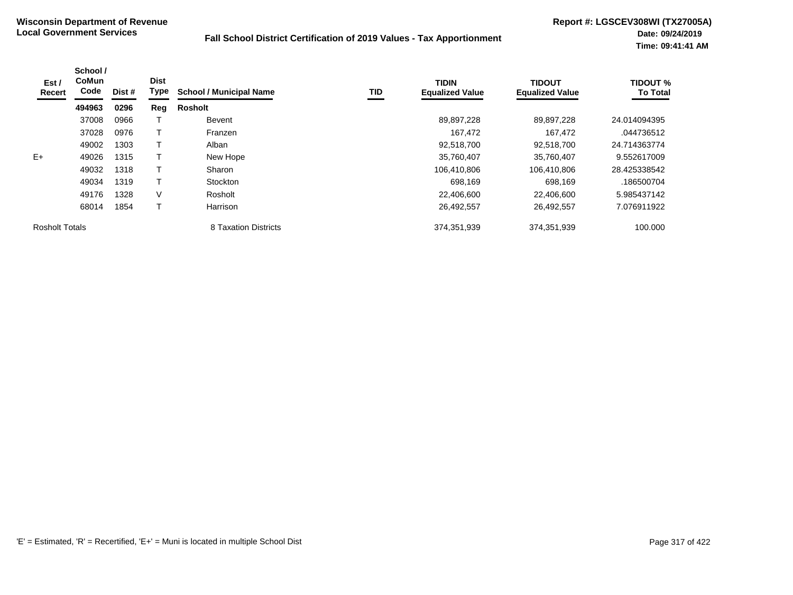| Est /<br>Recert       | School /<br><b>CoMun</b><br>Code | Dist # | <b>Dist</b><br>Type | <b>School / Municipal Name</b> | TID | <b>TIDIN</b><br><b>Equalized Value</b> | <b>TIDOUT</b><br><b>Equalized Value</b> | <b>TIDOUT %</b><br><b>To Total</b> |
|-----------------------|----------------------------------|--------|---------------------|--------------------------------|-----|----------------------------------------|-----------------------------------------|------------------------------------|
|                       | 494963                           | 0296   | Reg                 | Rosholt                        |     |                                        |                                         |                                    |
|                       | 37008                            | 0966   |                     | Bevent                         |     | 89,897,228                             | 89,897,228                              | 24.014094395                       |
|                       | 37028                            | 0976   |                     | Franzen                        |     | 167,472                                | 167,472                                 | .044736512                         |
|                       | 49002                            | 1303   |                     | Alban                          |     | 92,518,700                             | 92,518,700                              | 24.714363774                       |
| $E+$                  | 49026                            | 1315   |                     | New Hope                       |     | 35,760,407                             | 35.760.407                              | 9.552617009                        |
|                       | 49032                            | 1318   |                     | Sharon                         |     | 106,410,806                            | 106,410,806                             | 28.425338542                       |
|                       | 49034                            | 1319   | Τ                   | Stockton                       |     | 698,169                                | 698,169                                 | .186500704                         |
|                       | 49176                            | 1328   | V                   | Rosholt                        |     | 22,406,600                             | 22,406,600                              | 5.985437142                        |
|                       | 68014                            | 1854   |                     | Harrison                       |     | 26,492,557                             | 26,492,557                              | 7.076911922                        |
| <b>Rosholt Totals</b> |                                  |        |                     | 8 Taxation Districts           |     | 374,351,939                            | 374,351,939                             | 100.000                            |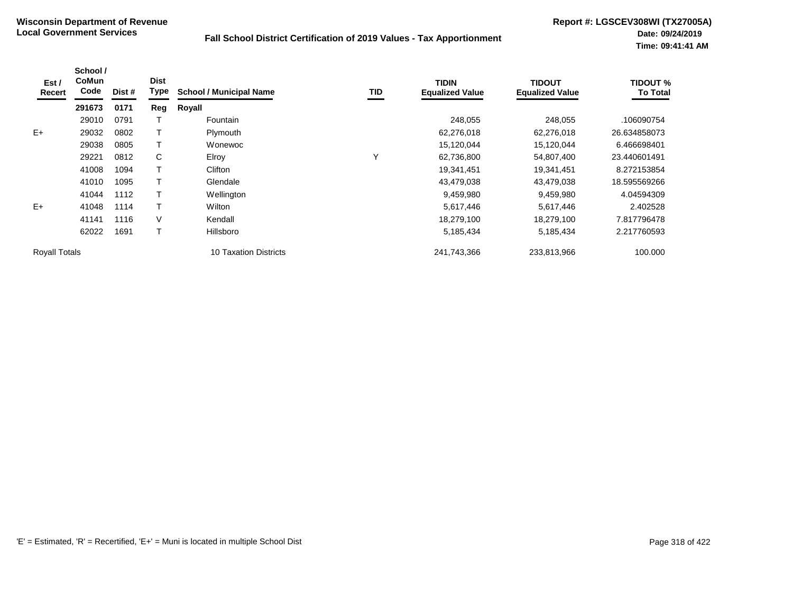| Est/<br><b>Recert</b> | School /<br><b>CoMun</b><br>Code | Dist # | <b>Dist</b><br><b>Type</b> | <b>School / Municipal Name</b> | TID | <b>TIDIN</b><br><b>Equalized Value</b> | <b>TIDOUT</b><br><b>Equalized Value</b> | <b>TIDOUT %</b><br><b>To Total</b> |
|-----------------------|----------------------------------|--------|----------------------------|--------------------------------|-----|----------------------------------------|-----------------------------------------|------------------------------------|
|                       | 291673                           | 0171   | Reg                        | Royall                         |     |                                        |                                         |                                    |
|                       | 29010                            | 0791   |                            | Fountain                       |     | 248,055                                | 248,055                                 | .106090754                         |
| $E+$                  | 29032                            | 0802   |                            | Plymouth                       |     | 62,276,018                             | 62,276,018                              | 26.634858073                       |
|                       | 29038                            | 0805   |                            | Wonewoc                        |     | 15,120,044                             | 15,120,044                              | 6.466698401                        |
|                       | 29221                            | 0812   | C                          | Elroy                          | Υ   | 62,736,800                             | 54,807,400                              | 23.440601491                       |
|                       | 41008                            | 1094   |                            | Clifton                        |     | 19,341,451                             | 19,341,451                              | 8.272153854                        |
|                       | 41010                            | 1095   |                            | Glendale                       |     | 43,479,038                             | 43,479,038                              | 18.595569266                       |
|                       | 41044                            | 1112   |                            | Wellington                     |     | 9,459,980                              | 9,459,980                               | 4.04594309                         |
| $E+$                  | 41048                            | 1114   |                            | Wilton                         |     | 5,617,446                              | 5,617,446                               | 2.402528                           |
|                       | 41141                            | 1116   | V                          | Kendall                        |     | 18,279,100                             | 18,279,100                              | 7.817796478                        |
|                       | 62022                            | 1691   |                            | Hillsboro                      |     | 5,185,434                              | 5,185,434                               | 2.217760593                        |
| <b>Royall Totals</b>  |                                  |        |                            | 10 Taxation Districts          |     | 241,743,366                            | 233,813,966                             | 100.000                            |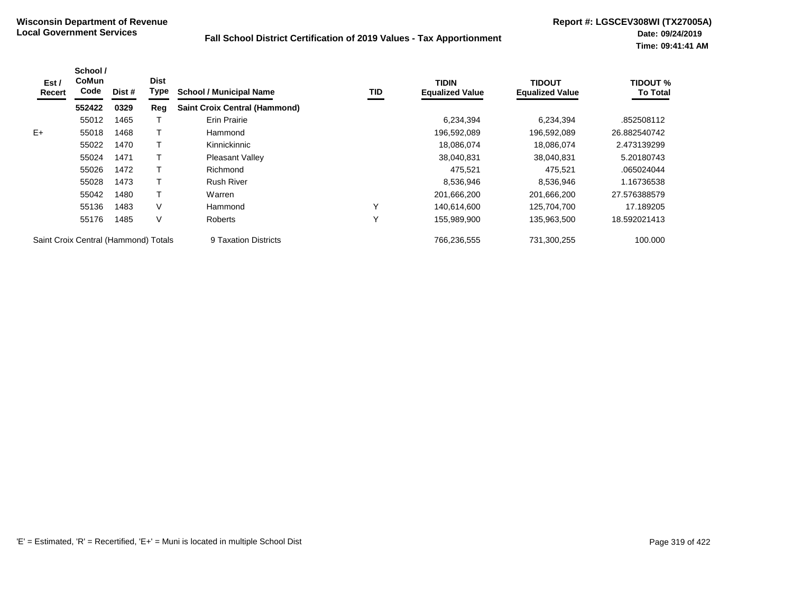| Est/<br>Recert                       | School /<br><b>CoMun</b><br>Code | Dist # | <b>Dist</b><br>Type | <b>School / Municipal Name</b>       | TID | <b>TIDIN</b><br><b>Equalized Value</b> | <b>TIDOUT</b><br><b>Equalized Value</b> | <b>TIDOUT %</b><br><b>To Total</b> |
|--------------------------------------|----------------------------------|--------|---------------------|--------------------------------------|-----|----------------------------------------|-----------------------------------------|------------------------------------|
|                                      | 552422                           | 0329   | Reg                 | <b>Saint Croix Central (Hammond)</b> |     |                                        |                                         |                                    |
|                                      | 55012                            | 1465   |                     | <b>Erin Prairie</b>                  |     | 6,234,394                              | 6,234,394                               | .852508112                         |
| $E+$                                 | 55018                            | 1468   |                     | Hammond                              |     | 196,592,089                            | 196,592,089                             | 26.882540742                       |
|                                      | 55022                            | 1470   |                     | Kinnickinnic                         |     | 18,086,074                             | 18,086,074                              | 2.473139299                        |
|                                      | 55024                            | 1471   |                     | <b>Pleasant Valley</b>               |     | 38,040,831                             | 38,040,831                              | 5.20180743                         |
|                                      | 55026                            | 1472   |                     | Richmond                             |     | 475,521                                | 475,521                                 | .065024044                         |
|                                      | 55028                            | 1473   |                     | <b>Rush River</b>                    |     | 8,536,946                              | 8,536,946                               | 1.16736538                         |
|                                      | 55042                            | 1480   |                     | Warren                               |     | 201,666,200                            | 201,666,200                             | 27.576388579                       |
|                                      | 55136                            | 1483   | V                   | Hammond                              | Υ   | 140.614.600                            | 125,704,700                             | 17.189205                          |
|                                      | 55176                            | 1485   | V                   | <b>Roberts</b>                       | Y   | 155,989,900                            | 135,963,500                             | 18.592021413                       |
| Saint Croix Central (Hammond) Totals |                                  |        |                     | 9 Taxation Districts                 |     | 766,236,555                            | 731,300,255                             | 100.000                            |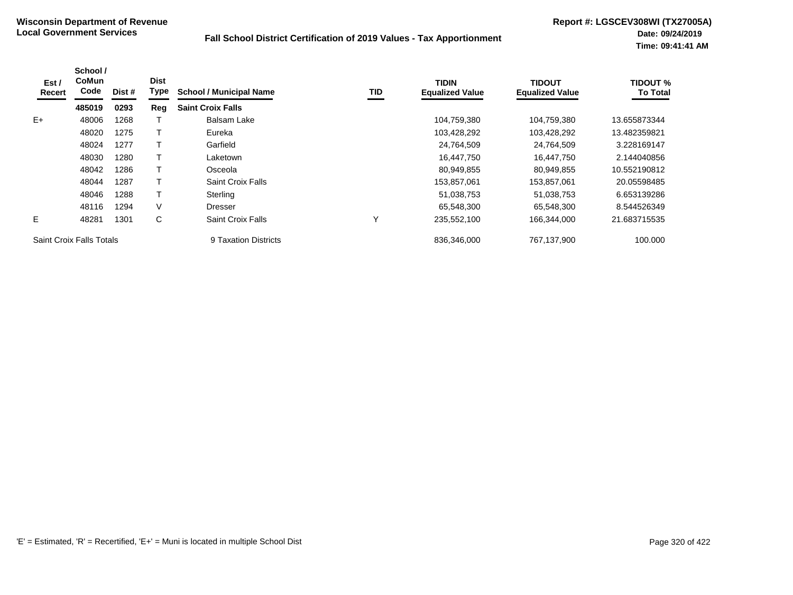| Est /<br>Recert | School /<br><b>CoMun</b><br>Code | Dist # | <b>Dist</b><br>Type | <b>School / Municipal Name</b> | TID | <b>TIDIN</b><br><b>Equalized Value</b> | <b>TIDOUT</b><br><b>Equalized Value</b> | <b>TIDOUT %</b><br><b>To Total</b> |
|-----------------|----------------------------------|--------|---------------------|--------------------------------|-----|----------------------------------------|-----------------------------------------|------------------------------------|
|                 | 485019                           | 0293   | Reg                 | <b>Saint Croix Falls</b>       |     |                                        |                                         |                                    |
| $E+$            | 48006                            | 1268   |                     | <b>Balsam Lake</b>             |     | 104,759,380                            | 104,759,380                             | 13.655873344                       |
|                 | 48020                            | 1275   |                     | Eureka                         |     | 103,428,292                            | 103,428,292                             | 13.482359821                       |
|                 | 48024                            | 1277   |                     | Garfield                       |     | 24,764,509                             | 24,764,509                              | 3.228169147                        |
|                 | 48030                            | 1280   |                     | Laketown                       |     | 16,447,750                             | 16,447,750                              | 2.144040856                        |
|                 | 48042                            | 1286   |                     | Osceola                        |     | 80,949,855                             | 80,949,855                              | 10.552190812                       |
|                 | 48044                            | 1287   |                     | Saint Croix Falls              |     | 153,857,061                            | 153,857,061                             | 20.05598485                        |
|                 | 48046                            | 1288   |                     | Sterling                       |     | 51,038,753                             | 51,038,753                              | 6.653139286                        |
|                 | 48116                            | 1294   | V                   | <b>Dresser</b>                 |     | 65.548.300                             | 65.548.300                              | 8.544526349                        |
| E.              | 48281                            | 1301   | C                   | Saint Croix Falls              | Υ   | 235,552,100                            | 166,344,000                             | 21.683715535                       |
|                 | <b>Saint Croix Falls Totals</b>  |        |                     | 9 Taxation Districts           |     | 836.346.000                            | 767.137.900                             | 100.000                            |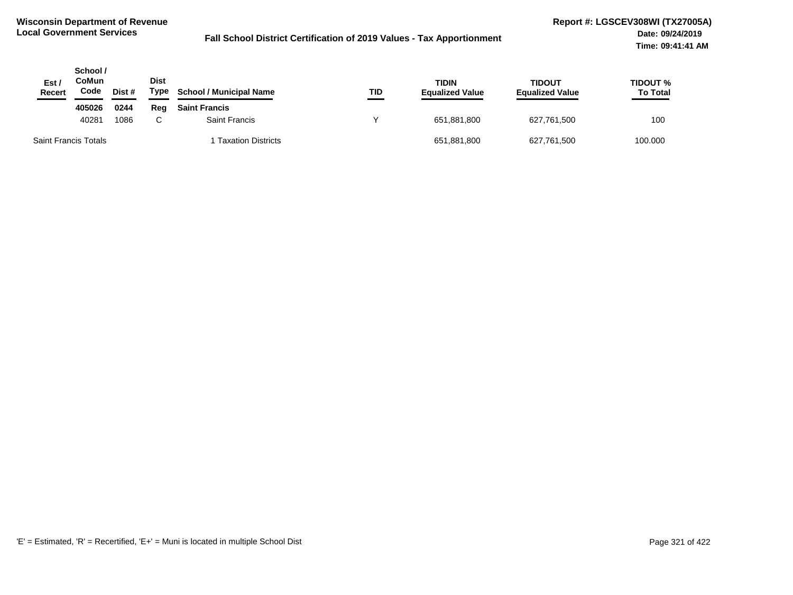| Est /<br><b>Recert</b>      | School /<br><b>CoMun</b><br>Code | Dist # | <b>Dist</b><br>Type | <b>School / Municipal Name</b> | TID | TIDIN<br><b>Equalized Value</b> | <b>TIDOUT</b><br><b>Equalized Value</b> | <b>TIDOUT %</b><br><b>To Total</b> |
|-----------------------------|----------------------------------|--------|---------------------|--------------------------------|-----|---------------------------------|-----------------------------------------|------------------------------------|
|                             | 405026                           | 0244   | Rea                 | <b>Saint Francis</b>           |     |                                 |                                         |                                    |
|                             | 40281                            | 1086   | C.                  | Saint Francis                  |     | 651,881,800                     | 627,761,500                             | 100                                |
| <b>Saint Francis Totals</b> |                                  |        |                     | <b>Taxation Districts</b>      |     | 651,881,800                     | 627,761,500                             | 100.000                            |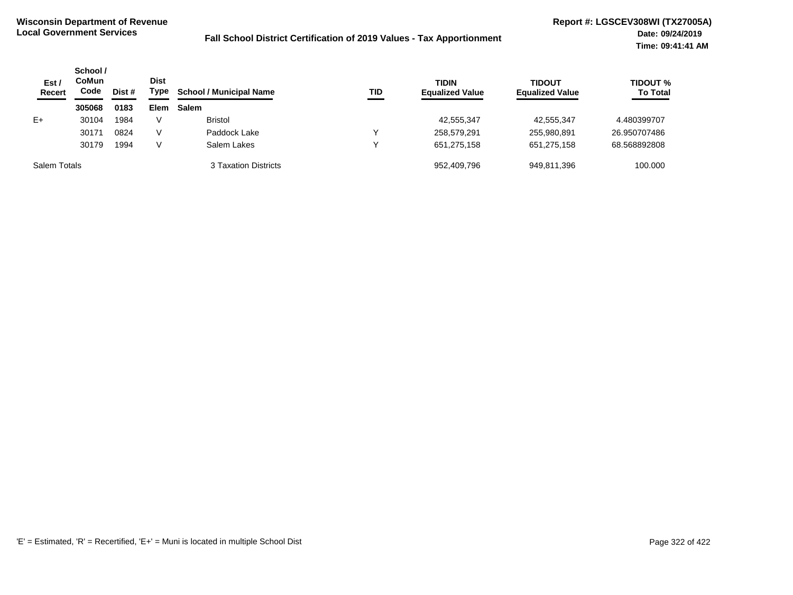| Est/<br><b>Recert</b> | School /<br><b>CoMun</b><br>Code | Dist # | <b>Dist</b><br>Type | <b>School / Municipal Name</b> | TID | <b>TIDIN</b><br><b>Equalized Value</b> | <b>TIDOUT</b><br><b>Equalized Value</b> | <b>TIDOUT %</b><br><b>To Total</b> |
|-----------------------|----------------------------------|--------|---------------------|--------------------------------|-----|----------------------------------------|-----------------------------------------|------------------------------------|
|                       | 305068                           | 0183   | Elem                | <b>Salem</b>                   |     |                                        |                                         |                                    |
| $E+$                  | 30104                            | 1984   | V                   | <b>Bristol</b>                 |     | 42,555,347                             | 42,555,347                              | 4.480399707                        |
|                       | 30171                            | 0824   | V                   | Paddock Lake                   | ◡   | 258,579,291                            | 255,980,891                             | 26.950707486                       |
|                       | 30179                            | 1994   | V                   | Salem Lakes                    | ◡   | 651,275,158                            | 651,275,158                             | 68.568892808                       |
| Salem Totals          |                                  |        |                     | 3 Taxation Districts           |     | 952.409.796                            | 949.811.396                             | 100.000                            |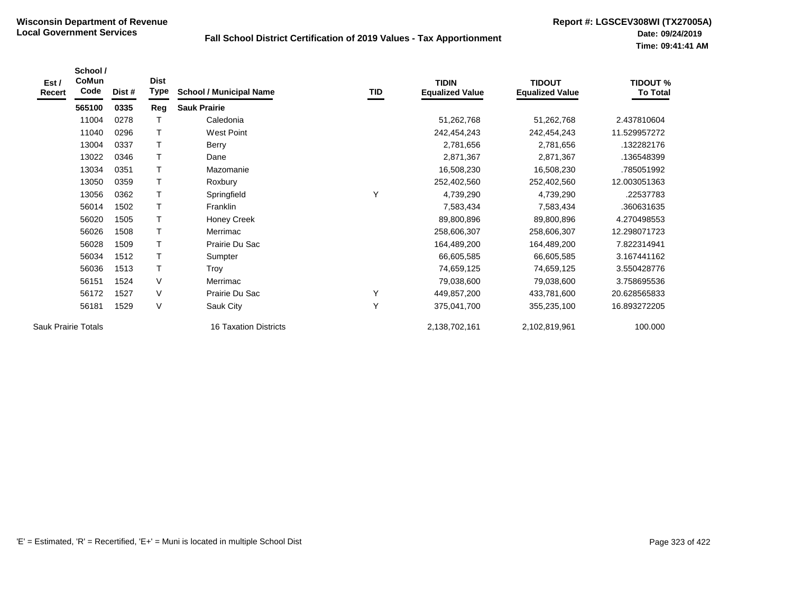| Est /<br>Recert            | School /<br>CoMun<br>Code | Dist # | <b>Dist</b><br>Type | <b>School / Municipal Name</b> | TID | <b>TIDIN</b><br><b>Equalized Value</b> | <b>TIDOUT</b><br><b>Equalized Value</b> | <b>TIDOUT %</b><br><b>To Total</b> |
|----------------------------|---------------------------|--------|---------------------|--------------------------------|-----|----------------------------------------|-----------------------------------------|------------------------------------|
|                            | 565100                    | 0335   | Reg                 | <b>Sauk Prairie</b>            |     |                                        |                                         |                                    |
|                            | 11004                     | 0278   |                     | Caledonia                      |     | 51,262,768                             | 51,262,768                              | 2.437810604                        |
|                            | 11040                     | 0296   | T                   | <b>West Point</b>              |     | 242,454,243                            | 242,454,243                             | 11.529957272                       |
|                            | 13004                     | 0337   | Т                   | Berry                          |     | 2,781,656                              | 2,781,656                               | .132282176                         |
|                            | 13022                     | 0346   |                     | Dane                           |     | 2,871,367                              | 2,871,367                               | .136548399                         |
|                            | 13034                     | 0351   | $\mathsf T$         | Mazomanie                      |     | 16,508,230                             | 16,508,230                              | .785051992                         |
|                            | 13050                     | 0359   | Т                   | Roxbury                        |     | 252,402,560                            | 252,402,560                             | 12.003051363                       |
|                            | 13056                     | 0362   | Τ                   | Springfield                    | Y   | 4,739,290                              | 4,739,290                               | .22537783                          |
|                            | 56014                     | 1502   |                     | Franklin                       |     | 7,583,434                              | 7,583,434                               | .360631635                         |
|                            | 56020                     | 1505   |                     | <b>Honey Creek</b>             |     | 89,800,896                             | 89,800,896                              | 4.270498553                        |
|                            | 56026                     | 1508   |                     | Merrimac                       |     | 258,606,307                            | 258,606,307                             | 12.298071723                       |
|                            | 56028                     | 1509   |                     | Prairie Du Sac                 |     | 164,489,200                            | 164,489,200                             | 7.822314941                        |
|                            | 56034                     | 1512   | $\mathsf T$         | Sumpter                        |     | 66,605,585                             | 66,605,585                              | 3.167441162                        |
|                            | 56036                     | 1513   | T                   | Troy                           |     | 74,659,125                             | 74,659,125                              | 3.550428776                        |
|                            | 56151                     | 1524   | V                   | Merrimac                       |     | 79,038,600                             | 79,038,600                              | 3.758695536                        |
|                            | 56172                     | 1527   | V                   | Prairie Du Sac                 | Y   | 449,857,200                            | 433,781,600                             | 20.628565833                       |
|                            | 56181                     | 1529   | V                   | Sauk City                      | Y   | 375,041,700                            | 355,235,100                             | 16.893272205                       |
| <b>Sauk Prairie Totals</b> |                           |        |                     | 16 Taxation Districts          |     | 2,138,702,161                          | 2,102,819,961                           | 100.000                            |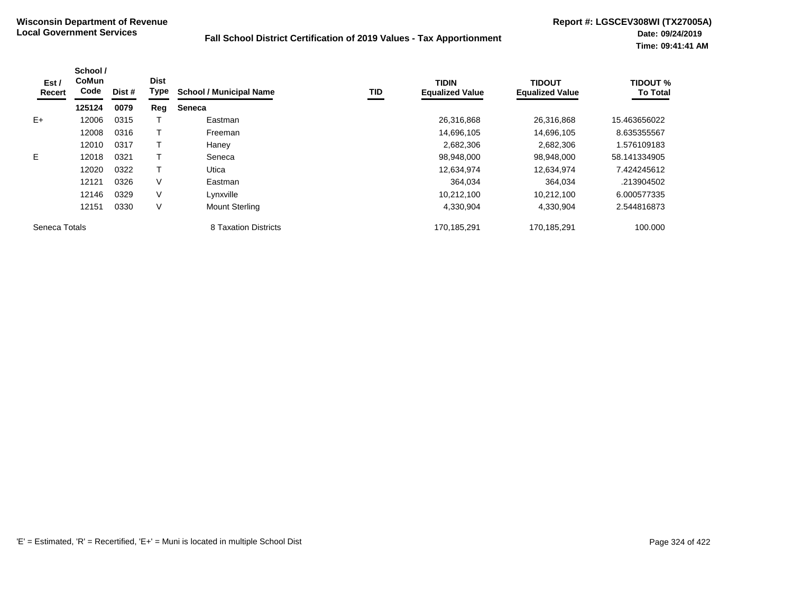| Est /<br>Recert | School /<br><b>CoMun</b><br>Code | Dist # | <b>Dist</b><br><b>Type</b> | <b>School / Municipal Name</b> | TID | <b>TIDIN</b><br><b>Equalized Value</b> | <b>TIDOUT</b><br><b>Equalized Value</b> | <b>TIDOUT %</b><br><b>To Total</b> |
|-----------------|----------------------------------|--------|----------------------------|--------------------------------|-----|----------------------------------------|-----------------------------------------|------------------------------------|
|                 | 125124                           | 0079   | Reg                        | <b>Seneca</b>                  |     |                                        |                                         |                                    |
| $E+$            | 12006                            | 0315   |                            | Eastman                        |     | 26,316,868                             | 26,316,868                              | 15.463656022                       |
|                 | 12008                            | 0316   |                            | Freeman                        |     | 14,696,105                             | 14,696,105                              | 8.635355567                        |
|                 | 12010                            | 0317   |                            | Haney                          |     | 2,682,306                              | 2,682,306                               | .576109183                         |
| E.              | 12018                            | 0321   |                            | Seneca                         |     | 98,948,000                             | 98,948,000                              | 58.141334905                       |
|                 | 12020                            | 0322   |                            | Utica                          |     | 12,634,974                             | 12,634,974                              | 7.424245612                        |
|                 | 12121                            | 0326   | V                          | Eastman                        |     | 364,034                                | 364,034                                 | .213904502                         |
|                 | 12146                            | 0329   | V                          | Lynxville                      |     | 10,212,100                             | 10,212,100                              | 6.000577335                        |
|                 | 12151                            | 0330   | V                          | <b>Mount Sterling</b>          |     | 4,330,904                              | 4,330,904                               | 2.544816873                        |
| Seneca Totals   |                                  |        |                            | 8 Taxation Districts           |     | 170,185,291                            | 170,185,291                             | 100.000                            |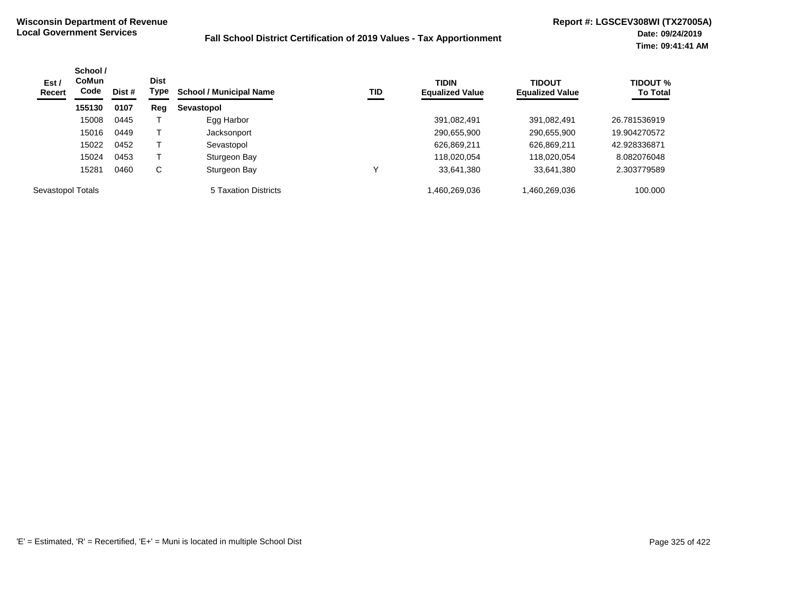| Est/<br><b>Recert</b> | School /<br><b>CoMun</b><br>Code | Dist # | <b>Dist</b><br>Type | <b>School / Municipal Name</b> | TID | <b>TIDIN</b><br><b>Equalized Value</b> | <b>TIDOUT</b><br><b>Equalized Value</b> | <b>TIDOUT %</b><br><b>To Total</b> |
|-----------------------|----------------------------------|--------|---------------------|--------------------------------|-----|----------------------------------------|-----------------------------------------|------------------------------------|
|                       | 155130                           | 0107   | Reg                 | Sevastopol                     |     |                                        |                                         |                                    |
|                       | 15008                            | 0445   |                     | Egg Harbor                     |     | 391,082,491                            | 391,082,491                             | 26.781536919                       |
|                       | 15016                            | 0449   |                     | Jacksonport                    |     | 290,655,900                            | 290,655,900                             | 19.904270572                       |
|                       | 15022                            | 0452   |                     | Sevastopol                     |     | 626,869,211                            | 626,869,211                             | 42.928336871                       |
|                       | 15024                            | 0453   |                     | Sturgeon Bay                   |     | 118,020,054                            | 118,020,054                             | 8.082076048                        |
|                       | 15281                            | 0460   | С                   | Sturgeon Bay                   |     | 33,641,380                             | 33,641,380                              | 2.303779589                        |
| Sevastopol Totals     |                                  |        |                     | 5 Taxation Districts           |     | 1,460,269,036                          | 460,269,036,                            | 100.000                            |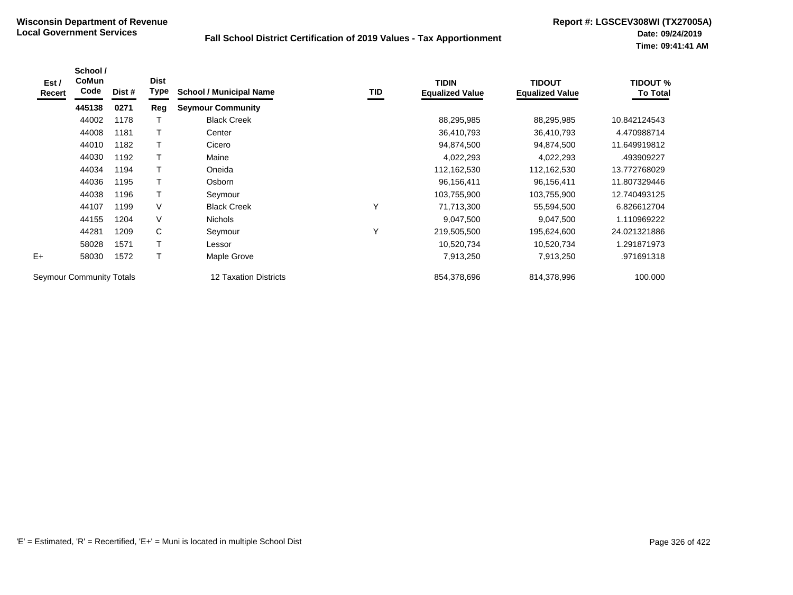| Est /<br>Recert          | School /<br>CoMun<br>Code | Dist # | <b>Dist</b><br>Type | <b>School / Municipal Name</b> | TID | <b>TIDIN</b><br><b>Equalized Value</b> | <b>TIDOUT</b><br><b>Equalized Value</b> | <b>TIDOUT %</b><br><b>To Total</b> |
|--------------------------|---------------------------|--------|---------------------|--------------------------------|-----|----------------------------------------|-----------------------------------------|------------------------------------|
|                          | 445138                    | 0271   | Reg                 | <b>Seymour Community</b>       |     |                                        |                                         |                                    |
|                          | 44002                     | 1178   |                     | <b>Black Creek</b>             |     | 88,295,985                             | 88,295,985                              | 10.842124543                       |
|                          | 44008                     | 1181   | т                   | Center                         |     | 36,410,793                             | 36,410,793                              | 4.470988714                        |
|                          | 44010                     | 1182   | т                   | Cicero                         |     | 94,874,500                             | 94,874,500                              | 11.649919812                       |
|                          | 44030                     | 1192   | Т                   | Maine                          |     | 4,022,293                              | 4,022,293                               | .493909227                         |
|                          | 44034                     | 1194   |                     | Oneida                         |     | 112,162,530                            | 112,162,530                             | 13.772768029                       |
|                          | 44036                     | 1195   |                     | Osborn                         |     | 96,156,411                             | 96,156,411                              | 11.807329446                       |
|                          | 44038                     | 1196   | Τ                   | Seymour                        |     | 103,755,900                            | 103,755,900                             | 12.740493125                       |
|                          | 44107                     | 1199   | V                   | <b>Black Creek</b>             | Υ   | 71,713,300                             | 55,594,500                              | 6.826612704                        |
|                          | 44155                     | 1204   | V                   | <b>Nichols</b>                 |     | 9,047,500                              | 9,047,500                               | 1.110969222                        |
|                          | 44281                     | 1209   | C                   | Seymour                        | Υ   | 219,505,500                            | 195,624,600                             | 24.021321886                       |
|                          | 58028                     | 1571   | T                   | Lessor                         |     | 10,520,734                             | 10,520,734                              | 1.291871973                        |
| $E+$                     | 58030                     | 1572   | Т                   | Maple Grove                    |     | 7,913,250                              | 7,913,250                               | .971691318                         |
| Seymour Community Totals |                           |        |                     | 12 Taxation Districts          |     | 854,378,696                            | 814,378,996                             | 100.000                            |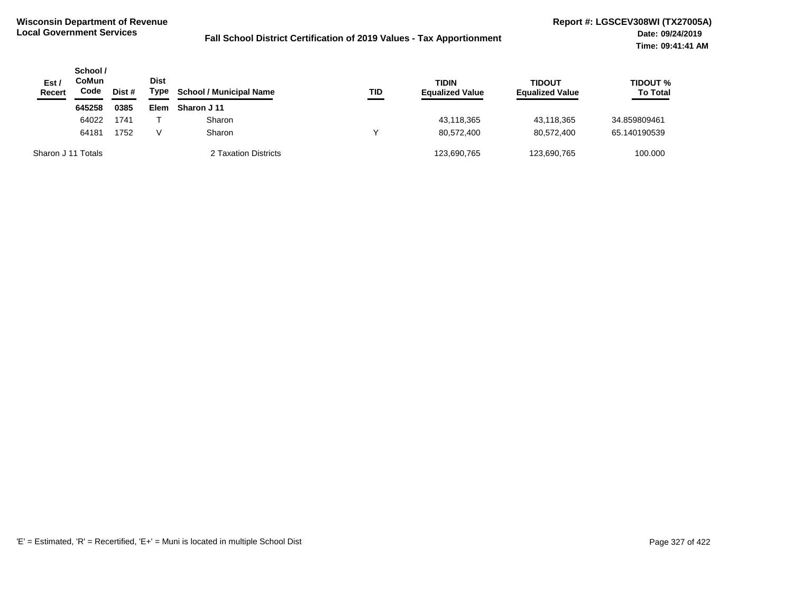| Est /<br><b>Recert</b> | School /<br>CoMun<br>Code | Dist # | <b>Dist</b><br>Type | <b>School / Municipal Name</b> | TID | <b>TIDIN</b><br><b>Equalized Value</b> | <b>TIDOUT</b><br><b>Equalized Value</b> | <b>TIDOUT %</b><br><b>To Total</b> |
|------------------------|---------------------------|--------|---------------------|--------------------------------|-----|----------------------------------------|-----------------------------------------|------------------------------------|
|                        | 645258                    | 0385   | Elem                | Sharon J 11                    |     |                                        |                                         |                                    |
|                        | 64022                     | 1741   |                     | Sharon                         |     | 43,118,365                             | 43,118,365                              | 34.859809461                       |
|                        | 64181                     | 1752   | v                   | Sharon                         | ν   | 80.572.400                             | 80.572.400                              | 65.140190539                       |
| Sharon J 11 Totals     |                           |        |                     | 2 Taxation Districts           |     | 123,690,765                            | 123,690,765                             | 100.000                            |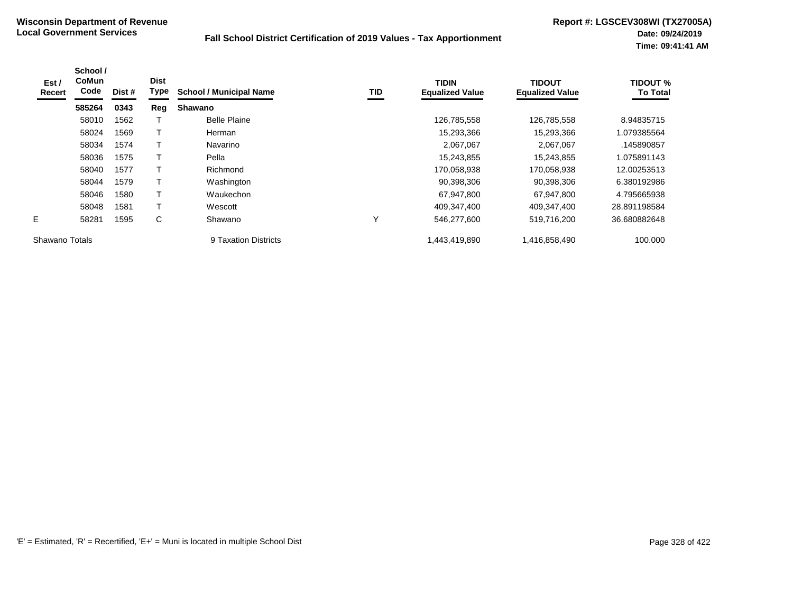| Est /<br>Recert | School /<br>CoMun<br>Code | Dist # | <b>Dist</b><br>Type | <b>School / Municipal Name</b> | TID | <b>TIDIN</b><br><b>Equalized Value</b> | <b>TIDOUT</b><br><b>Equalized Value</b> | <b>TIDOUT %</b><br><b>To Total</b> |
|-----------------|---------------------------|--------|---------------------|--------------------------------|-----|----------------------------------------|-----------------------------------------|------------------------------------|
|                 | 585264                    | 0343   | Reg                 | <b>Shawano</b>                 |     |                                        |                                         |                                    |
|                 | 58010                     | 1562   |                     | <b>Belle Plaine</b>            |     | 126,785,558                            | 126,785,558                             | 8.94835715                         |
|                 | 58024                     | 1569   |                     | Herman                         |     | 15,293,366                             | 15,293,366                              | 1.079385564                        |
|                 | 58034                     | 1574   |                     | Navarino                       |     | 2,067,067                              | 2,067,067                               | .145890857                         |
|                 | 58036                     | 1575   |                     | Pella                          |     | 15,243,855                             | 15,243,855                              | 1.075891143                        |
|                 | 58040                     | 1577   | $\mathbf \tau$      | Richmond                       |     | 170,058,938                            | 170,058,938                             | 12.00253513                        |
|                 | 58044                     | 1579   |                     | Washington                     |     | 90,398,306                             | 90,398,306                              | 6.380192986                        |
|                 | 58046                     | 1580   | т                   | Waukechon                      |     | 67,947,800                             | 67,947,800                              | 4.795665938                        |
|                 | 58048                     | 1581   |                     | Wescott                        |     | 409,347,400                            | 409,347,400                             | 28.891198584                       |
| E.              | 58281                     | 1595   | С                   | Shawano                        | ٧   | 546,277,600                            | 519,716,200                             | 36.680882648                       |
| Shawano Totals  |                           |        |                     | 9 Taxation Districts           |     | 1,443,419,890                          | 1,416,858,490                           | 100.000                            |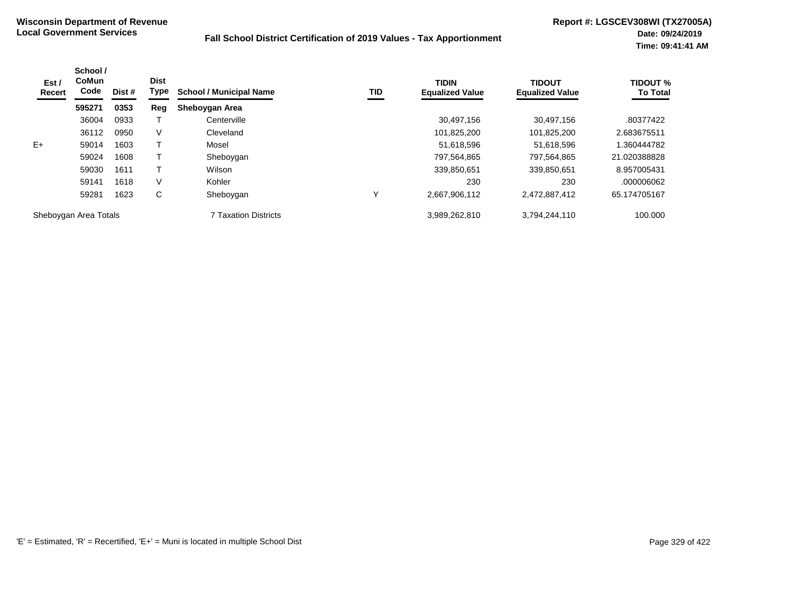| Est /<br>Recert       | School /<br>CoMun<br>Code | Dist # | <b>Dist</b><br>Type | <b>School / Municipal Name</b> | TID | <b>TIDIN</b><br><b>Equalized Value</b> | <b>TIDOUT</b><br><b>Equalized Value</b> | <b>TIDOUT %</b><br><b>To Total</b> |
|-----------------------|---------------------------|--------|---------------------|--------------------------------|-----|----------------------------------------|-----------------------------------------|------------------------------------|
|                       | 595271                    | 0353   | Reg                 | Sheboygan Area                 |     |                                        |                                         |                                    |
|                       | 36004                     | 0933   |                     | Centerville                    |     | 30,497,156                             | 30,497,156                              | .80377422                          |
|                       | 36112                     | 0950   | V                   | Cleveland                      |     | 101,825,200                            | 101,825,200                             | 2.683675511                        |
| $E+$                  | 59014                     | 1603   |                     | Mosel                          |     | 51,618,596                             | 51,618,596                              | .360444782                         |
|                       | 59024                     | 1608   |                     | Sheboygan                      |     | 797,564,865                            | 797.564.865                             | 21.020388828                       |
|                       | 59030                     | 1611   |                     | Wilson                         |     | 339,850,651                            | 339,850,651                             | 8.957005431                        |
|                       | 59141                     | 1618   | V                   | Kohler                         |     | 230                                    | 230                                     | .000006062                         |
|                       | 59281                     | 1623   | С                   | Sheboygan                      | Υ   | 2,667,906,112                          | 2,472,887,412                           | 65.174705167                       |
| Sheboygan Area Totals |                           |        |                     | 7 Taxation Districts           |     | 3,989,262,810                          | 3,794,244,110                           | 100.000                            |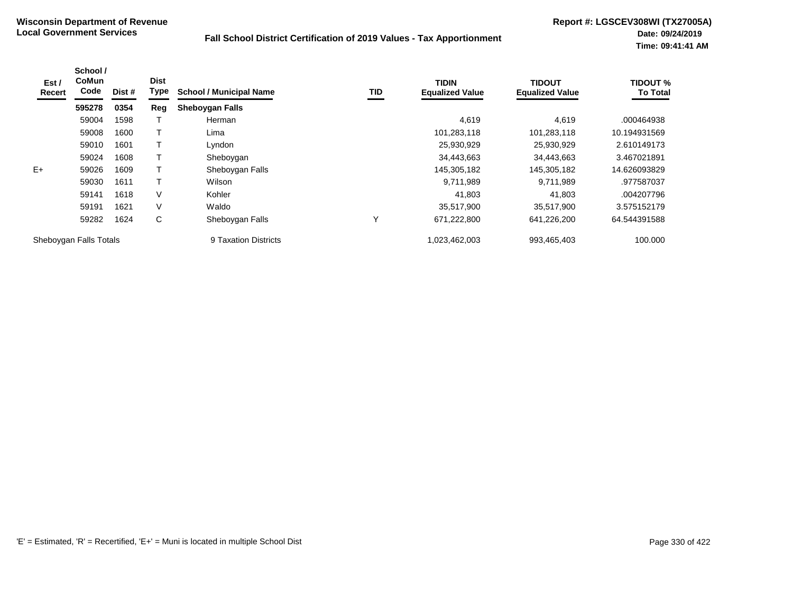| Est /<br>Recert        | School /<br><b>CoMun</b><br>Code | Dist # | <b>Dist</b><br>Type | <b>School / Municipal Name</b> | TID | <b>TIDIN</b><br><b>Equalized Value</b> | <b>TIDOUT</b><br><b>Equalized Value</b> | <b>TIDOUT %</b><br><b>To Total</b> |
|------------------------|----------------------------------|--------|---------------------|--------------------------------|-----|----------------------------------------|-----------------------------------------|------------------------------------|
|                        | 595278                           | 0354   | Reg                 | <b>Sheboygan Falls</b>         |     |                                        |                                         |                                    |
|                        | 59004                            | 1598   |                     | Herman                         |     | 4,619                                  | 4,619                                   | .000464938                         |
|                        | 59008                            | 1600   |                     | Lima                           |     | 101,283,118                            | 101,283,118                             | 10.194931569                       |
|                        | 59010                            | 1601   |                     | Lyndon                         |     | 25,930,929                             | 25,930,929                              | 2.610149173                        |
|                        | 59024                            | 1608   |                     | Sheboygan                      |     | 34,443,663                             | 34,443,663                              | 3.467021891                        |
| $E+$                   | 59026                            | 1609   |                     | Sheboygan Falls                |     | 145,305,182                            | 145,305,182                             | 14.626093829                       |
|                        | 59030                            | 1611   |                     | Wilson                         |     | 9,711,989                              | 9,711,989                               | .977587037                         |
|                        | 59141                            | 1618   | V                   | Kohler                         |     | 41,803                                 | 41,803                                  | .004207796                         |
|                        | 59191                            | 1621   | V                   | Waldo                          |     | 35,517,900                             | 35,517,900                              | 3.575152179                        |
|                        | 59282                            | 1624   | С                   | Sheboygan Falls                | Υ   | 671,222,800                            | 641,226,200                             | 64.544391588                       |
| Sheboygan Falls Totals |                                  |        |                     | 9 Taxation Districts           |     | 1,023,462,003                          | 993,465,403                             | 100.000                            |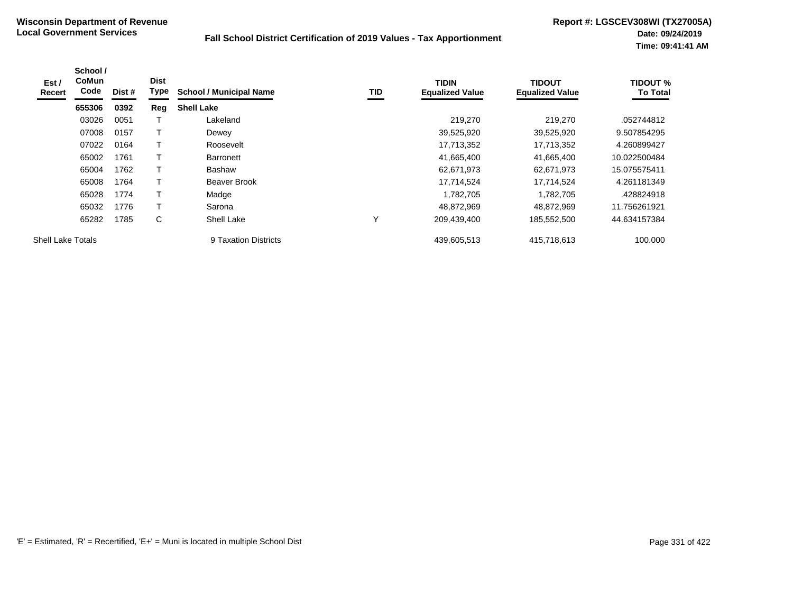| Est/<br>Recert           | School /<br><b>CoMun</b><br>Code | Dist # | <b>Dist</b><br>Type | <b>School / Municipal Name</b> | TID | <b>TIDIN</b><br><b>Equalized Value</b> | <b>TIDOUT</b><br><b>Equalized Value</b> | <b>TIDOUT %</b><br><b>To Total</b> |
|--------------------------|----------------------------------|--------|---------------------|--------------------------------|-----|----------------------------------------|-----------------------------------------|------------------------------------|
|                          | 655306                           | 0392   | Reg                 | <b>Shell Lake</b>              |     |                                        |                                         |                                    |
|                          | 03026                            | 0051   |                     | Lakeland                       |     | 219,270                                | 219,270                                 | .052744812                         |
|                          | 07008                            | 0157   |                     | Dewey                          |     | 39,525,920                             | 39,525,920                              | 9.507854295                        |
|                          | 07022                            | 0164   | т                   | Roosevelt                      |     | 17,713,352                             | 17,713,352                              | 4.260899427                        |
|                          | 65002                            | 1761   |                     | <b>Barronett</b>               |     | 41,665,400                             | 41,665,400                              | 10.022500484                       |
|                          | 65004                            | 1762   | т                   | <b>Bashaw</b>                  |     | 62,671,973                             | 62,671,973                              | 15.075575411                       |
|                          | 65008                            | 1764   |                     | Beaver Brook                   |     | 17,714,524                             | 17,714,524                              | 4.261181349                        |
|                          | 65028                            | 1774   |                     | Madge                          |     | 1,782,705                              | 1,782,705                               | .428824918                         |
|                          | 65032                            | 1776   | т                   | Sarona                         |     | 48,872,969                             | 48.872.969                              | 11.756261921                       |
|                          | 65282                            | 1785   | С                   | Shell Lake                     | ٧   | 209,439,400                            | 185,552,500                             | 44.634157384                       |
| <b>Shell Lake Totals</b> |                                  |        |                     | 9 Taxation Districts           |     | 439.605.513                            | 415.718.613                             | 100.000                            |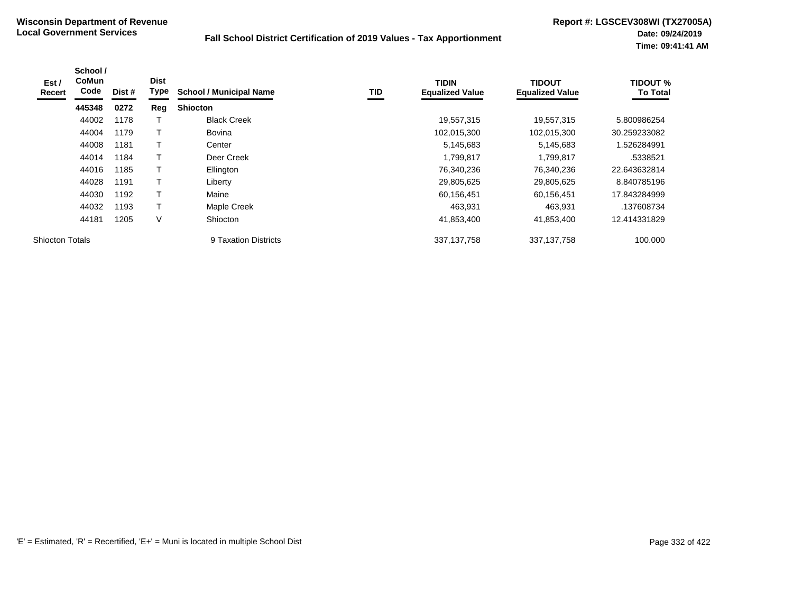| Est/<br>Recert         | School /<br><b>CoMun</b><br>Code | Dist # | <b>Dist</b><br>Type | <b>School / Municipal Name</b> | TID | <b>TIDIN</b><br><b>Equalized Value</b> | <b>TIDOUT</b><br><b>Equalized Value</b> | <b>TIDOUT %</b><br><b>To Total</b> |
|------------------------|----------------------------------|--------|---------------------|--------------------------------|-----|----------------------------------------|-----------------------------------------|------------------------------------|
|                        | 445348                           | 0272   | Reg                 | <b>Shiocton</b>                |     |                                        |                                         |                                    |
|                        | 44002                            | 1178   |                     | <b>Black Creek</b>             |     | 19,557,315                             | 19,557,315                              | 5.800986254                        |
|                        | 44004                            | 1179   |                     | <b>Bovina</b>                  |     | 102,015,300                            | 102,015,300                             | 30.259233082                       |
|                        | 44008                            | 1181   |                     | Center                         |     | 5,145,683                              | 5,145,683                               | 1.526284991                        |
|                        | 44014                            | 1184   |                     | Deer Creek                     |     | 1,799,817                              | 1,799,817                               | .5338521                           |
|                        | 44016                            | 1185   |                     | Ellington                      |     | 76,340,236                             | 76,340,236                              | 22.643632814                       |
|                        | 44028                            | 1191   |                     | Liberty                        |     | 29,805,625                             | 29,805,625                              | 8.840785196                        |
|                        | 44030                            | 1192   |                     | Maine                          |     | 60,156,451                             | 60,156,451                              | 17.843284999                       |
|                        | 44032                            | 1193   |                     | Maple Creek                    |     | 463,931                                | 463,931                                 | .137608734                         |
|                        | 44181                            | 1205   | V                   | Shiocton                       |     | 41,853,400                             | 41,853,400                              | 12.414331829                       |
| <b>Shiocton Totals</b> |                                  |        |                     | 9 Taxation Districts           |     | 337, 137, 758                          | 337, 137, 758                           | 100.000                            |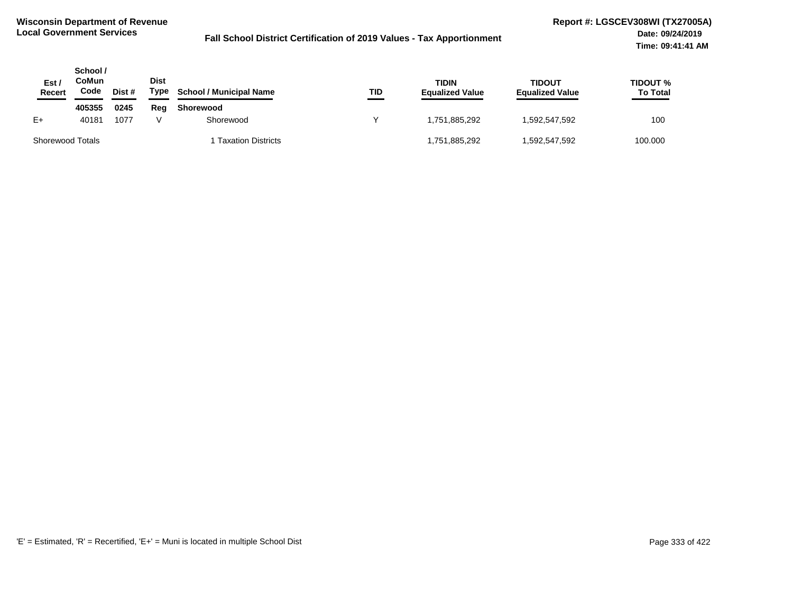| Est /<br>Recert         | School /<br>CoMun<br>Code | Dist # | <b>Dist</b><br>Type | <b>School / Municipal Name</b> | TID | TIDIN<br><b>Equalized Value</b> | <b>TIDOUT</b><br><b>Equalized Value</b> | <b>TIDOUT %</b><br><b>To Total</b> |
|-------------------------|---------------------------|--------|---------------------|--------------------------------|-----|---------------------------------|-----------------------------------------|------------------------------------|
|                         | 405355                    | 0245   | Reg                 | Shorewood                      |     |                                 |                                         |                                    |
| $E+$                    | 40181                     | 1077   |                     | Shorewood                      |     | 1.751.885.292                   | 1,592,547,592                           | 100                                |
| <b>Shorewood Totals</b> |                           |        |                     | <b>Taxation Districts</b>      |     | 1,751,885,292                   | 592,547,592,ا                           | 100.000                            |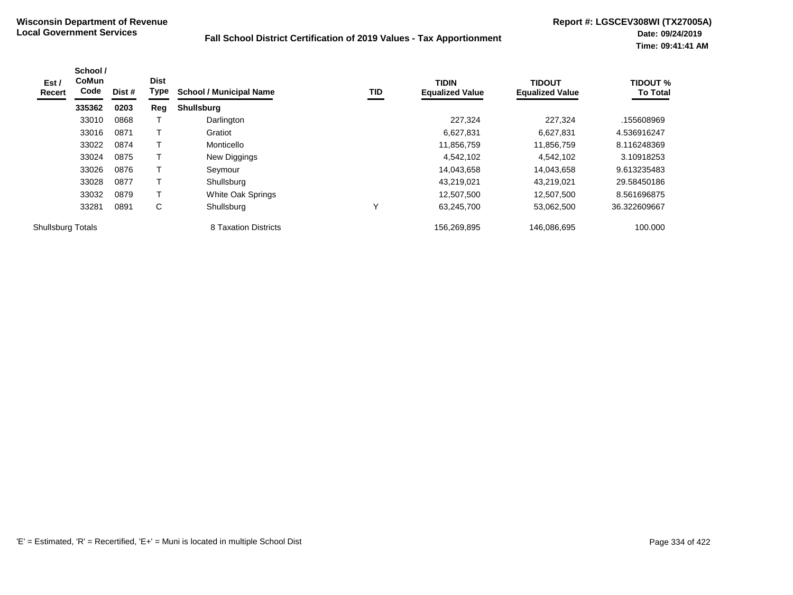| Est /<br>Recert   | School /<br><b>CoMun</b><br>Code | Dist # | <b>Dist</b><br>Type | <b>School / Municipal Name</b> | TID | <b>TIDIN</b><br><b>Equalized Value</b> | <b>TIDOUT</b><br><b>Equalized Value</b> | <b>TIDOUT %</b><br><b>To Total</b> |
|-------------------|----------------------------------|--------|---------------------|--------------------------------|-----|----------------------------------------|-----------------------------------------|------------------------------------|
|                   | 335362                           | 0203   | Reg                 | <b>Shullsburg</b>              |     |                                        |                                         |                                    |
|                   | 33010                            | 0868   |                     | Darlington                     |     | 227.324                                | 227,324                                 | .155608969                         |
|                   | 33016                            | 0871   |                     | Gratiot                        |     | 6,627,831                              | 6,627,831                               | 4.536916247                        |
|                   | 33022                            | 0874   |                     | Monticello                     |     | 11,856,759                             | 11,856,759                              | 8.116248369                        |
|                   | 33024                            | 0875   |                     | New Diggings                   |     | 4,542,102                              | 4,542,102                               | 3.10918253                         |
|                   | 33026                            | 0876   |                     | Seymour                        |     | 14,043,658                             | 14.043.658                              | 9.613235483                        |
|                   | 33028                            | 0877   |                     | Shullsburg                     |     | 43,219,021                             | 43,219,021                              | 29.58450186                        |
|                   | 33032                            | 0879   | т                   | White Oak Springs              |     | 12,507,500                             | 12,507,500                              | 8.561696875                        |
|                   | 33281                            | 0891   | C                   | Shullsburg                     |     | 63.245.700                             | 53,062,500                              | 36.322609667                       |
| Shullsburg Totals |                                  |        |                     | 8 Taxation Districts           |     | 156,269,895                            | 146.086.695                             | 100.000                            |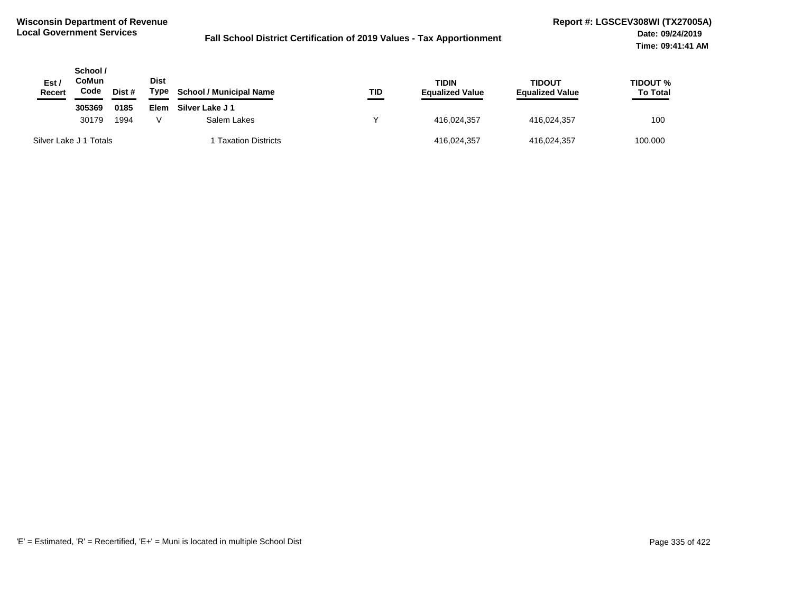| Est /<br>Recert        | School /<br>CoMun<br>Code | Dist # | <b>Dist</b><br>Type | <b>School / Municipal Name</b> | TID         | <b>TIDIN</b><br><b>Equalized Value</b> | TIDOUT<br><b>Equalized Value</b> | <b>TIDOUT %</b><br><b>To Total</b> |
|------------------------|---------------------------|--------|---------------------|--------------------------------|-------------|----------------------------------------|----------------------------------|------------------------------------|
|                        | 305369                    | 0185   | Elem                | Silver Lake J 1                |             |                                        |                                  |                                    |
|                        | 30179                     | 1994   | Salem Lakes         |                                | 416,024,357 | 416,024,357                            | 100                              |                                    |
| Silver Lake J 1 Totals |                           |        |                     | <b>Taxation Districts</b>      |             | 416,024,357                            | 416,024,357                      | 100.000                            |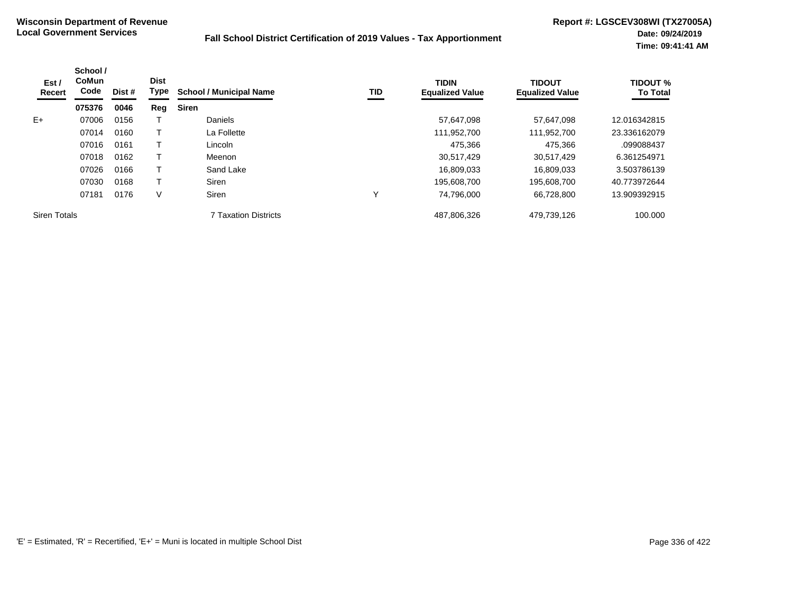| Est /<br>Recert     | School /<br><b>CoMun</b><br>Code | Dist # | <b>Dist</b><br>Type | <b>School / Municipal Name</b> | TID | <b>TIDIN</b><br><b>Equalized Value</b> | <b>TIDOUT</b><br><b>Equalized Value</b> | <b>TIDOUT %</b><br><b>To Total</b> |
|---------------------|----------------------------------|--------|---------------------|--------------------------------|-----|----------------------------------------|-----------------------------------------|------------------------------------|
|                     | 075376                           | 0046   | Reg                 | <b>Siren</b>                   |     |                                        |                                         |                                    |
| $E+$                | 07006                            | 0156   |                     | <b>Daniels</b>                 |     | 57.647.098                             | 57.647.098                              | 12.016342815                       |
|                     | 07014                            | 0160   |                     | La Follette                    |     | 111,952,700                            | 111,952,700                             | 23.336162079                       |
|                     | 07016                            | 0161   |                     | Lincoln                        |     | 475,366                                | 475,366                                 | .099088437                         |
|                     | 07018                            | 0162   |                     | Meenon                         |     | 30,517,429                             | 30.517.429                              | 6.361254971                        |
|                     | 07026                            | 0166   |                     | Sand Lake                      |     | 16,809,033                             | 16,809,033                              | 3.503786139                        |
|                     | 07030                            | 0168   |                     | Siren                          |     | 195,608,700                            | 195,608,700                             | 40.773972644                       |
|                     | 07181                            | 0176   | V                   | Siren                          | ν   | 74,796,000                             | 66,728,800                              | 13.909392915                       |
| <b>Siren Totals</b> |                                  |        |                     | 7 Taxation Districts           |     | 487,806,326                            | 479,739,126                             | 100.000                            |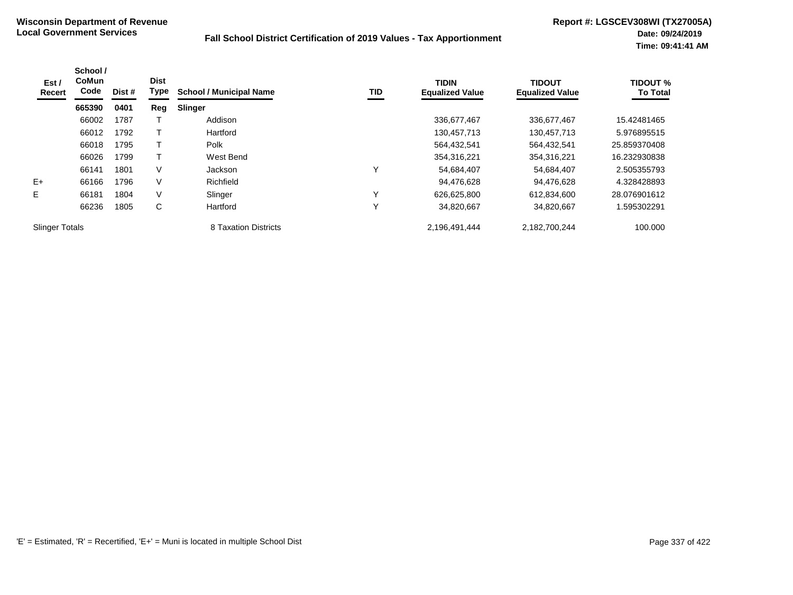| Est /<br>Recert       | School /<br><b>CoMun</b><br>Code | Dist # | <b>Dist</b><br>Type | <b>School / Municipal Name</b> | TID | <b>TIDIN</b><br><b>Equalized Value</b> | <b>TIDOUT</b><br><b>Equalized Value</b> | <b>TIDOUT %</b><br><b>To Total</b> |
|-----------------------|----------------------------------|--------|---------------------|--------------------------------|-----|----------------------------------------|-----------------------------------------|------------------------------------|
|                       | 665390                           | 0401   | Reg                 | Slinger                        |     |                                        |                                         |                                    |
|                       | 66002                            | 1787   |                     | Addison                        |     | 336,677,467                            | 336,677,467                             | 15.42481465                        |
|                       | 66012                            | 1792   |                     | Hartford                       |     | 130,457,713                            | 130,457,713                             | 5.976895515                        |
|                       | 66018                            | 1795   |                     | Polk                           |     | 564,432,541                            | 564,432,541                             | 25.859370408                       |
|                       | 66026                            | 1799   |                     | West Bend                      |     | 354,316,221                            | 354,316,221                             | 16.232930838                       |
|                       | 66141                            | 1801   | V                   | Jackson                        | v   | 54,684,407                             | 54,684,407                              | 2.505355793                        |
| $E+$                  | 66166                            | 1796   | $\vee$              | Richfield                      |     | 94,476,628                             | 94,476,628                              | 4.328428893                        |
| E.                    | 66181                            | 1804   | V                   | Slinger                        | Υ   | 626,625,800                            | 612,834,600                             | 28.076901612                       |
|                       | 66236                            | 1805   | C                   | Hartford                       | Υ   | 34,820,667                             | 34,820,667                              | .595302291                         |
| <b>Slinger Totals</b> |                                  |        |                     | 8 Taxation Districts           |     | 2,196,491,444                          | 2,182,700,244                           | 100.000                            |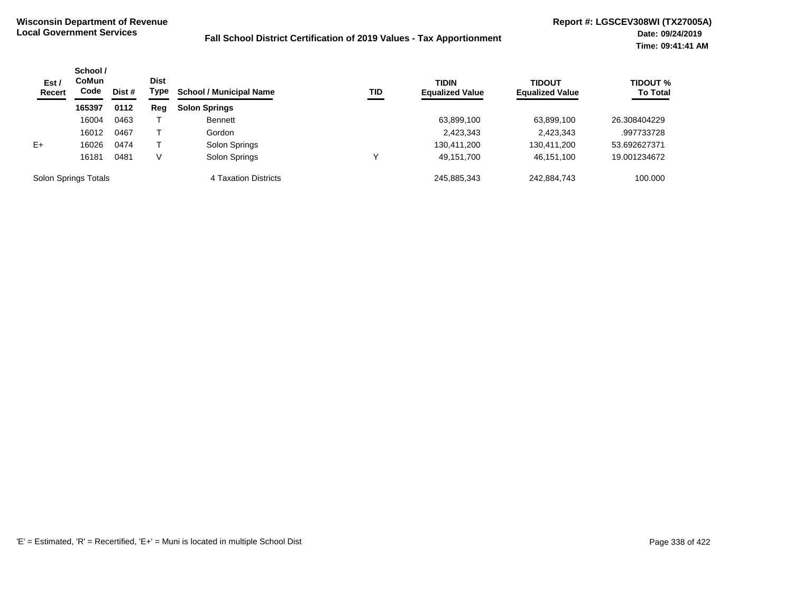| Est /<br><b>Recert</b> | School /<br>CoMun<br>Code<br>Dist # | <b>Dist</b><br>Type | <b>School / Municipal Name</b> | TID                  | <b>TIDIN</b><br><b>Equalized Value</b> | <b>TIDOUT</b><br><b>Equalized Value</b> | <b>TIDOUT %</b><br><b>To Total</b> |              |
|------------------------|-------------------------------------|---------------------|--------------------------------|----------------------|----------------------------------------|-----------------------------------------|------------------------------------|--------------|
|                        | 165397                              | 0112                | Reg                            | <b>Solon Springs</b> |                                        |                                         |                                    |              |
|                        | 16004                               | 0463                |                                | <b>Bennett</b>       |                                        | 63,899,100                              | 63,899,100                         | 26.308404229 |
|                        | 16012                               | 0467                |                                | Gordon               |                                        | 2,423,343                               | 2,423,343                          | .997733728   |
| $E+$                   | 16026                               | 0474                |                                | Solon Springs        |                                        | 130,411,200                             | 130,411,200                        | 53.692627371 |
|                        | 16181                               | 0481                | V                              | Solon Springs        |                                        | 49,151,700                              | 46,151,100                         | 19.001234672 |
| Solon Springs Totals   |                                     |                     |                                | 4 Taxation Districts |                                        | 245.885.343                             | 242,884,743                        | 100.000      |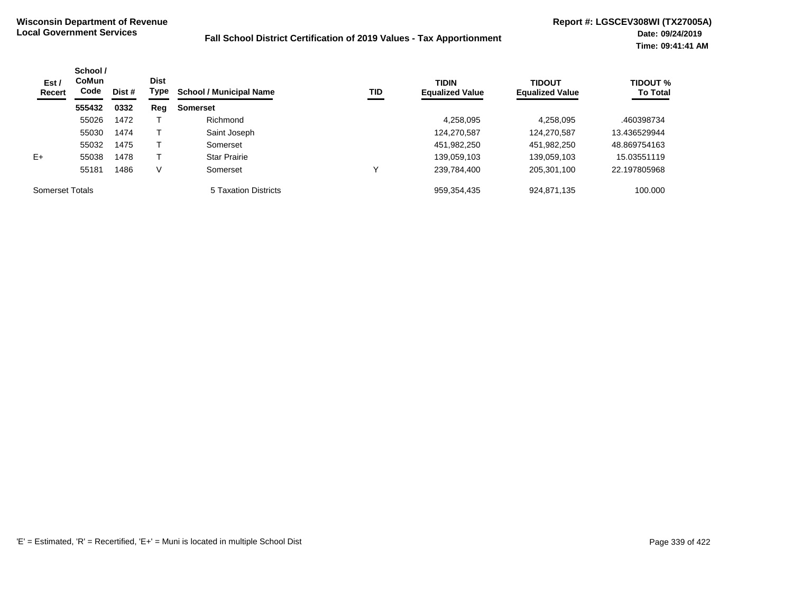| Est /<br>Recert | School /<br><b>CoMun</b><br>Code | Dist # | <b>Dist</b><br>Type | <b>School / Municipal Name</b> | TID | <b>TIDIN</b><br><b>Equalized Value</b> | <b>TIDOUT</b><br><b>Equalized Value</b> | <b>TIDOUT %</b><br><b>To Total</b> |
|-----------------|----------------------------------|--------|---------------------|--------------------------------|-----|----------------------------------------|-----------------------------------------|------------------------------------|
|                 | 555432                           | 0332   | Reg                 | <b>Somerset</b>                |     |                                        |                                         |                                    |
|                 | 55026                            | 1472   |                     | Richmond                       |     | 4,258,095                              | 4,258,095                               | .460398734                         |
|                 | 55030                            | 1474   |                     | Saint Joseph                   |     | 124,270,587                            | 124,270,587                             | 13.436529944                       |
|                 | 55032                            | 1475   |                     | Somerset                       |     | 451,982,250                            | 451,982,250                             | 48.869754163                       |
| $E+$            | 55038                            | 1478   |                     | <b>Star Prairie</b>            |     | 139,059,103                            | 139,059,103                             | 15.03551119                        |
|                 | 55181                            | 1486   | v                   | Somerset                       | ν   | 239,784,400                            | 205,301,100                             | 22.197805968                       |
| Somerset Totals |                                  |        |                     | 5 Taxation Districts           |     | 959,354,435                            | 924,871,135                             | 100.000                            |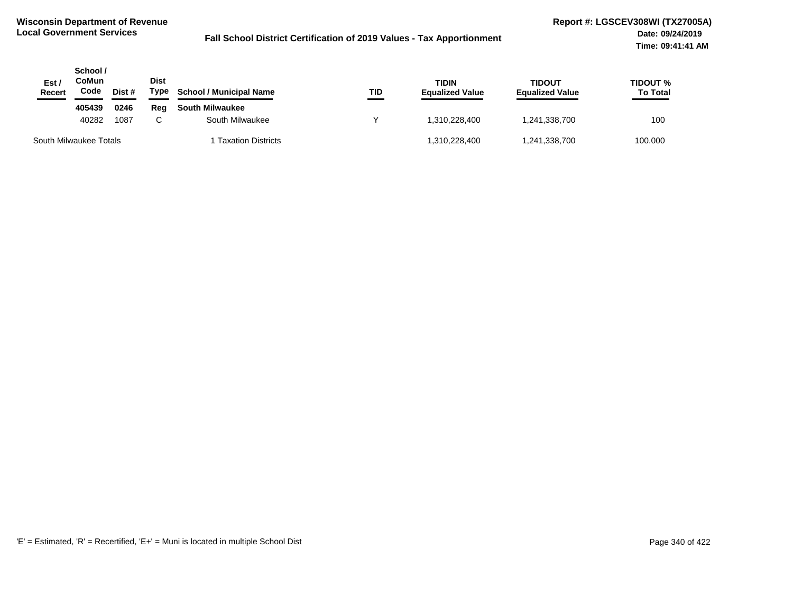| Est /<br><b>Recert</b> | School /<br>CoMun<br>Code | Dist # | Dist<br>Type | <b>School / Municipal Name</b> | TID | <b>TIDIN</b><br><b>Equalized Value</b> | <b>TIDOUT</b><br><b>Equalized Value</b> | <b>TIDOUT %</b><br><b>To Total</b> |
|------------------------|---------------------------|--------|--------------|--------------------------------|-----|----------------------------------------|-----------------------------------------|------------------------------------|
|                        | 405439                    | 0246   | Reg          | <b>South Milwaukee</b>         |     |                                        |                                         |                                    |
|                        | 40282                     | 1087   | $\sim$       | South Milwaukee                |     | 1.310.228.400                          | 1,241,338,700                           | 100                                |
|                        | South Milwaukee Totals    |        |              | <b>Taxation Districts</b>      |     | 1,310,228,400                          | 1,241,338,700                           | 100.000                            |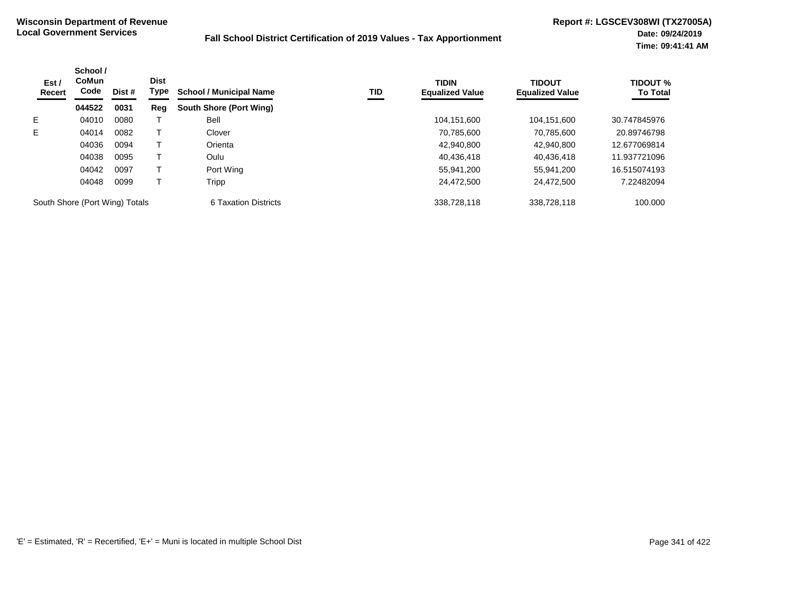| Est /<br><b>Recert</b>         | School /<br><b>CoMun</b><br>Code | Dist #               | <b>Dist</b><br>Type | <b>School / Municipal Name</b> | TID         | <b>TIDIN</b><br><b>Equalized Value</b> | <b>TIDOUT</b><br><b>Equalized Value</b> | <b>TIDOUT %</b><br><b>To Total</b> |
|--------------------------------|----------------------------------|----------------------|---------------------|--------------------------------|-------------|----------------------------------------|-----------------------------------------|------------------------------------|
|                                | 044522                           | 0031                 | Reg                 | South Shore (Port Wing)        |             |                                        |                                         |                                    |
| Е                              | 04010                            | 0080                 |                     | Bell                           |             | 104,151,600                            | 104,151,600                             | 30.747845976                       |
| E.                             | 04014                            | 0082                 |                     | Clover                         |             | 70,785,600                             | 70,785,600                              | 20.89746798                        |
|                                | 04036                            | 0094                 |                     | Orienta                        |             | 42,940,800                             | 42,940,800                              | 12.677069814                       |
|                                | 04038                            | 0095                 |                     | Oulu                           |             | 40,436,418                             | 40,436,418                              | 11.937721096                       |
|                                | 04042                            | 0097                 |                     | Port Wing                      |             | 55,941,200                             | 55,941,200                              | 16.515074193                       |
|                                | 04048                            | 0099                 |                     | Tripp                          |             | 24.472.500                             | 24.472.500                              | 7.22482094                         |
| South Shore (Port Wing) Totals |                                  | 6 Taxation Districts |                     | 338.728.118                    | 338,728,118 | 100.000                                |                                         |                                    |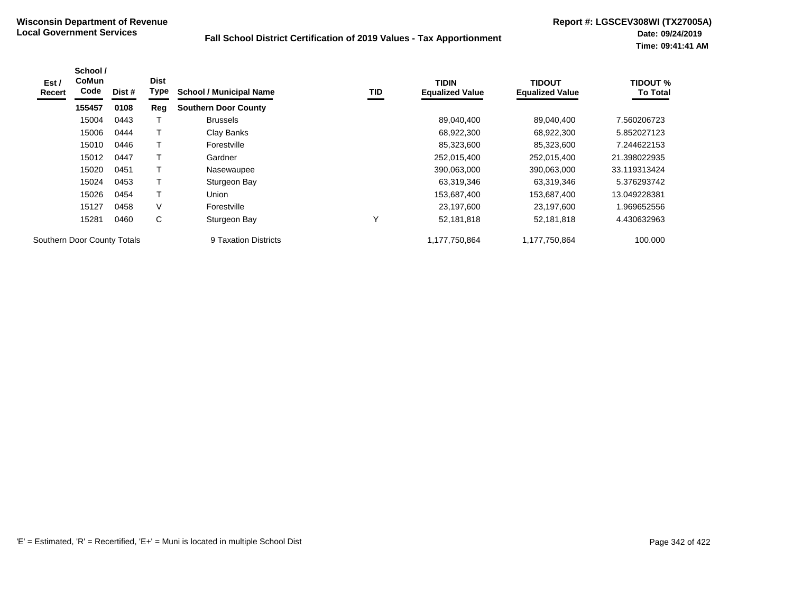| Est/<br>Recert | School /<br><b>CoMun</b><br>Code | Dist # | <b>Dist</b><br>Type | <b>School / Municipal Name</b> | TID | <b>TIDIN</b><br><b>Equalized Value</b> | <b>TIDOUT</b><br><b>Equalized Value</b> | <b>TIDOUT %</b><br><b>To Total</b> |
|----------------|----------------------------------|--------|---------------------|--------------------------------|-----|----------------------------------------|-----------------------------------------|------------------------------------|
|                | 155457                           | 0108   | Reg                 | <b>Southern Door County</b>    |     |                                        |                                         |                                    |
|                | 15004                            | 0443   |                     | <b>Brussels</b>                |     | 89,040,400                             | 89,040,400                              | 7.560206723                        |
|                | 15006                            | 0444   |                     | Clay Banks                     |     | 68,922,300                             | 68,922,300                              | 5.852027123                        |
|                | 15010                            | 0446   |                     | Forestville                    |     | 85,323,600                             | 85,323,600                              | 7.244622153                        |
|                | 15012                            | 0447   |                     | Gardner                        |     | 252,015,400                            | 252,015,400                             | 21.398022935                       |
|                | 15020                            | 0451   |                     | Nasewaupee                     |     | 390,063,000                            | 390,063,000                             | 33.119313424                       |
|                | 15024                            | 0453   |                     | Sturgeon Bay                   |     | 63,319,346                             | 63,319,346                              | 5.376293742                        |
|                | 15026                            | 0454   |                     | Union                          |     | 153,687,400                            | 153,687,400                             | 13.049228381                       |
|                | 15127                            | 0458   | V                   | Forestville                    |     | 23,197,600                             | 23,197,600                              | 1.969652556                        |
|                | 15281                            | 0460   | C                   | Sturgeon Bay                   | v   | 52,181,818                             | 52,181,818                              | 4.430632963                        |
|                | Southern Door County Totals      |        |                     | 9 Taxation Districts           |     | 1.177.750.864                          | 1.177.750.864                           | 100.000                            |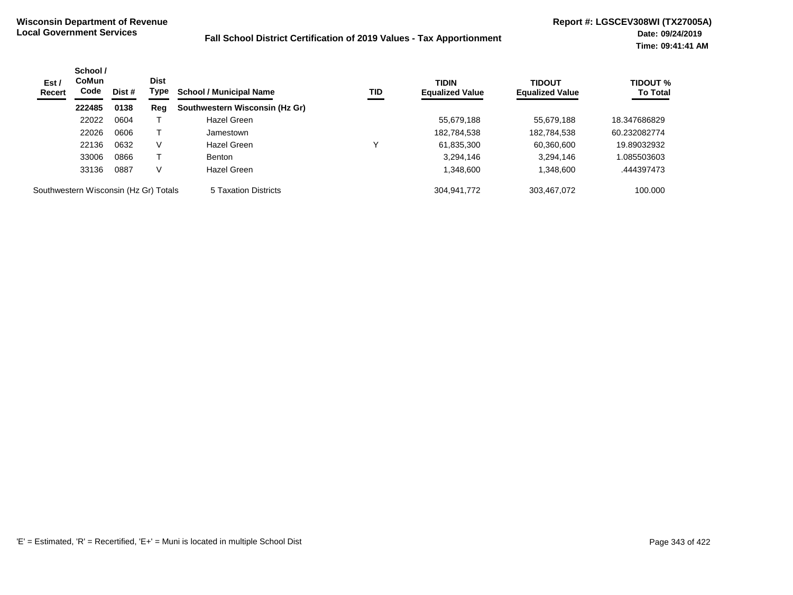| Est/<br><b>Recert</b>                 | School /<br><b>CoMun</b><br>Code | Dist # | <b>Dist</b><br>Type | <b>School / Municipal Name</b> | TID | <b>TIDIN</b><br><b>Equalized Value</b> | <b>TIDOUT</b><br><b>Equalized Value</b> | <b>TIDOUT %</b><br><b>To Total</b> |
|---------------------------------------|----------------------------------|--------|---------------------|--------------------------------|-----|----------------------------------------|-----------------------------------------|------------------------------------|
|                                       | 222485                           | 0138   | Reg                 | Southwestern Wisconsin (Hz Gr) |     |                                        |                                         |                                    |
|                                       | 22022                            | 0604   |                     | Hazel Green                    |     | 55,679,188                             | 55,679,188                              | 18.347686829                       |
|                                       | 22026                            | 0606   |                     | Jamestown                      |     | 182,784,538                            | 182,784,538                             | 60.232082774                       |
|                                       | 22136                            | 0632   | V                   | Hazel Green                    |     | 61,835,300                             | 60,360,600                              | 19.89032932                        |
|                                       | 33006                            | 0866   |                     | <b>Benton</b>                  |     | 3,294,146                              | 3,294,146                               | 1.085503603                        |
|                                       | 33136                            | 0887   | V                   | Hazel Green                    |     | 1,348,600                              | 1,348,600                               | .444397473                         |
| Southwestern Wisconsin (Hz Gr) Totals |                                  |        |                     | 5 Taxation Districts           |     | 304.941.772                            | 303.467.072                             | 100.000                            |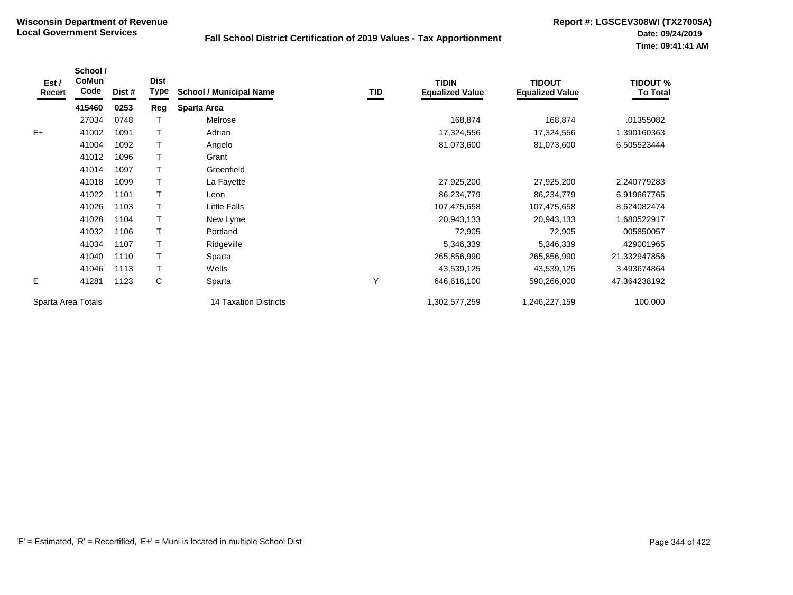| Est /<br>Recert    | School /<br>CoMun<br>Code | Dist # | <b>Dist</b><br>Type | <b>School / Municipal Name</b> | TID | <b>TIDIN</b><br><b>Equalized Value</b> | <b>TIDOUT</b><br><b>Equalized Value</b> | <b>TIDOUT %</b><br><b>To Total</b> |
|--------------------|---------------------------|--------|---------------------|--------------------------------|-----|----------------------------------------|-----------------------------------------|------------------------------------|
|                    | 415460                    | 0253   | Reg                 | <b>Sparta Area</b>             |     |                                        |                                         |                                    |
|                    | 27034                     | 0748   |                     | Melrose                        |     | 168,874                                | 168,874                                 | .01355082                          |
| $E+$               | 41002                     | 1091   | T                   | Adrian                         |     | 17,324,556                             | 17,324,556                              | 1.390160363                        |
|                    | 41004                     | 1092   | T.                  | Angelo                         |     | 81,073,600                             | 81,073,600                              | 6.505523444                        |
|                    | 41012                     | 1096   | T                   | Grant                          |     |                                        |                                         |                                    |
|                    | 41014                     | 1097   | T.                  | Greenfield                     |     |                                        |                                         |                                    |
|                    | 41018                     | 1099   | T                   | La Fayette                     |     | 27,925,200                             | 27,925,200                              | 2.240779283                        |
|                    | 41022                     | 1101   |                     | Leon                           |     | 86,234,779                             | 86,234,779                              | 6.919667765                        |
|                    | 41026                     | 1103   | T                   | <b>Little Falls</b>            |     | 107,475,658                            | 107,475,658                             | 8.624082474                        |
|                    | 41028                     | 1104   | T.                  | New Lyme                       |     | 20,943,133                             | 20,943,133                              | 1.680522917                        |
|                    | 41032                     | 1106   | T                   | Portland                       |     | 72,905                                 | 72,905                                  | .005850057                         |
|                    | 41034                     | 1107   | T.                  | Ridgeville                     |     | 5,346,339                              | 5,346,339                               | 429001965.                         |
|                    | 41040                     | 1110   |                     | Sparta                         |     | 265,856,990                            | 265,856,990                             | 21.332947856                       |
|                    | 41046                     | 1113   | T                   | Wells                          |     | 43,539,125                             | 43,539,125                              | 3.493674864                        |
| Е                  | 41281                     | 1123   | С                   | Sparta                         | Υ   | 646,616,100                            | 590,266,000                             | 47.364238192                       |
| Sparta Area Totals |                           |        |                     | <b>14 Taxation Districts</b>   |     | 1,302,577,259                          | 1,246,227,159                           | 100.000                            |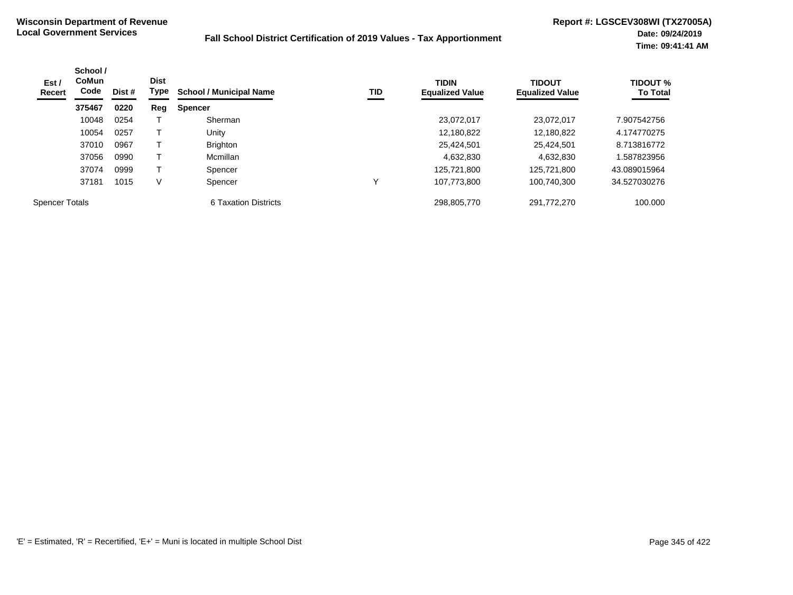| Est /<br>Recert       | School /<br><b>CoMun</b><br><b>Dist</b><br>Code<br>Dist # |      | Type | <b>School / Municipal Name</b> | TID | <b>TIDIN</b><br><b>Equalized Value</b> | <b>TIDOUT</b><br><b>Equalized Value</b> | <b>TIDOUT %</b><br><b>To Total</b> |
|-----------------------|-----------------------------------------------------------|------|------|--------------------------------|-----|----------------------------------------|-----------------------------------------|------------------------------------|
|                       | 375467                                                    | 0220 | Reg  | <b>Spencer</b>                 |     |                                        |                                         |                                    |
|                       | 10048                                                     | 0254 |      | Sherman                        |     | 23,072,017                             | 23,072,017                              | 7.907542756                        |
|                       | 10054                                                     | 0257 |      | Unity                          |     | 12,180,822                             | 12.180.822                              | 4.174770275                        |
|                       | 37010                                                     | 0967 |      | <b>Brighton</b>                |     | 25,424,501                             | 25.424.501                              | 8.713816772                        |
|                       | 37056                                                     | 0990 |      | Mcmillan                       |     | 4,632,830                              | 4,632,830                               | .587823956                         |
|                       | 37074                                                     | 0999 |      | Spencer                        |     | 125,721,800                            | 125.721.800                             | 43.089015964                       |
|                       | 37181                                                     | 1015 | V    | Spencer                        |     | 107.773.800                            | 100.740.300                             | 34.527030276                       |
| <b>Spencer Totals</b> |                                                           |      |      | 6 Taxation Districts           |     | 298,805,770                            | 291,772,270                             | 100.000                            |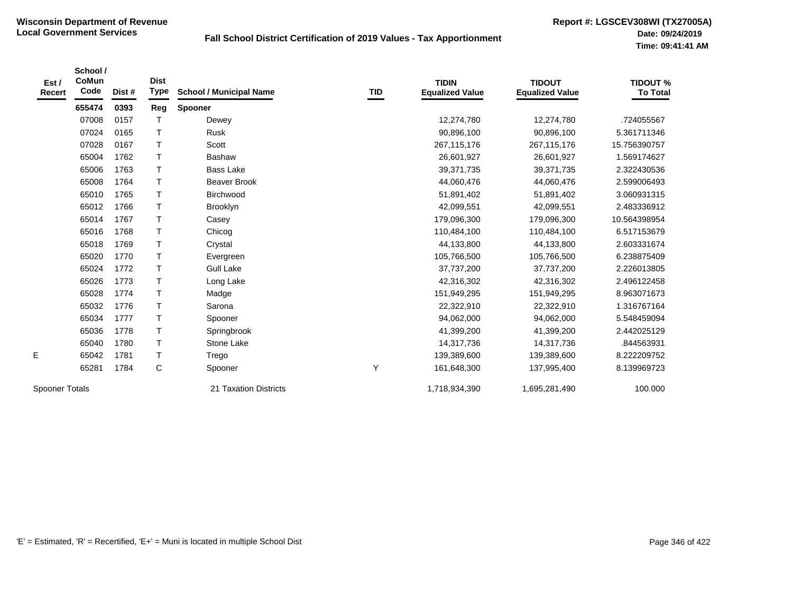| Est /<br>Recert       | School/<br>CoMun<br>Code | Dist # | <b>Dist</b><br><b>Type</b> | <b>School / Municipal Name</b> | <b>TID</b> | <b>TIDIN</b><br><b>Equalized Value</b> | <b>TIDOUT</b><br><b>Equalized Value</b> | <b>TIDOUT %</b><br><b>To Total</b> |
|-----------------------|--------------------------|--------|----------------------------|--------------------------------|------------|----------------------------------------|-----------------------------------------|------------------------------------|
|                       | 655474                   | 0393   | Reg                        | Spooner                        |            |                                        |                                         |                                    |
|                       | 07008                    | 0157   | T                          | Dewey                          |            | 12,274,780                             | 12,274,780                              | .724055567                         |
|                       | 07024                    | 0165   | T                          | <b>Rusk</b>                    |            | 90,896,100                             | 90,896,100                              | 5.361711346                        |
|                       | 07028                    | 0167   | T                          | Scott                          |            | 267,115,176                            | 267, 115, 176                           | 15.756390757                       |
|                       | 65004                    | 1762   | T                          | <b>Bashaw</b>                  |            | 26,601,927                             | 26,601,927                              | 1.569174627                        |
|                       | 65006                    | 1763   | T.                         | <b>Bass Lake</b>               |            | 39,371,735                             | 39,371,735                              | 2.322430536                        |
|                       | 65008                    | 1764   | T.                         | <b>Beaver Brook</b>            |            | 44,060,476                             | 44,060,476                              | 2.599006493                        |
|                       | 65010                    | 1765   | T.                         | Birchwood                      |            | 51,891,402                             | 51,891,402                              | 3.060931315                        |
|                       | 65012                    | 1766   | $\top$                     | Brooklyn                       |            | 42,099,551                             | 42,099,551                              | 2.483336912                        |
|                       | 65014                    | 1767   | $\mathsf T$                | Casey                          |            | 179,096,300                            | 179,096,300                             | 10.564398954                       |
|                       | 65016                    | 1768   | T.                         | Chicog                         |            | 110,484,100                            | 110,484,100                             | 6.517153679                        |
|                       | 65018                    | 1769   | T                          | Crystal                        |            | 44,133,800                             | 44,133,800                              | 2.603331674                        |
|                       | 65020                    | 1770   | T                          | Evergreen                      |            | 105,766,500                            | 105,766,500                             | 6.238875409                        |
|                       | 65024                    | 1772   | T.                         | <b>Gull Lake</b>               |            | 37,737,200                             | 37,737,200                              | 2.226013805                        |
|                       | 65026                    | 1773   | T.                         | Long Lake                      |            | 42,316,302                             | 42,316,302                              | 2.496122458                        |
|                       | 65028                    | 1774   | т                          | Madge                          |            | 151,949,295                            | 151,949,295                             | 8.963071673                        |
|                       | 65032                    | 1776   | T                          | Sarona                         |            | 22,322,910                             | 22,322,910                              | 1.316767164                        |
|                       | 65034                    | 1777   | $\mathsf T$                | Spooner                        |            | 94,062,000                             | 94,062,000                              | 5.548459094                        |
|                       | 65036                    | 1778   | T.                         | Springbrook                    |            | 41,399,200                             | 41,399,200                              | 2.442025129                        |
|                       | 65040                    | 1780   | $\mathsf T$                | Stone Lake                     |            | 14,317,736                             | 14,317,736                              | .844563931                         |
| E.                    | 65042                    | 1781   | T                          | Trego                          |            | 139,389,600                            | 139,389,600                             | 8.222209752                        |
|                       | 65281                    | 1784   | C                          | Spooner                        | Υ          | 161,648,300                            | 137,995,400                             | 8.139969723                        |
| <b>Spooner Totals</b> |                          |        |                            | 21 Taxation Districts          |            | 1,718,934,390                          | 1,695,281,490                           | 100.000                            |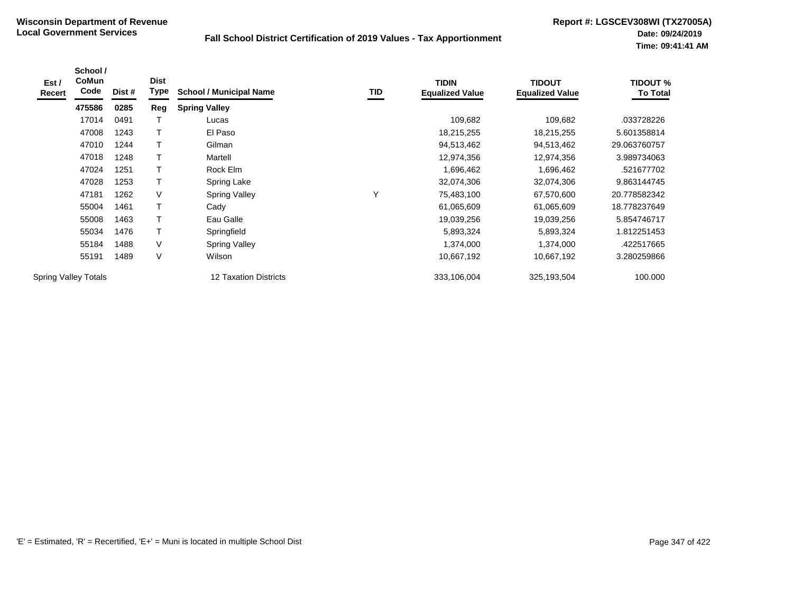| Est/<br><b>Recert</b>       | School /<br><b>CoMun</b><br>Code | Dist # | <b>Dist</b><br>Type | <b>School / Municipal Name</b> | <b>TID</b> | <b>TIDIN</b><br><b>Equalized Value</b> | <b>TIDOUT</b><br><b>Equalized Value</b> | <b>TIDOUT %</b><br><b>To Total</b> |
|-----------------------------|----------------------------------|--------|---------------------|--------------------------------|------------|----------------------------------------|-----------------------------------------|------------------------------------|
|                             | 475586                           | 0285   | Reg                 | <b>Spring Valley</b>           |            |                                        |                                         |                                    |
|                             | 17014                            | 0491   |                     | Lucas                          |            | 109,682                                | 109,682                                 | .033728226                         |
|                             | 47008                            | 1243   | т                   | El Paso                        |            | 18,215,255                             | 18,215,255                              | 5.601358814                        |
|                             | 47010                            | 1244   | т                   | Gilman                         |            | 94,513,462                             | 94,513,462                              | 29.063760757                       |
|                             | 47018                            | 1248   |                     | Martell                        |            | 12,974,356                             | 12,974,356                              | 3.989734063                        |
|                             | 47024                            | 1251   |                     | Rock Elm                       |            | 1,696,462                              | 1,696,462                               | .521677702                         |
|                             | 47028                            | 1253   |                     | Spring Lake                    |            | 32,074,306                             | 32,074,306                              | 9.863144745                        |
|                             | 47181                            | 1262   | V                   | <b>Spring Valley</b>           | Y          | 75,483,100                             | 67,570,600                              | 20.778582342                       |
|                             | 55004                            | 1461   |                     | Cady                           |            | 61,065,609                             | 61,065,609                              | 18.778237649                       |
|                             | 55008                            | 1463   |                     | Eau Galle                      |            | 19,039,256                             | 19,039,256                              | 5.854746717                        |
|                             | 55034                            | 1476   | т                   | Springfield                    |            | 5,893,324                              | 5,893,324                               | 1.812251453                        |
|                             | 55184                            | 1488   | V                   | Spring Valley                  |            | 1,374,000                              | 1,374,000                               | .422517665                         |
|                             | 55191                            | 1489   | V                   | Wilson                         |            | 10,667,192                             | 10,667,192                              | 3.280259866                        |
| <b>Spring Valley Totals</b> |                                  |        |                     | <b>12 Taxation Districts</b>   |            | 333,106,004                            | 325,193,504                             | 100.000                            |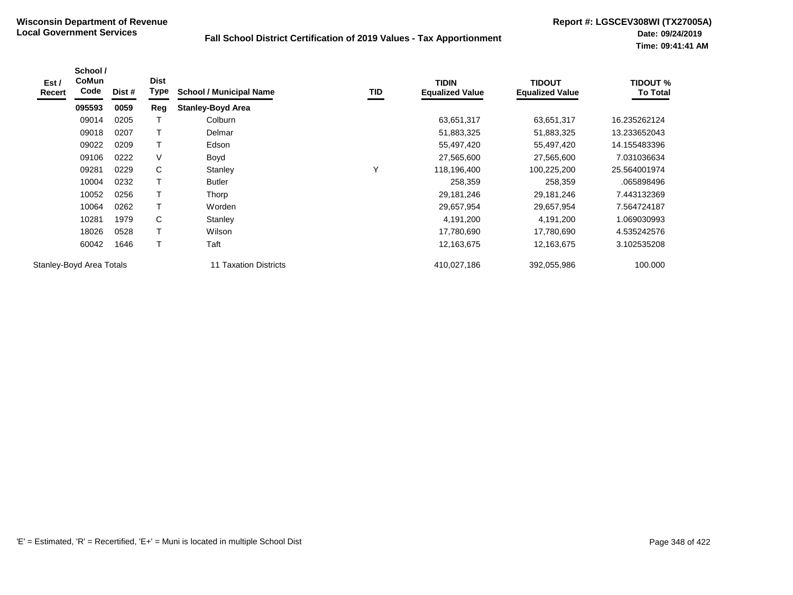| Est /<br>Recert | School /<br><b>CoMun</b><br>Code | Dist # | <b>Dist</b><br>Type | <b>School / Municipal Name</b> | TID | <b>TIDIN</b><br><b>Equalized Value</b> | <b>TIDOUT</b><br><b>Equalized Value</b> | <b>TIDOUT %</b><br><b>To Total</b> |
|-----------------|----------------------------------|--------|---------------------|--------------------------------|-----|----------------------------------------|-----------------------------------------|------------------------------------|
|                 | 095593                           | 0059   | Reg                 | <b>Stanley-Boyd Area</b>       |     |                                        |                                         |                                    |
|                 | 09014                            | 0205   |                     | Colburn                        |     | 63,651,317                             | 63,651,317                              | 16.235262124                       |
|                 | 09018                            | 0207   | Т                   | Delmar                         |     | 51,883,325                             | 51,883,325                              | 13.233652043                       |
|                 | 09022                            | 0209   | T                   | Edson                          |     | 55,497,420                             | 55,497,420                              | 14.155483396                       |
|                 | 09106                            | 0222   | V                   | Boyd                           |     | 27,565,600                             | 27,565,600                              | 7.031036634                        |
|                 | 09281                            | 0229   | C                   | Stanley                        | Υ   | 118,196,400                            | 100,225,200                             | 25.564001974                       |
|                 | 10004                            | 0232   | $\mathsf T$         | <b>Butler</b>                  |     | 258,359                                | 258,359                                 | .065898496                         |
|                 | 10052                            | 0256   | $\mathsf{T}$        | Thorp                          |     | 29,181,246                             | 29,181,246                              | 7.443132369                        |
|                 | 10064                            | 0262   | T                   | Worden                         |     | 29,657,954                             | 29,657,954                              | 7.564724187                        |
|                 | 10281                            | 1979   | С                   | Stanley                        |     | 4,191,200                              | 4,191,200                               | .069030993                         |
|                 | 18026                            | 0528   | $\mathsf T$         | Wilson                         |     | 17,780,690                             | 17,780,690                              | 4.535242576                        |
|                 | 60042                            | 1646   | T                   | Taft                           |     | 12,163,675                             | 12,163,675                              | 3.102535208                        |
|                 | Stanley-Boyd Area Totals         |        |                     | <b>11 Taxation Districts</b>   |     | 410,027,186                            | 392,055,986                             | 100.000                            |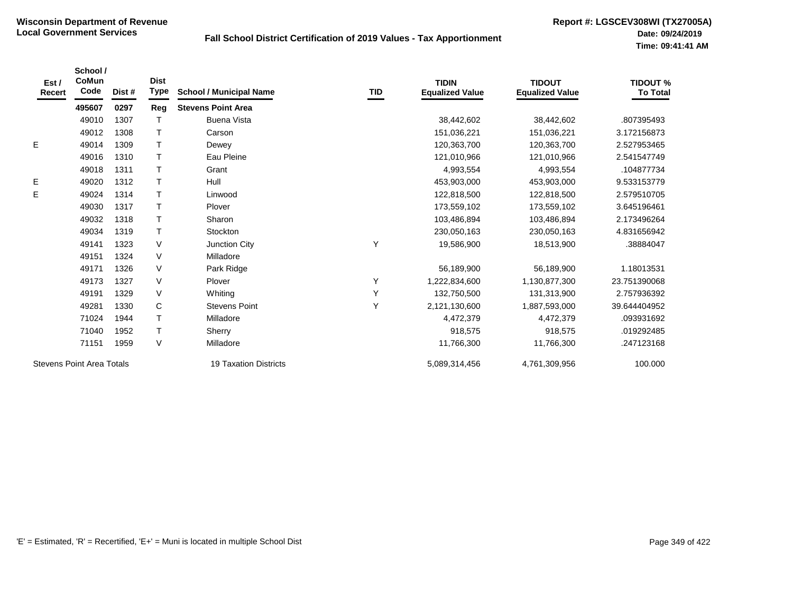| Est /<br>Recert | School /<br>CoMun<br>Code        | Dist # | <b>Dist</b><br><b>Type</b> | <b>School / Municipal Name</b> | TID | <b>TIDIN</b><br><b>Equalized Value</b> | <b>TIDOUT</b><br><b>Equalized Value</b> | <b>TIDOUT %</b><br><b>To Total</b> |
|-----------------|----------------------------------|--------|----------------------------|--------------------------------|-----|----------------------------------------|-----------------------------------------|------------------------------------|
|                 | 495607                           | 0297   | Reg                        | <b>Stevens Point Area</b>      |     |                                        |                                         |                                    |
|                 | 49010                            | 1307   |                            | <b>Buena Vista</b>             |     | 38,442,602                             | 38,442,602                              | .807395493                         |
|                 | 49012                            | 1308   |                            | Carson                         |     | 151,036,221                            | 151,036,221                             | 3.172156873                        |
| Е               | 49014                            | 1309   |                            | Dewey                          |     | 120,363,700                            | 120,363,700                             | 2.527953465                        |
|                 | 49016                            | 1310   |                            | Eau Pleine                     |     | 121,010,966                            | 121,010,966                             | 2.541547749                        |
|                 | 49018                            | 1311   |                            | Grant                          |     | 4,993,554                              | 4,993,554                               | .104877734                         |
| Е               | 49020                            | 1312   |                            | Hull                           |     | 453,903,000                            | 453,903,000                             | 9.533153779                        |
| E               | 49024                            | 1314   |                            | Linwood                        |     | 122,818,500                            | 122,818,500                             | 2.579510705                        |
|                 | 49030                            | 1317   |                            | Plover                         |     | 173,559,102                            | 173,559,102                             | 3.645196461                        |
|                 | 49032                            | 1318   |                            | Sharon                         |     | 103,486,894                            | 103,486,894                             | 2.173496264                        |
|                 | 49034                            | 1319   |                            | Stockton                       |     | 230,050,163                            | 230,050,163                             | 4.831656942                        |
|                 | 49141                            | 1323   | V                          | Junction City                  | Y   | 19,586,900                             | 18,513,900                              | .38884047                          |
|                 | 49151                            | 1324   | V                          | Milladore                      |     |                                        |                                         |                                    |
|                 | 49171                            | 1326   | V                          | Park Ridge                     |     | 56,189,900                             | 56,189,900                              | 1.18013531                         |
|                 | 49173                            | 1327   | V                          | Plover                         | Y   | 1,222,834,600                          | 1,130,877,300                           | 23.751390068                       |
|                 | 49191                            | 1329   | V                          | Whiting                        | Y   | 132,750,500                            | 131,313,900                             | 2.757936392                        |
|                 | 49281                            | 1330   | $\mathbf C$                | <b>Stevens Point</b>           | Y   | 2,121,130,600                          | 1,887,593,000                           | 39.644404952                       |
|                 | 71024                            | 1944   |                            | Milladore                      |     | 4,472,379                              | 4,472,379                               | .093931692                         |
|                 | 71040                            | 1952   |                            | Sherry                         |     | 918,575                                | 918,575                                 | .019292485                         |
|                 | 71151                            | 1959   | V                          | Milladore                      |     | 11,766,300                             | 11,766,300                              | .247123168                         |
|                 | <b>Stevens Point Area Totals</b> |        |                            | <b>19 Taxation Districts</b>   |     | 5,089,314,456                          | 4,761,309,956                           | 100.000                            |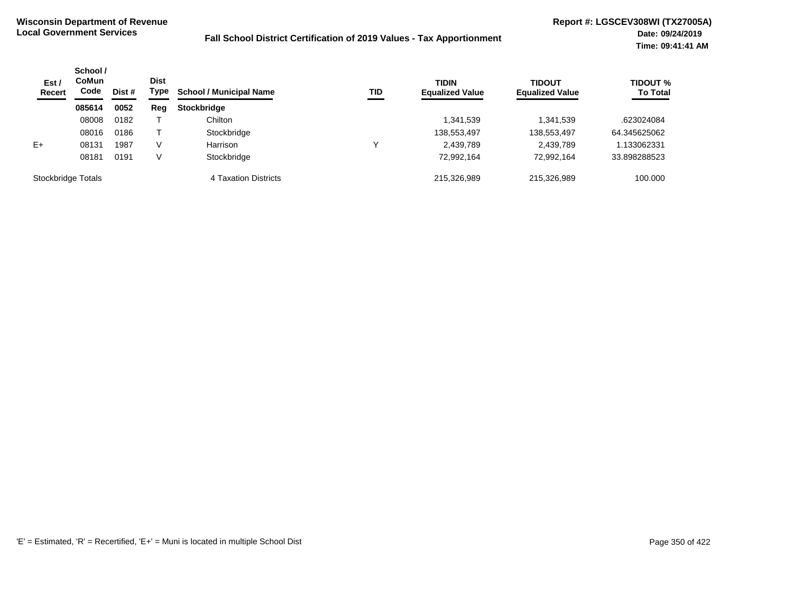| Est /<br><b>Recert</b> | School /<br>CoMun<br>Code<br>Dist # | <b>Dist</b><br>Type | <b>School / Municipal Name</b> | <b>TID</b>           | <b>TIDIN</b><br><b>Equalized Value</b> | <b>TIDOUT</b><br><b>Equalized Value</b> | <b>TIDOUT %</b><br><b>To Total</b> |              |
|------------------------|-------------------------------------|---------------------|--------------------------------|----------------------|----------------------------------------|-----------------------------------------|------------------------------------|--------------|
|                        | 085614                              | 0052                | Reg                            | <b>Stockbridge</b>   |                                        |                                         |                                    |              |
|                        | 08008                               | 0182                |                                | Chilton              |                                        | 1,341,539                               | 1,341,539                          | .623024084   |
|                        | 08016                               | 0186                |                                | Stockbridge          |                                        | 138,553,497                             | 138,553,497                        | 64.345625062 |
| $E+$                   | 08131                               | 1987                | V                              | Harrison             |                                        | 2,439,789                               | 2,439,789                          | .133062331   |
|                        | 08181                               | 0191                | V                              | Stockbridge          |                                        | 72,992,164                              | 72,992,164                         | 33.898288523 |
| Stockbridge Totals     |                                     |                     |                                | 4 Taxation Districts |                                        | 215.326.989                             | 215,326,989                        | 100.000      |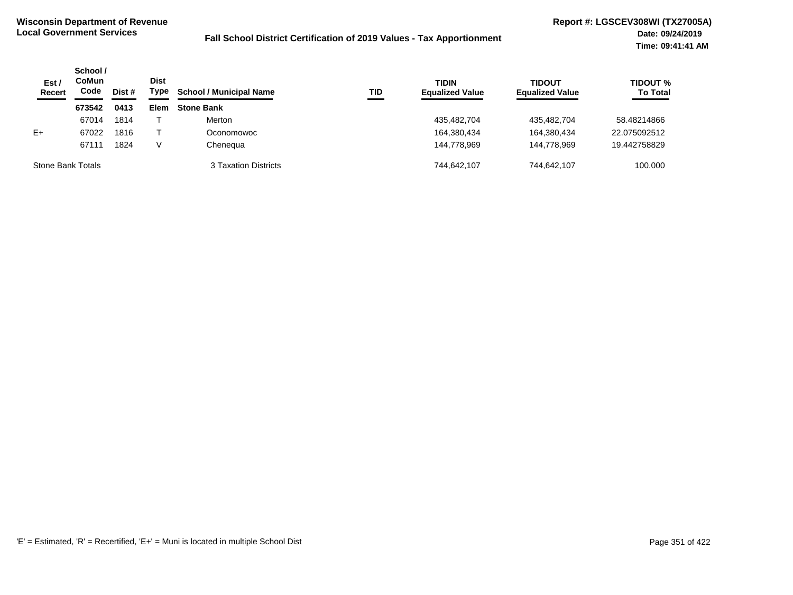| Est /<br><b>Recert</b> | School /<br>CoMun<br>Code | Dist # | <b>Dist</b><br>Type | <b>School / Municipal Name</b> | <b>TID</b> | <b>TIDIN</b><br><b>Equalized Value</b> | <b>TIDOUT</b><br><b>Equalized Value</b> | <b>TIDOUT %</b><br><b>To Total</b> |
|------------------------|---------------------------|--------|---------------------|--------------------------------|------------|----------------------------------------|-----------------------------------------|------------------------------------|
|                        | 673542                    | 0413   | Elem                | <b>Stone Bank</b>              |            |                                        |                                         |                                    |
|                        | 67014                     | 1814   |                     | Merton                         |            | 435,482,704                            | 435,482,704                             | 58.48214866                        |
| $E+$                   | 67022                     | 1816   |                     | Oconomowoc                     |            | 164,380,434                            | 164.380.434                             | 22.075092512                       |
|                        | 67111                     | 1824   | V                   | Cheneaua                       |            | 144.778.969                            | 144.778.969                             | 19.442758829                       |
| Stone Bank Totals      |                           |        |                     | 3 Taxation Districts           |            | 744.642.107                            | 744,642,107                             | 100.000                            |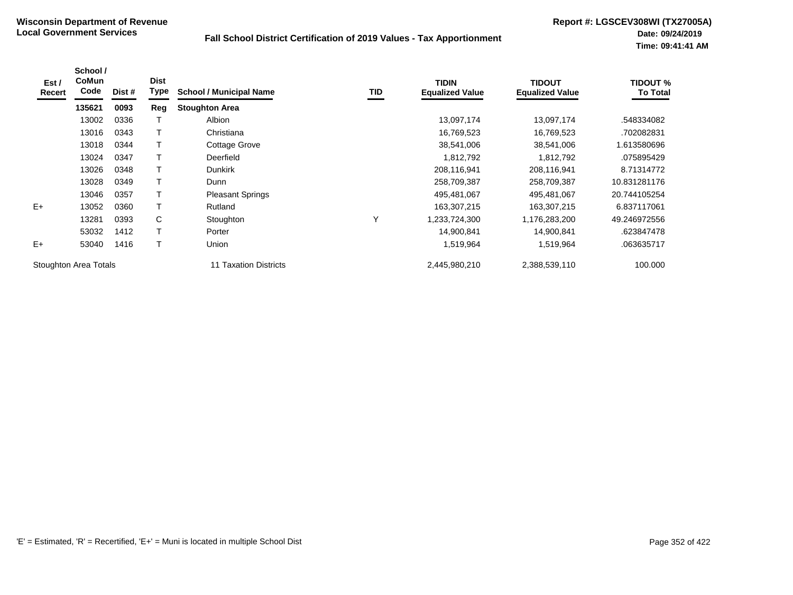| Est /<br>Recert       | School /<br>CoMun<br>Code | Dist # | <b>Dist</b><br>Type | <b>School / Municipal Name</b> | TID | <b>TIDIN</b><br><b>Equalized Value</b> | <b>TIDOUT</b><br><b>Equalized Value</b> | <b>TIDOUT %</b><br>To Total |
|-----------------------|---------------------------|--------|---------------------|--------------------------------|-----|----------------------------------------|-----------------------------------------|-----------------------------|
|                       | 135621                    | 0093   | Reg                 | <b>Stoughton Area</b>          |     |                                        |                                         |                             |
|                       | 13002                     | 0336   |                     | Albion                         |     | 13,097,174                             | 13,097,174                              | .548334082                  |
|                       | 13016                     | 0343   | т                   | Christiana                     |     | 16,769,523                             | 16,769,523                              | .702082831                  |
|                       | 13018                     | 0344   | т                   | <b>Cottage Grove</b>           |     | 38,541,006                             | 38,541,006                              | 1.613580696                 |
|                       | 13024                     | 0347   |                     | Deerfield                      |     | 1,812,792                              | 1,812,792                               | .075895429                  |
|                       | 13026                     | 0348   |                     | <b>Dunkirk</b>                 |     | 208,116,941                            | 208,116,941                             | 8.71314772                  |
|                       | 13028                     | 0349   | $\mathsf T$         | Dunn                           |     | 258,709,387                            | 258,709,387                             | 10.831281176                |
|                       | 13046                     | 0357   | Т                   | <b>Pleasant Springs</b>        |     | 495,481,067                            | 495,481,067                             | 20.744105254                |
| $E+$                  | 13052                     | 0360   |                     | Rutland                        |     | 163,307,215                            | 163,307,215                             | 6.837117061                 |
|                       | 13281                     | 0393   | C                   | Stoughton                      | v   | 1,233,724,300                          | 1,176,283,200                           | 49.246972556                |
|                       | 53032                     | 1412   | т                   | Porter                         |     | 14,900,841                             | 14,900,841                              | .623847478                  |
| $E+$                  | 53040                     | 1416   | Т                   | Union                          |     | 1,519,964                              | 1,519,964                               | .063635717                  |
| Stoughton Area Totals |                           |        |                     | 11 Taxation Districts          |     | 2,445,980,210                          | 2,388,539,110                           | 100.000                     |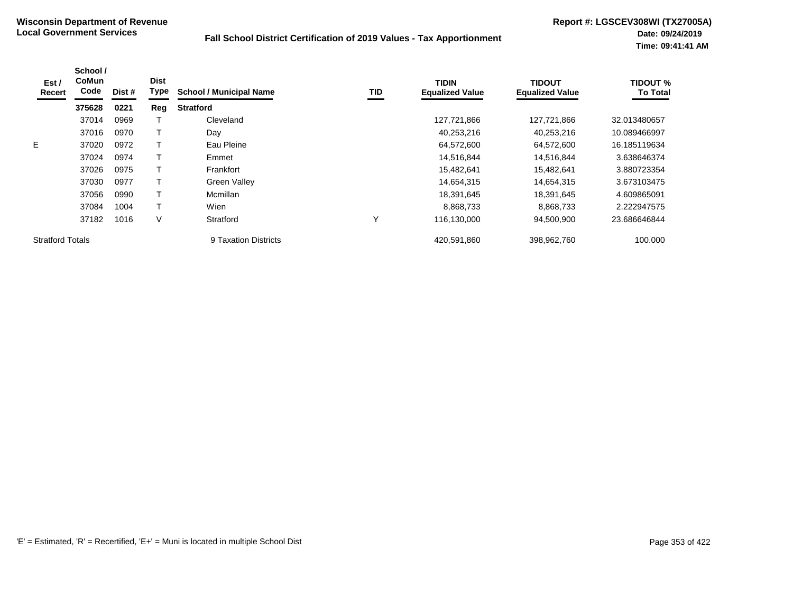| Est /<br>Recert         | School /<br><b>CoMun</b><br>Code | Dist # | <b>Dist</b><br>Type | <b>School / Municipal Name</b> | TID | <b>TIDIN</b><br><b>Equalized Value</b> | <b>TIDOUT</b><br><b>Equalized Value</b> | <b>TIDOUT %</b><br><b>To Total</b> |
|-------------------------|----------------------------------|--------|---------------------|--------------------------------|-----|----------------------------------------|-----------------------------------------|------------------------------------|
|                         | 375628                           | 0221   | Reg                 | <b>Stratford</b>               |     |                                        |                                         |                                    |
|                         | 37014                            | 0969   |                     | Cleveland                      |     | 127,721,866                            | 127,721,866                             | 32.013480657                       |
|                         | 37016                            | 0970   |                     | Day                            |     | 40,253,216                             | 40,253,216                              | 10.089466997                       |
| E.                      | 37020                            | 0972   |                     | Eau Pleine                     |     | 64,572,600                             | 64,572,600                              | 16.185119634                       |
|                         | 37024                            | 0974   |                     | Emmet                          |     | 14,516,844                             | 14,516,844                              | 3.638646374                        |
|                         | 37026                            | 0975   |                     | Frankfort                      |     | 15,482,641                             | 15,482,641                              | 3.880723354                        |
|                         | 37030                            | 0977   |                     | <b>Green Valley</b>            |     | 14,654,315                             | 14,654,315                              | 3.673103475                        |
|                         | 37056                            | 0990   |                     | Mcmillan                       |     | 18,391,645                             | 18,391,645                              | 4.609865091                        |
|                         | 37084                            | 1004   |                     | Wien                           |     | 8,868,733                              | 8,868,733                               | 2.222947575                        |
|                         | 37182                            | 1016   | V                   | Stratford                      | Υ   | 116,130,000                            | 94,500,900                              | 23.686646844                       |
| <b>Stratford Totals</b> |                                  |        |                     | 9 Taxation Districts           |     | 420.591.860                            | 398.962.760                             | 100.000                            |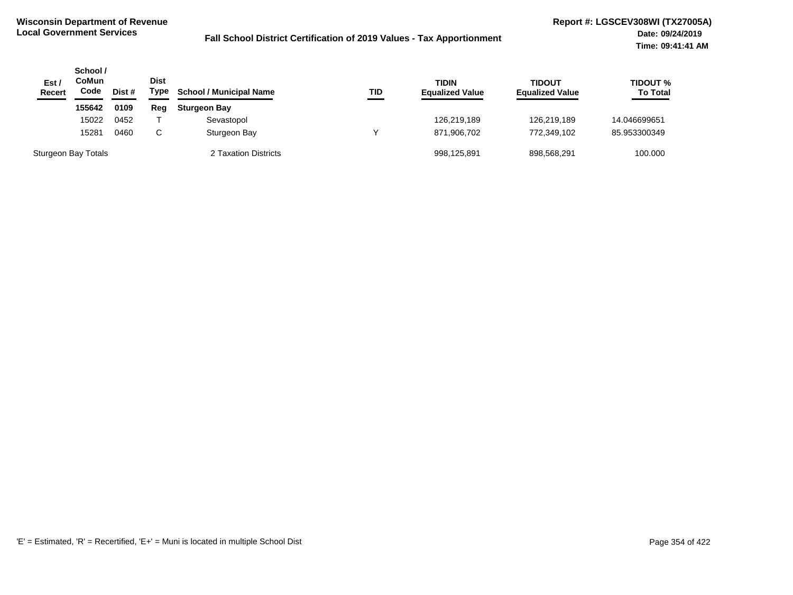| Est/<br><b>Recert</b> | School /<br>CoMun<br>Code | Dist # | Dist<br>Type | <b>School / Municipal Name</b> | <b>TID</b> | <b>TIDIN</b><br><b>Equalized Value</b> | <b>TIDOUT</b><br><b>Equalized Value</b> | <b>TIDOUT %</b><br><b>To Total</b> |
|-----------------------|---------------------------|--------|--------------|--------------------------------|------------|----------------------------------------|-----------------------------------------|------------------------------------|
|                       | 155642                    | 0109   | Reg          | <b>Sturgeon Bay</b>            |            |                                        |                                         |                                    |
|                       | 15022                     | 0452   |              | Sevastopol                     |            | 126.219.189                            | 126.219.189                             | 14.046699651                       |
|                       | 15281                     | 0460   | C.           | Sturgeon Bay                   |            | 871,906,702                            | 772.349.102                             | 85.953300349                       |
| Sturgeon Bay Totals   |                           |        |              | 2 Taxation Districts           |            | 998,125,891                            | 898.568.291                             | 100.000                            |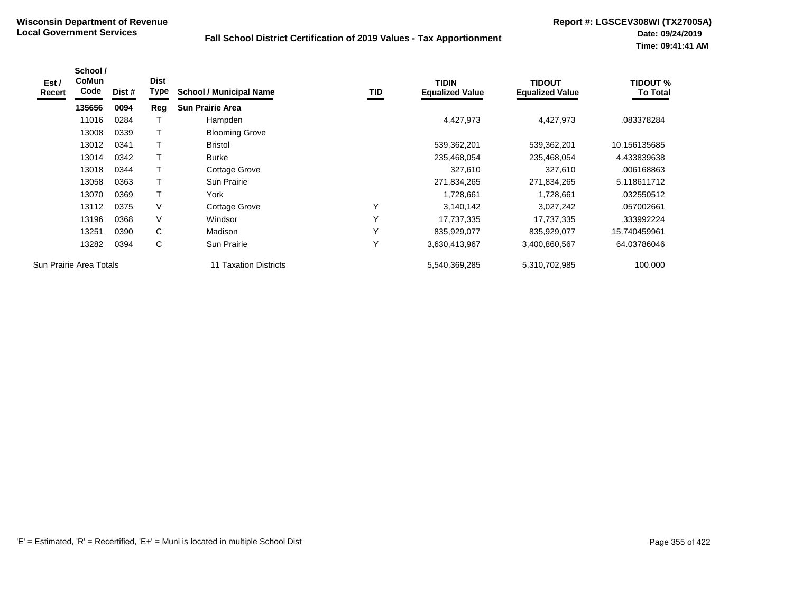| Est /<br>Recert | School /<br><b>CoMun</b><br>Code | Dist # | <b>Dist</b><br>Type | <b>School / Municipal Name</b> | TID | <b>TIDIN</b><br><b>Equalized Value</b> | <b>TIDOUT</b><br><b>Equalized Value</b> | <b>TIDOUT %</b><br><b>To Total</b> |
|-----------------|----------------------------------|--------|---------------------|--------------------------------|-----|----------------------------------------|-----------------------------------------|------------------------------------|
|                 | 135656                           | 0094   | Reg                 | <b>Sun Prairie Area</b>        |     |                                        |                                         |                                    |
|                 | 11016                            | 0284   |                     | Hampden                        |     | 4,427,973                              | 4,427,973                               | .083378284                         |
|                 | 13008                            | 0339   | Τ                   | <b>Blooming Grove</b>          |     |                                        |                                         |                                    |
|                 | 13012                            | 0341   | т                   | <b>Bristol</b>                 |     | 539,362,201                            | 539,362,201                             | 10.156135685                       |
|                 | 13014                            | 0342   |                     | Burke                          |     | 235,468,054                            | 235,468,054                             | 4.433839638                        |
|                 | 13018                            | 0344   | Т                   | Cottage Grove                  |     | 327,610                                | 327,610                                 | .006168863                         |
|                 | 13058                            | 0363   | T                   | <b>Sun Prairie</b>             |     | 271,834,265                            | 271,834,265                             | 5.118611712                        |
|                 | 13070                            | 0369   | $\mathsf{T}$        | York                           |     | 1,728,661                              | 1,728,661                               | .032550512                         |
|                 | 13112                            | 0375   | V                   | Cottage Grove                  | Υ   | 3,140,142                              | 3,027,242                               | .057002661                         |
|                 | 13196                            | 0368   | V                   | Windsor                        | Υ   | 17,737,335                             | 17,737,335                              | .333992224                         |
|                 | 13251                            | 0390   | C                   | Madison                        | Υ   | 835,929,077                            | 835,929,077                             | 15.740459961                       |
|                 | 13282                            | 0394   | C                   | <b>Sun Prairie</b>             | Υ   | 3,630,413,967                          | 3,400,860,567                           | 64.03786046                        |
|                 | Sun Prairie Area Totals          |        |                     | 11 Taxation Districts          |     | 5,540,369,285                          | 5,310,702,985                           | 100.000                            |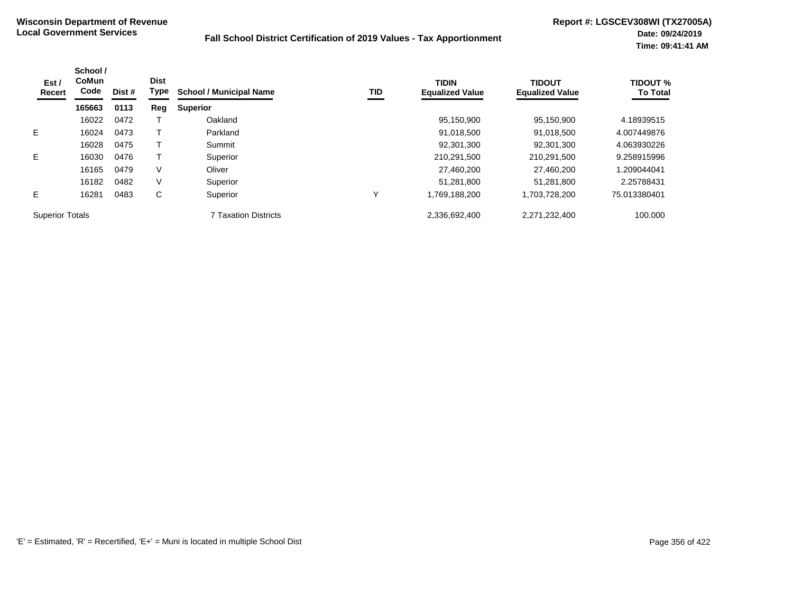| Est /<br>Recert        | School /<br><b>CoMun</b><br>Code | Dist #<br>0113 | <b>Dist</b><br><b>Type</b><br><b>School / Municipal Name</b> | <b>TID</b>                  | <b>TIDIN</b><br><b>Equalized Value</b> | <b>TIDOUT</b><br><b>Equalized Value</b> | <b>TIDOUT %</b><br><b>To Total</b> |              |
|------------------------|----------------------------------|----------------|--------------------------------------------------------------|-----------------------------|----------------------------------------|-----------------------------------------|------------------------------------|--------------|
|                        | 165663                           |                | Reg                                                          | <b>Superior</b>             |                                        |                                         |                                    |              |
|                        | 16022                            | 0472           |                                                              | Oakland                     |                                        | 95,150,900                              | 95.150.900                         | 4.18939515   |
| E.                     | 16024                            | 0473           |                                                              | Parkland                    |                                        | 91,018,500                              | 91,018,500                         | 4.007449876  |
|                        | 16028                            | 0475           |                                                              | Summit                      |                                        | 92,301,300                              | 92.301.300                         | 4.063930226  |
| E.                     | 16030                            | 0476           |                                                              | Superior                    |                                        | 210,291,500                             | 210,291,500                        | 9.258915996  |
|                        | 16165                            | 0479           | V                                                            | Oliver                      |                                        | 27,460,200                              | 27.460.200                         | 1.209044041  |
|                        | 16182                            | 0482           | V                                                            | Superior                    |                                        | 51,281,800                              | 51.281.800                         | 2.25788431   |
| E.                     | 16281                            | 0483           | С                                                            | Superior                    | ν                                      | 1,769,188,200                           | 1,703,728,200                      | 75.013380401 |
| <b>Superior Totals</b> |                                  |                |                                                              | <b>7 Taxation Districts</b> |                                        | 2,336,692,400                           | 2,271,232,400                      | 100.000      |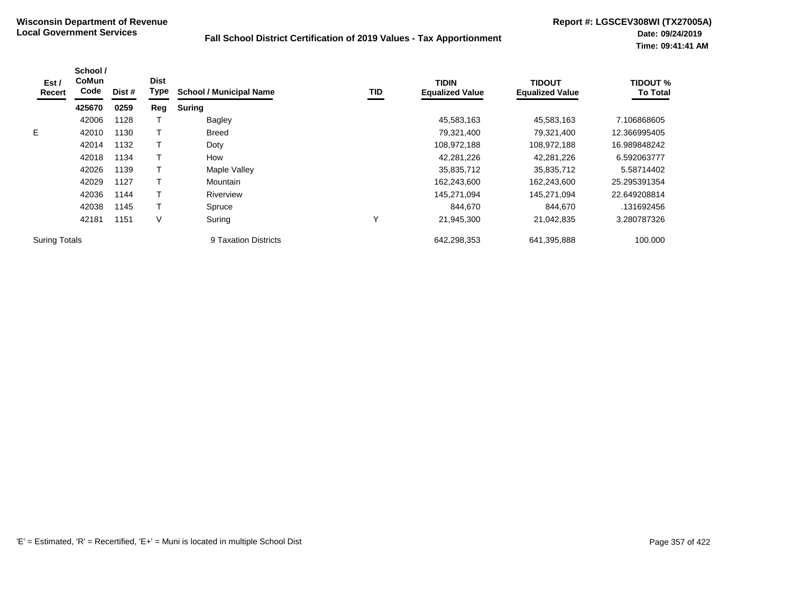| Est /<br>Recert      | School /<br><b>CoMun</b><br>Code | Dist # | <b>Dist</b><br>Type | <b>School / Municipal Name</b> | TID | <b>TIDIN</b><br><b>Equalized Value</b> | <b>TIDOUT</b><br><b>Equalized Value</b> | <b>TIDOUT %</b><br><b>To Total</b> |
|----------------------|----------------------------------|--------|---------------------|--------------------------------|-----|----------------------------------------|-----------------------------------------|------------------------------------|
|                      | 425670                           | 0259   | Reg                 | <b>Suring</b>                  |     |                                        |                                         |                                    |
|                      | 42006                            | 1128   |                     | Bagley                         |     | 45,583,163                             | 45,583,163                              | 7.106868605                        |
| E.                   | 42010                            | 1130   |                     | <b>Breed</b>                   |     | 79,321,400                             | 79,321,400                              | 12.366995405                       |
|                      | 42014                            | 1132   |                     | Doty                           |     | 108,972,188                            | 108,972,188                             | 16.989848242                       |
|                      | 42018                            | 1134   |                     | How                            |     | 42,281,226                             | 42,281,226                              | 6.592063777                        |
|                      | 42026                            | 1139   |                     | Maple Valley                   |     | 35,835,712                             | 35,835,712                              | 5.58714402                         |
|                      | 42029                            | 1127   |                     | <b>Mountain</b>                |     | 162,243,600                            | 162,243,600                             | 25.295391354                       |
|                      | 42036                            | 1144   |                     | Riverview                      |     | 145,271,094                            | 145,271,094                             | 22.649208814                       |
|                      | 42038                            | 1145   |                     | Spruce                         |     | 844,670                                | 844,670                                 | .131692456                         |
|                      | 42181                            | 1151   | V                   | Suring                         | Υ   | 21,945,300                             | 21,042,835                              | 3.280787326                        |
| <b>Suring Totals</b> |                                  |        |                     | 9 Taxation Districts           |     | 642,298,353                            | 641,395,888                             | 100.000                            |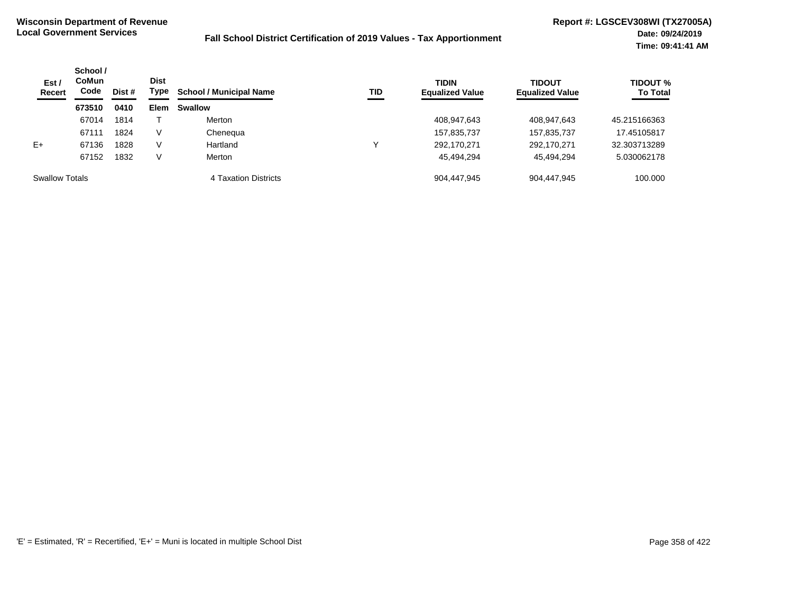| Est/<br><b>Recert</b> | School /<br><b>Dist</b><br><b>CoMun</b><br>Code<br>Dist # | Type | <b>School / Municipal Name</b> | TID                  | <b>TIDIN</b><br><b>Equalized Value</b> | <b>TIDOUT</b><br><b>Equalized Value</b> | TIDOUT %<br><b>To Total</b> |              |
|-----------------------|-----------------------------------------------------------|------|--------------------------------|----------------------|----------------------------------------|-----------------------------------------|-----------------------------|--------------|
|                       | 673510                                                    | 0410 | <b>Elem</b>                    | <b>Swallow</b>       |                                        |                                         |                             |              |
|                       | 67014                                                     | 1814 |                                | Merton               |                                        | 408,947,643                             | 408,947,643                 | 45.215166363 |
|                       | 67111                                                     | 1824 | V                              | Chenequa             |                                        | 157,835,737                             | 157,835,737                 | 17.45105817  |
| $E+$                  | 67136                                                     | 1828 | V                              | Hartland             | ν                                      | 292.170.271                             | 292,170,271                 | 32.303713289 |
|                       | 67152                                                     | 1832 | V                              | Merton               |                                        | 45,494,294                              | 45,494,294                  | 5.030062178  |
| <b>Swallow Totals</b> |                                                           |      |                                | 4 Taxation Districts |                                        | 904.447.945                             | 904.447.945                 | 100.000      |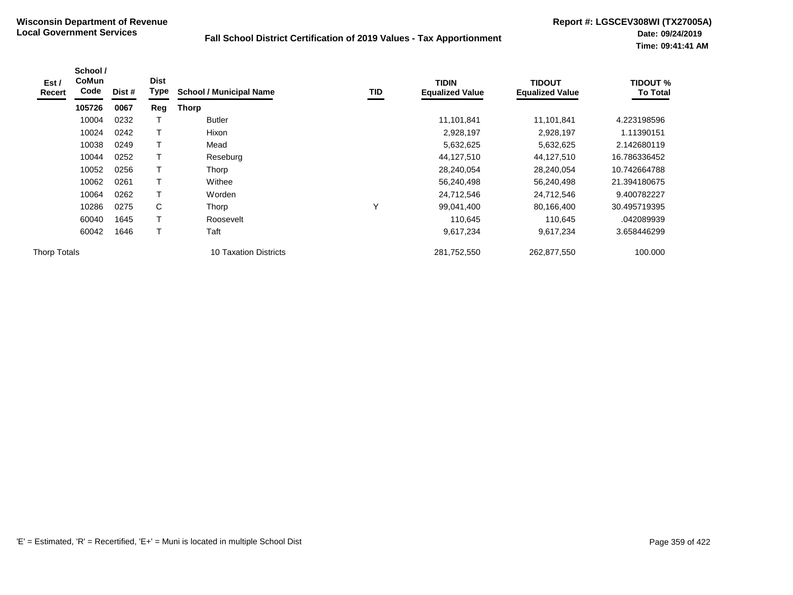| Est /<br>Recert     | School /<br><b>CoMun</b><br>Code | Dist # | <b>Dist</b><br>Type | <b>School / Municipal Name</b> | TID | <b>TIDIN</b><br><b>Equalized Value</b> | TIDOUT<br><b>Equalized Value</b> | <b>TIDOUT %</b><br><b>To Total</b> |
|---------------------|----------------------------------|--------|---------------------|--------------------------------|-----|----------------------------------------|----------------------------------|------------------------------------|
|                     | 105726                           | 0067   | Reg                 | <b>Thorp</b>                   |     |                                        |                                  |                                    |
|                     | 10004                            | 0232   |                     | Butler                         |     | 11,101,841                             | 11,101,841                       | 4.223198596                        |
|                     | 10024                            | 0242   |                     | Hixon                          |     | 2,928,197                              | 2,928,197                        | 1.11390151                         |
|                     | 10038                            | 0249   |                     | Mead                           |     | 5,632,625                              | 5,632,625                        | 2.142680119                        |
|                     | 10044                            | 0252   |                     | Reseburg                       |     | 44,127,510                             | 44,127,510                       | 16.786336452                       |
|                     | 10052                            | 0256   |                     | Thorp                          |     | 28,240,054                             | 28,240,054                       | 10.742664788                       |
|                     | 10062                            | 0261   | Т                   | Withee                         |     | 56,240,498                             | 56,240,498                       | 21.394180675                       |
|                     | 10064                            | 0262   | Т                   | Worden                         |     | 24,712,546                             | 24,712,546                       | 9.400782227                        |
|                     | 10286                            | 0275   | С                   | Thorp                          | ٧   | 99,041,400                             | 80,166,400                       | 30.495719395                       |
|                     | 60040                            | 1645   | Т                   | Roosevelt                      |     | 110,645                                | 110,645                          | .042089939                         |
|                     | 60042                            | 1646   |                     | Taft                           |     | 9,617,234                              | 9,617,234                        | 3.658446299                        |
| <b>Thorp Totals</b> |                                  |        |                     | <b>10 Taxation Districts</b>   |     | 281,752,550                            | 262,877,550                      | 100.000                            |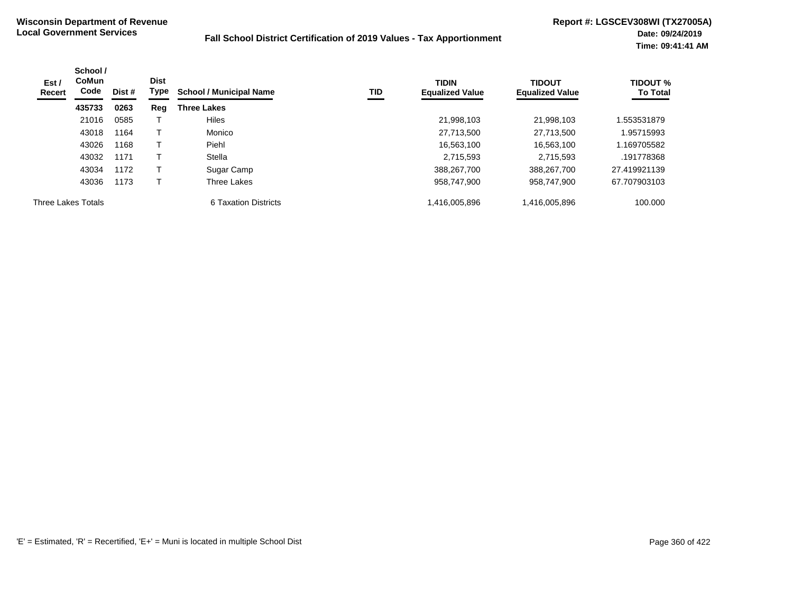| Est /<br>Recert    | School /<br><b>CoMun</b><br>Code | Dist # | <b>Dist</b><br>Type | <b>School / Municipal Name</b> | TID | <b>TIDIN</b><br><b>Equalized Value</b> | <b>TIDOUT</b><br><b>Equalized Value</b> | <b>TIDOUT %</b><br><b>To Total</b> |
|--------------------|----------------------------------|--------|---------------------|--------------------------------|-----|----------------------------------------|-----------------------------------------|------------------------------------|
|                    | 435733                           | 0263   | Reg                 | <b>Three Lakes</b>             |     |                                        |                                         |                                    |
|                    | 21016                            | 0585   |                     | <b>Hiles</b>                   |     | 21,998,103                             | 21,998,103                              | .553531879                         |
|                    | 43018                            | 1164   |                     | Monico                         |     | 27,713,500                             | 27,713,500                              | 1.95715993                         |
|                    | 43026                            | 1168   |                     | Piehl                          |     | 16,563,100                             | 16,563,100                              | 1.169705582                        |
|                    | 43032                            | 1171   |                     | Stella                         |     | 2,715,593                              | 2.715.593                               | .191778368                         |
|                    | 43034                            | 1172   |                     | Sugar Camp                     |     | 388,267,700                            | 388,267,700                             | 27.419921139                       |
|                    | 43036                            | 1173   |                     | Three Lakes                    |     | 958.747.900                            | 958.747.900                             | 67.707903103                       |
| Three Lakes Totals |                                  |        |                     | 6 Taxation Districts           |     | 1,416,005,896                          | 1,416,005,896                           | 100.000                            |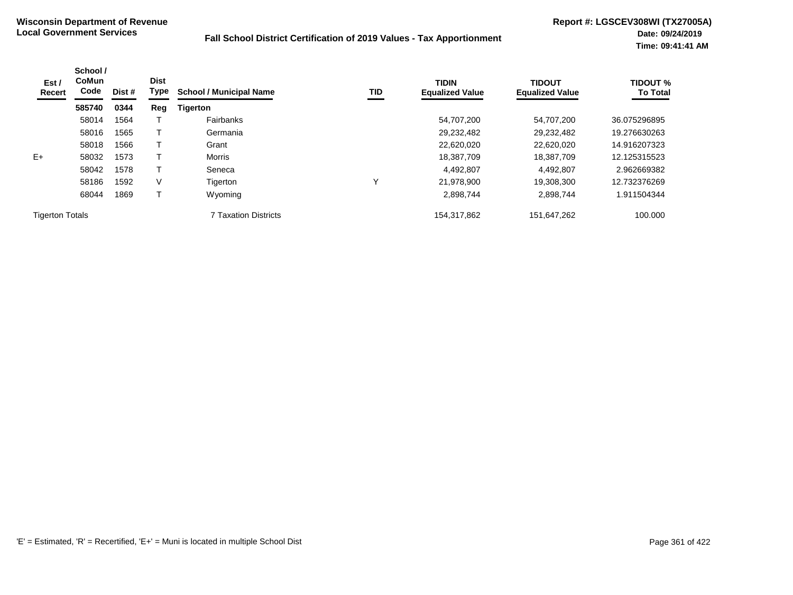| Est /<br>Recert        | School /<br><b>CoMun</b><br>Code<br>Dist #<br>585740<br>0344 | <b>Dist</b><br>Type | <b>TID</b><br><b>School / Municipal Name</b> |                             | <b>TIDIN</b><br><b>Equalized Value</b> | <b>TIDOUT</b><br><b>Equalized Value</b> | <b>TIDOUT %</b><br><b>To Total</b> |              |
|------------------------|--------------------------------------------------------------|---------------------|----------------------------------------------|-----------------------------|----------------------------------------|-----------------------------------------|------------------------------------|--------------|
|                        |                                                              |                     | Reg                                          | <b>Tigerton</b>             |                                        |                                         |                                    |              |
|                        | 58014                                                        | 1564                |                                              | Fairbanks                   |                                        | 54,707,200                              | 54,707,200                         | 36.075296895 |
|                        | 58016                                                        | 1565                |                                              | Germania                    |                                        | 29,232,482                              | 29,232,482                         | 19.276630263 |
|                        | 58018                                                        | 1566                |                                              | Grant                       |                                        | 22,620,020                              | 22,620,020                         | 14.916207323 |
| $E+$                   | 58032                                                        | 1573                |                                              | Morris                      |                                        | 18,387,709                              | 18,387,709                         | 12.125315523 |
|                        | 58042                                                        | 1578                |                                              | Seneca                      |                                        | 4,492,807                               | 4,492,807                          | 2.962669382  |
|                        | 58186                                                        | 1592                | V                                            | Tigerton                    | Υ                                      | 21,978,900                              | 19.308.300                         | 12.732376269 |
|                        | 68044                                                        | 1869                |                                              | Wyoming                     |                                        | 2,898,744                               | 2.898.744                          | 1.911504344  |
| <b>Tigerton Totals</b> |                                                              |                     |                                              | <b>7 Taxation Districts</b> |                                        | 154,317,862                             | 151,647,262                        | 100.000      |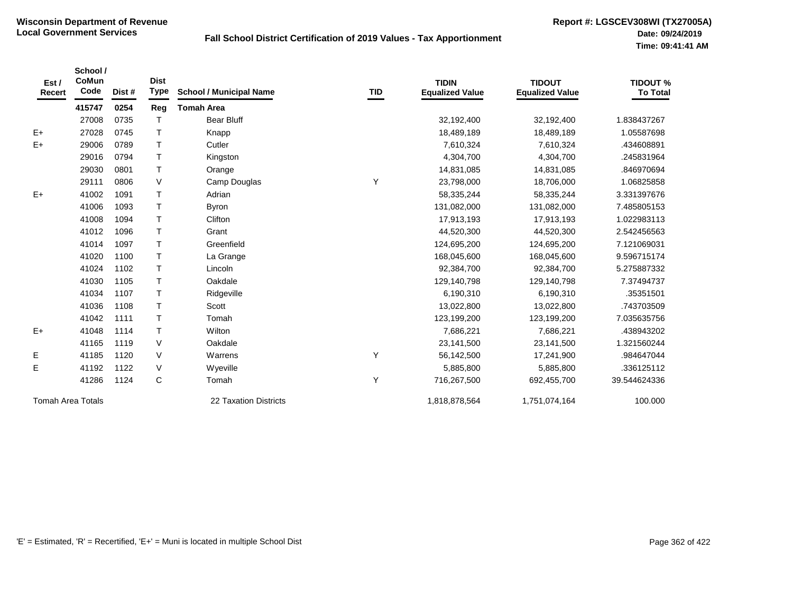| Est /<br>Recert          | School /<br>CoMun<br>Code | Dist # | <b>Dist</b><br><b>Type</b> | <b>School / Municipal Name</b> | <b>TID</b> | <b>TIDIN</b><br><b>Equalized Value</b> | <b>TIDOUT</b><br><b>Equalized Value</b> | <b>TIDOUT %</b><br><b>To Total</b> |
|--------------------------|---------------------------|--------|----------------------------|--------------------------------|------------|----------------------------------------|-----------------------------------------|------------------------------------|
|                          | 415747                    | 0254   | Reg                        | <b>Tomah Area</b>              |            |                                        |                                         |                                    |
|                          | 27008                     | 0735   | т                          | <b>Bear Bluff</b>              |            | 32,192,400                             | 32,192,400                              | 1.838437267                        |
| $E+$                     | 27028                     | 0745   | T                          | Knapp                          |            | 18,489,189                             | 18,489,189                              | 1.05587698                         |
| $E+$                     | 29006                     | 0789   | $\mathsf{T}$               | Cutler                         |            | 7,610,324                              | 7,610,324                               | .434608891                         |
|                          | 29016                     | 0794   | $\mathsf{T}$               | Kingston                       |            | 4,304,700                              | 4,304,700                               | .245831964                         |
|                          | 29030                     | 0801   | $\mathsf T$                | Orange                         |            | 14,831,085                             | 14,831,085                              | .846970694                         |
|                          | 29111                     | 0806   | V                          | Camp Douglas                   | Υ          | 23,798,000                             | 18,706,000                              | 1.06825858                         |
| $E+$                     | 41002                     | 1091   | $\mathsf{T}$               | Adrian                         |            | 58,335,244                             | 58,335,244                              | 3.331397676                        |
|                          | 41006                     | 1093   | $\mathsf{T}$               | <b>Byron</b>                   |            | 131,082,000                            | 131,082,000                             | 7.485805153                        |
|                          | 41008                     | 1094   | $\mathsf{T}$               | Clifton                        |            | 17,913,193                             | 17,913,193                              | 1.022983113                        |
|                          | 41012                     | 1096   | $\mathsf{T}$               | Grant                          |            | 44,520,300                             | 44,520,300                              | 2.542456563                        |
|                          | 41014                     | 1097   | T.                         | Greenfield                     |            | 124,695,200                            | 124,695,200                             | 7.121069031                        |
|                          | 41020                     | 1100   | $\mathsf{T}$               | La Grange                      |            | 168,045,600                            | 168,045,600                             | 9.596715174                        |
|                          | 41024                     | 1102   | T                          | Lincoln                        |            | 92,384,700                             | 92,384,700                              | 5.275887332                        |
|                          | 41030                     | 1105   | $\mathsf T$                | Oakdale                        |            | 129,140,798                            | 129,140,798                             | 7.37494737                         |
|                          | 41034                     | 1107   | $\mathsf{T}$               | Ridgeville                     |            | 6,190,310                              | 6,190,310                               | .35351501                          |
|                          | 41036                     | 1108   | $\mathsf{T}$               | Scott                          |            | 13,022,800                             | 13,022,800                              | .743703509                         |
|                          | 41042                     | 1111   | $\mathsf{T}$               | Tomah                          |            | 123,199,200                            | 123,199,200                             | 7.035635756                        |
| $E+$                     | 41048                     | 1114   | $\mathsf{T}$               | Wilton                         |            | 7,686,221                              | 7,686,221                               | .438943202                         |
|                          | 41165                     | 1119   | V                          | Oakdale                        |            | 23,141,500                             | 23,141,500                              | 1.321560244                        |
| Е                        | 41185                     | 1120   | V                          | Warrens                        | Y          | 56,142,500                             | 17,241,900                              | .984647044                         |
| Е                        | 41192                     | 1122   | V                          | Wyeville                       |            | 5,885,800                              | 5,885,800                               | .336125112                         |
|                          | 41286                     | 1124   | $\mathsf{C}$               | Tomah                          | Υ          | 716,267,500                            | 692,455,700                             | 39.544624336                       |
| <b>Tomah Area Totals</b> |                           |        |                            | 22 Taxation Districts          |            | 1,818,878,564                          | 1,751,074,164                           | 100.000                            |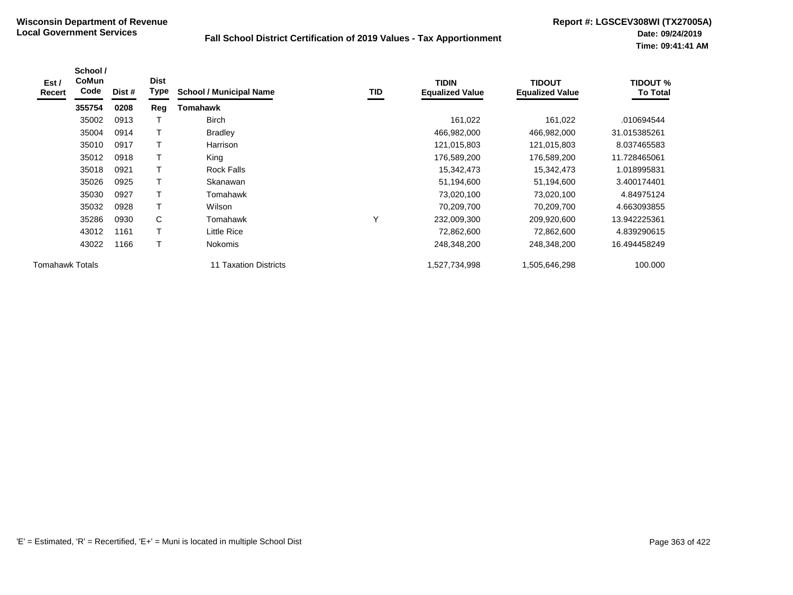| Est /<br>Recert        | School /<br>CoMun<br>Code | Dist # | <b>Dist</b><br>Type | <b>School / Municipal Name</b> | TID | <b>TIDIN</b><br><b>Equalized Value</b> | <b>TIDOUT</b><br><b>Equalized Value</b> | TIDOUT %<br><b>To Total</b> |
|------------------------|---------------------------|--------|---------------------|--------------------------------|-----|----------------------------------------|-----------------------------------------|-----------------------------|
|                        | 355754                    | 0208   | Reg                 | Tomahawk                       |     |                                        |                                         |                             |
|                        | 35002                     | 0913   |                     | <b>Birch</b>                   |     | 161,022                                | 161,022                                 | .010694544                  |
|                        | 35004                     | 0914   |                     | <b>Bradley</b>                 |     | 466,982,000                            | 466,982,000                             | 31.015385261                |
|                        | 35010                     | 0917   |                     | Harrison                       |     | 121,015,803                            | 121,015,803                             | 8.037465583                 |
|                        | 35012                     | 0918   |                     | King                           |     | 176,589,200                            | 176,589,200                             | 11.728465061                |
|                        | 35018                     | 0921   |                     | <b>Rock Falls</b>              |     | 15,342,473                             | 15,342,473                              | 1.018995831                 |
|                        | 35026                     | 0925   |                     | Skanawan                       |     | 51,194,600                             | 51,194,600                              | 3.400174401                 |
|                        | 35030                     | 0927   | T                   | Tomahawk                       |     | 73,020,100                             | 73,020,100                              | 4.84975124                  |
|                        | 35032                     | 0928   |                     | Wilson                         |     | 70,209,700                             | 70,209,700                              | 4.663093855                 |
|                        | 35286                     | 0930   | C                   | Tomahawk                       | Υ   | 232,009,300                            | 209,920,600                             | 13.942225361                |
|                        | 43012                     | 1161   |                     | Little Rice                    |     | 72,862,600                             | 72,862,600                              | 4.839290615                 |
|                        | 43022                     | 1166   | T                   | <b>Nokomis</b>                 |     | 248,348,200                            | 248,348,200                             | 16.494458249                |
| <b>Tomahawk Totals</b> |                           |        |                     | <b>11 Taxation Districts</b>   |     | 1,527,734,998                          | 1,505,646,298                           | 100.000                     |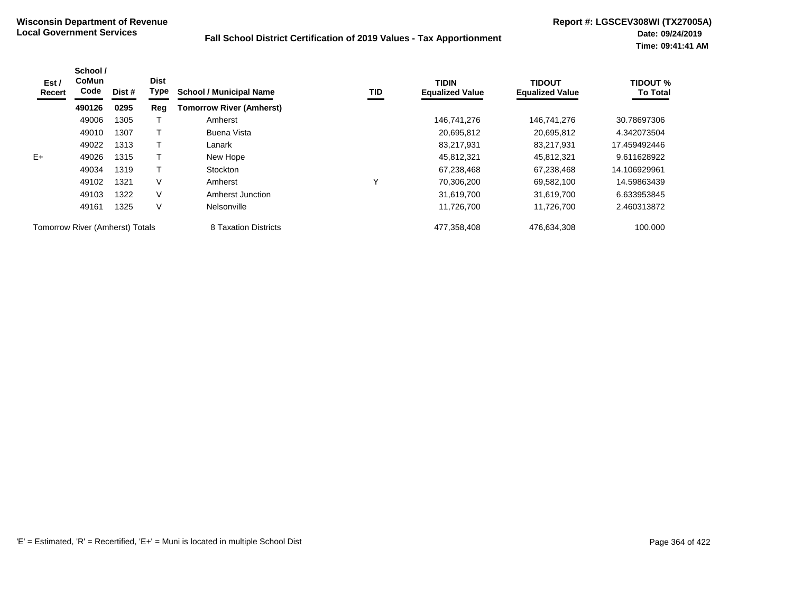| Est /<br>Recert                        | School /<br><b>CoMun</b><br>Code | Dist # | <b>Dist</b><br>Type | <b>School / Municipal Name</b>  | <b>TID</b> | <b>TIDIN</b><br><b>Equalized Value</b> | <b>TIDOUT</b><br><b>Equalized Value</b> | <b>TIDOUT %</b><br><b>To Total</b> |
|----------------------------------------|----------------------------------|--------|---------------------|---------------------------------|------------|----------------------------------------|-----------------------------------------|------------------------------------|
|                                        | 490126                           | 0295   | Reg                 | <b>Tomorrow River (Amherst)</b> |            |                                        |                                         |                                    |
|                                        | 49006                            | 1305   |                     | Amherst                         |            | 146,741,276                            | 146.741.276                             | 30.78697306                        |
|                                        | 49010                            | 1307   |                     | Buena Vista                     |            | 20,695,812                             | 20,695,812                              | 4.342073504                        |
|                                        | 49022                            | 1313   |                     | Lanark                          |            | 83,217,931                             | 83,217,931                              | 17.459492446                       |
| $E+$                                   | 49026                            | 1315   |                     | New Hope                        |            | 45,812,321                             | 45,812,321                              | 9.611628922                        |
|                                        | 49034                            | 1319   |                     | <b>Stockton</b>                 |            | 67.238.468                             | 67.238.468                              | 14.106929961                       |
|                                        | 49102                            | 1321   | V                   | Amherst                         | ν          | 70.306.200                             | 69,582,100                              | 14.59863439                        |
|                                        | 49103                            | 1322   | V                   | Amherst Junction                |            | 31,619,700                             | 31,619,700                              | 6.633953845                        |
|                                        | 49161                            | 1325   | V                   | Nelsonville                     |            | 11,726,700                             | 11,726,700                              | 2.460313872                        |
| <b>Tomorrow River (Amherst) Totals</b> |                                  |        |                     | 8 Taxation Districts            |            | 477,358,408                            | 476,634,308                             | 100.000                            |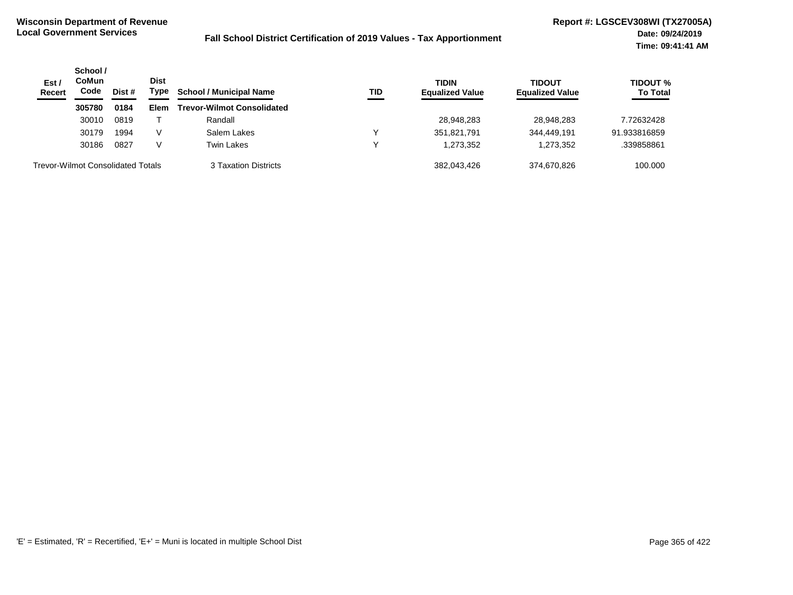| Est/<br><b>Recert</b>                    | School /<br><b>CoMun</b><br>Code | Dist # | <b>Dist</b><br>Type | <b>School / Municipal Name</b>    | <b>TID</b> | <b>TIDIN</b><br><b>Equalized Value</b> | <b>TIDOUT</b><br><b>Equalized Value</b> | <b>TIDOUT %</b><br><b>To Total</b> |
|------------------------------------------|----------------------------------|--------|---------------------|-----------------------------------|------------|----------------------------------------|-----------------------------------------|------------------------------------|
|                                          | 305780                           | 0184   | Elem                | <b>Trevor-Wilmot Consolidated</b> |            |                                        |                                         |                                    |
|                                          | 30010                            | 0819   |                     | Randall                           |            | 28,948,283                             | 28,948,283                              | 7.72632428                         |
|                                          | 30179                            | 1994   | V                   | Salem Lakes                       |            | 351,821,791                            | 344.449.191                             | 91.933816859                       |
|                                          | 30186                            | 0827   | V                   | Twin Lakes                        |            | 1,273,352                              | 1,273,352                               | .339858861                         |
| <b>Trevor-Wilmot Consolidated Totals</b> |                                  |        |                     | 3 Taxation Districts              |            | 382,043,426                            | 374.670.826                             | 100.000                            |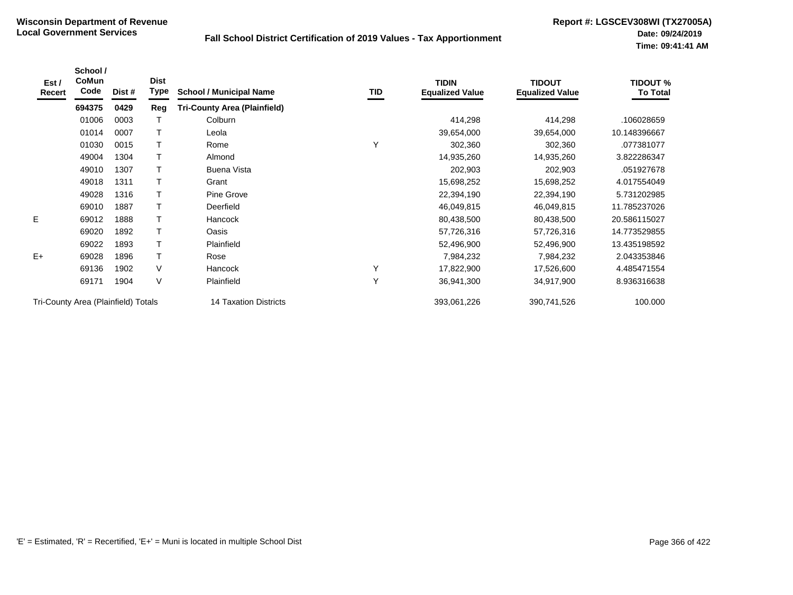| Est /<br>Recert                     | School /<br>CoMun<br>Code | Dist # | <b>Dist</b><br>Type | <b>School / Municipal Name</b>      | TID | <b>TIDIN</b><br><b>Equalized Value</b> | <b>TIDOUT</b><br><b>Equalized Value</b> | <b>TIDOUT %</b><br><b>To Total</b> |
|-------------------------------------|---------------------------|--------|---------------------|-------------------------------------|-----|----------------------------------------|-----------------------------------------|------------------------------------|
|                                     | 694375                    | 0429   | Reg                 | <b>Tri-County Area (Plainfield)</b> |     |                                        |                                         |                                    |
|                                     | 01006                     | 0003   |                     | Colburn                             |     | 414,298                                | 414,298                                 | .106028659                         |
|                                     | 01014                     | 0007   |                     | Leola                               |     | 39,654,000                             | 39,654,000                              | 10.148396667                       |
|                                     | 01030                     | 0015   |                     | Rome                                | Υ   | 302,360                                | 302,360                                 | .077381077                         |
|                                     | 49004                     | 1304   |                     | Almond                              |     | 14,935,260                             | 14,935,260                              | 3.822286347                        |
|                                     | 49010                     | 1307   |                     | Buena Vista                         |     | 202,903                                | 202,903                                 | .051927678                         |
|                                     | 49018                     | 1311   |                     | Grant                               |     | 15,698,252                             | 15,698,252                              | 4.017554049                        |
|                                     | 49028                     | 1316   |                     | Pine Grove                          |     | 22,394,190                             | 22,394,190                              | 5.731202985                        |
|                                     | 69010                     | 1887   |                     | Deerfield                           |     | 46,049,815                             | 46,049,815                              | 11.785237026                       |
| E                                   | 69012                     | 1888   |                     | Hancock                             |     | 80,438,500                             | 80,438,500                              | 20.586115027                       |
|                                     | 69020                     | 1892   |                     | Oasis                               |     | 57,726,316                             | 57,726,316                              | 14.773529855                       |
|                                     | 69022                     | 1893   | Т                   | Plainfield                          |     | 52,496,900                             | 52,496,900                              | 13.435198592                       |
| $E+$                                | 69028                     | 1896   | T                   | Rose                                |     | 7,984,232                              | 7,984,232                               | 2.043353846                        |
|                                     | 69136                     | 1902   | V                   | <b>Hancock</b>                      | Υ   | 17,822,900                             | 17,526,600                              | 4.485471554                        |
|                                     | 69171                     | 1904   | $\vee$              | Plainfield                          | Y   | 36,941,300                             | 34,917,900                              | 8.936316638                        |
| Tri-County Area (Plainfield) Totals |                           |        |                     | <b>14 Taxation Districts</b>        |     | 393,061,226                            | 390,741,526                             | 100.000                            |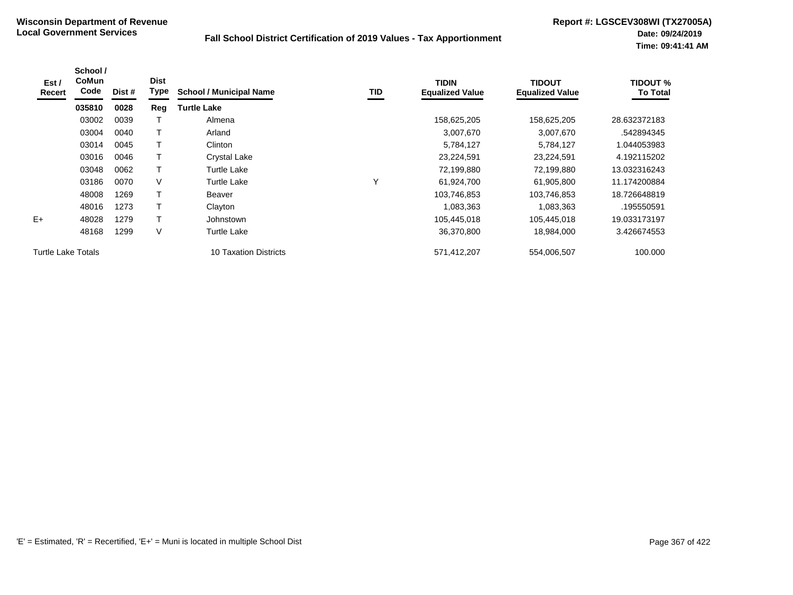| Est /<br>Recert           | School /<br><b>CoMun</b><br>Code | Dist # | <b>Dist</b><br>Type | <b>School / Municipal Name</b> | TID          | <b>TIDIN</b><br><b>Equalized Value</b> | TIDOUT<br><b>Equalized Value</b> | <b>TIDOUT %</b><br><b>To Total</b> |
|---------------------------|----------------------------------|--------|---------------------|--------------------------------|--------------|----------------------------------------|----------------------------------|------------------------------------|
|                           | 035810                           | 0028   | Reg                 | <b>Turtle Lake</b>             |              |                                        |                                  |                                    |
|                           | 03002                            | 0039   |                     | Almena                         |              | 158,625,205                            | 158,625,205                      | 28.632372183                       |
|                           | 03004                            | 0040   |                     | Arland                         |              | 3,007,670                              | 3,007,670                        | .542894345                         |
|                           | 03014                            | 0045   |                     | Clinton                        |              | 5,784,127                              | 5,784,127                        | 1.044053983                        |
|                           | 03016                            | 0046   |                     | Crystal Lake                   |              | 23,224,591                             | 23,224,591                       | 4.192115202                        |
|                           | 03048                            | 0062   |                     | <b>Turtle Lake</b>             |              | 72,199,880                             | 72,199,880                       | 13.032316243                       |
|                           | 03186                            | 0070   | V                   | <b>Turtle Lake</b>             | $\checkmark$ | 61,924,700                             | 61,905,800                       | 11.174200884                       |
|                           | 48008                            | 1269   |                     | Beaver                         |              | 103,746,853                            | 103,746,853                      | 18.726648819                       |
|                           | 48016                            | 1273   |                     | Clayton                        |              | 1,083,363                              | 1,083,363                        | .195550591                         |
| $E+$                      | 48028                            | 1279   | т                   | Johnstown                      |              | 105,445,018                            | 105,445,018                      | 19.033173197                       |
|                           | 48168                            | 1299   | V                   | <b>Turtle Lake</b>             |              | 36,370,800                             | 18,984,000                       | 3.426674553                        |
| <b>Turtle Lake Totals</b> |                                  |        |                     | 10 Taxation Districts          |              | 571,412,207                            | 554,006,507                      | 100.000                            |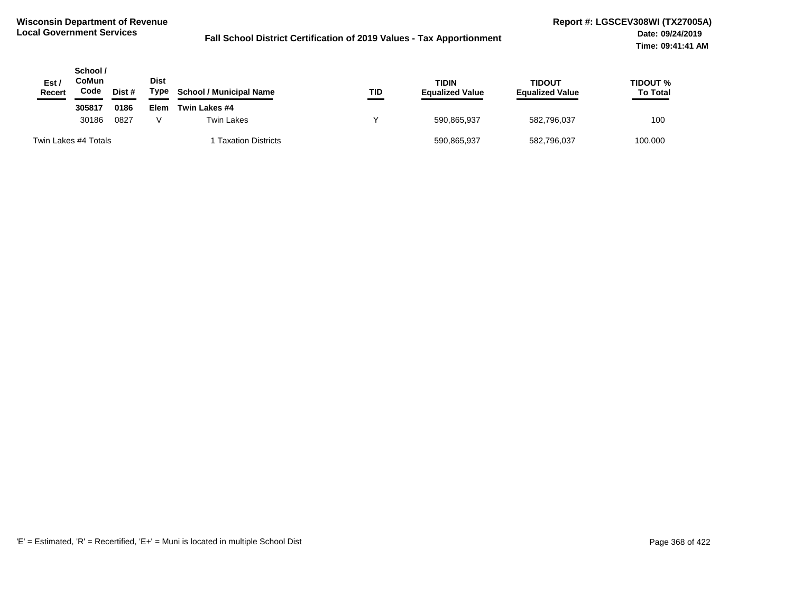| Est /<br>Recert | School /<br>CoMun<br>Code | Dist # | <b>Dist</b><br>Type | <b>School / Municipal Name</b> | TID | <b>TIDIN</b><br><b>Equalized Value</b> | <b>TIDOUT</b><br><b>Equalized Value</b> | <b>TIDOUT %</b><br><b>To Total</b> |
|-----------------|---------------------------|--------|---------------------|--------------------------------|-----|----------------------------------------|-----------------------------------------|------------------------------------|
|                 | 305817                    | 0186   | Elem                | Twin Lakes #4                  |     |                                        |                                         |                                    |
|                 | 30186                     | 0827   |                     | Twin Lakes                     | v   | 590,865,937                            | 582,796,037                             | 100                                |
|                 | Twin Lakes #4 Totals      |        |                     | <b>Taxation Districts</b>      |     | 590,865,937                            | 582,796,037                             | 100.000                            |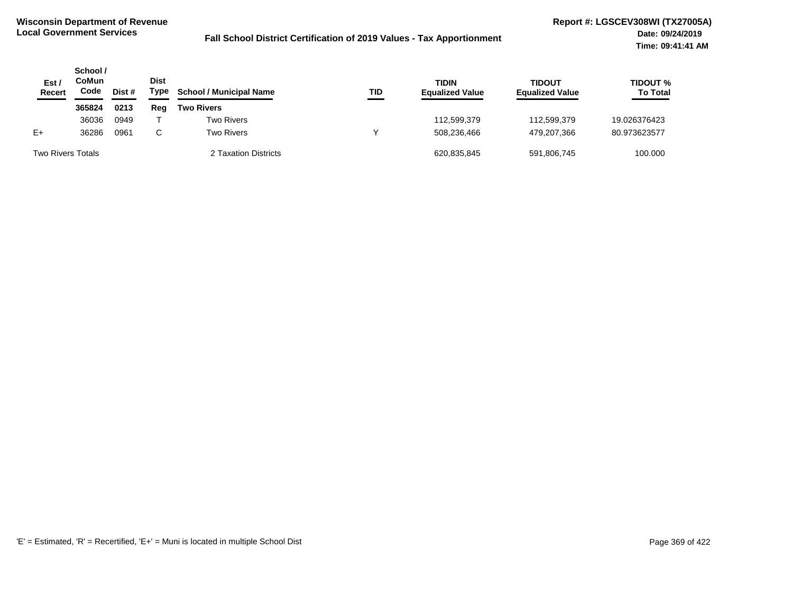| Est /<br>Recert          | School /<br>CoMun<br>Code<br>Dist # |      | Dist<br>Type | <b>School / Municipal Name</b> | TID | <b>TIDIN</b><br><b>Equalized Value</b> | <b>TIDOUT</b><br><b>Equalized Value</b> | <b>TIDOUT %</b><br><b>To Total</b> |
|--------------------------|-------------------------------------|------|--------------|--------------------------------|-----|----------------------------------------|-----------------------------------------|------------------------------------|
|                          | 365824                              | 0213 | Rea          | <b>Two Rivers</b>              |     |                                        |                                         |                                    |
|                          | 36036                               | 0949 |              | <b>Two Rivers</b>              |     | 112,599,379                            | 112,599,379                             | 19.026376423                       |
| $E+$                     | 36286                               | 0961 | C            | <b>Two Rivers</b>              |     | 508.236.466                            | 479.207.366                             | 80.973623577                       |
| <b>Two Rivers Totals</b> |                                     |      |              | 2 Taxation Districts           |     | 620,835,845                            | 591,806,745                             | 100.000                            |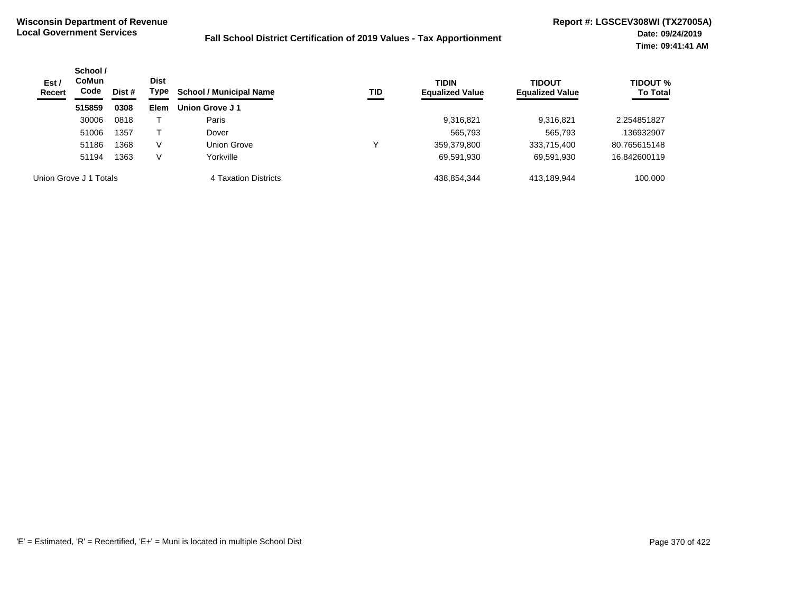| Est/<br><b>Recert</b> | School /<br><b>CoMun</b><br>Code<br>Dist # | <b>Dist</b><br>Type | <b>School / Municipal Name</b> | TID                  | <b>TIDIN</b><br><b>Equalized Value</b> | <b>TIDOUT</b><br><b>Equalized Value</b> | TIDOUT %<br><b>To Total</b> |              |
|-----------------------|--------------------------------------------|---------------------|--------------------------------|----------------------|----------------------------------------|-----------------------------------------|-----------------------------|--------------|
|                       | 515859                                     | 0308                | <b>Elem</b>                    | Union Grove J1       |                                        |                                         |                             |              |
|                       | 30006                                      | 0818                |                                | Paris                |                                        | 9,316,821                               | 9.316.821                   | 2.254851827  |
|                       | 51006                                      | 1357                |                                | Dover                |                                        | 565,793                                 | 565,793                     | .136932907   |
|                       | 51186                                      | 1368                | V                              | Union Grove          | v                                      | 359,379,800                             | 333,715,400                 | 80.765615148 |
|                       | 51194                                      | 1363                | V                              | Yorkville            |                                        | 69,591,930                              | 69,591,930                  | 16.842600119 |
|                       | Union Grove J 1 Totals                     |                     |                                | 4 Taxation Districts |                                        | 438,854,344                             | 413.189.944                 | 100.000      |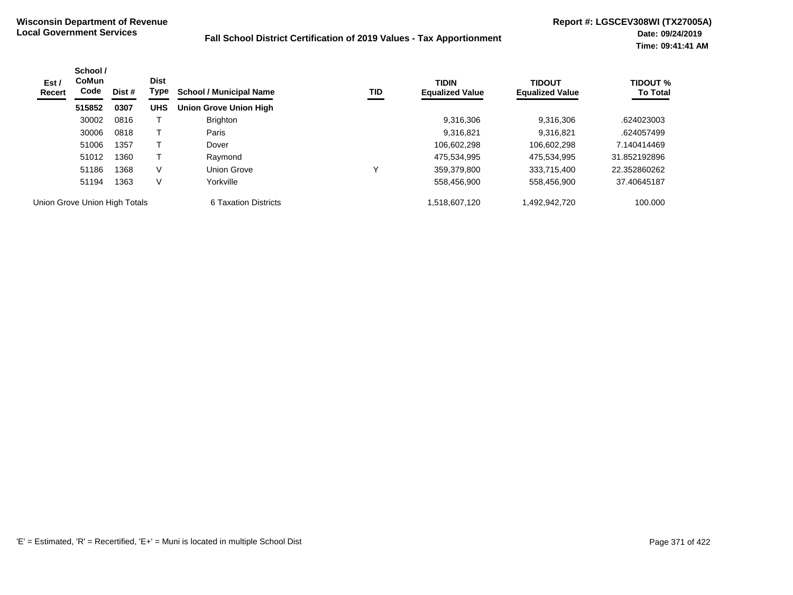| Est /<br>Recert               | School /<br><b>CoMun</b><br>Code | Dist # | <b>Dist</b><br>Type | <b>School / Municipal Name</b> | TID | <b>TIDIN</b><br><b>Equalized Value</b> | <b>TIDOUT</b><br><b>Equalized Value</b> | <b>TIDOUT %</b><br><b>To Total</b> |
|-------------------------------|----------------------------------|--------|---------------------|--------------------------------|-----|----------------------------------------|-----------------------------------------|------------------------------------|
|                               | 515852                           | 0307   | <b>UHS</b>          | <b>Union Grove Union High</b>  |     |                                        |                                         |                                    |
|                               | 30002                            | 0816   |                     | <b>Brighton</b>                |     | 9,316,306                              | 9.316.306                               | .624023003                         |
|                               | 30006                            | 0818   |                     | Paris                          |     | 9,316,821                              | 9.316.821                               | .624057499                         |
|                               | 51006                            | 1357   |                     | Dover                          |     | 106.602.298                            | 106.602.298                             | 7.140414469                        |
|                               | 51012                            | 1360   |                     | Raymond                        |     | 475.534.995                            | 475.534.995                             | 31.852192896                       |
|                               | 51186                            | 1368   | V                   | <b>Union Grove</b>             |     | 359,379,800                            | 333,715,400                             | 22.352860262                       |
|                               | 51194                            | 1363   | V                   | Yorkville                      |     | 558,456,900                            | 558,456,900                             | 37.40645187                        |
| Union Grove Union High Totals |                                  |        |                     | 6 Taxation Districts           |     | 1,518,607,120                          | 1,492,942,720                           | 100.000                            |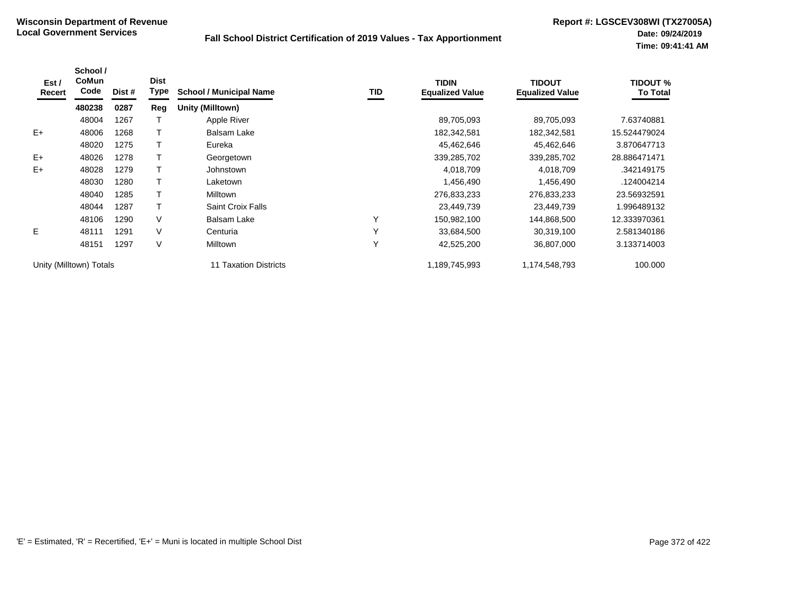| Est /<br>Recert | School /<br><b>CoMun</b><br>Code | Dist # | <b>Dist</b><br><b>Type</b> | <b>School / Municipal Name</b> | TID | <b>TIDIN</b><br><b>Equalized Value</b> | <b>TIDOUT</b><br><b>Equalized Value</b> | <b>TIDOUT %</b><br><b>To Total</b> |
|-----------------|----------------------------------|--------|----------------------------|--------------------------------|-----|----------------------------------------|-----------------------------------------|------------------------------------|
|                 | 480238                           | 0287   | Reg                        | Unity (Milltown)               |     |                                        |                                         |                                    |
|                 | 48004                            | 1267   |                            | Apple River                    |     | 89,705,093                             | 89,705,093                              | 7.63740881                         |
| $E+$            | 48006                            | 1268   |                            | Balsam Lake                    |     | 182,342,581                            | 182,342,581                             | 15.524479024                       |
|                 | 48020                            | 1275   |                            | Eureka                         |     | 45,462,646                             | 45,462,646                              | 3.870647713                        |
| $E+$            | 48026                            | 1278   |                            | Georgetown                     |     | 339,285,702                            | 339,285,702                             | 28.886471471                       |
| $E+$            | 48028                            | 1279   |                            | Johnstown                      |     | 4,018,709                              | 4,018,709                               | .342149175                         |
|                 | 48030                            | 1280   |                            | Laketown                       |     | 1,456,490                              | 1,456,490                               | .124004214                         |
|                 | 48040                            | 1285   |                            | Milltown                       |     | 276,833,233                            | 276,833,233                             | 23.56932591                        |
|                 | 48044                            | 1287   |                            | <b>Saint Croix Falls</b>       |     | 23,449,739                             | 23,449,739                              | 1.996489132                        |
|                 | 48106                            | 1290   | V                          | <b>Balsam Lake</b>             | Υ   | 150,982,100                            | 144,868,500                             | 12.333970361                       |
| E.              | 48111                            | 1291   | V                          | Centuria                       | Υ   | 33,684,500                             | 30,319,100                              | 2.581340186                        |
|                 | 48151                            | 1297   | V                          | <b>Milltown</b>                | Y   | 42,525,200                             | 36,807,000                              | 3.133714003                        |
|                 | Unity (Milltown) Totals          |        |                            | 11 Taxation Districts          |     | 1,189,745,993                          | 1,174,548,793                           | 100.000                            |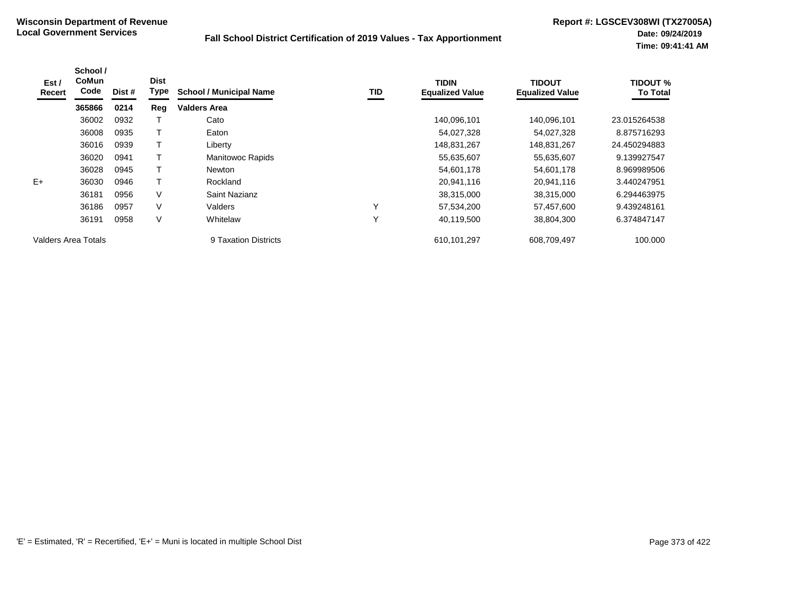| Est /<br>Recert     | School /<br><b>CoMun</b><br>Code | Dist # | <b>Dist</b><br>Type | <b>School / Municipal Name</b> | TID          | <b>TIDIN</b><br><b>Equalized Value</b> | TIDOUT<br><b>Equalized Value</b> | <b>TIDOUT %</b><br><b>To Total</b> |
|---------------------|----------------------------------|--------|---------------------|--------------------------------|--------------|----------------------------------------|----------------------------------|------------------------------------|
|                     | 365866                           | 0214   | Reg                 | <b>Valders Area</b>            |              |                                        |                                  |                                    |
|                     | 36002                            | 0932   |                     | Cato                           |              | 140,096,101                            | 140.096.101                      | 23.015264538                       |
|                     | 36008                            | 0935   |                     | Eaton                          |              | 54,027,328                             | 54,027,328                       | 8.875716293                        |
|                     | 36016                            | 0939   |                     | Liberty                        |              | 148,831,267                            | 148,831,267                      | 24.450294883                       |
|                     | 36020                            | 0941   |                     | <b>Manitowoc Rapids</b>        |              | 55,635,607                             | 55,635,607                       | 9.139927547                        |
|                     | 36028                            | 0945   |                     | <b>Newton</b>                  |              | 54,601,178                             | 54,601,178                       | 8.969989506                        |
| $E+$                | 36030                            | 0946   |                     | Rockland                       |              | 20,941,116                             | 20,941,116                       | 3.440247951                        |
|                     | 36181                            | 0956   | V                   | Saint Nazianz                  |              | 38,315,000                             | 38,315,000                       | 6.294463975                        |
|                     | 36186                            | 0957   | $\vee$              | Valders                        | $\checkmark$ | 57,534,200                             | 57,457,600                       | 9.439248161                        |
|                     | 36191                            | 0958   | $\vee$              | Whitelaw                       | $\checkmark$ | 40,119,500                             | 38,804,300                       | 6.374847147                        |
| Valders Area Totals |                                  |        |                     | 9 Taxation Districts           |              | 610,101,297                            | 608,709,497                      | 100.000                            |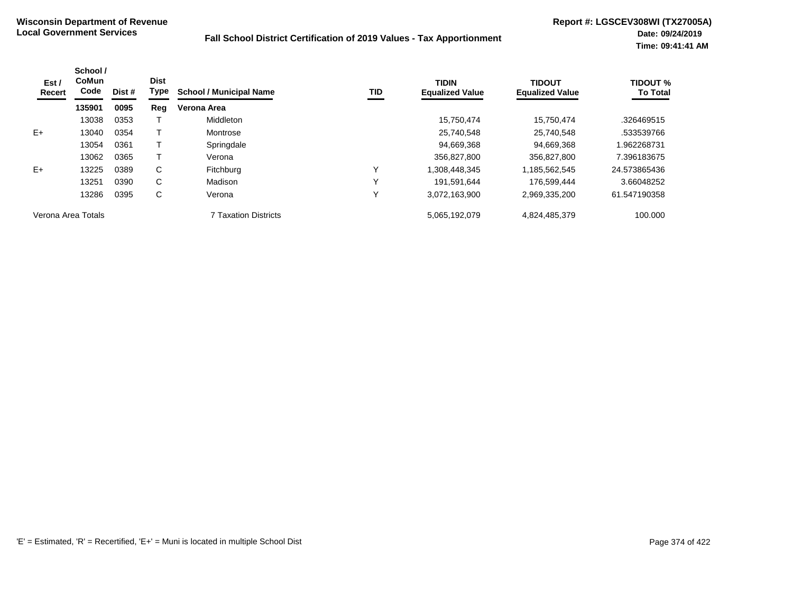| Est /<br>Recert    | School /<br><b>CoMun</b><br>Code | Dist # | <b>Dist</b><br>Type | <b>School / Municipal Name</b> | TID | <b>TIDIN</b><br><b>Equalized Value</b> | <b>TIDOUT</b><br><b>Equalized Value</b> | <b>TIDOUT %</b><br><b>To Total</b> |
|--------------------|----------------------------------|--------|---------------------|--------------------------------|-----|----------------------------------------|-----------------------------------------|------------------------------------|
|                    | 135901                           | 0095   | Reg                 | Verona Area                    |     |                                        |                                         |                                    |
|                    | 13038                            | 0353   |                     | Middleton                      |     | 15,750,474                             | 15.750.474                              | .326469515                         |
| $E+$               | 13040                            | 0354   |                     | Montrose                       |     | 25.740.548                             | 25.740.548                              | .533539766                         |
|                    | 13054                            | 0361   |                     | Springdale                     |     | 94,669,368                             | 94.669.368                              | 1.962268731                        |
|                    | 13062                            | 0365   |                     | Verona                         |     | 356.827.800                            | 356,827,800                             | 7.396183675                        |
| $E+$               | 13225                            | 0389   | C                   | Fitchburg                      | ν   | 1,308,448,345                          | 1,185,562,545                           | 24.573865436                       |
|                    | 13251                            | 0390   | C                   | Madison                        | ν   | 191.591.644                            | 176.599.444                             | 3.66048252                         |
|                    | 13286                            | 0395   | С                   | Verona                         | ↘   | 3,072,163,900                          | 2,969,335,200                           | 61.547190358                       |
| Verona Area Totals |                                  |        |                     | <b>7 Taxation Districts</b>    |     | 5,065,192,079                          | 4,824,485,379                           | 100.000                            |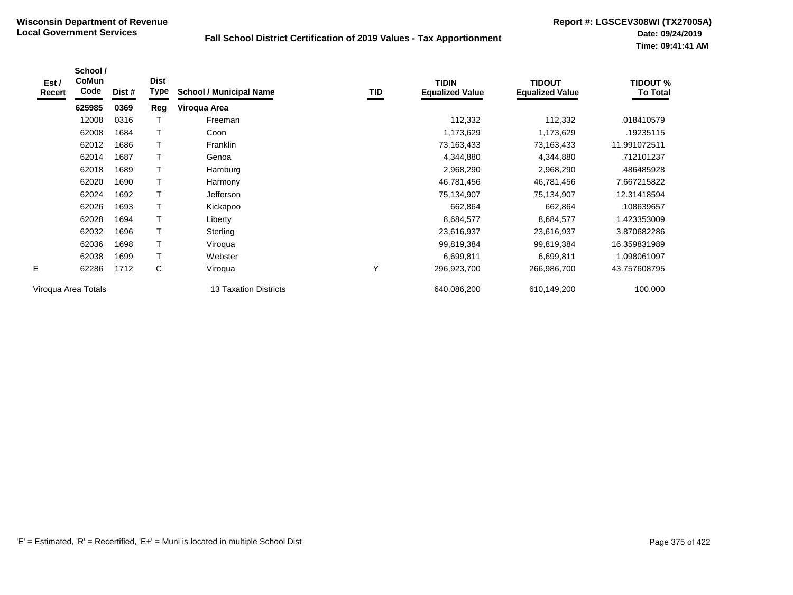| Est /<br>Recert | School /<br>CoMun<br>Code | Dist # | <b>Dist</b><br>Type | <b>School / Municipal Name</b> | TID | <b>TIDIN</b><br><b>Equalized Value</b> | <b>TIDOUT</b><br><b>Equalized Value</b> | <b>TIDOUT %</b><br><b>To Total</b> |
|-----------------|---------------------------|--------|---------------------|--------------------------------|-----|----------------------------------------|-----------------------------------------|------------------------------------|
|                 | 625985                    | 0369   | Reg                 | Viroqua Area                   |     |                                        |                                         |                                    |
|                 | 12008                     | 0316   |                     | Freeman                        |     | 112,332                                | 112,332                                 | .018410579                         |
|                 | 62008                     | 1684   |                     | Coon                           |     | 1,173,629                              | 1,173,629                               | .19235115                          |
|                 | 62012                     | 1686   |                     | Franklin                       |     | 73,163,433                             | 73,163,433                              | 11.991072511                       |
|                 | 62014                     | 1687   |                     | Genoa                          |     | 4,344,880                              | 4,344,880                               | .712101237                         |
|                 | 62018                     | 1689   | T                   | Hamburg                        |     | 2,968,290                              | 2,968,290                               | .486485928                         |
|                 | 62020                     | 1690   | T                   | Harmony                        |     | 46,781,456                             | 46,781,456                              | 7.667215822                        |
|                 | 62024                     | 1692   | $\mathsf T$         | Jefferson                      |     | 75,134,907                             | 75,134,907                              | 12.31418594                        |
|                 | 62026                     | 1693   |                     | Kickapoo                       |     | 662,864                                | 662,864                                 | .108639657                         |
|                 | 62028                     | 1694   |                     | Liberty                        |     | 8,684,577                              | 8,684,577                               | 1.423353009                        |
|                 | 62032                     | 1696   |                     | Sterling                       |     | 23,616,937                             | 23,616,937                              | 3.870682286                        |
|                 | 62036                     | 1698   | T                   | Viroqua                        |     | 99,819,384                             | 99,819,384                              | 16.359831989                       |
|                 | 62038                     | 1699   |                     | Webster                        |     | 6,699,811                              | 6,699,811                               | 1.098061097                        |
| E.              | 62286                     | 1712   | C                   | Viroqua                        | Υ   | 296,923,700                            | 266,986,700                             | 43.757608795                       |
|                 | Viroqua Area Totals       |        |                     | 13 Taxation Districts          |     | 640,086,200                            | 610,149,200                             | 100.000                            |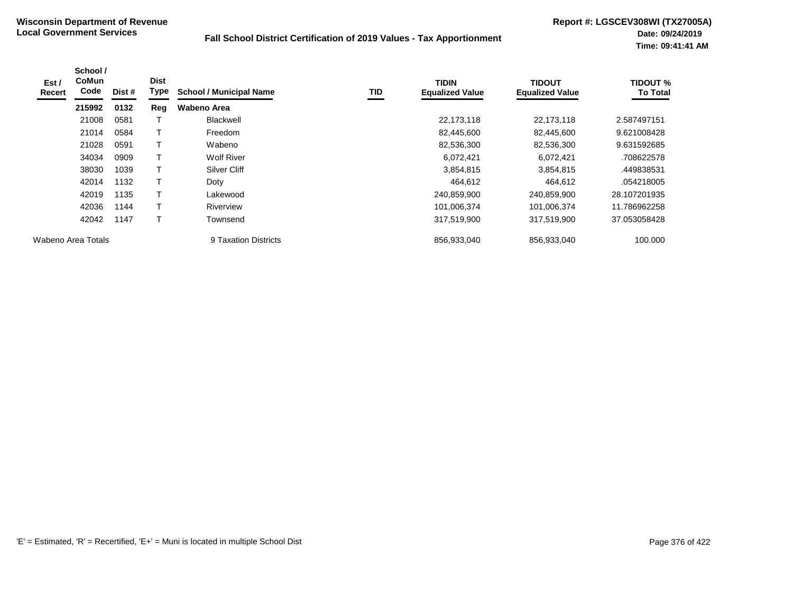| Est /<br>Recert    | School /<br><b>CoMun</b><br>Code | Dist # | <b>Dist</b><br>Type | <b>School / Municipal Name</b> | TID | <b>TIDIN</b><br><b>Equalized Value</b> | <b>TIDOUT</b><br><b>Equalized Value</b> | <b>TIDOUT %</b><br><b>To Total</b> |
|--------------------|----------------------------------|--------|---------------------|--------------------------------|-----|----------------------------------------|-----------------------------------------|------------------------------------|
|                    | 215992                           | 0132   | Reg                 | Wabeno Area                    |     |                                        |                                         |                                    |
|                    | 21008                            | 0581   |                     | Blackwell                      |     | 22,173,118                             | 22,173,118                              | 2.587497151                        |
|                    | 21014                            | 0584   |                     | Freedom                        |     | 82,445,600                             | 82,445,600                              | 9.621008428                        |
|                    | 21028                            | 0591   |                     | Wabeno                         |     | 82,536,300                             | 82,536,300                              | 9.631592685                        |
|                    | 34034                            | 0909   |                     | <b>Wolf River</b>              |     | 6,072,421                              | 6,072,421                               | .708622578                         |
|                    | 38030                            | 1039   | т                   | Silver Cliff                   |     | 3,854,815                              | 3,854,815                               | .449838531                         |
|                    | 42014                            | 1132   |                     | Doty                           |     | 464,612                                | 464,612                                 | .054218005                         |
|                    | 42019                            | 1135   | т                   | Lakewood                       |     | 240,859,900                            | 240,859,900                             | 28.107201935                       |
|                    | 42036                            | 1144   |                     | Riverview                      |     | 101,006,374                            | 101,006,374                             | 11.786962258                       |
|                    | 42042                            | 1147   | т                   | Townsend                       |     | 317,519,900                            | 317,519,900                             | 37.053058428                       |
| Wabeno Area Totals |                                  |        |                     | 9 Taxation Districts           |     | 856,933,040                            | 856,933,040                             | 100.000                            |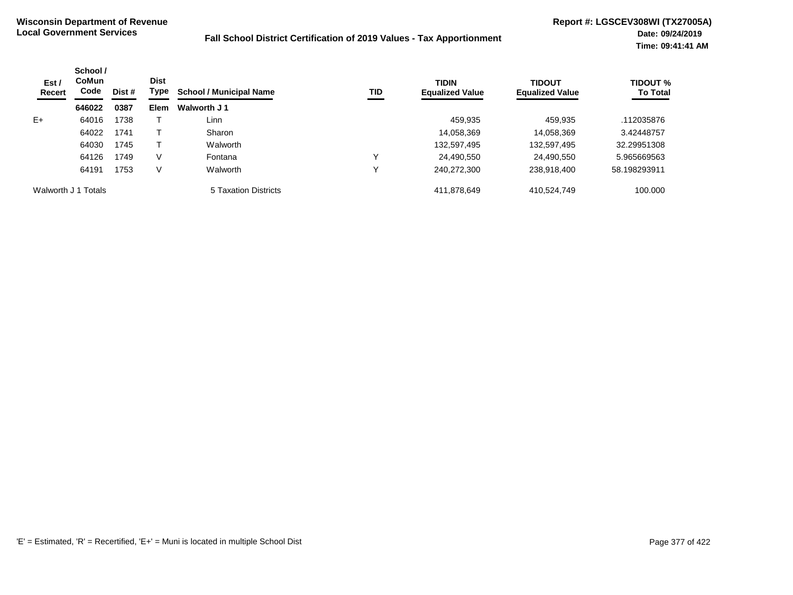| Est /<br>Recert     | School /<br><b>CoMun</b><br>Code | Dist # | <b>Dist</b><br>Type | <b>School / Municipal Name</b> | TID | <b>TIDIN</b><br><b>Equalized Value</b> | <b>TIDOUT</b><br><b>Equalized Value</b> | <b>TIDOUT %</b><br><b>To Total</b> |
|---------------------|----------------------------------|--------|---------------------|--------------------------------|-----|----------------------------------------|-----------------------------------------|------------------------------------|
|                     | 646022                           | 0387   | <b>Elem</b>         | Walworth J 1                   |     |                                        |                                         |                                    |
| $E+$                | 64016                            | 1738   |                     | Linn                           |     | 459,935                                | 459,935                                 | .112035876                         |
|                     | 64022                            | 1741   |                     | Sharon                         |     | 14,058,369                             | 14,058,369                              | 3.42448757                         |
|                     | 64030                            | 1745   |                     | Walworth                       |     | 132,597,495                            | 132,597,495                             | 32.29951308                        |
|                     | 64126                            | 1749   | V                   | Fontana                        | ν   | 24,490,550                             | 24,490,550                              | 5.965669563                        |
|                     | 64191                            | 1753   | V                   | Walworth                       | ν   | 240,272,300                            | 238,918,400                             | 58.198293911                       |
| Walworth J 1 Totals |                                  |        |                     | 5 Taxation Districts           |     | 411,878,649                            | 410,524,749                             | 100.000                            |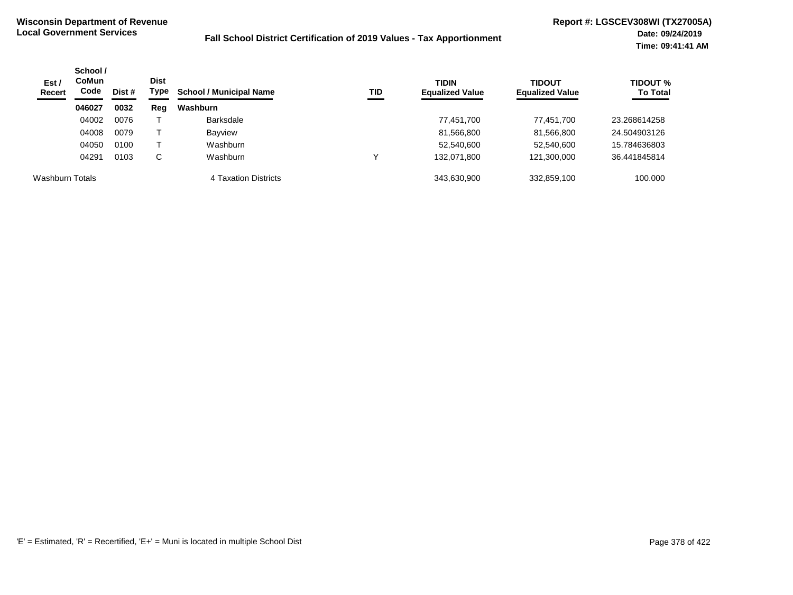| Est/<br><b>Recert</b> | School /<br><b>CoMun</b><br>Code<br>Dist # | <b>Dist</b><br>Type | TID<br><b>School / Municipal Name</b> | <b>TIDIN</b><br><b>Equalized Value</b> | <b>TIDOUT</b><br><b>Equalized Value</b> | <b>TIDOUT %</b><br><b>To Total</b> |             |              |
|-----------------------|--------------------------------------------|---------------------|---------------------------------------|----------------------------------------|-----------------------------------------|------------------------------------|-------------|--------------|
|                       | 046027                                     | 0032                | Reg                                   | Washburn                               |                                         |                                    |             |              |
|                       | 04002                                      | 0076                |                                       | <b>Barksdale</b>                       |                                         | 77,451,700                         | 77,451,700  | 23.268614258 |
|                       | 04008                                      | 0079                |                                       | <b>Bayview</b>                         |                                         | 81,566,800                         | 81,566,800  | 24.504903126 |
|                       | 04050                                      | 0100                |                                       | Washburn                               |                                         | 52,540,600                         | 52,540,600  | 15.784636803 |
|                       | 04291                                      | 0103                | С                                     | Washburn                               |                                         | 132.071.800                        | 121,300,000 | 36.441845814 |
| Washburn Totals       |                                            |                     |                                       | 4 Taxation Districts                   |                                         | 343.630.900                        | 332,859,100 | 100,000      |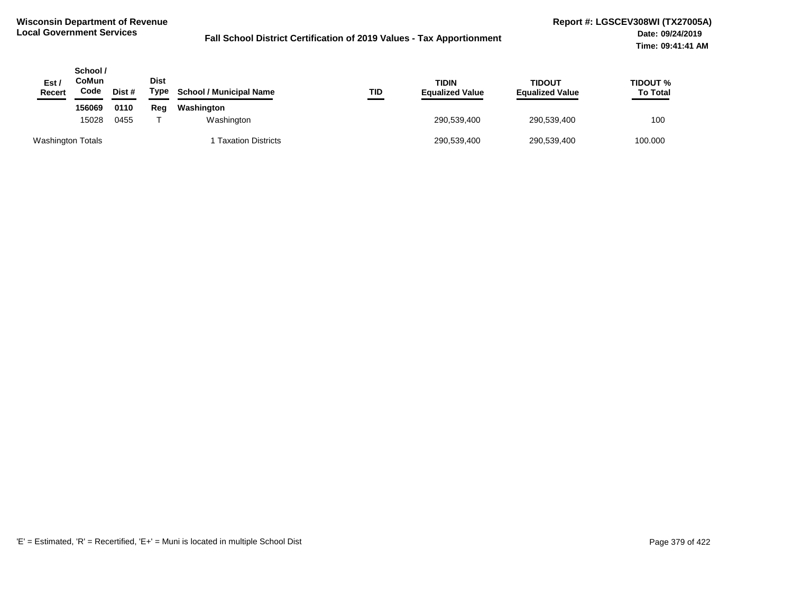| Est /<br><b>Recert</b>   | School /<br>CoMun<br>Code | Dist # | <b>Dist</b><br>Type | <b>School / Municipal Name</b> | TID | TIDIN<br><b>Equalized Value</b> | TIDOUT<br><b>Equalized Value</b> | TIDOUT %<br><b>To Total</b> |
|--------------------------|---------------------------|--------|---------------------|--------------------------------|-----|---------------------------------|----------------------------------|-----------------------------|
|                          | 156069                    | 0110   | Reg                 | Washington                     |     |                                 |                                  |                             |
|                          | 15028                     | 0455   |                     | Washington                     |     | 290,539,400                     | 290,539,400                      | 100                         |
| <b>Washington Totals</b> |                           |        |                     | 1 Taxation Districts           |     | 290,539,400                     | 290,539,400                      | 100.000                     |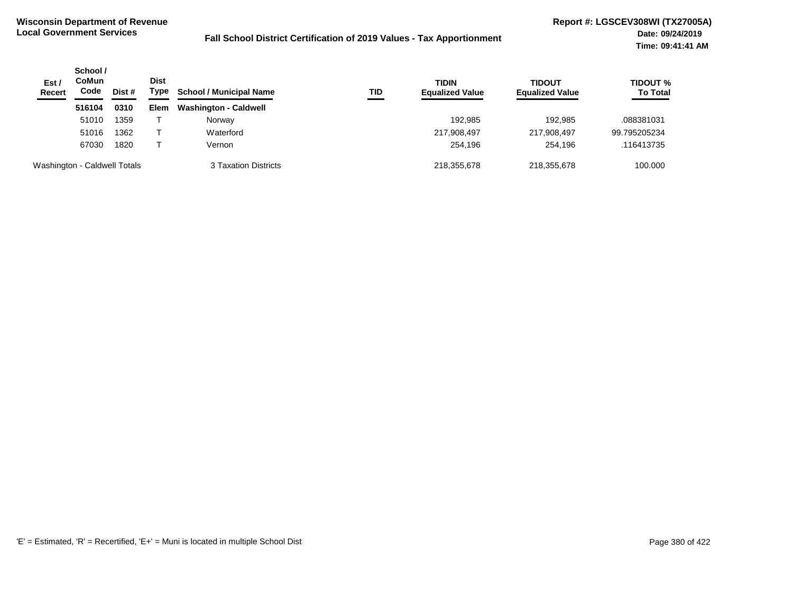| Est /<br><b>Recert</b>       | School /<br><b>CoMun</b><br>Code | Dist # | <b>Dist</b><br>Type | <b>School / Municipal Name</b> | TID | <b>TIDIN</b><br><b>Equalized Value</b> | <b>TIDOUT</b><br><b>Equalized Value</b> | <b>TIDOUT %</b><br><b>To Total</b> |
|------------------------------|----------------------------------|--------|---------------------|--------------------------------|-----|----------------------------------------|-----------------------------------------|------------------------------------|
|                              | 516104                           | 0310   | <b>Elem</b>         | <b>Washington - Caldwell</b>   |     |                                        |                                         |                                    |
|                              | 51010                            | 1359   |                     | Norway                         |     | 192.985                                | 192.985                                 | .088381031                         |
|                              | 51016                            | 1362   |                     | Waterford                      |     | 217,908,497                            | 217,908,497                             | 99.795205234                       |
|                              | 67030                            | 1820   |                     | Vernon                         |     | 254.196                                | 254.196                                 | .116413735                         |
| Washington - Caldwell Totals |                                  |        |                     | 3 Taxation Districts           |     | 218,355,678                            | 218,355,678                             | 100.000                            |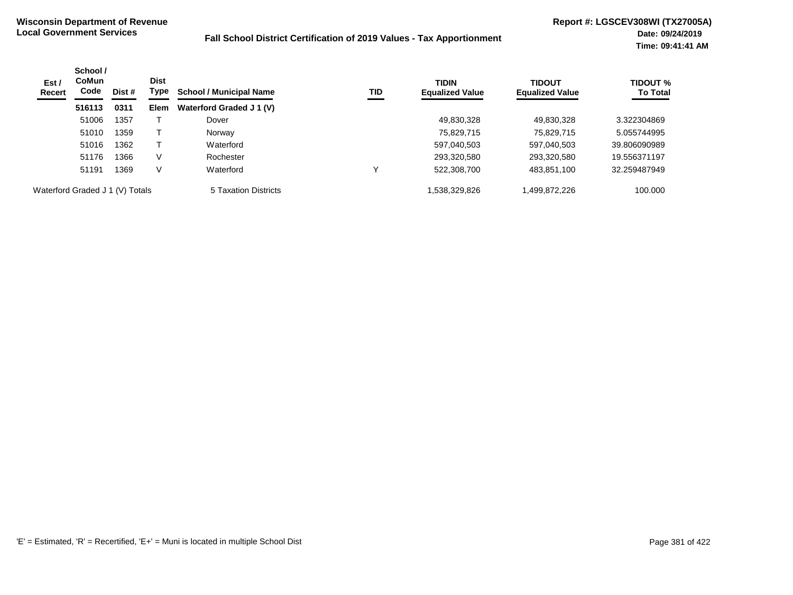| Est /<br>Recert                 | School /<br><b>CoMun</b><br>Code | Dist # | <b>Dist</b><br>Type | <b>School / Municipal Name</b> | TID | <b>TIDIN</b><br><b>Equalized Value</b> | <b>TIDOUT</b><br><b>Equalized Value</b> | <b>TIDOUT %</b><br><b>To Total</b> |
|---------------------------------|----------------------------------|--------|---------------------|--------------------------------|-----|----------------------------------------|-----------------------------------------|------------------------------------|
|                                 | 516113                           | 0311   | <b>Elem</b>         | Waterford Graded J 1 (V)       |     |                                        |                                         |                                    |
|                                 | 51006                            | 1357   |                     | Dover                          |     | 49,830,328                             | 49,830,328                              | 3.322304869                        |
|                                 | 51010                            | 1359   |                     | Norway                         |     | 75,829,715                             | 75.829.715                              | 5.055744995                        |
|                                 | 51016                            | 1362   |                     | Waterford                      |     | 597,040,503                            | 597,040,503                             | 39.806090989                       |
|                                 | 51176                            | 1366   | V                   | Rochester                      |     | 293,320,580                            | 293,320,580                             | 19.556371197                       |
|                                 | 51191                            | 1369   | V                   | Waterford                      | v   | 522,308,700                            | 483,851,100                             | 32.259487949                       |
| Waterford Graded J 1 (V) Totals |                                  |        |                     | 5 Taxation Districts           |     | 538,329,826.                           | 1,499,872,226                           | 100.000                            |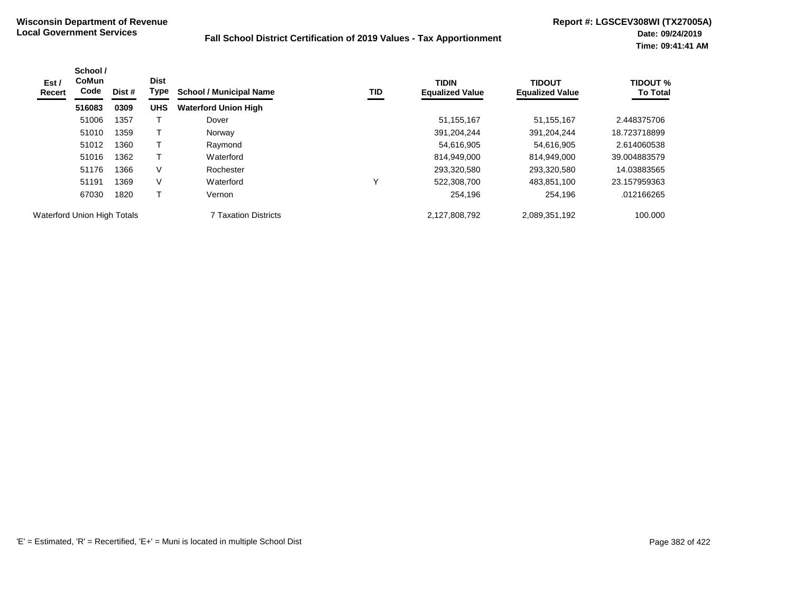| Est /<br>Recert                    | School /<br><b>CoMun</b><br>Code | Dist # | <b>Dist</b><br>Type | <b>School / Municipal Name</b> | TID | <b>TIDIN</b><br><b>Equalized Value</b> | <b>TIDOUT</b><br><b>Equalized Value</b> | <b>TIDOUT %</b><br><b>To Total</b> |
|------------------------------------|----------------------------------|--------|---------------------|--------------------------------|-----|----------------------------------------|-----------------------------------------|------------------------------------|
|                                    | 516083                           | 0309   | <b>UHS</b>          | <b>Waterford Union High</b>    |     |                                        |                                         |                                    |
|                                    | 51006                            | 1357   |                     | Dover                          |     | 51, 155, 167                           | 51,155,167                              | 2.448375706                        |
|                                    | 51010                            | 1359   |                     | Norway                         |     | 391,204,244                            | 391,204,244                             | 18.723718899                       |
|                                    | 51012                            | 1360   |                     | Raymond                        |     | 54,616,905                             | 54,616,905                              | 2.614060538                        |
|                                    | 51016                            | 1362   |                     | Waterford                      |     | 814,949,000                            | 814,949,000                             | 39.004883579                       |
|                                    | 51176                            | 1366   | V                   | Rochester                      |     | 293,320,580                            | 293,320,580                             | 14.03883565                        |
|                                    | 51191                            | 1369   | V                   | Waterford                      | v   | 522,308,700                            | 483,851,100                             | 23.157959363                       |
|                                    | 67030                            | 1820   |                     | Vernon                         |     | 254,196                                | 254,196                                 | .012166265                         |
| <b>Waterford Union High Totals</b> |                                  |        |                     | <b>7 Taxation Districts</b>    |     | 2,127,808,792                          | 2,089,351,192                           | 100.000                            |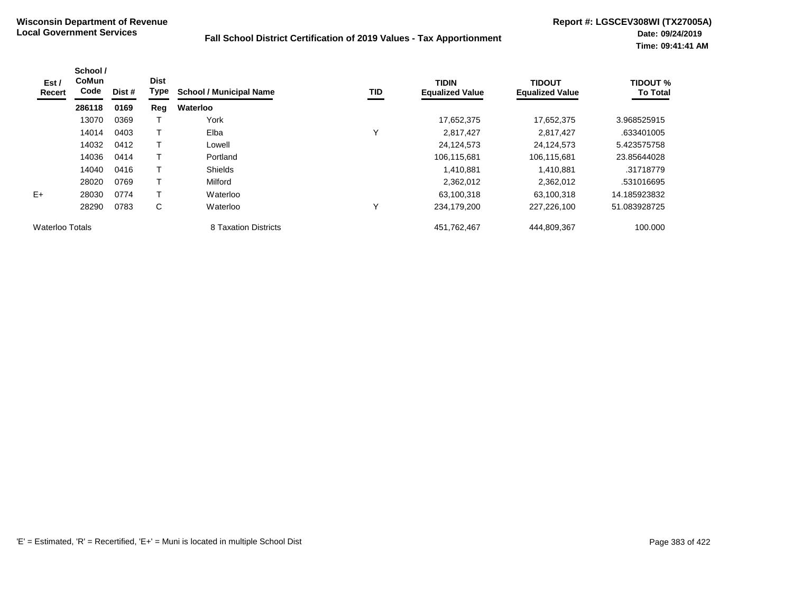| Est /<br>Recert        | School /<br><b>CoMun</b><br>Code | Dist # | <b>Dist</b><br>Type | <b>School / Municipal Name</b> | TID          | <b>TIDIN</b><br><b>Equalized Value</b> | <b>TIDOUT</b><br><b>Equalized Value</b> | <b>TIDOUT %</b><br><b>To Total</b> |
|------------------------|----------------------------------|--------|---------------------|--------------------------------|--------------|----------------------------------------|-----------------------------------------|------------------------------------|
|                        | 286118                           | 0169   | Reg                 | Waterloo                       |              |                                        |                                         |                                    |
|                        | 13070                            | 0369   |                     | York                           |              | 17,652,375                             | 17,652,375                              | 3.968525915                        |
|                        | 14014                            | 0403   | т                   | Elba                           | v            | 2,817,427                              | 2,817,427                               | .633401005                         |
|                        | 14032                            | 0412   | т                   | Lowell                         |              | 24,124,573                             | 24,124,573                              | 5.423575758                        |
|                        | 14036                            | 0414   | т                   | Portland                       |              | 106,115,681                            | 106,115,681                             | 23.85644028                        |
|                        | 14040                            | 0416   | т                   | <b>Shields</b>                 |              | 1,410,881                              | 1,410,881                               | .31718779                          |
|                        | 28020                            | 0769   | T                   | Milford                        |              | 2,362,012                              | 2,362,012                               | .531016695                         |
| $E+$                   | 28030                            | 0774   |                     | Waterloo                       |              | 63,100,318                             | 63,100,318                              | 14.185923832                       |
|                        | 28290                            | 0783   | C                   | Waterloo                       | $\checkmark$ | 234,179,200                            | 227,226,100                             | 51.083928725                       |
| <b>Waterloo Totals</b> |                                  |        |                     | 8 Taxation Districts           |              | 451,762,467                            | 444,809,367                             | 100.000                            |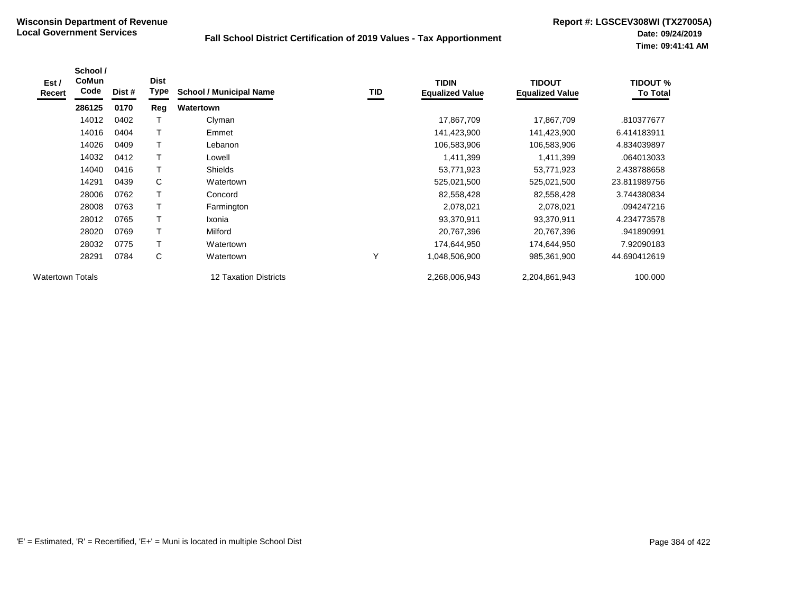| Est /<br><b>Recert</b>  | School /<br><b>CoMun</b><br>Code | Dist # | <b>Dist</b><br>Type | <b>School / Municipal Name</b> | TID | <b>TIDIN</b><br><b>Equalized Value</b> | <b>TIDOUT</b><br><b>Equalized Value</b> | <b>TIDOUT %</b><br><b>To Total</b> |
|-------------------------|----------------------------------|--------|---------------------|--------------------------------|-----|----------------------------------------|-----------------------------------------|------------------------------------|
|                         | 286125                           | 0170   | Reg                 | Watertown                      |     |                                        |                                         |                                    |
|                         | 14012                            | 0402   |                     | Clyman                         |     | 17,867,709                             | 17,867,709                              | .810377677                         |
|                         | 14016                            | 0404   | T                   | Emmet                          |     | 141,423,900                            | 141,423,900                             | 6.414183911                        |
|                         | 14026                            | 0409   |                     | Lebanon                        |     | 106,583,906                            | 106,583,906                             | 4.834039897                        |
|                         | 14032                            | 0412   |                     | Lowell                         |     | 1,411,399                              | 1,411,399                               | .064013033                         |
|                         | 14040                            | 0416   |                     | <b>Shields</b>                 |     | 53,771,923                             | 53,771,923                              | 2.438788658                        |
|                         | 14291                            | 0439   | C                   | Watertown                      |     | 525,021,500                            | 525,021,500                             | 23.811989756                       |
|                         | 28006                            | 0762   | T                   | Concord                        |     | 82,558,428                             | 82,558,428                              | 3.744380834                        |
|                         | 28008                            | 0763   | T                   | Farmington                     |     | 2,078,021                              | 2,078,021                               | .094247216                         |
|                         | 28012                            | 0765   | T                   | Ixonia                         |     | 93,370,911                             | 93,370,911                              | 4.234773578                        |
|                         | 28020                            | 0769   | T                   | Milford                        |     | 20,767,396                             | 20,767,396                              | .941890991                         |
|                         | 28032                            | 0775   |                     | Watertown                      |     | 174,644,950                            | 174,644,950                             | 7.92090183                         |
|                         | 28291                            | 0784   | C                   | Watertown                      | Υ   | 1,048,506,900                          | 985,361,900                             | 44.690412619                       |
| <b>Watertown Totals</b> |                                  |        |                     | 12 Taxation Districts          |     | 2,268,006,943                          | 2,204,861,943                           | 100.000                            |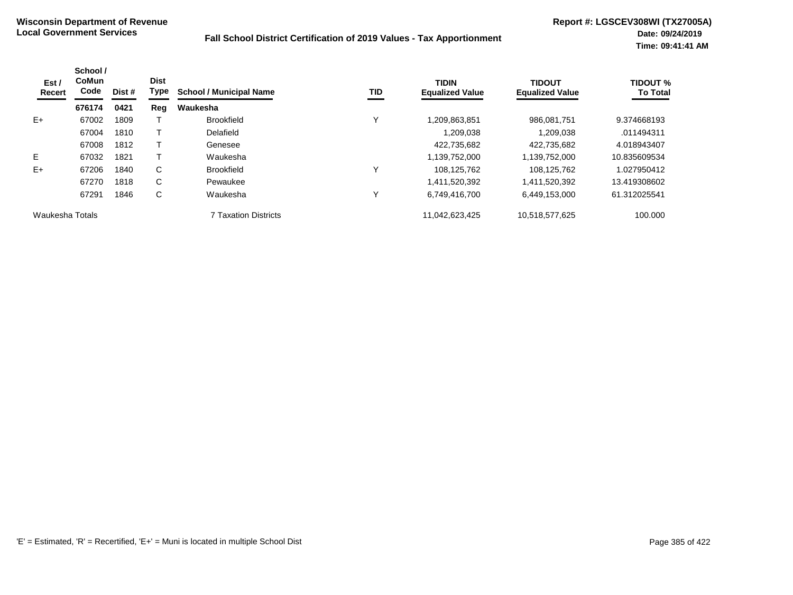| Est /<br>Recert | School /<br>CoMun<br>Code | Dist # | <b>Dist</b><br>Type | <b>School / Municipal Name</b> | <b>TID</b> | <b>TIDIN</b><br><b>Equalized Value</b> | <b>TIDOUT</b><br><b>Equalized Value</b> | <b>TIDOUT %</b><br><b>To Total</b> |
|-----------------|---------------------------|--------|---------------------|--------------------------------|------------|----------------------------------------|-----------------------------------------|------------------------------------|
|                 | 676174                    | 0421   | Reg                 | Waukesha                       |            |                                        |                                         |                                    |
| $E+$            | 67002                     | 1809   |                     | <b>Brookfield</b>              | v          | 1,209,863,851                          | 986,081,751                             | 9.374668193                        |
|                 | 67004                     | 1810   |                     | Delafield                      |            | .209.038                               | 1.209.038                               | .011494311                         |
|                 | 67008                     | 1812   |                     | Genesee                        |            | 422.735.682                            | 422.735.682                             | 4.018943407                        |
| E.              | 67032                     | 1821   |                     | Waukesha                       |            | 1,139,752,000                          | 1,139,752,000                           | 10.835609534                       |
| $E+$            | 67206                     | 1840   | C                   | <b>Brookfield</b>              | ν          | 108,125,762                            | 108.125.762                             | 1.027950412                        |
|                 | 67270                     | 1818   | C                   | Pewaukee                       |            | 1,411,520,392                          | 1,411,520,392                           | 13.419308602                       |
|                 | 67291                     | 1846   | C                   | Waukesha                       | ν          | 6,749,416,700                          | 6,449,153,000                           | 61.312025541                       |
| Waukesha Totals |                           |        |                     | 7 Taxation Districts           |            | 11,042,623,425                         | 10,518,577,625                          | 100.000                            |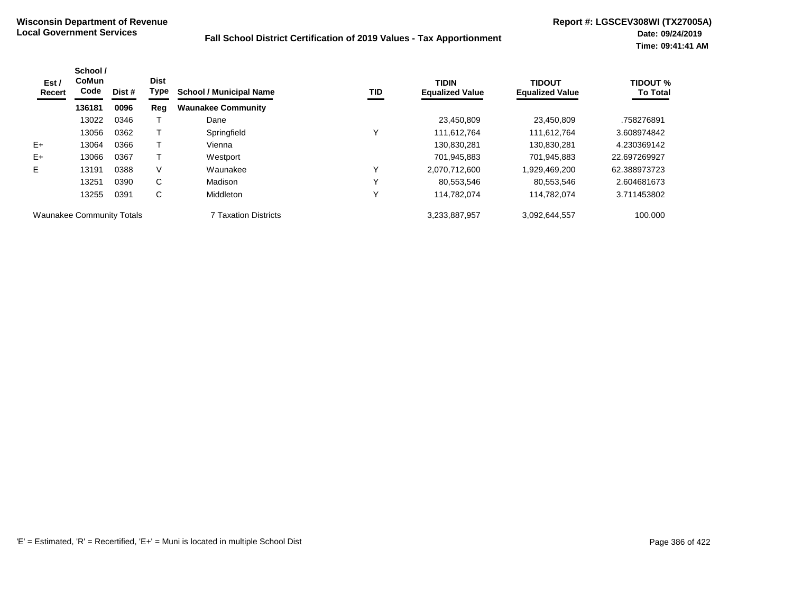| Est /<br>Recert                  | School /<br><b>CoMun</b><br>Code | Dist # | <b>Dist</b><br>Type | <b>School / Municipal Name</b> | <b>TID</b> | <b>TIDIN</b><br><b>Equalized Value</b> | <b>TIDOUT</b><br><b>Equalized Value</b> | <b>TIDOUT %</b><br><b>To Total</b> |
|----------------------------------|----------------------------------|--------|---------------------|--------------------------------|------------|----------------------------------------|-----------------------------------------|------------------------------------|
|                                  | 136181                           | 0096   | Reg                 | <b>Waunakee Community</b>      |            |                                        |                                         |                                    |
|                                  | 13022                            | 0346   |                     | Dane                           |            | 23,450,809                             | 23,450,809                              | .758276891                         |
|                                  | 13056                            | 0362   |                     | Springfield                    | Y          | 111,612,764                            | 111.612.764                             | 3.608974842                        |
| $E+$                             | 13064                            | 0366   |                     | Vienna                         |            | 130,830,281                            | 130,830,281                             | 4.230369142                        |
| $E+$                             | 13066                            | 0367   |                     | Westport                       |            | 701,945,883                            | 701,945,883                             | 22.697269927                       |
| E.                               | 13191                            | 0388   | V                   | Waunakee                       | ν          | 2,070,712,600                          | 1,929,469,200                           | 62.388973723                       |
|                                  | 13251                            | 0390   | C                   | Madison                        | ν          | 80,553,546                             | 80,553,546                              | 2.604681673                        |
|                                  | 13255                            | 0391   | C                   | Middleton                      | ν          | 114,782,074                            | 114,782,074                             | 3.711453802                        |
| <b>Waunakee Community Totals</b> |                                  |        |                     | <b>7 Taxation Districts</b>    |            | 3,233,887,957                          | 3,092,644,557                           | 100.000                            |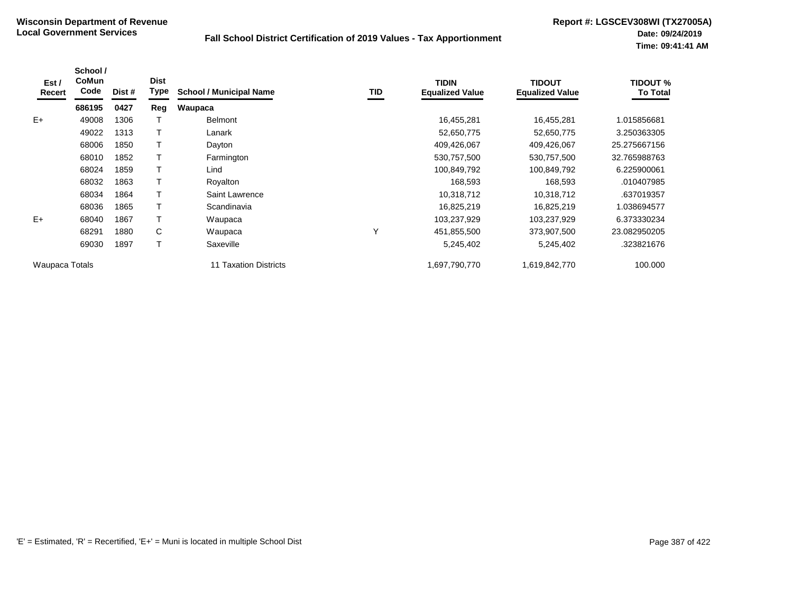| Est /<br>Recert | School /<br><b>CoMun</b><br>Code | Dist # | <b>Dist</b><br><b>Type</b> | <b>School / Municipal Name</b>  | TID          | <b>TIDIN</b><br><b>Equalized Value</b> | <b>TIDOUT</b><br><b>Equalized Value</b> | TIDOUT %<br><b>To Total</b> |
|-----------------|----------------------------------|--------|----------------------------|---------------------------------|--------------|----------------------------------------|-----------------------------------------|-----------------------------|
|                 | 686195                           | 0427   | Reg                        | Waupaca                         |              |                                        |                                         |                             |
| $E+$            | 49008                            | 1306   |                            | <b>Belmont</b>                  |              | 16,455,281                             | 16,455,281                              | 1.015856681                 |
|                 | 49022                            | 1313   |                            | Lanark                          |              | 52,650,775                             | 52,650,775                              | 3.250363305                 |
|                 | 68006                            | 1850   |                            | Dayton                          |              | 409,426,067                            | 409,426,067                             | 25.275667156                |
|                 | 68010                            | 1852   |                            | Farmington                      |              | 530,757,500                            | 530,757,500                             | 32.765988763                |
|                 | 68024                            | 1859   |                            | Lind                            |              | 100,849,792                            | 100,849,792                             | 6.225900061                 |
|                 | 68032                            | 1863   |                            | Royalton                        |              | 168,593                                | 168,593                                 | .010407985                  |
|                 | 68034                            | 1864   |                            | Saint Lawrence                  |              | 10,318,712                             | 10,318,712                              | .637019357                  |
|                 | 68036                            | 1865   |                            | Scandinavia                     |              | 16,825,219                             | 16,825,219                              | 1.038694577                 |
| $E+$            | 68040                            | 1867   |                            | Waupaca                         |              | 103,237,929                            | 103,237,929                             | 6.373330234                 |
|                 | 68291                            | 1880   | C                          | Waupaca                         | $\checkmark$ | 451,855,500                            | 373,907,500                             | 23.082950205                |
|                 | 69030                            | 1897   |                            | Saxeville                       |              | 5,245,402                              | 5,245,402                               | .323821676                  |
| Waupaca Totals  |                                  |        |                            | <b>Taxation Districts</b><br>11 |              | 1,697,790,770                          | 1,619,842,770                           | 100.000                     |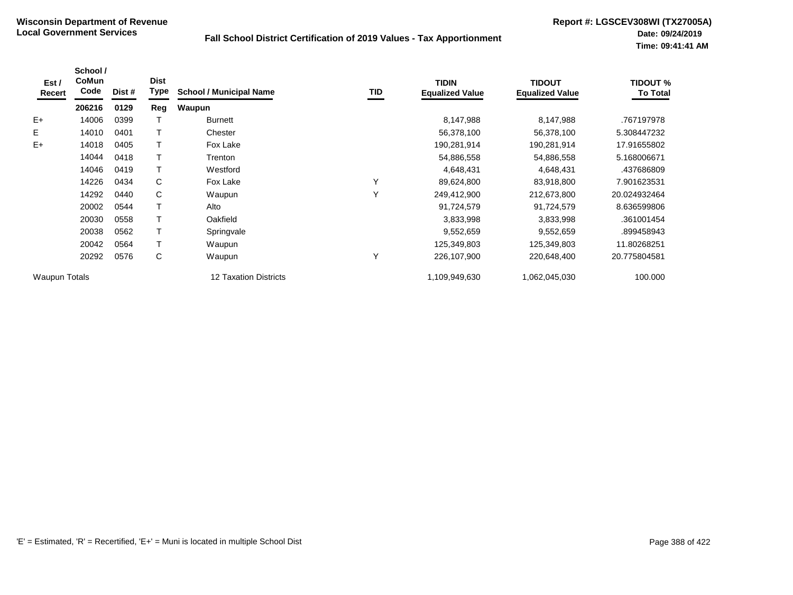| Est /<br>Recert      | School /<br><b>CoMun</b><br>Code | Dist # | <b>Dist</b><br><b>Type</b> | <b>School / Municipal Name</b> | TID | <b>TIDIN</b><br><b>Equalized Value</b> | <b>TIDOUT</b><br><b>Equalized Value</b> | <b>TIDOUT %</b><br><b>To Total</b> |
|----------------------|----------------------------------|--------|----------------------------|--------------------------------|-----|----------------------------------------|-----------------------------------------|------------------------------------|
|                      | 206216                           | 0129   | Reg                        | Waupun                         |     |                                        |                                         |                                    |
| $E+$                 | 14006                            | 0399   |                            | <b>Burnett</b>                 |     | 8,147,988                              | 8,147,988                               | .767197978                         |
| E                    | 14010                            | 0401   |                            | Chester                        |     | 56,378,100                             | 56,378,100                              | 5.308447232                        |
| $E+$                 | 14018                            | 0405   |                            | Fox Lake                       |     | 190,281,914                            | 190,281,914                             | 17.91655802                        |
|                      | 14044                            | 0418   |                            | Trenton                        |     | 54,886,558                             | 54,886,558                              | 5.168006671                        |
|                      | 14046                            | 0419   |                            | Westford                       |     | 4,648,431                              | 4,648,431                               | .437686809                         |
|                      | 14226                            | 0434   | C                          | Fox Lake                       | Y   | 89,624,800                             | 83,918,800                              | 7.901623531                        |
|                      | 14292                            | 0440   | C                          | Waupun                         | Y   | 249,412,900                            | 212,673,800                             | 20.024932464                       |
|                      | 20002                            | 0544   |                            | Alto                           |     | 91,724,579                             | 91,724,579                              | 8.636599806                        |
|                      | 20030                            | 0558   |                            | Oakfield                       |     | 3,833,998                              | 3,833,998                               | .361001454                         |
|                      | 20038                            | 0562   |                            | Springvale                     |     | 9,552,659                              | 9,552,659                               | .899458943                         |
|                      | 20042                            | 0564   |                            | Waupun                         |     | 125,349,803                            | 125,349,803                             | 11.80268251                        |
|                      | 20292                            | 0576   | С                          | Waupun                         | Y   | 226,107,900                            | 220,648,400                             | 20.775804581                       |
| <b>Waupun Totals</b> |                                  |        |                            | 12 Taxation Districts          |     | 1,109,949,630                          | 1,062,045,030                           | 100.000                            |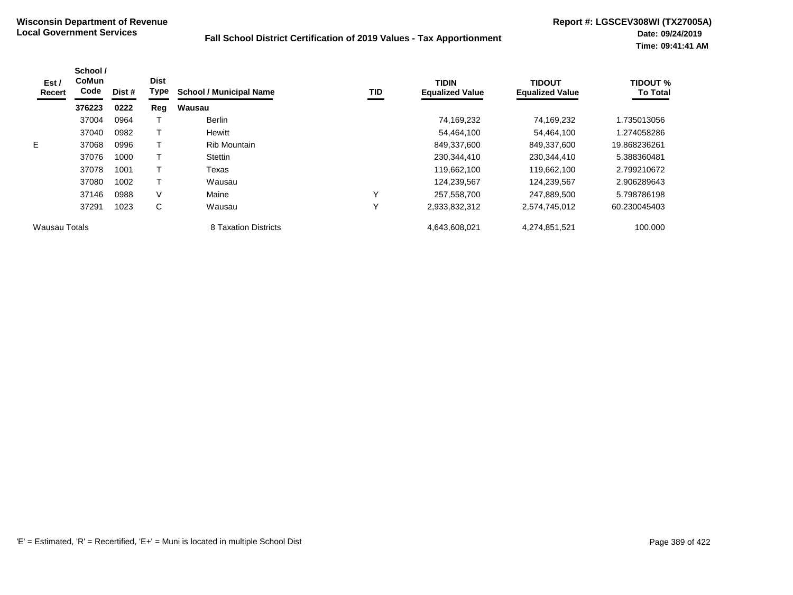| Est /<br>Recert | School /<br><b>CoMun</b><br>Code | Dist # | <b>Dist</b><br><b>Type</b> | <b>School / Municipal Name</b> | TID          | <b>TIDIN</b><br><b>Equalized Value</b> | <b>TIDOUT</b><br><b>Equalized Value</b> | TIDOUT %<br><b>To Total</b> |
|-----------------|----------------------------------|--------|----------------------------|--------------------------------|--------------|----------------------------------------|-----------------------------------------|-----------------------------|
|                 | 376223                           | 0222   | Reg                        | Wausau                         |              |                                        |                                         |                             |
|                 | 37004                            | 0964   |                            | <b>Berlin</b>                  |              | 74,169,232                             | 74.169.232                              | 1.735013056                 |
|                 | 37040                            | 0982   |                            | Hewitt                         |              | 54,464,100                             | 54,464,100                              | 1.274058286                 |
| E.              | 37068                            | 0996   |                            | <b>Rib Mountain</b>            |              | 849,337,600                            | 849,337,600                             | 19.868236261                |
|                 | 37076                            | 1000   |                            | <b>Stettin</b>                 |              | 230,344,410                            | 230,344,410                             | 5.388360481                 |
|                 | 37078                            | 1001   |                            | Texas                          |              | 119,662,100                            | 119,662,100                             | 2.799210672                 |
|                 | 37080                            | 1002   |                            | Wausau                         |              | 124,239,567                            | 124,239,567                             | 2.906289643                 |
|                 | 37146                            | 0988   | V                          | Maine                          | v            | 257,558,700                            | 247,889,500                             | 5.798786198                 |
|                 | 37291                            | 1023   | C                          | Wausau                         | $\checkmark$ | 2,933,832,312                          | 2,574,745,012                           | 60.230045403                |
| Wausau Totals   |                                  |        |                            | 8 Taxation Districts           |              | 4,643,608,021                          | 4,274,851,521                           | 100.000                     |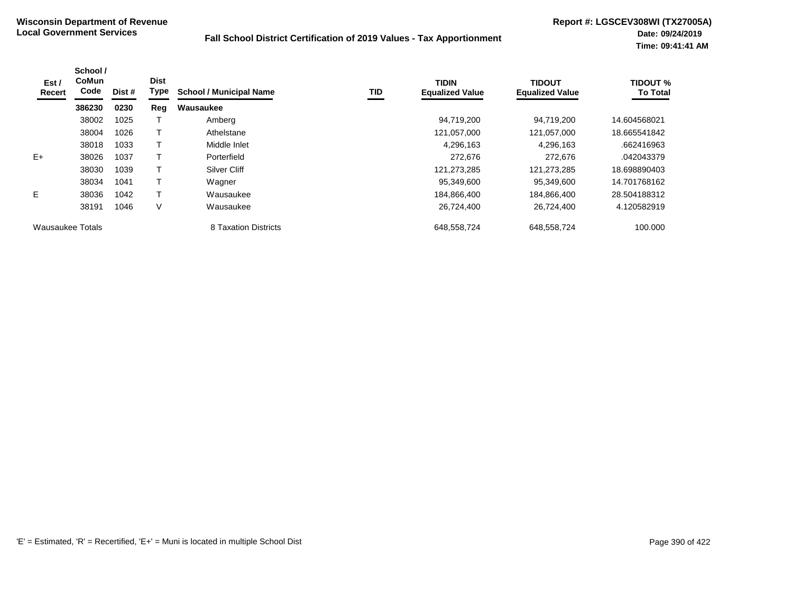| Est /<br>Recert  | School /<br><b>CoMun</b><br>Code | Dist # | <b>Dist</b><br><b>Type</b> | <b>School / Municipal Name</b> | TID | <b>TIDIN</b><br><b>Equalized Value</b> | <b>TIDOUT</b><br><b>Equalized Value</b> | <b>TIDOUT %</b><br><b>To Total</b> |
|------------------|----------------------------------|--------|----------------------------|--------------------------------|-----|----------------------------------------|-----------------------------------------|------------------------------------|
|                  | 386230                           | 0230   | Reg                        | Wausaukee                      |     |                                        |                                         |                                    |
|                  | 38002                            | 1025   |                            | Amberg                         |     | 94,719,200                             | 94,719,200                              | 14.604568021                       |
|                  | 38004                            | 1026   |                            | Athelstane                     |     | 121,057,000                            | 121,057,000                             | 18.665541842                       |
|                  | 38018                            | 1033   |                            | Middle Inlet                   |     | 4,296,163                              | 4,296,163                               | .662416963                         |
| $E+$             | 38026                            | 1037   |                            | Porterfield                    |     | 272.676                                | 272.676                                 | .042043379                         |
|                  | 38030                            | 1039   |                            | Silver Cliff                   |     | 121,273,285                            | 121,273,285                             | 18.698890403                       |
|                  | 38034                            | 1041   |                            | Wagner                         |     | 95,349,600                             | 95,349,600                              | 14.701768162                       |
| E.               | 38036                            | 1042   |                            | Wausaukee                      |     | 184,866,400                            | 184,866,400                             | 28.504188312                       |
|                  | 38191                            | 1046   | V                          | Wausaukee                      |     | 26,724,400                             | 26,724,400                              | 4.120582919                        |
| Wausaukee Totals |                                  |        |                            | 8 Taxation Districts           |     | 648,558,724                            | 648,558,724                             | 100.000                            |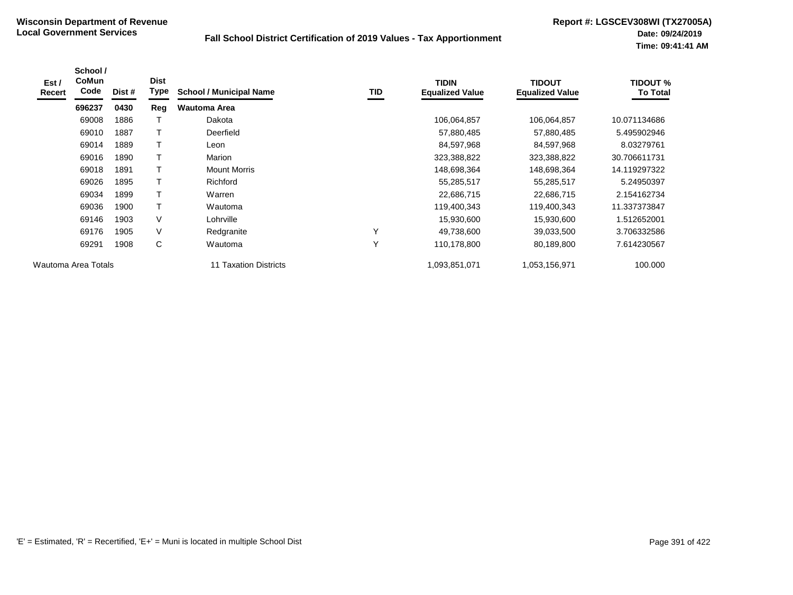| Est /<br>Recert | School /<br><b>CoMun</b><br>Code | Dist # | <b>Dist</b><br>Type | <b>School / Municipal Name</b> | TID          | <b>TIDIN</b><br><b>Equalized Value</b> | <b>TIDOUT</b><br><b>Equalized Value</b> | <b>TIDOUT %</b><br><b>To Total</b> |
|-----------------|----------------------------------|--------|---------------------|--------------------------------|--------------|----------------------------------------|-----------------------------------------|------------------------------------|
|                 | 696237                           | 0430   | Reg                 | <b>Wautoma Area</b>            |              |                                        |                                         |                                    |
|                 | 69008                            | 1886   |                     | Dakota                         |              | 106,064,857                            | 106,064,857                             | 10.071134686                       |
|                 | 69010                            | 1887   | T                   | Deerfield                      |              | 57,880,485                             | 57,880,485                              | 5.495902946                        |
|                 | 69014                            | 1889   | $\mathsf{T}$        | Leon                           |              | 84,597,968                             | 84,597,968                              | 8.03279761                         |
|                 | 69016                            | 1890   | T                   | Marion                         |              | 323,388,822                            | 323,388,822                             | 30.706611731                       |
|                 | 69018                            | 1891   | $\mathsf{T}$        | <b>Mount Morris</b>            |              | 148,698,364                            | 148,698,364                             | 14.119297322                       |
|                 | 69026                            | 1895   | $\mathsf{T}$        | Richford                       |              | 55,285,517                             | 55,285,517                              | 5.24950397                         |
|                 | 69034                            | 1899   | $\mathsf{T}$        | Warren                         |              | 22,686,715                             | 22,686,715                              | 2.154162734                        |
|                 | 69036                            | 1900   | $\mathsf T$         | Wautoma                        |              | 119,400,343                            | 119,400,343                             | 11.337373847                       |
|                 | 69146                            | 1903   | V                   | Lohrville                      |              | 15,930,600                             | 15,930,600                              | 1.512652001                        |
|                 | 69176                            | 1905   | V                   | Redgranite                     | Υ            | 49,738,600                             | 39,033,500                              | 3.706332586                        |
|                 | 69291                            | 1908   | С                   | Wautoma                        | $\checkmark$ | 110,178,800                            | 80,189,800                              | 7.614230567                        |
|                 | Wautoma Area Totals              |        |                     | <b>11 Taxation Districts</b>   |              | ,093,851,071                           | 1,053,156,971                           | 100.000                            |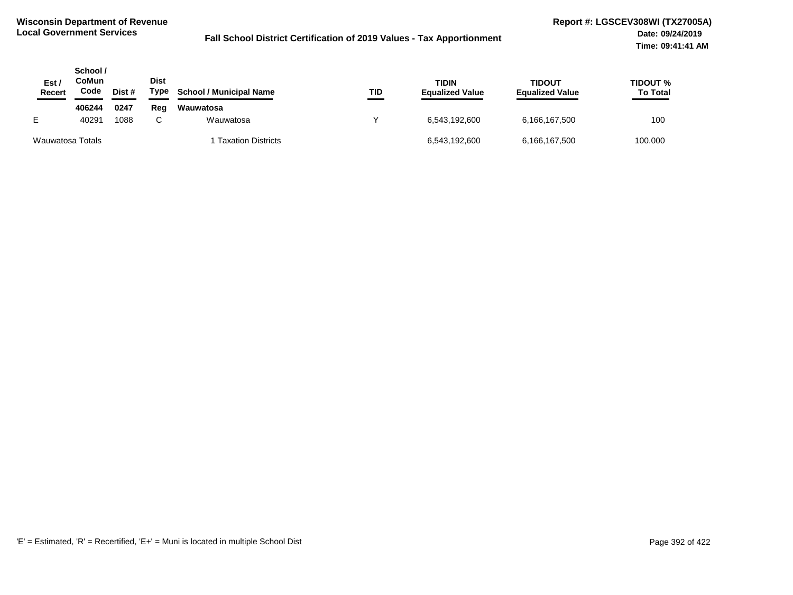| Est<br><b>Recert</b> | School /<br>CoMun<br>Code | Dist # | Dist<br>Type | <b>School / Municipal Name</b> | TID | <b>TIDIN</b><br><b>Equalized Value</b> | <b>TIDOUT</b><br><b>Equalized Value</b> | TIDOUT %<br><b>To Total</b> |
|----------------------|---------------------------|--------|--------------|--------------------------------|-----|----------------------------------------|-----------------------------------------|-----------------------------|
|                      | 406244                    | 0247   | Reg          | Wauwatosa                      |     |                                        |                                         |                             |
| E.                   | 40291                     | 1088   |              | Wauwatosa                      |     | 6.543.192.600                          | 6,166,167,500                           | 100                         |
| Wauwatosa Totals     |                           |        |              | <b>Taxation Districts</b>      |     | 6,543,192,600                          | 6,166,167,500                           | 100.000                     |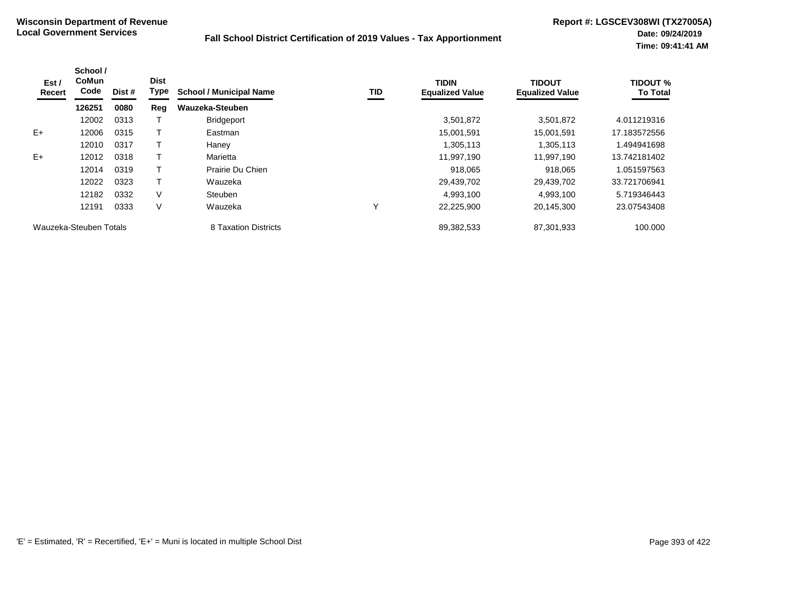| Est /<br>Recert        | School /<br><b>CoMun</b><br>Code | Dist # | <b>Dist</b><br>Type | <b>School / Municipal Name</b> | TID | <b>TIDIN</b><br><b>Equalized Value</b> | <b>TIDOUT</b><br><b>Equalized Value</b> | <b>TIDOUT %</b><br><b>To Total</b> |
|------------------------|----------------------------------|--------|---------------------|--------------------------------|-----|----------------------------------------|-----------------------------------------|------------------------------------|
|                        | 126251                           | 0080   | Reg                 | Wauzeka-Steuben                |     |                                        |                                         |                                    |
|                        | 12002                            | 0313   |                     | <b>Bridgeport</b>              |     | 3,501,872                              | 3,501,872                               | 4.011219316                        |
| $E+$                   | 12006                            | 0315   |                     | Eastman                        |     | 15,001,591                             | 15,001,591                              | 17.183572556                       |
|                        | 12010                            | 0317   |                     | Haney                          |     | 1,305,113                              | 1,305,113                               | 1.494941698                        |
| $E+$                   | 12012                            | 0318   |                     | Marietta                       |     | 11,997,190                             | 11,997,190                              | 13.742181402                       |
|                        | 12014                            | 0319   |                     | Prairie Du Chien               |     | 918.065                                | 918,065                                 | 1.051597563                        |
|                        | 12022                            | 0323   |                     | Wauzeka                        |     | 29,439,702                             | 29,439,702                              | 33.721706941                       |
|                        | 12182                            | 0332   | V                   | Steuben                        |     | 4,993,100                              | 4,993,100                               | 5.719346443                        |
|                        | 12191                            | 0333   | V                   | Wauzeka                        | Υ   | 22,225,900                             | 20,145,300                              | 23.07543408                        |
| Wauzeka-Steuben Totals |                                  |        |                     | 8 Taxation Districts           |     | 89,382,533                             | 87,301,933                              | 100.000                            |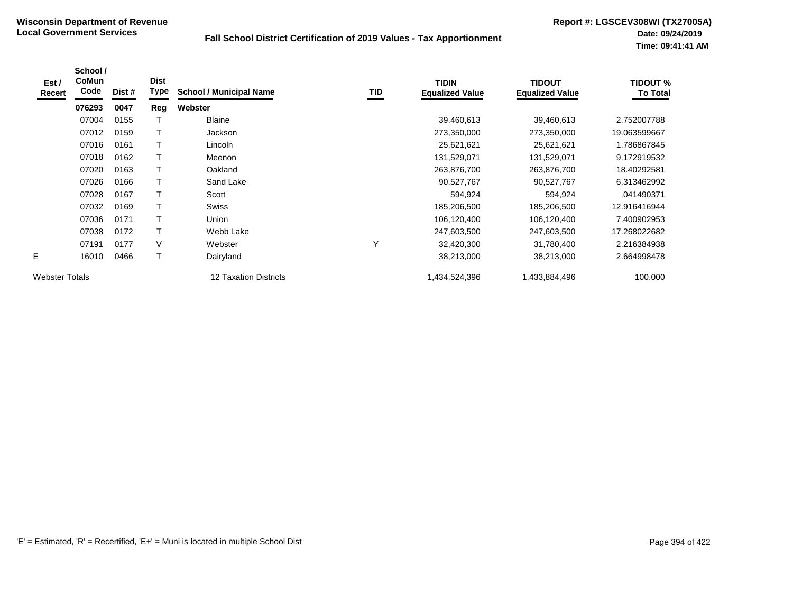| Est /<br>Recert       | School /<br><b>CoMun</b><br>Code | Dist # | <b>Dist</b><br>Type | <b>School / Municipal Name</b> | TID | <b>TIDIN</b><br><b>Equalized Value</b> | <b>TIDOUT</b><br><b>Equalized Value</b> | <b>TIDOUT %</b><br><b>To Total</b> |
|-----------------------|----------------------------------|--------|---------------------|--------------------------------|-----|----------------------------------------|-----------------------------------------|------------------------------------|
|                       | 076293                           | 0047   | Reg                 | Webster                        |     |                                        |                                         |                                    |
|                       | 07004                            | 0155   |                     | <b>Blaine</b>                  |     | 39,460,613                             | 39,460,613                              | 2.752007788                        |
|                       | 07012                            | 0159   | $\mathsf{T}$        | Jackson                        |     | 273,350,000                            | 273,350,000                             | 19.063599667                       |
|                       | 07016                            | 0161   | $\mathsf T$         | Lincoln                        |     | 25,621,621                             | 25,621,621                              | 1.786867845                        |
|                       | 07018                            | 0162   |                     | Meenon                         |     | 131,529,071                            | 131,529,071                             | 9.172919532                        |
|                       | 07020                            | 0163   |                     | Oakland                        |     | 263,876,700                            | 263,876,700                             | 18.40292581                        |
|                       | 07026                            | 0166   |                     | Sand Lake                      |     | 90,527,767                             | 90,527,767                              | 6.313462992                        |
|                       | 07028                            | 0167   |                     | Scott                          |     | 594,924                                | 594,924                                 | .041490371                         |
|                       | 07032                            | 0169   |                     | <b>Swiss</b>                   |     | 185,206,500                            | 185,206,500                             | 12.916416944                       |
|                       | 07036                            | 0171   |                     | Union                          |     | 106,120,400                            | 106,120,400                             | 7.400902953                        |
|                       | 07038                            | 0172   | $\mathsf{T}$        | Webb Lake                      |     | 247,603,500                            | 247,603,500                             | 17.268022682                       |
|                       | 07191                            | 0177   | V                   | Webster                        | ٧   | 32,420,300                             | 31,780,400                              | 2.216384938                        |
| E                     | 16010                            | 0466   | $\mathsf{T}$        | Dairyland                      |     | 38,213,000                             | 38,213,000                              | 2.664998478                        |
| <b>Webster Totals</b> |                                  |        |                     | 12 Taxation Districts          |     | 1,434,524,396                          | 1,433,884,496                           | 100.000                            |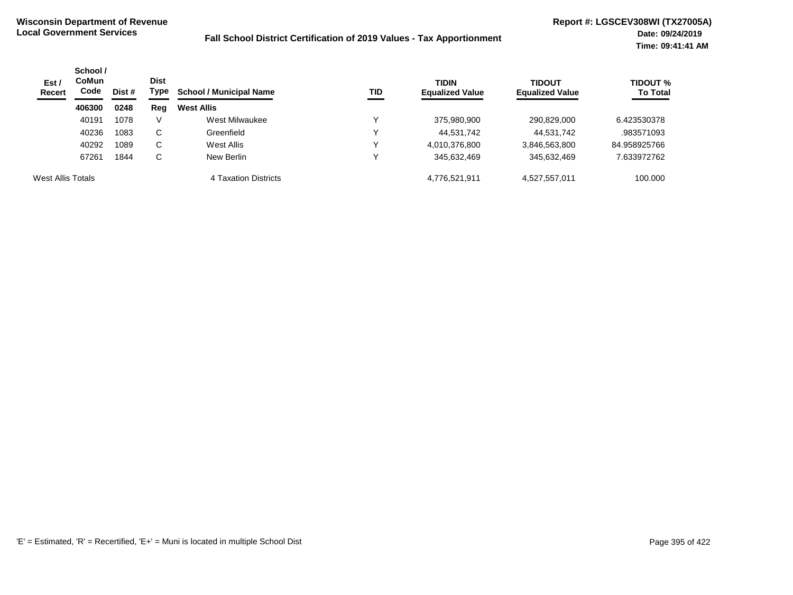| Est/<br><b>Recert</b> | School /<br><b>CoMun</b><br>Code | Dist # | <b>Dist</b><br>Type | <b>School / Municipal Name</b><br>TID | <b>TIDIN</b><br><b>Equalized Value</b> | <b>TIDOUT</b><br><b>Equalized Value</b> | <b>TIDOUT %</b><br><b>To Total</b> |              |
|-----------------------|----------------------------------|--------|---------------------|---------------------------------------|----------------------------------------|-----------------------------------------|------------------------------------|--------------|
|                       | 406300                           | 0248   | Reg                 | <b>West Allis</b>                     |                                        |                                         |                                    |              |
|                       | 40191                            | 1078   | $\vee$              | West Milwaukee                        | v                                      | 375,980,900                             | 290,829,000                        | 6.423530378  |
|                       | 40236                            | 1083   | С                   | Greenfield                            | v                                      | 44,531,742                              | 44,531,742                         | .983571093   |
|                       | 40292                            | 1089   | С                   | West Allis                            | v                                      | 4,010,376,800                           | 3,846,563,800                      | 84.958925766 |
|                       | 67261                            | 1844   | С                   | New Berlin                            | v                                      | 345,632,469                             | 345,632,469                        | 7.633972762  |
| West Allis Totals     |                                  |        |                     | 4 Taxation Districts                  |                                        | 4,776,521,911                           | 4,527,557,011                      | 100.000      |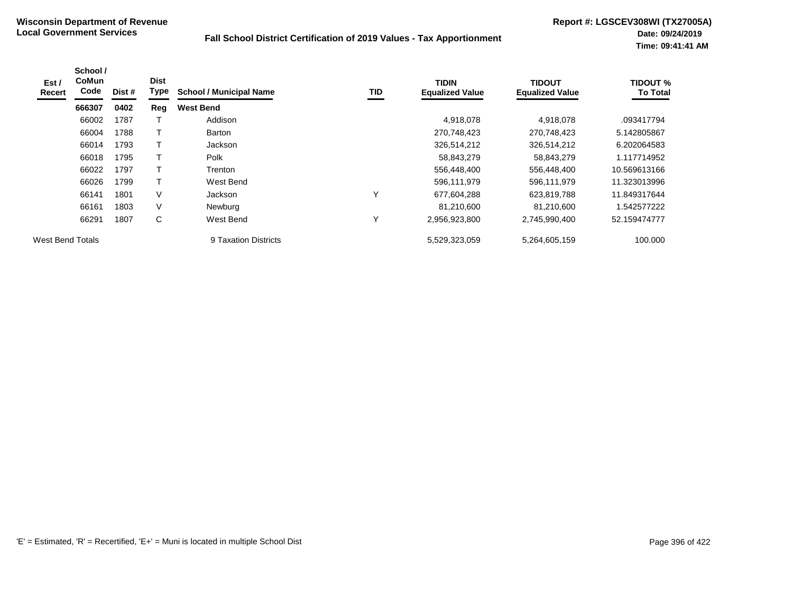| Est/<br>Recert          | School /<br><b>CoMun</b><br>Code | Dist # | <b>Dist</b><br>Type | <b>School / Municipal Name</b> | TID | <b>TIDIN</b><br><b>Equalized Value</b> | <b>TIDOUT</b><br><b>Equalized Value</b> | <b>TIDOUT %</b><br><b>To Total</b> |
|-------------------------|----------------------------------|--------|---------------------|--------------------------------|-----|----------------------------------------|-----------------------------------------|------------------------------------|
|                         | 666307                           | 0402   | Reg                 | <b>West Bend</b>               |     |                                        |                                         |                                    |
|                         | 66002                            | 1787   |                     | Addison                        |     | 4,918,078                              | 4,918,078                               | .093417794                         |
|                         | 66004                            | 1788   |                     | <b>Barton</b>                  |     | 270,748,423                            | 270,748,423                             | 5.142805867                        |
|                         | 66014                            | 1793   |                     | Jackson                        |     | 326,514,212                            | 326,514,212                             | 6.202064583                        |
|                         | 66018                            | 1795   |                     | Polk                           |     | 58,843,279                             | 58,843,279                              | 1.117714952                        |
|                         | 66022                            | 1797   | T                   | Trenton                        |     | 556,448,400                            | 556,448,400                             | 10.569613166                       |
|                         | 66026                            | 1799   |                     | West Bend                      |     | 596,111,979                            | 596,111,979                             | 11.323013996                       |
|                         | 66141                            | 1801   | V                   | Jackson                        |     | 677,604,288                            | 623,819,788                             | 11.849317644                       |
|                         | 66161                            | 1803   | V                   | Newburg                        |     | 81.210.600                             | 81,210,600                              | 1.542577222                        |
|                         | 66291                            | 1807   | C                   | West Bend                      | v   | 2,956,923,800                          | 2,745,990,400                           | 52.159474777                       |
| <b>West Bend Totals</b> |                                  |        |                     | 9 Taxation Districts           |     | 5,529,323,059                          | 5,264,605,159                           | 100.000                            |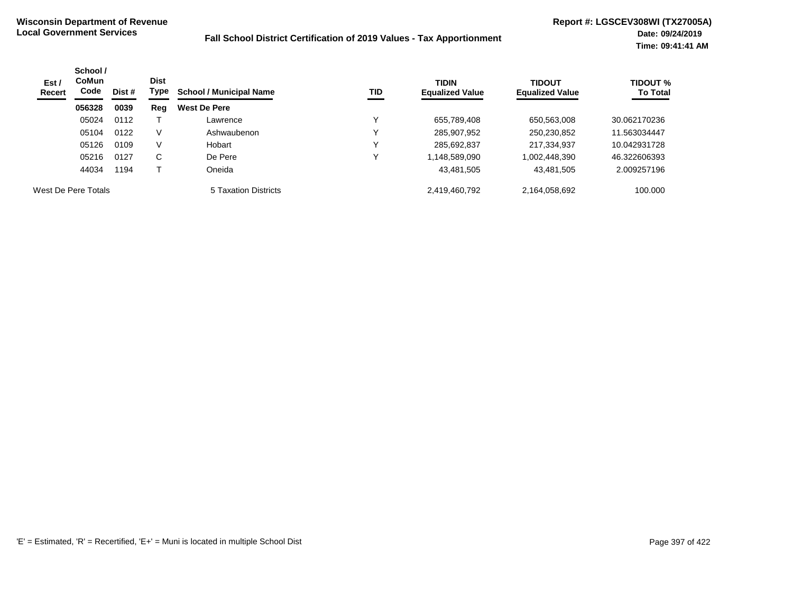| Est /<br>Recert     | School /<br><b>CoMun</b><br>Code | Dist # | <b>Dist</b><br>Type | TID<br><b>School / Municipal Name</b> | <b>TIDIN</b><br><b>Equalized Value</b> | <b>TIDOUT</b><br><b>Equalized Value</b> | <b>TIDOUT %</b><br><b>To Total</b> |              |
|---------------------|----------------------------------|--------|---------------------|---------------------------------------|----------------------------------------|-----------------------------------------|------------------------------------|--------------|
|                     | 056328                           | 0039   | Reg                 | <b>West De Pere</b>                   |                                        |                                         |                                    |              |
|                     | 05024                            | 0112   |                     | Lawrence                              |                                        | 655,789,408                             | 650,563,008                        | 30.062170236 |
|                     | 05104                            | 0122   | V                   | Ashwaubenon                           |                                        | 285,907,952                             | 250,230,852                        | 11.563034447 |
|                     | 05126                            | 0109   | V                   | Hobart                                |                                        | 285,692,837                             | 217,334,937                        | 10.042931728 |
|                     | 05216                            | 0127   | C                   | De Pere                               |                                        | 1,148,589,090                           | 002,448,390                        | 46.322606393 |
|                     | 44034                            | 1194   |                     | Oneida                                |                                        | 43,481,505                              | 43,481,505                         | 2.009257196  |
| West De Pere Totals |                                  |        |                     | 5 Taxation Districts                  |                                        | 2,419,460,792                           | 2,164,058,692                      | 100.000      |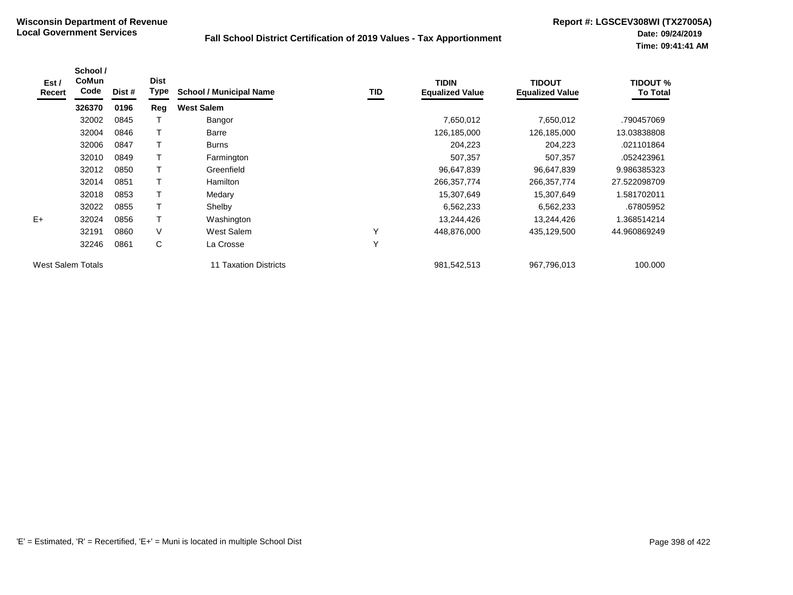| Est /<br>Recert          | School /<br>CoMun<br>Code | Dist # | <b>Dist</b><br>Type | <b>School / Municipal Name</b> | <b>TID</b> | <b>TIDIN</b><br><b>Equalized Value</b> | <b>TIDOUT</b><br><b>Equalized Value</b> | <b>TIDOUT %</b><br><b>To Total</b> |
|--------------------------|---------------------------|--------|---------------------|--------------------------------|------------|----------------------------------------|-----------------------------------------|------------------------------------|
|                          | 326370                    | 0196   | Reg                 | <b>West Salem</b>              |            |                                        |                                         |                                    |
|                          | 32002                     | 0845   |                     | Bangor                         |            | 7,650,012                              | 7,650,012                               | .790457069                         |
|                          | 32004                     | 0846   | Т                   | Barre                          |            | 126,185,000                            | 126,185,000                             | 13.03838808                        |
|                          | 32006                     | 0847   |                     | <b>Burns</b>                   |            | 204,223                                | 204,223                                 | .021101864                         |
|                          | 32010                     | 0849   |                     | Farmington                     |            | 507,357                                | 507,357                                 | .052423961                         |
|                          | 32012                     | 0850   |                     | Greenfield                     |            | 96,647,839                             | 96,647,839                              | 9.986385323                        |
|                          | 32014                     | 0851   | Т                   | Hamilton                       |            | 266,357,774                            | 266, 357, 774                           | 27.522098709                       |
|                          | 32018                     | 0853   | T.                  | Medary                         |            | 15,307,649                             | 15,307,649                              | 1.581702011                        |
|                          | 32022                     | 0855   |                     | Shelby                         |            | 6,562,233                              | 6,562,233                               | .67805952                          |
| $E+$                     | 32024                     | 0856   | T.                  | Washington                     |            | 13,244,426                             | 13,244,426                              | .368514214                         |
|                          | 32191                     | 0860   | $\vee$              | West Salem                     | Υ          | 448,876,000                            | 435,129,500                             | 44.960869249                       |
|                          | 32246                     | 0861   | С                   | La Crosse                      | Υ          |                                        |                                         |                                    |
| <b>West Salem Totals</b> |                           |        |                     | 11 Taxation Districts          |            | 981,542,513                            | 967,796,013                             | 100.000                            |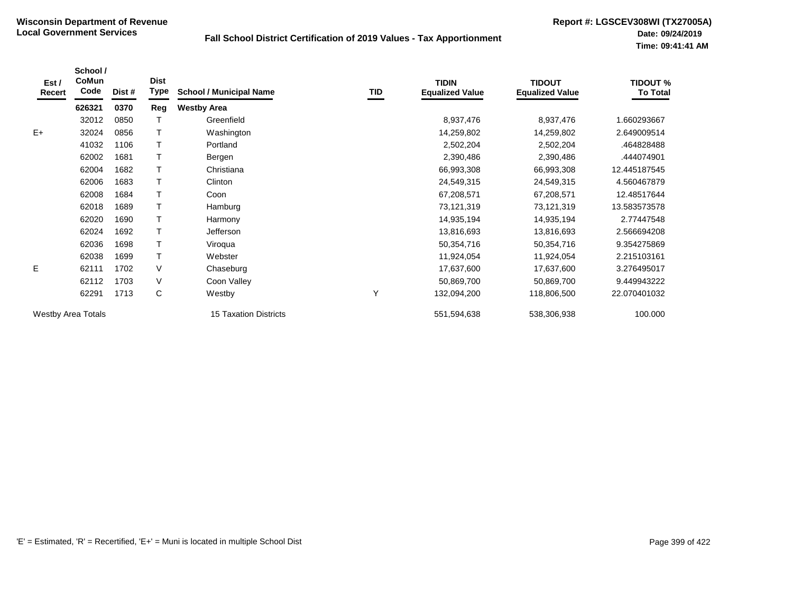| Est /<br>Recert           | School /<br><b>CoMun</b><br>Code | Dist # | <b>Dist</b><br>Type | <b>School / Municipal Name</b> | TID | <b>TIDIN</b><br><b>Equalized Value</b> | <b>TIDOUT</b><br><b>Equalized Value</b> | <b>TIDOUT %</b><br><b>To Total</b> |
|---------------------------|----------------------------------|--------|---------------------|--------------------------------|-----|----------------------------------------|-----------------------------------------|------------------------------------|
|                           | 626321                           | 0370   | Reg                 | <b>Westby Area</b>             |     |                                        |                                         |                                    |
|                           | 32012                            | 0850   |                     | Greenfield                     |     | 8,937,476                              | 8,937,476                               | 1.660293667                        |
| $E+$                      | 32024                            | 0856   |                     | Washington                     |     | 14,259,802                             | 14,259,802                              | 2.649009514                        |
|                           | 41032                            | 1106   |                     | Portland                       |     | 2,502,204                              | 2,502,204                               | .464828488                         |
|                           | 62002                            | 1681   |                     | Bergen                         |     | 2,390,486                              | 2,390,486                               | .444074901                         |
|                           | 62004                            | 1682   |                     | Christiana                     |     | 66,993,308                             | 66,993,308                              | 12.445187545                       |
|                           | 62006                            | 1683   |                     | Clinton                        |     | 24,549,315                             | 24,549,315                              | 4.560467879                        |
|                           | 62008                            | 1684   |                     | Coon                           |     | 67,208,571                             | 67,208,571                              | 12.48517644                        |
|                           | 62018                            | 1689   |                     | Hamburg                        |     | 73,121,319                             | 73,121,319                              | 13.583573578                       |
|                           | 62020                            | 1690   |                     | Harmony                        |     | 14,935,194                             | 14,935,194                              | 2.77447548                         |
|                           | 62024                            | 1692   |                     | Jefferson                      |     | 13,816,693                             | 13,816,693                              | 2.566694208                        |
|                           | 62036                            | 1698   |                     | Viroqua                        |     | 50,354,716                             | 50,354,716                              | 9.354275869                        |
|                           | 62038                            | 1699   |                     | Webster                        |     | 11,924,054                             | 11,924,054                              | 2.215103161                        |
| E.                        | 62111                            | 1702   | V                   | Chaseburg                      |     | 17,637,600                             | 17,637,600                              | 3.276495017                        |
|                           | 62112                            | 1703   | V                   | Coon Valley                    |     | 50,869,700                             | 50,869,700                              | 9.449943222                        |
|                           | 62291                            | 1713   | C                   | Westby                         | Υ   | 132,094,200                            | 118,806,500                             | 22.070401032                       |
| <b>Westby Area Totals</b> |                                  |        |                     | <b>15 Taxation Districts</b>   |     | 551,594,638                            | 538,306,938                             | 100.000                            |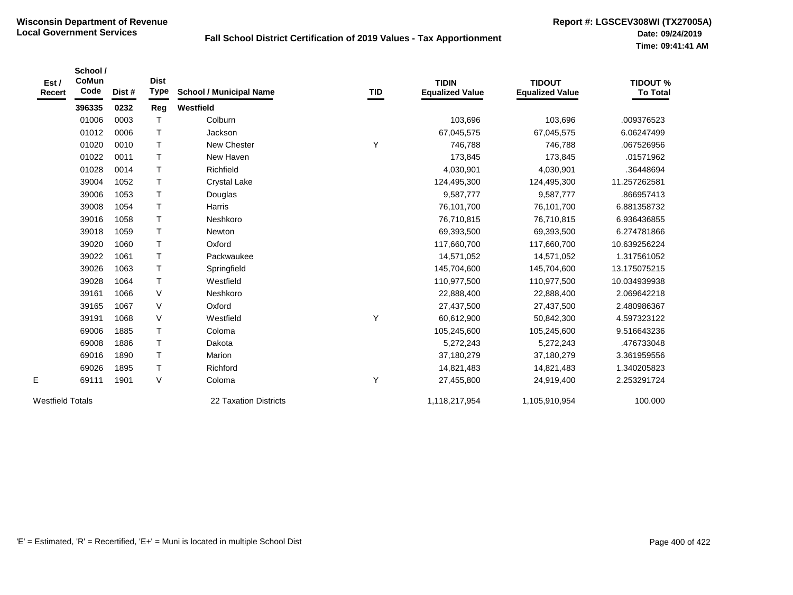|                  | School / |        |              |                                |     |                        |                        |                 |
|------------------|----------|--------|--------------|--------------------------------|-----|------------------------|------------------------|-----------------|
| Est /            | CoMun    |        | <b>Dist</b>  |                                |     | <b>TIDIN</b>           | <b>TIDOUT</b>          | <b>TIDOUT %</b> |
| Recert           | Code     | Dist # | <b>Type</b>  | <b>School / Municipal Name</b> | TID | <b>Equalized Value</b> | <b>Equalized Value</b> | <b>To Total</b> |
|                  | 396335   | 0232   | Reg          | Westfield                      |     |                        |                        |                 |
|                  | 01006    | 0003   | $\mathsf T$  | Colburn                        |     | 103,696                | 103,696                | .009376523      |
|                  | 01012    | 0006   | $\top$       | Jackson                        |     | 67,045,575             | 67,045,575             | 6.06247499      |
|                  | 01020    | 0010   | $\mathsf{T}$ | New Chester                    | Y   | 746,788                | 746,788                | .067526956      |
|                  | 01022    | 0011   | $\top$       | New Haven                      |     | 173,845                | 173,845                | .01571962       |
|                  | 01028    | 0014   | $\top$       | Richfield                      |     | 4,030,901              | 4,030,901              | .36448694       |
|                  | 39004    | 1052   | $\mathsf{T}$ | <b>Crystal Lake</b>            |     | 124,495,300            | 124,495,300            | 11.257262581    |
|                  | 39006    | 1053   | $\top$       | Douglas                        |     | 9,587,777              | 9,587,777              | .866957413      |
|                  | 39008    | 1054   | $\top$       | Harris                         |     | 76,101,700             | 76,101,700             | 6.881358732     |
|                  | 39016    | 1058   | $\top$       | Neshkoro                       |     | 76,710,815             | 76,710,815             | 6.936436855     |
|                  | 39018    | 1059   | $\top$       | Newton                         |     | 69,393,500             | 69,393,500             | 6.274781866     |
|                  | 39020    | 1060   | $\top$       | Oxford                         |     | 117,660,700            | 117,660,700            | 10.639256224    |
|                  | 39022    | 1061   | $\mathsf{T}$ | Packwaukee                     |     | 14,571,052             | 14,571,052             | 1.317561052     |
|                  | 39026    | 1063   | $\top$       | Springfield                    |     | 145,704,600            | 145,704,600            | 13.175075215    |
|                  | 39028    | 1064   | $\top$       | Westfield                      |     | 110,977,500            | 110,977,500            | 10.034939938    |
|                  | 39161    | 1066   | V            | Neshkoro                       |     | 22,888,400             | 22,888,400             | 2.069642218     |
|                  | 39165    | 1067   | V            | Oxford                         |     | 27,437,500             | 27,437,500             | 2.480986367     |
|                  | 39191    | 1068   | $\sf V$      | Westfield                      | Y   | 60,612,900             | 50,842,300             | 4.597323122     |
|                  | 69006    | 1885   | $\mathsf T$  | Coloma                         |     | 105,245,600            | 105,245,600            | 9.516643236     |
|                  | 69008    | 1886   | $\top$       | Dakota                         |     | 5,272,243              | 5,272,243              | .476733048      |
|                  | 69016    | 1890   | $\top$       | Marion                         |     | 37,180,279             | 37,180,279             | 3.361959556     |
|                  | 69026    | 1895   | $\sf T$      | Richford                       |     | 14,821,483             | 14,821,483             | 1.340205823     |
| E                | 69111    | 1901   | V            | Coloma                         | Υ   | 27,455,800             | 24,919,400             | 2.253291724     |
| Westfield Totals |          |        |              | 22 Taxation Districts          |     | 1,118,217,954          | 1,105,910,954          | 100.000         |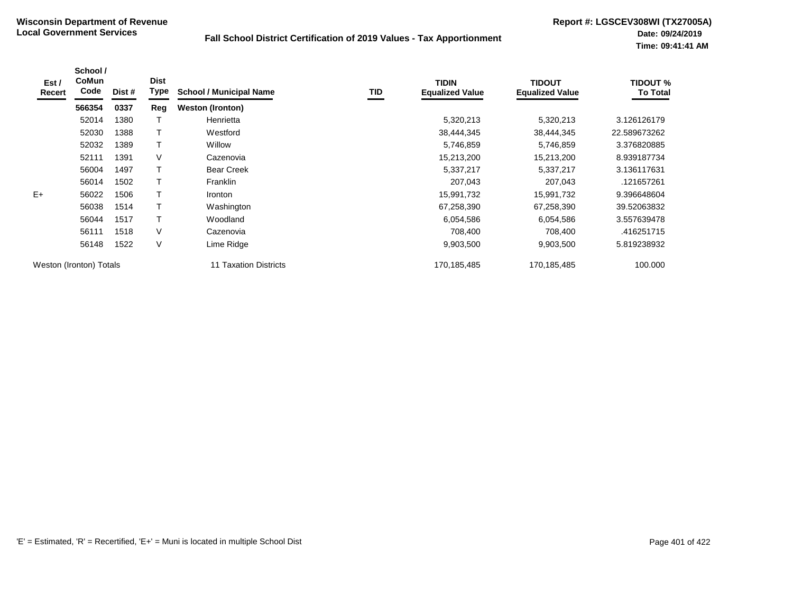| Est /<br>Recert | School /<br><b>CoMun</b><br>Code | Dist # | <b>Dist</b><br><b>Type</b> | <b>School / Municipal Name</b> | TID | <b>TIDIN</b><br><b>Equalized Value</b> | <b>TIDOUT</b><br><b>Equalized Value</b> | <b>TIDOUT %</b><br><b>To Total</b> |
|-----------------|----------------------------------|--------|----------------------------|--------------------------------|-----|----------------------------------------|-----------------------------------------|------------------------------------|
|                 | 566354                           | 0337   | Reg                        | <b>Weston (Ironton)</b>        |     |                                        |                                         |                                    |
|                 | 52014                            | 1380   |                            | Henrietta                      |     | 5,320,213                              | 5,320,213                               | 3.126126179                        |
|                 | 52030                            | 1388   |                            | Westford                       |     | 38,444,345                             | 38,444,345                              | 22.589673262                       |
|                 | 52032                            | 1389   |                            | <b>Willow</b>                  |     | 5,746,859                              | 5,746,859                               | 3.376820885                        |
|                 | 52111                            | 1391   | V                          | Cazenovia                      |     | 15,213,200                             | 15,213,200                              | 8.939187734                        |
|                 | 56004                            | 1497   |                            | <b>Bear Creek</b>              |     | 5,337,217                              | 5,337,217                               | 3.136117631                        |
|                 | 56014                            | 1502   |                            | <b>Franklin</b>                |     | 207,043                                | 207,043                                 | .121657261                         |
| $E+$            | 56022                            | 1506   |                            | <i>Ironton</i>                 |     | 15,991,732                             | 15,991,732                              | 9.396648604                        |
|                 | 56038                            | 1514   |                            | Washington                     |     | 67,258,390                             | 67,258,390                              | 39.52063832                        |
|                 | 56044                            | 1517   |                            | Woodland                       |     | 6,054,586                              | 6,054,586                               | 3.557639478                        |
|                 | 56111                            | 1518   | V                          | Cazenovia                      |     | 708,400                                | 708,400                                 | .416251715                         |
|                 | 56148                            | 1522   | V                          | Lime Ridge                     |     | 9,903,500                              | 9,903,500                               | 5.819238932                        |
|                 | Weston (Ironton) Totals          |        |                            | 11 Taxation Districts          |     | 170,185,485                            | 170,185,485                             | 100.000                            |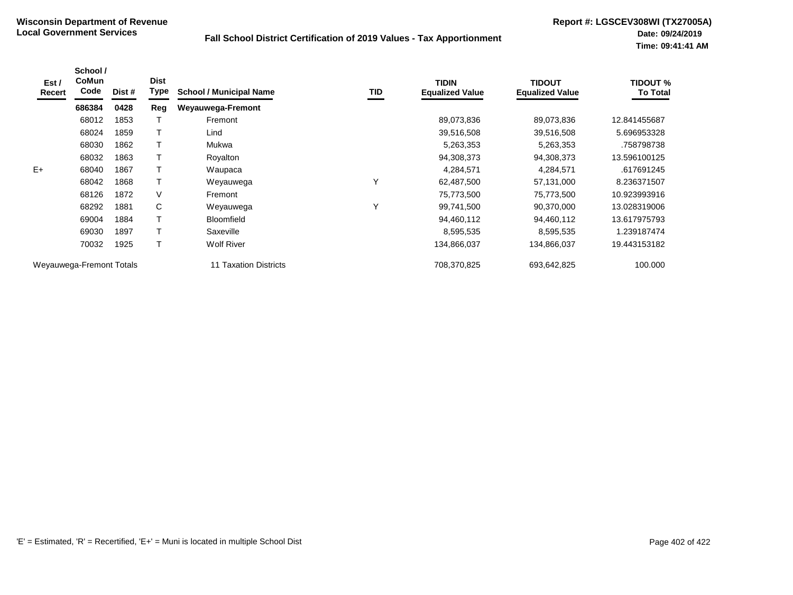| Est /<br>Recert | School /<br><b>CoMun</b><br>Code | Dist # | <b>Dist</b><br><b>Type</b> | <b>School / Municipal Name</b> | TID          | <b>TIDIN</b><br><b>Equalized Value</b> | <b>TIDOUT</b><br><b>Equalized Value</b> | TIDOUT %<br><b>To Total</b> |
|-----------------|----------------------------------|--------|----------------------------|--------------------------------|--------------|----------------------------------------|-----------------------------------------|-----------------------------|
|                 | 686384                           | 0428   | Reg                        | <b>Weyauwega-Fremont</b>       |              |                                        |                                         |                             |
|                 | 68012                            | 1853   |                            | Fremont                        |              | 89,073,836                             | 89,073,836                              | 12.841455687                |
|                 | 68024                            | 1859   |                            | Lind                           |              | 39,516,508                             | 39,516,508                              | 5.696953328                 |
|                 | 68030                            | 1862   |                            | Mukwa                          |              | 5,263,353                              | 5,263,353                               | .758798738                  |
|                 | 68032                            | 1863   |                            | Royalton                       |              | 94,308,373                             | 94,308,373                              | 13.596100125                |
| $E+$            | 68040                            | 1867   |                            | Waupaca                        |              | 4,284,571                              | 4,284,571                               | .617691245                  |
|                 | 68042                            | 1868   |                            | Weyauwega                      | Υ            | 62,487,500                             | 57,131,000                              | 8.236371507                 |
|                 | 68126                            | 1872   | V                          | Fremont                        |              | 75,773,500                             | 75,773,500                              | 10.923993916                |
|                 | 68292                            | 1881   | C                          | Weyauwega                      | $\checkmark$ | 99,741,500                             | 90,370,000                              | 13.028319006                |
|                 | 69004                            | 1884   |                            | <b>Bloomfield</b>              |              | 94,460,112                             | 94,460,112                              | 13.617975793                |
|                 | 69030                            | 1897   |                            | Saxeville                      |              | 8,595,535                              | 8,595,535                               | 1.239187474                 |
|                 | 70032                            | 1925   | т                          | <b>Wolf River</b>              |              | 134,866,037                            | 134,866,037                             | 19.443153182                |
|                 | Weyauwega-Fremont Totals         |        |                            | Taxation Districts             |              | 708,370,825                            | 693,642,825                             | 100.000                     |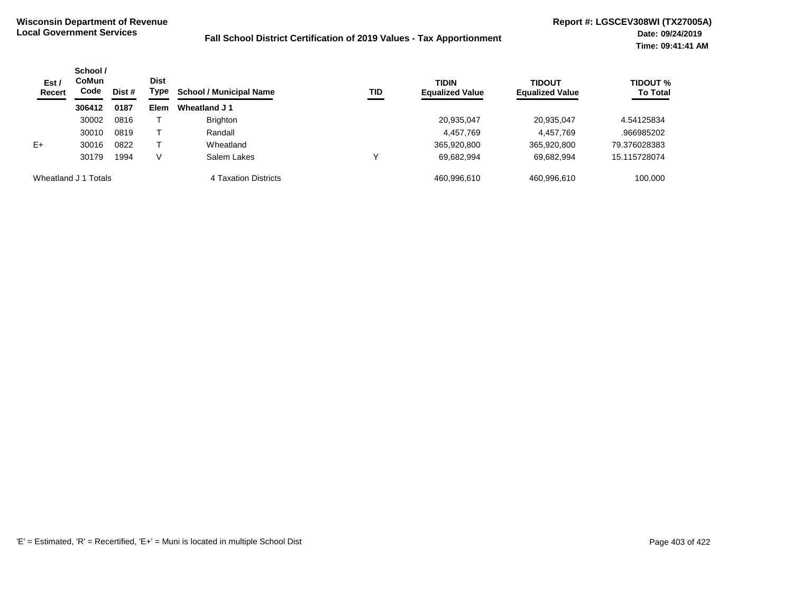| Est /<br>Recert | School /<br>CoMun<br><b>Dist</b><br>Code<br>Type<br>Dist # | <b>School / Municipal Name</b> | <b>TID</b> | <b>TIDIN</b><br><b>Equalized Value</b> | <b>TIDOUT</b><br><b>Equalized Value</b> | <b>TIDOUT %</b><br><b>To Total</b> |             |              |
|-----------------|------------------------------------------------------------|--------------------------------|------------|----------------------------------------|-----------------------------------------|------------------------------------|-------------|--------------|
|                 | 306412                                                     | 0187                           | Elem       | Wheatland J 1                          |                                         |                                    |             |              |
|                 | 30002                                                      | 0816                           |            | <b>Brighton</b>                        |                                         | 20,935,047                         | 20,935,047  | 4.54125834   |
|                 | 30010                                                      | 0819                           |            | Randall                                |                                         | 4,457,769                          | 4,457,769   | .966985202   |
| $E+$            | 30016                                                      | 0822                           |            | Wheatland                              |                                         | 365,920,800                        | 365,920,800 | 79.376028383 |
|                 | 30179                                                      | 1994                           | v          | Salem Lakes                            |                                         | 69,682,994                         | 69,682,994  | 15.115728074 |
|                 | Wheatland J 1 Totals                                       |                                |            | 4 Taxation Districts                   |                                         | 460.996.610                        | 460,996,610 | 100.000      |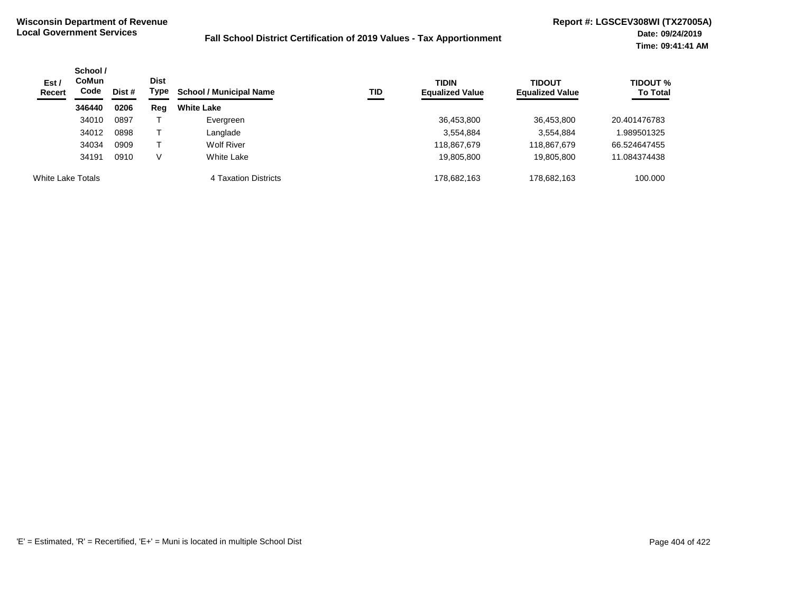| Est /<br><b>Recert</b> | School /<br><b>CoMun</b><br>Code<br>Dist # |      | Dist<br>Type | <b>School / Municipal Name</b><br>TID | <b>TIDIN</b><br><b>Equalized Value</b> | <b>TIDOUT</b><br><b>Equalized Value</b> | <b>TIDOUT</b> %<br><b>To Total</b> |              |
|------------------------|--------------------------------------------|------|--------------|---------------------------------------|----------------------------------------|-----------------------------------------|------------------------------------|--------------|
|                        | 346440                                     | 0206 | Reg          | <b>White Lake</b>                     |                                        |                                         |                                    |              |
|                        | 34010                                      | 0897 |              | Evergreen                             |                                        | 36,453,800                              | 36,453,800                         | 20.401476783 |
|                        | 34012                                      | 0898 |              | Langlade                              |                                        | 3.554.884                               | 3,554,884                          | 989501325    |
|                        | 34034                                      | 0909 |              | <b>Wolf River</b>                     |                                        | 118,867,679                             | 118,867,679                        | 66.524647455 |
|                        | 34191                                      | 0910 |              | <b>White Lake</b>                     |                                        | 19,805,800                              | 19,805,800                         | 11.084374438 |
| White Lake Totals      |                                            |      |              | 4 Taxation Districts                  |                                        | 178.682.163                             | 178.682.163                        | 100.000      |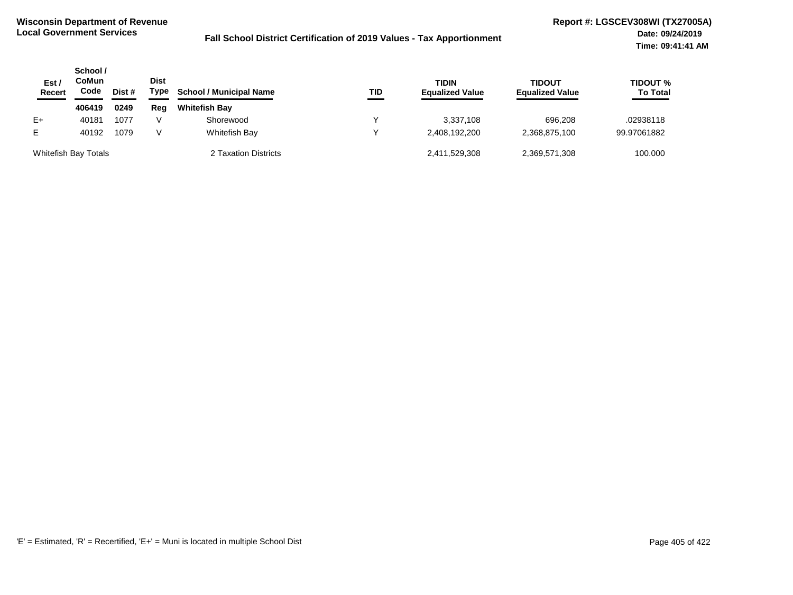| Est $\prime$<br>Recert | School /<br>CoMun<br>Code<br>Dist # |      | <b>Dist</b><br>Type | <b>School / Municipal Name</b> | TID | <b>TIDIN</b><br><b>Equalized Value</b> | <b>TIDOUT</b><br><b>Equalized Value</b> | <b>TIDOUT %</b><br><b>To Total</b> |
|------------------------|-------------------------------------|------|---------------------|--------------------------------|-----|----------------------------------------|-----------------------------------------|------------------------------------|
|                        | 406419                              | 0249 | Reg                 | <b>Whitefish Bay</b>           |     |                                        |                                         |                                    |
| E+                     | 40181                               | 1077 |                     | Shorewood                      |     | 3.337.108                              | 696.208                                 | .02938118                          |
| E.                     | 40192                               | 1079 |                     | Whitefish Bay                  |     | 2,408,192,200                          | 2,368,875,100                           | 99.97061882                        |
| Whitefish Bay Totals   |                                     |      |                     | 2 Taxation Districts           |     | 2,411,529,308                          | 2,369,571,308                           | 100.000                            |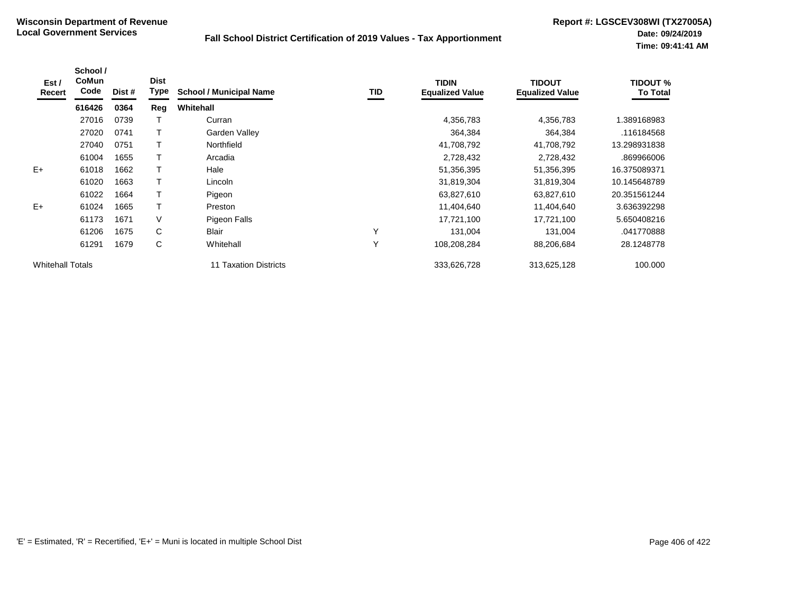| Est /<br>Recert         | School /<br>CoMun<br>Code | Dist # | <b>Dist</b><br>Type | <b>School / Municipal Name</b> | <b>TID</b> | <b>TIDIN</b><br><b>Equalized Value</b> | <b>TIDOUT</b><br><b>Equalized Value</b> | <b>TIDOUT %</b><br><b>To Total</b> |
|-------------------------|---------------------------|--------|---------------------|--------------------------------|------------|----------------------------------------|-----------------------------------------|------------------------------------|
|                         | 616426                    | 0364   | Reg                 | Whitehall                      |            |                                        |                                         |                                    |
|                         | 27016                     | 0739   |                     | Curran                         |            | 4,356,783                              | 4,356,783                               | 1.389168983                        |
|                         | 27020                     | 0741   |                     | Garden Valley                  |            | 364,384                                | 364,384                                 | .116184568                         |
|                         | 27040                     | 0751   |                     | Northfield                     |            | 41,708,792                             | 41,708,792                              | 13.298931838                       |
|                         | 61004                     | 1655   |                     | Arcadia                        |            | 2,728,432                              | 2,728,432                               | .869966006                         |
| $E+$                    | 61018                     | 1662   |                     | Hale                           |            | 51,356,395                             | 51,356,395                              | 16.375089371                       |
|                         | 61020                     | 1663   |                     | Lincoln                        |            | 31,819,304                             | 31,819,304                              | 10.145648789                       |
|                         | 61022                     | 1664   |                     | Pigeon                         |            | 63,827,610                             | 63,827,610                              | 20.351561244                       |
| $E+$                    | 61024                     | 1665   |                     | Preston                        |            | 11,404,640                             | 11,404,640                              | 3.636392298                        |
|                         | 61173                     | 1671   | V                   | Pigeon Falls                   |            | 17,721,100                             | 17,721,100                              | 5.650408216                        |
|                         | 61206                     | 1675   | C                   | <b>Blair</b>                   | Υ          | 131,004                                | 131,004                                 | .041770888                         |
|                         | 61291                     | 1679   | C                   | Whitehall                      | Y          | 108,208,284                            | 88,206,684                              | 28.1248778                         |
| <b>Whitehall Totals</b> |                           |        |                     | 11 Taxation Districts          |            | 333,626,728                            | 313,625,128                             | 100.000                            |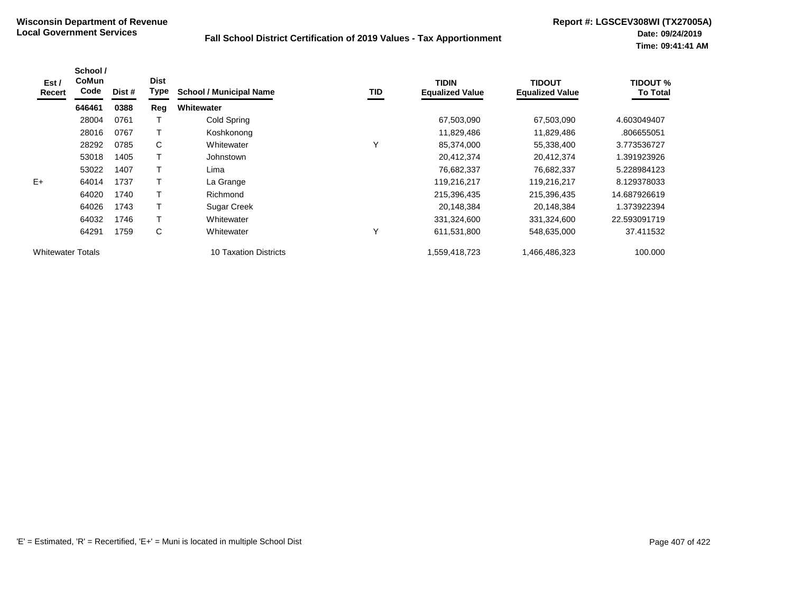| Est /<br>Recert          | School /<br>CoMun<br>Code | Dist # | <b>Dist</b><br>Type | <b>School / Municipal Name</b> | TID | <b>TIDIN</b><br><b>Equalized Value</b> | <b>TIDOUT</b><br><b>Equalized Value</b> | <b>TIDOUT %</b><br><b>To Total</b> |
|--------------------------|---------------------------|--------|---------------------|--------------------------------|-----|----------------------------------------|-----------------------------------------|------------------------------------|
|                          | 646461                    | 0388   | Reg                 | <b>Whitewater</b>              |     |                                        |                                         |                                    |
|                          | 28004                     | 0761   |                     | Cold Spring                    |     | 67,503,090                             | 67,503,090                              | 4.603049407                        |
|                          | 28016                     | 0767   |                     | Koshkonong                     |     | 11,829,486                             | 11,829,486                              | .806655051                         |
|                          | 28292                     | 0785   | C                   | Whitewater                     | Υ   | 85,374,000                             | 55,338,400                              | 3.773536727                        |
|                          | 53018                     | 1405   |                     | Johnstown                      |     | 20,412,374                             | 20,412,374                              | 1.391923926                        |
|                          | 53022                     | 1407   |                     | Lima                           |     | 76,682,337                             | 76.682.337                              | 5.228984123                        |
| $E+$                     | 64014                     | 1737   |                     | La Grange                      |     | 119,216,217                            | 119,216,217                             | 8.129378033                        |
|                          | 64020                     | 1740   |                     | Richmond                       |     | 215,396,435                            | 215,396,435                             | 14.687926619                       |
|                          | 64026                     | 1743   |                     | <b>Sugar Creek</b>             |     | 20,148,384                             | 20,148,384                              | 1.373922394                        |
|                          | 64032                     | 1746   |                     | Whitewater                     |     | 331,324,600                            | 331,324,600                             | 22.593091719                       |
|                          | 64291                     | 1759   | C                   | Whitewater                     | Υ   | 611,531,800                            | 548,635,000                             | 37.411532                          |
| <b>Whitewater Totals</b> |                           |        |                     | 10 Taxation Districts          |     | 1,559,418,723                          | 1,466,486,323                           | 100.000                            |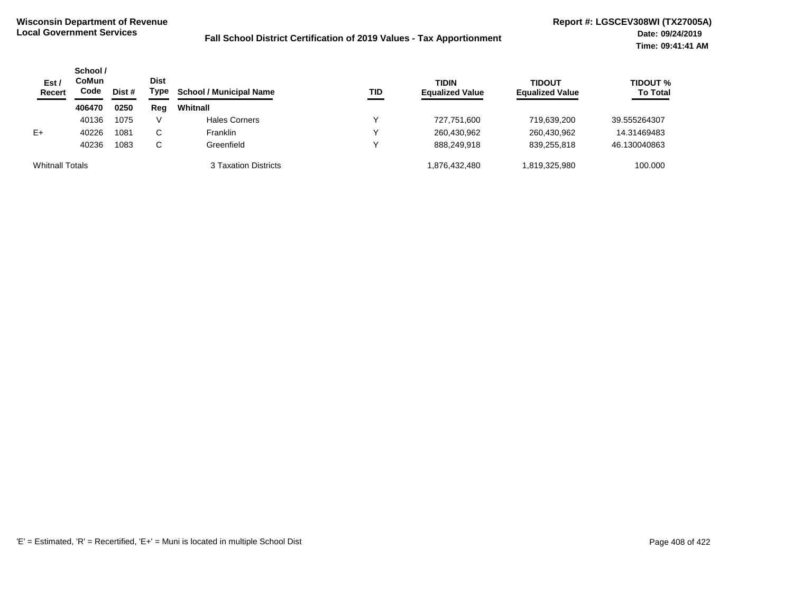| Est /<br><b>Recert</b> | School /<br><b>CoMun</b><br>Code | Dist # | <b>Dist</b><br>Type | <b>School / Municipal Name</b> | TID          | <b>TIDIN</b><br><b>Equalized Value</b> | <b>TIDOUT</b><br><b>Equalized Value</b> | TIDOUT %<br><b>To Total</b> |
|------------------------|----------------------------------|--------|---------------------|--------------------------------|--------------|----------------------------------------|-----------------------------------------|-----------------------------|
|                        | 406470                           | 0250   | Reg                 | Whitnall                       |              |                                        |                                         |                             |
|                        | 40136                            | 1075   | V                   | <b>Hales Corners</b>           | $\checkmark$ | 727,751,600                            | 719.639.200                             | 39.555264307                |
| $E+$                   | 40226                            | 1081   | C                   | <b>Franklin</b>                | ↘            | 260,430,962                            | 260,430,962                             | 14.31469483                 |
|                        | 40236                            | 1083   | С                   | Greenfield                     | v            | 888.249.918                            | 839.255.818                             | 46.130040863                |
| <b>Whitnall Totals</b> |                                  |        |                     | 3 Taxation Districts           |              | 1,876,432,480                          | 819,325,980                             | 100.000                     |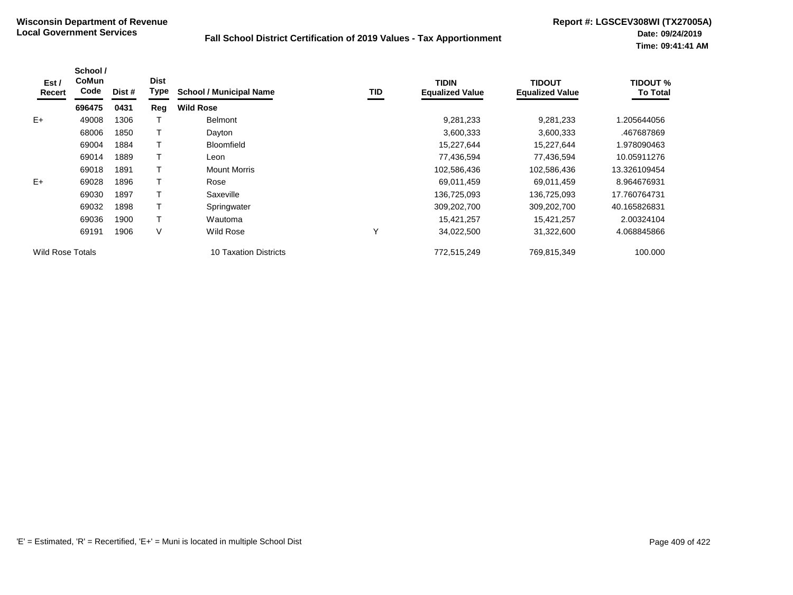| Est /<br>Recert         | School /<br><b>CoMun</b><br>Code | Dist # | <b>Dist</b><br><b>Type</b> | <b>School / Municipal Name</b> | TID | <b>TIDIN</b><br><b>Equalized Value</b> | <b>TIDOUT</b><br><b>Equalized Value</b> | <b>TIDOUT %</b><br><b>To Total</b> |
|-------------------------|----------------------------------|--------|----------------------------|--------------------------------|-----|----------------------------------------|-----------------------------------------|------------------------------------|
|                         | 696475                           | 0431   | Reg                        | <b>Wild Rose</b>               |     |                                        |                                         |                                    |
| $E+$                    | 49008                            | 1306   |                            | <b>Belmont</b>                 |     | 9,281,233                              | 9,281,233                               | 1.205644056                        |
|                         | 68006                            | 1850   |                            | Dayton                         |     | 3,600,333                              | 3,600,333                               | .467687869                         |
|                         | 69004                            | 1884   |                            | <b>Bloomfield</b>              |     | 15,227,644                             | 15,227,644                              | 1.978090463                        |
|                         | 69014                            | 1889   |                            | Leon                           |     | 77,436,594                             | 77,436,594                              | 10.05911276                        |
|                         | 69018                            | 1891   |                            | <b>Mount Morris</b>            |     | 102,586,436                            | 102,586,436                             | 13.326109454                       |
| $E+$                    | 69028                            | 1896   |                            | Rose                           |     | 69,011,459                             | 69,011,459                              | 8.964676931                        |
|                         | 69030                            | 1897   |                            | Saxeville                      |     | 136,725,093                            | 136,725,093                             | 17.760764731                       |
|                         | 69032                            | 1898   |                            | Springwater                    |     | 309,202,700                            | 309,202,700                             | 40.165826831                       |
|                         | 69036                            | 1900   |                            | Wautoma                        |     | 15,421,257                             | 15,421,257                              | 2.00324104                         |
|                         | 69191                            | 1906   | V                          | Wild Rose                      | Υ   | 34,022,500                             | 31,322,600                              | 4.068845866                        |
| <b>Wild Rose Totals</b> |                                  |        |                            | <b>10 Taxation Districts</b>   |     | 772,515,249                            | 769,815,349                             | 100.000                            |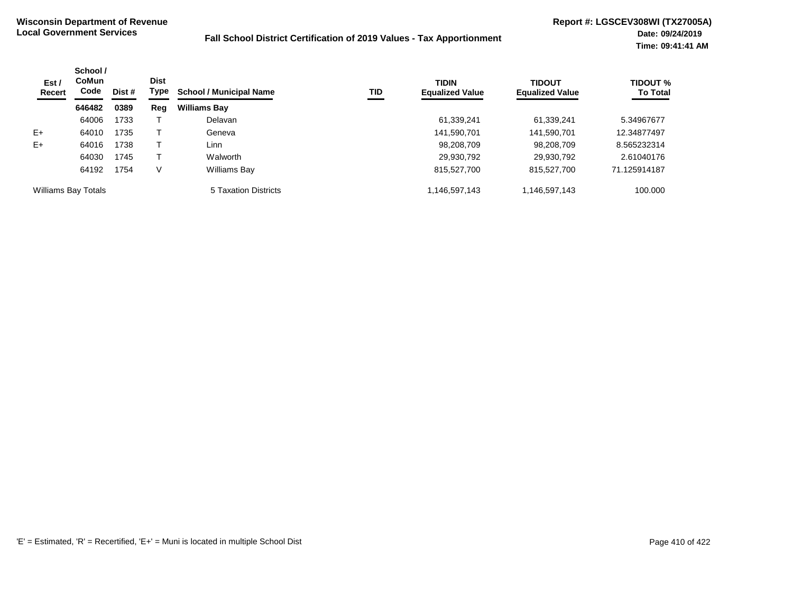| Est /<br>Recert            | School /<br><b>CoMun</b><br>Code | Dist # | <b>Dist</b><br>Type | <b>School / Municipal Name</b> | TID | <b>TIDIN</b><br><b>Equalized Value</b> | <b>TIDOUT</b><br><b>Equalized Value</b> | <b>TIDOUT %</b><br><b>To Total</b> |
|----------------------------|----------------------------------|--------|---------------------|--------------------------------|-----|----------------------------------------|-----------------------------------------|------------------------------------|
|                            | 646482                           | 0389   | Reg                 | <b>Williams Bay</b>            |     |                                        |                                         |                                    |
|                            | 64006                            | 1733   |                     | Delavan                        |     | 61,339,241                             | 61,339,241                              | 5.34967677                         |
| $E+$                       | 64010                            | 1735   |                     | Geneva                         |     | 141,590,701                            | 141,590,701                             | 12.34877497                        |
| $E+$                       | 64016                            | 1738   |                     | Linn                           |     | 98,208,709                             | 98,208,709                              | 8.565232314                        |
|                            | 64030                            | 1745   |                     | Walworth                       |     | 29,930,792                             | 29,930,792                              | 2.61040176                         |
|                            | 64192                            | 1754   | V                   | Williams Bay                   |     | 815,527,700                            | 815,527,700                             | 71.125914187                       |
| <b>Williams Bay Totals</b> |                                  |        |                     | 5 Taxation Districts           |     | 1,146,597,143                          | 1,146,597,143                           | 100.000                            |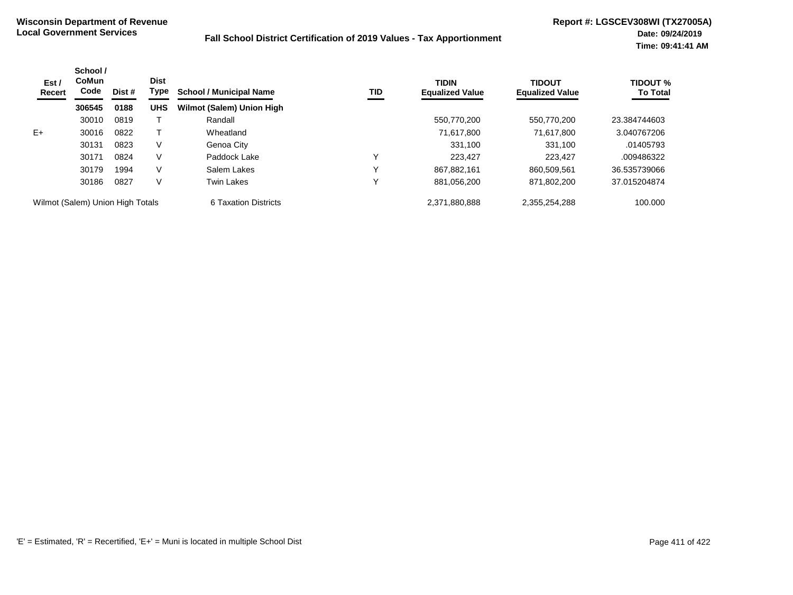| Est /<br>Recert | School /<br>CoMun<br>Code        | Dist # | <b>Dist</b><br>Type | <b>School / Municipal Name</b>   | TID | <b>TIDIN</b><br><b>Equalized Value</b> | <b>TIDOUT</b><br><b>Equalized Value</b> | <b>TIDOUT %</b><br><b>To Total</b> |
|-----------------|----------------------------------|--------|---------------------|----------------------------------|-----|----------------------------------------|-----------------------------------------|------------------------------------|
|                 | 306545                           | 0188   | <b>UHS</b>          | <b>Wilmot (Salem) Union High</b> |     |                                        |                                         |                                    |
|                 | 30010                            | 0819   |                     | Randall                          |     | 550.770.200                            | 550.770.200                             | 23.384744603                       |
| $E+$            | 30016                            | 0822   |                     | Wheatland                        |     | 71,617,800                             | 71.617.800                              | 3.040767206                        |
|                 | 30131                            | 0823   | V                   | Genoa City                       |     | 331,100                                | 331,100                                 | .01405793                          |
|                 | 30171                            | 0824   | V                   | Paddock Lake                     | Υ   | 223.427                                | 223.427                                 | .009486322                         |
|                 | 30179                            | 1994   | V                   | Salem Lakes                      | ν   | 867.882.161                            | 860.509.561                             | 36.535739066                       |
|                 | 30186                            | 0827   | V                   | <b>Twin Lakes</b>                | ν   | 881,056,200                            | 871.802.200                             | 37.015204874                       |
|                 | Wilmot (Salem) Union High Totals |        |                     | 6 Taxation Districts             |     | 2.371.880.888                          | 2,355,254,288                           | 100.000                            |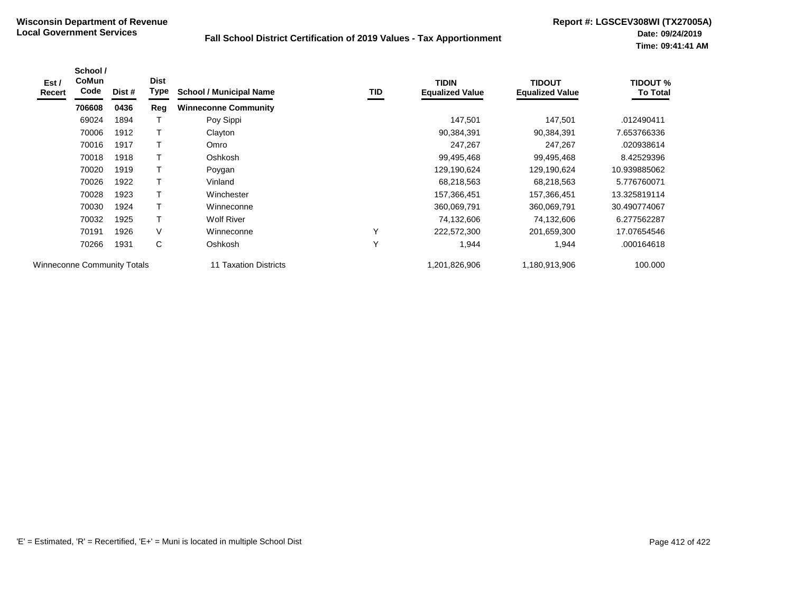| Est /<br>Recert                    | School /<br>CoMun<br>Code | Dist # | <b>Dist</b><br>Type | <b>School / Municipal Name</b> | TID | <b>TIDIN</b><br><b>Equalized Value</b> | <b>TIDOUT</b><br><b>Equalized Value</b> | <b>TIDOUT %</b><br>To Total |
|------------------------------------|---------------------------|--------|---------------------|--------------------------------|-----|----------------------------------------|-----------------------------------------|-----------------------------|
|                                    | 706608                    | 0436   | Reg                 | <b>Winneconne Community</b>    |     |                                        |                                         |                             |
|                                    | 69024                     | 1894   |                     | Poy Sippi                      |     | 147,501                                | 147,501                                 | .012490411                  |
|                                    | 70006                     | 1912   |                     | Clayton                        |     | 90,384,391                             | 90,384,391                              | 7.653766336                 |
|                                    | 70016                     | 1917   |                     | Omro                           |     | 247,267                                | 247,267                                 | .020938614                  |
|                                    | 70018                     | 1918   |                     | Oshkosh                        |     | 99,495,468                             | 99,495,468                              | 8.42529396                  |
|                                    | 70020                     | 1919   | Τ                   | Poygan                         |     | 129,190,624                            | 129,190,624                             | 10.939885062                |
|                                    | 70026                     | 1922   | Т                   | Vinland                        |     | 68,218,563                             | 68,218,563                              | 5.776760071                 |
|                                    | 70028                     | 1923   |                     | Winchester                     |     | 157,366,451                            | 157,366,451                             | 13.325819114                |
|                                    | 70030                     | 1924   |                     | Winneconne                     |     | 360,069,791                            | 360,069,791                             | 30.490774067                |
|                                    | 70032                     | 1925   | т                   | <b>Wolf River</b>              |     | 74,132,606                             | 74,132,606                              | 6.277562287                 |
|                                    | 70191                     | 1926   | V                   | Winneconne                     | Υ   | 222,572,300                            | 201,659,300                             | 17.07654546                 |
|                                    | 70266                     | 1931   | C                   | Oshkosh                        | Y   | 1,944                                  | 1,944                                   | .000164618                  |
| <b>Winneconne Community Totals</b> |                           |        |                     | 11 Taxation Districts          |     | 1,201,826,906                          | 1,180,913,906                           | 100.000                     |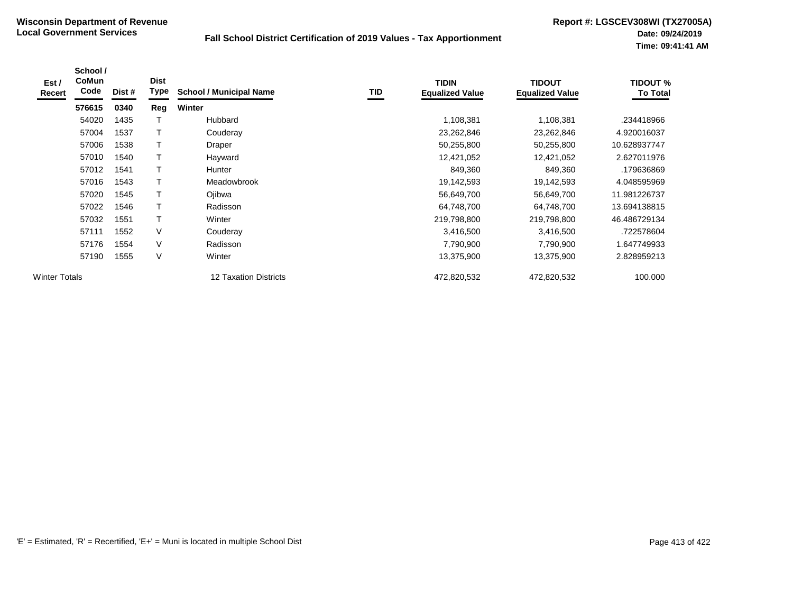| Est/<br>Recert       | School /<br><b>CoMun</b><br>Code | Dist # | <b>Dist</b><br><b>Type</b> | <b>School / Municipal Name</b> | TID | <b>TIDIN</b><br><b>Equalized Value</b> | <b>TIDOUT</b><br><b>Equalized Value</b> | <b>TIDOUT %</b><br><b>To Total</b> |
|----------------------|----------------------------------|--------|----------------------------|--------------------------------|-----|----------------------------------------|-----------------------------------------|------------------------------------|
|                      | 576615                           | 0340   | Reg                        | <b>Winter</b>                  |     |                                        |                                         |                                    |
|                      | 54020                            | 1435   |                            | Hubbard                        |     | 1,108,381                              | 1,108,381                               | .234418966                         |
|                      | 57004                            | 1537   | Т                          | Couderay                       |     | 23,262,846                             | 23,262,846                              | 4.920016037                        |
|                      | 57006                            | 1538   |                            | Draper                         |     | 50,255,800                             | 50,255,800                              | 10.628937747                       |
|                      | 57010                            | 1540   |                            | Hayward                        |     | 12,421,052                             | 12,421,052                              | 2.627011976                        |
|                      | 57012                            | 1541   | Т                          | Hunter                         |     | 849,360                                | 849,360                                 | .179636869                         |
|                      | 57016                            | 1543   | T                          | Meadowbrook                    |     | 19,142,593                             | 19,142,593                              | 4.048595969                        |
|                      | 57020                            | 1545   | T                          | Ojibwa                         |     | 56,649,700                             | 56,649,700                              | 11.981226737                       |
|                      | 57022                            | 1546   | T                          | Radisson                       |     | 64,748,700                             | 64,748,700                              | 13.694138815                       |
|                      | 57032                            | 1551   | T                          | Winter                         |     | 219,798,800                            | 219,798,800                             | 46.486729134                       |
|                      | 57111                            | 1552   | V                          | Couderay                       |     | 3,416,500                              | 3,416,500                               | .722578604                         |
|                      | 57176                            | 1554   | V                          | Radisson                       |     | 7,790,900                              | 7,790,900                               | 647749933                          |
|                      | 57190                            | 1555   | V                          | Winter                         |     | 13,375,900                             | 13,375,900                              | 2.828959213                        |
| <b>Winter Totals</b> |                                  |        |                            | 12 Taxation Districts          |     | 472,820,532                            | 472,820,532                             | 100.000                            |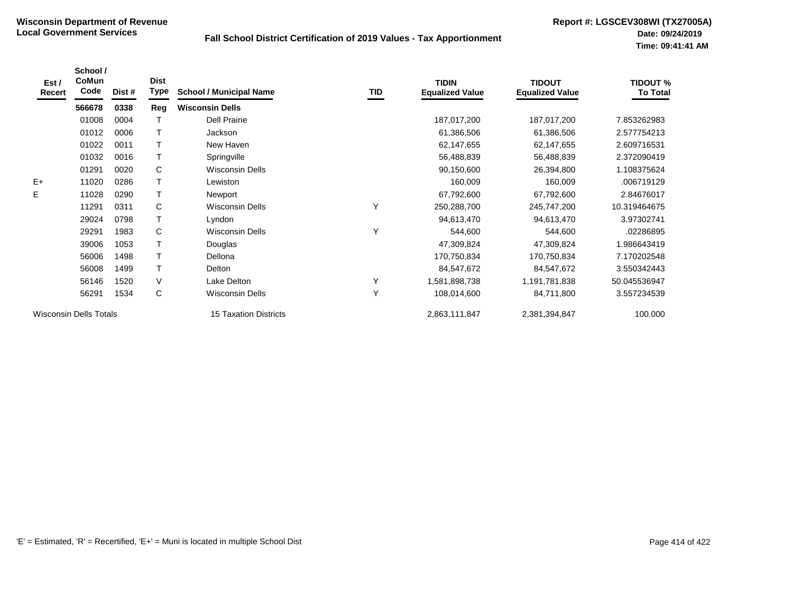| Est /<br>Recert | School /<br>CoMun<br>Code     | Dist # | <b>Dist</b><br>Type | <b>School / Municipal Name</b> | TID | <b>TIDIN</b><br><b>Equalized Value</b> | <b>TIDOUT</b><br><b>Equalized Value</b> | <b>TIDOUT %</b><br><b>To Total</b> |
|-----------------|-------------------------------|--------|---------------------|--------------------------------|-----|----------------------------------------|-----------------------------------------|------------------------------------|
|                 | 566678                        | 0338   | Reg                 | <b>Wisconsin Dells</b>         |     |                                        |                                         |                                    |
|                 | 01008                         | 0004   |                     | <b>Dell Prairie</b>            |     | 187,017,200                            | 187,017,200                             | 7.853262983                        |
|                 | 01012                         | 0006   |                     | Jackson                        |     | 61,386,506                             | 61,386,506                              | 2.577754213                        |
|                 | 01022                         | 0011   | T                   | New Haven                      |     | 62,147,655                             | 62,147,655                              | 2.609716531                        |
|                 | 01032                         | 0016   | T.                  | Springville                    |     | 56,488,839                             | 56,488,839                              | 2.372090419                        |
|                 | 01291                         | 0020   | C                   | <b>Wisconsin Dells</b>         |     | 90,150,600                             | 26,394,800                              | 1.108375624                        |
| $E+$            | 11020                         | 0286   | Τ                   | Lewiston                       |     | 160,009                                | 160,009                                 | .006719129                         |
| Е               | 11028                         | 0290   | T.                  | Newport                        |     | 67,792,600                             | 67,792,600                              | 2.84676017                         |
|                 | 11291                         | 0311   | C                   | <b>Wisconsin Dells</b>         | Υ   | 250,288,700                            | 245,747,200                             | 10.319464675                       |
|                 | 29024                         | 0798   | T                   | Lyndon                         |     | 94,613,470                             | 94,613,470                              | 3.97302741                         |
|                 | 29291                         | 1983   | C                   | <b>Wisconsin Dells</b>         | Υ   | 544,600                                | 544,600                                 | .02286895                          |
|                 | 39006                         | 1053   | Τ                   | Douglas                        |     | 47,309,824                             | 47,309,824                              | 1.986643419                        |
|                 | 56006                         | 1498   | $\mathsf{T}$        | Dellona                        |     | 170,750,834                            | 170,750,834                             | 7.170202548                        |
|                 | 56008                         | 1499   |                     | Delton                         |     | 84,547,672                             | 84,547,672                              | 3.550342443                        |
|                 | 56146                         | 1520   | $\vee$              | Lake Delton                    | Υ   | 1,581,898,738                          | 1,191,781,838                           | 50.045536947                       |
|                 | 56291                         | 1534   | C                   | Wisconsin Dells                | Y   | 108,014,600                            | 84,711,800                              | 3.557234539                        |
|                 | <b>Wisconsin Dells Totals</b> |        |                     | <b>15 Taxation Districts</b>   |     | 2,863,111,847                          | 2,381,394,847                           | 100.000                            |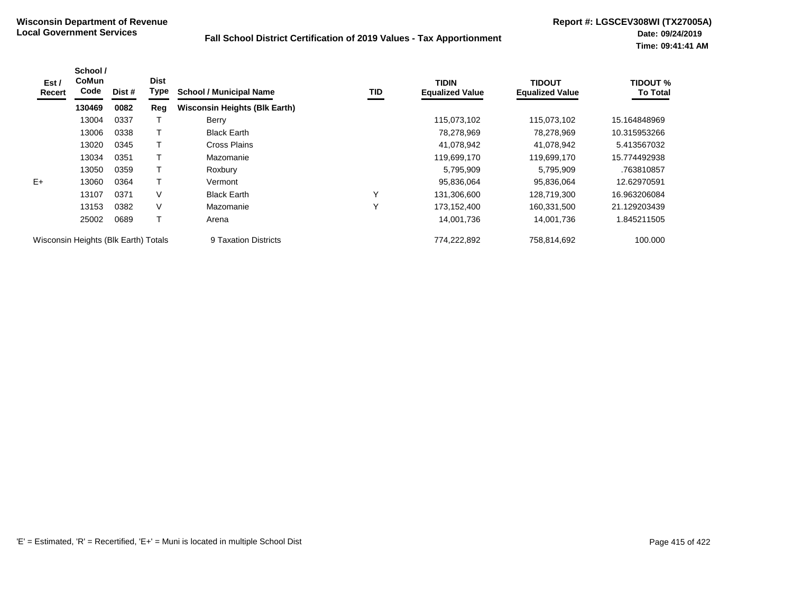| Est /<br>Recert                      | School /<br>CoMun<br>Code | Dist # | <b>Dist</b><br>Type | <b>School / Municipal Name</b>       | TID | TIDIN<br><b>Equalized Value</b> | <b>TIDOUT</b><br><b>Equalized Value</b> | <b>TIDOUT %</b><br><b>To Total</b> |
|--------------------------------------|---------------------------|--------|---------------------|--------------------------------------|-----|---------------------------------|-----------------------------------------|------------------------------------|
|                                      | 130469                    | 0082   | Reg                 | <b>Wisconsin Heights (Blk Earth)</b> |     |                                 |                                         |                                    |
|                                      | 13004                     | 0337   |                     | Berry                                |     | 115,073,102                     | 115,073,102                             | 15.164848969                       |
|                                      | 13006                     | 0338   |                     | <b>Black Earth</b>                   |     | 78,278,969                      | 78,278,969                              | 10.315953266                       |
|                                      | 13020                     | 0345   |                     | <b>Cross Plains</b>                  |     | 41,078,942                      | 41,078,942                              | 5.413567032                        |
|                                      | 13034                     | 0351   |                     | Mazomanie                            |     | 119,699,170                     | 119,699,170                             | 15.774492938                       |
|                                      | 13050                     | 0359   |                     | Roxbury                              |     | 5,795,909                       | 5,795,909                               | .763810857                         |
| $E+$                                 | 13060                     | 0364   |                     | Vermont                              |     | 95,836,064                      | 95,836,064                              | 12.62970591                        |
|                                      | 13107                     | 0371   | V                   | <b>Black Earth</b>                   | Υ   | 131,306,600                     | 128.719.300                             | 16.963206084                       |
|                                      | 13153                     | 0382   | V                   | Mazomanie                            | Υ   | 173,152,400                     | 160,331,500                             | 21.129203439                       |
|                                      | 25002                     | 0689   | T                   | Arena                                |     | 14,001,736                      | 14,001,736                              | 845211505                          |
| Wisconsin Heights (Blk Earth) Totals |                           |        |                     | 9 Taxation Districts                 |     | 774,222,892                     | 758,814,692                             | 100.000                            |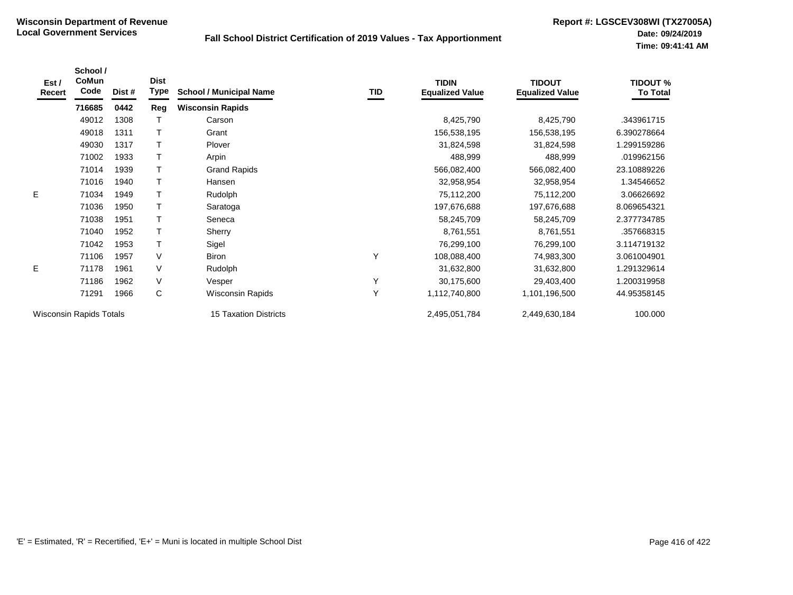| Est /<br>Recert                | School /<br>CoMun<br>Code | Dist # | <b>Dist</b><br>Type | <b>School / Municipal Name</b> | TID | <b>TIDIN</b><br><b>Equalized Value</b> | <b>TIDOUT</b><br><b>Equalized Value</b> | <b>TIDOUT %</b><br><b>To Total</b> |
|--------------------------------|---------------------------|--------|---------------------|--------------------------------|-----|----------------------------------------|-----------------------------------------|------------------------------------|
|                                | 716685                    | 0442   | Reg                 | <b>Wisconsin Rapids</b>        |     |                                        |                                         |                                    |
|                                | 49012                     | 1308   |                     | Carson                         |     | 8,425,790                              | 8,425,790                               | .343961715                         |
|                                | 49018                     | 1311   |                     | Grant                          |     | 156,538,195                            | 156,538,195                             | 6.390278664                        |
|                                | 49030                     | 1317   |                     | Plover                         |     | 31,824,598                             | 31,824,598                              | 1.299159286                        |
|                                | 71002                     | 1933   |                     | Arpin                          |     | 488,999                                | 488,999                                 | .019962156                         |
|                                | 71014                     | 1939   |                     | <b>Grand Rapids</b>            |     | 566,082,400                            | 566,082,400                             | 23.10889226                        |
|                                | 71016                     | 1940   |                     | Hansen                         |     | 32,958,954                             | 32,958,954                              | 1.34546652                         |
| E                              | 71034                     | 1949   |                     | Rudolph                        |     | 75,112,200                             | 75,112,200                              | 3.06626692                         |
|                                | 71036                     | 1950   |                     | Saratoga                       |     | 197,676,688                            | 197,676,688                             | 8.069654321                        |
|                                | 71038                     | 1951   |                     | Seneca                         |     | 58,245,709                             | 58,245,709                              | 2.377734785                        |
|                                | 71040                     | 1952   |                     | Sherry                         |     | 8,761,551                              | 8,761,551                               | .357668315                         |
|                                | 71042                     | 1953   |                     | Sigel                          |     | 76,299,100                             | 76,299,100                              | 3.114719132                        |
|                                | 71106                     | 1957   | V                   | <b>Biron</b>                   | Y   | 108,088,400                            | 74,983,300                              | 3.061004901                        |
| E                              | 71178                     | 1961   | V                   | Rudolph                        |     | 31,632,800                             | 31,632,800                              | 1.291329614                        |
|                                | 71186                     | 1962   | V                   | Vesper                         | Y   | 30,175,600                             | 29,403,400                              | 1.200319958                        |
|                                | 71291                     | 1966   | C                   | <b>Wisconsin Rapids</b>        | Y   | 1,112,740,800                          | 1,101,196,500                           | 44.95358145                        |
| <b>Wisconsin Rapids Totals</b> |                           |        |                     | <b>15 Taxation Districts</b>   |     | 2,495,051,784                          | 2,449,630,184                           | 100.000                            |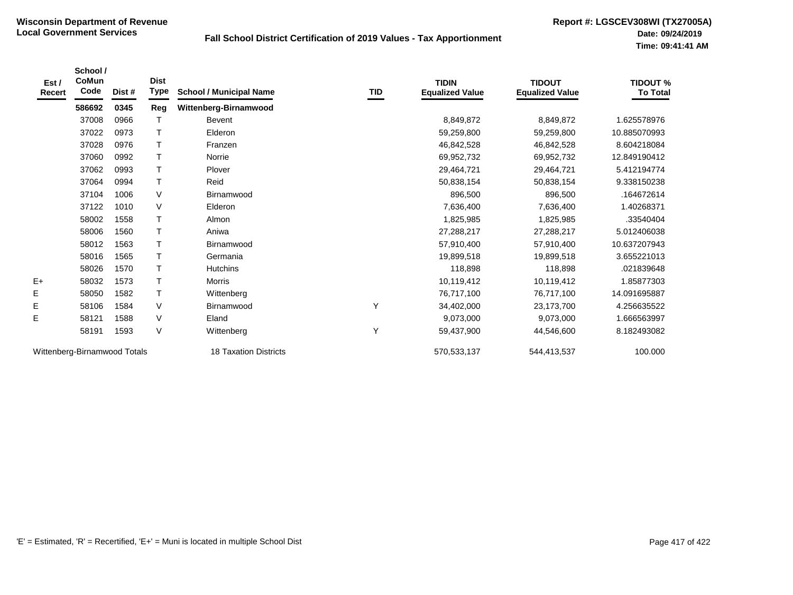| Est /<br><b>Recert</b> | School /<br>CoMun<br>Code    | Dist # | <b>Dist</b><br>Type | <b>School / Municipal Name</b> | TID | <b>TIDIN</b><br><b>Equalized Value</b> | <b>TIDOUT</b><br><b>Equalized Value</b> | <b>TIDOUT %</b><br><b>To Total</b> |
|------------------------|------------------------------|--------|---------------------|--------------------------------|-----|----------------------------------------|-----------------------------------------|------------------------------------|
|                        | 586692                       | 0345   | Reg                 | Wittenberg-Birnamwood          |     |                                        |                                         |                                    |
|                        | 37008                        | 0966   | T                   | Bevent                         |     | 8,849,872                              | 8,849,872                               | 1.625578976                        |
|                        | 37022                        | 0973   | T.                  | Elderon                        |     | 59,259,800                             | 59,259,800                              | 10.885070993                       |
|                        | 37028                        | 0976   | T.                  | Franzen                        |     | 46,842,528                             | 46,842,528                              | 8.604218084                        |
|                        | 37060                        | 0992   | Τ                   | Norrie                         |     | 69,952,732                             | 69,952,732                              | 12.849190412                       |
|                        | 37062                        | 0993   | T.                  | Plover                         |     | 29,464,721                             | 29,464,721                              | 5.412194774                        |
|                        | 37064                        | 0994   | T.                  | Reid                           |     | 50,838,154                             | 50,838,154                              | 9.338150238                        |
|                        | 37104                        | 1006   | V                   | Birnamwood                     |     | 896,500                                | 896,500                                 | .164672614                         |
|                        | 37122                        | 1010   | V                   | Elderon                        |     | 7,636,400                              | 7,636,400                               | 1.40268371                         |
|                        | 58002                        | 1558   | T                   | Almon                          |     | 1,825,985                              | 1,825,985                               | .33540404                          |
|                        | 58006                        | 1560   | Τ                   | Aniwa                          |     | 27,288,217                             | 27,288,217                              | 5.012406038                        |
|                        | 58012                        | 1563   | T                   | Birnamwood                     |     | 57,910,400                             | 57,910,400                              | 10.637207943                       |
|                        | 58016                        | 1565   | T.                  | Germania                       |     | 19,899,518                             | 19,899,518                              | 3.655221013                        |
|                        | 58026                        | 1570   | T.                  | <b>Hutchins</b>                |     | 118,898                                | 118,898                                 | .021839648                         |
| $E+$                   | 58032                        | 1573   | T                   | Morris                         |     | 10,119,412                             | 10,119,412                              | 1.85877303                         |
| E                      | 58050                        | 1582   | Τ                   | Wittenberg                     |     | 76,717,100                             | 76,717,100                              | 14.091695887                       |
| E                      | 58106                        | 1584   | V                   | Birnamwood                     | Υ   | 34,402,000                             | 23,173,700                              | 4.256635522                        |
| E                      | 58121                        | 1588   | V                   | Eland                          |     | 9,073,000                              | 9,073,000                               | 1.666563997                        |
|                        | 58191                        | 1593   | $\vee$              | Wittenberg                     | Υ   | 59,437,900                             | 44,546,600                              | 8.182493082                        |
|                        | Wittenberg-Birnamwood Totals |        |                     | 18 Taxation Districts          |     | 570,533,137                            | 544,413,537                             | 100.000                            |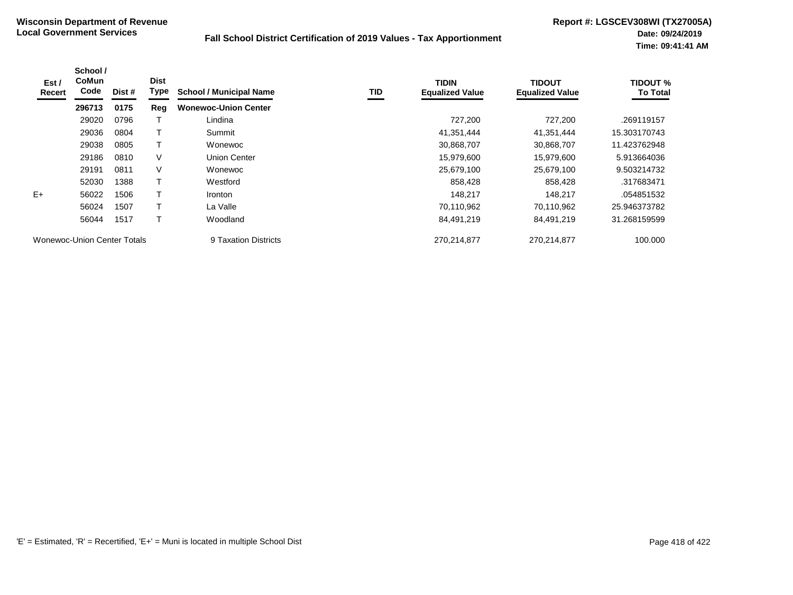| Est/<br>Recert                     | School /<br><b>CoMun</b><br>Code | Dist # | <b>Dist</b><br>Type | <b>School / Municipal Name</b> | TID | <b>TIDIN</b><br><b>Equalized Value</b> | <b>TIDOUT</b><br><b>Equalized Value</b> | <b>TIDOUT %</b><br><b>To Total</b> |
|------------------------------------|----------------------------------|--------|---------------------|--------------------------------|-----|----------------------------------------|-----------------------------------------|------------------------------------|
|                                    | 296713                           | 0175   | Reg                 | <b>Wonewoc-Union Center</b>    |     |                                        |                                         |                                    |
|                                    | 29020                            | 0796   |                     | Lindina                        |     | 727,200                                | 727,200                                 | .269119157                         |
|                                    | 29036                            | 0804   |                     | Summit                         |     | 41,351,444                             | 41,351,444                              | 15.303170743                       |
|                                    | 29038                            | 0805   |                     | Wonewoc                        |     | 30,868,707                             | 30,868,707                              | 11.423762948                       |
|                                    | 29186                            | 0810   | V                   | <b>Union Center</b>            |     | 15,979,600                             | 15,979,600                              | 5.913664036                        |
|                                    | 29191                            | 0811   | V                   | Wonewoc                        |     | 25,679,100                             | 25,679,100                              | 9.503214732                        |
|                                    | 52030                            | 1388   |                     | Westford                       |     | 858,428                                | 858,428                                 | .317683471                         |
| $E+$                               | 56022                            | 1506   |                     | <i>Ironton</i>                 |     | 148,217                                | 148,217                                 | .054851532                         |
|                                    | 56024                            | 1507   |                     | La Valle                       |     | 70,110,962                             | 70.110.962                              | 25.946373782                       |
|                                    | 56044                            | 1517   |                     | Woodland                       |     | 84,491,219                             | 84,491,219                              | 31.268159599                       |
| <b>Wonewoc-Union Center Totals</b> |                                  |        |                     | 9 Taxation Districts           |     | 270,214,877                            | 270,214,877                             | 100.000                            |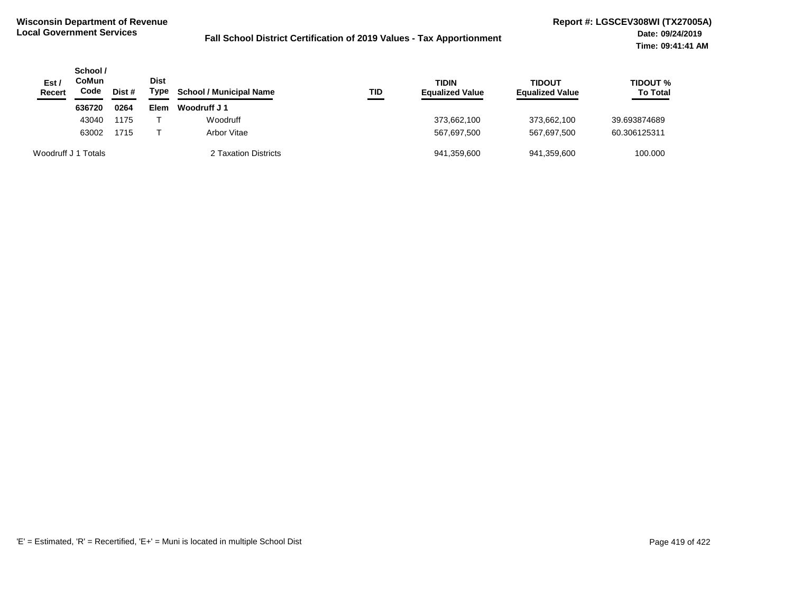| Est /<br><b>Recert</b> | School /<br>CoMun<br>Code | Dist # | <b>Dist</b><br>Type | <b>School / Municipal Name</b> | TID | TIDIN<br><b>Equalized Value</b> | <b>TIDOUT</b><br><b>Equalized Value</b> | <b>TIDOUT %</b><br><b>To Total</b> |
|------------------------|---------------------------|--------|---------------------|--------------------------------|-----|---------------------------------|-----------------------------------------|------------------------------------|
|                        | 636720                    | 0264   | Elem                | Woodruff J 1                   |     |                                 |                                         |                                    |
|                        | 43040                     | 1175   |                     | Woodruff                       |     | 373,662,100                     | 373.662.100                             | 39.693874689                       |
|                        | 63002                     | 1715   |                     | Arbor Vitae                    |     | 567.697.500                     | 567.697.500                             | 60.306125311                       |
| Woodruff J 1 Totals    |                           |        |                     | 2 Taxation Districts           |     | 941,359,600                     | 941,359,600                             | 100.000                            |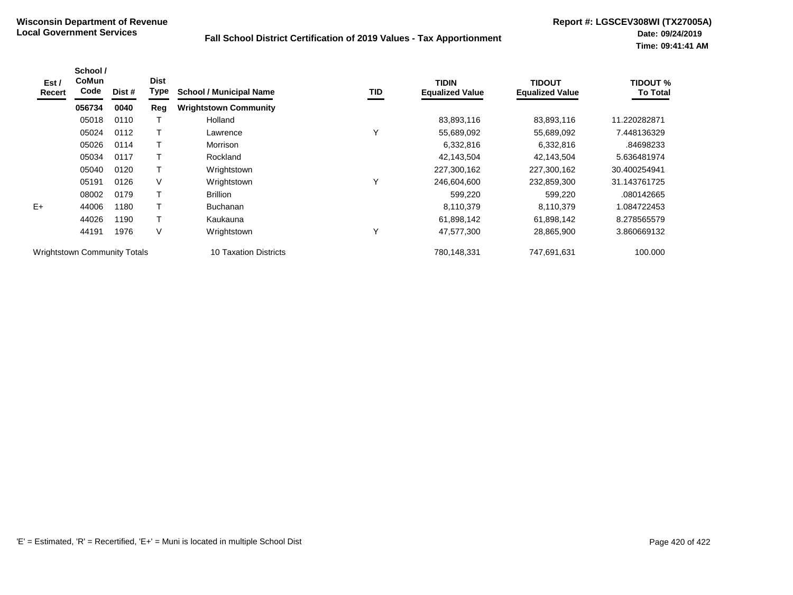| Est /<br>Recert                     | School /<br>CoMun<br>Code | Dist # | <b>Dist</b><br>Type | <b>School / Municipal Name</b> | TID          | <b>TIDIN</b><br><b>Equalized Value</b> | <b>TIDOUT</b><br><b>Equalized Value</b> | <b>TIDOUT %</b><br><b>To Total</b> |
|-------------------------------------|---------------------------|--------|---------------------|--------------------------------|--------------|----------------------------------------|-----------------------------------------|------------------------------------|
|                                     | 056734                    | 0040   | Reg                 | <b>Wrightstown Community</b>   |              |                                        |                                         |                                    |
|                                     | 05018                     | 0110   |                     | Holland                        |              | 83,893,116                             | 83,893,116                              | 11.220282871                       |
|                                     | 05024                     | 0112   |                     | Lawrence                       | v            | 55,689,092                             | 55,689,092                              | 7.448136329                        |
|                                     | 05026                     | 0114   |                     | Morrison                       |              | 6,332,816                              | 6,332,816                               | .84698233                          |
|                                     | 05034                     | 0117   |                     | Rockland                       |              | 42,143,504                             | 42,143,504                              | 5.636481974                        |
|                                     | 05040                     | 0120   | Т                   | Wrightstown                    |              | 227,300,162                            | 227,300,162                             | 30.400254941                       |
|                                     | 05191                     | 0126   | $\vee$              | Wrightstown                    | $\checkmark$ | 246,604,600                            | 232,859,300                             | 31.143761725                       |
|                                     | 08002                     | 0179   |                     | <b>Brillion</b>                |              | 599,220                                | 599,220                                 | .080142665                         |
| $E+$                                | 44006                     | 1180   | т                   | <b>Buchanan</b>                |              | 8,110,379                              | 8,110,379                               | 1.084722453                        |
|                                     | 44026                     | 1190   |                     | Kaukauna                       |              | 61,898,142                             | 61,898,142                              | 8.278565579                        |
|                                     | 44191                     | 1976   | $\vee$              | Wrightstown                    | $\checkmark$ | 47,577,300                             | 28,865,900                              | 3.860669132                        |
| <b>Wrightstown Community Totals</b> |                           |        |                     | 10 Taxation Districts          |              | 780,148,331                            | 747,691,631                             | 100.000                            |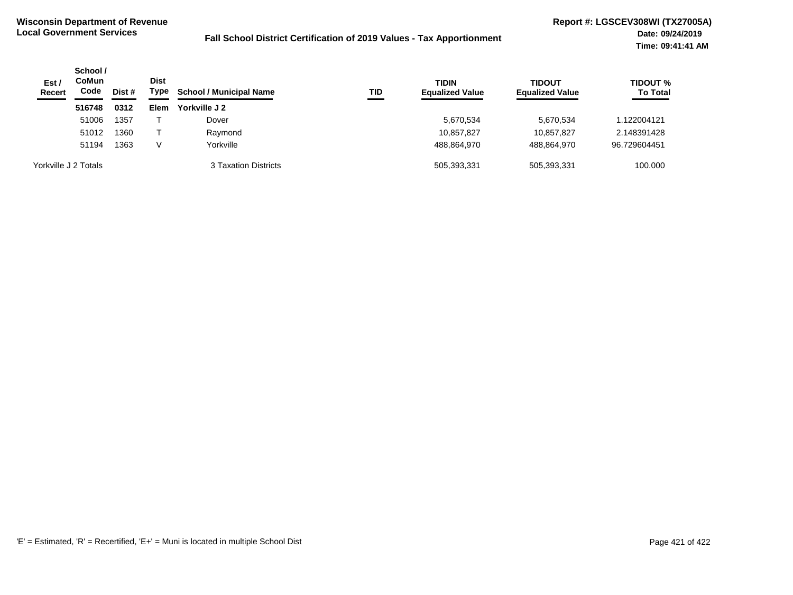| Est/<br>Recert       | School /<br><b>CoMun</b><br>Code | Dist # | <b>Dist</b><br>Type | <b>School / Municipal Name</b> | TID | <b>TIDIN</b><br><b>Equalized Value</b> | <b>TIDOUT</b><br><b>Equalized Value</b> | <b>TIDOUT %</b><br><b>To Total</b> |
|----------------------|----------------------------------|--------|---------------------|--------------------------------|-----|----------------------------------------|-----------------------------------------|------------------------------------|
|                      | 516748                           | 0312   | Elem                | Yorkville J 2                  |     |                                        |                                         |                                    |
|                      | 51006                            | 1357   |                     | Dover                          |     | 5,670,534                              | 5,670,534                               | 122004121                          |
|                      | 51012                            | 1360   |                     | Raymond                        |     | 10,857,827                             | 10.857.827                              | 2.148391428                        |
|                      | 51194                            | 1363   | V                   | Yorkville                      |     | 488,864,970                            | 488,864,970                             | 96.729604451                       |
| Yorkville J 2 Totals |                                  |        |                     | 3 Taxation Districts           |     | 505,393,331                            | 505,393,331                             | 100.000                            |